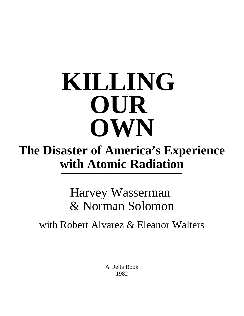## **KILLING OUR OWN**

### **The Disaster of America's Experience with Atomic Radiation**

### Harvey Wasserman & Norman Solomon

with Robert Alvarez & Eleanor Walters

A Delta Book 1982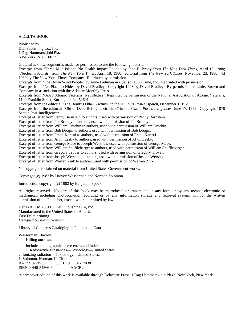A DELTA BOOK

Published by Dell Publishing Co., Inc. 1 Dag Hammarskjold Plaza New York, N.Y. 10017

Grateful acknowledgment is made for permission to use the following material:

Excerpts from "Three Mile Island: No Health Impact Found" by Jane E. Brody from *The New York Times,* April 15, 1980; "Nuclear Fabulists" from *The New York Times,* April 18, 1980; editorial from *The New York Times,* November 23, 1980. (c) 1980 by The New York Times Company. Reprinted by permission.

Excerpts from "The Down Wind People" by Anne Fadiman in *Life.* (c) 1980 Time, Inc. Reprinted with permission.

Excerpts from "No Place to Hide" by David Bradley. Copyright 1948 by David Bradley. By permission of Little, Brown and Company in association with the Atlantic Monthly Press.

Excerpts from NAAV Atomic Veterans' Newsletters. Reprinted by permission of the National Association of Atomic Veterans, 1109 Franklin Street, Burlington, Ia. 52601.

Excerpts from the editorial "The Bomb's Other Victims" in the *St. Louis Post-Dispatch,* December 1, 1979.

Excerpts from the editorial "Old or Dead Before Their Time" in the *Seattle Post-Intelligencer,* June 17, 1979. Copyright 1979 Seattle Post-Intelligencer.

Excerpt of letter from Penny Bernstein to authors, used with permission of Penny Bernstein.

Excerpt of letter from Pat Broudy to authors, used with permission of Pat Broudy.

Excerpt of letter from William Drechin to authors, used with permission of William Drechin.

Excerpt of letter from Bob Drogin to authors, used with permission of Bob Drogin.

Excerpt of letter from Frank Karasti to authors, used with permission of Frank Karasti.

Excerpt of letter from Alvin Lasky to authors, used with permission of Alvin Lasky.

Excerpt of letter from George Mace to Joseph Wershba, used with permission of George Mace.

Excerpt of letter from William Shufflebarger to authors, used with permission of William Shufflebarger.

Excerpt of letter from Gregory Troyer to authors, used with permission of Gregory Troyer.

Excerpt of letter from Joseph Wershba to authors, used with permission of Joseph Wershba.

Excerpt of letter from Warren Zink to authors, used with permission of Warren Zink.

No copyright is claimed on material from United States Government works.

Copyright (c) 1982 by Harvey Wasserman and Norman Solomon.

Introduction copyright (c) 1982 by Benjamin Spock.

All rights reserved. No part of this book may be reproduced or transmitted in any form or by any means, electronic or mechanical, including photocopying, recording or by any information storage and retrieval system, without the written permission of the Publisher, except where permitted by law.

Delta (R) TM 755118, Dell Publishing Co, Inc. Manufactured in the United States of America. First Delta printing *Designed by Judith Neuman*

Library of Congress Cataloging in Publication Data

Wasserman, Harvey. Killing our own. Includes bibliographical references and index. 1. Radioactive substances—Toxicology—United States. 2. Ionizing radiation—Toxicology—United States. 1. Solomon, Norman. II. Title. RA1231.R2W36 363.1'79 81-17438 ISBN 0-440-54566-6 AACR2

A hardcover edition of this work is available through Delacorte Press, 1 Dag Hammarskjold Plaza, New York, New York.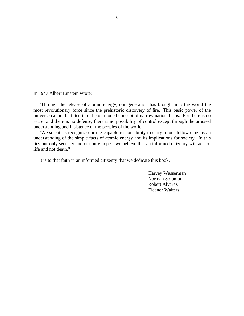In 1947 Albert Einstein wrote:

"Through the release of atomic energy, our generation has brought into the world the most revolutionary force since the prehistoric discovery of fire. This basic power of the universe cannot be fitted into the outmoded concept of narrow nationalisms. For there is no secret and there is no defense, there is no possibility of control except through the aroused understanding and insistence of the peoples of the world.

"We scientists recognize our inescapable responsibility to carry to our fellow citizens an understanding of the simple facts of atomic energy and its implications for society. In this lies our only security and our only hope—we believe that an informed citizenry will act for life and not death."

It is to that faith in an informed citizenry that we dedicate this book.

Harvey Wasserman Norman Solomon Robert Alvarez Eleanor Walters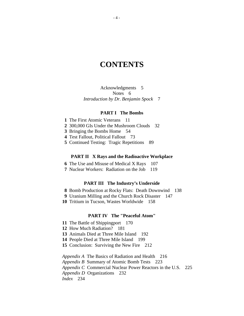### **CONTENTS**

Acknowledgments 5 Notes 6 *Introduction by Dr. Benjamin Spock* 7

### **PART I The Bombs**

- **1** The First Atomic Veterans 11
- **2** 300,000 GIs Under the Mushroom Clouds 32
- **3** Bringing the Bombs Home 54
- **4** Test Fallout, Political Fallout 73
- **5** Continued Testing: Tragic Repetitions 89

### **PART II X Rays and the Radioactive Workplace**

**6** The Use and Misuse of Medical X Rays 107

**7** Nuclear Workers: Radiation on the Job 119

### **PART III The Industry's Underside**

- **8** Bomb Production at Rocky Flats: Death Downwind 138
- **9** Uranium Milling and the Church Rock Disaster 147
- **10** Tritium in Tucson, Wastes Worldwide 158

### **PART IV The "Peaceful Atom"**

- **11** The Battle of Shippingport 170
- **12** How Much Radiation? 181
- **13** Animals Died at Three Mile Island 192
- **14** People Died at Three Mile Island 199
- **15** Conclusion: Surviving the New Fire 212

*Appendix A* The Basics of Radiation and Health 216 *Appendix B* Summary of Atomic Bomb Tests 223 *Appendix C* Commercial Nuclear Power Reactors in the U.S. 225 *Appendix D* Organizations 232 *Index* 234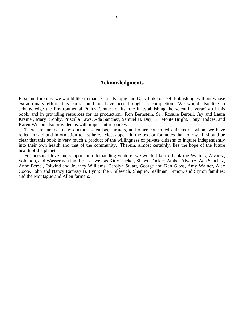### **Acknowledgments**

First and foremost we would like to thank Chris Kuppig and Gary Luke of Dell Publishing, without whose extraordinary efforts this book could not have been brought to completion. We would also like to acknowledge the Environmental Policy Center for its role in establishing the scientific veracity of this book, and in providing resources for its production. Ron Bernstein, Sr., Rosalie Bertell, Jay and Laura Kramer, Mary Brophy, Priscilla Laws, Ada Sanchez, Samuel H. Day, Jr., Monte Bright, Tony Hodges, and Karen Wilson also provided us with important resources.

There are far too many doctors, scientists, farmers, and other concerned citizens on whom we have relied for aid and information to list here. Most appear in the text or footnotes that follow. It should be clear that this book is very much a product of the willingness of private citizens to inquire independently into their own health and that of the community. Therein, almost certainly, lies the hope of the future health of the planet.

For personal love and support in a demanding venture, we would like to thank the Walters, Alvarez, Solomon, and Wasserman families; as well as Kitty Tucker, Shawn Tucker, Amber Alvarez, Ada Sanchez, Anne Betzel, Joiwind and Journey Williams, Carolyn Stuart, George and Ken Gloss, Amy Wainer, Alex Coote, John and Nancy Ramsay B. Lynn; the Chilewich, Shapiro, Stellman, Simon, and Styron families; and the Montague and Allen farmers.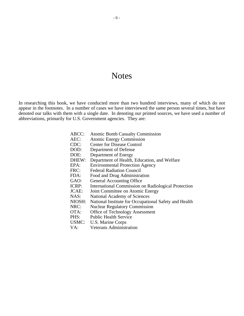### **Notes**

In researching this book, we have conducted more than two hundred interviews, many of which do not appear in the footnotes. In a number of cases we have interviewed the same person several times, but have denoted our talks with them with a single date. In denoting our printed sources, we have used a number of abbreviations, primarily for U.S. Government agencies. They are:

- ABCC: Atomic Bomb Casualty Commission
- AEC: Atomic Energy Commission
- CDC: Center for Disease Control
- DOD: Department of Defense
- DOE: Department of Energy
- DHEW: Department of Health, Education, and Welfare
- EPA: Environmental Protection Agency
- FRC: Federal Radiation Council
- FDA: Food and Drug Administration
- GAO: General Accounting Office
- ICRP: International Commission on Radiological Protection<br>
JCAE: Joint Committee on Atomic Energy
- Joint Committee on Atomic Energy
- NAS: National Academy of Sciences
- NIOSH: National Institute for Occupational Safety and Health
- NRC: Nuclear Regulatory Commission
- OTA: Office of Technology Assessment
- PHS: Public Health Service
- USMC: U.S. Marine Corps
- VA: Veterans Administration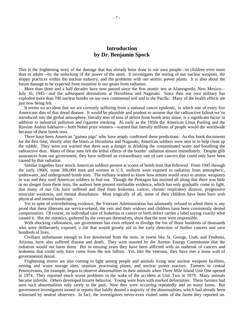### **Introduction by Dr. Benjamin Spock**

This is the frightening story of the damage that has already been done to our own people—to children even more than to adults—by the unlocking of the power of the atom. It investigates the testing of our nuclear weapons, the sloppy practices within the nuclear industry, and the problems with our atomic power plants. It is also about the future damage to be expected from mutation in our genes from radiation.

More than three and a half decades have now passed since the first atomic test at Alamogordo, New Mexico— July 16, 1945—and the subsequent detonations at Hiroshima and Nagasaki. Since then our own military has exploded more than 700 nuclear bombs on our own continental soil and in the Pacific. Many of the health effects are just now being felt.

It seems no accident that we are currently suffering from a national cancer epidemic, in which one of every five Americans dies of that dread disease. It would be plausible and prudent to assume that the radioactive fallout we've introduced into the global atmosphere, literally tens of tons of debris from bomb tests alone, is a significant factor in addition to industrial pollution and cigarette smoking. As early as the 1950s the American Linus Pauling and the Russian Andrei Sakharov—both Nobel prize winners—warned that literally millions of people would die worldwide because of these bomb tests.

There have been American "guinea pigs" who have amply confirmed these predictions. As this book documents for the first time, shortly after the blasts at Hiroshima and Nagasaki, American soldiers were sent in to help clean up the rubble. They were not warned that there was a danger in drinking the contaminated water and breathing the radioactive dust. Many of these men felt the lethal effects of the bombs' radiation almost immediately. Despite glib assurances from our government, they have suffered an extraordinary rate of rare cancers that could only have been caused by that radiation.

Similar tragedies have struck American soldiers present at scores of bomb tests that followed. From 1945 through the early 1960s, some 300,000 men and women in U.S. uniform were exposed to radiation from atmospheric, underwater, and underground bomb tests. The military wanted to know how armies would react to atomic weaponry in war and they used American soldiers to find out. Though the Pentagon has insisted all along that there was little or no danger from these tests, the authors here present irrefutable evidence, which has only gradually come to light, that many of our GIs have suffered and died from leukemia, cancer, chronic respiratory distress, progressive muscular weakness, and mental disturbance. Most tragically of all, some of their children have been born with physical and mental handicaps.

Yet in spite of overwhelming evidence, the Veterans Administration has adamantly refused to admit there is any proof that these illnesses are service-related, the vets and their widows and children have been consistently denied compensation. Of course, no individual case of leukemia or cancer or birth defect carries a label saying exactly what caused it. But the statistics, gathered by the veterans themselves, show that the tests were responsible.

With shocking callousness, our government has even refused to divulge the list of those hundreds of thousands who were deliberately exposed, a list that would greatly aid in the early detection of further cancers and save hundreds of lives.

Civilians unfortunate enough to live downwind from the tests, in towns like St. George, Utah, and Fredonia, Arizona, have also suffered disease and death. They were assured by the Atomic Energy Commission that the radiation would not harm them. But in ensuing years they have been afflicted with an outbreak of cancers and leukemia that could only have come from the test fallout. Yet, like the veterans, they have met a stone wall of governmental denial.

Frightening stories are also coming to light among people and animals living near nuclear weapons facilities, mining and waste storage sites, uranium processing plants, and nuclear power reactors. Farmers in central Pennsylvania, for example, began to observe abnormalities in their animals when Three Mile Island Unit One opened in 1974. They reported much worse problems in the wake of the accident at Unit Two in 1979. Many animals became infertile. Others developed bizarre behavior. Young were born with marked deformities. These farmers had seen such abnormalities only rarely in the past. Now they were occurring repeatedly and on many farms. But government investigators turned in reports that baldly denied a majority of the abnormalities, which had already been witnessed by neutral observers. In fact, the investigators never even visited some of the farms they reported on.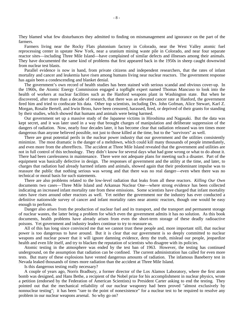They blamed what few disturbances they admitted to finding on mismanagement and ignorance on the part of the farmers.

Farmers living near the Rocky Flats plutonium factory in Colorado, near the West Valley atomic fuel reprocessing center in upstate New York, near a uranium mining waste pile in Colorado, and near four separate reactor sites—including Three Mile Island—have complained of similar defects and illnesses among their animals. They have documented the same kind of problems that first appeared back in the 1950s in sheep caught downwind from nuclear test blasts.

Parallel evidence is now in hand, from private citizens and independent researchers, that the rates of infant mortality and cancer and leukemia have risen among humans living near nuclear reactors. The government response has again been a condescending and blanket denial.

The government's own record of health studies has been stained with serious scandal and obvious cover-up. In the 1960s, the Atomic Energy Commission engaged a topflight expert named Thomas Mancuso to look into the health of workers at nuclear facilities such as the Hanford weapons plant in Washington state. But when he discovered, after more than a decade of research, that there was an elevated cancer rate at Hanford, the government fired him and tried to confiscate his data. Other top scientists, including Drs. John Gofman, Alice Stewart, Karl Z. Morgan, Rosalie Bertell, and Irwin Bross, have been censored, harassed, fired, or deprived of their grants for standing by their studies, which showed that humans and animals were being harmed.

Our government set up a massive study of the Japanese victims in Hiroshima and Nagasaki. But the data was kept secret, and it was later used in a way that brought charges of manipulation and deliberate suppression of the dangers of radiation. Now, nearly four decades later, it has become clear that radiation released was ten times more dangerous than anyone believed possible, not just to those killed at the time, but to the "survivors" as well.

There are great potential perils in the nuclear power industry that our government and the utilities consistently minimize. The most dramatic is the danger of a meltdown, which could kill many thousands of people immediately, and even more from the aftereffects. The accident at Three Mile Island revealed that the government and utilities are not in full control of this technology. They didn't know for several days what had gone wrong or what to do about it. There had been carelessness in maintenance. There were not adequate plans for meeting such a disaster. Part of the equipment was basically defective in design. The responses of government and the utility at the time, and later, to charges that radiation had already harmed infants and animals, showed again that their predominant impulse was to reassure the public that nothing serious was wrong and that there was no real danger—even when there was no technical or moral basis for such statements.

There are also problems related to the low-level radiation that leaks from all these reactors. *Killing Our Own* documents two cases—Three Mile Island and Arkansas Nuclear One—where strong evidence has been collected indicating an increased infant mortality rate from these emissions. Some scientists have charged that infant mortality rates have risen around other reactors as well. Yet neither the government nor the industry has ever conducted a definitive nationwide survey of cancer and infant mortality rates near atomic reactors, though one would be easy enough to perform.

Danger also arises from the production of nuclear fuel and its transport, and the transport and permanent storage of nuclear wastes, the latter being a problem for which even the government admits it has no solution. As this book documents, health problems have already arisen from even the short-term storage of these deadly radioactive poisons. Yet government and industry leaders continue to try to reassure us.

All of this has long since convinced me that we cannot trust these people and, more important still, that nuclear power is too dangerous to have around. But it is clear that our government is so deeply committed to nuclear weapons and nuclear power that it will ignore damning evidence, deny the truth, mislead our people, jeopardize health and even life itself, and try to blacken the reputation of scientists who disagree with its policies.

Atomic testing in the atmosphere was ended by the test ban of 1963. However, the testing has continued underground, on the assumption that radiation can be confined. The current administration has called for even more tests. But many of these explosions have vented dangerous amounts of radiation. The infamous Baneberry test in Nevada leaked thousands of times more radiation than the accident at Three Mile Island.

Is this dangerous testing really necessary?

A couple of years ago, Norris Bradbury, a former director of the Los Alamos Laboratory, where the first atom bomb was designed, and Hans Bethe, a recipient of the Nobel prize for his accomplishment in nuclear physics, wrote a petition (endorsed by the Federation of American Scientists) to President Carter asking to end the testing. They pointed out that the mechanical reliability of our nuclear weaponry had been proved "almost exclusively by nonnuclear testing"; it has been "rare to the point of nonexistence" for a nuclear test to be required to resolve any problem in our nuclear weapons arsenal. So why go on?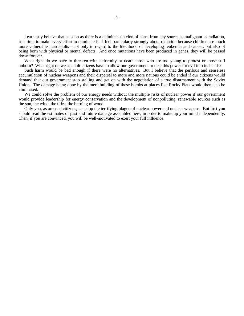I earnestly believe that as soon as there is a definite suspicion of harm from any source as malignant as radiation, it is time to make every effort to eliminate it. I feel particularly strongly about radiation because children are much more vulnerable than adults—not only in regard to the likelihood of developing leukemia and cancer, but also of being born with physical or mental defects. And once mutations have been produced in genes, they will be passed down forever.

What right do we have to threaten with deformity or death those who are too young to protest or those still unborn? What right do we as adult citizens have to allow our government to take this power for evil into its hands?

Such harm would be bad enough if there were no alternatives. But I believe that the perilous and senseless accumulation of nuclear weapons and their dispersal to more and more nations could be ended if our citizens would demand that our government stop stalling and get on with the negotiation of a true disarmament with the Soviet Union. The damage being done by the mere building of these bombs at places like Rocky Flats would then also be eliminated.

We could solve the problem of our energy needs without the multiple risks of nuclear power if our government would provide leadership for energy conservation and the development of nonpolluting, renewable sources such as the sun, the wind, the tides, the burning of wood.

Only you, as aroused citizens, can stop the terrifying plague of nuclear power and nuclear weapons. But first you should read the estimates of past and future damage assembled here, in order to make up your mind independently. Then, if you are convinced, you will be well-motivated to exert your full influence.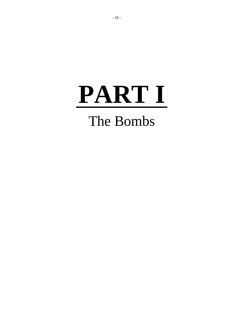# \_\_\_\_\_\_\_ **PART I**

### The Bombs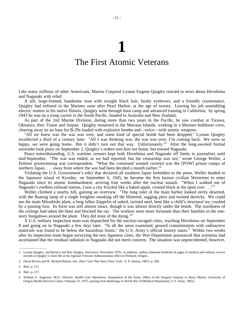### **1**

### The First Atomic Veterans

Like many millions of other Americans, Marine Corporal Lyman Eugene Quigley reacted to news about Hiroshima and Nagasaki with relief.

A tall, large-framed, handsome man with straight black hair, bushy eyebrows, and a friendly countenance, Quigley had enlisted in the Marines soon after Pearl Harbor, at the age of twenty. Leaving his job assembling electric motors in his native Illinois, Quigley went through boot camp and advanced training in California; by spring 1943 he was on a troop carrier in the South Pacific, headed to Australia and New Zealand.

As part of the 2nd Marine Division, during more than two years in the Pacific, he saw combat at Tarawa, Okinawa, then Tinian and Saipan. Quigley remained in the Mariana Islands, working in a Marines bulldozer crew, clearing away an air base for B-29s loaded with explosive bombs and—twice—with atomic weapons.

"All we knew was the war was over, and some kind of special bomb had been dropped," Lyman Quigley recollected a third of a century later. "All I was thinking was, the war was over, I'm coming back. We were so happy, we were going home. But it didn't turn out that way. Unfortunately."<sup>1</sup> After the long-awaited formal surrender took place on September 2, Quigley's orders sent him not home, but toward Nagasaki.

Peace notwithstanding, U.S. wartime censors kept both Hiroshima and Nagasaki off limits to journalists until mid-September. "The war was ended, as we had reported, but the censorship was not," wrote George Weller, a Pulitzer prizewinning war correspondent. "What the command wanted covered was the [POW] prison camps of northern Japan. . . . away from where the war had been decided a month earlier."<sup>2</sup>

Violating the U.S. Government's edict that declared all southern Japan forbidden to the press, Weller headed to the Japanese island of Kyushu; on September 6, 1945, he became the first known civilian Westerner to enter Nagasaki since its atomic bombardment, arriving four weeks after the nuclear assault. "When I walked out of Nagasaki's roofless railroad station, I saw a city frizzled like a baked apple, crusted black at the open core ..."<sup>3</sup>

Weller climbed a nearby hill, gaining an overview. "The long inlet of the main harbor looked eerily deserted, with the floating lamp of a single freighter smoking off the blistered, sagging piers and twisted derricks. We could see the main Mitsubishi plant, a long fallen Zeppelin of naked, twisted steel, bent like a child's structural toy crushed by a passing foot. Its form was still almost intact, though it was almost directly under the bomb. The sturdiness of the ceilings had taken the blast and blocked the ray. The workers were more fortunate than their families in the onestory bungalows around the plant. They did most of the dying."<sup>4</sup>

A U.S. military inspection team was dispatched for the nuclear-ravaged cities, reaching Hiroshima on September 8 and going on to Nagasaki a few days later. "In all the areas examined, ground contamination with radioactive materials was found to be below the hazardous limits," the U.S. Army's official history states.<sup>5</sup> Within two weeks after its inspection team began surveying the two Japanese cities, the War Department announced that scientists had ascertained that the residual radiation in Nagasaki did not merit concern. The situation was unprecedented, however,

hhhhhhhhhhhhhhhhhh

<sup>1.</sup> Lyman Quigley, and Bernice and Ron Quigley, interviews, November 1978; in addition, authors obtained hundreds of pages of medical and military service records in Quigley's claim file at the regional Veterans Administration office in Portland, Oregon.

<sup>2.</sup> David Brown and W. Richard Bruner, eds., *How I Got That Story* (New York: E. P. Dutton, 1967), p. 209.

<sup>3.</sup> Ibid., p. 211.

<sup>4.</sup> Ibid., p. 217.

<sup>5.</sup> William S. Augerson, M.D., Director, Health Care Operations, Department of the Army, Office of the Surgeon General, to Harry Shaich, University of Oregon Health Services Center, February 25, 1975, quoting from *Radiology in World War II* (Medical Department, U.S. Army, 1965).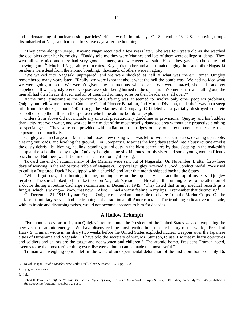and understanding of nuclear-fission particles' effects was in its infancy. On September 23, U.S. occupying troops disembarked at Nagasaki harbor—forty-five days after the bombing.

"They came along in Jeeps," Kayano Nagai recounted a few years later. She was four years old as she watched the occupiers enter her home city. "Daddy told me they were Marines and lots of them were college students. They were all very nice and they had very good manners, and whenever we said 'Haro' they gave us chocolate and chewing gum."<sup>6</sup> Much of Nagasaki was in ruins. Kayano's mother and an estimated eighty thousand other Nagasaki residents were dead from the atomic bombing; thousands of others were in agony.

"We walked into Nagasaki unprepared, and we were shocked as hell at what was there," Lyman Quigley remembered many years later. "Really, we were ignorant about what the hell the bomb was. We had no idea what we were going to see. We weren't given any instructions whatsoever. We were amazed, shocked—and yet stupefied." It was a grisly scene. Corpses were still being burned in the open air. "Women's hair was falling out, the men all had their heads shaved, and all of them had running sores on their heads, ears, all over."<sup>7</sup>

At the time, gruesome as the panorama of suffering was, it seemed to involve only other people's problems. Quigley and fellow members of Company C, 2nd Pioneer Battalion, 2nd Marine Division, made their way up a steep hill from the docks; about 150 strong, the Marines of Company C billeted at a partially destroyed concrete schoolhouse up the hill from the spot over which the atomic bomb had exploded.

Orders from above did not include any unusual precautionary guidelines or provisions. Quigley and his buddies drank city reservoir water, and worked in the midst of the most heavily damaged area without any protective clothing or special gear. They were not provided with radiation-dose badges or any other equipment to measure their exposure to radioactivity.

Quigley was in charge of a Marine bulldozer crew razing what was left of wrecked structures, cleaning up rubble, clearing out roads, and leveling the ground. For Company C Marines the long days settled into a busy routine amidst the dusty debris—bulldozing, hauling, standing guard duty in the blast center area by day, sleeping in the makeshift camp at the schoolhouse by night. Quigley bought some silk kimonos for his sister and some young women friends back home. But there was little time or incentive for sight-seeing.

Toward the end of autumn many of the Marines were sent out of Nagasaki. On November 4, after forty-three days of working in the radioactive rubble of Nagasaki, Corporal Quigley received a Good Conduct medal ("We used to call it a Ruptured Duck," he quipped with a chuckle) and later that month shipped back to the States.

"When I got back, I had burning, itching, running sores on the top of my head and the top of my ears," Quigley recalled. The sores looked to him like those on Nagasaki's residents. He called the running sores to the attention of a doctor during a routine discharge examination in December 1945. "They listed that in my medical records as a fungus, which is wrong—I know that now." Also: "I had a warm feeling in my lips. I remember that distinctly."<sup>8</sup>

On December 21, 1945, Lyman Eugene Quigley received an honorable discharge from the Marine Corps. On the surface his military service had the trappings of a traditional all-American tale. The troubling radioactive underside, with its ironic and disturbing twists, would not become apparent to him for decades.

### **A Hollow Triumph**

Five months previous to Lyman Quigley's return home, the President of the United States was contemplating the new vistas of atomic energy. "We have discovered the most terrible bomb in the history of the world," President Harry S. Truman wrote in his diary two weeks before the United States exploded nuclear weapons over the Japanese cities of Hiroshima and Nagasaki. "I have told the secretary of war, Mr. Stimson, to use it so that military objectives and soldiers and sailors are the target and not women and children." The atomic bomb, President Truman noted, "seems to be the most terrible thing ever discovered, but it can be made the most useful."<sup>9</sup>

Truman was weighing options left in the wake of an experimental detonation of the first atom bomb on July 16,

hhhhhhhhhhhhhhhhhh

<sup>6.</sup> Takashi Nagai, *We of Nagasaki* (New York: Duell, Sloan & Pearce, 1951), pp. 19-20.

<sup>7.</sup> Quigley interviews.

<sup>8.</sup> Ibid.

<sup>9.</sup> Robert H. Ferrell, ed., *Off the Record: The Private Papers of Harry S. Truman* (New York: Harper & Row, 1980); diary entry July 25, 1945, published in *The Oregonian* (Portland), October 12, 1980.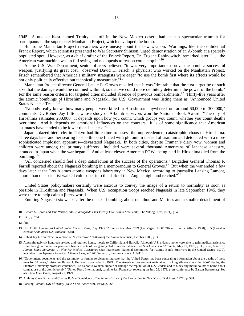1945. A nuclear blast named Trinity, set off in the New Mexico desert, had been a spectacular triumph for participants in the supersecret Manhattan Project, which developed the bomb.

But some Manhattan Project researchers were uneasy about the new weapon. Warnings, like the confidential Franck Report, which scientists presented to War Secretary Stimson, urged demonstration of an A-bomb at a sparsely populated spot. However, as a chief drafter of the Franck Report, Dr. Eugene Rabinowitch, remarked later, ". . . the American war machine was in full swing and no appeals to reason could stop it."<sup>10</sup>

At the U.S. War Department, senior officers believed "it was very important to prove the bomb a successful weapon, justifying its great cost," observed David H. Frisch, a physicist who worked on the Manhattan Project. Frisch remembered that America's military strategists were eager "to use the bomb first where its effects would be not only politically effective but technically measurable."<sup>11</sup>

Manhattan Project director General Leslie R. Groves recalled that it was "desirable that the first target be of such size that the damage would be confined within it, so that we could more definitely determine the power of the bomb." For the same reason criteria for targeted cities included absence of previous bombardments.<sup>12</sup> Thirty-five years after the atomic bombings of Hiroshima and Nagasaki, the U.S. Government was listing them as "Announced United States Nuclear Tests."<sup>13</sup>

"Nobody really knows how many people were killed in Hiroshima: anywhere from around 60,000 to 300,000," comments Dr. Robert Jay Lifton, whose study of A-bomb survivors won the National Book Award. "The city of Hiroshima estimates 200,000. It depends upon how you count, which groups you count, whether you count deaths over time. And it depends on emotional influences on the counters. It is of some significance that American estimates have tended to be lower than Japanese."<sup>14</sup>

Japan's dazed hierarchy in Tokyo had little time to assess the unprecedented, catastrophic chaos of Hiroshima. Three days later another searing flash—this one fueled with plutonium instead of uranium and detonated with a more sophisticated implosion apparatus—devastated Nagasaki. In both cities, despite Truman's diary vow, women and children were among the primary sufferers. Included were several thousand Americans of Japanese ancestry, stranded in Japan when the war began.<sup>15</sup> And at least eleven American POWs being held in Hiroshima died from the bombing. $16$ 

"All concerned should feel a deep satisfaction at the success of the operations," Brigadier General Thomas F. Farrell reported about the Nagasaki bombing in a memorandum to General Groves.<sup>17</sup> But when the war ended a few days later at the Los Alamos atomic weapons laboratory in New Mexico, according to journalist Lansing Lamont, "more than one scientist walked cold sober into the dark of that August night and retched."<sup>18</sup>

United States policymakers certainly were anxious to convey the image of a return to normality as soon as possible in Hiroshima and Nagasaki. When U.S. occupation troops reached Nagasaki in late September 1945, they were there to help calm a jittery world.

Entering Nagasaki six weeks after the nuclear bombing, about one thousand Marines and a smaller detachment of

<sup>10.</sup> Richard S. Lewis and Jane Wilson, eds., *Alamogordo Plus Twenty-Five Years* (New York: The Viking Press, 1971), p. 4.

<sup>11.</sup> Ibid., p. 254.

<sup>12.</sup> Ibid.

<sup>13.</sup> U.S. DOE, *Announced United States Nuclear Tests, July 1945 Through December 1979* (Las Vegas: DOE Office of Public Affairs, 1980), p. 5 (hereafter cited as *Announced U.S. Nuclear Tests*).

<sup>14.</sup> Robert Jay Lifton, "The Prevention of Nuclear War," *Bulletin of the Atomic Scientists,* October 1980, p. 38.

<sup>15.</sup> Approximately six hundred survived and returned home, mostly to California and Hawaii. Although U.S. citizens, none were able to gain medical assistance from their government for persistent health effects of being subjected to nuclear attack. See *San Francisco Chronicle,* May 12, 1979, p. 30; also, *American Atomic Bomb Survivors. A Plea for Medical Assistance* (San Francisco: National Committee for Atomic Bomb Survivors in the United States, 1979), available from Japanese American Citizens League, 1765 Sutter St., San Francisco, CA 94115.

<sup>16. &</sup>quot;Government documents and the testimony of former servicemen indicate that the United States has been concealing information about the deaths of these men for 34 years," historian Barton J. Bernstein concluded in 1979. The American government maintained its long silence about the POW deaths, the Stanford University professor contended, "so as not to weaken, impair or damage the reputation of U.S. leaders and to block any moral doubts at home about combat use of the atomic bomb." (United Press International, dateline San Francisco, reporting on July 23, 1979, press conference by Barton Bernstein.) See also *New York Times,* August 21, 1979.

<sup>17.</sup> Anthony Cave Brown and Charles B. MacDonald, eds., *The Secret History of the Atomic Bomb* (New York: Dial Press, 1977), p. 534.

<sup>18.</sup> Lansing Lamont, *Day of Trinity* (New York: Atheneum, 1965), p. 268.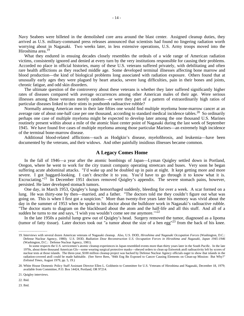Navy Seabees were billeted in the demolished core area around the blast center. Assigned cleanup duties, they arrived as U.S. military-command press releases announced that scientists had found no lingering radiation worth worrying about in Nagasaki. Two weeks later, in less extensive operations, U.S. Army troops moved into the Hiroshima area.<sup>19</sup>

What they endured in ensuing decades closely resembles the ordeals of a wide range of American radiation victims, consistently ignored and denied at every turn by the very institutions responsible for causing their problems. Accorded no place in official histories, many of these U.S. veterans suffered privately, with debilitating and often rare health afflictions as they reached middle age. Some developed terminal illnesses affecting bone marrow and blood production—the kind of biological problems long associated with radiation exposure. Others found that at unusually early ages they were plagued by heart attacks, severe lung difficulties, pain in their bones and joints, chronic fatigue, and odd skin disorders.

The ultimate question of the controversy about these veterans is whether they later suffered significantly higher rates of diseases compared with average occurrences among other American males of their age. Were serious illnesses among those veterans merely random—or were they part of a pattern of extraordinarily high ratios of particular diseases linked to their stints in postbomb radioactive rubble?

Normally among American men in their late fifties one would find multiple myeloma bone-marrow cancer at an average rate of about one-half case per one thousand, according to standard medical incidence tables.<sup>20</sup> So ordinarily perhaps one case of multiple myeloma might be expected to develop later among the one thousand U.S. Marines routinely present within about a mile of the atomic blast center point of Nagasaki during the last week of September 1945. We have found five cases of multiple myeloma among those particular Marines—an extremely high incidence of the terminal bone-marrow disease.

Additional blood-related afflictions—such as Hodgkin's disease, myelofibrosis, and leukemia—have been documented by the veterans, and their widows. And other painfully insidious illnesses became common.

#### **A Legacy Comes Home**

In the fall of 1946—a year after the atomic bombings of Japan—Lyman Quigley settled down in Portland, Oregon, where he went to work for the city transit company operating streetcars and buses. Very soon he began suffering acute abdominal attacks. "I'd wake up and be doubled up in pain at night. It kept getting more and more severe. I got haggard-looking. I can't describe it to you. You'd have to go through it to know what it is. Excruciating."<sup>21</sup> In December 1951 doctors removed Quigley's appendix. The severe stomach pains, however, persisted. He later developed stomach tumors.

One day, in March 1953, Quigley's lungs hemorrhaged suddenly, bleeding for over a week. A scar formed on a lung. He was thirty-one by then—married, and a father. "The doctors told me they couldn't figure out what was going on. This is when I first got a suspicion." More than twenty-five years later his memory was vivid about the day in the summer of 1953 when he spoke to his doctor about the bulldozer work in Nagasaki's radioactive rubble. "The doctor starts to diagram on the blackboard about the atom and the half-life and all this stuff. And all of a sudden he turns to me and says, 'I wish you wouldn't come see me anymore.' $"^{22}$ 

In the late 1950s a painful lump grew out of Quigley's head. Surgery removed the tumor, diagnosed as a lipoma (tumor of fatty tissue). Later doctors took out "a tumor about the size of a hen egg"23 from the back of his knee.

hhhhhhhhhhhhhhhhhh

22. Ibid.

23. Ibid.

<sup>19.</sup> Interviews with several dozen American veterans of Nagasaki cleanup. Also, U.S. DOD, *Hiroshima and Nagasaki Occupation Forces* (Washington, D.C.: Defense Nuclear Agency, 1980); U.S. DOD, *Radiation Dose Reconstruction U.S. Occupation Forces in Hiroshima and Nagasaki, Japan 1945-1946* (Washington, D.C.: Defense Nuclear Agency, 1981).

In some respects the U.S. servicemen's atomic cleanup experiences in Japan resembled events more than thirty years later in the South Pacific. In the late 1970s, about three thousand American GIs—some wearing surgical protective masks—obeyed orders to clean up Eniwetok atoll radioactivity left by scores of nuclear tests at those islands. The three-year, \$100 million cleanup project was backed by Defense Nuclear Agency officials eager to show that islands in the radiation-covered atoll could be made habitable. (See Steve Rees, "84th Eng Bn Exposed to Cancer Causing Elements on Clean-up Mission: But Why?" *Enlisted Times,* August 1979, pp. 5, 19.)

<sup>20.</sup> White House Domestic Policy Staff Assistant Director Ellen L. Goldstein to Committee for U.S. Veterans of Hiroshima and Nagasaki, December 18, 1979; available from Committee, P.O. Box 14424, Portland, OR 97214.

<sup>21.</sup> Quigley interviews.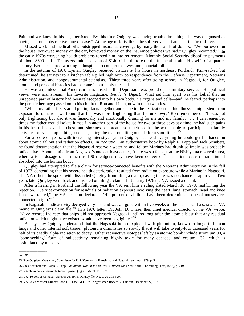Pain and weakness in his legs persisted. By this time Quigley was having trouble breathing; he was diagnosed as having "chronic obstructive lung disease." At the age of forty-three, he suffered a heart attack—the first of five.

Missed work and medical bills outstripped insurance coverage by many thousands of dollars. "We borrowed on the house, borrowed money on the car, borrowed money on the insurance policies we had," Quigley recounted. $^{24}$  In the early 1970s worsening health problems forced him into retirement. Monthly Social Security disability payments of about \$300 and a Teamsters union pension of \$140 did little to ease the financial strain. His wife of a quarter century, Bernice, started working in hospitals to counter the awesome financial toll.

In the autumn of 1978 Lyman Quigley received visitors at his house in northeast Portland. Pain-racked but determined, he sat next to a kitchen table piled high with correspondence from the Defense Department, Veterans Administration, and nongovernmental scientists. Thirty-three years after going ashore in Nagasaki, for Quigley, atomic and personal histories had become inextricably meshed.

He was a quintessential American man, raised in the Depression era, proud of his military service. His political views were mainstream; his favorite magazine, *Reader's Digest*. What set him apart was his belief that an unreported part of history had been telescoped into his own body, his organs and cells—and, he feared, perhaps into the genetic heritage passed on to his children, Ron and Linda, now in their twenties.

"When my father first started putting facts together and came to the realization that his illnesses might stem from exposure to radiation, we found that this was more frightening than the unknown," Ron remembered. "It was not only frightening but also it was financially and emotionally draining for me and my family. . . . I can remember times my father would isolate himself in another part of the house for two or three days at a time, he had such pains in his heart, his legs, his chest, and shortness of breath, so much so that he was unable to participate in family activities or even simple things such as getting the mail or sitting outside for a short time."<sup>25</sup>

For a score of years, with increasing intensity, Lyman Quigley had read everything he could get his hands on about atomic fallout and radiation effects. In *Radiation,* an authoritative book by Ralph E. Lapp and Jack Schubert, he found documentation that the Nagasaki reservoir water he and fellow Marines had drunk so freely was probably radioactive. About a mile from Nagasaki's nuclear blast center, "there was a fall-out at the Nishiyama reservoir area, where a total dosage of as much as 100 roentgens may have been delivered"<sup>26</sup>—a serious dose of radiation if absorbed into the human body.

Quigley had attempted to file a claim for service-connected benefits with the Veterans Administration in the fall of 1973, contending that his severe health deterioration resulted from radiation exposure while a Marine in Nagasaki. The VA official he spoke with dissuaded Quigley from filing a claim, saying there was no chance of approval. Two years later Quigley went back and insisted on filing a claim. In January 1976 the VA issued a denial.

After a hearing in Portland the following year the VA sent him a ruling dated March 10, 1978, reaffirming the rejection. "Service-connection for residuals of radiation exposure involving the heart, lung, stomach, head and knee is not warranted," the VA decision declared. "His present disabilities have been determined to be of nonserviceconnected origin."<sup>27</sup>

In Nagasaki "radioactivity decayed very fast and was all gone within five weeks of the blast," said a scrawled VA memo in Quigley's claim file.<sup>28</sup> In a 1976 letter, Dr. John D. Chase, then chief medical director of the VA, wrote: "Navy records indicate that ships did not approach Nagasaki until so long after the atomic blast that any residual radiation which might have existed would have been negligible."<sup>29</sup>

But by now Quigley understood that the Nagasaki bomb exploded with plutonium, known to lodge in human lungs and other internal soft tissue; plutonium diminishes so slowly that it will take twenty-four thousand years for half of its deadly alpha radiation to decay. Other radioactive isotopes left by an atomic bomb include strontium 90, a "bone-seeking" form of radioactivity remaining highly toxic for many decades, and cesium 137—which is assimilated by muscles.

<sup>24.</sup> Ibid.

<sup>25.</sup> Ron Quigley, *Newsletter,* Committee for U.S. Veterans of Hiroshima and Nagasaki, summer 1979, p. 5.

<sup>26.</sup> Jack Schubert and Ralph E. Lapp, *Radiation: What It Is and How It Affects You* (New York: The Viking Press, 1957), p. 219.

<sup>27.</sup> VA claim determination letter to Lyman Quigley, March 10, 1978.

<sup>28.</sup> VA "Report of Contact," October 26, 1978, Quigley file, No. C-20-303-320.

<sup>29.</sup> VA Chief Medical Director John D. Chase, M.D., to Congressman Robert B. Duncan, December 27, 1976.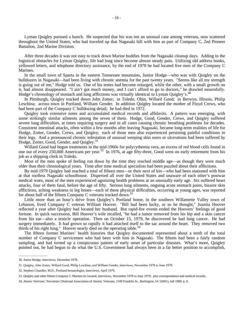Lyman Quigley pursued a hunch. He suspected that his was not an unusual case among veterans, now scattered throughout the United States, who had traveled up that Nagasaki hill with him as part of Company C, 2nd Pioneer Battalion, 2nd Marine Division.

After three decades it was not easy to track down Marine buddies from the Nagasaki cleanup days. Adding to the logistical obstacles for Lyman Quigley, life had long since become almost steady pain. Utilizing old address books, yellowed letters, and telephone directory assistance, by the end of 1978 he had located five men of the Company C Marines.

In the small town of Sparta in the eastern Tennessee mountains, Junior Hodge—who was with Quigley on the bulldozers in Nagasaki—had been living with chronic anemia for the past twenty years. "Seems like all my strength is going out of me," Hodge told us. One of his testes had become enlarged, while the other, with a small growth on it, had almost disappeared. "I ain't got much money, and I can't afford to go to doctors," he drawled mournfully. Hodge's chronology of stomach and lung afflictions was virtually identical to Lyman Quigley's.<sup>30</sup>

In Pittsburgh, Quigley tracked down John Zotter; in Toledo, Ohio, Willard Good; in Berwyn, Illinois, Philip Leschina; across town in Portland, William Gender. In addition Quigley located the mother of Floyd Crews, who had been part of the Company C bulldozing detail; he had died in 1972.

Quigley took extensive notes and accumulated medical records and affidavits. A pattern was emerging, with some strikingly similar ailments among the seven of them. Hodge, Good, Gender, Crews, and Quigley suffered severe lung difficulties, at times requiring surgery and in all cases causing chronic breathing problems for decades. Consistent intestinal attacks, often within a few months after leaving Nagasaki, became long-term realities of life for Hodge, Zotter, Gender, Crews, and Quigley; each of those men also experienced persisting painful conditions in their legs. And a pronounced chronic infestation of unusual weeping skin sores or ulcerations had been suffered by Hodge, Zotter, Good, Gender, and Quigley.<sup>31</sup>

Willard Good had begun treatments in the mid-1960s for polycythemia vera, an excess of red blood cells found in one out of every 250,000 Americans per year.32 In 1976, at age fifty-three, Good went on early retirement from his job as a shipping clerk in Toledo.

Most of the men spoke of feeling run down by the time they reached middle age—as though they were much older than their chronological years. Time after time medical specialists had been puzzled about their afflictions.

By mid-1979 Quigley had reached a total of fifteen men—or their next of kin—who had been stationed with him at that roofless Nagasaki schoolhouse. Dispersed all over the United States and unaware of each other's postwar medical woes, most of the men experienced agonizing health problems at an unusually early age. Six suffered heart attacks, four of them fatal, before the age of fifty. Serious lung ailments, ongoing acute stomach pains, bizarre skin afflictions, aching weakness in leg bones—each of these physical difficulties, occurring at young ages, was reported for about half of the fifteen Company C veterans tracked down.<sup>33</sup>

Little more than an hour's drive from Quigley's Portland home, in the southern Willamette Valley town of Lebanon, lived Company C veteran William Hoover. "Bill had been lucky, or so he thought," Juanita Hoover reflected a year after Quigley had located her husband. But rapid-fire events ended the Hoovers' feelings of good fortune. In quick succession, Bill Hoover's wife recalled, "he had a tumor removed from his hip and a skin cancer from his ear—also a testicle operation. Then on October 15, 1979, he discovered he had lung cancer. He had surgery immediately. It had grown so rapidly it had attached itself to the sac around the heart. They removed two thirds of his right lung." Hoover nearly died on the operating table.<sup>34</sup>

The fifteen former Marines' health histories that Quigley documented represented about a tenth of the total number of Company C servicemen who had been with him in Nagasaki. The fifteen had been a fairly random sampling, and had turned up a conspicuous pattern of early onset of particular diseases. What's more, Quigley pointed out, he had begun to do what the U.S. Government had always been in a far better position to accomplish,

<sup>30.</sup> Junior Hodge, interviews, December 1978.

<sup>31.</sup> Quigley, John Zotter, Willard Good, Philip Leschina, and William Gender, interviews, November 1978 to June 1979.

<sup>32.</sup> Stephen Chandler, M.D., Portland hematologist, interviews, April 1979.

<sup>33.</sup> Quigley and other fifteen Company C Marines he located, interviews, November 1978 to June 1979; plus correspondence and medical records.

<sup>34.</sup> *Atomic Veterans' Newsletter* (National Association of Atomic Veterans, 1109 Franklin St., Burlington, IA 52601), fall 1980, p. 6.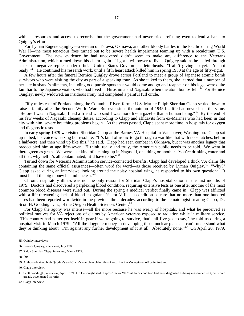with its resources and access to records; but the government had never tried, refusing even to lend a hand to Quigley's efforts.

For Lyman Eugene Quigley—a veteran of Tarawa, Okinawa, and other bloody battles in the Pacific during World War II—the most tenacious foes turned out to be severe health impairment teaming up with a recalcitrant U.S. Government. The new evidence he had uncovered didn't seem to make any difference to the Veterans Administration, which turned down his claim again. "I got a willpower to live," Quigley said as he leafed through stacks of negative replies under official United States Government letterheads. "I ain't giving up yet. I'm not ready."<sup>35</sup> He continued his research work, until a fifth heart attack killed him in spring 1980 at the age of fifty-eight.

A few hours after the funeral Bernice Quigley drove across Portland to meet a group of Japanese atomic bomb survivors who were visiting the city as part of a speaking tour. As she talked to them, she learned that a number of her late husband's ailments, including odd purple spots that would come and go and reappear on his legs, were quite familiar to the Japanese visitors who had lived in Hiroshima and Nagasaki when the atom bombs fell.<sup>36</sup> For Bernice Quigley, newly widowed, an insidious irony had completed a painful full circle.

Fifty miles east of Portland along the Columbia River, former U.S. Marine Ralph Sheridan Clapp settled down to raise a family after the Second World War. But ever since the autumn of 1945 his life had never been the same. "Before I was in Nagasaki, I had a friend who said I was more like a gazelle than a human being."<sup>37</sup> By the end of his few weeks of Nagasaki cleanup duties, according to Clapp and affidavits from ex-Marines who had been in that city with him, severe breathing problems began. As the years passed, Clapp spent more time in hospitals for oxygen and diagnostic tests.

In early spring 1979 we visited Sheridan Clapp at the Barnes VA Hospital in Vancouver, Washington. Clapp sat up in bed, his voice wheezing but resolute. "It's kind of ironic to go through a war like that with no scratches, hell in a half-acre, and then wind up like this," he said. Clapp had seen combat in Okinawa, but it was another legacy that preoccupied him at age fifty-seven. "I think, really and truly, the American public needs to be told. We went in there green as grass. We were just kind of cleaning up in Nagasaki, one thing or another. You're drinking water and all that, why hell it's all contaminated; it'd have to be." $38$ 

Turned down for Veterans Administration service-connected benefits, Clapp had developed a thick VA claim file containing the same official assurances—often word for word—as those received by Lyman Quigley.<sup>39</sup> "Why?" Clapp asked during an interview; looking around the noisy hospital wing, he responded to his own question: "It must be all the big money behind nuclear.<sup>"40</sup>

Chronic respiratory illness was not the only reason for Sheridan Clapp's hospitalization in the first months of 1979. Doctors had discovered a perplexing blood condition, requiring extensive tests as one after another of the most common blood diseases were ruled out. During the spring a medical verdict finally came in: Clapp was afflicted with a life-threatening lack of blood coagulant "factor VIII"—a condition so rare that no more than one hundred cases had been reported worldwide in the previous three decades, according to the hematologist treating Clapp, Dr. Scott H. Goodnight, Jr., of the Oregon Health Sciences Center.<sup>41</sup>

For Clapp the agony was intense—all the more because he was weary of hospitals, and what he perceived as political motives for VA rejections of claims by American veterans exposed to radiation while in military service. "This country had better get itself in gear if we're going to survive, that's all I've got to say," he told us during a hospital visit in March 1979. "All the doggone money in developing those nuclear plants. I can't understand what they're thinking about. I'm against any further development of it at all. Absolutely none."<sup>42</sup> On April 20, 1979,

42. Clapp interview.

hh<del>ahaa ka badaa ka badaa ka badaa ka badaa ka badaa ka badaa ka badaa ka badaa ka badaa ka badaa ka badaa ka bada</del> 35. Quigley interviews.

<sup>36.</sup> Bernice Quigley, interviews, July 1980.

<sup>37.</sup> Ralph Sheridan Clapp, interview, March 1979.

<sup>38.</sup> Ibid.

<sup>39.</sup> Authors obtained both Quigley's and Clapp's complete claim files of record at the VA regional office in Portland.

<sup>40.</sup> Clapp interview.

<sup>41.</sup> Scott Goodnight, interview, April 1979. Dr. Goodnight said Clapp's "factor VIII" inhibitor condition had been diagnosed as being a noninherited type, which greatly accentuated its rarity.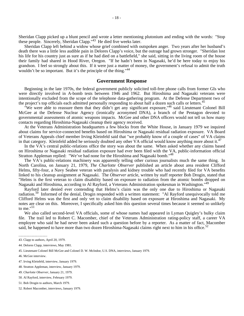Sheridan Clapp picked up a blunt pencil and wrote a letter mentioning plutonium and ending with the words: "Stop these people. Sincerely, Sheridan Clapp."<sup>43</sup> He died five weeks later.

Sheridan Clapp left behind a widow whose grief combined with outspoken anger. Two years after her husband's death there was a little less audible pain in Delores Clapp's voice, but the outrage had grown stronger. "Sheridan lost his life for his country just as sure as if he had died on a battlefield," she said, sitting in the living room of the house their family had shared in Hood River, Oregon. "If he hadn't been in Nagasaki, he'd be here today to enjoy his grandson. I feel so strongly about this. If it were just a matter of money, the government's refusal to admit the truth wouldn't be so important. But it's the principle of the thing." $44$ 

#### **Government Response**

Beginning in the late 1970s, the federal government publicly solicited toll-free phone calls from former GIs who were directly involved in A-bomb tests between 1946 and 1962. But Hiroshima and Nagasaki veterans were intentionally excluded from the scope of the telephone data-gathering program. At the Defense Department two of the project's top officials each admitted personally responding to about half a dozen such calls or letters.<sup>45</sup>

"We were able to reassure them that they didn't get any significant exposure,"<sup>46</sup> said Lieutenant Colonel Bill McGee at the Defense Nuclear Agency (ironically acronymed DNA), a branch of the Pentagon devoted to governmental assessments of atomic weapons impacts. McGee and other DNA officers would not tell us how many contacts regarding Hiroshima-Nagasaki cleanup their agency received.

At the Veterans Administration headquarters a few blocks from the White House, in January 1979 we inquired about claims for service-connected benefits based on Hiroshima or Nagasaki residual radiation exposure. VA Board of Veterans Appeals chief member Irving Kleinfeld said that "we probably know of a couple of cases" of VA claims in that category. Kleinfeld added he seriously doubted any other VA official would know anything more about it.<sup>47</sup>

In the VA's central public-relations office the story was about the same. When asked whether any claims based on Hiroshima or Nagasaki residual radiation exposure had ever been filed with the VA, public-information official Stratton Appleman replied: "We've had none for the Hiroshima and Nagasaki bomb."<sup>48</sup>

The VA's public-relations machinery was apparently telling other curious journalists much the same thing. In North Carolina, on January 21, 1979, *The Charlotte Observer* published an article about area resident Clifford Helms, fifty-four, a Navy Seabee veteran with paralysis and kidney trouble who had recently filed for VA benefits linked to his cleanup assignment at Nagasaki. The *Observer* article, written by staff reporter Bob Drogin, stated that "Helms is the first veteran to claim disability based on exposure to radiation from the atomic bombs dropped on Nagasaki and Hiroshima, according to Al Rayford, a Veterans Administration spokesman in Washington."<sup>49</sup>

Rayford later denied ever contending that Helms's claim was the only one due to Hiroshima or Nagasaki radiation.<sup>50</sup> Informed of the denial, Drogin responded with a written statement: "Al Rayford unequivocally told me Clifford Helms was the first and only vet to claim disability based on exposure at Hiroshima and Nagasaki. My notes are clear on this. Moreover, I specifically asked him this question several times because it seemed so unlikely to me." $51$ 

We also called second-level VA officials, some of whose names had appeared in Lyman Quigley's bulky claim file. The trail led to Robert C. Macomber, chief of the Veterans Administration rating-policy staff, a career VA employee who said he had never been asked such a question before by a reporter. As a matter of fact, Macomber said, he happened to have more than two dozen Hiroshima-Nagasaki claims right next to him in his office.<sup>52</sup>

hhhhhhhhhhhhhhhhhh

<sup>43.</sup> Clapp to authors, April 20, 1979.

<sup>44.</sup> Delores Clapp, interviews, May 1981.

<sup>45.</sup> Lieutenant Colonel Bill McGee and Colonel D. W. McIndoe, U.S. DNA, interviews, January 1979.

<sup>46.</sup> McGee interview.

<sup>47.</sup> Irving Kleinfeld, interview, January 1979.

<sup>48.</sup> Stratton Appleman, interview, January 1979.

<sup>49.</sup> *Charlotte Observer,* January 21, 1979.

<sup>50.</sup> Al Rayford, interview, February 1979.

<sup>51.</sup> Bob Drogin to authors, March 1979.

<sup>52.</sup> Robert Macomber, interviews, January 1979.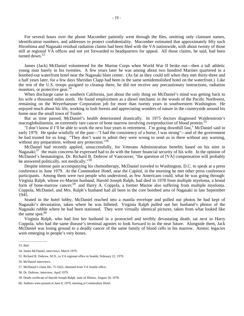For several hours over the phone Macomber patiently went through the files, omitting only claimant names, identification numbers, and addresses to protect confidentiality. Macomber estimated that approximately fifty such Hiroshima and Nagasaki residual radiation claims had been filed with the VA nationwide, with about twenty of those still at regional VA offices and not yet forwarded to headquarters for appeal. All those claims, he said, had been turned down. $53$ 

James (Jack) McDaniel volunteered for the Marine Corps when World War II broke out—then a tall athletic young man barely in his twenties. A few years later he was among about two hundred Marines quartered in a bombed-out waterfront hotel near the Nagasaki blast center. (As far as they could tell when they met thirty-three and a half years later, for a few days Sheridan Clapp had been in the same semidemolished hotel on the waterfront.) Like the rest of the U.S. troops assigned to cleanup there, he did not receive any precautionary instructions, radiation monitors, or protective gear.<sup>54</sup>

When discharge came in southern California, just about the only thing on McDaniel's mind was getting back to his wife a thousand miles north. He found employment as a diesel mechanic in the woods of the Pacific Northwest, remaining on the Weyerhaeuser Corporation job for more than twenty years in southwestern Washington. He enjoyed much about his life, working in lush forests and appreciating wonders of nature in the countryside around his home near the small town of Toutle.

But as time passed, McDaniel's health deteriorated drastically. In 1975 doctors diagnosed Waldenstrom's macroglobulinemia, an extremely rare cancer of bone marrow involving overproduction of blood protein.<sup>55</sup>

"I don't know if I'll be able to work the next four years to retirement. I'm going downhill fast," McDaniel said in early 1979. He spoke wistfully of the past—"I had the consistency of a horse, I was strong"—and of the government he had trusted for so long: "They don't want to admit they were wrong to send us in there without any warning, without any preparation, without any protection."<sup>56</sup>

McDaniel had recently applied, unsuccessfully, for Veterans Administration benefits based on his stint in Nagasaki;<sup>57</sup> the main concerns he expressed had to do with the future financial security of his wife. In the opinion of McDaniel's hematologist, Dr. Richard B. Dobrow of Vancouver, "the question of [VA] compensation will probably be answered politically, not medically."<sup>58</sup>

Despite intense pain accompanying his chemotherapy, McDaniel traveled to Washington, D.C. to speak at a press conference in June 1979. At the Commodore Hotel, near the Capitol, in the morning he met other press conference participants. Among them were two people who understood, as few Americans could, what he was going through: Virginia Ralph, whose ex-Marine husband, Harold Joseph Ralph, had died in 1978 from multiple myeloma, a brutal form of bone-marrow cancer;<sup>59</sup> and Harry A. Coppola, a former Marine also suffering from multiple myeloma. Coppola, McDaniel, and Mrs. Ralph's husband had all been in the core bombed area of Nagasaki in late September 1945.

Seated in the hotel lobby, McDaniel reached into a manila envelope and pulled out photos he had kept of Nagasaki's devastation, taken where he was billeted; Virginia Ralph pulled out her husband's photos of the Nagasaki rubble where he had been stationed. They were virtually identical pictures, taken from what looked like the same spot. $60$ 

Virginia Ralph, who had lost her husband in a protracted and terribly devastating death, sat next to Harry Coppola, who had the same disease's terminal agonies to look forward to in the near future. Alongside them, Jack McDaniel was losing ground to a deadly cancer of the same family of blood cells in his marrow. Atomic legacies were emerging in people's very bones.

<sup>53.</sup> Ibid.

<sup>54.</sup> James McDaniel, interviews, March 1979.

<sup>55.</sup> Richard B. Dobrow, M D., to VA regional office in Seattle, February 22, 1979.

<sup>56.</sup> McDaniel interviews.

<sup>57.</sup> McDaniel's claim file, 75-1022, obtained from VA Seattle office.

<sup>58.</sup> Dr. Dobrow, interview, April 1979.

<sup>59.</sup> Death certificate of Harold Joseph Ralph, state of Illinois, August 18, 1978.

<sup>60.</sup> Authors were present at June 8, 1979, meeting at Commodore Hotel.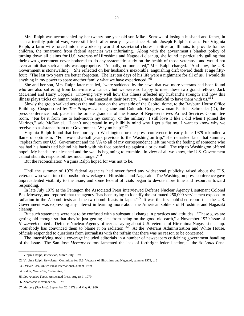Mrs. Ralph was accompanied by her twenty-one-year-old son Mike. Sorrows of losing a husband and father, in such a terribly painful way, were still fresh after nearly a year since Harold Joseph Ralph's death. For Virginia Ralph, a farm wife forced into the workaday world of secretarial chores in Streator, Illinois, to provide for her children, the runaround from federal agencies was infuriating. Along with the government's blanket policy of turning down all claims for U.S. veterans of Hiroshima and Nagasaki cleanup, she found it particularly galling that their own government never bothered to do any systematic study on the health of those veterans—and would not even admit that such a study was appropriate. "Actually, no one cared," Mrs. Ralph charged. "And now, the U.S. Government is stonewalling." She reflected on her husband's inexorable, anguishing drift toward death at age fiftyfour: "The last two years are better forgotten. The last ten days of his life were a nightmare for all of us. I would do anything in my power to spare another family what we have experienced."<sup>61</sup>

She and her son, Mrs. Ralph later recalled, "were saddened by the news that two more veterans had been found who are also suffering from bone-marrow cancer, but we were so happy to meet these two grand fellows, Jack McDaniel and Harry Coppola. Knowing very well how this illness affected my husband's strength and how this illness plays tricks on human beings, I was amazed at their bravery. I was so thankful to have them with us."<sup>62</sup>

Slowly the group walked across the mall area on the west side of the Capitol dome, to the Rayburn House Office Building. Cosponsored by *The Progressive* magazine and Colorado Congresswoman Patricia Schroeder (D), the press conference took place in the ornate grandeur of the House of Representatives Armed Services Committee room. "Far be it from me to bad-mouth my country, or the military. I still love it like I did when I joined the Marines," said McDaniel. "I can't understand in my hillbilly mind why I get a flat no. I want to know why we receive no assistance from our Government. Why no help?"<sup>63</sup>

Virginia Ralph found that her journey to Washington for the press conference in early June 1979 rekindled a flame of optimism. "For two-and-a-half years previous to the Washington trip," she remarked later that summer, "replies from our U.S. Government and the VA to all of my correspondence left me with the feeling of someone who has had his hands tied behind his back with his face pushed up against a brick wall. The trip to Washington offered hope! My hands are unleashed and the wall is beginning to crumble. In view of all we know, the U.S. Government cannot shun its responsibilities much longer."<sup>64</sup>

But the reconciliation Virginia Ralph hoped for was not to be.

Until the summer of 1979 federal agencies had never faced any widespread publicity raised about the U.S. veterans who went into the postbomb wreckage of Hiroshima and Nagasaki. The Washington press conference gave unprecedented visibility to the issue, and some federal officials began to devote more time and resources toward responding.

In late July 1979 at the Pentagon the Associated Press interviewed Defense Nuclear Agency Lieutenant Colonel Bax Mowery, and reported that the agency "has been trying to identify the estimated 250,000 servicemen exposed to radiation in the A-bomb tests and the two bomb blasts in Japan."<sup>65</sup> It was the first published report that the U.S. Government was expressing any interest in learning more about the American soldiers of Hiroshima and Nagasaki cleanup.

But such statements were not to be confused with a substantial change in practices and attitudes. "These guys are getting old enough so that they're just getting sick from being on the good old earth," a November 1979 issue of *Newsweek* quoted a Defense Nuclear Agency officer as saying about U.S. veterans of Hiroshima-Nagasaki cleanup. "Somebody has convinced them to blame it on radiation."<sup>66</sup> At the Veterans Administration and White House, officials responded to questions from journalists with the refrain that there was no reason to be concerned.

The intensifying media coverage included editorials in a number of newspapers criticizing government handling of the issue. The San Jose *Mercury* editors lamented the lack of forthright federal action;<sup>67</sup> the *St Louis Post-*

<sup>61.</sup> Virginia Ralph, interviews, March-July 1979.

<sup>62.</sup> Virginia Ralph, *Newsletter,* Committee for U.S. Veterans of Hiroshima and Nagasaki, summer 1979, p. 3

<sup>63.</sup> *Denver Post,* United Press International, June 9, 1979.

<sup>64.</sup> Ralph, *Newsletter,* Committee, p. 3.

<sup>65.</sup> *Los Angeles Times,* Associated Press, August 1, 1979.

<sup>66.</sup> *Newsweek,* November 26, 1979.

<sup>67.</sup> *Mercury* (San Jose), September 26, 1979 and May 6, 1980.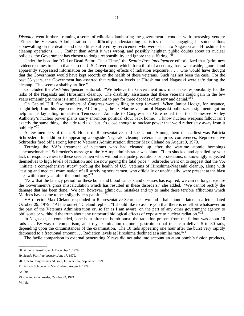*Dispatch* went further—running a series of editorials lambasting the government's conduct with increasing venom: "Either the Veterans Administration has difficulty understanding statistics or it is engaging in some callous stonewalling on the deaths and disabilities suffered by servicemen who were sent into Nagasaki and Hiroshima for cleanup operations. . . . Rather than admit it was wrong, and possibly heighten public doubts about its nuclear policies, the Government has chosen to dodge responsibility and ignore the suffering."<sup>68</sup>

Under the headline "Old or Dead Before Their Time," the *Seattle Post-Intelligencer* editorialized that "grim new evidence comes to us no thanks to the U.S. Government, which, for a third of a century, has swept aside, ignored and apparently suppressed information on the long-lasting effects of radiation exposure. . . . One would have thought that the Government would have kept records on the health of these veterans. Such has not been the case. For the past 33 years, the Government has asserted that radiation levels at Hiroshima and Nagasaki were safe during the cleanup. This seems a shabby artifice."

Concluded the *Post-Intelligencer* editorial: "We believe the Government now must take responsibility for the risks of the Nagasaki and Hiroshima cleanup. The disability assistance that these veterans could gain in the few years remaining to them is a small enough amount to pay for three decades of misery and denial."<sup>69</sup>

On Capitol Hill, few members of Congress were willing to step forward. When Junior Hodge, for instance, sought help from his representative, Al Gore, Jr., the ex-Marine veteran of Nagasaki bulldozer assignments got no help as he lay ailing in eastern Tennessee. An aide to Congressman Gore noted that the Tennessee Valley Authority's nuclear power plants carry enormous political clout back home. "I know nuclear weapons fallout isn't exactly the same thing," the aide told us, "but it's close enough to nuclear power that we'd rather stay away from it publicly."<sup>70</sup>

A few members of the U.S. House of Representatives did speak out. Among them the earliest was Patricia Schroeder. In addition to appearing alongside Nagasaki cleanup veterans at press conferences, Representative Schroeder fired off a strong letter to Veterans Administration director Max Cleland on August 9, 1979.

Terming the VA's treatment of veterans who had cleaned up after the wartime atomic bombings "unconscionable," Schroeder's message to the VA top administrator was blunt: "I am shocked and appalled by your lack of responsiveness to these servicemen who, without adequate precautions or protections, unknowingly subjected themselves to high levels of radiation and are now paying the fatal price." Schroeder went on to suggest that the VA "initiate a comprehensive study" probing the health of U.S. veterans of Hiroshima-Nagasaki cleanup, along with "testing and medical examination of all surviving servicemen, who officially or unofficially, were present at the blast sites within one year after the bombing." $71$ 

"Now that the latency period for these bone and blood cancers and diseases has expired, we can no longer excuse the Government's gross miscalculation which has resulted in these disorders," she added. "We cannot rectify the damage that has been done. We can, however, admit our mistakes and try to make these terrible afflictions which Marines have come to bear slightly less painful."<sup>72</sup>

VA director Max Cleland responded to Representative Schroeder two and a half months later, in a letter dated October 29, 1979. "At the outset," Cleland replied, "I should like to assure you that there is no effort whatsoever on the part of the Veterans Administration or, so far as I am aware, on the part of any other government agency to obfuscate or withhold the truth about any untoward biological effects of exposure to nuclear radiation."<sup>73</sup>

In Nagasaki, he contended, "one hour after the bomb burst, the radiation present from the fallout was about 10 rads . . . By way of comparison, an x-ray examination of one's gastrointestinal tract can deliver 5 to 30 rads, depending upon the circumstances of the examination. The 10 rads appearing one hour after the burst very rapidly decreased to a fractional amount . . . Radiation levels at Hiroshima declined at a similar rate."<sup>74</sup>

The facile comparison to external penetrating X rays did not take into account an atom bomb's fission products,

<sup>68.</sup> *St. Louis Post-Dispatch,* December 1, 1979.

<sup>69.</sup> *Seattle Post-Intelligencer,* June 17, 1979.

<sup>70.</sup> Aide to Congressman Al Gore, Jr., interview, September 1979.

<sup>71.</sup> Patricia Schroeder to Max Cleland, August 9, 1979.

<sup>72.</sup> Ibid.

<sup>73.</sup> Cleland to Schroeder, October 29, 1979.

<sup>74.</sup> Ibid.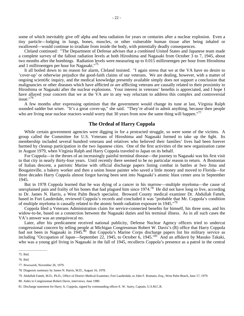some of which inevitably give off alpha and beta radiation for years or centuries after a nuclear explosion. Even a tiny particle—lodging in lungs, bones, muscles, or other vulnerable human tissue after being inhaled or swallowed—would continue to irradiate from inside the body, with potentially deadly consequences.

Cleland continued: "The Department of Defense advises that a combined United States and Japanese team made a complete survey of the fallout radiation levels at both Hiroshima and Nagasaki from October 3 to 7, 1945, about two months after the bombings. Radiation levels were measuring up to 0.015 milliroentgen per hour from Hiroshima and 1 milliroentgen per hour for Nagasaki."75

It all boiled down to no reason for alarm, Cleland insisted. "I again stress that we at the VA have no desire to 'cover-up' or otherwise prejudice the good-faith claims of our veterans. We are dealing, however, with a matter of ongoing scientific inquiry, and the medical knowledge presently available simply does not support a conclusion that malignancies or other diseases which have afflicted or are afflicting veterans are causally related to their proximity to Hiroshima or Nagasaki after the nuclear explosions. Your interest in veterans' benefits is appreciated, and I hope I have allayed your concern that we at the VA are in any way reluctant to address this complex and controversial issue." $76$ 

A few months after expressing optimism that the government would change its tune at last, Virginia Ralph sounded sadder but wiser. "It's a great cover-up," she said. "They're afraid to admit anything, because then people who are living near nuclear reactors would worry that 30 years from now the same thing will happen."<sup>77</sup>

#### **The Ordeal of Harry Coppola**

While certain government agencies were digging in for a protracted struggle, so were some of the victims. A group called the Committee for U.S. Veterans of Hiroshima and Nagasaki formed to take up the fight. Its membership included several hundred veterans and relatives who believed their families' lives had been forever harmed by cleanup participation in the two Japanese cities. One of the first activities of the new organization came in August 1979, when Virginia Ralph and Harry Coppola traveled to Japan on its behalf.

For Coppola—in the throes of an increasingly painful terminal disease—the journey to Nagasaki was his first visit to that city in nearly thirty-four years. Until recently there seemed to be no particular reason to return. A Bostonian of Italian descent, a patriotic Marine with official discharge papers listing combat in battles at Iwo Jima and Bougainville, a bakery worker and then a union house painter who saved a little money and moved to Florida—for three decades Harry Coppola almost forgot having been sent into Nagasaki's atomic blast center area in September 1945.

But in 1978 Coppola learned that he was dying of a cancer in his marrow—multiple myeloma—the cause of unexplained pain and frailty of his bones that had plagued him since  $1974<sup>78</sup>$  He did not have long to live, according to Dr. James N. Harris, a West Palm Beach specialist. Broward County medical examiner Dr. Abdullah Fatteh, based in Fort Lauderdale, reviewed Coppola's records and concluded it was "probable that Mr. Coppola's condition of multiple myeloma is causally related to the atomic bomb radiation exposure in  $1945.^{179}$ 

Coppola filed a Veterans Administration claim for service-connected benefits for himself, his three sons, and his widow-to-be, based on a connection between the Nagasaki duties and his terminal illness. As in all such cases the VA's answer was an unequivocal *no*.

Later, after his predicament received national publicity, Defense Nuclear Agency officers tried to undercut congressional concern by telling people at Michigan Congressman Robert W. Davis's (R) office that Harry Coppola had not been in Nagasaki in 1945.<sup>80</sup> But Coppola's Marine Corps discharge papers list his military service as including "Occupation of Japan—September 22, 1945, to October 6, 1945."<sup>81</sup> And an affidavit by Masuko Takaki, who was a young girl living in Nagasaki in the fall of 1945, recollects Coppola's presence as a patrol in the central

hhhhhhhhhhhhhhhhhh

<sup>75.</sup> Ibid.

<sup>76.</sup> Ibid.

<sup>77.</sup> *Newsweek,* November 26, 1979.

<sup>78.</sup> Diagnosis summary by James N. Harris, M.D., August 16, 1978.

<sup>79.</sup> Abdullah Fatteh, M.D., Ph.D., Office of District Medical Examiner, Fort Lauderdale, to John F. Romano, Esq., West Palm Beach, June 17, 1979.

<sup>80.</sup> Aides to Congressman Robert Davis, interviews, June 1980.

<sup>81.</sup> Discharge statement for Harry A. Coppola, signed by commanding officer E. W. Autry, Captain, U.S.M.C.R.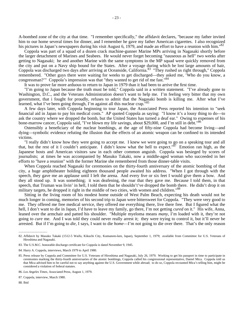A-bombed zone of the city at that time. "I remember specifically," the affidavit declares, "because my father invited him to our home several times for dinner, and I remember he gave my father American cigarettes. I also recognized his pictures in Japan's newspapers during his visit August 6, 1979, and made an effort to have a reunion with him."<sup>82</sup>

Coppola was part of a squad of a dozen crack machine-gunner Marine MPs arriving in Nagasaki shortly before the larger detachment of Marines and Seabees. He would never forget becoming "nauseous as hell" two weeks after getting to Nagasaki; he and another Marine with the same symptoms in the MP squad were quickly removed from the city and put on a Navy ship bound for the States. After a voyage during which he lost large amounts of hair, Coppola was discharged two days after arriving at Oceanside, California.<sup>83</sup> "They rushed us right through," Coppola remembered. "Other guys there were waiting for weeks to get discharged—they asked me, 'Who do you know, a congressman?" Coppola's impression was that "they wanted to get rid of me fast."<sup>84</sup>

It was to prove far more arduous to return to Japan in 1979 than it had been to arrive the first time.

"I'm going to Japan because the truth must be told," Coppola said in a written statement. "I've already gone to Washington, D.C., and the Veterans Administration doesn't want to help me. I'm feeling very bitter that my own government, that i fought for proudly, refuses to admit that the Nagasaki bomb is killing me. After what I've learned, what I've been going through, I'm against all this nuclear crap.<sup>"85</sup>

A few days later, with Coppola beginning to tour Japan, the Associated Press reported his intention to "seek financial aid in Japan to pay his medical costs." AP quoted Coppola as saying: "I know it's a lousy thing to do—to ask the country where we dropped the bomb, but the United States has turned a deaf ear." Owing to expenses of his bone-marrow cancer, Coppola said, "I've blown my life savings, about \$29,000, and I'm still in debt."<sup>86</sup>

Ostensibly a beneficiary of the nuclear bombings, at the age of fifty-nine Coppola had become living—and dying—symbolic evidence refuting the illusion that the effects of an atomic weapon can be confined to its intended victims.

"I really didn't know how they were going to accept me. I knew we were going to go on a speaking tour and all that, but the rest of it I couldn't anticipate. I didn't know what the hell to expect."<sup>87</sup> Emotion ran high, as the Japanese hosts and American visitors saw in each other common anguish. Coppola was besieged by scores of journalists; at times he was accompanied by Masuko Takaki, now a middle-aged woman who succeeded in her efforts to "have a reunion" with the former Marine she remembered from those dinner-table visits.

When Coppola reached Nagasaki for ceremonies on the thirty-fourth anniversary of the atomic bombing of that city, a huge amphitheater holding eighteen thousand people awaited his address. "When I got through with the speech, they gave me an applause until I left the arena. And every five or six feet I would give them a bow. And they all stood up. It was something; it was deafening, the roar that they gave me. Because I told them, in that speech, that Truman was livin' in hell, I told them that he shouldn't've dropped the bomb there. He didn't drop it on military targets, he dropped it right in the middle of two cities, with women and children."<sup>88</sup>

Sitting in the living room of his modest home outside of West Palm Beach, expecting his death would not be much longer in coming, memories of his second trip to Japan were bittersweet for Coppola. "They were very good to me. They offered me free medical service, they offered me everything there, live there free. But I figured what the hell, I don't want to die in Japan, I'd have to leave my family, go there, I'm not getting *cured* on it." His wife, Anna, leaned over the armchair and patted his shoulder. "Multiple myeloma means *many,* I'm loaded with it, they're not going to *cure* me. And I was told they could never really arrest it; they were trying to control it, but it'll never be arrested. But if I'm going to *die,* I says, I want to die *home*—I'm not going to die over there. That's the only reason

<sup>82.</sup> Affidavit by Masuko Takaki (1512-5 Waifu, Kikuchi City, Kumanoto-ken, Japan), September 1, 1979; available from Committee for U.S. Veterans of Hiroshima and Nagasaki.

<sup>83.</sup> The U.S.M.C. honorable discharge certificate for Coppola is dated November 9, 1945.

<sup>84.</sup> Harry A. Coppola, interviews, March 1979 to April 1980.

<sup>85.</sup> Press release by Coppola and Committee for U.S. Veterans of Hiroshima and Nagasaki, July 26, 1979. Working to get his passport in time to participate in ceremonies marking the thirty-fourth anniversaries of the atomic bombings, Coppola called his congressional representative, Daniel Mica. Coppola told us that Mica advised him to be careful not to say anything against the U.S. Government while abroad; to do so, Coppola recounted Mica's telling him, might be considered a violation of federal statutes.

<sup>86.</sup> *Los Angeles Times,* Associated Press, August 1, 1979.

<sup>87.</sup> Coppola, interview, March 1980.

<sup>88.</sup> Ibid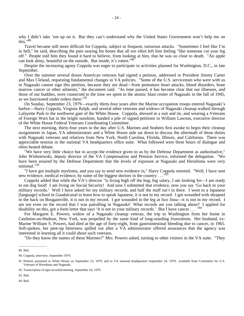why I didn't take 'em up on it. But they can't understand why the United States Government won't help me on this."<sup>89</sup>

Travel became still more difficult for Coppola, subject to frequent, torturous attacks. "Sometimes I feel like I'm in hell," he said, describing the pain searing his bones that all too often left him feeling "like someone cut your leg off." People told him they found it hard to believe, from looking at him, that he was so close to death. "An apple can look shiny, beautiful on the outside. But inside, it's rotten." $90^\circ$ 

Despite the increasing agony Coppola was eager to participate in activities planned for Washington, D.C., in late September.

Over the summer several dozen American veterans had signed a petition, addressed to President Jimmy Carter and Max Cleland, requesting fundamental changes in VA policies. "Some of the U.S. servicemen who were with us in Nagasaki cannot sign this petition, because they are dead—from premature heart attacks, blood disorders, bone marrow cancer or other ailments," the document said. "As time passed, it has become clear that our illnesses, and those of our buddies, were connected to the time we spent in the atomic blast center of Nagasaki in the fall of 1945, as we functioned under orders there."<sup>91</sup>

On Sunday, September 23, 1979—exactly thirty-four years after the Marine occupation troops entered Nagasaki's harbor—Harry Coppola, Virginia Ralph, and several other veterans and widows of Nagasaki cleanup walked through Lafayette Park to the northwest gate of the White House. Coppola, dressed in a suit and tie, and wearing a Veterans of Foreign Wars hat in the bright sunshine, handed a pile of signed petitions to William Lawson, executive director of the White House Federal Veterans Coordinating Committee.

The next morning, thirty-four years to the day after U.S. Marines and Seabees first awoke to begin their cleanup assignments in Japan, VA administrators and a White House aide sat down to discuss the aftermath of those duties with Nagasaki veterans and relatives from New York, North Carolina, Florida, Illinois, and California. There was appreciable tension in the national VA headquarters office suite. What followed were three hours of dialogue and often heated debate.

"We have very little choice but to accept the evidence given to us by the Defense Department as authoritative," John Wishniewski, deputy director of the VA Compensation and Pension Service, informed the delegation. "We have been assured by the Defense Department that the levels of exposure at Nagasaki and Hiroshima were very minimal."92

"I have got multiple myeloma, and you say to send new evidence in," Harry Coppola retorted. "Well, I have sent new evidence, medical evidence, by some of the biggest doctors in the country . . .'

Coppola added that while the VA's director "is living high off the hog, big salary, I am looking for—I am ready to eat dog food! I am living on Social Security! And now I submitted that evidence, now you say 'Go back to your military records.' Well I have asked for my military records, and half the stuff isn't in there. I went to a Japanese [language] school in Guadalcanal to learn how to speak Japanese, it is not in my record. I got wounded with shrapnel in the back on Bougainville, it is not in my record. I got wounded in the leg at Iwo Jima—it is not in my record. I am not even on the record that I was patrolling in Nagasaki! What records are you talking about? I applied for disability on this, got a form letter that says 'It is not in your military records.' But I have cancer ... "<sup>94</sup>

For Margaret E. Powers, widow of a Nagasaki cleanup veteran, the trip to Washington from her home in Castleton-on-Hudson, New York, was propelled by the same kind of long-standing frustrations. Her husband, ex-Marine William S. Powers, had died at the age of forty-eight, from gastrointestinal bleeding due to cancer, in 1965. Soft-spoken, her pent-up bitterness spilled out after a VA administrator offered assurances that the agency was interested in learning all it could about such veterans.

"Do they know the names of these Marines?" Mrs. Powers asked, turning to other visitors in the VA suite. "They

<sup>89.</sup> Ibid.

<sup>90.</sup> Coppola, interview, September 1979.

<sup>91.</sup> Petition presented to White House on September 23, 1979, and to VA national headquarters September 24, 1979; available from Committee for U.S. Veterans of Hiroshima and Nagasaki.

<sup>92.</sup> Transcription of tape-recorded meeting, September 24, 1979.

<sup>93.</sup> Ibid.

<sup>94.</sup> Ibid.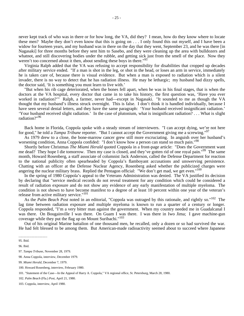never kept track of who was in there or for how long, the VA, did they? I mean, how do they know where to locate these men? Maybe they don't even know that this is going on...I only found this out myself, and I have been a widow for fourteen years, and my husband was in there on the day that they went, September 23, and he was there [in Nagasaki] for three months before they sent him to Sasebo, and they were cleaning up the area with bulldozers and whatnot, and still discovering bodies under the rubble, and getting sick just from the smell of the place. Now they weren't too concerned about it then, about sending these boys in there."<sup>95</sup>

Virginia Ralph added that the VA was refusing to accept responsibility for disabilities that cropped up decades after military service ended. "If a man is shot in the leg, or shot in the head, or loses an arm in service, immediately he is taken care of, because there is visual evidence. But when a man is exposed to radiation which is a silent invader, there is no way to detect that he has radiation illness. He may be lethargic; my husband had dizzy spells, the doctor said, 'It is something you must learn to live with.'

"But when his rib cage deteriorated, when the bones fell apart, when he was in his final stages, that is when the doctors at the VA hospital, every doctor that came in to take his history, the first question was, 'Have you ever worked in radiation?'" Ralph, a farmer, never had—except in Nagasaki. "It sounded to me as though the VA thought that my husband's illness struck overnight. This is false. I don't think it is handled individually, because I have seen several denial letters, and they have the same paragraph: 'Your husband received insignificant radiation.' 'Your husband received slight radiation.' In the case of plutonium, what is insignificant radiation? . . . What is slight radiation?"<sup>96</sup>

Back home in Florida, Coppola spoke with a steady stream of interviewers. "I can accept dying, we're not here for good," he told a *Tampa Tribune* reporter. "But I cannot accept the Government giving me a screwing."97

As 1979 drew to a close, the bone-marrow cancer grew still more excruciating. In anguish over her husband's worsening condition, Anna Coppola confided: "I don't know how a person can stand so much pain."<sup>98</sup>

Shortly before Christmas *The Miami Herald* quoted Coppola in a front-page article: "Does the Government want me dead? They hope I die tomorrow. Then my case is closed, and they've gotten rid of one royal pain."<sup>99</sup> The same month, Howard Rosenberg, a staff associate of columnist Jack Anderson, called the Defense Department for reaction to the national publicity often spearheaded by Coppola's flamboyant accusations and unswerving persistence. Chatting with an officer at the Defense Nuclear Agency, Rosenberg asked whether the publicized charges were angering the nuclear military brass. Replied the Pentagon official: "We don't get mad, we get even."<sup>100</sup>

In the spring of 1980 Coppola's appeal to the Veterans Administration was denied. The VA justified its decision by declaring that "service medical records do not reveal treatment for any condition which could be considered a result of radiation exposure and do not show any evidence of any early manifestation of multiple myeloma. The condition is not shown to have become manifest to a degree of at least 10 percent within one year of the veteran's release from active military service."101

As the *Palm Beach Post* noted in an editorial, "Coppola was outraged by this rationale, and rightly so."<sup>102</sup> The lag time between radiation exposure and multiple myeloma is known to run a quarter of a century or longer. Coppola responded, "I'm a very bitter man against the government. When my country needed me in Guadalcanal I was there. On Bougainville I was there. On Guam I was there. I was there in Iwo Jima; I gave machine-gun coverage while they put the flag up on Mount Suribachi."<sup>103</sup>

Out of his original Marine battalion of one thousand men, he recalled, only a dozen or so had survived the war. He had felt blessed to be among them. But American-made radioactivity seemed about to succeed where Japanese

<sup>95.</sup> Ibid.

<sup>96.</sup> Ibid.

<sup>97.</sup> *Tampa Tribune,* November 28, 1979.

<sup>98.</sup> Anna Coppola, interview, December 1979.

<sup>99.</sup> *Miami Herald,* December 7, 1979.

<sup>100.</sup> Howard Rosenberg, interview, February 1980.

<sup>101. &</sup>quot;Statement of the Case—In the Appeal of Harry A. Coppola," VA regional office, St. Petersburg, March 28, 1980.

<sup>102.</sup> *Palm Beach* (Fla.) *Post,* April 21, 1980.

<sup>103.</sup> Coppola, interview, April 1980.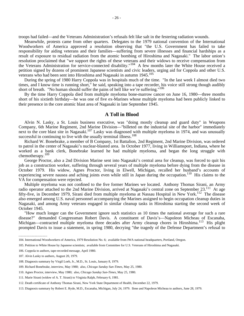troops had failed—and the Veterans Administration's refusals felt like salt in the festering radiation wounds.

Meanwhile, protests came from other quarters. Delegates to the 1979 national convention of the International Woodworkers of America approved a resolution observing that "the U.S. Government has failed to take responsibility for aiding veterans and their families—suffering from severe illnesses and financial hardships as a result of exposure to residual radiation from the atomic bombing of Hiroshima and Nagasaki." The labor union's resolution proclaimed that "we support the rights of these veterans and their widows to receive compensation from the Veterans Administration for service-connected disability."<sup>104</sup> A few months later the White House received a petition signed by dozens of prominent Japanese scientists and civic leaders, urging aid for Coppola and other U.S. veterans who had been sent into Hiroshima and Nagasaki in autumn 1945.<sup>105</sup>

During the spring of 1980 Harry Coppola was in hospitals much of the time. "In the last week I almost died two times, and I know time is running short," he said, speaking into a tape recorder, his voice still strong though audibly short of breath. "No human should suffer the pains of hell like we're suffering."106

By the time Harry Coppola died from multiple myeloma bone-marrow cancer on June 16, 1980—three months short of his sixtieth birthday—he was one of five ex-Marines whose multiple myeloma had been publicly linked to their presence in the core atomic blast area of Nagasaki in late September 1945.

### **A Toll in Blood**

Alvin N. Lasky, a St. Louis business executive, was "doing mostly cleanup and guard duty" in Weapons Company, 6th Marine Regiment, 2nd Marine Division—"billeted on the industrial site of the harbor" immediately next to the core blast site in Nagasaki.<sup>107</sup> Lasky was diagnosed with multiple myeloma in 1974, and was unusually successful in continuing to live with the usually terminal illness.  $108$ 

Richard W. Bonebrake, a member of B Company, 1st Battalion, 2nd Regiment, 2nd Marine Division, was ordered to patrol in the center of Nagasaki's nuclear-blasted area. In October 1977, living in Williamsport, Indiana, where he worked as a bank clerk, Bonebrake learned he had multiple myeloma, and began the long struggle with chemotherapy. $109$ 

George Proctor, also a 2nd Division Marine sent into Nagasaki's central area for cleanup, was forced to quit his job as a construction worker, suffering through several years of multiple myeloma before dying from the disease in October 1979. His widow, Agnes Proctor, living in Elwell, Michigan, recalled her husband's accounts of experiencing severe nausea and aching joints even while still in Japan during the occupation.<sup>110</sup> His claims to the VA for compensation were rejected.

Multiple myeloma was not confined to the five former Marines we located. Anthony Thomas Sirani, an Army radio operator attached to the 2nd Marine Division, arrived at Nagasaki's central zone on September 23.<sup>111</sup> At age fifty-five, in December 1979, Sirani died from multiple myeloma at Nassau Hospital in New York.112 The disease also emerged among U.S. naval personnel accompanying the Marines assigned to begin occupation cleanup duties in Nagasaki, and among Army veterans engaged in similar cleanup tasks in Hiroshima starting the second week of October 1945.

"How much longer can the Government ignore such statistics as 10 times the national average for such a rare disease?" demanded Congressman Robert Davis. A constituent of Davis's—Napoleon Micheau of Escanaba, Michigan—contracted multiple myeloma three decades after Army cleanup chores in Hiroshima.<sup>113</sup> His plight prompted Davis to issue a statement, in spring 1980, decrying "the tragedy of the Defense Department's refusal to

hhhhhhhhhhhhhhhhhh

<sup>104.</sup> International Woodworkers of America, 1979 Resolution No. 6; available from IWA national headquarters, Portland, Oregon.

<sup>105.</sup> Petition to White House by Japanese scientists; available from Committee for U.S. Veterans of Hiroshima and Nagasaki.

<sup>106.</sup> Coppola to authors, tape-recorded message, April 1980.

<sup>107.</sup> Alvin Lasky to authors, August 20, 1979.

<sup>108.</sup> Diagnosis summary by Virgil Loeb, Jr., M.D., St. Louis, January 8, 1979.

<sup>109.</sup> Richard Bonebrake, interview, May 1980; also, *Chicago Sunday Sun-Times,* May 25, 1980.

<sup>110.</sup> Agnes Proctor, interview, May 1980; also, *Chicago Sunday Sun-Times,* May 25, 1980.

<sup>111.</sup> Marie Sirani (widow of A. T. Sirani) to Virginia Ralph, February 6, 1981.

<sup>112.</sup> Death certificate of Anthony Thomas Sirani, New York State Department of Health, December 22, 1979.

<sup>113.</sup> Diagnosis summary by Robert E. Ryde, M.D., Escanaba, Michigan, July 24, 1979. Ilene and Napoleon Micheau to authors, June 28, 1979.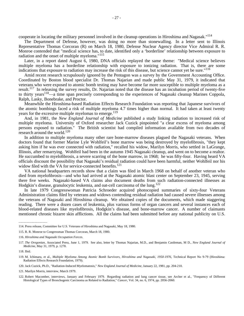cooperate in locating the military personnel involved in the cleanup operations in Hiroshima and Nagasak."<sup>114</sup>

The Department of Defense, however, was doing no more than stonewalling. In a letter sent to Illinois Representative Thomas Corcoran (R) on March 18, 1980, Defense Nuclear Agency director Vice Admiral R. R. Monroe contended that "medical science has, to date, identified only a 'borderline' relationship between exposure to radiation and the onset of multiple myeloma."<sup>115</sup>

Later, in a report dated August 6, 1980, DNA officials replayed the same theme: "Medical science believes multiple myeloma has a borderline relationship with exposure to ionizing radiation. That is, there are some indications that exposure to radiation may increase the risk of this disease, but science cannot yet be sure."<sup>116</sup>

Amid recent research scrupulously ignored by the Pentagon was a survey by the Government Accounting Office. Coordinated by Boston blood specialist Dr. Thomas Najarian and made public May 31, 1979, it indicated that veterans who were exposed to atomic bomb testing may have become far more susceptible to multiple myeloma as a result.<sup>117</sup> In releasing the survey results, Dr. Najarian noted that the disease has an incubation period of twenty-five to thirty years<sup>118</sup>—a time span precisely corresponding to the experiences of Nagasaki cleanup Marines Coppola, Ralph, Lasky, Bonebrake, and Proctor.

Meanwhile the Hiroshima-based Radiation Effects Research Foundation was reporting that Japanese survivors of the atomic bombings faced a risk of multiple myeloma 4.7 times higher than normal. It had taken at least twenty years for the excessive multiple myelomas to emerge.<sup>119</sup>

And, in 1981, the *New England Journal of Medicine* published a study linking radiation to increased risk of multiple myeloma. University of Oxford researcher Jack Cuzick pinpointed "a clear excess of myeloma among persons exposed to radiation." The British scientist had compiled information available from two decades of research around the world.<sup>120</sup>

In addition to multiple myeloma many other rare bone-marrow diseases plagued the Nagasaki veterans. When doctors found that former Marine Lyle Wohlfeil's bone marrow was being destroyed by myelofibrosis, "they kept asking him if he was ever connected with radiation," recalled his widow, Marilyn Morris, who settled in LaGrange, Illinois, after remarrying. Wohlfeil had been in the autumn 1945 Nagasaki cleanup, and went on to become a realtor. He succumbed to myelofibrosis, a severe scarring of the bone marrow, in 1968; he was fifty-four. Having heard VA officials discount the possibility that Nagasaki's residual radiation could have been harmful, neither Wohlfeil nor his widow filed with the VA for service-connected benefits.<sup>121</sup>

VA national headquarters records show that a claim was filed in March 1968 on behalf of another veteran who died from myelofibrosis—and who had arrived at the Nagasaki atomic blast center on September 23, 1945, serving there five weeks. Nagasaki-based VA claims also document deaths from such radiation-connected illnesses as Hodgkin's disease, granulocytic leukemia, and oat-cell carcinoma of the lung.<sup>122</sup>

In late 1979 Congresswoman Patricia Schroeder acquired photocopied summaries of sixty-four Veterans Administration claims filed by veterans and widows contending residual radiation had caused severe illnesses among the veterans of Nagasaki and Hiroshima cleanup. We obtained copies of the documents, which made staggering reading. There were a dozen cases of leukemia, plus various forms of organ cancers and several instances each of blood-related diseases like myelofibrosis, Hodgkin's disease, and bone-marrow cancer. A number of claimants mentioned chronic bizarre skin afflictions. All the claims had been submitted before any national publicity on U.S.

<sup>114.</sup> Press release, Committee for U.S. Veterans of Hiroshima and Nagasaki, May 18, 1980.

<sup>115.</sup> R. R. Monroe to Congressman Thomas Corcoran, March 18, 1980.

<sup>116.</sup> *Hiroshima and Nagasaki Occupation Forces*.

<sup>117.</sup> *The Oregonian,* Associated Press, June 1, 1979. See also, letter by Thomas Najarian, M.D., and Benjamin Castleman, M D., *New England Journal of Medicine,* May 31, 1979, p. 1278.

<sup>118.</sup> Ibid.

<sup>119.</sup> M. Ichimaru, et al., *Multiple Myeloma Among Atomic Bomb Survivors, Hiroshima and Nagasaki, 1950-1976,* Technical Report No 9-79 (Hiroshima: Radiation Effects Research Foundation, 1979).

<sup>120.</sup> Jack Cuzick, Ph.D., "Radiation-Induced Myelomatosis," *New England Journal of Medicine,* January 22, 1981, pp. 204-210.

<sup>121.</sup> Marilyn Morris, interview, March 1979.

<sup>122.</sup> Robert Macomber, interviews, January and February 1979. Regarding radiation and lung cancer tissue, see Archer et al., "Frequency of Different Histological Types of Bronchogenic Carcinoma as Related to Radiation," *Cancer,* Vol. 34, no. 6, 1974, pp. 2056-2060.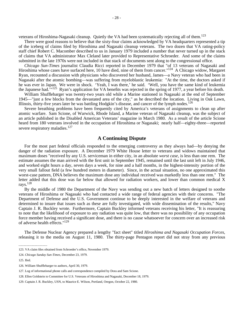veterans of Hiroshima-Nagasaki cleanup. Quietly the VA had been systematically rejecting all of them.<sup>123</sup>

There were good reasons to believe that the sixty-four claims acknowledged by VA headquarters represented a tip of the iceberg of claims filed by Hiroshima and Nagasaki cleanup veterans. The two dozen that VA rating-policy staff chief Robert C. Macomber described to us in January 1979 included a number that never turned up in the stack of claims that VA administrator Max Cleland later provided to Representative Schroeder. And some of the claims submitted in the late 1970s were not included in that stack of documents sent along to the congressional office.

*Chicago Sun-Times* journalist Claudia Ricci reported in December 1979 that "of 13 veterans of Nagasaki and Hiroshima whose cases have surfaced here, 10 have died, nine of them from cancer."<sup>124</sup> A Chicago widow, Margaret Ryan, recounted a discussion with physicians who discovered her husband, James—a Navy veteran who had been in Nagasaki after the atomic bombing—was suffering from myeloblastic leukemia: "At the time, the doctors asked if he was ever in Japan. We were in shock. 'Yeah, I was there,' he said. 'Well, you have the same kind of leukemia the Japanese had.'"<sup>125</sup> Ryan's application for VA benefits was rejected in the spring of 1977, a year before his death.

William Shufflebarger was twenty-two years old while a Marine stationed in Nagasaki at the end of September 1945—"just a few blocks from the devastated area of the city," as he described the location. Living in Oak Lawn, Illinois, thirty-five years later he was battling Hodgkin's disease, and cancer of the lymph nodes.<sup>126</sup>

Severe breathing problems have been frequently cited by America's veterans of assignments to clean up after atomic warfare. Sam Scione, of Warwick, Rhode Island, a Marine veteran of Nagasaki cleanup, was the subject of an article published in the Disabled American Veterans' magazine in March 1980. As a result of the article Scione heard from 180 veterans involved in the occupation of Hiroshima or Nagasaki; nearly half—eighty-three—reported severe respiratory maladies.<sup>127</sup>

### **A Continuing Dispute**

For the most part federal officials responded to the emerging controversy as they always had—by denying the danger of the radiation exposure. A December 1979 White House letter to veterans and widows maintained that maximum doses "received by any U.S. serviceman in either city, in an absolute *worst case,* is less than one rem. The estimate assumes the man arrived with the first unit in September 1945, remained until the last unit left in July 1946, and worked eight hours a day, seven days a week, for nine and a half months, in the highest-intensity portion of the very small fallout field (a few hundred meters in diameter). Since, in the actual situation, no one approximated this worst-case pattern, DNA believes the maximum dose any individual received was markedly less than one rem." The letter added that this dose was far below that allowed for radiation workers, and lower than common medical X rays. $^{128}$ 

By the middle of 1980 the Department of the Navy was sending out a new batch of letters designed to soothe veterans of Hiroshima or Nagasaki who had contacted a wide range of federal agencies with their concerns. "The Department of Defense and the U.S. Government continue to be deeply interested in the welfare of veterans and determined to insure that issues such as these are fully investigated, with wide dissemination of the results," Navy Captain J. R. Buckley wrote. Furthermore, Captain Buckley informed veterans receiving his letter, "It is reassuring to note that the likelihood of exposure to any radiation was quite low, that there was no possibility of any occupation force member having received a significant dose, and there is no cause whatsoever for concern over an increased risk of adverse health effects."<sup>129</sup>

The Defense Nuclear Agency prepared a lengthy "fact sheet" titled *Hiroshima and Nagasaki Occupation Forces,* releasing it to the media on August 11, 1980. The thirty-page Pentagon report did not stray from any previous

hhhhhhhhhhhhhhhhhh

<sup>123.</sup> VA claim files obtained from Schroeder's office, November 1979.

<sup>124.</sup> *Chicago Sunday Sun-Times,* December 23, 1979.

<sup>125.</sup> Ibid.

<sup>126.</sup> William Shufflebarger to authors, April 30, 1979.

<sup>127.</sup> Log of informational phone calls and correspondence compiled by Dora and Sam Scione.

<sup>128.</sup> Ellen Goldstein to Committee for U.S. Veterans of Hiroshima and Nagasaki, December 18, 1979.

<sup>129.</sup> Captain J. R. Buckley, USN, to Maurice E. Wilson, Portland, Oregon, October 22, 1980.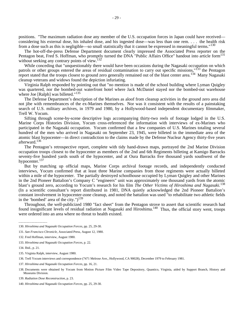positions. "The maximum radiation dose any member of the U.S. occupation forces in Japan could have received considering his external dose, his inhaled dose, and his ingested dose—was less than one rem. . . . the health risk from a dose such as this is negligible—so small statistically that it cannot be expressed in meaningful terms."<sup>130</sup>

The hot-off-the-press Defense Department document clearly impressed the Associated Press reporter on the Pentagon beat, Fred S. Hoffman, who promptly turned the DNA "Public Affairs Office" handout into article form<sup>131</sup> without seeking any contrary points of view.<sup>132</sup>

While conceding that "unquestionably there would have been occasions during the Nagasaki occupation on which patrols or other groups entered the areas of residual contamination to carry out specific missions,"<sup>133</sup> the Pentagon report stated that the troops closest to ground zero generally remained out of the blast center area.<sup>134</sup> Many Nagasaki cleanup veterans and widows found the depiction infuriating.

Virginia Ralph responded by pointing out that "no mention is made of the school building where Lyman Quigley was quartered, nor the bombed-out waterfront hotel where Jack McDaniel stayed nor the bombed-out warehouse where Joe [Ralph] was billeted."<sup>135</sup>

The Defense Department's description of the Marines as aloof from cleanup activities in the ground zero area did not jibe with remembrances of the ex-Marines themselves. Nor was it consistent with the results of a painstaking search of U.S. military archives, in 1979 and 1980, by a Hollywood-based independent documentary filmmaker, Trell W. Yocum.

Sifting through scene-by-scene descriptive logs accompanying thirty-two reels of footage lodged in the U.S. Marine Corps Histories Division, Yocum cross-referenced the information with interviews of ex-Marines who participated in the Nagasaki occupation. Yocum confirmed that a few companies of U.S. Marines totaling several hundred of the men who arrived in Nagasaki on September 23, 1945, were billeted in the immediate area of the atomic blast hypocenter—in direct contradiction to the claims made by the Defense Nuclear Agency thirty-five years afterward.<sup>136</sup>

The Pentagon's retrospective report, complete with tidy hand-drawn maps, portrayed the 2nd Marine Division occupation troops closest to the hypocenter as members of the 2nd and 6th Regiments billeting at Kamigo Barracks seventy-five hundred yards south of the hypocenter, and at Oura Barracks five thousand yards southwest of the hypocenter.<sup>137</sup>

But by matching up official maps, Marine Corps archival footage records, and independently conducted interviews, Yocum confirmed that at least three Marine companies from those regiments were actually billeted within a mile of the hypocenter. The partially destroyed schoolhouse occupied by Lyman Quigley and other Marines in the 2nd Pioneer Battalion's Company C "engineers" unit was approximately one thousand yards from the atomic blast's ground zero, according to Yocum's research for his film *The Other Victims of Hiroshima and Nagasaki.*<sup>138</sup> (In a scientific consultant's report distributed in 1981, DNA quietly acknowledged the 2nd Pioneer Battalion's constant involvement in hypocenter-zone cleanup, and noted the battalion was used "to rehabilitate two athletic fields in the 'bombed' area of the city." $)^{139}$ 

Throughout, the well-publicized 1980 "fact sheet" from the Pentagon strove to assert that scientific research had found insignificant levels of residual radiation at Nagasaki and Hiroshima.<sup>140</sup> Thus, the official story went, troops were ordered into an area where no threat to health existed.

hh<del>ahaa ka badaa ka badaa ka badaa ka badaa ka badaa ka badaa ka badaa ka badaa ka badaa ka badaa ka badaa ka bada</del>

135. Virginia Ralph, interview, August 1980.

138. Documents were obtained by Yocum from Motion Picture Film Video Tape Depository, Quantico, Virginia, aided by Support Branch, History and Museums Division.

<sup>130.</sup> *Hiroshima and Nagasaki Occupation Forces,* pp. 25, 29-30.

<sup>131.</sup> *San Francisco Chronicle,* Associated Press, August 12, 1980.

<sup>132.</sup> Fred Hoffman, interview, August 1980.

<sup>133.</sup> *Hiroshima and Nagasaki Occupation Forces,* p. 22.

<sup>134.</sup> Ibid., p. 21.

<sup>136.</sup> Trell Yocum interviews and correspondence (7471 Melrose Ave., Hollywood, CA 90028), December 1979 to February 1981.

<sup>137.</sup> *Hiroshima and Nagasaki Occupation Forces,* pp. 16, 21.

<sup>139.</sup> *Radiation Dose Reconstruction,* p. 23.

<sup>140.</sup> *Hiroshima and Nagasaki Occupation Forces,* pp. 25, 29-30.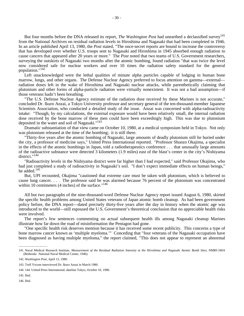But four months before the DNA released its report, *The Washington Post* had unearthed a declassified survey<sup>141</sup> from the National Archives on residual radiation levels in Hiroshima and Nagasaki that had been completed in 1946. In an article published April 13, 1980, the *Post* stated, "The once-secret reports are bound to increase the controversy that has developed over whether U.S. troops sent to Nagasaki and Hiroshima in 1945 absorbed enough radiation to cause cancers that appeared after 20 years or more." The *Post* noted that two teams of U.S. Government researchers, surveying the outskirts of Nagasaki two months after the atomic bombing, found radiation "that was twice the level now considered safe for nuclear workers and over 10 times the radiation safety standard for the general population."<sup>142</sup>

Left unacknowledged were the lethal qualities of minute alpha particles capable of lodging in human bone marrow, lungs, and other organs. The Defense Nuclear Agency preferred to focus attention on gamma—external radiation doses left in the wake of Hiroshima and Nagasaki nuclear attacks, while parenthetically claiming that plutonium and other forms of alpha-particle radiation were virtually nonexistent. It was not a bad assumption—if those veterans hadn't been breathing.

"The U.S. Defense Nuclear Agency estimate of the radiation dose received by these Marines is not accurate," concluded Dr. Ikuro Anzai, a Tokyo University professor and secretary general of the ten-thousand-member Japanese Scientists Association, who conducted a detailed study of the issue. Anzai was concerned with alpha-radioactivity intake: "Though, by my calculations, the external exposure would have been relatively small, the internal radiation dose received by the bone marrow of these men could have been exceedingly high. This was due to plutonium deposited in the water and soil of Nagasaki."<sup>143</sup>

Dramatic substantiation of that view came on October 10, 1980, at a medical symposium held in Tokyo. Not only was plutonium released at the time of the bombing; it is still there.

"Thirty-five years after the atomic bombing of Nagasaki, large amounts of deadly plutonium still lie buried under the city, a professor of medicine says," United Press International reported. "Professor Shunzo Okajima, a specialist in the effects of the atomic bombings in Japan, told a radiotherapeutics conference . . . that unusually large amounts of the radioactive substance were detected 3 kilometers (1.9 miles) east of the blast's center in the city's Nishiyama district."<sup>144</sup>

"Radioactivity levels in the Nishiyama district were far higher than I had expected," said Professor Okajima, who had just completed a study of radioactivity in Nagasaki's soil. "I don't expect immediate effects on human beings," he added.<sup>145</sup>

But, UPI recounted, Okajima "cautioned that extreme care must be taken with plutonium, which is believed to cause lung cancer. . . . The professor said he was alarmed because 76 percent of the plutonium was concentrated within 10 centimeters (4 inches) of the surface."<sup>146</sup>

All but two paragraphs of the nine-thousand-word Defense Nuclear Agency report issued August 6, 1980, skirted the specific health problems among United States veterans of Japan atomic bomb cleanup. As had been government policy before, the DNA report—dated precisely thirty-five years after the day in history when the atomic age was introduced to the world—still espoused the U.S. Government's theoretical conclusion that no appreciable health risks were involved.

The report's few sentences commenting on actual subsequent health ills among Nagasaki cleanup Marines illustrate how far down the road of misinformation the Pentagon had gone.

"One specific health risk deserves mention because it has received some recent publicity. This concerns a type of bone marrow cancer known as 'multiple myeloma.'" Conceding that "four veterans of the Nagasaki occupation have been diagnosed as having multiple myeloma," the report claimed, "This does not appear to represent an abnormal

<sup>141.</sup> Naval Medical Research Institute, *Measurement of the Residual Radiation Intensity at the Hiroshima and Nagasaki Atomic Bomb Sites,* NMRI-160A (Bethesda: National Naval Medical Center, 1946).

<sup>142.</sup> *Washington Post,* April 13, 1980.

<sup>143.</sup> Trell Yocum interviewed Dr. Ikuro Anzai in March 1980.

<sup>144. 144.</sup> United Press International, dateline Tokyo, October 10, 1980.

<sup>145.</sup> Ibid.

<sup>146.</sup> Ibid.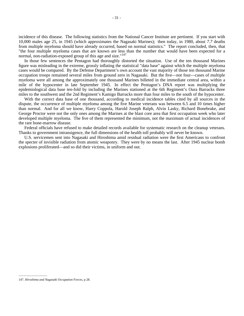incidence of this disease. The following statistics from the National Cancer Institute are pertinent. If you start with 10,000 males age 25, in 1945 (which approximates the Nagasaki Marines); then today, in 1980, about *7.7* deaths from multiple myeloma should have already occurred, based on normal statistics." The report concluded, then, that "the four multiple myeloma cases that are known are less than the number that would have been expected for a normal, non-radiation-exposed group of this age and size."<sup>147</sup>

In those few sentences the Pentagon had thoroughly distorted the situation. Use of the ten thousand Marines figure was misleading in the extreme, grossly inflating the statistical "data base" against which the multiple myeloma cases would be compared. By the Defense Department's own account the vast majority of those ten thousand Marine occupation troops remained several miles from ground zero in Nagasaki. But the five—not four—cases of multiple myeloma were all among the approximately one thousand Marines billeted in the immediate central area, within a mile of the hypocenter in late September 1945. In effect the Pentagon's DNA report was multiplying the epidemiological data base ten-fold by including the Marines stationed at the 6th Regiment's Oura Barracks three miles to the southwest and the 2nd Regiment's Kamigo Barracks more than four miles to the south of the hypocenter.

With the correct data base of one thousand, according to medical incidence tables cited by all sources in the dispute, the occurrence of multiple myeloma among the five Marine veterans was between 6.5 and 10 times higher than normal. And for all we know, Harry Coppola, Harold Joseph Ralph, Alvin Lasky, Richard Bonebrake, and George Proctor were not the only ones among the Marines at the blast core area that first occupation week who later developed multiple myeloma. The five of them represented the minimum, not the maximum of actual incidences of the rare bone-marrow disease.

Federal officials have refused to make detailed records available for systematic research on the cleanup veterans. Thanks to government intransigence, the full dimensions of the health toll probably will never be known.

U.S. servicemen sent into Nagasaki and Hiroshima amid residual radiation were the first Americans to confront the specter of invisible radiation from atomic weaponry. They were by no means the last. After 1945 nuclear bomb explosions proliferated—and so did their victims, in uniform and out.

<sup>147.</sup> *Hiroshima and Nagasaki Occupation Forces,* p 28.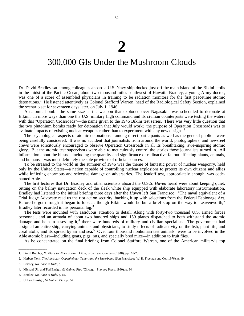### **2**

### 300,000 GIs Under the Mushroom Clouds

Dr. David Bradley sat among colleagues aboard a U.S. Navy ship docked just off the main island of the Bikini atolls in the midst of the Pacific Ocean, about two thousand miles southwest of Hawaii. Bradley, a young Army doctor, was one of a score of assembled physicians in training to be radiation monitors for the first peacetime atomic detonations.<sup>1</sup> He listened attentively as Colonel Stafford Warren, head of the Radiological Safety Section, explained the scenario set for seventeen days later, on July 1, 1946.

An atomic bomb—the same size as the weapon that exploded over Nagasaki—was scheduled to detonate at Bikini. In more ways than one the U.S. military high command and its civilian counterparts were testing the waters with this "Operation Crossroads"—the name given to the 1946 Bikini test series. There was very little question that the two plutonium bombs ready for detonation that July would work; the purpose of Operation Crossroads was to evaluate impacts of existing nuclear weapons rather than to experiment with any new designs.<sup>2</sup>

The psychological aspects of atomic detonations—among direct participants as well as the general public—were being carefully considered. It was no accident that journalists from around the world, photographers, and newsreel crews were solicitously encouraged to observe Operation Crossroads in all its breathtaking, awe-inspiring atomic glory. But the atomic test supervisors were able to meticulously control the stories those journalists turned in. All information about the blasts—including the quantity and significance of radioactive fallout affecting plants, animals, and humans—was most definitely the sole province of official sources.

To be stressed to the world in the summer of 1946 was the theme of fantastic power of nuclear weaponry, held only by the United States—a nation capable of controlling nuclear explosions to protect its own citizens and allies while inflicting enormous and selective damage on adversaries. The leadoff test, appropriately enough, was codenamed Able.

The first lectures that Dr. Bradley and other scientists aboard the U.S.S. *Haven* heard were about keeping quiet. Sitting on the balmy navigation deck of the sleek white ship equipped with elaborate laboratory instrumentation, Bradley had listened to the initial briefing three days after the *Haven* left San Francisco. "The naval equivalent of a Trial Judge Advocate read us the riot act on security, backing it up with selections from the Federal Espionage Act. Before he got through it began to look as though Bikini would be but a brief stop on the way to Leavenworth," Bradley later recorded in his personal log.<sup>3</sup>

The tests were mounted with assiduous attention to detail. Along with forty-two thousand U.S. armed forces personnel, and an armada of about two hundred ships and 150 planes dispatched to both withstand the atomic damage and help in assessing it,<sup>4</sup> there were hundreds of military and civilian specialists. The government had assigned an entire ship, carrying animals and physicians, to study effects of radioactivity on the fish, plant life, and coral atolls, and its spread by air and sea.<sup>5</sup> Over four thousand nonhuman test animals<sup>6</sup> were to be involved in the Able atomic blast—including goats, pigs, rats, and specially bred mice—in addition to fruit flies.

As he concentrated on the final briefing from Colonel Stafford Warren, one of the American military's top

<sup>1.</sup> David Bradley, *No Place to Hide* (Boston: Little, Brown and Company, 1948), pp. 18-20.

<sup>2.</sup> Herbert York, *The Advisors: Oppenheimer, Teller, and the Superbomb* (San Francisco: W. H. Freeman and Co., 1976), p. 19.

<sup>3.</sup> Bradley, *No Place to Hide,* p. 5.

<sup>4.</sup> Michael Uhl and Tod Ensign, *GI Guinea Pigs* (Chicago: Playboy Press, 1980), p. 34

<sup>5.</sup> Bradley, *No Place to Hide,* p. 15.

<sup>6.</sup> Uhl and Ensign, *GI Guinea Pigs,* p. 34.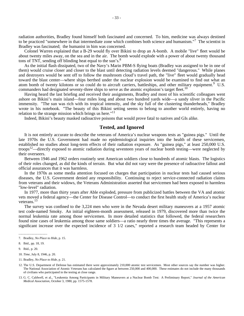radiation authorities, Bradley found himself both fascinated and concerned. To him, medicine was always destined to be practiced "somewhere in that intermediate zone which combines both science and humanism."<sup>7</sup> The scientist in Bradley was fascinated; the humanist in him was concerned.

Colonel Warren explained that a B-29 would fly over Bikini to drop an A-bomb. A mobile "live" fleet would be about twenty miles away, on the sea and in the air. The bomb would explode with a power of about twenty thousand tons of TNT, sending off blinding heat equal to the sun's. $8$ 

As the initial flash dissipated, two of the Navy's Marin PBM-S flying boats (Bradley was assigned to be in one of them) would cruise closer and closer to the blast until detecting radiation levels deemed "dangerous." While planes and destroyers would be sent off to follow the mushroom cloud's travel path, the "live" fleet would gradually head toward the blast center—where ships berthed under the nuclear explosion would be examined to find out what an atom bomb of twenty kilotons or so could do to aircraft carriers, battleships, and other military equipment.<sup>9</sup> U.S. commanders had designated seventy-three ships to serve as the atomic explosion's target fleet.<sup>10</sup>

Having heard the last briefing and received their assignments, Bradley and most of his scientific colleagues went ashore on Bikini's main island—four miles long and about two hundred yards wide—a sandy sliver in the Pacific immensity. "The sun was rich with its tropical intensity, and the sky full of the clustering thunderheads," Bradley wrote in his notebook. "The beauty of this Bikini setting seems to belong to another world entirely, having no relation to the strange mission which brings us here." $11$ 

Indeed, Bikini's beauty masked radioactive poisons that would prove fatal to natives and GIs alike.

#### **Tested, and Ignored**

It is not entirely accurate to describe the veterans of America's nuclear weapons tests as "guinea pigs." Until the late 1970s the U.S. Government had made no epidemiological inquiries into the health of these servicemen, established no studies about long-term effects of their radiation exposure. As "guinea pigs," at least 250,000 U.S. troops12—directly exposed to atomic radiation during seventeen years of nuclear bomb testing—were neglected by their overseers.

Between 1946 and 1962 orders routinely sent American soldiers close to hundreds of atomic blasts. The logistics of their roles changed, as did the kinds of terrain. But what did not vary were the presence of radioactive fallout and official assurances that it was harmless.

In the 1970s as some media attention focused on charges that participation in nuclear tests had caused serious diseases, the U.S. Government denied any responsibility. Continuing to reject service-connected radiation claims from veterans and their widows, the Veterans Administration asserted that servicemen had been exposed to harmless "low-level" radiation.

In 1977, more than thirty years after Able exploded, pressure from publicized battles between the VA and atomic vets moved a federal agency—the Center for Disease Control—to conduct the first health study of America's nuclear veterans.13

The survey was confined to the 3,224 men who were in the Nevada desert military maneuvers at a 1957 atomic test code-named Smoky. An initial eighteen-month assessment, released in 1979, discovered more than twice the normal leukemia rate among those servicemen. In more detailed statistics that followed, the federal researchers found nine cases of leukemia among those same soldiers—a ratio nearly three times the average. "This represents a significant increase over the expected incidence of 3 1/2 cases," reported a research team headed by Center for

hhhhhhhhhhhhhhhhhh

<sup>7.</sup> Bradley, *No Place to Hide,* p. 15.

<sup>8.</sup> Ibid., pp. 18, 19.

<sup>9.</sup> Ibid., p. 20.

<sup>10.</sup> *Time,* July 8, 1946, p. 20.

<sup>11.</sup> Bradley, *No Place to Hide,* p. 21.

<sup>12.</sup> The U.S. Department of Defense has estimated there were approximately 210,000 atomic test servicemen. Most other sources say the number was higher. The National Association of Atomic Veterans has calculated the figure at between 250,000 and 400,000. These estimates do not include the many thousands of civilians who participated in the testing at close range.

<sup>13.</sup> G. C. Caldwell, et al., "Leukemia Among Participants in Military Maneuvers at a Nuclear Bomb Test: A Preliminary Report," *Journal of the American Medical Association,* October 3, 1980, pp. 1575-1578.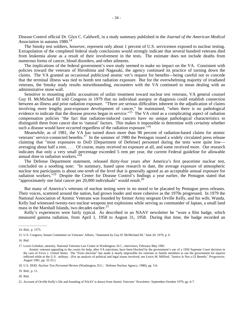Disease Control official Dr. Glyn C. Caldwell, in a study summary published in the *Journal of the American Medical Association* in autumn 1980.<sup>14</sup>

The Smoky test soldiers, however, represent only about 1 percent of U.S. servicemen exposed to nuclear testing. Extrapolation of the completed federal study conclusions would strongly indicate that several hundred veterans died from leukemia alone as a result of their involvement in the tests. The estimate does not include deaths from numerous forms of cancer, blood disorders, and other ailments.

The implications of the federal government's own study seemed to make no impact on the VA. Consistent with policies toward the veterans of Hiroshima and Nagasaki, the agency continued its practice of turning down the claims. The VA granted an occasional publicized atomic vet's request for benefits—being careful not to concede that the terminal illness was tied to bomb test radiation exposure. But for the overwhelming majority of irradiated veterans, the Smoky study results notwithstanding, encounters with the VA continued to mean dealing with an administrative stone wall.

Sensitive to mounting public accusations of unfair treatment toward nuclear test veterans, VA general counsel Guy H. McMichael III told Congress in 1979 that no individual autopsy or diagnosis could establish connection between an illness and prior radiation exposure. "There are serious difficulties inherent in the adjudication of claims involving more lengthy post-exposure development of cancer," he maintained, "when there is no pathological evidence to indicate that the disease process began in service."<sup>15</sup> The VA cited as a complicating aspect of radiation compensation policies "the fact that radiation-induced cancers have no unique pathological characteristics to distinguish them from cancer due to 'natural' factors. This makes it impossible to determine with *certainty* whether such a disease would have occurred regardless of the radiation exposure.<sup>"16</sup>

Meanwhile, as of 1981, the VA has turned down more than 98 percent of radiation-based claims for atomic veterans' service-connected benefits.<sup>17</sup> In the summer of 1980 the Pentagon issued a widely circulated press release claiming that "most exposures to DoD [Department of Defense] personnel during the tests were quite low averaging about half a rem. . . . Of course, many received no exposure at all, and some received more. Our research indicates that only a very small percentage exceeded 5 rem per year, the current Federal guideline for allowable annual dose to radiation workers."<sup>18</sup>

The Defense Department statement, released thirty-four years after America's first peacetime nuclear test, concluded on a soothing note: "In summary, based upon research to date, the average exposure of atmospheric nuclear test participants is about *one-tenth* of the level that is generally agreed as an acceptable annual exposure for radiation workers.<sup>"19</sup> Despite the Center for Disease Control's findings a year earlier, the Pentagon stated that "approximately one fatal cancer per 20,000 individuals" would result.<sup>20</sup>

But many of America's veterans of nuclear testing were in no mood to be placated by Pentagon press releases. Their voices, scattered around the nation, had grown louder and more cohesive as the 1970s progressed. In 1979 the National Association of Atomic Veterans was founded by former Army sergeant Orville Kelly, and his wife, Wanda. Kelly had witnessed twenty-two nuclear weapons test explosions while serving as commander of Japtan, a small land mass in the Marshall Islands, two decades earlier.<sup>21</sup>

Kelly's experiences were fairly typical. As described in an NAAV newsletter he "wore a film badge, which measured gamma radiation, from April 1, 1958 to August 31, 1958. During that time, the badge recorded an

hhhhhhhhhhhhhhhhhh

19. Ibid., p. 11.

20. Ibid.

<sup>14.</sup> Ibid., p. 1575.

<sup>15.</sup> U.S. Congress, Senate Committee on Veterans' Affairs, "Statement by Guy H. McMichael III," June 20, 1979, p. 6.

<sup>16.</sup> Ibid.

<sup>17.</sup> Lewis Golinker, attorney, National Veterans Law Center in Washington, D.C., interviews, February-May 1981.

Atomic veterans appealing to the courts for help, after VA rejections, have been blocked by the government's use of a 1950 Supreme Court decision in the case of *Feres v. United States*. The "Feres doctrine" has made it nearly impossible for veterans or family members to sue the government for injuries inflicted while in the U.S. military. (For an analysis of political and legal issues involved, see Lewis M. Milford, "Justice Is Not a GI Benefit," *Progressive,* August 1981, pp. 32-35.)

<sup>18.</sup> U.S. DOD, *Nuclear Test Personnel Review* (Washington, D.C.: Defense Nuclear Agency, 1980), pp. 5-6.

<sup>21.</sup> Account of Orville Kelly's life and founding of NAAV is drawn from *Atomic Veterans' Newsletter,* September-October 1979, pp. 6-7.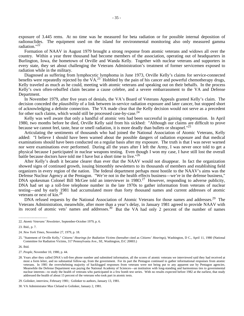exposure of 3.445 rems. At no time was he measured for beta radiation or for possible internal deposition of radionuclides. The equipment used on the island for environmental monitoring also only measured gamma radiation."<sup>22</sup>

Formation of NAAV in August 1979 brought a strong response from atomic veterans and widows all over the country. Within a year three thousand had become members of the association, operating out of headquarters in Burlington, Iowa, the hometown of Orville and Wanda Kelly. Together with nuclear veterans and supporters in every state, they set about challenging the Veterans Administration's treatment of former servicemen exposed to radiation while in the military.

Diagnosed as suffering from lymphocytic lymphoma in June 1973, Orville Kelly's claims for service-connected benefits were repeatedly rejected by the VA.<sup>23</sup> Hobbled by the pain of his cancer and powerful chemotherapy drugs, Kelly traveled as much as he could, meeting with atomic veterans and speaking out on their behalfs. In the process Kelly's own often-rebuffed claim became a cause celebre, and a severe embarrassment to the VA and Defense Department.

In November 1979, after five years of denials, the VA's Board of Veterans Appeals granted Kelly's claim. The decision conceded the *plausibility* of a link between in-service radiation exposure and later cancer, but stopped short of acknowledging a definite connection. The VA made clear that the Kelly decision would not serve as a precedent for other such claims, which would still be processed case-by-case. $^{24}$ 

Kelly was well aware that only a handful of atomic vets had been successful in gaining compensation. In April 1980, two months before he died, Orville Kelly said from his sickbed: "Although our claims are difficult to prove because we cannot feel, taste, hear or smell radiation, it is more deadly than bullets or shrapnel."<sup>25</sup>

Articulating the sentiments of thousands who had joined the National Association of Atomic Veterans, Kelly added: "I believe I should have been warned about the possible dangers of radiation exposure and that medical examinations should have been conducted on a regular basis after my exposure. The truth is that I was never warned nor were examinations ever performed. During all the years after I left the Army, I was never once told to get a physical because I participated in nuclear weapons testing. Even though I won my case, I have still lost the overall battle because doctors have told me I have but a short time to live."<sup>26</sup>

After Kelly's death it became clearer than ever that the NAAV would not disappear. In fact the organization showed signs of continued growth, issuing bimonthly newsletters to its thousands of members and establishing field organizers in every region of the nation. The federal department perhaps most hostile to the NAAV's aims was the Defense Nuclear Agency at the Pentagon. "We're not in the health effects business—we're in the defense business," DNA spokesman Colonel Bill McGee told an interviewer in 1980.<sup>27</sup> However, responding to adverse publicity, DNA had set up a toll-free telephone number in the late 1970s to gather information from veterans of nuclear testing—and by early 1981 had accumulated more than forty thousand names and current addresses of atomic veterans or next of kin.<sup>28</sup>

DNA refused requests by the National Association of Atomic Veterans for those names and addresses.<sup>29</sup> The Veterans Administration, meanwhile, after more than a year's delay, in January 1981 agreed to provide NAAV with its record of atomic vets' names and addresses.<sup>30</sup> But the VA had only 2 percent of the number of names

hh<del>ahaa ka badaa ka badaa ka badaa ka badaa ka badaa ka badaa ka badaa ka badaa ka badaa ka badaa ka badaa ka bada</del>

26. Ibid.

<sup>22.</sup> *Atomic Veterans' Newsletter,* September-October 1979, p. 6.

<sup>23.</sup> Ibid., p. 7.

<sup>24.</sup> *New York Times,* November 27, 1979, p. 18.

<sup>25. &</sup>quot;Statement of Orville Kelly," *Citizens' Hearings for Radiation Victims* (hereafter cited as *Citizens' Hearings*), Washington, D C., April 11, 1980 (National Committee for Radiation Victims, 317 Pennsylvania Ave., SE, Washington, D.C 20003.)

<sup>27.</sup> *People,* November 10, 1980, p. 44.

<sup>28.</sup> Years after they called DNA's toll-free phone number and submitted information, all the scores of atomic veterans we interviewed said they had received at most a form letter, and no substantial follow-up, from the government. For its part the Pentagon continued to gather informational responses from atomic veterans. In 1981 the overwhelming majority of backlogged responses from veterans were not being put to any apparent use by Pentagon agencies. Meanwhile the Defense Department was paying the National Academy of Sciences—an institution with long-standing and harmonious ties to governmental nuclear interests—to study the health of veterans who participated in a few bomb test series. With no results expected before 1982 at the earliest, that study addressed the health of about 15 percent of the veterans who took part in atomic tests.

<sup>29.</sup> Golinker, interview, February 1981; Golinker to authors, January 13, 1981.

<sup>30.</sup> VA Administrator Max Cleland to Golinker, January 2, 1981.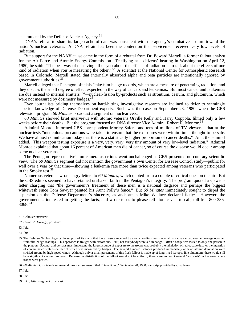accumulated by the Defense Nuclear Agency.<sup>31</sup>

DNA's refusal to share its large cache of data was consistent with the agency's combative posture toward the nation's nuclear veterans. A DNA refrain has been the contention that servicemen received very low levels of radiation.

But support for the NAAV cause came in the form of a rebuttal from Dr. Edward Martell, a former fallout analyst for the Air Force and Atomic Energy Commission. Testifying at a citizens' hearing in Washington on April 12, 1980, he said: "The best way of deceiving all of you about the effects of radiation is to talk about the effects of one kind of radiation when you're measuring the other."<sup>32</sup> A scientist at the National Center for Atmospheric Research based in Colorado, Martell stated that internally absorbed alpha and beta particles are intentionally ignored by government authorities.<sup>33</sup>

Martell alleged that Pentagon officials "take film badge records, which are a measure of penetrating radiation, and they discuss the small degree of effect expected in the way of cancers and leukemias. But most cancer and leukemias are due instead to internal emitters<sup>"34</sup>—nuclear-fission by-products such as strontium, cesium, and plutonium, which were not measured by dosimetry badges.<sup>35</sup>

Even journalists priding themselves on hard-hitting investigative research are inclined to defer to seemingly superior knowledge of Defense Department experts. Such was the case on September 28, 1980, when the CBS television program *60 Minutes* broadcast a segment on nuclear vets.

*60 Minutes* showed brief interviews with atomic veterans Orville Kelly and Harry Coppola, filmed only a few weeks before their deaths. But the program focused on DNA director Vice Admiral Robert R. Monroe.<sup>36</sup>

Admiral Monroe informed CBS correspondent Morley Safer—and tens of millions of TV viewers—that at the nuclear tests "meticulous precautions were taken to ensure that the exposures were within limits thought to be safe. We have almost no indication today that there is a statistically higher proportion of cancer deaths." And, the admiral added, "This weapon testing exposure is a very, very, very, very tiny amount of very low-level radiation." Admiral Monroe explained that about 16 percent of American men die of cancer, so of course the disease would occur among some nuclear veterans.<sup>37</sup>

The Pentagon representative's on-camera assertions went unchallenged as CBS presented no contrary scientific view. The *60 Minutes* segment did not mention the government's own Center for Disease Control study—public for well over a year by that time—showing a leukemia rate more than twice expected among veterans who participated in the Smoky test.<sup>38</sup>

Numerous veterans wrote angry letters to *60 Minutes,* which quoted from a couple of critical ones on the air. But the CBS editors seemed to have retained unshaken faith in the Pentagon's integrity. The program quoted a viewer's letter charging that "the government's treatment of these men is a national disgrace and perhaps the biggest whitewash since Tom Sawyer painted his Aunt Polly's fence." But *60 Minutes* immediately sought to dispel the aspersion on the Defense Department's sincerity, as anchorman Mike Wallace declared flatly: "However, the government is interested in getting the facts, and wrote to us to please tell atomic vets to call, toll-free 800-336- 3068."<sup>39</sup>

33. Ibid.

34. Ibid.

36. *60 Minutes,* CBS television network program segment titled "Time Bomb," September 28, 1980, transcript provided by CBS News.

37. Ibid.

38. Ibid.

39. Ibid., letters segment broadcast.

hh<del>ahaa ka badaa ka badaa ka badaa ka badaa ka badaa ka badaa ka badaa ka badaa ka badaa ka badaa ka badaa ka b</del> 31. Golinker interview.

<sup>32.</sup> *Citizens' Hearings,* pp. 26-28.

<sup>35.</sup> The Defense Nuclear Agency, in support of its claim that the exposure received by atomic soldiers was too small to cause cancer, uses an average obtained from film-badge readings. This approach is fraught with distortions. First, not everybody wore a film badge. Often a badge was issued to only one person in the platoon. Second, and perhaps most important, the largest source of exposure to the troops was probably the inhalation of radioactive dust, or the ingestion of contaminated water—neither of which was measured by badges. The several hundred isotopes produced immediately after an atomic detonation were swirled around by high-speed winds. Although only a small percentage of this fresh fallout is made up of long-lived isotopes like plutonium, there would still be a significant amount produced. Because the distribution of the fallout would not be uniform, there were no doubt several "hot spots" in the areas where troops were posted.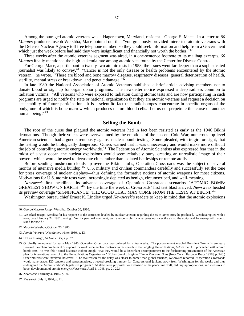Among the outraged atomic veterans was a Hagerstown, Maryland, resident—George E. Mace. In a letter to *60 Minutes* producer Joseph Wershba, Mace pointed out that "you graciously provided interested atomic veterans with the Defense Nuclear Agency toll free telephone number, so they could seek information and help from a Government which just the week before had said they were insignificant and financially not worth the bother.<sup>"40</sup>

Three weeks after the atomic veterans segment was aired, in a one-sentence footnote to its mailbag excerpts, *60 Minutes* finally mentioned the high leukemia rate among atomic vets found by the Center for Disease Control.

For George Mace, a participant in twenty-two atomic tests in 1958, the issues went far deeper than a sophisticated journalist was likely to convey.<sup>41</sup> "Cancer is not the only disease or health problems encountered by the atomic veteran," he wrote. "There are blood and bone marrow diseases, respiratory diseases, general deterioration of health, sterility, mental stress or breakdown, and genetic damage. $142$ 

In late 1980 the National Association of Atomic Veterans published a brief article advising members not to donate blood or sign up for organ donor programs. The newsletter notice expressed a deep sadness common to radiation victims: "All veterans who were exposed to radiation during atomic tests and are now participating in such programs are urged to notify the state or national organization that they are atomic veterans and request a decision on acceptability of future participation. It is a scientific fact that radioisotopes concentrate in specific organs of the body, one of which is bone marrow which produces mature blood cells. Let us not perpetrate this curse on another human being!"<sup>43</sup>

### **Selling the Bomb**

The root of the curse that plagued the atomic veterans had in fact been resisted as early as the 1946 Bikini detonations. Though their voices were overwhelmed by the emotions of the nascent Cold War, numerous top-level American scientists had argued strenuously against nuclear bomb testing. Some pleaded, with tragic foresight, that the testing would be biologically dangerous. Others warned that it was unnecessary and would make more difficult the job of controlling atomic energy worldwide.<sup>44</sup> The Federation of Atomic Scientists also expressed fear that in the midst of a vast ocean, the nuclear explosions would seem relatively puny, creating an unrealistic image of their power—which would be used to devastate cities rather than isolated battleships or remote atolls.

Before sending mushroom clouds up over the Bikini atolls, Operation Crossroads was the subject of several months of intensive media buildup.<sup>45</sup> U.S. military and civilian commanders carefully and successfully set the tone for press coverage of nuclear displays—thus defining the formative notions of atomic weapons for most citizens. Motivations for U.S. atomic tests were increasingly depicted as benign, circumscribed, and well-meaning.

*Newsweek* first headlined its advance coverage of Operation Crossroads scenarios "ATOMIC BOMB: GREATEST SHOW ON EARTH."46 By the time the week of Crossroads' first test blast arrived, *Newsweek* headed its preview coverage "SIGNIFICANCE: THE GOOD THAT MAY COME FROM THE TESTS AT BIKINI."<sup>47</sup>

Washington bureau chief Ernest K. Lindley urged *Newsweek*'s readers to keep in mind that the atomic explosions

<sup>40.</sup> George Mace to Joseph Wershba, October 20, 1980.

<sup>41.</sup> We asked Joseph Wershba for his response to the criticisms leveled by nuclear veterans regarding the *60 Minutes* story he produced. Wershba replied with a note, dated January 22, 1981, saying: "As for personal comment, we're responsible for what goes out over the air so the script and follow-up will have to stand for itself."

<sup>42.</sup> Mace to Wershba, October 20, 1980.

<sup>43.</sup> *Atomic Veterans' Newsletter,* winter 1980, p. 13.

<sup>44.</sup> Uhl and Ensign, *GI Guinea Pigs,* p. 37.

<sup>45.</sup> Originally announced for early May 1946, Operation Crossroads was delayed for a few weeks. The postponement enabled President Truman's emissary Bernard Baruch to proclaim U.S. support for worldwide nuclear controls, in his speech to the fledgling United Nations, *before* the U.S. proceeded with atomic bomb tests; "it was felt," noted historian Robert Jungk, "that they would be a discordant accompaniment to the forthcoming presentation of the American plan for international control to the United Nations Organization" (Robert Jungk, *Brighter Than a Thousand Suns* [New York: Harcourt Brace 1958], p. 240.) Other motives were involved, however. "The real reason for the delay was closer to home" than global tensions, *Newsweek* reported. "Operation Crossroads would have drawn 120 senators and representatives, a record-breaking number for Congressional junkets, away from Washington for six weeks and thus endangered the Administration's legislative program." At stake were proposals for extension of the peacetime draft, military appropriations, and measures to boost development of atomic energy. (*Newsweek,* April 1, 1946, pp. 21-22.)

<sup>46.</sup> *Newsweek,* February 4, 1946, p. 30.

<sup>47.</sup> *Newsweek,* July 1, 1946, p. 21.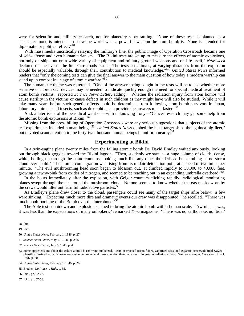were for scientific and military research, not for planetary saber-rattling: "None of these tests is planned as a spectacle; none is intended to show the world what a powerful weapon the atom bomb is. None is intended for diplomatic or political effect."48

With mass media uncritically relaying the military's line, the public image of Operation Crossroads became one of self-defense and even humanitarianism. "The Bikini tests are set up to measure the effects of atomic explosions, not only on ships but on a wide variety of equipment and military ground weapons and on life itself," *Newsweek* declared on the eve of the first Crossroads blast. "The tests on animals, at varying distances from the explosion should be especially valuable, through their contribution to medical knowledge."49 *United States News* informed readers that "only the coming tests can give the final answer to the main question of how today's modern warship can stand up in combat in an age of atomic warfare."<sup>50</sup>

The humanistic theme was reiterated. "One of the answers being sought in the tests will be to see whether more sensitive or more exact devices may be needed to indicate quickly enough the need for special medical treatment of atom bomb victims," reported *Science News Letter,* adding: "Whether the radiation injury from atom bombs will cause sterility in the victims or cause defects in such children as they might have will also be studied. While it will take many years before such genetic effects could be determined from following atom bomb survivors in Japan, laboratory animals and insects, such as drosophila, can provide the answers much faster."<sup>51</sup>

And, a later issue of the periodical went on—with unknowing irony—"Cancer research may get some help from the atomic bomb explosions at Bikini."<sup>52</sup>

Missing from the press billing of Operation Crossroads were any serious suggestions that subjects of the atomic test experiments included human beings.<sup>53</sup> *United States News* dubbed the blast target ships the "guinea-pig fleet," but devoted scant attention to the forty-two thousand human beings in uniform nearby.<sup>54</sup>

#### **Experimenting at Bikini**

In a twin-engine plane twenty miles from the falling atomic bomb Dr. David Bradley waited anxiously, looking out through black goggles toward the Bikini lagoon. "Then, suddenly we saw it—a huge column of clouds, dense, white, boiling up through the strato-cumulus, looking much like any other thunderhead but climbing as no storm cloud ever could." The atomic conflagration was rising from its midair detonation point at a speed of two miles per minute. "The evil mushrooming head soon began to blossom out. It climbed rapidly to 30,000 to 40,000 feet, growing a tawny-pink from oxides of nitrogen, and seemed to be reaching out in an expanding umbrella overhead."<sup>55</sup>

In the hours immediately after the explosion, with Geiger counters clicking rapidly, radiological monitoring planes swept through the air around the mushroom cloud. No one seemed to know whether the gas masks worn by the crews would filter out harmful radioactive particles.<sup>56</sup>

As Bradley's plane drew closer to the cloud, passengers could see many of the target ships afire below; a few were sinking. "Expecting much more dire and dramatic events our crew was disappointed," he recalled. "There was much pooh-poohing of the Bomb over the interphone."<sup>57</sup>

The Able test countdown and explosion seemed to bring the atomic bomb within human scale. "Awful as it was, it was less than the expectations of many onlookers," remarked *Time* magazine. "There was no earthquake, no 'tidal'

<sup>48.</sup> Ibid.

<sup>49.</sup> Ibid.

<sup>50.</sup> *United States News,* February 1, 1946, p. 27.

<sup>51.</sup> *Science News Letter,* May 11, 1946, p. 294.

<sup>52.</sup> *Science News Letter,* July 6, 1946, p. 4.

<sup>53.</sup> Some apprehensions about the Bikini atomic blasts were publicized. Fears of cracked ocean floors, vaporized seas, and gigantic oceanwide tidal waves plausibly destined to be disproved—received more general press attention than the issue of long-term radiation effects. See, for example, *Newsweek,* July 1, 1946, p. 20.

<sup>54.</sup> *United States News,* February 1, 1946, p. 26.

<sup>55.</sup> Bradley, *No Place to Hide,* p. 55.

<sup>56.</sup> Ibid., pp. 22-23.

<sup>57.</sup> Ibid., pp. 57-58.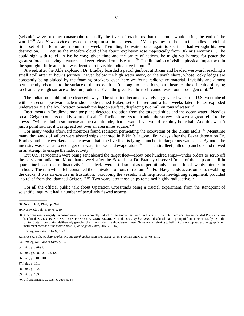(seismic) wave or other catastrophe to justify the fears of crackpots that the bomb would bring the end of the world."58 And *Newsweek* expressed some optimism in its coverage: "Man, pygmy that he is in the endless stretch of time, set off his fourth atom bomb this week. Trembling, he waited once again to see if he had wrought his own destruction. . . . Yet, as the macabre cloud of his fourth explosion rose majestically from Bikini's environs . . . he could sigh with relief. Alive he was; given time and the sanity of nations, he might yet harness for peace the greatest force that living creatures had ever released on this earth."<sup>59</sup> The limitation of visible physical impact was in the spotlight; little attention was devoted to invisible radioactive fallout.<sup>60</sup>

A week after the Able explosion Dr. Bradley boarded a patrol gunboat at Bikini and headed westward, reaching a small atoll after an hour's journey. "Even below the high water mark, on the south shore, whose rocky ledges are constantly being sluiced by the foaming breakers, even here we found radioactive material, invisibly and almost permanently adsorbed to the surface of the rocks. It isn't enough to be serious, but illustrates the difficulty of trying to clean any rough surface of fission products. Even the great Pacific itself cannot wash out a roentgen of it."<sup>61</sup>

The radiation could not be cleansed away. The situation became severely aggravated when the U.S. went ahead with its second postwar nuclear shot, code-named Baker, set off three and a half weeks later. Baker exploded underwater at a shallow location beneath the lagoon surface, displacing two million tons of water. $62$ 

Instruments in Bradley's monitor plane detected radiation from the targeted ships and the ocean water. Needles on all Geiger counters quickly went off scale.<sup>63</sup> Radioed orders to abandon the survey task were a great relief to the crews—"with radiation so intense at such an altitude, that at water level would certainly be lethal. And this wasn't just a point source, it was spread out over an area miles square."<sup>64</sup>

For many weeks afterward monitors found radiation permeating the ecosystem of the Bikini atolls.<sup>65</sup> Meantime many thousands of sailors were aboard ships anchored in Bikini's lagoon. Four days after the Baker detonation Dr. Bradley and his coworkers became aware that "the live fleet is lying at anchor in dangerous water. . . . By noon the intensity was such as to endanger our water intakes and evaporators."<sup>66</sup> The entire fleet pulled up anchors and moved in an attempt to escape the radioactivity.<sup>67</sup>

But U.S. servicemen were being sent aboard the target fleet—about one hundred ships—under orders to scrub off the persistent radiation. More than a week after the Baker blast Dr. Bradley observed "most of the ships are still in quarantine because of radioactivity." The decks were "still so hot as to permit only short shifts of twenty minutes to an hour. The rain which fell contained the equivalent of tons of radium.<sup>"68</sup> For Navy hands accustomed to swabbing the decks, it was an exercise in frustration. Scrubbing the vessels, with help from fire-fighting equipment, provided "no relief from the 'damned Geigers.'"<sup>69</sup> Two years later those ships remained highly radioactive.<sup>70</sup>

For all the official public talk about Operation Crossroads being a crucial experiment, from the standpoint of scientific inquiry it had a number of peculiarly flawed aspects.

hhhhhhhhhhhhhhhhhh

68. Ibid., p. 102.

70. Uhl and Ensign, *GI Guinea Pigs,* p. 44.

<sup>58.</sup> *Time,* July 8, 1946, pp. 20-21.

<sup>59.</sup> *Newsweek,* July 8, 1946, p. 19.

<sup>60.</sup> American media eagerly lacquered events even indirectly linked to the atomic test with thick coats of patriotic heroism. An Associated Press article headlined "SCIENTISTS RISK LIVES TO SAVE ATOMIC SECRETS" in the *Los Angeles Times*—disclosed that "a group of famous scientists flying to the United States from Bikini, deliberately gambled their lives today in a thunderstorm over Nebraska by refusing to bail out to save top secret photographic and instrument records of the atomic blast." (*Los Angeles Times,* July 5, 1946.)

<sup>61.</sup> Bradley, *No Place to Hide,* p. 73.

<sup>62.</sup> Bruce A. Bolt, *Nuclear Explosions and Earthquakes* (San Francisco: W. H. Freeman and Co., 1976), p. iv.

<sup>63.</sup> Bradley, *No Place to Hide*. p. 95.

<sup>64.</sup> Ibid., pp. 96-97.

<sup>65.</sup> Ibid., pp. 98, 107-108, 126.

<sup>66.</sup> Ibid., pp. 100-101.

<sup>67.</sup> Ibid., p. 101.

<sup>69.</sup> Ibid., p. 103.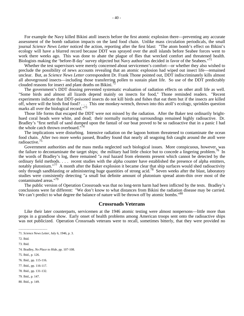For example the Navy killed Bikini atoll insects before the first atomic explosion there—preventing any accurate assessment of the bomb radiation impacts on the land food chain. Unlike mass circulation periodicals, the small journal *Science News Letter* noticed the action, reporting after the first blast: "The atom bomb's effect on Bikini's ecology will have a blurred record because DDT was sprayed over the atoll islands before Seabee forces went to work there weeks ago. This was done to abate the plague of flies that wrecked comfort and threatened health. Biologists making the 'before-B day' survey objected but Navy authorities decided in favor of the Seabees."<sup>71</sup>

Whether the test supervisors were merely concerned about servicemen's comfort—or whether they also wished to preclude the possibility of news accounts revealing that an atomic explosion had wiped out insect life—remained unclear. But, as *Science News Letter* correspondent Dr. Frank Thone pointed out, DDT indiscriminately kills almost all aboveground insects—including those transferring pollen to sustain plant life. So use of the DDT predictably clouded reasons for insect and plant deaths on Bikini.<sup>7</sup>

The government's DDT dousing prevented systematic evaluation of radiation effects on other atoll life as well. "Some birds and almost all lizards depend mainly on insects for food," Thone reminded readers. "Recent experiments indicate that DDT-poisoned insects do not kill birds and fishes that eat them but if the insects are killed off, where will the birds find food? . . . This one monkey-wrench, thrown into this atoll's ecology, sprinkles question marks all over the biological record."<sup>73</sup>

Those life forms that escaped the DDT were not missed by the radiation. After the Baker test ordinarily brighthued coral heads were white, and dead; their normally nurturing surroundings remained highly radioactive. Dr. Bradley's "first netfull of sand dumped upon the fantail of our boat proved to be so radioactive that in a panic I had the whole catch thrown overboard."<sup>74</sup>

The implications were disturbing. Intensive radiation on the lagoon bottom threatened to contaminate the ocean food chain. After two more weeks passed, Bradley found that nearly all seagoing fish caught around the atoll were radioactive.<sup>75</sup>

Government authorities and the mass media neglected such biological issues. More conspicuous, however, was the failure to decontaminate the target ships; the military had little choice but to concede a lingering problem.<sup>76</sup> In the words of Bradley's log, there remained "a real hazard from elements present which cannot be detected by the ordinary field methods. . . . recent studies with the alpha counter have established the presence of alpha emitters, notably plutonium."<sup>77</sup> A month after the Baker explosion it became clear that ship surfaces would shed radioactivity only through sandblasting or administering huge quantities of strong acid.<sup>78</sup> Seven weeks after the blast, laboratory studies were consistently detecting "a small but definite amount of plutonium spread atom-thin over most of the contaminated areas."79

The public version of Operation Crossroads was that no long-term harm had been inflicted by the tests. Bradley's conclusions were far different: "We don't know to what distances from Bikini the radiation disease may be carried. We can't predict to what degree the balance of nature will be thrown off by atomic bombs."<sup>80</sup>

### **Crossroads Veterans**

Like their later counterparts, servicemen at the 1946 atomic testing were almost nonpersons—little more than props in a grandiose show. Early onset of health problems among American troops sent onto the radioactive ships was not publicized. Operation Crossroads veterans were to recall, sometimes bitterly, that they were provided no

- 78. Ibid., pp. 131-132.
- 79. Ibid., p. 147.
- 80. Ibid., p. 149.

<sup>71.</sup> *Science News Letter,* July 6, 1946, p. 3.

<sup>72.</sup> Ibid.

<sup>73.</sup> Ibid.

<sup>74.</sup> Bradley, *No Place to Hide,* pp. 107-108.

<sup>75.</sup> Ibid., p. 126.

<sup>76.</sup> Ibid., pp. 115-116.

<sup>77.</sup> Ibid., pp. 116-117.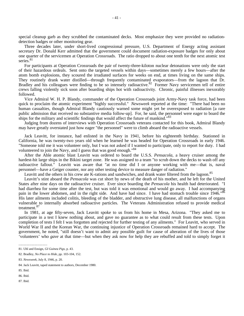special cleanup garb as they scrubbed the contaminated decks. Most emphasize they were provided no radiationdetection badges or other monitoring gear.

Three decades later, under short-lived congressional pressure, U.S. Department of Energy acting assistant secretary Dr. Donald Kerr admitted that the government could document radiation-exposure badges for only about one quarter of the servicemen at Operation Crossroads. The ratio dropped to about one tenth for the next atomic test series.<sup>81</sup>

For participants at Operation Crossroads the pair of twenty-three-kiloton nuclear detonations were only the start of their hazardous ordeals. Sent onto the targeted vessels within days—sometimes merely a few hours—after the atom bomb explosions, they scoured the irradiated surfaces for weeks on end, at times living on the same ships. They routinely drank water distilled—through frequently contaminated evaporators—from the lagoon that Dr. Bradley and his colleagues were finding to be so intensely radioactive.<sup>82</sup> Former Navy servicemen tell of entire crews falling violently sick soon after boarding ships hot with radioactivity. Chronic, painful illnesses inexorably followed.

Vice Admiral W. H. P. Blandy, commander of the Operation Crossroads joint Army-Navy task force, had been quick to proclaim the atomic experiment "highly successful." *Newsweek* reported at the time: "There had been no human casualties, though Admiral Blandy cautiously warned some might yet be overexposed to radiation [a rare public admission that received no substantive media follow-up]. For, he said, the personnel were eager to board the ships for the military and scientific findings that would affect the future of mankind.<sup>"83</sup>

Judging from dozens of interviews with Operation Crossroads veterans contacted for this book, Admiral Blandy may have greatly overstated just how eager "the personnel" were to climb aboard the radioactive vessels.

Jack Leavitt, for instance, had enlisted in the Navy in 1941, before his eighteenth birthday. Stationed in California, he was twenty-two years old when he learned he was headed for Operation Crossroads in early 1946. "Someone told me it was volunteer only, but I was not asked if I wanted to participate, only to report for duty. I had volunteered to join the Navy, and I guess that was good enough."<sup>84</sup>

After the Able atomic blast Leavitt was ordered to board the U.S.S. *Pensacola,* a heavy cruiser among the hardest-hit large ships in the Bikini target zone. He was assigned to a team "to scrub down the decks to wash off any radioactive fallout." Leavitt was aware that "at no time did I or anyone working with me—that is, naval personnel—have a Geiger counter, nor any other testing device to measure danger of radiation."

Leavitt and the others in his crew ate K-rations and sandwiches, and drank water filtered from the lagoon.<sup>85</sup>

Leavitt's stint aboard the *Pensacola* was cut short by news of the death of his mother, and he left for the United States after nine days on the radioactive cruiser. Ever since boarding the *Pensacola* his health had deteriorated. "I had diarrhea for some time after the test, but was told it was emotional and would go away. I had accompanying pain in the lower abdomen, and in the right side. And have had since. I have had stomach trouble since 1946."<sup>86</sup> His later ailments included colitis, bleeding of the bladder, and obstructive lung disease, all malfunctions of organs vulnerable to internally absorbed radioactive particles. The Veterans Administration refused to provide medical treatment.<sup>87</sup>

In 1981, at age fifty-seven, Jack Leavitt spoke to us from his home in Mesa, Arizona. "They asked me to participate in a test I knew nothing about, and gave no guarantee as to what could result from these tests. Upon completion of tests I felt I was forgotten and rejected for further testing of any ailments." For Leavitt, who served in World War II and the Korean War, the continuing injustice of Operation Crossroads remained hard to accept. The government, he noted, "still doesn't want to admit any possible guilt for cause of alteration of the lives of those 'volunteers' who *gave* at that time—but when they ask now for help they are rebuffed and told to simply forget it

<sup>81.</sup> Uhl and Ensign, *GI Guinea Pigs,* p. 43.

<sup>82.</sup> Bradley, *No Place to Hide,* pp. 103-104, 152.

<sup>83.</sup> *Newsweek,* July 8, 1946, p. 20.

<sup>84.</sup> Jack Leavitt, taped statement to authors, December 1980.

<sup>85.</sup> Ibid.

<sup>86.</sup> Ibid.

<sup>87.</sup> Ibid.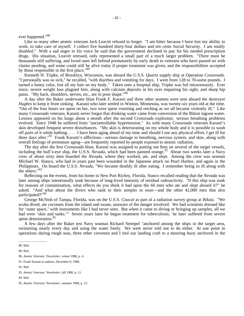ever happened."<sup>88</sup>

Like so many other atomic veterans Jack Leavitt refused to forget. "I am bitter because I have lost my ability to work, to take care of myself. I collect five hundred thirty-four dollars and ten cents Social Security. I am totally disabled." With a sad anger in his voice he said that the government declined to pay for his needed prescription drugs. His situation, Leavitt stressed, only represented a small part of a much larger problem. "There must be thousands still suffering, and loved ones left behind prematurely by early death to veterans who have passed on with claims pending, and some could still be alive today if proper treatment was given, and the responsibilities accepted by those responsible in the first place."<sup>89</sup>

Kenneth H. Tripke, of Brooklyn, Wisconsin, was aboard the U.S.S. *Quartz* supply ship at Operation Crossroads. "I personally was so sick," he recalled, "with diarrhea and vomiting for days. I went from 128 to 70-some pounds. I turned a funny color, lost all my hair on my body." Taken onto a hospital ship, Tripke was fed intravenously. Ever since, severe weight loss plagued him, along with calcium deposits in his eyes impairing his sight, and sharp hip pains. "My back, shoulders, nerves, etc., are in poor shape."<sup>90</sup>

A day after the Baker underwater blast Frank F. Karasti and three other seamen were sent aboard the destroyer *Hughes* to keep it from sinking. Karasti who later settled in Winton, Minnesota, was twenty-six years old at the time. "Out of the four hours we spent on her, two were spent vomiting and retching as we all became violently ill." Like many Crossroads veterans, Karasti never forgot that drinking water came from conversion of the Bikini lagoon water. Lesions appeared on his lungs about a month after the second Crossroads explosion; serious breathing problems evolved. Since 1948 he suffered from "uncontrollable hypertension." As with many Crossroads veterans Karasti's skin developed frequent severe disturbances. "My skin is deteriorating on my whole body and it is possible to wash off parts of it while bathing. . . . I have been aging ahead of my time and should I use any physical effort, I get ill for three days after."<sup>91</sup> Frank Karasti's afflictions—serious damage to breathing, nervous system, and skin, along with overall feelings of premature aging—are frequently reported by people exposed to atomic radiation.

The day after the first Crossroads blast, Karasti was assigned to putting out fires on several of the target vessels, including the bull's-eye ship, the U.S.S. *Nevada*, which had been painted orange.<sup>92</sup> About two weeks later a Navy crew of about sixty men boarded the *Nevada,* where they worked, ate, and slept. Among the crew was seaman Michael W. Stanco, who had in years past been wounded in the Japanese attack on Pearl Harbor, and again in the Philippines. On board the U.S.S. *Nevada,* "We became deathly ill after eating. I remember being so ill along with the others."<sup>93</sup>

Reflecting on the events, from his home in New Port Richey, Florida, Stanco recalled reading that the *Nevada* was later among ships intentionally sunk because of long-lived intensity of residual radioactivity. "If this ship was sunk for reasons of contamination, what effects do you think it had upon the 60 men who ate and slept aboard it?" he asked. "And what about the divers who sank to their armpits in ooze—and the other 42,000 men that also participated?"<sup>94</sup>

George McNish of Tampa, Florida, was on the U.S.S. *Coucal* as part of a radiation survey group at Bikini. "We scuba dived, ate coconuts from the island and swam, unaware of the danger involved. We had scientists dressed like for 'outer space,' with instruments like I had never seen. But when it came to diving or bringing up samples, all we had were 'skin and tanks.'" Seven years later he began treatment for tuberculosis; he later suffered from severe spine deterioration.<sup>95</sup>

A few days after the Baker test Navy seaman Richard Stempel "anchored among the ships in the target area, swimming nearly every day and using the water freely. We were never told not to do either. At one point in operations during rough seas, three other crewmen and I tied our landing craft to a mooring buoy anchored in the

hh<del>ahaa ka badaa ka badaa ka badaa ka badaa ka badaa ka badaa ka badaa ka badaa ka badaa ka badaa ka badaa ka bada</del>

94. Ibid.

<sup>88.</sup> Ibid.

<sup>89.</sup> Ibid.

<sup>90.</sup> *Atomic Veterans' Newsletter,* winter 1980, p. 4.

<sup>91.</sup> Frank Karasti to authors, December 8, 1980.

<sup>92.</sup> Ibid.

<sup>93.</sup> *Atomic Veterans' Newsletter,* fall 1980, p. 11.

<sup>95.</sup> *Atomic Veterans' Newsletter,* summer 1980, p. 13.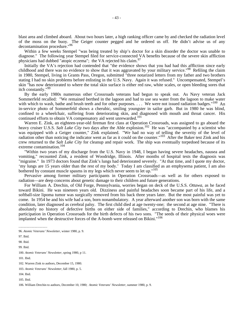blast area and climbed aboard. About two hours later, a high ranking officer came by and checked the radiation level of the moss on the buoy. The Geiger counter pegged and he ordered us off. He didn't advise us of any decontamination procedure."96

Within a few weeks Stempel "was being treated by ship's doctor for a skin disorder the doctor was unable to diagnose." The following year Stempel filed for service-connected VA benefits because of the severe skin affliction physicians had dubbed "atopic eczema"; the VA rejected his claim.<sup>97</sup>

Initially the VA's rejection had contended that "the evidence shows that you had had this affliction since early childhood and there was no evidence to show that it was aggravated by your military service."<sup>98</sup> Refiling the claim in 1980, Stempel, living in Grants Pass, Oregon, submitted "three notarized letters from my father and two brothers stating I had no skin problems before enlisting in the U.S. Navy. Again it was refused." Uncompensated, Stempel's skin "has now deteriorated to where the total skin surface is either red raw, white scales, or open bleeding sores that itch constantly."<sup>99</sup>

By the early 1980s numerous other Crossroads veterans had begun to speak out. As Navy veteran Jack Sommerfeld recalled: "We remained berthed in the lagoon and had to use sea water from the lagoon to make water with which to wash, bathe and brush teeth and for other purposes.  $\dots$  We were not issued radiation badges."<sup>100</sup> An in-service photo of Sommerfeld shows a cherubic, smiling youngster in sailor garb. But in 1980 he was blind, confined to a wheelchair, suffering from deteriorating skin, and diagnosed with mouth and throat cancer. His continued efforts to obtain VA compensatory aid went unrewarded.<sup>101</sup>

Warren E. Zink, an eighteen-year-old fireman first class at Operation Crossroads, was assigned to go aboard the heavy cruiser U.S.S. *Salt Lake City* two days after the Able explosion.<sup>102</sup> He was "accompanied by a scientist who was equipped with a Geiger counter," Zink explained. "We had no way of telling the severity of the level of radiation other than noticing the indicator went as far as it could on the counter."<sup>103</sup> After the Baker test Zink and his crew returned to the *Salt Lake City* for cleanup and repair work. The ship was eventually torpedoed because of its extreme contamination.<sup>104</sup>

"Within two years of my discharge from the U.S. Navy in 1948, I began having severe headaches, nausea and vomiting," recounted Zink, a resident of Woodridge, Illinois. After months of hospital tests the diagnosis was "migraine." In 1973 doctors found that Zink's lungs had deteriorated severely. "At that time, and I quote my doctor, 'my lungs are 15 years older than the rest of my body.' Today I am classified as an emphysema patient, I am also bothered by constant muscle spasms in my legs which never seem to let up."<sup>105</sup>

Pervasive among former military participants in Operation Crossroads—as well as for others exposed to radiation—are deep concerns about genetic damage to their children and future generations.

For William A. Drechin, of Old Forge, Pennsylvania, worries began on deck of the U.S.S. *Ottawa,* as he faced toward Bikini. He was nineteen years old. Dizziness and painful headaches soon became part of his life, and a softball-size lipoma tumor was surgically removed from his back three years later. But the most painful was yet to come. In 1954 he and his wife had a son, born nonambulatory. A year afterward another son was born with the same condition, later diagnosed as cerebral palsy. The first child died at age twenty-one; the second at age nine. "There is absolutely no history of defective births on either side of families," according to Drechin, who blames his participation in Operation Crossroads for the birth defects of his two sons. "The seeds of their physical woes were implanted when the destructive forces of the A-bomb were released on Bikini."<sup>106</sup>

<sup>96.</sup> *Atomic Veterans' Newsletter,* winter 1980, p. 9.

<sup>97.</sup> Ibid.

<sup>98.</sup> Ibid.

<sup>99.</sup> Ibid.

<sup>100.</sup> *Atomic Veterans' Newsletter,* spring 1980, p 11.

<sup>101.</sup> Ibid.

<sup>102.</sup> Warren Zink to authors, December 15, 1980.

<sup>103.</sup> *Atomic Veterans' Newsletter,* fall 1980, p. 5.

<sup>104.</sup> Ibid.

<sup>105.</sup> Ibid.

<sup>106.</sup> William Drechin to authors, December 10, 1980; *Atomic Veterans' Newsletter,* summer 1980, p. 9.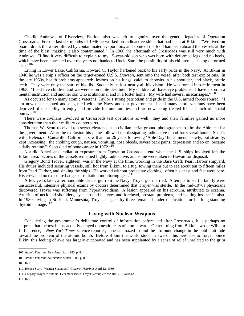Charlie Andrews, of Riverview, Florida, also was left to agonize over the genetic legacies of Operation Crossroads. For the last six months of 1946 he worked on radioactive ships that had been at Bikini. "We lived on board, drank the water filtered by contaminated evaporators, and some of the food had been aboard the vessels at the time of the blast, making it also contaminated." In 1980 the aftermath of Crossroads was still very much with Andrews: "I find it very difficult to explain to my 15-year-old son who was born with deformed legs and no heels, which have been corrected over the years no thanks to Uncle Sam, the possibility of his children ... being deformed also."<sup>107</sup>

Living in Lower Lake, California, Howard C. Taylor harkened back to his early pride in the Navy. At Bikini in 1946 he was a ship's officer on the target-zoned U.S.S. *Dawson,* sent onto the vessel after both test explosions. In the late 1950s, health problems appeared: lesions on his lungs, calcium deposits in his shoulder, and black, brittle teeth. They were only the start of his ills. Suddenly he lost nearly all his vision. He was forced into retirement in 1963. "I had five children and we were soon quite destitute. My children all have eye problems. I have a son in a mental institution and another son who is abnormal and in a foster home. My wife had several miscarriages."<sup>108</sup>

As occurred for so many atomic veterans, Taylor's strong patriotism and pride in the U.S. armed forces soured. "I am now disenchanted and disgusted with the Navy and our government. I and many more veterans have been deprived of the ability to enjoy and provide for our families and are now being treated like a bunch of 'social bums.'" $109$ 

There were civilians involved in Crossroads test operations as well; they and their families gained no more consideration than their military counterparts.

Thomas W. Scott received top-secret clearance as a civilian aerial-ground photographer to film the Able test for the government. After the explosion his plane followed the dissipating radioactive cloud for several hours. Scott's wife, Helena, of Camarillo, California, saw that "for 26 years following 'Able Day' his ailments slowly, but steadily, kept increasing: the choking cough, nausea, vomiting, nose bleeds, severe back pains, depression and so on, became a daily routine." Scott died of bone cancer in 1972.<sup>110</sup>

Nor did Americans' radiation exposure from Operation Crossroads end when the U.S. ships involved left the Bikini area. Scores of the vessels remained highly radioactive, and some were taken to Hawaii for disposal.

Gregory Bond Troyer, eighteen, was in the Navy at the time, working in the Base Craft, Pearl Harbor shipyard. His duties included securing vessels, still hot from Bikini, to a tug, towing them out to sea about ten to fifteen miles from Pearl Harbor, and sinking the ships. He worked without protective clothing; often his chest and feet were bare. His crew had no exposure badges or radiation monitoring gear.<sup>111</sup>

A few years later, after honorable discharge from the Navy, Troyer got married. Attempts to start a family were unsuccessful, intensive physical exams by doctors determined that Troyer was sterile. In the mid-1970s physicians discovered Troyer was suffering from hyperthyroidism. A lesion appeared on his scrotum, attributed to eczema. Arthritis of neck and shoulders, cysts around his eyes and forehead, prostate problems, and hearing loss set in also. In 1980, living in St. Paul, Minnesota, Troyer at age fifty-three remained under medication for his long-standing thyroid damage.<sup>112</sup>

### **Living with Nuclear Weapons**

Considering the government's deliberate control of information before and after Crossroads, it is perhaps no surprise that the test blasts actually allayed domestic fears of atomic war. "On returning from Bikini," wrote William L. Laurence, a *New York Times* science reporter, "one is amazed to find the profound change in the public attitude toward the problem of the atomic bomb. Before Bikini the world stood in awe of this new cosmic force. Since Bikini this feeling of awe has largely evaporated and has been supplanted by a sense of relief unrelated to the grim

hhhhhhhhhhhhhhhhhh

112. Ibid.

<sup>107.</sup> *Atomic Veterans' Newsletter,* fall 1980, p. 8.

<sup>108.</sup> *Atomic Veterans' Newsletter,* winter 1980, p. 8.

<sup>109.</sup> Ibid.

<sup>110.</sup> Helena Scott, "Written Statement," *Citizens' Hearings* April 12, 1980.

<sup>111.</sup> Gregory Troyer to authors, December 1980; Troyer's complete VA file, C-13470812.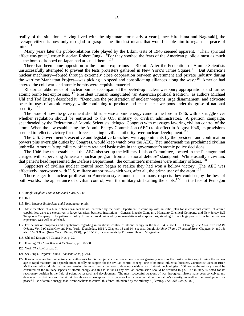reality of the situation. Having lived with the nightmare for nearly a year [since Hiroshima and Nagasaki], the average citizen is now only too glad to grasp at the flimsiest means that would enable him to regain his peace of  $mind$ ".  $113$ 

Many years later the public-relations role played by the Bikini tests of 1946 seemed apparent. "Their spiritual effect was great," wrote historian Robert Jungk. "For they soothed the fears of the American public almost as much as the bombs dropped on Japan had aroused them."<sup>114</sup>

There had been some opposition to the atomic explosions at Bikini. After the Federation of Atomic Scientists unsuccessfully attempted to prevent the tests protesters gathered in New York's Times Square.<sup>115</sup> But America's nuclear machinery—forged through extremely close cooperation between government and private industry during the wartime Manhattan Project—was picking up speed and consolidating alliances along the way.<sup>116</sup> America had entered the cold war, and atomic bombs were requisite materiel.

Rhetorical abhorrence of nuclear bombs accompanied the beefed-up nuclear weaponry appropriations and further atomic bomb test explosions.<sup>117</sup> President Truman inaugurated "an American political tradition," as authors Michael Uhl and Tod Ensign described it: "Denounce the proliferation of nuclear weapons, urge disarmament, and advocate peaceful uses of atomic energy, while continuing to produce and test nuclear weapons under the guise of national security."<sup>118</sup>

The issue of how the government should supervise atomic energy came to the fore in 1946, with a struggle over whether regulation should be entrusted to the U.S. military or civilian administrators. A petition campaign, spearheaded by the Federation of Atomic Scientists, deluged Congress with messages favoring civilian control of the atom. When the law establishing the Atomic Energy Commission (AEC) took effect in August 1946, its provisions seemed to reflect a victory for the forces backing civilian authority over nuclear development.<sup>119</sup>

The U.S. Government's executive and legislative branches, with appointments by the president and confirmation powers plus oversight duties by Congress, would keep watch over the AEC. Yet, underneath the proclaimed civilian umbrella, America's top military officers retained basic roles in the government's atomic policy decisions.

The 1946 law that established the AEC also set up the Military Liaison Committee, located in the Pentagon and charged with supervising America's nuclear program from a "national defense" standpoint. While usually a civilian, that panel's head represented the Defense Department; the committee's members were military officers.<sup>120</sup>

Supporters of civilian nuclear control soon began to realize they had won a hollow victory. The AEC was effectively interwoven with U.S. military authority—which was, after all, the prime user of the atom.<sup>121</sup>

Those eager for nuclear proliferation American-style found that in many respects they could enjoy the best of both worlds: the appearance of civilian control, with the military still calling the shots.<sup>122</sup> In the face of Pentagon

<sup>113.</sup> Jungk, *Brighter Than a Thousand Suns,* p. 240.

<sup>114.</sup> Ibid.

<sup>115.</sup> Bolt, *Nuclear Explosions and Earthquakes,* p. xiv.

<sup>116.</sup> Most members of a blue-ribbon consultant board, entrusted by the State Department to come up with an initial plan for international control of atomic capabilities, were top executives in large American business institutions—General Electric Company, Monsanto Chemical Company, and New Jersey Bell Telephone Company. The pattern of policy formulations dominated by representatives of corporations, standing to reap huge profits from further nuclear expansion, was well established.

<sup>117.</sup> For details on proposals and negotiations regarding international control of atomic energy in the late 1940s, see D. F. Fleming, *The Cold War and Its Origins,* Vol. I (Garden City and New York: Doubleday, 1961 ), Chapters 13 and 14; see also, Jungk, *Brighter Than a Thousand Suns,* Chapters 14 and 15; also, *The H Bomb* (New York: Didier, 1950), pp. 170-171, for comments by Professor Hans J. Morganthau.

<sup>118.</sup> Uhl and Ensign, *GI Guinea Pigs,* p. 32.

<sup>119.</sup> Fleming, *The Cold War and Its Origins,* pp. 382-383.

<sup>120.</sup> York, *The Advisors,* p. 61

<sup>121.</sup> See Jungk, *Brighter Than a Thousand Suns,* p. 244.

<sup>122.</sup> It soon became clear that entrenched enthusiasts for civilian jurisdiction over atomic matters generally saw it as the most effective way to bring the nuclear age to rapid maturity. In a speech aimed at rallying support for the civilian-control concept, one of its most influential boosters, Connecticut Senator Brien McMahon, left no doubt that he was seeking the most productive way to develop a wide array of atomic technologies: "Of course the military should be consulted on the military aspects of atomic energy and this is as far as any civilian commission should be required to go. The military is noted for its reactionary position in the field of scientific research and development. The most successful weapons of war throughout history have been conceived and developed by civilians and the atomic bomb was no exception. It is because I am concerned about the nation's security, as well as the development for peaceful use of atomic energy, that I want civilians to control this force unhindered by the military." (Fleming, *The Cold War,* p. 382.)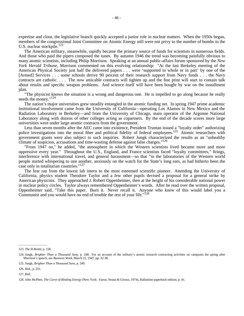expertise and clout, the legislative branch quickly accepted a junior role in nuclear matters. When the 1950s began, members of the congressional Joint Committee on Atomic Energy still were not privy to the number of bombs in the U.S. nuclear stockpile.<sup>123</sup>

The American military, meanwhile, rapidly became the primary source of funds for scientists in numerous fields. And those who paid the pipers composed the tunes. By autumn 1946 the trend was becoming painfully obvious to many atomic scientists, including Philip Morrison. Speaking at an annual public-affairs forum sponsored by the *New York Herald Tribune,* Morrison commented on this evolving relationship: "At the last Berkeley meeting of the American Physical Society just half the delivered papers . . . were 'supported in whole or in part' by one of the [Armed] Services . . . some schools derive 90 percent of their research support from Navy funds . . . the Navy contracts are catholic. . . . The now amicable contracts will tighten up and the fine print will start to contain talk about results and specific weapon problems. And science itself will have been bought by war on the installment plan.

"The physicist knows the situation is a wrong and dangerous one. He is impelled to go along because he really needs the money."<sup>124</sup>

The nation's major universities grew steadily entangled in the atomic funding net. In spring 1947 prime academic institutional involvement came from the University of California—operating Los Alamos in New Mexico and the Radiation Laboratory in Berkeley—and from the University of Chicago, main operator of the Argonne National Laboratory along with dozens of other colleges acting as copartners. By the end of the decade scores more large universities were under large atomic contracts from the government.

Less than seven months after the AEC came into existence, President Truman issued a "loyalty order" authorizing police investigations into the moral fiber and political fidelity of federal employees.<sup>125</sup> Atomic researchers with government grants were also subject to such inquiries. Robert Jungk characterized the results as an "unhealthy climate of suspicion, accusations and time-wasting defense against false charges."<sup>126</sup>

"From 1947 on," he added, "the atmosphere in which the Western scientists lived became more and more oppressive every year." Throughout the U.S., England, and France scientists faced "loyalty committees," firings, interference with international travel, and general harassment—so that "in the laboratories of the Western world people started whispering to one another, anxiously on the watch for the State's long ears, as had hitherto been the case only in totalitarian countries."<sup>127</sup>

The fear ran from the lowest lab intern to the most esteemed scientific pioneer. Attending the University of California, physics student Theodore Taylor and a few other pupils devised a proposal for a general strike by American physicists. They approached J. Robert Oppenheimer, then at the height of his considerable national power in nuclear policy circles. Taylor always remembered Oppenheimer's words. After he read over the written proposal, Oppenheimer said, "Take this paper. Burn it. Never recall it. Anyone who knew of this would label you a Communist and you would have no end of trouble the rest of your life."<sup>128</sup>

126. Ibid., p. 251.

127. Ibid.

hh<del>ahaa ka badaa ka badaa ka badaa ka badaa ka badaa ka badaa ka badaa ka badaa ka badaa ka badaa ka badaa ka b</del> 123. *The H Bomb,* p. 158.

<sup>124.</sup> Jungk, *Brighter Than a Thousand Suns,* p. 248. For an account of the military's atomic research contracting activities on campuses the spring after Morrison's speech, see *Business Week,* March 22, 1947, pp. 32-38.

<sup>125.</sup> Jungk, *Brighter Than a Thousand Suns,* p. 249.

<sup>128.</sup> John McPhee, *The Curve of Binding Energy* (New York: Farrar, Straus & Giroux, 1974), Ballantine paperback edition, p. 41.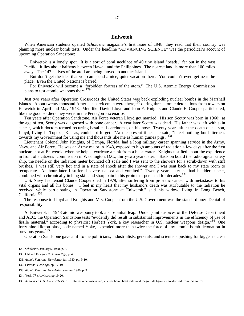### **Eniwetok**

When American students opened *Scholastic* magazine's first issue of 1948, they read that their country was planning more nuclear bomb tests. Under the headline "ADVANCING SCIENCE" was the periodical's account of upcoming Operation Sandstone:

Eniwetok is a lonely spot. It is a sort of coral necklace of 40 tiny island "beads," far out in the vast Pacific. It lies about halfway between Hawaii and the Philippines. The nearest land is more than 100 miles away. The 147 natives of the atoll are being moved to another island.

But don't get the idea that you can spend a nice, quiet vacation there. You couldn't even get near the place. Even the United Nations is barred.

For Eniwetok will become a "forbidden fortress of the atom." The U.S. Atomic Energy Commission plans to test atomic weapons there.<sup>129</sup>

Just two years after Operation Crossroads the United States was back exploding nuclear bombs in the Marshall Islands. About twenty thousand American servicemen were there,<sup>130</sup> during three atomic detonations from towers on Eniwetok in April and May 1948. Men like David Lloyd and John E. Knights and Claude E. Cooper participated, like the good soldiers they were, in the Pentagon's scenarios.

Ten years after Operation Sandstone, Air Force veteran Lloyd got married. His son Scotty was born in 1960; at the age of ten, Scotty was diagnosed with bone cancer. A year later Scotty was dead. His father was left with skin cancer, which doctors termed recurring basal cell carcinoma, on his nose. Twenty years after the death of his son, Lloyd, living in Topeka, Kansas, could not forget. "At the present time," he said, "I feel nothing but bitterness towards my Government for using me and thousands like me as human guinea pigs."<sup>131</sup>

Lieutenant Colonel John Knights, of Tampa, Florida, had a long military career spanning service in the Army, Navy, and Air Force. He was an Army major in 1948, exposed to high amounts of radiation a few days after the first nuclear shot at Eniwetok, when he helped extricate a tank from a blast crater. Knights testified about the experience in front of a citizens' commission in Washington, D.C., thirty-two years later: "Back on board the radiological safety ship, the needle on the radiation meter bounced off scale and I was sent to the showers for a scrub-down with stiff brushes. I was still very hot and in a state of shock after the shower and I was sent back to my state room to recuperate. An hour later I suffered severe nausea and vomited." Twenty years later he had bladder cancer, combined with chronically itching skin and sharp pain in his groin that persisted for decades.<sup>132</sup>

U.S. Navy Lieutenant Claude Cooper died in 1979, after suffering from prostatic cancer with metastases to his vital organs and all his bones. "I feel in my heart that my husband's death was attributable to the radiation he received while participating in Operation Sandstone at Eniwetok," said his widow, living in Long Beach, California.<sup>133</sup>

The response to Lloyd and Knights and Mrs. Cooper from the U.S. Government was the standard one: Denial of responsibility.

At Eniwetok in 1948 atomic weaponry took a substantial leap. Under joint auspices of the Defense Department and AEC, the Operation Sandstone tests "evidently did result in substantial improvements in the efficiency of use of fissile material," according to physicist Herbert York, a key researcher in U.S. nuclear weapons design.<sup>134</sup> One forty-nine-kiloton blast, code-named Yoke, expended more than twice the force of any atomic bomb detonation in previous years.<sup>135</sup>

Operation Sandstone gave a lift to the politicians, industrialists, generals, and scientists pushing for bigger nuclear

<sup>129.</sup> *Scholastic,* January 5, 1948, p. 6.

<sup>130.</sup> Uhl and Ensign, *GI Guinea Pigs,* p. 43.

<sup>131.</sup> *Atomic Veterans' Newsletter,* fall 1980, pp. 9-10.

<sup>132.</sup> *Citizens' Hearings,* pp. 17-19.

<sup>133.</sup> *Atomic Veterans' Newsletter,* summer 1980, p. 9

<sup>134.</sup> York, *The Advisors,* pp 19-20.

<sup>135.</sup> *Announced U.S. Nuclear Tests,* p. 5. Unless otherwise noted, nuclear bomb blast dates and magnitude figures were derived from this source.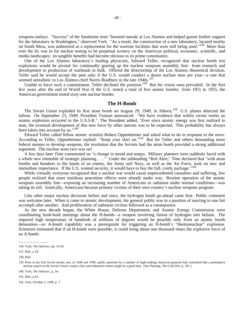weapons outlays. "Success" of the Sandstone tests "boosted morale at Los Alamos and helped garner further support for the laboratory in Washington," observed York. "As a result, the construction of a new laboratory, located nearby on South Mesa, was authorized as a replacement for the wartime facilities that were still being used."136 More than ever the fix was in for nuclear testing to be perpetual scenery on the American political, economic, scientific, and media landscapes; its tangible benefits had become obvious to its prime constituents.

One of the Los Alamos laboratory's leading physicists, Edward Teller, recognized that nuclear bomb test explosions would be pivotal for continually gearing up the nuclear weapons assembly line: from research and development to production of warheads in bulk. Offered the directorship of the Los Alamos theoretical division, Teller said he would accept the post only if the U.S. would conduct a dozen nuclear tests per year—a rate that seemed unrealistic to Los Alamos chief Norris Bradbury in the late 1940s.<sup>137</sup>

Unable to force such a commitment, Teller declined the position.<sup>138</sup> But his vision soon prevailed. In the first five years after the end of World War II the U.S. tested a total of five atomic bombs; from 1951 to 1955, the American government tested sixty-one nuclear bombs.

### **The H-Bomb**

The Soviet Union exploded its first atom bomb on August 29, 1949, in Siberia.<sup>139</sup> U.S. planes detected the fallout. On September 23, 1949, President Truman announced: "We have evidence that within recent weeks an atomic explosion occurred in the U.S.S.R." The President added, "Ever since atomic energy was first realized to man, the eventual development of this new force by other nations was to be expected. This probability has always been taken into account by us."<sup>140</sup>

Edward Teller called fellow atomic scientist Robert Oppenheimer and asked what to do in response to the news. According to Teller, Oppenheimer replied: "Keep your shirt on."<sup>141</sup> But for Teller and others demanding more federal monies to develop weapons, the revelation that the Soviets had the atom bomb provided a strong additional argument. The nuclear arms race was on!

A few days later *Time* commented on "a change in mood and tempo. Military planners were suddenly faced with a whole new timetable of strategic planning. . . ." Under the subheading "Red Alert," *Time* declared that "with atom bombs and bombers in the hands of an enemy, the Army and Navy, as well as the Air Force, took on new and immediate importance. If the U.S. wanted security, it would have to buy the full, costly package." $142$ 

While virtually everyone recognized that a nuclear war would cause unprecedented casualties and suffering, few people realized that more insidious peacetime effects were already under way. Routine operation of the atomic weapons assembly line—exposing an increasing number of Americans to radiation under normal conditions—was taking its toll. Ironically, Americans became primary victims of their own country's nuclear weapons program.

Like other major nuclear decisions before and since, the hydrogen bomb go-ahead came first. Public comment was welcome later. When it came to atomic development, the general public was in a position of reacting to one fait accompli after another. And proliferation of radiation victims followed as a consequence.

As the new decade began, the White House, Defense Department, and Atomic Energy Commission were coordinating hush-hush meetings about the H-bomb—a weapon involving fusion of hydrogen into helium. The required high temperature of hundreds of millions of degrees would be possible only from an atomic bomb detonation—so A-bomb capability was a prerequisite for triggering an H-bomb's "thermonuclear" explosion. Scientists estimated that if an H-bomb were possible, it could bring about one thousand times the explosive force of an A-bomb.

hh<del>ahaa ka badaa ka badaa ka badaa ka badaa ka badaa ka badaa ka badaa ka badaa ka badaa ka badaa ka badaa ka bada</del>

141. Ibid., p 63.

<sup>136.</sup> York, *The Advisors,* pp. 19-20.

<sup>137.</sup> Ibid., p 18.

<sup>138.</sup> Ibid.

<sup>139.</sup> Prior to the first Soviet atomic test, in 1948 and 1949, public speeches by a number of high-ranking American generals had contended that a preemptive nuclear attack on the Soviet Union's major cities and industrial centers might be a good idea. (See Fleming, *The Cold War,* p. 391.)

<sup>140.</sup> York, *The Advisors,* p. 34.

<sup>142.</sup> *Time,* October 3, 1949, p. 7.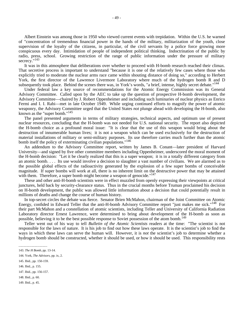Albert Einstein was among those in 1950 who viewed current events with trepidation. Within the U.S. he warned of "concentration of tremendous financial power in the hands of the military, militarization of the youth, close supervision of the loyalty of the citizens, in particular, of the civil servants by a police force growing more conspicuous every day. Intimidation of people of independent political thinking. Indoctrination of the public by radio, press, school. Growing restriction of the range of public information under the pressure of military secrecy."<sup>143</sup>

It was in this atmosphere that deliberations over whether to proceed with H-bomb research reached their climax. That secretive process is important to understand "because it is one of the relatively few cases where those who explicitly tried to moderate the nuclear arms race came within shouting distance of doing so," according to Herbert York, the first director of the Lawrence Livermore Laboratory where much of the hydrogen bomb R and D subsequently took place. Behind the scenes there was, in York's words, "a brief, intense, highly secret debate."<sup>144</sup>

Under federal law a key source of recommendations for the Atomic Energy Commission was its General Advisory Committee. Called upon by the AEC to take up the question of prospective H-bomb development, the Advisory Committee—chaired by J. Robert Oppenheimer and including such luminaries of nuclear physics as Enrico Fermi and I. I. Rabi—met in late October 1949. While urging continued efforts to magnify the power of atomic weaponry, the Advisory Committee urged that the United States *not* plunge ahead with developing the H-bomb, also known as the "super bomb."<sup>145</sup>

The panel presented arguments in terms of military strategies, technical aspects, and optimum use of present nuclear resources, concluding that the H-bomb was not needed for U.S. national security. The report also depicted the H-bomb choice as a profound moral issue: "It is clear that the use of this weapon would bring about the destruction of innumerable human lives; it is not a weapon which can be used exclusively for the destruction of material installations of military or semi-military purposes. Its use therefore carries much further than the atomic bomb itself the policy of exterminating civilian populations."<sup>146</sup>

An addendum to the Advisory Committee report, written by James B. Conant—later president of Harvard University—and signed by five other committee members including Oppenheimer, underscored the moral moment of the H-bomb decision: "Let it be clearly realized that this is a super weapon; it is in a totally different category from an atomic bomb. . . . Its use would involve a decision to slaughter a vast number of civilians. We are alarmed as to the possible global effects of the radioactivity generated by the explosion of a few super bombs of conceivable magnitude. If super bombs will work at all, there is no inherent limit on the destructive power that may be attained with them. Therefore, a super bomb might become a weapon of genocide."<sup>147</sup>

These and other anti-H-bomb scientists were in effect muzzled from openly expressing their viewpoints at critical junctures, held back by security-clearance status. Thus in the crucial months before Truman proclaimed his decision on H-bomb development, the public was allowed little information about a decision that could potentially result in millions of deaths and change the course of human history.

In top-secret circles the debate was fierce. Senator Brien McMahon, chairman of the Joint Committee on Atomic Energy, confided in Edward Teller that the anti-H-bomb Advisory Committee report "just makes me sick."<sup>148</sup> For their part McMahon and a constellation of atomic scientists, including Teller and University of California Radiation Laboratory director Ernest Lawrence, were determined to bring about development of the H-bomb as soon as possible, believing it to be the best possible response to Soviet possession of the atom bomb.<sup>149</sup>

Teller went out of his way to tell *Bulletin of the Atomic Scientists* readers at the time: "The scientist is not responsible for the laws of nature. It is his job to find out how these laws operate. It is the scientist's job to find the ways in which these laws can serve the human will. However, it is *not* the scientist's job to determine whether a hydrogen bomb should be constructed, whether it should be used, or how it should be used. This responsibility rests

hh<del>ahaa ka badaa ka badaa ka badaa ka badaa ka badaa ka badaa ka badaa ka badaa ka badaa ka badaa ka badaa ka bada</del>

149. Ibid., p. 45.

<sup>143.</sup> *The H Bomb,* pp. 13-14.

<sup>144.</sup> York, *The Advisors,* pp. ix, 2.

<sup>145.</sup> Ibid., pp. 150-159.

<sup>146.</sup> Ibid., p. 155.

<sup>147.</sup> Ibid., pp. 156-157.

<sup>148.</sup> Ibid., p. 60.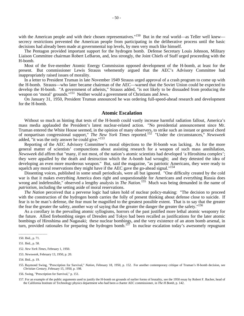with the American people and with their chosen representatives."<sup>150</sup> But in the real world—as Teller well knew secrecy restrictions prevented the American people from participating in the deliberative process until the basic decisions had already been made at governmental top levels, by men very much like himself.

The Pentagon provided important support for the hydrogen bomb. Defense Secretary Louis Johnson, Military Liaison Committee chairman Robert LeBaron, and, less strongly, the Joint Chiefs of Staff urged proceeding with the H-bomb.

Most of the five-member Atomic Energy Commission opposed development of the H-bomb, at least for the present. But commissioner Lewis Strauss vehemently argued that the AEC's Advisory Committee had inappropriately raised issues of morality.

In a letter to President Truman in late November 1949 Strauss urged approval of a crash program to come up with the H-bomb. Strauss—who later became chairman of the AEC—warned that the Soviet Union could be expected to develop the H-bomb. "A government of atheists," Strauss added, "is not likely to be dissuaded from producing the weapon on 'moral' grounds."<sup>151</sup> Neither would a government of Christians and Jews.

On January 31, 1950, President Truman announced he was ordering full-speed-ahead research and development for the H-bomb.

### **Atomic Escalation**

Without so much as hinting that tests of the H-bomb could vastly increase harmful radiation fallout, America's mass media applauded the President's latest nuclear-related action. "No presidential announcement since Mr. Truman entered the White House seemed, in the opinion of many observers, to strike such an instant or general chord of nonpartisan congressional support," *The New York Times* reported.152 "Under the circumstances," *Newsweek* added, "it was the only answer he could give."<sup>153</sup>

Reporting of the AEC Advisory Committee's moral objections to the H-bomb was lacking. As for the more general matter of scientists' compunctions about assisting research for a weapon of such mass annihilation, *Newsweek* did affirm that "many, if not most, of the nation's atomic scientists had developed 'a Hiroshima complex'; they were appalled by the death and destruction which the A-bomb had wrought; and they detested the idea of developing an even more murderous weapon." But, said the magazine, "as patriotic Americans, they were ready to squelch any moral reservations they might have if the AEC gave the go-ahead signal."<sup>154</sup>

Dissenting voices, published in some small periodicals, were all but ignored. "One difficulty created by the cold war is that it makes everything America does right and unquestionable for Americans and everything Russia does wrong and indefensible," observed a lengthy analysis in *The Nation.*<sup>155</sup> Much was being demanded in the name of *patriotism,* including the setting aside of moral reservations.

*The Nation* perceived that a perverse logic had taken hold of nuclear policy-making: "The decision to proceed with the construction of the hydrogen bomb carries the folly of present thinking about defense close to suicide. If fear is to be man's defense, the fear must be magnified to the greatest possible extent. That is to say that the greater the fear the greater the safety, another way of saying that the greater the danger the greater the safety."<sup>156</sup>

As a corollary in the prevailing atomic syllogisms, horrors of the past justified more lethal atomic weaponry for the future. Allied firebombing sieges of Dresden and Tokyo had been recalled as justifications for the later atomic bombings of Hiroshima and Nagasaki; these nuclear bombings, and the very existence of an atom bomb arsenal, in turn, provided rationales for preparing the hydrogen bomb.<sup>157</sup> In nuclear escalation today's awesomely repugnant

hhhhhhhhhhhhhhhhhh

156. Swing, "Prescription for Survival," p. 151.

157. For an example of the public arguments used to justify the H-bomb on grounds of earlier forms of brutality, see the 1950 essay by Robert F. Bacher, head of the California Institute of Technology physics department who had been a charter AEC commissioner, in *The H Bomb,* p. 142.

<sup>150.</sup> Ibid., p. 71.

<sup>151.</sup> Ibid., p. 58.

<sup>152.</sup> *New York Times,* February 1, 1950.

<sup>153.</sup> *Newsweek,* February 13, 1950, p. 20.

<sup>154.</sup> Ibid., p. 19.

<sup>155.</sup> Raymond Swing, "Prescription for Survival," *Nation,* February 18, 1950, p. 152. For another contemporary critique of Truman's H-bomb decision, see *Christian Century,* February 15, 1950, p. 198.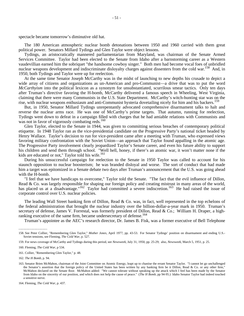spectacle became tomorrow's diminutive old hat.

The 180 American atmospheric nuclear bomb detonations between 1950 and 1960 carried with them great political power. Senators Millard Tydings and Glen Taylor were object lessons.

Tydings, an aristocratically mannered parliamentarian from Maryland, was chairman of the Senate Armed Services Committee. Taylor had been elected to the Senate from Idaho after a barnstorming career as a Western vaudevillian earned him the sobriquet "the handsome cowboy singer." Both men had become vocal foes of unbridled nuclear weapons development and indiscriminate disloyalty charges against dissenters from the cold war.<sup>158</sup> And, in 1950, both Tydings and Taylor were up for reelection.

At the same time Senator Joseph McCarthy was in the midst of launching to new depths his crusade to depict a wide array of citizens and organizations as un-American and pro-Communist—a drive that was to put the word *McCarthyism* into the political lexicon as a synonym for unsubstantiated, scurrilous smear tactics. Only ten days after Truman's directive favoring the H-bomb, McCarthy delivered a famous speech in Wheeling, West Virginia, claiming that there were many Communists in the U.S. State Department. McCarthy's witch-hunting star was on the rise, with nuclear weapons enthusiasm and anti-Communist hysteria dovetailing nicely for him and his backers.<sup>159</sup>

But, in 1950, Senator Millard Tydings unrepentantly advocated comprehensive disarmament talks to halt and reverse the nuclear arms race. He was one of McCarthy's prime targets. That autumn, running for reelection, Tydings went down to defeat in a campaign filled with charges that he had amiable relations with Communists and was not in favor of vigorously combating reds.<sup>160</sup>

Glen Taylor, elected to the Senate in 1944, was given to committing serious breaches of contemporary political etiquette. In 1948 Taylor ran as the vice-presidential candidate on the Progressive Party's national ticket headed by Henry Wallace. Taylor's decision to run for vice-president came after a meeting with Truman, who expressed views favoring military confrontation with the Soviet Union—an approach that Taylor found appalling in the atomic age. The Progressive Party involvement clearly jeopardized Taylor's Senate career, and even his future ability to support his children and send them through school. "Well hell, honey, if there's an atomic war, it won't matter none if the kids are educated or not," Taylor told his wife.<sup>161</sup>

During his unsuccessful campaign for reelection to the Senate in 1950 Taylor was called to account for his staunch opposition to nuclear boosterism; he was branded disloyal and worse. The sort of conduct that had made him a target was epitomized in a Senate debate two days after Truman's announcement that the U.S. was going ahead with the H-bomb.

"I feel that we have handicaps to overcome," Taylor told the Senate. "The fact that the evil influence of Dillon, Read & Co. was largely responsible for shaping our foreign policy and creating mistrust in many areas of the world, has placed us at a disadvantage."<sup>162</sup> Taylor had committed a severe indiscretion.<sup>163</sup> He had raised the issue of corporate control over U.S. nuclear policies.

The leading Wall Street banking firm of Dillon, Read & Co. was, in fact, well represented in the top echelons of the federal administration that brought the nuclear industry over the billion-dollar-a-year mark in 1950. Truman's secretary of defense, James V. Forrestal, was formerly president of Dillon, Read & Co.; William H. Draper, a highranking executive of the same firm, became undersecretary of defense.<sup>164</sup>

Truman's appointee as the AEC's research director, Dr. James B. Fisk, was a former executive of Bell Telephone

<sup>158.</sup> See Peter Collier, "Remembering Glen Taylor," *Mother Jones,* April 1977, pp. 43-53. For Senator Tydings' position on disarmament and ending U.S.- Soviet tensions, see Fleming, *The Cold War,* p. 527.

<sup>159.</sup> For news coverage of McCarthy and Tydings during this period, see *Newsweek,* July 31, 1950, pp. 25-29; also, *Newsweek,* March 5, 1951, p. 25.

<sup>160.</sup> Fleming, *The Cold War,* p 534.

<sup>161.</sup> Collier, "Remembering Glen Taylor," p. 48.

<sup>162.</sup> *The H Bomb,* p. 94.

<sup>163.</sup> Senator Brien McMahon, chairman of the Joint Committee on Atomic Energy, leapt up to chastise the errant Senator Taylor. "I cannot let go unchallenged the Senator's assertion that the foreign policy of the United States has been written by any banking firm be it Dillon, Read & Co. or any other firm," McMahon declared on the Senate floor. McMahon added: "We cannot tolerate without speaking up the attack which I feel has been made by the Senator from Idaho on the sincerity of our position, and which does not help the cause of peace." (*The H Bomb,* pp 94-95.) Idaho Senator Taylor had indeed touched a sensitive nerve.

<sup>164.</sup> Fleming, *The Cold War,* p. 437.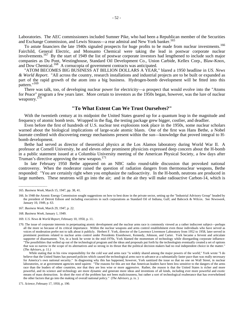Laboratories. The AEC commissioners included Sumner Pike, who had been a Republican member of the Securities and Exchange Commission, and Lewis Strauss—a rear admiral and New York banker.<sup>165</sup>

To astute financiers the late 1940s signaled prospects for huge profits to be made from nuclear investments.<sup>166</sup> Fairchild, General Electric, and Monsanto Chemical were taking the lead in postwar corporate nuclear involvements.<sup>167</sup> By the start of 1949 the list of postwar corporate investors had lengthened to include such major companies as Du Pont, Westinghouse, Standard Oil Development Co., Union Carbide, Kellex Corp., Blaw-Knox, and Dow Chemical.<sup>168</sup> A cornucopia of government contracts was anticipated.

"ATOM BECOMES BIG BUSINESS AT BILLION DOLLARS A YEAR," blared a 1950 headline in *US. News & World Report*. "All across the country, research installations and industrial projects are to be built or expanded as part of the rapid growth of the atom into a big business. Hydrogen-bomb development will be fitted into this pattern." $169$ 

There was talk, too, of developing nuclear power for electricity—a prospect that would evolve into the "Atoms for Peace" program a few years later. More certain to investors as the 1950s began, however, was the lure of nuclear weaponry.<sup>170</sup>

## **"To What Extent Can We Trust Ourselves?"**

With the twentieth century at its midpoint the United States geared up for a quantum leap in the magnitude and frequency of atomic bomb tests. Wrapped in the flag, the testing package grew bigger, costlier, and deadlier.

Even before the first of hundreds of U.S. nuclear test explosions took place in the 1950s, some nuclear scholars warned about the biological implications of large-scale atomic blasts. One of the first was Hans Bethe, a Nobel laureate credited with discovering energy mechanisms present within the sun—knowledge that proved integral to Hbomb development.

Bethe had served as director of theoretical physics at the Los Alamos laboratory during World War II. A professor at Cornell University, he and eleven other prominent physicists expressed deep concern about the H-bomb in a public statement issued at a Columbia University meeting of the American Physical Society, a few days after Truman's directive approving the new weapon.<sup>171</sup>

In late February 1950 Bethe appeared on an NBC radio round-table discussion that provoked national controversy. When the moderator raised the question of radiation dangers from thermonuclear weapons, Bethe responded: "You are certainly right when you emphasize the radioactivity. In the H-bomb, neutrons are produced in large numbers. These neutrons will go into the air; and in the air they will make radioactive Carbon-14, which is

<sup>165.</sup> *Business Week,* March 15, 1947, pp. 38, 41.

<sup>166.</sup> In 1948 the Atomic Energy Commission sought suggestions on how to best draw in the private sector, setting up the "Industrial Advisory Group" headed by the president of Detroit Edison and including executives in such corporations as Standard Oil of Indiana, Gulf, and Babcock & Wilcox. See *Newsweek,* January 10, 1949, p. 63.

<sup>167.</sup> *Business Week,* March 29, 1947, p. 22.

<sup>168.</sup> *Business Week,* January 1, 1949.

<sup>169.</sup> *U.S. News & World Report,* February 10, 1950, p. 11.

<sup>170.</sup> The issue of corporate interests in perpetuating atomic development and the nuclear arms race is commonly viewed as a rather indiscreet subject—perhaps all the more so because of its critical importance. Within the nuclear weapons and arms control establishment even those individuals who have served as voices of moderation prefer not to talk about it publicly. Herbert F. York, director of the Lawrence Livermore Laboratory from 1952 to 1958, later served in prominent positions related to nuclear arms control under Presidents Eisenhower, Kennedy, Johnson, and Carter. York became a fervent and articulate supporter of disarmament. Yet, in a book he wrote in the mid-1970s, York blamed the momentum of technology while disregarding corporate influence: "The possibilities that welled up out of the technological program and the ideas and proposals put forth by the technologists eventually created a set of options that was so narrow in the scope of its alternatives and so strong in its thrust that the political decision makers had no real independent choice in the matter." (*The Advisors,* p. 11.)

While stating that in his view responsibility for the cold war and arms race "is widely shared among the major powers of the world," York wrote "I do believe that the United States has pursued policies which caused the technological arms race to advance at a substantially faster pace than was really necessary for America's own national security." In diagnosing why this has happened, however, York sanitized the issue so that no one on Wall Street, in nuclear laboratories, or at government agencies need squirm: "The reasons for this are not that American leaders have been less sensitive to the dangers of the arms race than the leaders of other countries, nor that they are less wise or more aggressive. Rather, the reason is that the United States is richer and more powerful, and its science and technology are more dynamic and generate more ideas and inventions of all kinds, including ever more powerful and exotic means of mass destruction. In short the root of the problem has not been maliciousness, but rather a sort of technological exuberance that has overwhelmed the other factors that go into the making of overall national policy." (*The Advisors,* p. ix. )

<sup>171.</sup> *Science,* February 17, 1950, p. 190.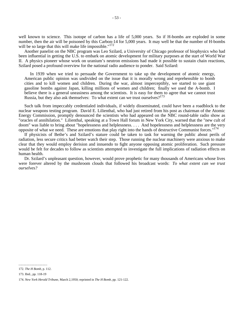well known to science. This isotope of carbon has a life of 5,000 years. So if H-bombs are exploded in some number, then the air will be poisoned by this Carbon-14 for 5,000 years. It may well be that the number of H-bombs will be so large that this will make life impossible."<sup>172</sup>

Another panelist on the NBC program was Leo Szilard, a University of Chicago professor of biophysics who had been influential in getting the U.S. to embark on atomic development for military purposes at the start of World War II. A physics pioneer whose work on uranium's neutron emissions had made it possible to sustain chain reactions, Szilard posed a profound overview for the national radio audience to ponder. Said Szilard:

In 1939 when we tried to persuade the Government to take up the development of atomic energy, American public opinion was undivided on the issue that it is morally wrong and reprehensible to bomb cities and to kill women and children. During the war, almost imperceptibly, we started to use giant gasoline bombs against Japan, killing millions of women and children; finally we used the A-bomb. I believe there is a general uneasiness among the scientists. It is easy for them to agree that we cannot trust Russia, but they also ask themselves: To what extent can we trust ourselves?<sup>173</sup>

Such talk from impeccably credentialed individuals, if widely disseminated, could have been a roadblock to the nuclear weapons testing program. David E. Lilienthal, who had just retired from his post as chairman of the Atomic Energy Commission, promptly denounced the scientists who had appeared on the NBC round-table radio show as "oracles of annihilation." Lilienthal, speaking at a Town Hall forum in New York City, warned that the "new cult of doom" was liable to bring about "hopelessness and helplessness. . . . And hopelessness and helplessness are the very opposite of what we need. These are emotions that play right into the hands of destructive Communist forces."<sup>174</sup>

If physicists of Bethe's and Szilard's stature could be taken to task for warning the public about perils of radiation, less secure critics had better watch their step. Those running the nuclear machinery were anxious to make clear that they would employ derision and innuendo to fight anyone opposing atomic proliferation. Such pressure would be felt for decades to follow as scientists attempted to investigate the full implications of radiation effects on human health.

Dr. Szilard's unpleasant question, however, would prove prophetic for many thousands of Americans whose lives were forever altered by the mushroom clouds that followed his broadcast words: *To what extent can we trust ourselves?*

hh<del>ahaa ka badaa ka badaa ka badaa ka badaa ka badaa ka badaa ka badaa ka badaa ka badaa ka badaa ka badaa ka bada</del> 172. *The H Bomb,* p. 112.

<sup>173.</sup> Ibid., pp. 118-19

<sup>174.</sup> *New York Herald Tribune,* March 2,1950; reprinted in *The H Bomb,* pp. 121-122.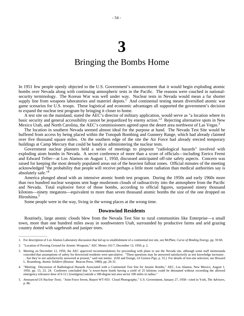# **3**

# Bringing the Bombs Home

In 1951 few people openly objected to the U.S. Government's announcement that it would begin exploding atomic bombs over Nevada along with continuing atmospheric tests in the Pacific. The reasons were couched in nationalsecurity terminology. The Korean War was well under way. Nuclear tests in Nevada would mean a far shorter supply line from weapons laboratories and materiel depots.<sup>1</sup> And continental testing meant diversified atomic war game scenarios for U.S. troops. These logistical and economic advantages all supported the government's decision to expand the nuclear test program by bringing it closer to home.

A test site on the mainland, stated the AEC's director of military application, would serve as "a location where its basic security and general accessibility cannot be jeopardized by enemy action."<sup>2</sup> Rejecting alternative spots in New Mexico Utah, and North Carolina, the AEC's commissioners agreed upon the desert area northwest of Las Vegas.<sup>3</sup>

The location in southern Nevada seemed almost ideal for the purpose at hand. The Nevada Test Site would be buffered from access by being placed within the Tonopah Bombing and Gunnery Range, which had already claimed over five thousand square miles. On the southern edge of the site the Air Force had already erected temporary buildings at Camp Mercury that could be handy in administering the nuclear tests.

Government nuclear planners held a series of meetings to pinpoint "radiological hazards" involved with exploding atom bombs in Nevada. A secret conference of more than a score of officials—including Enrico Fermi and Edward Teller—at Los Alamos on August 1, 1950, discussed anticipated off-site safety aspects. Concern was raised for keeping the most densely populated areas out of the heaviest fallout zones. Official minutes of the meeting acknowledged "the probability that people will receive perhaps a little more radiation than medical authorities say is absolutely safe."4

America plunged ahead with an intensive atomic bomb test program. During the 1950s and early 1960s more than two hundred nuclear weapons sent huge mushroom clouds of radioactivity into the atmosphere from the Pacific and Nevada. Total explosive force of those bombs, according to official figures, surpassed ninety thousand kilotons—ninety megatons—equivalent to more than seven thousand atomic bombs the size of the one dropped on Hiroshima.<sup>5</sup>

Some people were in the way, living in the wrong places at the wrong time.

### **Downwind Residents**

Routinely, large atomic clouds blew from the Nevada Test Site to rural communities like Enterprise—a small town, more than one hundred miles away in southwestern Utah, surrounded by productive farms and arid grazing country dotted with sagebrush and juniper trees.

<sup>1.</sup> For description of Los Alamos Laboratory discussion that led up to establishment of a continental test site, see McPhee, *Curve of Binding Energy,* pp. 59 60.

<sup>2. &</sup>quot;Location of Proving Ground for Atomic Weapons," AEC Memo 141/7, December 13, 1950, p. 2.

<sup>3.</sup> Meeting on December 12, 1950, the AEC approved recommendations for proceeding with plans to use the Nevada site, although some staff memoranda conceded that assumptions of safety for downwind residents were speculative. "These questions may be answered satisfactorily as test knowledge increases . . . but they're not satisfactorily answered at present," said one memo. (Uhl and Ensign, *GI Guinea Pigs,* p. 55.) For details of test-site selection, see Howard L. Rosenberg, *Atomic Soldiers* (Boston: Beacon Press, 1980), pp. 26-31.

<sup>4. &</sup>quot;Meeting: Discussion of Radiological Hazards Associated with a Continental Test Site for Atomic Bombs," AEC, Los Alamos, New Mexico, August 1, 1950, pp. 13, 23, 24. Conferees concluded that "a tower-burst bomb having a yield of 25 kilotons could be detonated without exceeding the allowed emergency tolerance dose of 6-12 r [roentgens] outside a 180-degree test area sector 100 miles in radius."

<sup>5.</sup> *Announced US Nuclear Tests*; "Joint Force Seven, Report WT-933: Cloud Photography," U.S. Government, January 27, 1958—cited in York, *The Advisors,* p. 86.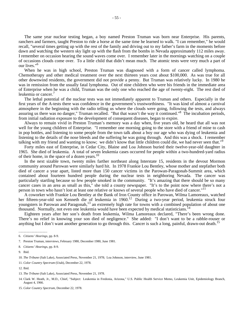The same year nuclear testing began, a boy named Preston Truman was born near Enterprise. His parents, ranchers and farmers, taught Preston to ride a horse at the same time he learned to walk. "I can remember," he would recall, "several times getting up with the rest of the family and driving out to my father's farm in the moments before dawn and watching the western sky light up with the flash from the bombs in Nevada approximately 112 miles away. I remember on occasion hearing the sound waves come over. I remember later in the mornings watching on a couple of occasions clouds come over. To a little child that didn't mean much. The atomic tests were very much a part of our lives."<sup>6</sup>

When he was in high school, Preston Truman was diagnosed with a form of cancer called lymphoma. Chemotherapy and other medical treatment over the next thirteen years cost about \$100,000. As was true for all other downwind residents, the government did not provide a penny. But Truman was relatively lucky. In 1980 he was in remission from the usually fatal lymphoma. Out of nine children who were his friends in the immediate area of Enterprise when he was a child, Truman was the only one who reached the age of twenty-eight. The rest died of leukemia or cancer.<sup>7</sup>

The lethal potential of the nuclear tests was not immediately apparent to Truman and others. Especially in the first years of the A-tests there was confidence in the government's trustworthiness. "It was kind of almost a carnival atmosphere in the beginning with the radio telling us where the clouds were going, following the tests, and always assuring us there was no danger," Truman recalled. "But that wasn't the way it continued."<sup>8</sup> The incubation periods, from initial radiation exposure to the development of consequent diseases, began to expire.

Always to remain vivid in Preston Truman's memory was a day when, five years old, he heard that all was not well for the young children of Enterprise. "I remember one morning going to the store with a friend of mine to cash in pop bottles, and listening to some people from the town talk about a boy our age who was dying of leukemia and listening to the details of the nose bleeds and the suffering he was going through. And this was a shock. I remember talking with my friend and wanting to know; we didn't know that little children could die, we had never seen that."<sup>9</sup>

Forty miles east of Enterprise, in Cedar City, Blaine and Loa Johnson buried their twelve-year-old daughter in 1965. She died of leukemia. A total of seven leukemia cases occurred for people within a two-hundred-yard radius of their home, in the space of a dozen years.<sup>10</sup>

In the next sizable town, twenty miles farther northeast along Interstate 15, residents in the devout Mormon community around Parowan were similarly hard hit. In 1978 Frankie Lou Bentley, whose mother and stepfather both died of cancer a year apart, listed more than 150 cancer victims in the Parowan-Paragonah-Summit area, which contained about fourteen hundred people during the nuclear tests in neighboring Nevada. The cancer was particularly startling because so few people smoked in the community. "It's amazing that there should be so many cancer cases in an area as small as this," she told a county newspaper. "It's to the point now where there's not a person in town who hasn't lost at least one relative or knows of several people who have died of cancer."<sup>11</sup>

A coworker with Frankie Lou Bentley at the Bank of Iron County office in Parowan, Wilma Lamoreaux, watched her fifteen-year-old son Kenneth die of leukemia in 1960.<sup>12</sup> During a two-year period, leukemia struck four youngsters in Parowan and Paragonah,<sup>13</sup> an extremely high rate for towns with a combined population of about one thousand. Normally, not even one leukemia would have been expected by medical statisticians.<sup>14</sup>

Eighteen years after her son's death from leukemia, Wilma Lamoreaux declared, "There's been wrong done. There's no relief in knowing your son died of negligence." She added: "I don't want to be a rabble-rouser or anything but I don't want another generation to go through this. Cancer is such a long, painful, drawn-out death.<sup>15</sup>

<sup>6.</sup> *Citizens' Hearings,* pp. 8-9.

<sup>7.</sup> Preston Truman, interviews, February 1980, December 1980, June 1981.

<sup>8.</sup> *Citizens' Hearings,* pp. 8-9.

<sup>9.</sup> Ibid.

<sup>10.</sup> *The Tribune* (Salt Lake), Associated Press, November 21, 1978; Loa Johnson, interview, June 1981.

<sup>11.</sup> *Color Country Spectrum* (Utah), December 22, 1978.

<sup>12.</sup> Ibid.

<sup>13.</sup> *The Tribune* (Salt Lake), Associated Press, November 21, 1978.

<sup>14.</sup> Clark W. Heath, Jr., M.D., Chief, "Subject: Leukemia in Fredonia, Arizona," U.S. Public Health Service Memo, Leukemia Unit, Epidemiology Branch, August 4, 1966.

<sup>15.</sup> *Color Country Spectrum,* December 22, 1978.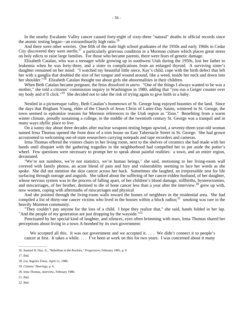In the nearby Escalante Valley cancer caused forty-eight of sixty-three "natural" deaths in official records since the atomic testing began—an extraordinarily high ratio.<sup>16</sup>

And there were other worries. One fifth of the male high school graduates of the 1950s and early 1960s in Cedar City discovered they were sterile,<sup>17</sup> a particularly grievous condition in a Mormon culture which places great stress on holy edicts to raise large families. For those who became parents, there were fears of genetic damage.

Elizabeth Catalan, who was a teenager while growing up in southwest Utah during the 1950s, lost her father to leukemia when he was forty-three, and a sister to complications from an enlarged thyroid. A surviving sister's daughter remained on her mind: "I watched my beautiful little niece, Kay's child, cope with the birth defect that left her with a ganglia that doubled the size of her tongue and wound around, like a weed, inside her neck and down into her shoulder."<sup>18</sup> Elizabeth Catalan thought too about girls she abnormalities in their children.

When Beth Catalan became pregnant, the fetus dissolved *in utero*. "One of the things I always wanted to be was a mother," she told a citizens' commission inquiry in Washington in 1980, adding that "you run a Geiger counter over my body and it'll click."<sup>19</sup> She decided not to take the risk of trying again to give birth to a baby.

Nestled in a picturesque valley, Beth Catalan's hometown of St. George long enjoyed bounties of the land. Since the days that Brigham Young, elder of the Church of Jesus Christ of Latter-Day Saints, wintered in St. George, the town seemed to epitomize reasons for Mormon references to the Utah region as "Zion." Benefiting from a warm winter climate, proudly sustaining a college, in the middle of the twentieth century St. George was a tranquil and in many ways idyllic place to live.

On a sunny day about three decades after nuclear weapons testing began upwind, a seventy-three-year-old woman named Irma Thomas opened the front door of a trim house on East Tabernacle Street in St. George. She had grown accustomed to welcoming out-of-state researchers carrying notepads and tape recorders and cameras.

Irma Thomas offered the visitors chairs in her living room, next to the shelves of ceramics she had made with her hands until disquiet with the gathering tragedies in the neighborhood had compelled her to put aside the potter's wheel. Few questions were necessary to prompt her to speak about painful realities: a town, and an entire region, devastated.

"We're not numbers, we're not statistics, we're human beings," she said, motioning to her living-room wall covered with family photos, an acute blend of pain and fury and vulnerability seeming to lace her words as she spoke. She did not mention the skin cancer across her back. Sometimes she laughed, an irrepressible zest for life surfacing through outrage and anguish. She talked about the suffering of her cancer-ridden husband, of her daughter, whose nervous system was in the process of falling apart, of her children's blood damage, stillbirths, hysterectomies, and miscarriages, of her brother, destined to die of bone cancer less than a year after the interview.<sup>20</sup> grew up with, now women, coping with aftermaths of miscarriages and physical

And she pointed through the living-room walls toward the homes of neighbors in the residential area. She had compiled a list of thirty-one cancer victims who lived in the houses within a block radius;<sup>21</sup> smoking was rare in the heavily Mormon community.

"They couldn't pay anyone for the loss of a child. I hope they realize that," she said, hands folded in her lap. "And the people of my generation are just dropping by the wayside."<sup>22</sup>

Punctuated by her special kind of laughter, and silences, eyes often brimming with tears, Irma Thomas shared her perceptions about living in a town A-bombed by its own government:

We accepted all this. It was our government and we accepted it. . . . We didn't connect it to people's cancer at first. It takes a while. . . . I've been at work on this for two years. I was concerned about it many

<sup>16.</sup> Samuel H. Day, Jr., "Rebellion in the Rockies," *Progressive,* February 1981, p. 9.

<sup>17.</sup> Ibid.

<sup>18.</sup> *Los Angeles Times,* April 11, 1980.

<sup>19.</sup> *Citizens' Hearings,* p. 6.

<sup>20.</sup> Irma Thomas, interview, February 1980.

<sup>21.</sup> Ibid.

<sup>22.</sup> Ibid.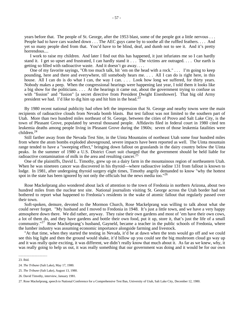years before that. The people of St. George, after the 1953 blast, some of the people got a little nervous . . . People had to have cars washed down . . . The AEC guys came by to soothe all the ruffled feathers. . . . And yet so many people died from that. You'd have to be blind, deaf, and dumb not to see it. And it's pretty horrendous....

I work to raise my children. And later I find out this has happened, it just infuriates me so I can hardly stand it. I get so upset and frustrated, I can hardly stand it . . . The victims are outraged. . . . Our earth is getting so filled with radioactive waste. And it doesn't go away. . . .

One of my favorite sayings, "Oh too much talk, hit 'em on the head with a rock." . . . I'm going to keep pounding, here and there and everywhere, till somebody hears me. . . . All I can do is right here, in this house. All I can do is do what I can, the way I can. . . . Look how long we suffered, for thirty years. Nobody makes a peep. When the congressional hearings were happening last year, I told them it looks like a big show for the politicians. . . . At the hearings it came out, about the government trying to confuse us with "fission" and "fusion" [a secret directive from President Dwight Eisenhower]. That big old Army president we had. I'd like to dig him up and hit him in the head.<sup>23</sup>

By 1980 recent national publicity had often left the impression that St. George and nearby towns were the main recipients of radioactive clouds from Nevada bomb blasts. But test fallout was not limited to the southern part of Utah. More than two hundred miles northeast of St. George, between the cities of Provo and Salt Lake City, is the town of Pleasant Grove, populated by several thousand people. Affidavits filed in federal court in 1980 cited ten leukemia deaths among people living in Pleasant Grove during the 1960s; seven of those leukemia fatalities were children.<sup>24</sup>

Still farther away from the Nevada Test Site, in the Uinta Mountains of northeast Utah some four hundred miles from where the atom bombs exploded aboveground, severe impacts have been reported as well. The Uinta mountain range tended to have a "sweeping effect," bringing down fallout on grasslands in the dairy country below the Uinta peaks. In the summer of 1980 a U.S. District Court suit charged that the government should be held liable for radioactive contamination of milk in the area and resulting cancer.<sup>25</sup>

One of the plaintiffs, David L. Timothy, grew up on a dairy farm in the mountainous region of northeastern Utah. When he was nineteen cancer was discovered in his thyroid—where radioactive iodine 131 from fallout is known to lodge. In 1981, after undergoing thyroid surgery eight times, Timothy angrily demanded to know "why the hottest spot in the state has been ignored by not only the officials but the news media too." $^{26}$ 

Rose Mackelprang also wondered about lack of attention to the town of Fredonia in northern Arizona, about two hundred miles from the nuclear test site. National journalists visiting St. George across the Utah border had not bothered to report what happened to Fredonia's residents in the wake of atomic fallout that regularly passed over their town.

Soft-spoken, demure, devoted to the Mormon Church, Rose Mackelprang was willing to talk about what she could never forget. "My husband and I moved to Fredonia in 1948. It's just a little town, and we have a very happy atmosphere down there. We did rather, anyway. They raise their own gardens and most of 'em have their own cows, a lot of them do, and they have gardens and bottle their own food, put it up, store it, that's just the life of a small community."<sup>27</sup> Rose Mackelprang's husband, Gayneld, became a teacher in the public schools of Fredonia, where the lumber industry was assuming economic importance alongside farming and livestock.

"At that time, when they started the testing in Nevada, it'd be at dawn when the tests would go off and we could see this big light and then the ground would shake, it'd billow up you could see the big mushroom cloud go way up and it was really quite exciting, it was different, we didn't really know that much about it. As far as we knew, why, it was really going to help us out, it was really something that our government was doing and it would be for our own

<sup>23.</sup> Ibid.

<sup>24.</sup> *The Tribune* (Salt Lake), May 17, 1980.

<sup>25.</sup> *The Tribune* (Salt Lake), August 13, 1980.

<sup>26.</sup> David Timothy, interview, January 1981.

<sup>27.</sup> Rose Mackelprang, speech to National Conference for a Comprehensive Test Ban, University of Utah, Salt Lake City, December 12, 1980.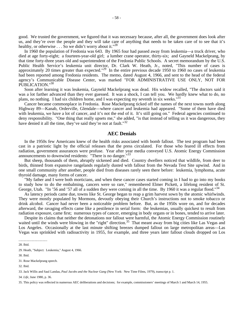good. We trusted the government, we figured that it was necessary because, after all, the government does look after us, and they're over the people and they will take care of anything that needs to be taken care of to see that it's healthy, or otherwise  $\dots$  So we didn't worry about it."<sup>28</sup>

In 1960 the population of Fredonia was 643. By 1965 four had passed away from leukemia—a truck driver, who died at age forty-eight; a fourteen-year-old girl; a lumber crane operator, thirty-six; and Gayneld Mackelprang, by that time forty-three years old and superintendent of the Fredonia Public Schools. A secret memorandum by the U.S. Public Health Service's leukemia unit director, Dr. Clark W. Heath, Jr., noted, "This number of cases is approximately 20 times greater than expected."<sup>29</sup> In the entire previous decade 1950 to 1960 no cases of leukemia had been reported among Fredonia residents. The memo, dated August 4, 1966, and sent to the head of the federal agency's Communicable Disease Center, was marked "FOR ADMINISTRATIVE USE ONLY, NOT FOR PUBLICATION."<sup>30</sup>

Soon after learning it was leukemia, Gayneld Mackelprang was dead. His widow recalled, "The doctors said it was a lot farther advanced than they ever guessed. It was a shock, I can tell you. We hardly knew what to do, no plans, no nothing. I had six children home, and I was expecting my seventh in six weeks."<sup>31</sup>

Cancer became commonplace in Fredonia. Rose Mackelprang ticked off the names of the next towns north along Highway 89—Kanab, Orderville, Glendale—where cancer and leukemia had appeared. "Some of them have died with leukemia, we have a lot of cancer, and it's not the end of it. It's still going on." Federal agencies continued to deny responsibility. "One thing that really upsets me," she added, "is that instead of telling us it was dangerous, they have denied it all the time, they've said they're not at fault." $32$ 

### **AEC Denials**

In the 1950s few Americans knew of the health risks associated with bomb fallout. The test program had been cast in a patriotic light by the official releases that the press circulated. For those who feared ill effects from radiation, government assurances were profuse. Year after year media conveyed U.S. Atomic Energy Commission announcements to downwind residents: "There is no danger."33

But sheep, thousands of them, abruptly sickened and died. Country dwellers noticed that wildlife, from deer to birds, thinned from expansive rangelands regularly dusted with fallout from the Nevada Test Site upwind. And in one small community after another, people died from diseases rarely seen there before: leukemia, lymphoma, acute thyroid damage, many forms of cancer.

"My father and I were both morticians, and when these cancer cases started coming in I had to go into my books to study how to do the embalming, cancers were so rare," remembered Elmer Pickett, a lifelong resident of St. George, Utah. "In '56 and '57 all of a sudden they were coming in all the time. By 1960 it was a regular flood."<sup>34</sup>

As latency periods came due, towns like St. George began to reap a grim harvest sown by the atomic whirlwinds. They were mostly populated by Mormons, devoutly obeying their Church's instructions not to smoke tobacco or drink alcohol. Cancer had never been a noticeable problem before. But, as the 1950s wore on, and for decades afterward, the ravaging effects came like a pestilence in serial form: the leukemias, usually quickest to result from radiation exposure, came first; numerous types of cancer, emerging in body organs or in bones, tended to arrive later.

Despite its claims that neither the detonations nor fallout were harmful, the Atomic Energy Commission routinely waited until the winds were blowing in the "right" direction.<sup>35</sup> That meant away from big cities like Las Vegas and Los Angeles. Occasionally at the last minute shifting breezes dumped fallout on large metropolitan areas—Las Vegas was sprinkled with radioactivity in 1955, for example, and three years later fallout clouds dropped on Los

<sup>28.</sup> Ibid.

<sup>29.</sup> Heath, "Subject: Leukemia," August 4, 1966.

<sup>30.</sup> Ibid.

<sup>31.</sup> Rose Mackelprang speech.

<sup>32.</sup> Ibid.

<sup>33.</sup> Jack Willis and Saul Landau, *Paul Jacobs and the Nuclear Gang* (New York: New Time Films, 1979), transcript p. 1.

<sup>34.</sup> *Life,* June 1980, p. 36.

<sup>35.</sup> This policy was reflected in numerous AEC deliberations and decisions; for example, commissioners' meetings of March 1 and March 14, 1955.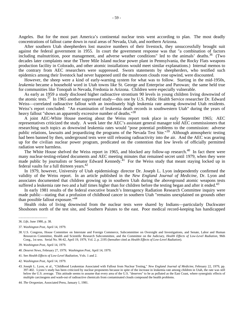Angeles. But for the most part America's continental nuclear tests went according to plan. The most deadly concentrations of fallout came down in rural areas of Nevada, Utah, and northern Arizona.

After southern Utah sheepherders lost massive numbers of their livestock, they unsuccessfully brought suit against the federal government in 1955. In court the government response was that "a combination of factors including malnutrition, poor management, and adverse weather conditions" led to the animals' deaths.<sup>36</sup> (Two decades later complaints near the Three Mile Island nuclear power plant in Pennsylvania, the Rocky Flats weapons production facility in Colorado, and other atomic installations would meet similar explanations.) Internal memos to the contrary from AEC researchers were suppressed. Sworn statements by sheepherders, who testified such epidemics among their livestock had never happened until the mushroom clouds rose upwind, were discounted.

However, the sheep were a kind of early-warning system for what was to follow. Starting in the mid-1950s, *leukemia* became a household word in Utah towns like St. George and Enterprise and Parowan; the same held true for communities like Tonopah in Nevada, Fredonia in Arizona. Children were especially vulnerable.

As early as 1959 a study disclosed higher radioactive strontium 90 levels in young children living downwind of the atomic tests.<sup>37</sup> In 1965 another suppressed study—this one by U.S. Public Health Service researcher Dr. Edward Weiss—correlated radioactive fallout with an inordinately high leukemia rate among downwind Utah residents. Weiss's report concluded: "An examination of leukemia death records in southwestern Utah" during the years of heavy fallout "shows an apparently excessive number of deaths."<sup>38</sup>

A joint AEC-White House meeting about the Weiss report took place in early September 1965; AEC representatives criticized the study. A week later the AEC's assistant general manager told AEC commissioners that researching such topics as downwind leukemia rates would "pose potential problems to the commission: adverse public relations, lawsuits and jeopardizing the programs of the Nevada Test Site."<sup>39</sup> Although atmospheric testing had been banned by then, underground tests were still releasing radioactivity into the air. And the AEC was gearing up for the civilian nuclear power program, predicated on the contention that low levels of officially permitted radiation were harmless.

The White House shelved the Weiss report in 1965, and blocked any follow-up research.<sup>40</sup> In fact there were many nuclear-testing-related documents and AEC meeting minutes that remained secret until 1979, when they were made public by journalists or Senator Edward Kennedy.<sup>41</sup> For the Weiss study that meant staying locked up in federal vaults for a full thirteen years.<sup>42</sup>

In 1979, however, University of Utah epidemiology director Dr. Joseph L. Lyon independently confirmed the validity of the Weiss report. In an article published in the *New England Journal of Medicine,* Dr. Lyon and associates documented that children growing up in southern Utah during the aboveground atomic weapons tests suffered a leukemia rate two and a half times higher than for children before the testing began and after it ended. $43$ 

In early 1981 results of the federal executive branch's Interagency Radiation Research Committee inquiry were made public—stating that a profusion of childhood cancer in southern Utah "remains unexplained on grounds other than possible fallout exposure."<sup>44</sup>

Health risks of living downwind from the nuclear tests were shared by Indians—particularly Duckwater Shoshones north of the test site, and Southern Paiutes to the east. Poor medical record-keeping has handicapped

hh<del>ahaa ka badaa ka badaa ka badaa ka badaa ka badaa ka badaa ka badaa ka badaa ka badaa ka badaa ka badaa ka bada</del> 36. *Life,* June 1980, p. 38.

<sup>37.</sup> *Washington Post,* April 14, 1979.

<sup>38.</sup> U.S. Congress, House Committee on Interstate and Foreign Commerce, Subcommittee on Oversight and Investigations, and Senate, Labor and Human Resources Committee, Health and Scientific Research Subcommittee, and the Committee on the Judiciary, *Health Effects of Low-Level Radiation,* 96th Cong., 1st sess. Serial No. 96-42, April 19, 1979, Vol. 2, p. 2195 (hereafter cited as *Health Effects of Low-Level Radiation*).

<sup>39.</sup> *Washington Post,* April 14, 1979.

<sup>40.</sup> *Deseret News,* February 27, 1979; *Washington Post,* April 14, 1979.

<sup>41.</sup> See *Health Effects of Low-Level Radiation,* Vols. 1 and 2.

<sup>42.</sup> *Washington Post,* April 14, 1979.

<sup>43.</sup> Joseph L. Lyon, et al., "Childhood Leukemias Associated with Fallout from Nuclear Testing," *New England Journal of Medicine,* February 22, 1979, pp. 397-402. Lyons's study has been criticized by nuclear proponents because in spite of the increase in leukemia rate among children in Utah, the rate was still below the U.S. average. This attitude seems to assume that every area of the U.S. "deserves" to be as polluted as the East Coast, where synergistic effects of multiple carcinogens and wash-out of radioactive chemicals from contaminated clouds compound the health problems.

<sup>44.</sup> *The Oregonian,* Associated Press, January 1, 1981.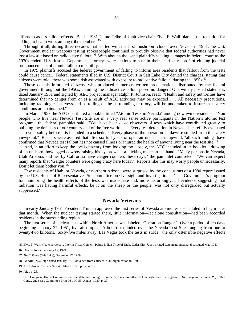efforts to assess fallout effects. But in 1981 Paiute Tribe of Utah vice-chair Elvis F. Wall blamed the radiation for adding to health woes among tribe members.<sup>45</sup>

Through it all, during three decades that started with the first mushroom clouds over Nevada in 1951, the U.S. Government nuclear weapons testing spokespeople continued to proudly observe that federal authorities had never lost a lawsuit based on radioactive fallout.<sup>46</sup> With about a thousand plaintiffs seeking damages in federal court as the 1970s ended, U.S. Justice Department attorneys were anxious to sustain their "perfect record" of eluding judicial pronouncements of atomic fallout culpability.

In 1979 plaintiffs accused the federal government of failing to inform area residents that fallout from the tests could cause cancer. Federal statements filed in U.S. District Court in Salt Lake City denied the charges, stating that citizens were told "there was some risk associated with exposure to radioactive fallout" during the 1950s.

Those denials infuriated citizens, who produced numerous written proclamations distributed by the federal government throughout the 1950s, claiming the radioactive fallout posed no danger. One widely posted statement, dated January 1951 and signed by AEC project manager Ralph P. Johnson, read: "Health and safety authorities have determined that no danger from or as a result of AEC activities may be expected . . . All necessary precautions, including radiological surveys and patrolling of the surrounding territory, will be undertaken to insure that safety conditions are maintained."<sup>48</sup>

In March 1957 the AEC distributed a booklet titled "Atomic Tests in Nevada" among downwind residents. "You people who live near Nevada Test Site are in a very real sense active participants in the Nation's atomic test program," the federal pamphlet said. "You have been close observers of tests which have contributed greatly to building the defenses of our country and of the free world. . . . Every test detonation in Nevada is carefully evaluated as to your safety before it is included in a schedule. Every phase of the operation is likewise studied from the safety viewpoint." Readers were assured that after six full years of open-air nuclear tests upwind, "all such findings have confirmed that Nevada test fallout has not caused illness or injured the health of anyone living near the test site."<sup>49</sup>

And, in an effort to keep the local citizenry from looking too closely, the AEC included in its booklet a drawing of an unshorn, bowlegged cowboy raising his eyebrows at a clicking meter in his hand. "Many persons in Nevada, Utah Arizona, and nearby California have Geiger counters these days," the pamphlet counseled. "We can expect many reports that 'Geiger counters were going crazy here today.' Reports like this may worry people unnecessarily. Don't let them bother you."<sup>50</sup>

Few residents of Utah, or Nevada, or northern Arizona were surprised by the conclusions of a 1980 report issued by the U.S. House of Representatives Subcommittee on Oversight and Investigations: "The Government's program for monitoring the health effects of the tests was inadequate and, more disturbingly, all evidence suggesting that radiation was having harmful effects, be it on the sheep or the people, was not only disregarded but actually suppressed."<sup>51</sup>

### **Nevada Veterans**

In early January 1951 President Truman approved the first series of Nevada atomic tests scheduled to begin later that month. When the nuclear testing started there, little information—let alone consultation—had been accorded residents in the surrounding region.

The first series of nuclear tests within North America was labeled "Operation Ranger." Over a period of ten days beginning January 27, 1951, five air-dropped A-bombs exploded over the Nevada Test Site, ranging from one to twenty-two kilotons. Sixty-five miles away, Las Vegas took the tests in stride; the only ostensible negative effects

<sup>45.</sup> Elvis F. Wall, vice-chairperson, Interim Tribal Council, Paiute Indian Tribe of Utah, Cedar City, Utah, printed statement, undated, distributed May 1981.

<sup>46.</sup> *Deseret News,* February 15, 1979.

<sup>47.</sup> *The Tribune* (Salt Lake), December 17, 1979.

<sup>48. &</sup>quot;WARNING," sign dated January 1951, obtained from Citizens' Call organization in Utah.

<sup>49.</sup> AEC, *Atomic Tests in Nevada,* March 1957, pp. 2, 4, 15.

<sup>50.</sup> Ibid., p. 23.

<sup>51.</sup> U.S. Congress, House Committee on Interstate and Foreign Commerce, Subcommittee on Oversight and Investigations, *The Forgotten Guinea Pigs,* 96th Cong., 2nd sess., Committee Print 96-1FC 53, August 1980, p. 37.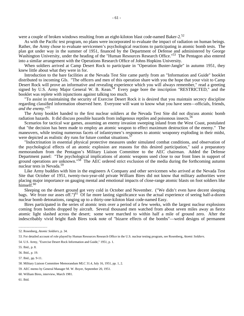were a couple of broken windows resulting from an eight-kiloton blast code-named Baker-2.<sup>52</sup>

As with the Pacific test program, no plans were incorporated to evaluate the impact of radiation on human beings. Rather, the Army chose to evaluate servicemen's psychological reactions to participating in atomic bomb tests. The plan got under way in the summer of 1951, financed by the Department of Defense and administered by George Washington University, under the heading of the "Human Resources Research Office."53 The Pentagon also entered into a similar arrangement with the Operations Research Office of Johns Hopkins University.

When soldiers arrived at Camp Desert Rock to participate in "Operation Buster-Jangle" in autumn 1951, they knew little about what they were in for.

Introduction to the bare facilities at the Nevada Test Site came partly from an "Information and Guide" booklet distributed to incoming GIs. "The officers and men of this operation share with you the hope that your visit to Camp Desert Rock will prove an informative and revealing experience which you will always remember," read a greeting signed by U.S. Army Major General W. B. Kean.<sup>54</sup> Every page bore the inscription "RESTRICTED," and the booklet was replete with injunctions against talking too much.

"To assist in maintaining the security of Exercise Desert Rock it is desired that you maintain secrecy discipline regarding classified information observed here. Everyone will want to know what you have seen—officials, friends, *and the enemy.*"<sup>55</sup>

The Army booklet handed to the first nuclear soldiers at the Nevada Test Site did not discuss atomic bomb radiation hazards. It did discuss possible hazards from indigenous reptiles and poisonous insects.<sup>56</sup>

Scenarios for tactical war games, assuming an enemy invasion sweeping inland from the West Coast, postulated that "the decision has been made to employ an atomic weapon to effect maximum destruction of the enemy." The maneuvers, while testing numerous facets of infantrymen's responses to atomic weaponry exploding in their midst, were depicted as realistic dry runs for future combat situations.<sup>5</sup>

"Indoctrination in essential physical protective measures under simulated combat conditions, and observation of the psychological effects of an atomic explosion are reasons for this desired participation," said a preparatory memorandum from the Pentagon's Military Liaison Committee to the AEC chairman. Added the Defense Department panel: "The psychological implications of atomic weapons used close to our front lines in support of ground operations are unknown."<sup>58</sup> The AEC ordered strict exclusion of the media during the forthcoming autumn nuclear tests in Nevada.<sup>59</sup>

Like Army buddies with him in the engineers A Company and other servicemen who arrived at the Nevada Test Site that October of 1951, twenty-two-year-old private William Bires did not know that military authorities were placing major importance on gauging mental and emotional impacts of close-range atomic blasts on foot soldiers like himself. $60$ 

Sleeping on the desert ground got very cold in October and November. ("We didn't even have decent sleeping bags. We froze our asses off.")<sup>61</sup> Of far more lasting significance was the actual experience of seeing half-a-dozen nuclear bomb detonations, ranging up to a thirty-one-kiloton blast code-named Easy.

Bires participated in the series of atomic tests over a period of a few weeks, with the largest nuclear explosions coming from bombs dropped by aircraft. Several thousand men watched from about seven miles away as fierce atomic light slashed across the desert; some were marched to within half a mile of ground zero. After the indescribably vivid bright flash Bires took note of "bizarre effects of the bombs"—weird designs of permanent

<sup>52.</sup> Rosenberg, *Atomic Soldiers,* p. 34.

<sup>53.</sup> For detailed account of role played by Human Resources Research Office in the U.S. nuclear testing program, see Rosenberg, *Atomic Soldiers*.

<sup>54.</sup> U.S. Army, "Exercise Desert Rock Information and Guide," 1951, p. 1.

<sup>55.</sup> Ibid., p. 8.

<sup>56.</sup> Ibid., p. 19.

<sup>57.</sup> Ibid., pp. 9-11.

<sup>58.</sup> Military Liaison Committee Memorandum MLC 31.4, July 16, 1951, pp. 1, 2.

<sup>59.</sup> AEC memo by General Manager M. W. Boyer, September 20, 1951.

<sup>60.</sup> William Bires, interview, March 1981.

<sup>61.</sup> Ibid.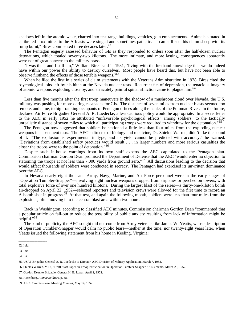shadows left in the atomic wake, charred into test range buildings, vehicles, gun emplacements. Animals situated in calibrated proximities to the A-blasts were singed and sometimes pathetic. "I can still see this damn sheep with its rump burnt," Bires commented three decades later.<sup>62</sup>

The Pentagon eagerly assessed behavior of GIs as they responded to orders soon after the half-dozen nuclear detonations, which totaled seventy-two kilotons. The more intimate, and more lasting, consequences apparently were not of great concern to the military brass.

"I was then, and I still am," William Bires said in 1981, "living with the firsthand knowledge that we do indeed have within our power the ability to destroy ourselves. Most people have heard this, but have not been able to observe firsthand the effects of those terrible weapons."<sup>63</sup>

When he filed the first in a series of claim statements with the Veterans Administration in 1978, Bires cited the psychological jolts left by his hitch at the Nevada nuclear tests. Recurrent fits of depression, the tenacious imagery of atomic weapons exploding close by, and an acutely painful spinal affliction came to plague him.<sup>64</sup>

Less than five months after the first troop maneuvers in the shadow of a mushroom cloud over Nevada, the U.S. military was pushing for more daring escapades for GIs. The distance of seven miles from nuclear blasts seemed too remote, and tame, to high-ranking occupants of Pentagon offices along the banks of the Potomac River. In the future, declared Air Force Brigadier General A. R. Luedecke, a less cautious policy would be appropriate. In a secret letter to the AEC in early 1952 he attributed "unfavorable psychological effects" among soldiers "to the tactically unrealistic distance of seven miles to which all participating troops were required to withdraw for the detonation."<sup>65</sup>

The Pentagon now suggested that soldiers be stationed a little less than four miles from the exploding nuclear weapons in subsequent tests. The AEC's director of biology and medicine, Dr. Shields Warren, didn't like the sound of it. "The explosion is experimental in type, and its yield cannot be predicted with accuracy," he warned. "Deviations from established safety practices would result . . . in larger numbers and more serious casualties the closer the troops were to the point of detonation."<sup>66</sup>

Despite such in-house warnings from its own staff experts the AEC capitulated to the Pentagon plan. Commission chairman Gordon Dean promised the Department of Defense that the AEC "would enter no objection to stationing the troops at not less than 7,000 yards from ground zero."<sup>67</sup> All discussions leading to the decision that would affect thousands of soldiers were conducted in secrecy. The Pentagon had exercised its unwritten dominance over the AEC.

In Nevada nearly eight thousand Army, Navy, Marine, and Air Force personnel were in the early stages of "Operation Tumbler-Snapper"—involving eight nuclear weapons dropped from airplanes or perched on towers, with total explosive force of over one hundred kilotons. During the largest blast of the series—a thirty-one-kiloton bomb air-dropped on April 22, 1952—selected reporters and television crews were allowed for the first time to record an A-bomb shot in progress.<sup>68</sup> At that test, and again the following month, soldiers were less than four miles from the explosions, often moving into the central blast area within two hours.

Back in Washington, according to classified AEC minutes, Commission chairman Gordon Dean "commented that a popular article on fall-out to reduce the possibility of public anxiety resulting from lack of information might be helpful."<sup>69</sup>

The kind of publicity the AEC sought did not come from Army veterans like James W. Yeatts, whose description of Operation Tumbler-Snapper would calm no public fears—neither at the time, nor twenty-eight years later, when Yeatts issued the following statement from his home in Keeling, Virginia:

<sup>62.</sup> Ibid.

<sup>63.</sup> Ibid.

<sup>64.</sup> Ibid.

<sup>65.</sup> USAF Brigadier General A. R. Luedecke to Director, AEC Division of Military Application, March 7, 1952.

<sup>66.</sup> Shields Warren, M.D., "Draft Staff Paper on Troop Participation in Operation Tumbler-Snapper," AEC memo, March 25, 1952.

<sup>67.</sup> Gordon Dean to Brigadier General H. B. Loper, April 2, 1952.

<sup>68.</sup> Rosenberg, *Atomic Soldiers,* p. 58.

<sup>69.</sup> AEC Commissioners Meeting Minutes, May 14, 1952.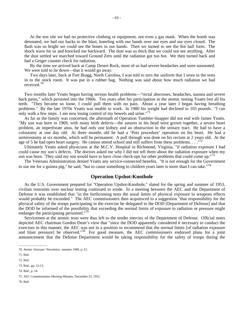At the test site we had no protective clothing or equipment, not even a gas mask. When the bomb was detonated, we had our backs to the blast, kneeling with our hands over our eyes and our eyes closed. The flash was so bright we could see the bones in our hands. Then we turned to see the fire ball form. The shock wave hit us and knocked me backward. The dust was so thick that we could not see anything. After the dust settled we marched toward Ground Zero until the radiation got too hot. We then turned back and had a Geiger counter check for radiation.

By the time we arrived back at Camp Desert Rock, most of us had severe headaches and were nauseated. We were told to lie down—that it would go away.

Two days later, back at Fort Bragg, North Carolina, I was told to turn the uniform that I wore in the tests in to the stock room. It was put in a rubber bag. Nothing was said about how much radiation we had received.<sup>70</sup>

Two months later Yeatts began having serious health problems—"rectal abscesses, headaches, nausea and severe back pains," which persisted into the 1960s. Ten years after his participation in the atomic testing Yeatts lost all his teeth. "They became so loose, I could pull them with no pain. About a year later I began having breathing problems." By the late 1970s Yeatts was unable to work. In 1980 his weight had declined to 103 pounds. "I can only walk a few steps. I am now losing control of my bowels and urine."<sup>71</sup>

As far as the family was concerned, the aftermath of Operation Tumbler-Snapper did not end with James Yeatts. "My son was born in 1969, with many birth defects—the sutures in his head were grown together, a severe heart problem, an imperforate anus, he had only one kidney and an obstruction in the urinary tract. He had to have a colostomy at one day old. At three months old he had a 'Pots procedure' operation on his heart. He had a ureterostomy at six months, which will be permanent. A pull through was done on his rectum at 2 years old. At the age of 5 he had open heart surgery. He cannot attend school and still suffers from these problems.  $\ldots$ <sup>72</sup>

Ultimately Yeatts asked physicians at the M.C.V. Hospital in Richmond, Virginia, "if radiation exposure I had could cause my son's defects. The doctors asked me why I did not tell them about the radiation exposure when my son was born. They said my son would have to have close check-ups for other problems that could come up."<sup>73</sup>

The Veterans Administration denied Yeatts any service-connected benefits. "It is not enough for the Government to use me for a guinea pig," he said, "but to cause something to children years later is more than I can take."<sup>74</sup>

### **Operation Upshot-Knothole**

As the U.S. Government prepared for "Operation Upshot-Knothole," slated for the spring and summer of 1953, civilian restraints over nuclear testing continued to erode. In a meeting between the AEC and the Department of Defense it was established that "in the forthcoming tests the usual limits of physical exposure to weapons effects would probably be exceeded." The AEC commissioners then acquiesced to a suggestion "that responsibility for the physical safety of the troops participating in the exercise be delegated to the DOD [Department of Defense] and that the DOD be informed of the possibility that exceeding the normal limits of exposure to radiation or pressure might endanger the participating personnel."<sup>75</sup>

Servicemen at the atomic tests were thus left to the tender mercies of the Department of Defense. Official notes depicted AEC chairman Gordon Dean's view that "since the DOD apparently considered it necessary to conduct the exercises in this manner, the AEC was not in a position to recommend that the normal limits [of radiation exposure and blast pressure] be observed."<sup>76</sup> For good measure, the AEC commissioners endorsed plans for a joint announcement that the Defense Department would be taking responsibility for the safety of troops during the

<sup>70.</sup> *Atomic Veterans' Newsletter,* summer 1980, p. 12.

<sup>71.</sup> Ibid.

<sup>72.</sup> Ibid.

<sup>73.</sup> Ibid., pp. 12-13.

<sup>74.</sup> Ibid., p. 14.

<sup>75.</sup> AEC Commissioners Meeting Minutes, December 23, 1952.

<sup>76.</sup> Ibid.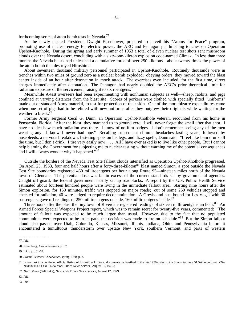forthcoming series of atom bomb tests in Nevada.77

As the newly elected President, Dwight Eisenhower, prepared to unveil his "Atoms for Peace" program, promoting use of nuclear energy for electric power, the AEC and Pentagon put finishing touches on Operation Upshot-Knothole. During the spring and early summer of 1953 a total of eleven nuclear test shots sent mushroom clouds over the Nevada desert, concluding with a sixty-one-kiloton explosion code-named Climax. In less than three months the Nevada blasts had unleashed a cumulative force of over 250 kilotons—about twenty times the power of the atom bomb that destroyed Hiroshima.

About seventeen thousand military personnel participated in Upshot-Knothole. Routinely thousands were in trenches within two miles of ground zero as a nuclear bomb exploded; obeying orders, they moved toward the blast center inside of an hour after detonation in mock attack. The exercises even included, for the first time, direct charges immediately after detonation. The Pentagon had nearly doubled the AEC's prior theoretical limit for radiation exposure of the servicemen, raising it to six roentgens.<sup>78</sup>

Meanwhile A-test overseers had been experimenting with nonhuman subjects as well—sheep, rabbits, and pigs confined at varying distances from the blast site. Scores of porkers were clothed with specially fitted "uniforms" made out of standard Army material, to test for protection of their skin. One of the more bizarre expenditures came when one set of pigs had to be refitted with new uniforms after they outgrew their originals while waiting for the weather to break.<sup>7</sup>

Former Army sergeant Cecil G. Dunn, an Operation Upshot-Knothole veteran, recounted from his home in Pensacola, Florida, "After the blast, they marched us to ground zero. I will never forget the smell after that shot. I have no idea how much radiation was there. I know of no film badges. I don't remember seeing any of the men wearing any. I know I never had one." Recalling subsequent chronic headaches lasting years, followed by nosebleeds, a nervous breakdown, festering spots on his legs, and dizzy spells, Dunn said: "I feel like I am drunk all the time, but I don't drink. I tire very easily now. . . . All I have ever asked is to live like other people. But I cannot help blaming the Government for subjecting me to nuclear testing without warning me of the potential consequences and I will always wonder why it happened."80

Outside the borders of the Nevada Test Site fallout clouds intensified as Operation Upshot-Knothole progressed. On April 25, 1953, four and half hours after a forty-three-kiloton<sup>81</sup> blast named Simon, a spot outside the Nevada Test Site boundaries registered 460 milliroentgens per hour along Route 93—nineteen miles north of the Nevada town of Glendale. The potential dose was far in excess of the current standards set by governmental agencies. Caught off guard, the federal government hastily set up roadblocks. A report by the U.S. Public Health Service estimated about fourteen hundred people were living in the immediate fallout area. Starting nine hours after the Simon explosion, for 150 minutes, traffic was stopped on major roads; out of some 250 vehicles stopped and checked for radiation, 40 were judged to require decontamination. A Greyhound bus, bound for Las Vegas with 30 passengers, gave off readings of 250 milliroentgens outside, 160 milliroentgens inside.<sup>82</sup>

Three hours after the blast the tiny town of Riverdale registered readings of sixteen milliroentgens an hour.<sup>83</sup> An Armed Forces Special Weapons Project report, which was to remain secret for twenty-five years, commented: "The amount of fallout was expected to be much larger than usual. However, due to the fact that no populated communities were expected to be in its path, the decision was made to fire on schedule.<sup>84</sup> But the Simon fallout cloud also passed over Utah, Colorado, Kansas, Missouri, Illinois, Indiana, Ohio, and Pennsylvania before it encountered a tumultuous thunderstorm over upstate New York, southern Vermont, and parts of western

<sup>77.</sup> Ibid.

<sup>78.</sup> Rosenberg, *Atomic Soldiers,* p. 57.

<sup>79.</sup> Ibid., pp. 61-63.

<sup>80.</sup> *Atomic Veterans' Newsletter,* spring 1980, p. 3.

<sup>81.</sup> In contrast to a continued official listing of forty-three kilotons, documents declassified in the late 1970s refer to the Simon test as a 51.5-kiloton blast. (*The Tribune* [Salt Lake], New York Times News Service, August 12, 1979.)

<sup>82.</sup> *The Tribune* (Salt Lake), New York Times News Service, August 12, 1979.

<sup>83.</sup> Ibid.

<sup>84.</sup> Ibid.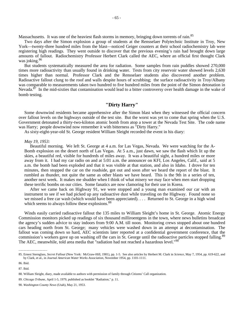Massachusetts. It was one of the heaviest flash storms in memory, bringing down torrents of rain.<sup>85</sup>

Two days after the Simon explosion a group of students at the Rensselaer Polytechnic Institute in Troy, New York—twenty-three hundred miles from the blast—noticed Geiger counters at their school radiochemistry lab were registering high readings. They went outside to discover that the previous evening's rain had brought down large amounts of fallout. Radiochemistry Professor Herbert Clark called the AEC, where an official first thought Clark was joking.<sup>86</sup>

But students systematically measured the area for radiation. Some samples from rain puddles showed 270,000 times more radioactivity than usually found in drinking water. Tests from city reservoir water showed levels 2,630 times higher than normal. Professor Clark and the Rensselaer students also discovered another problem. Radioactive fallout clung to the roof and walls despite hours of scrubbing; the surface radioactivity in Troy/Albany was comparable to measurements taken two hundred to five hundred miles from the point of the Simon detonation in Nevada.<sup>87</sup> In the mid-sixties that contamination would lead to a bitter controversy over health damage in the wake of bomb testing.

# **"Dirty Harry"**

Some downwind residents became apprehensive after the Simon blast when they witnessed the official concern over fallout levels on the highways outside of the test site. But the worst was yet to come that spring when the U.S. Government detonated a thirty-two-kiloton atomic bomb from atop a tower at the Nevada Test Site. The code name was Harry; people downwind now remember it with bitterness as "Dirty Harry."

As sixty-eight-year-old St. George resident William Sleight recorded the event in his diary:

### *May 19, 1953:*

Beautiful morning. We left St. George at 4 a.m. for Las Vegas, Nevada. We were watching for the A-Bomb explosion on the desert north of Las Vegas. At 5 a.m., just dawn, we saw the flash which lit up the skies, a beautiful red, visible for hundreds of miles away. It was a beautiful sight, a hundred miles or more away from it. I had my car radio on and at 5:01 a.m. the announcer on KFI, Los Angeles, Calif., said at 5 a.m. the bomb had been exploded and that it was visible at that station, and also in Idaho. I drove for ten minutes, then stopped the car on the roadside, got out and soon after we heard the report of the blast. It rumbled as thunder, not quite the same as other blasts we have heard. This is the 9th in a series of ten, another next week. It makes me shudder when I think of what misery we may face when men start dropping these terrific bombs on our cities. Some fanatics are now clamoring for their use in Korea.

After we came back on Highway 91, we were stopped and a young man examined our car with an instrument to see if we had picked up any radioactive dust while traveling on the Highway. Found none so we missed a free car wash (which would have been appreciated). . . . Returned to St. George in a high wind which seems to always follow these explosions.<sup>88</sup>

Winds easily carried radioactive fallout the 135 miles to William Sleight's home in St. George. Atomic Energy Commission monitors picked up readings of six thousand milliroentgens in the town, where news bulletins broadcast the agency's sudden advice to stay indoors from 9:00 A.M. till noon. Monitoring crews stopped about one hundred cars heading north from St. George; many vehicles were washed down in an attempt at decontamination. The fallout was coming down so hard, AEC scientists later reported at a confidential government conference, that the commission's workers gave up on washing off the cars in St. George until the radioactive particles stopped falling.<sup>89</sup> The AEC, meanwhile, told area media that "radiation had not reached a hazardous level."<sup>90</sup>

<sup>85.</sup> Ernest Sternglass, *Secret Fallout* (New York: McGraw-Hill, 1981), pp. 1-5. See also articles by Herbert M. Clark in *Science,* May 7, 1954, pp. 619-622, and by Clark, et al., in *Journal American Water Works Association,* November 1954, pp. 1101-1111.

<sup>86.</sup> Ibid.

<sup>87.</sup> Ibid.

<sup>88.</sup> William Sleight, diary, made available to authors with permission of family through Citizens' Call organization.

<sup>89.</sup> *Chicago Tribune,* April 1-5, 1979, published as booklet "Radiation," p. 11.

<sup>90.</sup> *Washington County News* (Utah), May 21, 1953.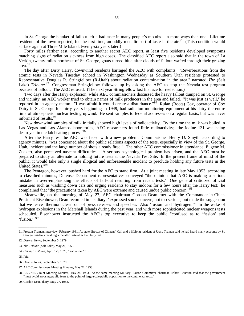In St. George the blanket of fallout left a bad taste in many people's mouths—in more ways than one. Lifetime residents of the town reported, for the first time, an oddly metallic sort of taste in the air.<sup>91</sup> (This condition would surface again at Three Mile Island, twenty-six years later.)

Forty miles farther east, according to another secret AEC report, at least five residents developed symptoms matching signs of radiation sickness from high doses. The classified AEC report also said that in the town of La Verkin, twenty miles northeast of St. George, goats turned blue after clouds of fallout wafted through their grazing area.92

The day after Dirty Harry, downwind residents barraged the AEC with complaints. "Reverberations from the atomic tests in Nevada Tuesday echoed in Washington Wednesday as Southern Utah residents protested to Representative Douglas R. Stringfellow (R-Utah) about radiation contamination in the area," narrated *The* (Salt Lake) *Tribune*.<sup>93</sup> Congressman Stringfellow followed up by asking the AEC to stop the Nevada test program because of fallout. The AEC refused. (The next year Stringfellow lost his race for reelection.)

Two days after the Harry explosion, while AEC commissioners discussed the heavy fallout dumped on St. George and vicinity, an AEC worker tried to obtain names of milk producers in the area and failed. "It was just as well," he reported in an agency memo. "I was afraid it would create a disturbance."<sup>94</sup> Rulan (Boots) Cox, operator of Cox Dairy in St. George for thirty years beginning in 1949, had radiation monitoring equipment at his dairy the entire time of atmospheric nuclear testing upwind. He sent samples to federal addresses on a regular basis, but was never informed of results.<sup>95</sup>

New downwind samples of milk initially showed high levels of radioactivity. By the time the milk was boiled in Las Vegas and Los Alamos laboratories, AEC researchers found little radioactivity; the iodine 131 was being destroyed in the lab heating process.<sup>96</sup>

After the Harry test the AEC was faced with a new problem. Commissioner Henry D. Smyth, according to agency minutes, "was concerned about the public relations aspects of the tests, especially in view of the St. George, Utah, incident and the large number of shots already fired." The other AEC commissioner in attendance, Eugene M. Zuckert, also perceived nascent difficulties. "A serious psychological problem has arisen, and the AEC must be prepared to study an alternate to holding future tests at the Nevada Test Site. In the present frame of mind of the public, it would take only a single illogical and unforeseeable incident to preclude holding any future tests in the United States."<sup>97</sup>

The Pentagon, however, pushed hard for the AEC to stand firm. At a joint meeting in late May 1953, according to classified minutes, Defense Department representatives conveyed "the opinion that AEC is making a serious mistake in over-emphasizing the effects of fall-out resulting from recent tests." One general criticized official measures such as washing down cars and urging residents to stay indoors for a few hours after the Harry test; he complained that "the precautions taken by AEC were extreme and caused undue public concern."<sup>98</sup>

Meanwhile, on the morning of May 27, AEC chairman Gordon Dean met with the Commander-in-Chief. President Eisenhower, Dean recorded in his diary, "expressed some concern, not too serious, but made the suggestion that we leave 'thermonuclear' out of press releases and speeches. Also 'fusion' and 'hydrogen.'" In the wake of hydrogen explosions in the Marshall Islands during the past year, and with more sophisticated nuclear weapons tests scheduled, Eisenhower instructed the AEC's top executive to keep the public "confused as to 'fission' and 'fusion.'"99

hhhhhhhhhhhhhhhhhh

95. Ibid.

97. AEC Commissioners Meeting Minutes, May 22, 1953.

98. AEC-MLC Joint Meeting Minutes, May 28, 1953. At the same meeting Military Liaison Committee chairman Robert LeBaron said that the government "must avoid arousing public fears to the point of large-scale public opposition to the continental tests."

99. Gordon Dean, diary, May 27, 1953.

<sup>91.</sup> Preston Truman, interview, February 1981. As state director of Citizens' Call and a lifelong resident of Utah, Truman said he had heard many accounts by St. George residents recalling a metallic taste after the Harry test.

<sup>92.</sup> *Deseret News,* September 5, 1979.

<sup>93.</sup> *The Tribune* (Salt Lake), May 21, 1953.

<sup>94.</sup> *Chicago Tribune,* April 1-5, 1979, "Radiation," p. 9.

<sup>96.</sup> *Deseret News,* September 5, 1979.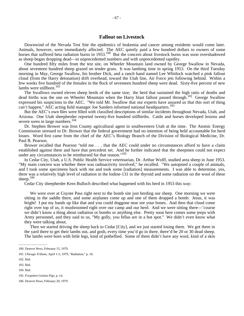### **Fallout on Livestock**

Downwind of the Nevada Test Site the epidemics of leukemia and cancer among residents would come later. Animals, however, were immediately affected. The AEC quietly paid a few hundred dollars to owners of some horses that suffered beta radiation burns in 1953.<sup>100</sup> But the concern about livestock burns was soon overshadowed as sheep began dropping dead—in unprecedented numbers and with unprecedented rapidity.

One hundred fifty miles from the test site, on Wheeler Mountain land owned by George Swallow in Nevada, about seventeen hundred sheep grazed on tender grass. It was lambing time in spring 1953. On the third Tuesday morning in May, George Swallow, his brother Dick, and a ranch hand named Lee Whitlock watched a pink fallout cloud (from the Harry detonation) drift overhead, toward the Utah line, Air Force jets following behind. Within a few weeks five hundred of the females in the flock of seventeen hundred sheep were dead. Sixty-five percent of new lambs were stillborn.<sup>101</sup>

The Swallows owned eleven sheep herds of the same size; the herd that sustained the high ratio of deaths and dead births was the one on Wheeler Mountain when the Harry blast fallout passed through.<sup>102</sup> George Swallow expressed his suspicions to the AEC. "We told Mr. Swallow that our experts have assured us that this sort of thing can't happen," AEC acting field manager Joe Sanders informed national headquarters.<sup>103</sup>

But the AEC's own files were filled with classified descriptions of similar incidents throughout Nevada, Utah, and Arizona. One Utah sheepherder reported twenty-five hundred stillbirths. Cattle and horses developed lesions and severe sores in large numbers.<sup>104</sup>

Dr. Stephen Brower was Iron County agricultural agent in southwestern Utah at the time. The Atomic Energy Commission stressed to Dr. Brower that the federal government had no intention of being held accountable for herd losses. Word first came from the chief of the AEC's Biology Branch of the Division of Biological Medicine, Dr. Paul B. Pearson.

Brower recalled that Pearson "told me . . . that the AEC could under no circumstances afford to have a claim established against them and have that precedent set. And he further indicated that the sheepmen could not expect under any circumstances to be reimbursed for that reason."<sup>105</sup>

In Cedar City, Utah, a U.S. Public Health Service veterinarian, Dr. Arthur Wolff, studied area sheep in June 1953. "My main concern was whether there was radioactivity involved," he recalled. "We autopsied a couple of animals, and I took some specimens back with me and took some [radiation] measurements. I was able to determine, yes, there was a relatively high level of radiation in the Iodine-131 in the thyroid and some radiation on the wool of these sheep. $106$ 

Cedar City sheepherder Kern Bulloch described what happened with his herd in 1953 this way:

We were over at Coyote Pass right next to the bomb site just herding our sheep. One morning we were sitting in the saddle there, and some airplanes come up and one of them dropped a bomb. Jesus, it was bright! I put my hands up like that and you could doggone near see your bones. And then that cloud come right over top of us, it mushroomed right over our camp and our herd. And we were sitting there—'course we didn't know a thing about radiation or bombs or anything else. Pretty soon here comes some jeeps with Army personnel, and they said to us, "My golly, you fellas are in a hot spot." We didn't even know what they were talking about.

Then we started driving the sheep back to Cedar [City], and we just started losing them. We got them in the yard there to get their lambs out, and gosh, every time you'd go in there, there'd be 20 or 30 dead sheep. The lambs were born with little legs, kind of potbellied. Some of them didn't have any wool, kind of a skin

<sup>100.</sup> *Deseret News,* February 15, 1979.

<sup>101.</sup> *Chicago Tribune,* April 1-5, 1979, "Radiation," p. 10.

<sup>102.</sup> Ibid.

<sup>103.</sup> Ibid.

<sup>104.</sup> Ibid.

<sup>105.</sup> *Forgotten Guinea Pigs,* p. vii.

<sup>106.</sup> *Deseret News,* February 20, 1979.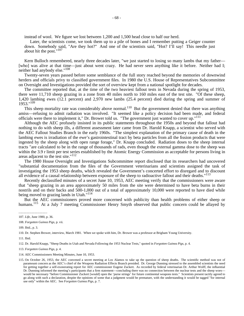instead of wool. We figure we lost between 1,200 and 1,500 head close to half our herd.

Later, the scientists come, we took them up to a pile of bones and I remember putting a Geiger counter down. Somebody said, "Are they hot?" And one of the scientists said, "Hot? I'll say! This needle just about hit the post."<sup>107</sup>

Kern Bulloch remembered, nearly three decades later, "we just started to losing so many lambs that my father— [who] was alive at that time—just about went crazy. He had never seen anything like it before. Neither had I; neither had anybody else."<sup>108</sup>

Twenty-seven years passed before some semblance of the full story reached beyond the memories of downwind herders and officials privy to classified government files. In 1980 the U.S. House of Representatives Subcommittee on Oversight and Investigations provided the sort of overview kept from a national spotlight for decades.

The committee reported that, at the time of the two heaviest fallout tests in Nevada during the spring of 1953, there were 11,710 sheep grazing in a zone from 40 miles north to 160 miles east of the test site. "Of these sheep, 1,420 lambing ewes (12.1 percent) and 2,970 new lambs (25.4 percent) died during the spring and summer of  $1953.^{109}$ 

This sheep mortality rate was considerably above normal.<sup>110</sup> But the government denied that there was anything amiss—refusing to admit radiation was involved. "It seemed like a policy decision had been made, and federal officials were there to implement it," Dr. Brower told us. "The government just wanted to cover up."<sup>111</sup>

Although the AEC profusely insisted in its public statements throughout the 1950s and beyond that fallout had nothing to do with sheep ills, a different assessment later came from Dr. Harold Knapp, a scientist who served with the AEC Fallout Studies Branch in the early 1960s. "The simplest explanation of the primary cause of death in the lambing ewes is irradiation of the ewe's gastrointestinal tract by beta particles from all the fission products that were ingested by the sheep along with open range forage," Dr. Knapp concluded. Radiation doses to the sheep internal tracts "are calculated to be in the range of thousands of rads, even though the external gamma dose to the sheep was within the 3.9 r limit per test series established by the Atomic Energy Commission as acceptable for persons living in areas adjacent to the test site."<sup>112</sup>

The 1980 House Oversight and Investigations Subcommittee report disclosed that its researchers had uncovered "substantial documentation from the files of the Government veterinarians and scientists assigned the task of investigating the 1953 sheep deaths, which revealed the Government's concerted effort to disregard and to discount all evidence of a causal relationship between exposure of the sheep to radioactive fallout and their deaths."<sup>113</sup>

Recently declassified minutes of a secret June 10, 1953, AEC meeting verify that the commissioners were aware that "sheep grazing in an area approximately 50 miles from the site were determined to have beta burns in their nostrils and on their backs and 500-1,000 out of a total of approximately 10,000 were reported to have died while being moved to grazing lands in Utah."<sup>114</sup>

But the AEC commissioners proved more concerned with publicity than health problems of either sheep or humans.<sup>115</sup> At a July 7 meeting Commissioner Henry Smyth observed that public concern could be allayed by

hh<del>ahaa ka badaa ka badaa ka badaa ka badaa ka badaa ka badaa ka badaa ka badaa ka badaa ka badaa ka badaa ka bada</del>

111. Ibid.

113. *Forgotten Guinea Pigs,* p. 4.

<sup>107.</sup> *Life,* June 1980, p. 36.

<sup>108.</sup> *Forgotten Guinea Pigs,* p. vii.

<sup>109.</sup> Ibid., p. 3.

<sup>110.</sup> Dr. Stephen Brower, interview, March 1981. When we spoke with him, Dr. Brower was a professor at Brigham Young University.

<sup>112.</sup> Dr. Harold Knapp, "Sheep Deaths in Utah and Nevada Following the 1953 Nuclear Tests," quoted in *Forgotten Guinea Pigs,* p. 4.

<sup>114.</sup> AEC Commissioners Meeting Minutes, June 10, 1953.

<sup>115.</sup> On October 26, 1953, the AEC convened a secret meeting at Los Alamos to take up the question of sheep deaths. The scientific method was not of paramount concern as the AEC's chief of the Weapons Radiation Effects Branch presided. Dr. George Dunning stressed to the assembled scientists the need for getting together a self-exonerating report for AEC commissioner Eugene Zuckert. As recorded by federal veterinarian Dr. Arthur Wolff, the influential Dr. Dunning informed the meeting's participants that a firm statement—concluding there was no connection between the nuclear tests and the sheep woes would be necessary "before Commissioner Zuckert [would] open the 'purse strings' for future continental weapons tests." Scientists present tacitly agreed to go along with such a declaration, despite the opinions of some that a judgment would be premature, with the understanding it would be tagged "for internal use only" within the AEC. See *Forgotten Guinea Pigs,* p. 7.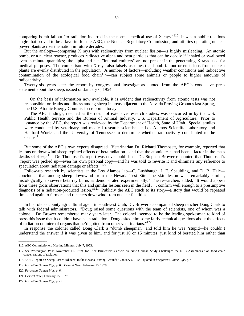comparing bomb fallout "to radiation incurred in the normal medical use of X-rays."<sup>116</sup> It was a public-relations angle that proved to be a favorite for the AEC, the Nuclear Regulatory Commission, and utilities operating nuclear power plants across the nation in future decades.

But the analogy—comparing X rays with radioactivity from nuclear fission—is highly misleading. An atomic bomb, or a nuclear reactor, produces radioactive alpha and beta particles that can be deadly if inhaled or swallowed even in minute quantities; the alpha and beta "internal emitters" are not present in the penetrating X rays used for medical purposes. The comparison with X rays also falsely assumes that bomb fallout or emissions from nuclear plants are evenly distributed in the population. A number of factors—including weather conditions and radioactive contamination of the ecological food chain<sup>117</sup>—can subject some animals or people to higher amounts of radioactivity.

Twenty-six years later the report by congressional investigators quoted from the AEC's conclusive press statement about the sheep, issued on January 6, 1954:

On the basis of information now available, it is evident that radioactivity from atomic tests was not responsible for deaths and illness among sheep in areas adjacent to the Nevada Proving Grounds last Spring, the U.S. Atomic Energy Commission reported today.

The AEC findings, reached as the result of extensive research studies, was concurred in by the U.S. Public Health Service and the Bureau of Animal Industry, U.S. Department of Agriculture. Prior to issuance by the AEC, the report was reviewed by the Department of Health, State of Utah. Special studies were conducted by veterinary and medical research scientists at Los Alamos Scientific Laboratory and Hanford Works and the University of Tennessee to determine whether radioactivity contributed to the deaths. $^{118}$ 

But some of the AEC's own experts disagreed. Veterinarian Dr. Richard Thompsett, for example, reported that lesions on downwind sheep typified effects of beta radiation—and that the atomic tests had been a factor in the mass deaths of sheep.<sup>119</sup> Dr. Thompsett's report was never published. Dr. Stephen Brower recounted that Thompsett's "report was picked up—even his own personal copy—and he was told to rewrite it and eliminate any reference to speculation about radiation damage or effects."<sup>120</sup>

Follow-up research by scientists at the Los Alamos lab—C. Lushbaugh, J. F. Spaulding, and D. B. Hale concluded that among sheep downwind from the Nevada Test Site "the skin lesion was remarkably similar, histologically, to severe beta ray burns as demonstrated experimentally." The researchers added, "It would appear from these gross observations that this and similar lesions seen in the field . . . confirm well enough to a presumptive diagnosis of a radiation-produced lesion."<sup>121</sup> Publicly the AEC stuck to its story—a story that would be repeated time and again to farmers and ranchers downwind from nuclear facilities.

In his role as county agricultural agent in southwest Utah, Dr. Brower accompanied sheep rancher Doug Clark to talk with federal administrators. "Doug raised some questions with the team of scientists, one of whom was a colonel," Dr. Brower remembered many years later. The colonel "seemed to be the leading spokesman to kind of press this issue that it couldn't have been radiation. Doug asked him some fairly technical questions about the effects of radiation on internal organs that he'd gotten from other veterinarians."<sup>122</sup>

In response the colonel called Doug Clark a "dumb sheepman" and told him he was "stupid—he couldn't understand the answer if it was given to him, and for just 10 or 15 minutes, just kind of berated him rather than

<sup>116.</sup> AEC Commissioners Meeting Minutes, July 7, 1953.

<sup>117.</sup> See *Washington Post,* November 11, 1979, for Dick Brukenfeld's article "A New German Study Challenges the NRC Assurances," on food chain concentrations of radiation.

<sup>118. &</sup>quot;AEC Report on Sheep Losses Adjacent to the Nevada Proving Grounds," January 6, 1954; quoted in *Forgotten Guinea Pigs,* p. 4.

<sup>119.</sup> *Forgotten Guinea Pigs,* p. 6.; *Deseret News,* February 15, 1979.

<sup>120.</sup> *Forgotten Guinea Pigs,* p. 6.

<sup>121.</sup> *Deseret News,* February 15, 1979.

<sup>122.</sup> *Forgotten Guinea Pigs,* p. viii.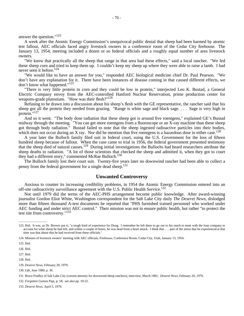answer the question."<sup>123</sup>

A week after the Atomic Energy Commission's unequivocal public denial that sheep had been harmed by atomic test fallout, AEC officials faced angry livestock owners in a conference room of the Cedar City firehouse. The January 13, 1954, meeting included a dozen or so federal officials and a roughly equal number of area livestock owners.

"We know that practically all the sheep that range in that area had these effects," said a local rancher. "We fed these sheep corn and tried to keep them up. I couldn't keep my sheep up where they were able to raise a lamb. I had never seen it before.<sup>124</sup>

"We would like to have an answer for you," responded AEC biological medicine chief Dr. Paul Pearson. "We don't have any explanation for it. There have been instances of disease coming in that caused different effects, we don't know what happened."<sup>125</sup>

"There is very little protein in corn and they could be low in protein," interjected Leo K. Bustad, a General Electric Company envoy from the AEC-controlled Hanford Nuclear Reservation, prime production center for weapons-grade plutonium. "How was their flesh?"<sup>126</sup>

Refusing to be drawn into a discussion about his sheep's flesh with the GE representative, the rancher said that his sheep got all the protein they needed from grazing. "Range is white sage and black sage. . . . Sage is very high in protein."<sup>127</sup>

And so it went. "The body dose radiation that these sheep got is around five roentgens," explained GE's Bustad midway through the meeting. "You can get more roentgens from a fluoroscope or an X-ray machine than these sheep got through body radiation." Bustad failed to note that the sheep ingested radioactive particles into their bodies, which does not occur during an X ray. Nor did he mention that five roentgens is a hazardous dose in either case.<sup>128</sup>

A year later the Bulloch family filed suit in federal court, suing the U.S. Government for the loss of fifteen hundred sheep because of fallout. When the case came to trial in 1956, the federal government presented testimony that the sheep died of natural causes.129 During initial investigations the Bullochs had heard researchers attribute the sheep deaths to radiation. "A lot of those scientists that checked the sheep and admitted it, when they got to court they had a different story," commented McRae Bulloch.<sup>130</sup>

The Bulloch family lost their court suit. Twenty-five years later no downwind rancher had been able to collect a penny from the federal government for a single dead sheep.<sup>131</sup>

### **Unwanted Controversy**

Anxious to counter its increasing credibility problems, in 1954 the Atomic Energy Commission entered into an off-site radioactivity surveillance agreement with the U.S. Public Health Service.<sup>132</sup>

Not until 1979 did the terms of the AEC-PHS arrangement become public knowledge. After award-winning journalist Gordon Eliot White, Washington correspondent for the Salt Lake City daily *The Deseret News,* dislodged more than fifteen thousand A-test documents he reported that "PHS furnished trained personnel who worked under AEC funding and under strict AEC control." Their mission was not to ensure public health, but rather "to protect the test site from controversy."<sup>133</sup>

<sup>123.</sup> Ibid. It was, as Dr. Brower put it, "a tough kind of experience for Doug. I remember he left there to go out to his ranch to meet with the loan company to account for what sheep he had left, and within a couple of hours, he was dead from a heart attack. I think that... part of the stress that he experienced at that time was that abuse that he had received from these officials."

<sup>124.</sup> Minutes of livestock owners' meeting with AEC officials, Firehouse, Conference Room, Cedar City, Utah, January 13, 1954.

<sup>125.</sup> Ibid.

<sup>126.</sup> Ibid.

<sup>127.</sup> Ibid.

<sup>128.</sup> Ibid.

<sup>129.</sup> *Deseret News,* February 20, 1979.

<sup>130.</sup> *Life,* June 1980, p. 36.

<sup>131.</sup> Bruce Findley of Salt Lake City (current attorney for downwind sheep ranchers), interview, March 1981; *Deseret News,* February 20, 1979.

<sup>132.</sup> *Forgotten Guinea Pigs,* p. 18; see also pp. 19-22.

<sup>133.</sup> *Deseret News,* April 5, 1979.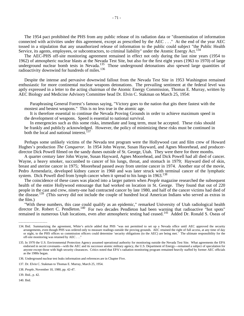The 1954 pact prohibited the PHS from any public release of its radiation data or "dissemination of information connected with activities under this agreement, except as prescribed by the AEC . . ." At the end of the year AEC tossed in a stipulation that any unauthorized release of information to the public could subject "the Public Health Service, its agents, employees, or subcontractors, to criminal liability" under the Atomic Energy Act.<sup>134</sup>

The AEC-PHS off-site monitoring agreement remained in effect not only during the last nine years (1954 to 1962) of atmospheric nuclear blasts at the Nevada Test Site, but also for the first eight years (1963 to 1970) of large underground nuclear bomb tests in Nevada.<sup>135</sup> Those underground detonations also spewed large quantities of radioactivity downwind for hundreds of miles.<sup>136</sup>

Despite the intense and pervasive downwind fallout from the Nevada Test Site in 1953 Washington remained enthusiastic for more continental nuclear weapons detonations. The prevailing sentiment at the federal level was aptly expressed in a letter to the acting chairman of the Atomic Energy Commission, Thomas E. Murray, written by AEC Biology and Medicine Advisory Committee head Dr. Elvin C. Stakman on March 25, 1954:

Paraphrasing General Forrest's famous saying, "Victory goes to the nation that gits there fastest with the mostest and bestest weapons." This is no less true in the atomic age.

It is therefore essential to continue the Nevada Proving Grounds in order to achieve maximum speed in the development of weapons. Speed is essential to national survival.

In emergencies such as this some risks, immediate and long term, must be accepted. These risks should be frankly and publicly acknowledged. However, the policy of minimizing these risks must be continued in both the local and national interest.<sup>137</sup>

Perhaps some unlikely victims of the Nevada test program were the Hollywood cast and film crew of Howard Hughes's production *The Conqueror*. In 1954 John Wayne, Susan Hayward, and Agnes Moorehead, and producerdirector Dick Powell filmed on the sandy dunes outside of St. George, Utah. They were there for three months.

A quarter century later John Wayne, Susan Hayward, Agnes Moorehead, and Dick Powell had all died of cancer. Wayne, a heavy smoker, succumbed to cancer of his lungs, throat, and stomach in 1979; Hayward died of skin, breast and uterine cancer in 1975; Moorehead passed away from uterine cancer in 1974. Another star of the movie, Pedro Armendariz, developed kidney cancer in 1960 and was later struck with terminal cancer of the lymphatic system. Dick Powell died from lymph cancer when it spread to his lungs in  $1963$ <sup>138</sup>

The coincidence of these cases was placed into a larger pattern when *People* magazine researched the subsequent health of the entire Hollywood entourage that had worked on location in St. George. They found that out of 220 people in the cast and crew, ninety-one had contracted cancer by late 1980, and half of the cancer victims had died of the disease.<sup>139</sup> (This survey did not include the couple of hundred local American Indians who served as extras in the film.)

"With these numbers, this case could qualify as an epidemic," remarked University of Utah radiological health director Dr. Robert C. Pendleton.<sup>140</sup> For two decades Pendleton had been warning that radioactive "hot spots" remained in numerous Utah locations, even after atmospheric testing had ceased.<sup>141</sup> Added Dr. Ronald S. Oseas of

<sup>134.</sup> Ibid. Summarizing the agreement, White's article added that PHS "was not permitted to set up a Nevada office until AEC approved the security arrangements, even though PHS was ordered only to measure readings outside the proving grounds. AEC retained the right of full access, at any time of day or night, to the PHS offices so commission officers could determine 'security obligations (to the AEC) are being met.' The ultimate responsibility for the off-site monitoring was retained by AEC . . ."

<sup>135.</sup> In 1970 the U.S. Environmental Protection Agency assumed operational authority for monitoring outside the Nevada Test Site. What agreements the EPA endorsed in secret covenants—with the AEC and its successor atomic military agency, the U.S. Department of Energy—remained a subject of speculation for anyone except those with high security clearances. Critics noted that EPA's radiation monitoring program remained heavily staffed by former AEC officials as the 1980s began.

<sup>136.</sup> Underground nuclear test leaks information and references are in Chapter Five.

<sup>137.</sup> Dr. Elvin C. Stakman to Thomas E. Murray, March 25, 1954.

<sup>138.</sup> *People,* November 10, 1980, pp. 42-47.

<sup>139.</sup> Ibid., p. 42.

<sup>140.</sup> Ibid.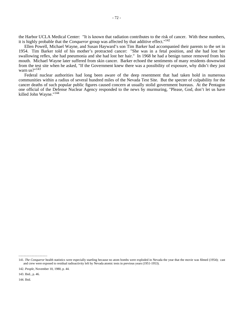the Harbor UCLA Medical Center: "It is known that radiation contributes to the risk of cancer. With these numbers, it is highly probable that the *Conqueror* group was affected by that additive effect."142

Ellen Powell, Michael Wayne, and Susan Hayward's son Tim Barker had accompanied their parents to the set in 1954. Tim Barker told of his mother's protracted cancer: "She was in a fetal position, and she had lost her swallowing reflex, she had pneumonia and she had lost her hair." In 1968 he had a benign tumor removed from his mouth. Michael Wayne later suffered from skin cancer. Barker echoed the sentiments of many residents downwind from the test site when he asked, "If the Government knew there was a possibility of exposure, why didn't they just warn us?"<sup>143</sup>

Federal nuclear authorities had long been aware of the deep resentment that had taken hold in numerous communities within a radius of several hundred miles of the Nevada Test Site. But the specter of culpability for the cancer deaths of such popular public figures caused concern at usually stolid government bureaus. At the Pentagon one official of the Defense Nuclear Agency responded to the news by murmuring, "Please, God, don't let us have killed John Wayne."144

<sup>141.</sup> *The Conqueror* health statistics were especially startling because no atom bombs were exploded in Nevada the year that the movie was filmed (1954); cast and crew were exposed to residual radioactivity left by Nevada atomic tests in previous years (1951-1953).

<sup>142.</sup> *People,* November 10, 1980, p. 44.

<sup>143.</sup> Ibid., p. 46.

<sup>144.</sup> Ibid.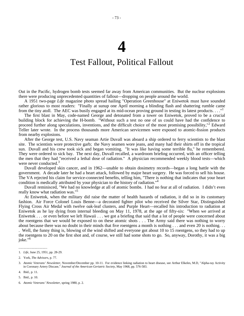# **4**

### Test Fallout, Political Fallout

Out in the Pacific, hydrogen bomb tests seemed far away from American communities. But the nuclear explosions there were producing unprecedented quantities of fallout—dropping on people around the world.

A 1951 two-page *Life* magazine photo spread hailing "Operation Greenhouse" at Eniwetok must have sounded rather glorious to most readers: "Finally at sunup one April morning a blinding flash and shattering rumble came from the tiny atoll. The AEC was busily engaged at its mid-ocean proving ground in testing its latest products. . . ."1

The first blast in May, code-named George and detonated from a tower on Eniwetok, proved to be a crucial building block for achieving the H-bomb. "Without such a test no one of us could have had the confidence to proceed further along speculations, inventions, and the difficult choice of the most promising possibility," Edward Teller later wrote. In the process thousands more American servicemen were exposed to atomic-fission products from nearby explosions.

After the George test, U.S. Navy seaman Artie Duvall was aboard a ship ordered to ferry scientists to the blast site. The scientists wore protective garb; the Navy seamen wore jeans, and many had their shirts off in the tropical sun. Duvall and his crew took sick and began vomiting. "It was like having some terrible flu," he remembered. They were ordered to sick bay. The next day, Duvall recalled, a wardroom briefing occurred, with an officer telling the men that they had "received a lethal dose of radiation." A physician recommended weekly blood tests—which were never conducted.<sup>3</sup>

Duvall developed skin cancer, and in 1962—unable to obtain dosimetry records—began a long battle with the government. A decade later he had a heart attack, followed by major heart surgery. He was forced to sell his house. The VA rejected his claim for service-connected benefits, telling him, "There is nothing that indicates that your heart condition is medically attributed by your physician to the history of radiation."<sup>4</sup>

Duvall reminisced, "We had no knowledge at all of atomic bombs. I had no fear at all of radiation. I didn't even really know what radiation was."5

At Eniwetok, when the military did raise the matter of health hazards of radiation, it did so in its customary fashion. Air Force Colonel Louis Benne—a decorated fighter pilot who received the Silver Star, Distinguished Flying Cross Air Medal with twelve oak-leaf clusters, and Purple Heart—recalled his introduction to radiation at Eniwetok as he lay dying from internal bleeding on May 11, 1978, at the age of fifty-six: "When we arrived at Eniwetok . . . or even before we left Hawaii . . . we got a briefing that said that a lot of people were concerned about the roentgens that we would be exposed to on these atomic shots . . . The Army said there was nothing to worry about because there was no doubt in their minds that five roentgens a month is nothing . . . and even 20 is nothing. . .

. Well, the funny thing is, blowing of the wind shifted and everyone got about 10 to 15 roentgens, so they had to up the roentgens to 20 on the first shot and, of course, we still had some shots to go. So, anyway, Dorothy, it was a big joke."<sup>6</sup>

<sup>1.</sup> *Life,* June 25, 1951, pp. 28-29.

<sup>2.</sup> York, *The Advisors,* p. 77.

<sup>3.</sup> *Atomic Veterans' Newsletter,* November/December pp. 10-11. For evidence linking radiation to heart disease, see Arthur Elkeles, M.D, "Alpha-ray Activity in Coronary Artery Discase," *Journal of the American Geriatric Society,* May 1968, pp. 576-583.

<sup>4.</sup> Ibid., p. 11.

<sup>5.</sup> Ibid., p. 10.

<sup>6.</sup> *Atomic Veterans' Newsletter,* spring 1980, p. 2.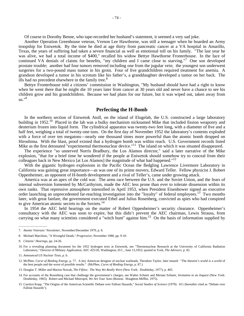Of course to Dorothy Benne, who tape-recorded her husband's statement, it seemed a very sad joke.

Another Operation Greenhouse veteran, Vernon Lee Hawthorne, was still a teenager when he boarded an Army troopship for Eniwetok. By the time he died at age thirty from pancreatic cancer at a VA hospital in Amarillo, Texas, the years of suffering had taken a severe financial as well as emotional toll on his family. "The last year he was alive, we had a total income of \$400," recalled his widow Bettye Hawthorne Fronterhouse. In the face of continued VA denials of claims for benefits, "my children and I came close to starving."<sup>7</sup> One son developed prostate trouble; another had four tumors removed including one from the jugular vein; the youngest son underwent surgeries for a two-pound mass tumor in his groin. Four of five grandchildren required treatment for anemia. A grandson developed a tumor in his scrotum like his father's, a granddaughter developed a tumor on her back. The ills had no precedent elsewhere in the family tree. $8$ 

Bettye Fronterhouse told a citizens' commission in Washington, "My husband should have had a right to know when he went there that he might die 10 years later from cancer at 30 years old and never have a chance to see his children grow and his grandchildren. Because we had plans for our future, but it was wiped out, taken away from  $us.$ "<sup>9</sup>

#### **Perfecting the H-Bomb**

In the northern section of Eniwetok Atoll, on the island of Elugelab, the U.S. constructed a large laboratory building in 1952<sup>10</sup> Placed in the lab was a bulky mechanism nicknamed Mike that included fission weaponry and deuterium frozen into liquid form. The cylindrical apparatus was twenty-two feet long, with a diameter of five and a half feet, weighing a total of twenty-one tons. On the first day of November 1952 the laboratory's contents exploded with a force of over ten megatons—nearly one thousand times more powerful than the atomic bomb dropped on Hiroshima. With the blast, proof existed that a hydrogen bomb was within reach. U.S. Government records listed Mike as the first detonated "experimental thermonuclear device."<sup>11</sup> The island on which it was situated disappeared.

The experience "so unnerved Norris Bradbury, the Los Alamos director," said a later narrative of the Mike explosion, "that for a brief time he wondered if the people at Eniwetok should somehow try to conceal from their colleagues back in New Mexico [at Los Alamos] the magnitude of what had happened." $1^2$ 

With the gigantic hydrogen explosions in the Pacific Ocean the fledgling Lawrence Livermore Laboratory in California was gaining great importance—as was one of its prime movers, Edward Teller. Fellow physicist J. Robert Oppenheimer, an opponent of H-bomb development and a rival of Teller's, came under growing attack.

America was at an apex of the cold war. The arms race between the U.S. and the Soviet Union, and the fears of internal subversion fomented by McCarthyism, made the AEC less prone than ever to tolerate dissension within its own ranks. That repressive atmosphere intensified in April 1953, when President Eisenhower signed an executive order launching an unprecedented far-reaching investigation into the "loyalty" of federal employees.<sup>13</sup> Two months later, with great fanfare, the government executed Ethel and Julius Rosenberg, convicted as spies who had conspired to give American atomic secrets to the Soviets.<sup>14</sup>

In 1954 the AEC held hearings on the matter of Robert Oppenheimer's security clearance. Oppenheimer's consultancy with the AEC was soon to expire, but this didn't prevent the AEC chairman, Lewis Strauss, from carrying on what many scientists considered a "witch hunt" against him.<sup>15</sup> On the basis of information supplied by

<sup>7.</sup> *Atomic Veterans' Newsletter,* November/December 1979, p. 8.

<sup>8.</sup> Michael Marchino, "A Wrongful Death," *Progressive,* November 1980, pp. 9-10.

<sup>9.</sup> *Citizens' Hearings,* pp. 24-26.

<sup>10.</sup> For a revealing planning document for the 1952 hydrogen tests at Eniwetok, see "Thermonuclear Research at the University of California Radiation Laboratory," Director of Military Application, AEC 425/20, Washington, D.C., June 13,1952; quoted in York, *The Advisors,* p. 82.

<sup>11.</sup> *Announced US Nuclear Tests,* p. 6.

<sup>12.</sup> McPhee, *Curve of Binding Energy,* p. 77. A key American designer of nuclear warheads, Theodore Taylor, later mused: "The theorist's world is a world of the best people and the worst of possible results." (McPhee, *Curve of Binding Energy,* p. 87.)

<sup>13.</sup> Douglas T. Miller and Marion Nowak, *The Fifties: The Way We Really Were* (New York: Doubleday, 1977), p. 405.

<sup>14.</sup> For accounts of the Rosenberg case that challenge the government's charges, see Walter Schneir and Miriam Schneir, *Invitation to an Inquest* (New York: Doubleday, 1965); Robert and Michael Meeropol, *We Are Your Sons* (Boston: Houghton Mifflin, 1975).

<sup>15.</sup> Carolyn Kopp, "The Origins of the American Scientific Debate over Fallout Hazards," *Social Studies of Science* (1979): 411 (hereafter cited as "Debate over Fallout Hazards").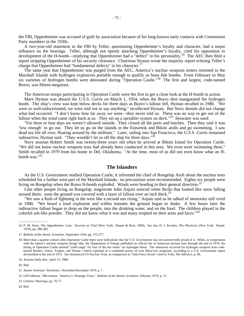the FBI, Oppenheimer was accused of guilt by association because of his long-known early contacts with Communist Party members in the 1930s.

A two-year-old statement to the FBI by Teller, questioning Oppenheimer's loyalty and character, had a major influence on the hearings. Teller, although not openly attacking Oppenheimer's loyalty, cited his opposition to development of the H-bomb—implying that Oppenheimer had a "defect" in his personality.<sup>16</sup> The AEC then filed a report stripping Oppenheimer of his security clearance. Chairman Strauss wrote the majority report echoing Teller's charge that Oppenheimer had "fundamental defects" in his character.<sup>17</sup>

The same year that Oppenheimer was purged from the AEC, America's nuclear weapons testers returned to the Marshall Islands with hydrogen explosives portable enough to qualify as bona fide bombs. From February to May six varieties of hydrogen bombs were detonated during "Operation Castle."<sup>18</sup> The first and largest, code-named Bravo, was fifteen megatons.

The American troops participating in Operation Castle were the first to get a close look at the H-bomb in action.

Marv Hyman was aboard the U.S.S. *Curtis* on March 1, 1954, when the Bravo shot inaugurated the hydrogen bomb. The ship's crew was kept below decks for three days as Bravo's fallout fell, Hyman recalled in 1980. "We were so well-indoctrinated, we were told not to say anything," recollected Hyman. But Navy denials did not change what had occurred. "I don't know how far away we were—they never told us. There was no way to get out of the fallout when the wind came right back at us. They set up a sprinkler system on deck."<sup>19</sup> Seawater was used.

"For three or four days we weren't allowed outside. They closed all the ports and hatches. Then they said it was 'low enough' to go out. They let us go on the islands in the Eniwetok and Bikini atolls and go swimming. I saw dead sea life all over, floating around by the millions." Later, sailing into San Francisco, the U.S.S. *Curtis* remained radioactive, Hyman said. "They wouldn't let us off the ship for three days."<sup>20</sup>

Navy seaman Robert Smith was twenty-three years old when he arrived at Bikini Island for Operation Castle. "We did not know nuclear weapons tests had already been conducted in this area. We even went swimming there," Smith recalled in 1979 from his home in Del, Oklahoma. "At the time, most of us did not even know what an Hbomb was."21

#### **The Islanders**

As the U.S. Government readied Operation Castle, it informed the chief of Rongelap Atoll about the nuclear tests scheduled for a farther west part of the Marshall Islands; no precautions were recommended. Eighty-six people were living on Rongelap when the Bravo H-bomb exploded. Winds were heading in their general direction.<sup>22</sup>

Like other people living on Rongelap, magistrate John Anjain noticed white flecks that looked like snow falling around them; soon the ground was covered with a layer of fallout over an inch thick.<sup>23</sup>

"We saw a flash of lightning in the west like a second sun rising," Anjain said as he talked of memories still vivid in 1980. "We heard a loud explosion and within minutes the ground began to shake. A few hours later the radioactive fallout began to drop on the people, into the drinking water, and on the food. The children played in the colorful ash-like powder. They did not know what it was and many erupted on their arms and faces."<sup>24</sup>

hhhhhhhhhhhhhhhhhh

24. Ibid.

<sup>16.</sup> P. M. Stern, *The Oppenheimer Case: Security on Trial* (New York: Harper & Row, 1969). See also D. J. Keveles, *The Physicists* (New York: Knopf, 1978), pp. 380-382.

<sup>17.</sup> *Bulletin of the Atomic Scientists,* September 1954, pp. 275-277.

<sup>18.</sup> More than a quarter century after Operation Castle there were indications that the U.S. Government was not unreservedly proud of it. When, in cooperation with the nation's nuclear weapons design labs, the Department of Energy published an official list of American nuclear tests through the end of 1979, the listing of Operation Castle omitted "yield range" for four of the test series' six hydrogen blasts. The omissions occurred for hydrogen weapons tests codenamed Romeo, Union, Yankee, and Nectar—which exploded at a combined power of over thirty-two megatons, according to a U.S. Government report declassified at the end of 1972. See *Announced US Nuclear Tests,* in comparison to "Joint Force Seven" cited in York, *The Advisors,* p. 86.

<sup>19.</sup> *Arizona Daily Star,* April 13, 1980.

<sup>20.</sup> Ibid.

<sup>21.</sup> *Atomic Veterans' Newsletter,* November/December 1979, p. 7

<sup>22.</sup> Giff Johnson, "Micronesia: America's 'Strategic Trust,'" *Bulletin of the Atomic Scientists,* February 1979, p. 11.

<sup>23.</sup> *Citizens' Hearings,* pp. 76-77.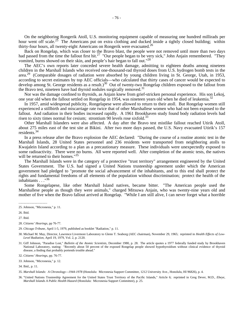On the neighboring Rongerik Atoll, U.S. monitoring equipment capable of measuring one hundred millirads per hour went off scale.<sup>25</sup> The Americans put on extra clothing and ducked inside a tightly closed building; within thirty-four hours, all twenty-eight Americans on Rongerik were evacuated.<sup>26</sup>

Back on Rongelap, which was closer to the Bravo blast, the people were not removed until more than two days had passed from the time the fallout first hit.<sup>27</sup> "Our people began to be very sick," John Anjain remembered. "They vomited, burns showed on their skin, and people's hair began to fall out."<sup>28</sup>

The AEC's own reports later conceded severe health damage, admitting to eighteen deaths among nineteen children in the Marshall Islands who received one-thousand-rad thyroid doses from U.S. hydrogen bomb tests in the area.<sup>29</sup> (Comparable dosages of radiation were absorbed by young children living in St. George, Utah, in 1953, according to secret estimates by top AEC officials—who calculated that thirty cases of cancer would be expected to develop among St. George residents as a result.)<sup>30</sup> Out of twenty-two Rongelap children exposed to the fallout from the Bravo test, nineteen have had thyroid nodules surgically removed.<sup>31</sup>

Nor was the damage confined to thyroids, as Anjain knew from grief-stricken personal experience. His son Lekoj, one year old when the fallout settled on Rongelap in 1954, was nineteen years old when he died of leukemia.<sup>32</sup>

In 1957, amid widespread publicity, Rongelapese were allowed to return to their atoll. But Rongelap women still experienced a stillbirth and miscarriage rate twice that of other Marshallese women who had not been exposed to the fallout. And radiation in their bodies increased rapidly. A 1961 Brookhaven study found body radiation levels had risen to sixty times normal for cesium; strontium 90 levels rose sixfold. $33$ 

Other Marshall Islanders were also affected. A day after the Bravo test mistlike fallout reached Utirik Atoll, about 275 miles east of the test site at Bikini. After two more days passed, the U.S. Navy evacuated Utirik's 157 residents.<sup>34</sup>

In a press release after the Bravo explosion the AEC declared: "During the course of a routine atomic test in the Marshall Islands, 28 United States personnel and 236 residents were transported from neighboring atolls to Kwajalein Island according to a plan as a precautionary measure. These individuals were unexpectedly exposed to some radioactivity. There were no burns. All were reported well. After completion of the atomic tests, the natives will be returned to their homes."<sup>35</sup>

The Marshall Islands were in the category of a protective "trust territory" arrangement engineered by the United States Government. The U.S. had signed a United Nations trusteeship agreement under which the American government had pledged to "promote the social advancement of the inhabitants, and to this end shall protect the rights and fundamental freedoms of all elements of the population without discrimination; protect the health of the inhabitants . . . "<sup>36</sup>

Some Rongelapese, like other Marshall Island natives, became bitter. "The American people used the Marshallese people as though they were animals," charged Mitsuwa Anjain, who was twenty-nine years old and mother of five when the Bravo fallout arrived at Rongelap. "While I am still alive, I can never forget what a horrible

hh<del>ahaa ka badaa ka badaa ka badaa ka badaa ka badaa ka badaa ka badaa ka badaa ka badaa ka badaa ka badaa ka bada</del>

34. Ibid., p. 11.

<sup>25.</sup> Johnson, "Micronesia," p. 11.

<sup>26.</sup> Ibid.

<sup>27.</sup> Ibid.

<sup>28.</sup> *Citizens' Hearings,* pp 76-77.

<sup>29.</sup> *Chicago Tribune,* April 1-5, 1979, published as booklet "Radiation," p. 11.

<sup>30.</sup> Michael M. May, Director, Lawrence Livermore Laboratory to Glenn T. Seaborg (AEC chairman), November 29, 1965; reprinted in *Health Effects of Low-Level Radiation,* April 19, 1979, Vol. 2, p. 2120.

<sup>31.</sup> Giff Johnson, "Paradise Lost," *Bulletin of the Atomic Scientists,* December 1980, p. 28. The article quotes a 1977 federally funded study by Brookhaven National Laboratory, stating: "Recently about 50 percent of the exposed Rongelap people showed hypothyroidism without clinical evidence of thyroid disease, a finding that probably portends trouble ahead."

<sup>32.</sup> *Citizens' Hearings,* pp. 76-77.

<sup>33.</sup> Johnson, "Micronesia," p. 12.

<sup>35.</sup> *Marshall Islands: A Chronology—1944-1978* (Honolulu: Micronesia Support Committee, 1212 University Ave., Honolulu, HI 96826), p. 4.

<sup>36. &</sup>quot;United Nations Trusteeship Agreement for the United States Trust Territory of the Pacific Islands," Article 6; reprinted in Greg Dever, M.D., *Ebeye, Marshall Islands A Public Health Hazard* (Honolulu: Micronesia Support Committee), p. 25.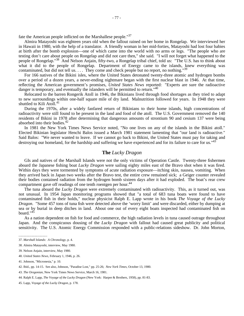fate the American people inflicted on the Marshallese people."<sup>37</sup>

Almira Matayoshi was eighteen years old when the fallout rained on her home in Rongelap. We interviewed her in Hawaii in 1980, with the help of a translator. A friendly woman in her mid-forties, Matayoshi had lost four babies at birth after the bomb explosion—one of which came into the world with no arms or legs. "The people who are testing don't care about people on Rongelap and did not care then," she said. "I will not forget what happened to the people of Rongelap."<sup>38</sup> And Nelson Anjain, fifty-two, a Rongelap tribal chief, told us: "The U.S. has to think about what it did to the people of Rongelap. Department of Energy came to the islands, knew everything was contaminated, but did not tell us.  $\dots$  They come and check people but no report, no nothing."<sup>39</sup>

For 166 natives of the Bikini isles, where the United States detonated twenty-three atomic and hydrogen bombs over a period of a dozen years, a never-ending nightmare began with the first nuclear blast in 1946. At that time, reflecting the American government's promises, *United States News* reported: "Experts are sure the radioactive danger is temporary, and eventually the islanders will be permitted to return."<sup>40</sup>

Relocated to the barren Rongerik Atoll in 1946, the Bikinians lived through food shortages as they tried to adapt to new surroundings within one-half square mile of dry land. Malnutrition followed for years. In 1948 they were shuttled to Kili Atoll. $41$ 

During the 1970s, after a widely fanfared return of Bikinians to their home islands, high concentrations of radioactivity were still found to be present in the land and food of the atoll. The U.S. Government removed the 140 residents of Bikini in 1978 after determining that dangerous amounts of strontium 90 and cesium 137 were being absorbed into their bodies.<sup>42</sup>

In 1981 the New York Times News Service noted, "No one lives on any of the islands in the Bikini atoll." Elected Bikinian legislator Henchi Balos issued a March 1981 statement lamenting that "our land is radioactive." Said Balos: "We never wanted to leave. If we cannot go back to Bikini, the United States must pay for taking and destroying our homeland, for the hardship and suffering we have experienced and for its failure to care for us."<sup>43</sup>

#### **The** *Lucky Dragon*

GIs and natives of the Marshall Islands were not the only victims of Operation Castle. Twenty-three fishermen aboard the Japanese fishing boat *Lucky Dragon* were sailing eighty miles east of the Bravo shot when it was fired. Within days they were tormented by symptoms of acute radiation exposure—itching skin, nausea, vomiting. When they arrived back in Japan two weeks after the Bravo test, the entire crew remained sick; a Geiger counter revealed their bodies contained radiation from the hydrogen bomb sixteen days after it had exploded. The boat's rear crew compartment gave off readings of one tenth roentgen per hour.<sup>44</sup>

The tuna aboard the *Lucky Dragon* were extremely contaminated with radioactivity. This, as it turned out, was not unusual. In 1954 Japan monitoring programs showed that "a total of 683 tuna boats were found to have contaminated fish in their holds," nuclear physicist Ralph E. Lapp wrote in his book *The Voyage of the Lucky Dragon*. "Some 457 tons of tuna fish were detected above the 'worry limit' and were discarded, either by dumping at sea or by burial in deep ditches in land. About one out of every eight boats inspected had contaminated fish on board."45

As a nation dependent on fish for food and commerce, the high radiation levels in tuna caused outrage throughout Japan. And the conspicuous dousing of the *Lucky Dragon* with fallout had caused great publicity and political sensitivity. The U.S. Atomic Energy Commission responded with a public-relations sideshow. Dr. John Morton,

<sup>37.</sup> *Marshall Islands: A Chronology,* p. 4.

<sup>38.</sup> Almira Matayoshi, interview, May 1980.

<sup>39.</sup> Nelson Anjain, interview, May 1980.

<sup>40.</sup> *United States News,* February 1, 1946, p. 26.

<sup>41.</sup> Johnson, "Micronesia," p. 10.

<sup>42.</sup> Ibid., pp. 14-15. See also, Johnson, "Paradise Lost," pp. 25-26; *New York Times,* October 13, 1980.

<sup>43.</sup> *The Oregonian,* New York Times News Service, March 16, 1981.

<sup>44.</sup> Ralph E. Lapp, *The Voyage of the Lucky Dragon* (New York: Harper & Brothers, 1958), pp. 81-83.

<sup>45.</sup> Lapp, *Voyage of the Lucky Dragon,* p. 178.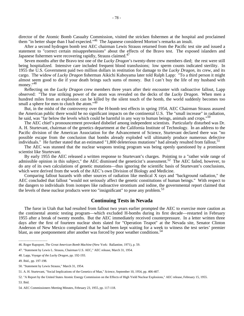director of the Atomic Bomb Casualty Commission, visited the stricken fishermen at the hospital and proclaimed them "in better shape than I had expected."<sup>46</sup> The Japanese considered Morton's remarks an insult.

After a second hydrogen bomb test AEC chairman Lewis Strauss returned from the Pacific test site and issued a statement to "correct certain misapprehensions" about the effects of the Bravo test. The exposed islanders and Japanese fishermen were recovering rapidly, Strauss claimed. $47$ 

Seven months after the Bravo test one of the *Lucky Dragon*'s twenty-three crew members died; the rest were still being hospitalized. Intensive care included frequent blood transfusions; low sperm counts indicated sterility. In 1955 the U.S. Government paid two million dollars in restitution for damage to the *Lucky Dragon,* its crew, and its cargo. The widow of *Lucky Dragon* fisherman Aikichi Kuboyama later told Ralph Lapp: "To a third person it might almost seem good to die if your death brings such sums of money. But I can't buy the life of my husband with money."<sup>48</sup>

Reflecting on the *Lucky Dragon* crew members three years after their encounter with radioactive fallout, Lapp observed: "The true striking power of the atom was revealed on the decks of the *Lucky Dragon*. When men a hundred miles from an explosion can be killed by the silent touch of the bomb, the world suddenly becomes too small a sphere for men to clutch the atom."<sup>49</sup>

But, in the midst of the controversy over the H-bomb test effects in spring 1954, AEC Chairman Strauss assured the American public there would be no significant impacts on the continental U.S. The "small increase" in radiation, he said, was "far below the levels which could be harmful in any way to human beings, animals and crops."<sup>50</sup>

The AEC chief's pronouncement provoked disbelief among independent scientists. Particularly disturbed was Dr. A. H. Sturtevant, chairman of the genetics department at the California Institute of Technology. In an address to the Pacific division of the American Association for the Advancement of Science, Sturtevant declared there was "no possible escape from the conclusion that bombs already exploded will ultimately produce numerous defective individuals." He further stated that an estimated "1,800 deleterious mutations" had already resulted from fallout.<sup>51</sup>

The AEC was stunned that the nuclear weapons testing program was being openly questioned by a prominent scientist like Sturtevant.

By early 1955 the AEC released a written response to Sturtevant's charges. Pointing to a "rather wide range of admissible opinion in this subject," the AEC dismissed the geneticist's assessment.<sup>52</sup> The AEC failed, however, to do any of its own calculations of genetic mutations—thus ignoring the scientific basis of Sturtevant's conclusions, which were derived from the work of the AEC's own Division of Biology and Medicine.

Comparing fallout hazards with other sources of radiation like medical X rays and "background radiation," the AEC concluded that fallout "would not seriously affect the genetic constitutions of human beings." With respect to the dangers to individuals from isotopes like radioactive strontium and iodine, the governmental report claimed that the levels of these nuclear products were too "insignificant" to pose any problem.<sup>53</sup>

#### **Continuing Tests in Nevada**

The furor in Utah that had resulted from fallout two years earlier prompted the AEC to exercise more caution as the continental atomic testing program—which excluded H-bombs during its first decade—restarted in February 1955 after a break of twenty months. But the AEC immediately received counterpressure. In a letter written three days after the first of fourteen nuclear shots slated for "Operation Teapot" at the Nevada site, Senator Clinton Anderson of New Mexico complained that he had been kept waiting for a week to witness the test series' premier blast, as one postponement after another was forced by poor weather conditions.<sup>54</sup>

<sup>46.</sup> Roger Rapoport, *The Great American Bomb Machine* (New York: Ballantine, 1971), p. 59.

<sup>47. &</sup>quot;Statement by Lewis L. Strauss, Chairman U.S. AEC," AEC release, March 31, 1954.

<sup>48.</sup> Lapp, *Voyage of the Lucky Dragon,* pp. 192-193.

<sup>49.</sup> Ibid., pp. 197-198.

<sup>50. &</sup>quot;Statement by Lewis Strauss," March 31, 1954.

<sup>51.</sup> A. H. Sturtevant, "Social Implications of the Genetics of Man," *Science,* September 10, 1954, pp. 406-407.

<sup>52. &</sup>quot;A Report by the United States Atomic Energy Commission on the Effects of High Yield Nuclear Explosions," AEC release, February 15, 1955. 53. Ibid.

<sup>54.</sup> AEC Commissioners Meeting Minutes, February 23, 1955, pp. 117-118.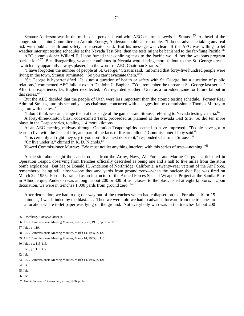Senator Anderson was in the midst of a personal feud with AEC chairman Lewis L. Strauss.<sup>55</sup> As head of the congressional Joint Committee on Atomic Energy, Anderson could cause trouble. "I do not advocate taking any real risk with public health and safety," the senator said. But his message was clear: If the AEC was willing to let weather interrupt testing schedules at the Nevada Test Site, then the tests might be banished to the far-flung Pacific.<sup>56</sup>

AEC commissioner Willard F. Libby fumed that confining tests to the Pacific would "set the weapons program back a lot."<sup>57</sup> But disregarding weather conditions in Nevada would bring more fallout to the St. George area— "which they apparently always plaster," in the words of AEC Chairman Strauss.<sup>58</sup>

"I have forgotten the number of people at St. George," Strauss said. Informed that forty-five hundred people were living in the town, Strauss ruminated, "So you can't evacuate them."<sup>59</sup>

"St. George is hypertensified . It is not a question of health or safety with St. George, but a question of public relations," commented AEC fallout expert Dr. John C. Bugher. "You remember the uproar at St. George last series." After that experience, Dr. Bugher recollected, "We regarded southern Utah as a forbidden zone for future fallout in this series."<sup>60</sup>

But the AEC decided that the people of Utah were less important than the atomic testing schedule. Former Rear Admiral Strauss, into his second year as chairman, concurred with a suggestion by commissioner Thomas Murray to "get on with the test."<sup>61</sup>

"I don't think we can change them at this stage of the game," said Strauss, referring to Nevada testing criteria.<sup>62</sup>

A forty-three-kiloton blast, code-named Turk, proceeded as planned at the Nevada Test Site. So did ten more blasts in the Teapot series, totaling 114 more kilotons.

At an AEC meeting midway through Operation Teapot spirits seemed to have improved. "People have got to learn to live with the facts of life, and part of the facts of life are fallout," Commissioner Libby said.<sup>63</sup>

"It is certainly all right they say if you don't live next door to it," responded Chairman Strauss.<sup>64</sup>

"Or live under it," chimed in K. D. Nichols.<sup>65</sup>

Vowed Commissioner Murray: "We must not let anything interfere with this series of tests—nothing."<sup>66</sup>

At the site about eight thousand troops—from the Army, Navy, Air Force, and Marine Corps—participated in Operation Teapot, observing from trenches officially described as being one and a half to five miles from the atom bomb explosions. But Major Donald H. Anderson of Northridge, California, a twenty-year veteran of the Air Force, remembered being still closer—one thousand yards from ground zero—when the nuclear shot Bee was fired on March 22, 1955. Formerly trained as an instructor of the Armed Forces Special Weapons Project at the Sandia Base in Albuquerque, Anderson was among "about 200 or 300 of us" closest to the blast, listed at eight kilotons. "Upon detonation, we were in trenches 1,000 yards from ground zero."<sup>67</sup>

After detonation, we had to dig our way out of the trenches which had collapsed on us. For about 10 or 15 minutes, I was blinded by the blast. . . . Then we were told we had to advance forward from the trenches to a location where toilet paper was lying on the ground. Not everybody who was in the trenches (about 200

hh<del>ahaa ka badaa ka badaa ka badaa ka badaa ka badaa ka badaa ka badaa ka badaa ka badaa ka badaa ka badaa ka bada</del>

62. Ibid.

<sup>55.</sup> Rosenberg, *Atomic Soldiers,* p. 71.

<sup>56.</sup> AEC Commissioners Meeting Minutes, February 23, 1955, pp. 117-118.

<sup>57.</sup> Ibid., p. 119.

<sup>58.</sup> AEC Commissioners Meeting Minutes, March 14, 1955, p. 122.

<sup>59.</sup> AEC Commissioners Meeting Minutes, March 14, 1955, p. 115.

<sup>60.</sup> Ibid., pp. 115-116.

<sup>61.</sup> Ibid., pp. 116-117.

<sup>63.</sup> AEC Commissioners Meeting Minutes, March 14, 1955, p. 121.

<sup>64.</sup> Ibid

<sup>65.</sup> Ibid.

<sup>66.</sup> Ibid.

<sup>67.</sup> *Atomic Veterans' Newsletter,* spring 1980, p. 14.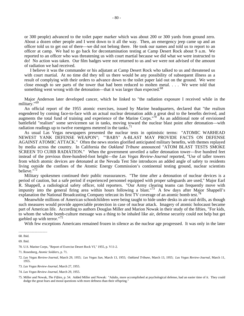or 300 people) advanced to the toilet paper marker which was about 200 or 300 yards from ground zero. About a dozen other people and I went down to it all the way. Then, an emergency jeep came up and an officer told us to get out of there—we did not belong there. He took our names and told us to report to an officer at camp. We had to go back for decontamination testing at Camp Desert Rock about 9 a.m. We reported to an officer who was threatening us with court martial because we did what we were instructed to do! No action was taken. Our film badges were not returned to us and we were not advised of the amount of radiation we had received.

I believe it was the commander or his adjutant at Camp Desert Rock who talked to us and threatened us with court martial. At no time did they tell us there would be any possibility of subsequent illness as a result of complying with their orders to advance down to the toilet paper laid out on the ground. We were close enough to see parts of the tower that had been reduced to molten metal. . . . We were told that something went wrong with the detonation—that it was larger than expected.<sup>68</sup>

Major Anderson later developed cancer, which he linked to "the radiation exposure I received while in the military."<sup>69</sup>

An official report of the 1955 atomic exercises, issued by Marine headquarters, declared that "the realism engendered by coming face-to-face with an actual nuclear detonation adds a great deal to the benefits derived, and augments the total fund of training and experience of the Marine Corps."<sup>70</sup> As an additional note of envisioned battlefield "realism" some servicemen sat in tanks, moving toward the nuclear blast point after detonation—with radiation readings up to twelve roentgens metered in the tanks.<sup>71</sup>

As usual Las Vegas newspapers presented the nuclear tests in optimistic terms: "ATOMIC WARHEAD NEWEST YANK DEFENSE WEAPON"; "'BABY' A-BLAST MAY PROVIDE FACTS ON DEFENSE AGAINST ATOMIC ATTACK." Often the news stories glorified anticipated military benefits, with themes replayed by media across the country. In California the *Oakland Tribune* announced "ATOM BLAST TESTS SMOKE SCREEN TO CURB RADIATION." When the government unveiled a taller detonation tower—five hundred feet instead of the previous three-hundred-foot height—the *Las Vegas Review-Journal* reported, "Use of taller towers from which atomic devices are detonated at the Nevada Test Site introduces an added angle of safety to residents living outside the confines of the Atomic Energy Commission's continental testing ground, nuclear scientists believe."<sup>72</sup>

Military spokesmen continued their public reassurances. "The time after a detonation of nuclear devices is a period of caution, but a safe period if experienced personnel equipped with proper safeguards are used," Major Earl R. Shappell, a radiological safety officer, told reporters. "Our Army clearing teams can frequently move with impunity into the general firing area within hours following a blast."<sup>73</sup> A few days after Major Shappell's explanation the National Broadcasting Company telecast its first TV coverage of an atomic bomb test.<sup>74</sup>

Meanwhile millions of American schoolchildren were being taught to hide under desks in air-raid drills, as though such measures would provide appreciable protection in case of nuclear attack. Imagery of atomic holocaust became part of American life. According to authors Douglas Miller and Marion Nowak in their study of the fifties, "For kids, to whom the whole bomb-culture message was a thing to be inhaled like air, defense security could not help but get garbled up with terror."<sup>75</sup>

With few exceptions Americans remained frozen in silence as the nuclear age progressed. It was only in the later

<sup>68.</sup> Ibid.

<sup>69.</sup> Ibid.

<sup>70.</sup> U.S. Marine Corps, "Report of Exercise Desert Rock VI," 1955, p. V11-2.

<sup>71.</sup> Rosenberg, *Atomic Soldiers,* p. 71.

<sup>72.</sup> *Las Vegas Review-Journal,* March 29, 1955; *Las Vegas Sun,* March 13, 1955; *Oakland Tribune,* March 13, 1955; *Las Vegas Review-Journal,* March 11, 1955.

<sup>73.</sup> *Las Vegas Review-Journal,* March 27, 1955.

<sup>74.</sup> *Las Vegas Review-Journal,* March 29, 1955.

<sup>75.</sup> Miller and Nowak, *The Fifties,* p. 54. Added Miller and Nowak: "Adults, more accomplished at psychological defense, had an easier time of it. They could dodge the great fears and moral questions with more deftness than their offspring."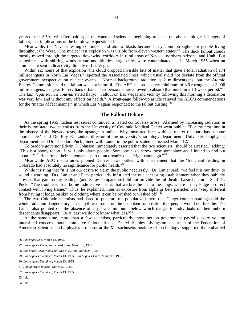years of the 1950s, with Red-baiting on the wane and scientists beginning to speak out about biological dangers of fallout, that implications of the bomb were questioned.

Meanwhile, the Nevada testing continued, and atomic blasts became fairly common sights for people living throughout the West. One nuclear test explosion was visible from eleven western states.<sup>76</sup> The thick fallout clouds mostly moved through the targeted downwind corridors in rural areas of Nevada, northern Arizona, and Utah. But sometimes, with shifting winds at various altitudes, large cities were contaminated, as in March 1955 when an atomic shot sent radioactivity directly to Las Vegas.

Within six hours of that explosion "the cloud dropped invisible bits of matter that gave a total radiation of 174 milliroentgens in North Las Vegas," reported the Associated Press, which usually did not deviate from the official government perspective on nuclear events. "Normal background radiation is 2 milliroentgens, but the Atomic Energy Commission said the fallout was not harmful. The AEC has set a safety minimum of 3.9 roentgens, or 3,900 milliroentgens, per year for civilians offsite. Test personnel are allowed to absorb that much in a 13-week period."<sup>77</sup> The *Las Vegas Review Journal* stated flatly: "Fallout on Las Vegas and vicinity following this morning's detonation was very low and without any effects on health." A front-page follow-up article relayed the AEC's commendations for the "matter of fact manner" in which Las Vegans responded to the fallout dusting.<sup>78</sup>

#### **The Fallout Debate**

As the spring 1955 nuclear test series continued, a heated controversy arose. Alarmed by increasing radiation in their home state, two scientists from the University of Colorado Medical Center went public. "For the first time in the history of the Nevada tests, the upsurge in radioactivity measured here within a matter of hours has become appreciable," said Dr. Ray R. Lanier, director of the university's radiology department. University biophysics department head Dr. Theodore Puck joined with Lanier in the public statement issued March 12.<sup>79</sup>

Colorado's governor Edwin C. Johnson immediately asserted that the two scientists "should be arrested," adding: "This is a phony report. It will only alarm people. Someone has a screw loose someplace and I intend to find out about it." $80$  He termed their statements "part of an organized... fright campaign." $81$ 

Meanwhile AEC media aides phoned Denver news outlets with a statement that the "trenchant reading in Colorado had absolutely no significance for public health."<sup>82</sup>

While insisting that "it is not our desire to alarm the public needlessly," Dr. Lanier said, "we feel it is our duty" to sound a warning. Drs. Lanier and Puck particularly infuriated the nuclear testing establishment when they publicly stressed that gamma-ray readings (and X-ray comparisons) did not provide the full health-hazard picture. Said Dr. Puck: "The trouble with airborne radioactive dust is that we breathe it into the lungs, where it may lodge in direct contact with living tissue." Thus, he explained, internal exposure from alpha or beta particles was "very different from having it lodge on skin or clothing where it can be brushed or washed off."83

The two Colorado scientists had dared to puncture the popularized myth that Geiger counter readings told the whole radiation danger story; that myth was based on the unspoken supposition that people would not breathe. Dr. Lanier also pointed out the absence of any "safe minimum below which danger to individuals or their unborn descendants disappears. Or at least we do not know what it is.<sup>"84</sup>

At the same time, more than a few scientists, particularly those not on government payrolls, were voicing intensified concern about cumulative fallout effects. Dr. M. Stanley Livingston, chairman of the Federation of American Scientists and a physics professor at the Massachusetts Institute of Technology, supported the embattled

<sup>76.</sup> *Las Vegas Sun,* March 13, 1955.

<sup>77.</sup> *Los Angeles Times,* Associated Press, March 23, 1955.

<sup>78.</sup> *Las Vegas Review-Journal,* March 22, and March 24, 1955.

<sup>79.</sup> *Los Angeles Examiner,* March 13, 1955; *Los Angeles Times,* March 13, 1955.

<sup>80.</sup> *Los Angeles Examiner,* March 13, 1955.

<sup>81.</sup> *Albuquerque Journal,* March 22, 1955.

<sup>82.</sup> *Los Angeles Examiner,* March 13, 1955.

<sup>83.</sup> Ibid.

<sup>84.</sup> Ibid.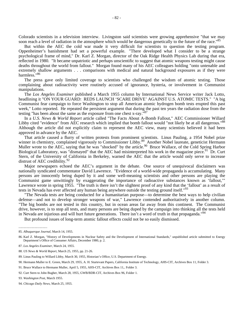Colorado scientists in a television interview. Livingston said scientists were growing apprehensive "that we may soon reach a level of radiation in the atmosphere which would be dangerous genetically to the future of the race."<sup>85</sup>

But within the AEC the cold war made it very difficult for scientists to question the testing program. Oppenheimer's banishment had set a powerful example. "There developed what I consider to be a strange psychological frame of mind," Dr. Karl Z. Morgan, director of the Oak Ridge Health Physics Lab during that era, reflected in 1980. "It became unpatriotic and perhaps unscientific to suggest that atomic weapons testing might cause deaths throughout the world from fallout." Morgan found many of his AEC colleagues holding "onto untenable and extremely shallow arguments . . . comparisons with medical and natural background exposures as if they were harmless."<sup>86</sup>

The press gave only limited coverage to scientists who challenged the wisdom of atomic testing. Those complaining about radioactivity were routinely accused of ignorance, hysteria, or involvement in Communist manipulations.

The *Los Angeles Examiner* published a March 1955 column by International News Service writer Jack Lotto, headlining it "ON YOUR GUARD: REDS LAUNCH 'SCARE DRIVE' AGAINST U.S. ATOMIC TESTS." "A big Communist fear campaign to force Washington to stop all American atomic hydrogen bomb tests erupted this past week," Lotto reported. He repeated the persistent argument that during the past ten years the radiation dose from the testing "has been about the same as the exposure from one chest x-ray.<sup>"87</sup>

In a *U.S. News & World Report* article called "The Facts About A-Bomb Fallout," AEC Commissioner Willard Libby cited "evidence" from AEC research which implied that bomb fallout would "not likely be at all dangerous."<sup>88</sup> Although the article did not explicitly claim to represent the AEC view, many scientists believed it had been approved in advance by the AEC.

That article caused a flurry of written protests from prominent scientists. Linus Pauling, a 1954 Nobel prize winner in chemistry, complained vigorously to Commissioner Libby.<sup>89</sup> Another Nobel laureate, geneticist Hermann Muller wrote to the AEC, saying that he was "shocked" by the article.<sup>90</sup> Bruce Wallace, of the Cold Spring Harbor Biological Laboratory, was "dismayed" that the AEC had misinterpreted his work in the magazine piece.<sup>91</sup> Dr. Curt Stern, of the University of California in Berkeley, warned the AEC that the article would only serve to increase distrust of AEC credibility. $92$ 

Major newspapers echoed the AEC's argument in the debate. One source of unequivocal disclaimers was nationally syndicated commentator David Lawrence. "Evidence of a world-wide propaganda is accumulating. Many persons are innocently being duped by it and some well-meaning scientists and other persons are playing the Communist game unwittingly by exaggerating the importance of radioactive substances known as 'fallout,'" Lawrence wrote in spring 1955. "The truth is there isn't the slightest proof of any kind that the 'fallout' as a result of tests in Nevada has ever affected any human being anywhere outside the testing ground itself."<sup>93</sup>

"The Nevada tests are being conducted for a humanitarian purpose—to determine the best ways to help civilian defense—and not to develop stronger weapons of war," Lawrence contended authoritatively in another column. "The big bombs are not tested in this country, but in ocean areas far away from this continent. The Communist drive, however, is to stop all tests, and many persons are being duped by the campaign into thinking all the tests held in Nevada are injurious and will hurt future generations. There isn't a word of truth in that propaganda."<sup>94</sup>

But profound issues of long-term atomic fallout effects could not be so easily dismissed.

<sup>85.</sup> *Albuquerque Journal,* March 14, 1955.

<sup>86.</sup> Karl Z. Morgan, "History of Developments in Nuclear Safety and the Development of International Standards," unpublished article submitted to Energy Department's Office of Consumer Affairs, December 1980, p. 2.

<sup>87.</sup> *Los Angeles Examiner,* March 24, 1955.

<sup>88.</sup> *US News & World Report,* March 25, 1955, pp. 21-26.

<sup>89.</sup> Linus Pauling to Willard Libby, March 30, 1955, Historian's Office, U.S. Department of Energy.

<sup>90.</sup> Hermann Muller to E. Green, March 29, 1955, A. H. Sturtevant Papers, California Institute of Technology, AHS-CIT, Archives Box 11, Folder 3.

<sup>91.</sup> Bruce Wallace to Hermann Muller, April 5, 1955, AHS-CIT, Archives Box 11,. Folder 3.

<sup>92.</sup> Curt Stern to John Bugher, March 28, 1955, GWB/BDR-CIT, Archives Box 96, Folder 1.

<sup>93.</sup> *Washington Post,* March 1955.

<sup>94.</sup> *Chicago Daily News,* March 25, 1955.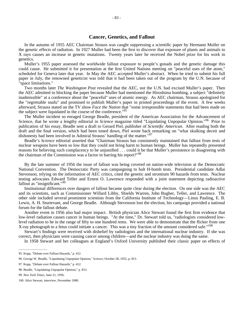#### **Cancer, Genetics, and Fallout**

In the autumn of 1955 AEC Chairman Strauss was caught suppressing a scientific paper by Hermann Muller on the genetic effects of radiation. In 1927 Muller had been the first to discover that exposure of plants and animals to X rays causes an increase in genetic mutations. Twenty years later he received the Nobel prize for his work in genetics.

Muller's 1955 paper assessed the worldwide fallout exposure to people's gonads and the genetic damage this could cause. He submitted it for presentation at the first United Nations meeting on "peaceful uses of the atom," scheduled for Geneva later that year. In May the AEC accepted Muller's abstract. When he tried to submit his full paper in July, the renowned geneticist was told that it had been taken out of the program by the U.N. because of "space limitations."

Two months later *The Washington Post* revealed that the AEC, not the U.N. had excised Muller's paper. Then the AEC admitted to blocking the paper because Muller had mentioned the Hiroshima bombing, a subject "definitely inadmissible" at a conference about the "peaceful" uses of atomic energy. As AEC chairman, Strauss apologized for the "regrettable snafu" and promised to publish Muller's paper in printed proceedings of the event. A few weeks afterward, Strauss stated on the TV show *Face the Nation* that "some irresponsible statements that had been made on the subject were liquidated in the course of the conference."95

The Muller incident so enraged George Beadle, president of the American Association for the Advancement of Science, that he wrote a lengthy editorial in *Science* magazine titled "Liquidating Unpopular Opinion."<sup>96</sup> Prior to publication of his essay, Beadle sent a draft to Gerard Piel, publisher of *Scientific American*. After reading both the draft and the final version, which had been toned down, Piel wrote back remarking on "what skulking deceit and dishonesty had been involved in Admiral Strauss' handling of the matter."<sup>97</sup>

Beadle's *Science* editorial asserted that "Chairman Strauss has consistently maintained that fallout from tests of nuclear weapons have been so low that they could not bring harm to human beings. Muller has repeatedly presented reasons for believing such complacency to be unjustified . . . could it be that Muller's persistence in disagreeing with the chairman of the Commission was a factor in barring his report?"98

By the late summer of 1956 the issue of fallout was being covered on nation-wide television at the Democratic National Convention. The Democratic Party was campaigning to halt H-bomb tests. Presidential candidate Adlai Stevenson, relying on the information of AEC critics, cited the genetic and strontium 90 hazards from tests. Nuclear testing advocates Edward Teller and Ernest O. Lawrence responded with a joint statement depicting radioactive fallout as "insignificant."<sup>99</sup>

Institutional differences over dangers of fallout became quite clear during the election. On one side was the AEC and its scientists, such as Commissioner Willard Libby, Shields Warren, John Bugher, Teller, and Lawrence. The other side included several prominent scientists from the California Institute of Technology—Linus Pauling, E. B. Lewis, A. H. Sturtevant, and George Beadle. Although Stevenson lost the election, his campaign provided a national forum for the fallout debate.

Another event in 1956 also had major impact. British physician Alice Stewart found the first firm evidence that low-level radiation causes cancer in human beings. "At the time," Dr. Stewart told us, "radiologists considered lowlevel radiation to be in the range of fifty to one hundred rems. We were able to demonstrate that the flicker from one X-ray photograph to a fetus could initiate a cancer. This was a tiny fraction of the amount considered safe."<sup>100</sup>

Stewart's findings were received with disbelief by radiologists and the international nuclear industry. If she was correct, then physicians were causing cancer among children—and the nuclear industry was doing the same.

In 1958 Stewart and her colleagues at England's Oxford University published their classic paper on effects of

<sup>95.</sup> Kopp, "Debate over Fallout Hazards," p. 412.

<sup>96.</sup> George W. Beadle, "Liquidating Unpopular Opinion," *Science,* October 28, 1955, p. 813.

<sup>97.</sup> Kopp, "Debate over Fallout Hazards," p. 412.

<sup>98.</sup> Beadle, "Liquidating Unpopular Opinion," p. 813.

<sup>99.</sup> *New York Times,* June 21, 1956.

<sup>100.</sup> Alice Stewart, interview, November 1980.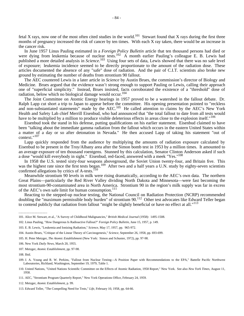fetal X rays, now one of the most often cited studies in the world.<sup>101</sup> Stewart found that X rays during the first three months of pregnancy increased the risk of cancer by ten times. With each X ray taken, there would be an increase in the cancer risk.

In June 1957 Linus Pauling estimated in a *Foreign Policy Bulletin* article that ten thousand persons had died or were dying from leukemia because of nuclear tests.<sup>102</sup> A month earlier Pauling's colleague E. B. Lewis had published a more detailed analysis in *Science*. <sup>103</sup> Using four sets of data, Lewis showed that there was no safe level of exposure; leukemia incidence seemed to be directly proportionate to the amount of the radiation dose. These articles documented the absence of any "safe" dose of radiation. And the pair of C.I.T. scientists also broke new ground by estimating the number of deaths from strontium 90 fallout.

The AEC countered Lewis in a later article in *Science* by Austin Brues, the commission's director of Biology and Medicine. Brues argued that the evidence wasn't strong enough to support Pauling or Lewis, calling their approach one of "superficial simplicity." Instead, Brues insisted, facts corroborated the existence of a "threshold" dose of radiation, below which no biological damage would occur.<sup>104</sup>

The Joint Committee on Atomic Energy hearings in 1957 proved to be a watershed in the fallout debate. Dr. Ralph Lapp cut short a trip to Japan to appear before the committee. His opening presentation pointed to "reckless and non-substantiated statements" made by the AEC.<sup>105</sup> He called attention to claims by the AEC's New York Health and Safety Lab chief Merrill Eisenbud, who had announced that "the total fallout to date from all tests would have to be multiplied by a million to produce visible deleterious effects in areas close to the explosion itself."<sup>106</sup>

Eisenbud took the stand in his defense, putting qualifications on his earlier statement. Eisenbud claimed to have been "talking about the immediate gamma radiation from the fallout which occurs in the eastern United States within a matter of a day or so after detonation in Nevada." He then accused Lapp of taking his statement "out of context."<sup>107</sup>

Lapp quickly responded from the audience by multiplying the amounts of radiation exposure calculated by Eisenbud to be present in the Troy/Albany area after the Simon bomb test in 1953 by a million times. It amounted to an average exposure of ten thousand roentgens. Stunned by this calculation, Senator Clinton Anderson asked if such a dose "would kill everybody in sight." Eisenbud, red-faced, answered with a meek "Yes."<sup>108</sup>

In 1958 the U.S. tested sixty-four weapons aboveground, the Soviet Union twenty-four, and Britain five. This was the highest rate since the first tests began.<sup>109</sup> After two and a half years a U.N. study by eighty-seven scientists confirmed allegations by critics of A-tests.<sup>110</sup>

Meanwhile strontium 90 levels in milk were rising dramatically, according to the AEC's own data. The northern Great Plains—particularly the Red River Valley dividing North Dakota and Minnesota—were fast becoming the most strontium-90-contaminated area in North America. Strontium 90 in the region's milk supply was far in excess of the AEC's own safe limit for human consumption.<sup>111</sup>

Reacting to the stepped-up nuclear testing, the National Council on Radiation Protection (NCRP) recommended doubling the "maximum permissible body burden" of strontium  $90<sup>112</sup>$  Other test advocates like Edward Teller began to contend publicly that radiation from fallout "might be slightly beneficial or have no effect at all."<sup>113</sup>

<sup>101.</sup> Alice M. Stewart, et al., "A Survey of Childhood Malignancies," *British Medical Journal* (1958): 1495-1508.

<sup>102.</sup> Linus Pauling, "How Dangerous Is Radioactive Fallout?" *Foreign Policy Bulletin,* June 15, 1957, p. 149.

<sup>103.</sup> E. B. Lewis, "Leukemia and Ionizing Radiation," *Science,* May 17, 1957, pp. 965-972.

<sup>104.</sup> Austin Brues, "Critique of the Linear Theory of Carcinogenesis," *Science,* September 26, 1958, pp. 693-699.

<sup>105.</sup> H. Peter Metzger, *The Atomic Establishment* (New York: Simon and Schuster, 1972), pp. 97-98.

<sup>106.</sup> New York *Daily News,* March 20, 1955.

<sup>107.</sup> Metzger, *Atomic Establishment,* pp. 97-98.

<sup>108.</sup> Ibid.

<sup>109.</sup> J. A. Young and R. W. Perkins, "Fallout from Nuclear Testing—A Position Paper with Recommendations to the EPA," Battelle Pacific Northwest Laboratories, Richland, Washington, September 19, 1979, Table 1.

<sup>110.</sup> United Nations, "United Nations Scientific Committee on the Effects of Atomic Radiation, 1958 Report," New York. See also *New York Times,* August 11, 1958.

<sup>111.</sup> AEC, "Strontium Program Quarterly Report," New York Operations Office, February 24, 1959.

<sup>112.</sup> Metzger, *Atomic Establishment,* p. 99.

<sup>113.</sup> Edward Teller, "The Compelling Need for Tests," *Life,* February 10, 1958, pp. 64-66.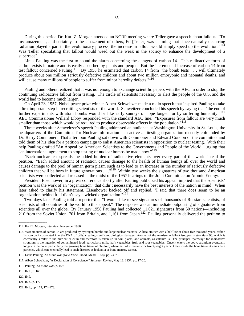During this period Dr. Karl Z. Morgan attended an NCRP meeting where Teller gave a speech about fallout. "To my amazement, and certainly to the amazement of others, Ed [Teller] was claiming that since naturally occurring radiation played a part in the evolutionary process, the increase in fallout would simply speed up the evolution."<sup>114</sup> Was Teller speculating that fallout would weed out the weak in the society to enhance the development of a superrace?

Linus Pauling was the first to sound the alarm concerning the dangers of carbon 14. This radioactive form of carbon exists in nature and is easily absorbed by plants and people. But the incremental increase of carbon 14 from test fallout concerned Pauling.<sup>115</sup> By 1958 he estimated that carbon 14 from "the bomb tests  $\dots$  will ultimately produce about one million seriously defective children and about two million embryonic and neonatal deaths, and will cause many millions of people to suffer from minor heredity defects."<sup>116</sup>

Pauling and others realized that it was not enough to exchange scientific papers with the AEC in order to stop the continuing radioactive fallout from testing. The circle of scientists necessary to alert the people of the U.S. and the world had to become much larger.

On April 23, 1957, Nobel peace prize winner Albert Schweitzer made a radio speech that inspired Pauling to take a first important step in recruiting scientists of the world. Schweitzer concluded his speech by saying that "the end of further experiments with atom bombs would be like early sunrays of hope longed for by suffering humanity."<sup>117</sup> AEC Commissioner Willard Libby responded with the standard AEC line: "Exposures from fallout are very much smaller than those which would be required to produce observable effects in the population."<sup>118</sup>

Three weeks after Schweitzer's speech Pauling addressed an audience at Washington University in St. Louis, the headquarters of the Committee for Nuclear Information—an active antitesting organization recently cofounded by Dr. Barry Commoner. That afternoon Pauling sat down with Commoner and Edward Condon of the committee and told them of his idea for a petition campaign to enlist American scientists in opposition to nuclear testing. With their help Pauling drafted "An Appeal by American Scientists to the Governments and People of the World," urging that "an international agreement to stop testing of nuclear bombs be made now."<sup>119</sup>

"Each nuclear test spreads the added burden of radioactive elements over every part of the world," read the petition. "Each added amount of radiation causes damage to the health of human beings all over the world and causes damage to the pool of human germ plasm such as to lead to an increase in the number of seriously defective children that will be born in future generations . . ."<sup>120</sup> Within two weeks the signatures of two thousand American scientists were collected and released in the midst of the 1957 hearings of the Joint Committee on Atomic Energy.

President Eisenhower, in a press conference shortly after Pauling publicized his appeal, implied that the scientists' petition was the work of an "organization" that didn't necessarily have the best interests of the nation in mind. When later asked to clarify his statement, Eisenhower backed off and replied, "I said that there does seem to be an organization behind it. I didn't say a wicked organization."<sup>121</sup>

Two days later Pauling told a reporter that "I would like to see signatures of thousands of Russian scientists, of scientists of all countries of the world to this appeal." The response was an immediate outpouring of signatures from scientists all over the globe. By January 1958 Pauling had collected 11,021 signatures from 50 nations—including 216 from the Soviet Union, 701 from Britain, and 1,161 from Japan.<sup>122</sup> Pauling personally delivered the petition to

119. Ibid., p. 160.

- 120. Ibid.
- 121. Ibid., p. 172.
- 122. Ibid., pp. 173, 174-178.

<sup>114.</sup> Karl Z. Morgan, interview, November 1980.

<sup>115.</sup> Vast amounts of carbon 14 are produced by hydrogen bombs and large nuclear reactors. A beta-emitter with a half-life of about five thousand years, carbon 14, can be incorporated into the DNA of cells, creating significant biological damage. Another of the worrisome fallout isotopes is strontium 90, which is chemically similar to the nutrient calcium and therefore is taken up in soil, plants, and animals, as calcium is. The principal "pathway" for radioactive strontium is the ingestion of contaminated food, particularly milk, leafy vegetables, fruit, and root vegetables. Once it enters the body, strontium eventually lodges in the bone, particularly the growing bone tissue of children, where half of it remains for twenty-eight years. Once inside the bone tissue it emits beta particles, which can eventually lead to such diseases as leukemia or bone-marrow cancer.

<sup>116.</sup> Linus Pauling, *No More War* (New York: Dodd, Mead, 1958), pp. 74-75.

<sup>117.</sup> Albert Schweitzer, "A Declaration of Conscience," *Saturday Review,* May 18, 1957, pp. 17-20.

<sup>118.</sup> Pauling, *No More War,* p. 169.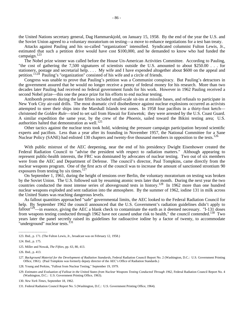the United Nations secretary general, Dag Hammarskjold, on January 15, 1958. By the end of the year the U.S. and the Soviet Union agreed to a voluntary moratorium on testing—a move to enhance negotiations for a test ban treaty.

Attacks against Pauling and his so-called "organization" intensified. Syndicated columnist Fulton Lewis, Jr., estimated that such a petition drive would have cost \$100,000, and he demanded to know who had funded the campaign.<sup>123</sup>

The Nobel prize winner was called before the House Un-American Activities Committee. According to Pauling, "the cost of gathering the 7,500 signatures of scientists outside the U.S. amounted to about \$250.00 . . . for stationery, postage and secretarial help. . . . My wife and I have expended altogether about \$600 on the appeal and petition."<sup>124</sup> Pauling's "organization" consisted of his wife and a circle of friends.

Congress was unable to prove that Pauling's petition was a Communist conspiracy. But Pauling's detractors in the government assured that he would no longer receive a penny of federal money for his research. More than two decades later Pauling had received no federal government funds for his work. However in 1962 Pauling received a second Nobel prize—this one the peace prize for his efforts to end nuclear testing.

Antibomb protests during the late fifties included small-scale sit-ins at missile bases, and refusals to participate in New York City air-raid drills. The most dramatic civil disobedience against nuclear explosions occurred as activists attempted to steer their ships into the Marshall Islands test zones. In 1958 four pacifists in a thirty-foot ketch christened the *Golden Rule*—tried to set sail from Hawaii for Eniwetok; they were arrested by the U.S. Coast Guard. A similar expedition the same year, by the crew of the *Phoenix,* sailed toward the Bikini testing area; U.S. authorities halted that demonstration as well.<sup>125</sup>

Other tactics against the nuclear tests took hold, widening the pressure campaign participation beyond scientific experts and pacifists. Less than a year after its founding in November 1957, the National Committee for a Sane Nuclear Policy (SANE) had enlisted 130 chapters and twenty-five thousand members in opposition to the tests.<sup>126</sup>

With public mistrust of the AEC deepening, near the end of his presidency Dwight Eisenhower created the Federal Radiation Council to "advise the president with respect to radiation matters." Although appearing to represent public-health interests, the FRC was dominated by advocates of nuclear testing. Two out of six members were from the AEC and Department of Defense. The council's director, Paul Tompkins, came directly from the nuclear weapons program. One of the first acts of the council was to increase the amount of sanctioned strontium 90 exposures from testing by six times.<sup>127</sup>

On September 1, 1961, during the height of tensions over Berlin, the voluntary moratorium on testing was broken by the Soviet Union. The U.S. followed suit by resuming atomic tests later that month. During the next year the two countries conducted the most intense series of aboveground tests in history.<sup>128</sup> In 1962 more than one hundred nuclear weapons exploded and sent radiation into the atmosphere. By the summer of 1962, iodine 131 in milk across the United States was reaching dangerous levels.

As fallout quantities approached "safe" governmental limits, the AEC looked to the Federal Radiation Council for help. By September 1962 the council announced that the U.S. Government's radiation guidelines didn't apply to fallout<sup>129</sup>—in essence, giving the AEC a blank check to contaminate the earth as it deemed necessary. "I-131 doses from weapons testing conducted through 1962 have not caused undue risk to health," the council contended.<sup>130</sup> Two years later the panel secretly raised its guidelines for radioactive iodine by a factor of twenty, to accommodate "underground" nuclear tests.<sup>131</sup>

<sup>123.</sup> Ibid., p. 171. (The Fulton Lewis, Jr., broadcast was on February 12, 1958.)

<sup>124.</sup> Ibid., p. 175.

<sup>125.</sup> Miller and Nowak, *The Fifties,* pp. 63, 80, 413.

<sup>126.</sup> Ibid., p. 413.

<sup>127.</sup> *Background Material for the Development of Radiation Standards,* Federal Radiation Council Report No. 2 (Washington, D.C.: U.S. Government Printing Office, 1961). (Paul Tompkins was formerly deputy director of the AEC's Office of Radiation Standards.)

<sup>128.</sup> Young and Perkins, "Fallout from Nuclear Testing," September 19, 1979.

<sup>129.</sup> *Estimates and Evaluation of Fallout in the United States from Nuclear Weapons Testing Conducted Through 1962,* Federal Radiation Council Report No. 4 (Washington, D.C.: U.S. Government Printing Office, 1963).

<sup>130.</sup> *New York Times,* September 18, 1962.

<sup>131.</sup> Federal Radiation Council Report No. 5 (Washington, D.C.: U.S. Government Printing Office, 1964).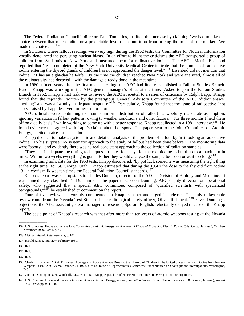The Federal Radiation Council's director, Paul Tompkins, justified the increase by claiming "we had to take our choice between that much iodine or a predictable level of malnutrition from pricing the milk off the market. We made the choice . . . "<sup>132</sup>

In St. Louis, where fallout readings were very high during the 1962 tests, the Committee for Nuclear Information vocally denounced the persisting nuclear blasts. In an effort to blunt the criticisms the AEC transported a group of children from St. Louis to New York and measured them for radioactive iodine. The AEC's Merrill Eisenbud reported that "tests completed at the New York University Medical Center indicate that the amount of radioactive iodine entering the thyroid glands of children has not approached the danger level."<sup>133</sup> Eisenbud did not mention that iodine 131 has an eight-day half-life. By the time the children reached New York and were analyzed, almost all of the radioactivity had decayed—with the damage already done in the meantime.

In 1960, fifteen years after the first nuclear testing, the AEC had finally established a Fallout Studies Branch. Harold Knapp was working in the AEC general manager's office at the time. Asked to join the Fallout Studies Branch in 1962, Knapp's first task was to review the AEC's rebuttal to a series of criticisms by Ralph Lapp. Knapp found that the rejoinder, written by the prestigious General Advisory Committee of the AEC, "didn't answer anything" and was a "wholly inadequate response."<sup>134</sup> Particularly, Knapp found that the issue of radioactive "hot spots" raised by Lapp deserved further exploration.

AEC officials were continuing to assume uniform distribution of fallout—a woefully inaccurate assumption, ignoring variations in fallout patterns, owing to weather conditions and other factors. "For three months I held them off on a daily basis," while working to come up with a better response, Knapp recollected in a 1981 interview.<sup>135</sup> He found evidence that agreed with Lapp's claims about hot spots. The paper, sent to the Joint Committee on Atomic Energy, elicited praise for its candor.

Knapp decided to make a systematic and detailed analysis of the problem of fallout by first looking at radioactive iodine. To his surprise "no systematic approach to the study of fallout had been done before." The monitoring data were "spotty," and evidently there was no real consistent approach to the collection of radiation samples.

"They had inadequate measuring techniques. It takes four days for the radioiodine to build up to a maximum in milk. Within two weeks everything is gone. Either they would analyze the sample too soon or wait too long."<sup>136</sup>

In examining milk data for the 1953 tests, Knapp discovered, "by pot luck someone was measuring the right thing at the right time" for St. George, Utah. Knapp estimated that during the 1950s the dose to the thyroid from iodine 131 in cow's milk was ten times the Federal Radiation Council standards.<sup>137</sup>

Knapp's report was sent upstairs to Charles Dunham, director of the AEC's Division of Biology and Medicine. It was immediately classified.<sup>138</sup> Dunham sent the paper to Gordon Dunning, AEC deputy director for operational safety, who suggested that a special AEC committee, composed of "qualified scientists with specialized backgrounds,"139 be established to comment on the report.

Four of five reviewers favorably commented on Knapp's paper and urged its release. The only unfavorable review came from the Nevada Test Site's off-site radiological safety officer, Oliver R. Placak.<sup>140</sup> Over Dunning's objections, the AEC assistant general manager for research, Spoford English, reluctantly okayed release of the Knapp report.

The basic point of Knapp's research was that after more than ten years of atomic weapons testing at the Nevada

<sup>132.</sup> U.S. Congress, House and Senate Joint Committee on Atomic Energy, *Environmental Effects of Producing Electric Power,* (91st Cong., 1st sess.), October-November 1969, Part 1, p. 409.

<sup>133.</sup> Metzger, *Atomic Establishment,* p. 107.

<sup>134.</sup> Harold Knapp, interview, February 1981.

<sup>135.</sup> Ibid.

<sup>136.</sup> Ibid.

<sup>137.</sup> Ibid.

<sup>138.</sup> Charles L. Dunham, "Draft Document Average and Above Average Doses to the Thyroid of Children in the United States from Radioiodine from Nuclear Weapons Tests," AEC Memo, October 24, 1962, files of House of Representatives Commerce Subcommittee on Oversight and investigations, Washington, D.C.

<sup>139.</sup> Gordon Dunning to N. H. Woodruff, AEC Memo Re: Knapp Paper, files of House Subcommittee on Oversight and Investigations.

<sup>140.</sup> U.S. Congress, House and Senate Joint Committee on Atomic Energy, *Fallout, Radiation Standards and Countermeasures,* (88th Cong., 1st sess.), August 1963, Part 2, pp. 914-1082.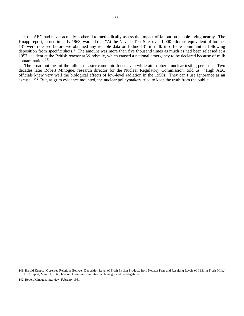site, the AEC had never actually bothered to methodically assess the impact of fallout on people living nearby. The Knapp report, issued in early 1963, warned that "At the Nevada Test Site, over 1,000 kilotons equivalent of Iodine-131 were released before we obtained any reliable data on Iodine-131 in milk in off-site communities following deposition from specific shots." The amount was more than five thousand times as much as had been released at a 1957 accident at the British reactor at Windscale, which caused a national emergency to be declared because of milk contamination.<sup>141</sup>

The broad outlines of the fallout disaster came into focus even while atmospheric nuclear testing persisted. Two decades later Robert Minogue, research director for the Nuclear Regulatory Commission, told us: "High AEC officials knew very well the biological effects of low-level radiation in the 1950s. They can't use ignorance as an excuse."<sup>142</sup> But, as grim evidence mounted, the nuclear policymakers tried to keep the truth from the public.

<sup>141.</sup> Harold Knapp, "Observed Relations Between Deposition Level of Fresh Fission Products from Nevada Tests and Resulting Levels of I-131 in Fresh Milk," AEC Report, March 1, 1963, files of House Subcommittee on Oversight and Investigations.

<sup>142.</sup> Robert Minogue, interview, February 1981.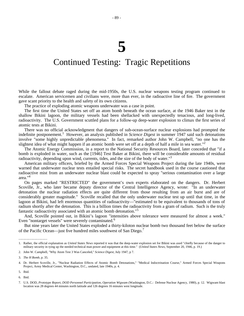# **5**

## Continued Testing: Tragic Repetitions

While the fallout debate raged during the mid-1950s, the U.S. nuclear weapons testing program continued to escalate. American servicemen and civilians were, more than ever, in the radioactive line of fire. The government gave scant priority to the health and safety of its own citizens.

The practice of exploding atomic weapons underwater was a case in point.

The first time the United States set off an atom bomb beneath the ocean surface, at the 1946 Baker test in the shallow Bikini lagoon, the military vessels had been shellacked with unexpectedly tenacious, and long-lived, radioactivity. The U.S. Government scuttled plans for a follow-up deep-water explosion to climax the first series of atomic tests at Bikini.

There was no official acknowledgment that dangers of sub-ocean-surface nuclear explosions had prompted the indefinite postponement.<sup>1</sup> However, an analysis published in *Science Digest* in summer 1947 said such detonations involve "some highly unpredictable phenomena." In fact, remarked author John W. Campbell, "no one has the slightest idea of what might happen if an atomic bomb were set off at a depth of half a mile in sea water."<sup>2</sup>

The Atomic Energy Commission, in a report to the National Security Resources Board, later conceded that "if a bomb is exploded in water, such as the [1946] Test Baker at Bikini, there will be considerable amounts of residual radioactivity, depending upon wind, currents, tides, and the size of the body of water."<sup>3</sup>

American military officers, briefed by the Armed Forces Special Weapons Project during the late 1940s, were warned that underwater nuclear tests entailed special risks. The secret handbook used in the course cautioned that radioactive mist from an underwater nuclear blast could be expected to spray "serious contamination over a large area."4

On pages marked "RESTRICTED" the government's own experts elaborated on the dangers. Dr. Herbert Scoville, Jr., who later became deputy director of the Central Intelligence Agency, wrote: "In an underwater detonation the nuclear radiation effects are quite different from those resulting from an air burst and are of considerably greater magnitude." Scoville recalled that the only underwater nuclear test up until that time, in the lagoon at Bikini, had left enormous quantities of radioactivity—"estimated to be equivalent to thousands of tons of radium shortly after the detonation. This is a billion times the radioactivity from a gram of radium. Such is the truly fantastic radioactivity associated with an atomic bomb detonation."<sup>5</sup>

And, Scoville pointed out, in Bikini's lagoon "intensities above tolerance were measured for almost a week." Even "nontarget vessels" were severely contaminated.<sup>6</sup>

But nine years later the United States exploded a thirty-kiloton nuclear bomb two thousand feet below the surface of the Pacific Ocean—just five hundred miles southwest of San Diego.<sup>7</sup>

<sup>1.</sup> Rather, the official explanation as *United States News* reported it was that the deep-water explosion set for Bikini was axed "chiefly because of the danger to military security in tying up the needed technical man power and equipment at this time." (*United States News,* September 20, 1946, p. 19.)

<sup>2.</sup> John W. Campbell, "Why Atom Test 3 Was Canceled," *Science Digest,* July 1947, p 7.

<sup>3.</sup> *The H Bomb,* p. 35.

<sup>4.</sup> Dr. Herbert Scoville, Jr., "Nuclear Radiation Effects of Atomic Bomb Detonations," "Medical Indoctrination Course," Armed Forces Special Weapons Project, Army Medical Center, Washington, D.C., undated, late 1940s, p. 4.

<sup>5.</sup> Ibid.

<sup>6.</sup> Ibid.

<sup>7.</sup> U.S. DOD, *Prototype Report, DOD Personnel Participation, Operation Wigwam* (Washington, D.C.: Defense Nuclear Agency, 1980), p. 12. Wigwam blast location was 28 degrees 44 minutes north latitude and 126 degrees 16 minutes west longitude.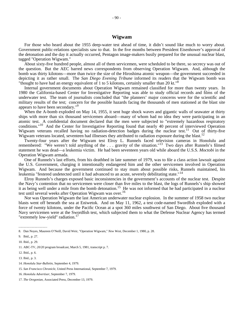#### **Wigwam**

For those who heard about the 1955 deep-water test ahead of time, it didn't sound like much to worry about. Government public-relations specialists saw to that. In the five months between President Eisenhower's approval of the detonation and the day it actually occurred, Pentagon image-makers busily prepared for the unusual nuclear blast, tagged "Operation Wigwam."

About sixty-five hundred people, almost all of them servicemen, were scheduled to be there, so secrecy was out of the question. But the AEC barred news correspondents from observing Operation Wigwam. And, although the bomb was thirty kilotons—more than twice the size of the Hiroshima atomic weapon—the government succeeded in depicting it as rather small. The *San Diego Evening Tribune* informed its readers that the Wigwam bomb was "thought to have had an energy equivalent of 1 to 5 kilotons, certainly smaller than 20 kt."<sup>8</sup>

Internal government documents about Operation Wigwam remained classified for more than twenty years. In 1980 the California-based Center for Investigative Reporting was able to study official records and films of the underwater test. The team of journalists concluded that "the planners' major concerns were for the scientific and military results of the test; concern for the possible hazards facing the thousands of men stationed at the blast site appears to have been secondary."9

When the A-bomb exploded on May 14, 1955, it sent huge shock waves and gigantic walls of seawater at thirty ships with more than six thousand servicemen aboard—many of whom had no idea they were participating in an atomic test. A confidential document declared that the men were subjected to "extremely hazardous respiratory conditions."<sup>10</sup> And the Center for Investigative Reporting found that nearly 40 percent of interviewed Operation Wigwam veterans recalled having no radiation-detection badges during the nuclear test.<sup>11</sup> Out of thirty-five Wigwam veterans located, seventeen had illnesses they attributed to radiation exposure during the blast.<sup>12</sup>

Twenty-four years after the Wigwam test Elroy L. Runnels faced television cameras in Honolulu and remembered: "We weren't told anything of the . . . gravity of the situation."<sup>13</sup> Two days after Runnels's filmed statement he was dead—a leukemia victim. He had been seventeen years old while aboard the U.S.S. *Moctobi* in the Operation Wigwam armada.

One of Runnels's last efforts, from his deathbed in late summer of 1979, was to file a class action lawsuit against the U.S. Government, charging it intentionally endangered him and the other servicemen involved in Operation Wigwam. And because the government continued to stay mum about possible risks, Runnels maintained, his leukemia "festered undetected until it had advanced to an acute, severely debilitating state."<sup>14</sup>

Elroy Runnels's charges exposed basic inconsistencies in the government's accounts of the nuclear test. Despite the Navy's contention that no servicemen were closer than five miles to the blast, the logs of Runnels's ship showed it as being well under a mile from the bomb detonation.<sup>15</sup> He was not informed that he had participated in a nuclear test until several weeks after Operation Wigwam was over.<sup>16</sup>

Nor was Operation Wigwam the last American underwater nuclear explosion. In the summer of 1958 two nuclear blasts went off beneath the sea at Eniwetok. And on May 11, 1962, a test code-named Swordfish exploded with a force of twenty kilotons, under the Pacific Ocean at a spot 360 miles southwest of San Diego. About five thousand Navy servicemen were at the Swordfish test, which subjected them to what the Defense Nuclear Agency has termed "extremely low-yield" radiation.<sup>17</sup>

<sup>8.</sup> Dan Noyes, Maureen O'Neill, David Weir, "Operation Wigwam," *New West,* December 1, 1980, p. 28.

<sup>9.</sup> Ibid., p. 27.

<sup>10.</sup> Ibid., p. 29.

<sup>11.</sup> ABC-TV, *20/20* program broadcast, March 5, 1981, transcript p. 7.

<sup>12.</sup> Ibid., p. 6.

<sup>13.</sup> Ibid., p. 3.

<sup>14.</sup> *Honolulu Star-Bulletin,* September 4, 1979.

<sup>15.</sup> *San Francisco Chronicle,* United Press International, September 7, 1979.

<sup>16.</sup> *Honolulu Advertiser,* September 7, 1979.

<sup>17.</sup> *The Oregonian,* Associated Press, December 13, 1979.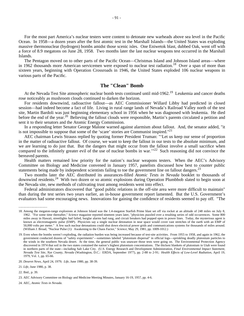For the most part America's nuclear testers were content to detonate new warheads above sea level in the Pacific Ocean. In 1958—a dozen years after the first atomic test in the Marshall Islands—the United States was exploding massive thermonuclear (hydrogen) bombs amidst those scenic isles. One Eniwetok blast, dubbed Oak, went off with a force of 8.9 megatons on June 28, 1958. Two months later the last nuclear weapons test occurred in the Marshall Islands.

The Pentagon moved on to other parts of the Pacific Ocean—Christmas Island and Johnson Island areas—where in 1962 thousands more American servicemen were exposed to nuclear test radiation.<sup>18</sup> Over a span of more than sixteen years, beginning with Operation Crossroads in 1946, the United States exploded 106 nuclear weapons in various parts of the Pacific.

#### **The "Clean" Bomb**

At the Nevada Test Site atmospheric nuclear bomb tests continued until mid-1962.<sup>19</sup> Leukemia and cancer deaths rose noticeably as mushroom clouds continued to darken the horizon.

For residents downwind, radioactive fallout—as AEC Commissioner Willard Libby had predicted in closed session—had indeed become a fact of life. Living in rural range lands of Nevada's Railroad Valley north of the test site, Martin Bardoli was just beginning elementary school in 1956 when he was diagnosed with leukemia. He died before the end of the year.<sup>20</sup> Believing the fallout clouds were responsible, Martin's parents circulated a petition and sent it to their senators and the Atomic Energy Commission.

In a responding letter Senator George Malone warned against alarmism about fallout. And, the senator added, "it is not impossible to suppose that some of the 'scare' stories are Communist inspired. $121$ 

AEC chairman Lewis Strauss replied by quoting former President Truman: "'Let us keep our sense of proportion in the matter of radioactive fallout. Of course, we want to keep the fallout in our tests to the absolute minimum, and we are learning to do just that. But the dangers that might occur from the fallout involve a small sacrifice when compared to the infinitely greater evil of the use of nuclear bombs in war.'"<sup>22</sup> Such reasoning did not convince the bereaved parents.

Health matters remained low priority for the nation's nuclear weapons testers. When the AEC's Advisory Committee on Biology and Medicine convened in January 1957, panelists discussed how best to counter public statements being made by independent scientists failing to toe the government line on fallout dangers.<sup>23</sup>

Two months later the AEC distributed its assurances-filled *Atomic Tests in Nevada* booklet to thousands of downwind residents.<sup>24</sup> With two dozen or so atomic explosions during Operation Plumbbob slated to begin soon at the Nevada site, new methods of cultivating trust among residents went into effect.

Federal administrators discovered that "good public relations in the off-site area were more difficult to maintain" than during the test series two years earlier, an in-house government report lamented. But the U.S. Government's evaluators had some encouraging news. Innovations for gaining the confidence of residents seemed to pay off. "The

<sup>18.</sup> Among the megaton-range explosions at Johnson Island was the 1.4-megaton Starfish Prime blast set off via rocket at an altitude of 248 miles on July 8, 1962. "For some time thereafter," *Science* magazine reported nineteen years later, "physicists puzzled over a resulting series of odd occurrences. Some 800 miles away in Hawaii, streetlights had failed, burglar alarms had rung, and circuit breakers had popped open in power lines. Today, the mysterious agent is known as electromagnetic pulse (EMP). Physicists say a single nuclear detonation in near space would cover vast stretches of the earth with an EMP of 50,000 volts per meter." A few such nuclear detonations could shut down electrical power grids and communications systems for thousands of miles around. (William J. Broad, "Nuclear Pulse (1): Awakening to the Chaos Factor," *Science,* May 29, 1981, pp. 1009-1012.)

<sup>19.</sup> Even when the bombs weren't exploding, the radiation burden was being increased because of test-site activities. From 1955 to 1958, and again in 1962, the government conducted dozens of "safety experiments"—sometimes labeled "plutonium dispersal" in official logs—sprinkling deadly plutonium particles to the winds in the southern Nevada desert. At the time, the general public was unaware those tests were going on. The Environmental Protection Agency discovered in 1974 that soil in the two states contained the nation's highest plutonium concentrations. The thickest blankets of plutonium in Utah were found in northern parts of the state—including Salt Lake City. (U.S. Energy Research and Development Administration, *Final Environmental Impact Statement, Nevada Test Site, Nye County, Nevada* (Washington, D.C.: ERDA, September 1977), pp. 2-88 to 2-91; *Health Effects of Low-Level Radiation,* April 19, 1979, Vol. 1, pp. 65-66.

<sup>20.</sup> *Deseret News,* April 24, 1979; *Life,* June 1980, pp. 38-39.

<sup>21.</sup> *Life,* June 1980, p. 38.

<sup>22.</sup> Ibid., p. 39.

<sup>23.</sup> AEC Advisory Committee on Biology and Medicine Meeting Minutes, January 16-19, 1957, pp. 4-6.

<sup>24.</sup> AEC, *Atomic Tests in Nevada*.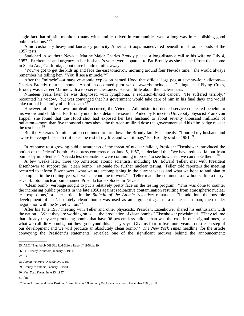single fact that off-site monitors (many with families) lived in communities went a long way in establishing good public relations."<sup>25</sup>

Amid customary heavy and laudatory publicity American troops maneuvered beneath mushroom clouds of the 1957 tests.

Stationed in southern Nevada, Marine Major Charles Broudy placed a long-distance call to his wife on July 4, 1957. Excitement and urgency in her husband's voice were apparent to Pat Broudy as she listened from their home in Santa Ana, California, about three hundred miles away.

"You've got to get the kids up and face the east tomorrow morning around four Nevada time," she would always remember his telling her. "You'll see a miracle."<sup>26</sup>

After the "miracle"—a massive atomic explosion named Hood that official logs peg at seventy-four kilotons— Charles Broudy returned home. An often-decorated pilot whose awards included a Distinguished Flying Cross, Broudy was a career Marine with a top-secret clearance. He said little about the nuclear tests.

Nineteen years later he was diagnosed with lymphoma, a radiation-linked cancer. "He suffered terribly," recounted his widow, "but was convinced that his government would take care of him in his final days and would take care of his family after his death."<sup>27</sup>

However, after the drawn-out death occurred, the Veterans Administration denied service-connected benefits to his widow and children. Pat Broudy undertook detailed research. Aided by Princeton University physicist Frank von Hippel, she found that the Hood shot had exposed her late husband to about seventy thousand millirads of radiation—more than five thousand times above the thirteen-millirad dose the government said his film badge read at the test blast. $28$ 

But the Veterans Administration continued to turn down the Broudy family's appeals. "I buried my husband and swore to avenge his death if it takes the rest of my life, and well it may," Pat Broudy said in 1981.<sup>29</sup>

In response to a growing public awareness of the threat of nuclear fallout, President Eisenhower introduced the notion of the "clean" bomb. At a press conference on June 5, 1957, he declared that "we have reduced fallout from bombs by nine-tenths." Nevada test detonations were continuing in order "to see how clean we can make them."<sup>30</sup>

A few weeks later, three top American atomic scientists, including Dr. Edward Teller, met with President Eisenhower to support the "clean bomb"' rationale for further nuclear testing. Teller told reporters the meeting occurred to inform Eisenhower "what we are accomplishing in the current weeks and what we hope to and plan to accomplish in the coming years, if we can continue to work.<sup>"31</sup> Teller made the comment a few hours after a thirtyseven-kiloton nuclear bomb named Priscilla had exploded in Nevada.

"Clean bomb" verbiage sought to put a relatively pretty face on the testing program. "This was done to counter the increasing public protests in the late 1950s against radioactive contamination resulting from atmospheric nuclear test explosions," a later article in the *Bulletin of the Atomic Scientists* remarked. "In addition, the possible development of an 'absolutely clean' bomb was used as an argument against a nuclear test ban, then under negotiation with the Soviet Union."<sup>32</sup>

After his June 1957 meeting with Teller and other physicists, President Eisenhower shared his enthusiasm with the nation. "What they are working on is . . . the production of clean bombs," Eisenhower proclaimed. "They tell me that already they are producing bombs that have 96 percent less fallout than was the case in our original ones, or what we call dirty bombs, but they go beyond this. They say: 'Give us four or five more years to test each step of our development and we will produce an absolutely clean bomb.'" *The New York Times* headline, for the article conveying the President's statements, revealed one of the significant motives behind the announcement:

<sup>25.</sup> AEC, "Plumbbob Off-Site Rad-Safety Report," 1958, p. 19.

<sup>26.</sup> Pat Broudy to authors, January 2, 1981.

<sup>27.</sup> Ibid.

<sup>28.</sup> *Atomic Veterans' Newsletter,* p. 19.

<sup>29.</sup> Broudy to authors, January 2, 1981.

<sup>30.</sup> *New York Times,* June 25, 1957.

<sup>31.</sup> Ibid.

<sup>32.</sup> Wim A. Smit and Peter Boskma, "Laser Fusion," *Bulletin of the Atomic Scientists,* December 1980, p. 34.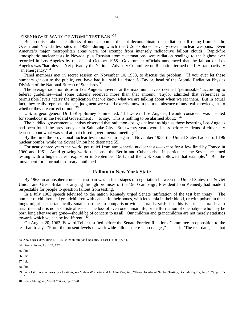#### "EISENHOWER WARY OF ATOMIC TEST BAN."<sup>33</sup>

But promises about cleanliness of nuclear bombs did not decontaminate the radiation still rising from Pacific Ocean and Nevada test sites in 1958—during which the U.S. exploded seventy-seven nuclear weapons. Even America's major metropolitan areas were not exempt from intensely radioactive fallout clouds. Rapid-fire atmospheric nuclear tests in Nevada, plus Russian atomic detonations, sent radiation readings to the highest ever recorded in Los Angeles by the end of October 1958. Government officials announced that the fallout on Los Angeles was "harmless." Yet privately the National Advisory Committee on Radiation termed the L.A. radioactivity "an emergency."<sup>34</sup>

Panel members met in secret session on November 10, 1958, to discuss the problem. "If you ever let these numbers get out to the public, you have had it," said Lauriston S. Taylor, head of the Atomic Radiation Physics Division of the National Bureau of Standards.<sup>35</sup>

The average radiation dose in Los Angeles hovered at the maximum levels deemed "permissible" according to federal guidelines—and some citizens received more than that amount. Taylor admitted that references to permissible levels "carry the implication that we know what we are talking about when we set them. But in actual fact, they really represent the best judgment we would exercise now in the total absence of any real knowledge as to whether they are correct or not."<sup>36</sup>

U.S. surgeon general Dr. LeRoy Burney commented, "If I were in Los Angeles, I would consider I was insulted for somebody in the Federal Government  $\dots$  to say, 'This is nothing to be alarmed about.'"<sup>37</sup>

The huddled government scientists observed that radiation dosages at least as high as those besetting Los Angeles had been found the previous year in Salt Lake City. But twenty years would pass before residents of either city learned about what was said at that closed governmental meeting.<sup>38</sup>

By the time the provisional nuclear test moratorium began in November 1958, the United States had set off 196 nuclear bombs, while the Soviet Union had detonated 55.

For nearly three years the world got relief from atmospheric nuclear tests—except for a few fired by France in 1960 and 1961. Amid growing world tensions—the Berlin and Cuban crises in particular—the Soviets resumed testing with a huge nuclear explosion in September 1961, and the U.S. soon followed that example.<sup>39</sup> But the movement for a formal test treaty continued.

#### **Fallout in New York State**

By 1963 an atmospheric nuclear test ban was in final stages of negotiation between the United States, the Soviet Union, and Great Britain. Carrying through promises of the 1960 campaign, President John Kennedy had made it respectable for people to question fallout from testing.

In a July 1963 speech televised to the nation Kennedy urged Senate ratification of the test ban treaty: "The number of children and grandchildren with cancer in their bones, with leukemia in their blood, or with poison in their lungs might seem statistically small to some, in comparison with natural hazards, but this is not a natural health hazard—and it is not a statistical issue. The loss of even one human life, or malformation of one baby—who may be born long after we are gone—should be of concern to us all. Our children and grandchildren are not merely statistics towards which we can be indifferent."<sup>40</sup>

On August 20, 1963, Edward Teller testified before the Senate Foreign Relations Committee in opposition to the test ban treaty. "From the present levels of worldwide fallout, there is no danger," he said. "The real danger is that

<sup>33.</sup> *New York Times,* June 27, 1957, cited in Smit and Boskma, "Laser Fusion," p. 34.

<sup>34.</sup> *Deseret News,* April 24, 1979.

<sup>35.</sup> Ibid.

<sup>36.</sup> Ibid.

<sup>37.</sup> Ibid.

<sup>38.</sup> Ibid.

<sup>39.</sup> For a list of nuclear tests by all nations, see Melvin W. Carter and A. Alan Moghissi, "Three Decades of Nuclear Testing," *Health Physics,* July 1977, pp. 55- 71.

<sup>40.</sup> Ernest Sternglass, *Secret Fallout,* pp. 27-28.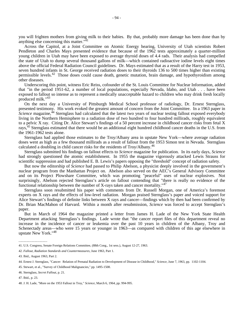you will frighten mothers from giving milk to their babies. By that, probably more damage has been done than by anything else concerning this matter."<sup>41</sup>

Across the Capitol, at a Joint Committee on Atomic Energy hearing, University of Utah scientists Robert Pendleton and Charles Mays presented evidence that because of the 1962 tests approximately a quarter-million young children in Utah may have been exposed to average thyroid doses of 4.4 rads. Their analysis had compelled the state of Utah to dump several thousand gallons of milk—which contained radioactive iodine levels eight times above the official Federal Radiation Council guidelines. Dr. Mays estimated that as a result of the Harry test in 1953, seven hundred infants in St. George received radiation doses to their thyroids 136 to 500 times higher than existing permissible levels.<sup>42</sup> Those doses could cause death, genetic mutation, brain damage, and hypothyroidism among other diseases.

Underscoring this point, witness Eric Reiss, cofounder of the St. Louis Committee for Nuclear Information, added that "in the period 1951-62, a number of local populations, especially Nevada, Idaho, and Utah... have been exposed to fallout so intense as to represent a medically unacceptable hazard to children who may drink fresh locally produced milk."<sup>43</sup>

On the next day a University of Pittsburgh Medical School professor of radiology, Dr. Ernest Sternglass, presented testimony. His work evoked the greatest amount of concern from the Joint Committee. In a 1963 paper in Science magazine,<sup>44</sup> Sternglass had calculated that the latest two years of nuclear testing fallout exposed everybody living in the Northern Hemisphere to a radiation dose of two hundred to four hundred millirads, roughly equivalent to a pelvic X ray. Citing Dr. Alice Stewart's findings of a 50 percent increase in childhood cancer risks from fetal X rays,<sup>45</sup> Sternglass estimated that there would be an additional eight hundred childhood cancer deaths in the U.S. from the 1961-1962 tests alone.

Sternglass had applied those estimates to the Troy/Albany area in upstate New York—where average radiation doses went as high as a few thousand millirads as a result of fallout from the 1953 Simon test in Nevada. Sternglass calculated a doubling in child cancer risks for the residents of Troy/Albany.<sup>46</sup>

Sternglass submitted his findings on fallout effects to *Science* magazine for publication. In its early days, *Science* had strongly questioned the atomic establishment. In 1955 the magazine vigorously attacked Lewis Strauss for scientific suppression and had published E. B. Lewis's papers opposing the "threshold" concept of radiation safety.

But now the editorship of *Science* had passed to Philip Abelson, a physicist deeply involved in the government's nuclear program from the Manhattan Project on. Abelson also served on the AEC's General Advisory Committee and on its Project Plowshare Committee, which was promoting "peaceful" uses of nuclear explosives. Not surprisingly, Abelson rejected Sternglass's article on fallout contending that "there is really no evidence of the functional relationship between the number of X-rays taken and cancer mortality." $47$ 

Sternglass soon resubmitted his paper with comments from Dr. Russell Morgan, one of America's foremost experts on X rays and the effects of low-level radiation. Morgan praised Sternglass's paper and voiced support for Alice Stewart's findings of definite links between X rays and cancer—findings which by then had been confirmed by Dr. Brian MacMahon of Harvard. Within a month after resubmission, *Science* was forced to accept Sternglass's paper.

But in March of 1964 the magazine printed a letter from James H. Lade of the New York State Health Department attacking Sternglass's findings. Lade wrote that "the cancer report files of this department reveal no increase in the incidence of cancer or leukemia over the past 10 years in children of the Albany, Troy and Schenectady areas—who were 15 years or younger in 1963—as compared with children of this age elsewhere in upstate New York."48

<sup>41.</sup> U.S. Congress, Senate Foreign Relations Committee, (88th Cong., 1st sess.), August 12-27, 1963.

<sup>42.</sup> *Fallout, Radiation Standards and Countermeasures,* June 1963, Part 1.

<sup>43.</sup> Ibid., August 1963, Part 2.

<sup>44.</sup> Ernest J. Sternglass, "Cancer: Relation of Prenatal Radiation to Development of Disease in Childhood," *Science,* June 7, 1963, pp. 1102-1104.

<sup>45.</sup> Stewart, et al., "Survey of Childhood Malignancies," pp. 1495-1508.

<sup>46.</sup> Sternglass, *Secret Fallout,* p. 21.

<sup>47.</sup> Ibid., p. 23.

<sup>48.</sup> J. H. Lade, "More on the 1953 Fallout in Troy," *Science,* March 6, 1964, pp. 994-995.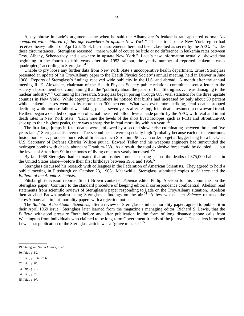A key phrase in Lade's argument came when he said the Albany area's leukemia rate appeared normal "*as compared with children of this age elsewhere in upstate New York."* The entire upstate New York region had received heavy fallout on April 26, 1953, but measurements there had been classified as secret by the AEC. "Under these circumstances," Sternglass reasoned, "there would of course be little or no difference in leukemia rates between Troy, Albany, Schenectady and elsewhere in upstate New York." Lade's new information actually "showed that beginning in the fourth to fifth years after the 1953 rainout, the yearly number of reported leukemia cases quadrupled," according to Sternglass.<sup>49</sup>

Unable to pry loose any further data from New York State's uncooperative health department, Ernest Sternglass presented an update of his Troy/Albany paper to the Health Physics Society's annual meeting, held in Denver in June 1968. Reports of Sternglass's findings received wide publicity in the U.S. and abroad. A month after the annual meeting R. E. Alexander, chairman of the Health Physics Society public-relations committee, sent a letter to the society's board members, complaining that the "publicity about the paper of E. J. Sternglass . . . was damaging to the nuclear industry."<sup>50</sup> Continuing his research, Sternglass began poring through U.S. vital statistics for the three upstate counties in New York. While copying the numbers he noticed that births had increased by only about 50 percent while leukemia cases went up by more than 300 percent. What was even more striking, fetal deaths stopped declining while intense fallout was taking place; seven years after testing, fetal deaths resumed a downward trend. He then began a detailed comparison of actual measured fallout levels made public by the AEC, with fetal and infant death rates in New York State. "Each time the levels of the short lived isotopes, such as I-131 and Strontium-90, shot up to their highest peaks, there was a sharp rise in fetal mortality within a year."51

The first large jumps in fetal deaths were "followed by a second slower rise culminating between three and five years later," Sternglass discovered. The second peaks were especially high "probably because each of the enormous fusion bombs . . . produced hundreds of times as much Strontium-90 . . . in order to get a 'bigger bang for a buck,' as U.S. Secretary of Defense Charles Wilson put it. Edward Teller and his weapons engineers had surrounded the hydrogen bombs with cheap, abundant Uranium-238. As a result, the total explosive force could be doubled . . . but the levels of Strontium-90 in the bones of living creatures vastly increased."52

By fall 1968 Sternglass had estimated that atmospheric nuclear testing caused the deaths of 375,000 babies—in the United States alone—before their first birthdays between 1951 and 1966.<sup>53</sup>

Sternglass discussed his research with colleagues in the Federation of American Scientists. They agreed to hold a public meeting in Pittsburgh on October 23, 1968. Meanwhile, Sternglass submitted copies to *Science* and the *Bulletin of the Atomic Scientists*.

Pittsburgh television reporter Stuart Brown contacted *Science* editor Philip Abelson for his comments on the Sternglass paper. Contrary to the standard procedure of keeping editorial correspondence confidential, Abelson read statements from scientific reviews of Sternglass's paper responding to Lade on the Troy/Albany situation. Abelson then advised Brown against using Sternglass's findings on the air.54 A few weeks later *Science* returned the Troy/Albany and infant-mortality papers with a rejection notice.

The *Bulletin of the Atomic Scientists,* after a review of Sternglass's infant-mortality paper, agreed to publish it in their April 1969 issue. Sternglass later learned from the magazine's managing editor, Richard S. Lewis, that the *Bulletin* withstood pressure "both before and after publication in the form of long distance phone calls from Washington from individuals who claimed to be long-term Government friends of the journal." The callers informed Lewis that publication of the Sternglass article was a "grave mistake."<sup>55</sup>

hh<del>ahaa ka badaa ka badaa ka badaa ka badaa ka badaa ka badaa ka badaa ka badaa ka badaa ka badaa ka badaa ka bada</del>

53. Ibid., p. 73.

<sup>49.</sup> Sternglass, *Secret Fallout,* p. 43.

<sup>50.</sup> Ibid., p. 52.

<sup>51.</sup> Ibid., pp. 56, 57, 63.

<sup>52.</sup> Ibid., p. 65.

<sup>54.</sup> Ibid., p. 75.

<sup>55.</sup> Ibid., p. 97.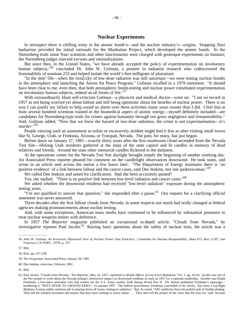#### **Nuclear Experiments**

In retrospect there is chilling irony in the atomic bomb's—and the nuclear industry's—origins. Stopping Nazi barbarism provided the initial rationale for the Manhattan Project, which developed the atomic bomb. At the Nuremberg trials some Nazi scientists and other functionaries were charged with grotesque experiments on humans; the Nuremberg judges rejected excuses and rationalizations.

But since then, in the United States, "we have already accepted the policy of experimentation on involuntary human subjects,"<sup>56</sup> concluded Dr. John W. Gofman, a pioneer in radiation research who codiscovered the fissionability of uranium 233 and helped isolate the world's first milligram of plutonium.

"In the mid-'50s—when the toxi[ci]ty of low-dose radiation was still uncertain—we were testing nuclear bombs in the atmosphere and launching the Atoms for Peace Program," Gofman recalled in a 1979 statement. "It should have been clear to me, even then, that both atmospheric bomb-testing and nuclear power constituted experimentation on involuntary human subjects, indeed on all forms of life."<sup>57</sup>

With extraordinarily blunt self-criticism Gofman—a physicist and medical doctor—went on: "I am on record in 1957 as *not* being worried yet about fallout and still being optimistic about the benefits of nuclear power. There is no way I can justify my failure to help sound an alarm over these activities many years sooner than I did. I feel that at least several hundred scientists trained in the biomedical aspect of atomic energy—myself definitely included—are candidates for Nuremberg-type trials for crimes against humanity through our gross negligence and irresponsibility." And, Gofman added, "Now that we *know* the hazard of low-dose radiation, the crime is not experimentation—it's *murder*."<sup>58</sup>

People viewing such an assessment as unfair or excessively strident might find it less so after visiting small towns like St. George, Utah, or Fredonia, Arizona, or Tonopah, Nevada. The pain, for many, has just begun.

Before dawn on January 27, 1981—exactly thirty years after the first mushroom cloud ascended from the Nevada Test Site—lifelong Utah residents gathered at the steps of the state capitol and lit candles in memory of dead relatives and friends. Around the state other memorial candles flickered in the darkness.

At the operations center for the Nevada Test Site daylight brought simply the beginning of another working day. An Associated Press reporter phoned for comment on the candlelight observances downwind. He took notes, and wrote in an article sent across the nation a few hours later: "The Department of Energy maintains there is 'no positive evidence' of a link between fallout and the cancer cases, said Dee Jenkins, test site spokeswoman."59

We called Dee Jenkins and asked for clarification. Had she been accurately quoted?

Yes, she replied. "There is no positive link between low-level radiation and cancer cases."<sup>60</sup>

We asked whether the downwind residents had received "low-level radiation" exposure during the atmospheric testing years.

"I'm not qualified to answer that question," she responded after a pause.<sup>61</sup> Our request for a clarifying official statement was never answered.

Three decades after the first fallout clouds from Nevada, in some respects not much had really changed at federal agencies making pronouncements about nuclear testing.

And, with some exceptions, American mass media have continued to be influenced by substantial pressures to treat nuclear weapons testers with deference.

In 1957 *The Reporter* magazine published an exceptional in-depth article, "Clouds from Nevada," by investigative reporter Paul Jacobs.<sup>62</sup> Raising basic questions about the safety of nuclear tests, the article was a

<sup>56.</sup> John W. Gofman, *An Irreverent, Illustrated View of Nuclear Power* (San Francisco: Committee for Nuclear Responsibility, Main P.O. Box 11207, San Francisco, CA 92401; 1979), p. 227.

<sup>57.</sup> Ibid.

<sup>58.</sup> Ibid., pp. 227-228.

<sup>59.</sup> *The Oregonian,* Associated Press, January 28, 1981.

<sup>60.</sup> Dee Jenkins, interview, February 1981.

<sup>61.</sup> Ibid.

<sup>62.</sup> Paul Jacobs, "Clouds from Nevada," *The Reporter,* May 16, 1957, reprinted in *Health Effects of Low-Level Radiation,* Vol. 1, pp. 45-64. Jacobs was one of the few people to write about the Nevada testing's destructive impact on downwind residents as early as 1957 for a national readership. Another was Ralph Friedman, a free-lance journalist who had written for the U.S. Army weekly *Yank* during World War II. *The Nation* published Friedman's reportage headlining it "NEXT DOOR TO GROUND ZERO"—in autumn 1957. The federal government, Friedman concluded in his article, "has done a top-flight Madison Avenue public-relations job in playing down all issues relating to radiation." But, he noted, "AEC publicists have the painful task of double-dealing. They tell the isolated stockmen and miners that they have nothing to worry about . . . They then tell the people of the cities that the tests are 'safe' because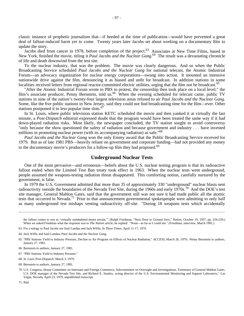classic instance of prophetic journalism that—if heeded at the time of publication—would have prevented a great deal of fallout-induced harm yet to come. Twenty years later Jacobs set about working on a documentary film to update the story.

Jacobs died from cancer in 1978, before completion of the project.<sup>63</sup> Associates at New Time Films, based in New York, finished the movie, titling it *Paul Jacobs and the Nuclear Gang*. <sup>64</sup> The result was a devastating chronicle of life and death downwind from the test site.

To the nuclear industry, that was the problem. The movie was clearly dangerous. And so when the Public Broadcasting Service scheduled *Paul Jacobs and the Nuclear Gang* for national telecast, the Atomic Industrial Forum—an advocacy organization for nuclear energy corporations—swung into action. It mounted an intensive nationwide drive against the film, denouncing it as biased and unfit for broadcast. In addition stations in some localities received letters from regional reactor-committed electric utilities, urging that the film not be broadcast.<sup>65</sup>

"After the Atomic Industrial Forum wrote to PBS to protest, the censorship then took place on a local level," the film's associate producer, Penny Bernstein, told us.<sup>66</sup> When the evening scheduled for telecast came, public TV stations in nine of the nation's twenty-four largest television areas refused to air *Paul Jacobs and the Nuclear Gang*. Some, like the five public stations in New Jersey, said they could not find broadcasting time for the film—ever. Other stations postponed it to less popular time slots.<sup>67</sup>

In St. Louis, where public television station KETC scheduled the movie and then yanked it at virtually the last minute, a *Post-Dispatch* editorial expressed doubt that the program would have been treated the same way if it had down-played radiation risks. Most likely, the newspaper concluded, the TV station sought to avoid controversy "only because the show questioned the safety of radiation and because government and industry . . . have invested millions in promoting nuclear power (with its accompanying radiation) as safe."<sup>68</sup>

*Paul Jacobs and the Nuclear Gang* won the only Emmy award that the Public Broadcasting Service received for 1979. But as of late 1981 PBS—heavily reliant on government and corporate funding—had not provided any money to the documentary movie's producers for a follow-up film they had proposed.<sup>69</sup>

#### **Underground Nuclear Tests**

One of the most pervasive—and erroneous—beliefs about the U.S. nuclear testing program is that its radioactive fallout ended when the Limited Test Ban treaty took effect in 1963. When the nuclear tests went underground, people assumed the weapons-testing radiation threat disappeared. This comforting notion, carefully nurtured by the government, is false.

In 1979 the U.S. Government admitted that more than 35 of approximately 330 "underground" nuclear blasts sent radioactivity outside the boundaries of the Nevada Test Site, during the 1960s and early 1970s.<sup>70</sup> And the DOE's test site manager, General Mahlon Gates, said that the government still was not sure it had made public all the atomic tests that occurred in Nevada.<sup>71</sup> Prior to that announcement governmental spokespeople were admitting to only half as many underground test mishaps venting radioactivity off-site. "During 18 weapons tests which accidentally

hhhhhhhhhhhhhhhhhhhhhhhhhhhhhhhhhhhhhhhhhhhhhhhhhhhhhhhhhhhhhhhhhhhhhhhhhhhhhhhhhhhhhhhhhhhhhhhhhhhhhhhhhhhhhhhhhhhhhhhhhhhhhhhhhh

the fallout comes to rest in 'virtually uninhabited desert terrain.'" (Ralph Friedman, "Next Door to Ground Zero," *Nation,* October 19, 1957, pp. 256-259.) When we asked Friedman what the response was to *The Nation* article, he replied: "None—as far as I could see." (Friedman, interview, March 1981.)

63. For a eulogy to Paul Jacobs see Saul Landau and Jack Willis, *In These Times,* April 11-17, 1979.

64. Jack Willis and Saul Landau, *Paul Jacobs and the Nuclear Gang*.

65. "PBS Stations Yield to Industry Pressure, Decline to Air Program on Effects of Nuclear Radiation," *ACCESS,* March 26, 1979; Penny Bernstein to authors, January 27, 1981.

67. "PBS Stations Yield to Industry Pressure."

69. Bernstein to authors, January 27, 1981.

71. Ibid.

<sup>66.</sup> Bernstein to authors, January 27, 1981.

<sup>68.</sup> *St. Louis Post-Dispatch,* March 3, 1979.

<sup>70.</sup> U.S. Congress, House Committee on Interstate and Foreign Commerce, Subcommittee on Oversight and Investigations, Testimony of General Mahlon Gates, U.S. DOE manager of the Nevada Test Site, and Richard E. Stanley, acting director of the U.S. Environmental Monitoring and Support Laboratory," Las Vegas, Nevada, April 23, 1979, unpublished transcript.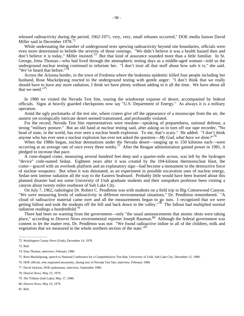released radioactivity during the period, 1962-1971, very, very, small releases occurred," DOE media liaison David Miller said in December 1978.<sup>72</sup>

While understating the number of underground tests spewing radioactivity beyond site boundaries, officials were even more determined to belittle the severity of those ventings. "We didn't believe it was a health hazard then and don't believe it is today," Miller insisted.<sup>73</sup> But that kind of assurance sounded more than a little familiar. In St. George, Irma Thomas—who had lived through the atmospheric testing days as a middle-aged woman—told us the underground nuclear testing continued to infuriate her. "I don't trust all that stuff about how safe it is," she said. "We've heard that before."<sup>74</sup>

Across the Arizona border, in the town of Fredonia where the leukemia epidemic killed four people including her husband, Rose Mackelprang reacted to the underground testing with gentle anger: "I don't think that we really should have to have any more radiation, I think we have plenty without adding to it all the time. We have about all that we need."<sup>75</sup>

In 1980 we visited the Nevada Test Site, touring the windswept expanse of desert, accompanied by federal officials. Signs at heavily guarded checkpoints now say "U.S. Department of Energy." As always it is a military operation.

Amid the ugly pockmarks of the test site, where craters give off the appearance of a moonscape from the air, the austere yet ecologically intricate desert seemed transmuted, and profoundly violated.

For the record, Nevada Test Site representatives were resolute—speaking of preparedness, national defense, a strong "military posture." But an old hand at nuclear testing said, after asking us to turn off our tape recorder, "No head of state, in the world, has ever seen a nuclear bomb explosion. To me, that's scary." He added: "I don't think anyone who has ever seen a nuclear explosion has ever not asked the question—*My God, what have we done?*"<sup>76</sup>

When the 1980s began, nuclear detonations under the Nevada desert—ranging up to 150 kilotons each—were occurring at an average rate of once every three weeks.<sup>77</sup> After the Reagan administration gained power in 1981, it pledged to increase that pace.

A cone-shaped crater, measuring several hundred feet deep and a quarter-mile across, was left by the hydrogen "device" code-named Sedan. Eighteen years after it was created by the 104-kiloton thermonuclear blast, the crater—graced with an overlook platform and an explanatory sign—had become a monument to the destructive force of nuclear weaponry. But when it was detonated, as an experiment in possible excavation uses of nuclear energy, Sedan sent intense radiation all the way to the Eastern Seaboard. Probably little would have been learned about this planned disaster had not some University of Utah graduate students and their outspoken professor been visiting a canyon about twenty miles southeast of Salt Lake City.

On July 7, 1962, radiologist Dr. Robert C. Pendleton was with students on a field trip in Big Cottonwood Canyon. "We were measuring levels of radioactivity in different environmental situations," Dr. Pendleton remembered. "A cloud of radioactive material came over and all the measurements began to go nuts. I recognized that we were getting fallout and took the students off the hill and back down in the valley."<sup>78</sup> The fallout had multiplied normal radiation readings a hundredfold.<sup>79</sup>

There had been no warning from the government—only "the usual announcements that atomic shots were taking place," according to *Deseret News* environmental reporter Joseph Bauman.<sup>80</sup> Although the federal government was content to let the matter rest, Dr. Pendleton was not: "We found radioactive iodine in all of the children, milk and vegetation that we measured in the whole northern section of the state."<sup>81</sup>

<sup>72.</sup> *Washington County News* (Utah), December 14, 1978.

<sup>73.</sup> Ibid.

<sup>74.</sup> Irma Thomas, interview, February 1980.

<sup>75.</sup> Rose Mackelprang, speech to National Conference for a Comprehensive Test Ban, University of Utah, Salt Lake City, December 12, 1980.

<sup>76.</sup> DOE official, who requested anonymity, during tour of Nevada Test Site, interview, February 1980.

<sup>77.</sup> David Jackson, DOE spokesman, interview, September 1980.

<sup>78.</sup> *Deseret News,* May 23, 1979.

<sup>79.</sup> *The Tribune* (Salt Lake), May 17, 1980.

<sup>80.</sup> *Deseret News,* May 23, 1979.

<sup>81.</sup> Ibid.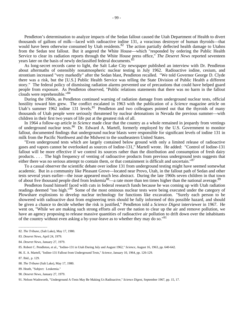Pendleton's determination to analyze impacts of the Sedan fallout caused the Utah Department of Health to divert thousands of gallons of milk—laced with radioactive iodine 131, a voracious destroyer of human thyroids—that would have been otherwise consumed by Utah residents.<sup>82</sup> The action partially deflected health damage to Utahns from the Sedan test fallout. But it angered the White House—which "responded by ordering the Public Health Service to clear its radiation reports through the White House press office," *The Deseret News* reported seventeen years later on the basis of newly declassified federal documents.<sup>83</sup>

As long-secret records came to light, the Salt Lake City newspaper published an interview with Dr. Pendleton about aftermaths of ostensibly nonatmospheric nuclear testing in July 1962. Radioactive iodine, cesium, and strontium increased "very markedly" after the Sedan blast, Pendleton recalled. "We told Governor George D. Clyde there was a risk, but the [U.S.] Public Health Service was telling the State Division of Public Health a different story." The federal policy of dismissing radiation alarms prevented use of precautions that could have helped guard people from exposure. As Pendleton observed, "Public relations statements that there was no harm in the fallout clouds were reprehensible."84

During the 1960s, as Pendleton continued warning of radiation damage from underground nuclear tests, official hostility toward him grew. The conflict escalated in 1963 with the publication of a *Science* magazine article on Utah's summer 1962 iodine 131 levels.<sup>85</sup> Pendleton and two colleagues pointed out that the thyroids of many thousands of Utah people were seriously threatened by nuclear detonations in Nevada the previous summer—with children in their first two years of life put at the greatest risk of all.

In 1964 a follow-up article in *Science* made clear that the country as a whole remained in jeopardy from ventings of underground nuclear tests.<sup>86</sup> Dr. Edward A. Martell, formerly employed by the U.S. Government to monitor fallout, documented findings that underground nuclear blasts were responsible for significant levels of iodine 131 in milk from the Pacific Northwest and the Midwest to the southeastern United States.

"Even underground tests which are largely contained below ground with only a limited release of radioactive gases and vapors cannot be overlooked as sources of Iodine-131," Martell wrote. He added: "Control of Iodine-131 fallout will be more effective if we control its sources rather than the distribution and consumption of fresh dairy products. . . . The high frequency of venting of radioactive products from previous underground tests suggests that either there was no serious attempt to contain them, or that containment is difficult and uncertain."<sup>87</sup>

To a casual observer the scientific debate over iodine 131 from underground testing might have seemed somewhat academic. But in a community like Pleasant Grove—located near Provo, Utah, in the fallout path of Sedan and other tests several years earlier—the issue appeared much less abstract. During the late 1960s seven children in that town of about five thousand people died from leukemia<sup>88</sup>—a rate more than ten times higher than the national average.<sup>89</sup>

Pendleton found himself faced with cuts in federal research funds because he was coming up with Utah radiation readings deemed "too high."<sup>90</sup> Some of the most ominous nuclear tests were being executed under the category of Plowshare explosions to develop nuclear technology for functions like excavation. "Surely each person to be showered with radioactive dust from engineering tests should be fully informed of this possible hazard, and should be given a chance to decide whether the risk is justified," Pendleton told a *Science Digest* interviewer in 1967. He went on, "While we are making such strong efforts all over the nation to clear up the air and remove pollution, we have an agency proposing to release massive quantities of radioactive air pollution to drift down over the inhabitants of the country without even asking a by-your-leave as to whether they may do so."<sup>91</sup>

<sup>82.</sup> *The Tribune,* (Salt Lake), May 17, 1980.

<sup>83.</sup> *Deseret News,* April 24, 1979.

<sup>84.</sup> *Deseret News,* January 27, 1979.

<sup>85.</sup> Robert C. Pendleton, et al., "Iodine-131 in Utah During July and August 1962," *Science,* August 16, 1963, pp. 640-642.

<sup>86.</sup> E. A. Martell, "Iodine-131 Fallout from Underground Tests," *Science,* January 10, 1964, pp. 126-129.

<sup>87.</sup> Ibid., p. 129.

<sup>88.</sup> *The Tribune* (Salt Lake), May 17, 1980.

<sup>89.</sup> Heath, "Subject: Leukemia."

<sup>90.</sup> *Deseret News,* January 27, 1979.

<sup>91.</sup> Nelson Wadsworth, "Underground A-Tests May Be Making Us Radioactive," *Science Digest,* September 1967, pp. 15, 17.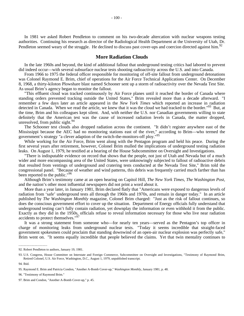In 1981 we asked Robert Pendleton to comment on his two-decade altercation with nuclear weapons testing authorities. Continuing his research as director of the Radiological Health Department at the University of Utah, Dr. Pendleton seemed weary of the struggle. He declined to discuss past cover-ups and coercion directed against him.<sup>92</sup>

#### **More Radiation Clouds**

In the late 1960s and beyond, the kind of additional fallout that underground testing critics had labored to prevent did indeed occur—with several subsurface nuclear tests shooting radioactivity across the U.S. and into Canada.

From 1966 to 1975 the federal officer responsible for monitoring of off-site fallout from underground detonations was Colonel Raymond E. Brim, chief of operations for the Air Force Technical Applications Center. On December 8, 1968, a thirty-kiloton Plowshare blast named Schooner sent up a storm of radioactivity over the Nevada Test Site. As usual Brim's agency began to monitor the fallout.

"This effluent cloud was tracked continuously by Air Force planes until it reached the border of Canada where standing orders prevented tracking outside the United States," Brim revealed more than a decade afterward. "I remember a few days later an article appeared in the *New York Times* which reported an increase in radiation detected in Canada. When we read the article, we knew that it was the cloud we had tracked to the border."<sup>93</sup> But, at the time, Brim and his colleagues kept silent. And, with neither the U.S. nor Canadian governments willing to state definitely that the American test was the cause of increased radiation levels in Canada, the matter dropped, unresolved, from public sight.  $94$ 

The Schooner test clouds also dropped radiation across the continent. "It didn't register anywhere east of the Mississippi because the AEC had no monitoring stations east of the river," according to Brim—who termed the government's strategy "a clever adaption of the switch-the-monitors-off ploy."<sup>95</sup>

While working for the Air Force, Brim went along with the Pentagon program and held his peace. During the first several years after retirement, however, Colonel Brim mulled the implications of underground testing radiation leaks. On August 1, 1979, he testified at a hearing of the House Subcommittee on Oversight and Investigations.

"There is indisputable evidence on record that shows that the people, not just of Utah and Nevada but of a much wider and more encompassing area of the United States, were unknowingly subjected to fallout of radioactive debris that resulted from ventings of underground and cratering tests conducted at the Nevada Test Site," Brim told the congressional panel. "Because of weather and wind patterns, this debris was frequently carried much farther than has been reported to the public."<sup>96</sup>

Although Brim's testimony came at an open hearing on Capitol Hill, *The New York Times, The Washington Post,* and the nation's other most influential newspapers did not print a word about it.

More than a year later, in January 1981, Brim declared flatly that "Americans were exposed to dangerous levels of radiation from 'safe' underground tests all through the 1960s and 1970s, and remain in danger today." In an article published by *The Washington Monthly* magazine, Colonel Brim charged: "Just as the risk of fallout continues, so does the conscious government effort to cover up the situation. Department of Energy officials fully understand that underground testing can't fully contain radiation, yet downplay the information or even withhold it from the public. Exactly as they did in the 1950s, officials refuse to reveal information necessary for those who live near radiation accidents to protect themselves."<sup>97</sup>

It was a strong statement from someone who—for nearly ten years—served as the Pentagon's top officer in charge of monitoring leaks from underground nuclear tests. "Today it seems incredible that straight-faced government spokesmen could proclaim that standing downwind of an open-air nuclear explosion was perfectly safe," Brim went on. "It seems equally incredible that people believed the claims. Yet that twin mentality continues to

<sup>92.</sup> Robert Pendleton to authors, January 19, 1981.

<sup>93.</sup> U.S. Congress, House Committee on Interstate and Foreign Commerce, Subcommittee on Oversight and Investigations, "Testimony of Raymond Brim, Retired Colonel, U.S. Air Force, Washington, D.C., August 1, 1979, unpublished transcript.

<sup>94.</sup> Ibid.

<sup>95.</sup> Raymond E. Brim and Patricia Condon, "Another A-Bomb Cover-up," *Washington Monthly,* January 1981, p. 48.

<sup>96. &</sup>quot;Testimony of Raymond Brim."

<sup>97.</sup> Brim and Condon, "Another A-Bomb Cover-up," p. 45.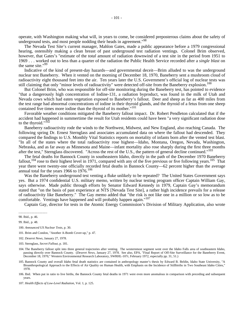operate, with Washington making what will, in years to come, be considered preposterous claims about the safety of underground tests, and most people nodding their heads in agreement."<sup>98</sup>

The Nevada Test Site's current manager, Mahlon Gates, made a public appearance before a 1979 congressional hearing, ostensibly making a clean breast of past underground test radiation ventings. Colonel Brim observed, however, that Gates's "estimate of the *total* amount of radiation downwind of a test site in the period from 1951 to 1969 . . . worked out to less than a quarter of the radiation the Public Health Service recorded after a *single blast* on the same site."<sup>99</sup>

Indicative of the kind of present-day hazards—and governmental deceit—Brim alluded to was the underground nuclear test Baneberry. When it vented on the morning of December 18, 1970, Baneberry sent a mushroom cloud of radioactivity eight thousand feet into the air. Ten years later the U.S. Government's official log of nuclear tests was still claiming that only "minor levels of radioactivity" were detected off-site from the Baneberry explosion.<sup>100</sup>

But Colonel Brim, who was responsible for off-site monitoring during the Baneberry test, has pointed to evidence "that a dangerously high concentration of Iodine-131, a radiation byproduct, was found in the milk of Utah and Nevada cows which had eaten vegetation exposed to Baneberry's fallout. Deer and sheep as far as 400 miles from the test range had abnormal concentrations of iodine in their thyroid glands, and the thyroid of a fetus from one sheep contained five times more iodine than the thyroid of its mother."<sup>101</sup>

Favorable weather conditions mitigated the Baneberry fallout impact. Dr. Robert Pendleton calculated that if the accident had happened in summertime the result for Utah residents could have been "a very significant radiation dose to the thyroid." $102$ 

Baneberry radioactivity rode the winds to the Northwest, Midwest, and New England, also reaching Canada. The following spring Dr. Ernest Sternglass and associates accumulated data on where the fallout had descended. They compared the findings to U.S. Monthly Vital Statistics reports on mortality of infants born after the vented test blast. "In all of the states where the total radioactivity rose highest—Idaho, Montana, Oregon, Nevada, Washington, Nebraska, and as far away as Minnesota and Maine—infant mortality also rose sharply during the first three months after the test," Sternglass discovered. "Across the rest of the U.S., the pattern of general decline continued."<sup>103</sup>

The fetal deaths for Bannock County in southeastern Idaho, directly in the path of the December 1970 Baneberry fallout,  $104$  rose to their highest level in 1971, compared with any of the five previous or five following years.<sup>105</sup> That year there were twenty-one officially recorded fetal deaths in Bannock County—62 percent higher than the average annual total for the years 1966 to  $1976$ .<sup>106</sup>

Was the Baneberry underground test venting a fluke unlikely to be repeated? The United States Government says yes. But a 1974 confidential U.S. military memo, written by nuclear testing program officer Captain William Gay, says otherwise. Made public through efforts by Senator Edward Kennedy in 1979, Captain Gay's memorandum stated that "on the basis of past experience at NTS [Nevada Test Site], a rather high incidence prevails for a release of radioactivity like Baneberry." The Gay memo added that "the risk is not like one in a million or so low as to be comfortable. Ventings have happened and will probably happen again."<sup>107</sup>

Captain Gay, director for tests in the Atomic Energy Commission's Division of Military Application, also wrote

- 100. *Announced US Nuclear Tests,* p. 30.
- 101. Brim and Condon, "Another A-Bomb Cover-up," p. 47.

<sup>98.</sup> Ibid., p. 46.

<sup>99.</sup> Ibid., p. 48.

<sup>102.</sup> *Deseret News,* January 27, 1978.

<sup>103.</sup> Sternglass, *Secret Fallout,* p. 181.

<sup>104.</sup> The Baneberry fallout split into three general trajectories after venting. The westernmost segment went over the Idaho Falls area of southeastern Idaho, passing directly over Bannock County. (*Deseret News,* January 27, 1978. See also, EPA, "Final Report of Off-Site Surveillance for the Baneberry Event, December 18, 1970," Western Environmental Research Laboratory, SWRHL-107r, February 1972, especially pp. 31, 51.)

<sup>105.</sup> Bannock County and overall Idaho fetal death statistics are contained in anthropology master's thesis by Edward B. Beldin, Idaho State University, "A Bioanthropological Approach to the Effects of Air Quality on Human Health, with Emphasis on the Incidence of Stillbirths in Two Southeast Idaho Cities," 1978.

<sup>106.</sup> Ibid. When put in ratio to live births, the Bannock County fetal deaths in 1971 were even more anomalous in comparison with preceding and subsequent years.

<sup>107.</sup> *Health Effects of Low-Level Radiation,* Vol. 1, p. 125.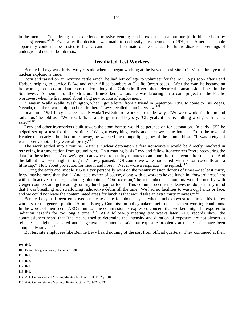in the memo: "Considering past experience, massive venting can be expected in about one [ratio blanked out by censors] events."<sup>108</sup> Even after the decision was made to declassify the document in 1979, the American people apparently could not be trusted to hear a candid official estimate of the chances for future disastrous ventings of underground nuclear bomb tests.

#### **Irradiated Test Workers**

Bennie F. Levy was thirty-two years old when he began working at the Nevada Test Site in 1951, the first year of nuclear explosions there.

Born and raised on an Arizona cattle ranch, he had left college to volunteer for the Air Corps soon after Pearl Harbor, helping to service B-24s and other Allied bombers at Pacific Ocean bases. After the war, he became an ironworker, on jobs at dam construction along the Colorado River, then electrical transmission lines in the Southwest. A member of the Structural Ironworkers Union, he was laboring on a dam project in the Pacific Northwest when he first heard about a big new source of employment.

"I was in Walla Walla, Washington, when I got a letter from a friend in September 1950 to come to Las Vegas, Nevada, that there was a big job breakin' here," Levy recalled in an interview.<sup>109</sup>

In autumn 1951 Levy's career as a Nevada Test Site ironworker got under way. "We were workin' a lot around radiation," he told us. "We asked, 'Is it safe to go in?' They say, 'Oh, yeah, it's safe, nothing wrong with it, it's safe $\cdot$ "<sup>110</sup>

Levy and other ironworkers built towers the atom bombs would be perched on for detonation. In early 1952 he helped set up a test for the first time. "We got everything ready and then we came home." From the town of Henderson, nearly a hundred miles away, he watched the orange light glow of the atomic blast. "It was pretty. It was a pretty shot. They were all pretty."<sup>111</sup>

The work settled into a routine. After a nuclear detonation a few ironworkers would be directly involved in retrieving instrumentation from ground zero. On a rotating basis Levy and fellow ironworkers "were recovering the data for the scientists. And we'd go in anywhere from thirty minutes to an hour after the event, after the shot. And the fallout—we went right through it." Levy paused. "Of course we were 'rad-safed' with cotton coveralls and a little cap." How about protection for mouth and nose? "Never wore a respirator," he replied.<sup>112</sup>

During the early and middle 1950s Levy personally went on the reentry mission dozens of times—"at least thirty, forty, maybe more than that." And, as a matter of course, along with coworkers he ate lunch in "forward areas" hot with radioactive particles, including plutonium. "On occasion," he remembered, "monitors would come by with Geiger counters and get readings on my lunch pail or tools. This common occurrence leaves no doubt in my mind that I was breathing and swallowing radioactive debris all the time. We had no facilities to wash our hands or face, and we could not leave the contaminated areas for lunch as that would take an extra thirty minutes."<sup>113</sup>

Bennie Levy had been employed at the test site for about a year when—unbeknownst to him or his fellow workers, or the general public—Atomic Energy Commission policymakers met to discuss their working conditions. In the words of then-secret AEC minutes, "the commissioners expressed concern that workers might be exposed to radiation hazards for too long a time."<sup>114</sup> At a follow-up meeting two weeks later, AEC records show, the commissioners heard that "the means used to determine the intensity and duration of exposure are not always as reliable as might be desired and in general it cannot be said that exposure problems at the test site have been completely solved."<sup>115</sup>

But test site employees like Bennie Levy heard nothing of the sort from official quarters. They continued at their

hhhhhhhhhhhhhhhhhh

113. Ibid.

<sup>108.</sup> Ibid.

<sup>109.</sup> Bennie Levy, interview, December 1980.

<sup>110.</sup> Ibid.

<sup>111.</sup> Ibid.

<sup>112.</sup> Ibid.

<sup>114.</sup> AEC Commissioners Meeting Minutes, September 23, 1952, p. 504.

<sup>115.</sup> AEC Commissioners Meeting Minutes, October 7, 1952, p. 536.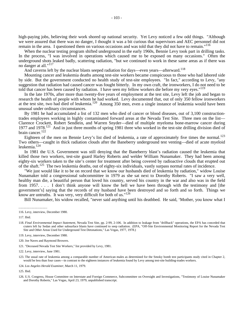high-paying jobs, believing their work shored up national security. Yet Levy noticed a few odd things. "Although we were assured that there was no danger, I thought it was a bit curious that supervisors and AEC personnel did not remain in the area. I questioned them on various occasions and was told that they did not have to remain."<sup>116</sup>

When the nuclear testing program shifted underground in the early 1960s, Bennie Levy took part in drilling tasks. In the process, "I was involved in operations which caused me to be exposed on many occasions." Often the underground shots leaked badly, scattering radiation, "but we continued to work in these same areas as if there was no danger at all."<sup>117</sup>

And caverns left by the nuclear blasts seeped radiation for days—even years—afterward.<sup>118</sup>

Mounting cancer and leukemia deaths among test-site workers became conspicuous to those who had labored side by side. But the government conducted no health study of test-site employees. "In fact," according to Levy, "any suggestion that radiation had caused cancer was fought bitterly. In my own craft, the ironworkers, I do not need to be told that cancer has been caused by radiation. I have seen my fellow workers die before my very eyes."<sup>119</sup>

In the late 1970s, after more than twenty-five years of employment at the test site, Levy left the job and began to research the health of people with whom he had worked. Levy documented that, out of only 350 fellow ironworkers at the test site, two had died of leukemia.<sup>120</sup> Among 350 men, even a single instance of leukemia would have been unusual under ordinary circumstances.

By 1981 he had accumulated a list of 132 men who died of cancer or blood diseases, out of 3,100 constructiontrades employees working in highly contaminated forward areas at the Nevada Test Site. Three men on the list— Clarence Crockett, Robert Sendlein, and Warren Snyder—died of multiple myeloma bone-marrow cancer during 1977 and 1978.<sup>121</sup> And in just three months of spring 1981 three who worked in the test-site drilling division died of brain cancer.<sup>122</sup>

Eighteen of the men on Bennie Levy's list died of leukemia, a rate of approximately five times the normal.<sup>123</sup> Two others—caught in thick radiation clouds after the Baneberry underground test venting—died of acute myeloid leukemia.<sup>124</sup>

In 1981 the U.S. Government was still denying that the Baneberry blast's radiation caused the leukemia that killed those two workers, test-site guard Harley Roberts and welder William Nunamaker. They had been among eighty-six workers taken to the site's center for treatment after being covered by radioactive clouds that erupted out of the shaft.<sup>125</sup> The two leukemia deaths, out of eighty-six individuals, vastly surpass normal rates of incidence.

"We just would like it to be on record that we know our husbands died of leukemia by radiation," widow Louise Nunamaker told a congressional subcommittee in 1979 as she sat next to Dorothy Roberts. "I saw a very well, healthy man die, a beautiful person that loved his country, served his country in the war and also was in the field from 1957.... I don't think anyone will know the hell we have been through with the testimony and [the government's] saying that the records of my husband have been destroyed and so forth and so forth. Things we know are untruths. It was very, very difficult for both of us."<sup>126</sup>

Bill Nunamaker, his widow recalled, "never said anything until his deathbed. He said, 'Mother, you know what I

hh<del>ahaa ka badaa ka badaa ka badaa ka badaa ka badaa ka badaa ka badaa ka badaa ka badaa ka badaa ka badaa ka bada</del>

124. *Los Angeles Herald Examiner,* March 11, 1979.

125. Ibid.

126. U.S. Congress, House Committee on Interstate and Foreign Commerce, Subcommittee on Oversight and Investigations, "Testimony of Louise Nunamaker and Dorothy Roberts," Las Vegas, April 23, 1979, unpublished transcript.

<sup>116.</sup> Levy, interview, December 1980.

<sup>117.</sup> Ibid.

<sup>118.</sup> *Final Environmental Impact Statement,* Nevada Test Site, pp. 2-99, 2-106. In addition to leakage from "drillback" operations, the EPA has conceded that craters left by Sedan and other subsurface blasts have continued to seep radiation. (EPA, "Off-Site Environmental Monitoring Report for the Nevada Test Site and Other Areas Used for Underground Test Detonations," Las Vegas, 1977, 1978.)

<sup>119.</sup> Levy, interview, December 1980.

<sup>120.</sup> Joe Naves and Raymond Browers.

<sup>121. &</sup>quot;Deceased Nevada Test Site Workers," list provided by Levy, 1981.

<sup>122.</sup> Levy, interview, June 1981.

<sup>123.</sup> The usual rate of leukemia among a comparable number of American males as determined for the Smoky bomb test participants study cited in Chapter 2, would be less than four cases—in contrast to the eighteen instances of leukemia found by Levy among test-site building-trades workers.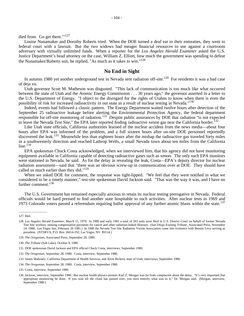died from. Go get them.'"<sup>127</sup>

Louise Nunamaker and Dorothy Roberts tried. When the DOE turned a deaf ear to their entreaties, they went to federal court with a lawsuit. But the two widows had meager financial resources to use against a courtroom adversary with virtually unlimited funds. When a reporter for the *Los Angeles Herald Examiner* asked the U.S. Justice Department's head attorney on the case, William Z. Elliott, how much the government was spending to defeat the Nunamaker/Roberts suit, he replied, "As much as it takes to win."<sup>128</sup>

#### **No End in Sight**

In autumn 1980 yet another underground test in Nevada sent radiation off-site.<sup>129</sup> For residents it was a bad case of deja vu.

Utah governor Scott M. Matheson was disgusted. "This lack of communication is too much like what occurred between the state of Utah and the Atomic Energy Commission . . . 30 years ago," the governor asserted in a letter to the U.S. Department of Energy. "I object to the disregard for the rights of Utahns to know when there is even the possibility of risk for increased radioactivity in our state as a result of nuclear testing in Nevada."<sup>130</sup>

Indeed, events had followed a classic pattern. The Energy Department waited twelve hours after detection of the September 25 radioactive leakage before alerting the Environmental Protection Agency, the federal department responsible for off-site monitoring of radiation.<sup>131</sup> Despite public assurances by DOE that radiation "is not expected to leave the Nevada Test Site," the EPA later reported finding radioactive xenon gas near the California border.<sup>132</sup>

Like Utah state officials, California authorities learned of the nuclear accident from the news media—about four hours after EPA was informed of the problem, and a full sixteen hours after on-site DOE personnel reportedly discovered the leak.<sup>133</sup> Meanwhile less than eighteen hours after the mishap the radioactive gas traveled forty miles in a southwesterly direction and reached Lathrop Wells, a small Nevada town about ten miles from the California  $\text{line}$ . 134

EPA spokesman Chuck Costa acknowledged, when we interviewed him, that his agency did not have monitoring equipment available in California capable of detecting radioactive gases such as xenon. The only such EPA monitors were stationed in Nevada, he said. As for the delay in revealing the leak, Costa—EPA's deputy director for nuclear radiation assessment—said that "there was an obvious screw-up in communication over at DOE. They should have called us much earlier than they did." $135$ 

When we asked DOE for comment, the response was tight-lipped. "We feel that they were notified in what we considered to be a timely manner," test-site spokesman David Jackson said. "That was the way it was, and I have no further comment.<sup>136</sup>

The U.S. Government has remained especially anxious to retain its nuclear testing prerogative in Nevada. Federal officials would be hard pressed to find another state hospitable to such activities. After nuclear tests in 1969 and 1973 Colorado voters passed a referendum requiring ballot approval of any further atomic blasts within the state.<sup>137</sup>

hhhhhhhhhhhhhhhhhh

134. *The Oregonian,* September 28, 1980; Costa, interview, September 1980.

<sup>127.</sup> Ibid.

<sup>128.</sup> *Los Angeles Herald Examiner,* March 11, 1979. In 1980 and early 1981 a total of 263 suits were filed in U.S. District Court on behalf of former Nevada Test Site workers, seeking compensation payments for cancer and other radiation-linked illnesses. (*San Diego Evening Tribune,* Associated Press, November 14, 1980; *Las Vegas Sun,* February 26 1981.) In 1980 the Nevada Test Site Radiation Victim Association came into existence with Bennie Levy serving as president. (NTSRVA, P.O. Box 18414-192, Las Vegas, NV 89114.)

<sup>129.</sup> *The Oregonian,* Associated Press, September 28, 1980.

<sup>130.</sup> *The Tribune* (Salt Lake), October 9, 1980.

<sup>131.</sup> DOE spokesman David Jackson and EPA official Chuck Costa, interviews, September 1980.

<sup>132.</sup> *The Oregonian,* September 28, 1980; Costa, interview, September 1980.

<sup>133.</sup> James Mahoney, California Department of Health Services, and Alvin Rickers, state of Utah, interviews, September 1980.

<sup>135.</sup> Costa, interview, September 1980.

<sup>136.</sup> Jackson, interview, September 1980. But nuclear health physics pioneer Karl Z. Morgan was far from complacent about the delay. "It's very important that appropriate monitoring be done. If you wait till the cloud has passed over, you miss entirely what was in it," Dr. Morgan said. (Morgan, interview, September 1980.)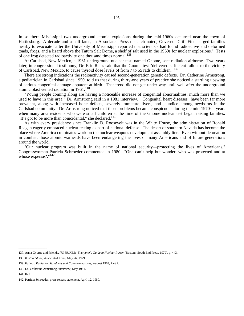In southern Mississippi two underground atomic explosions during the mid-1960s occurred near the town of Hattiesburg. A decade and a half later, an Associated Press dispatch noted, Governor Cliff Finch urged families nearby to evacuate "after the University of Mississippi reported that scientists had found radioactive and deformed toads, frogs, and a lizard above the Tatum Salt Dome, a shelf of salt used in the 1960s for nuclear explosions." Tests of one frog detected radioactivity one thousand times normal.<sup>138</sup>

At Carlsbad, New Mexico, a 1961 underground nuclear test, named Gnome, sent radiation airborne. Two years later, in congressional testimony, Dr. Eric Reiss said that the Gnome test "delivered sufficient fallout to the vicinity of Carlsbad, New Mexico, to cause thyroid dose levels of from 7 to 55 rads to children."<sup>139</sup>

There are strong indications the radioactivity caused second-generation genetic defects. Dr. Catherine Armstrong, a pediatrician in Carlsbad since 1950, told us that during thirty-one years of practice she noticed a startling upswing of serious congenital damage apparent at birth. That trend did not get under way until well after the underground atomic blast vented radiation in 1961.<sup>140</sup>

"Young people coming along are having a noticeable increase of congenital abnormalities, much more than we used to have in this area," Dr. Armstrong said in a 1981 interview. "Congenital heart diseases" have been far more prevalent, along with increased bone defects, severely immature livers, and jaundice among newborns in the Carlsbad community. Dr. Armstrong noticed that those problems became conspicuous during the mid-1970s—years when many area residents who were small children at the time of the Gnome nuclear test began raising families. "It's got to be more than coincidental," she declared.<sup>141</sup>

As with every presidency since Franklin D. Roosevelt was in the White House, the administration of Ronald Reagan eagerly embraced nuclear testing as part of national defense. The desert of southern Nevada has become the place where America culminates work on the nuclear weapons development assembly line. Even without detonation in combat, those atomic warheads have been endangering the lives of many Americans and of future generations around the world.

"Our nuclear program was built in the name of national security—protecting the lives of Americans," Congresswoman Patricia Schroeder commented in 1980. "One can't help but wonder, who was protected and at whose expense?."142

<sup>137.</sup> Anna Gyorgy and Friends, *NO NUKES: Everyone's Guide to Nuclear Power* (Boston: South End Press, 1979), p. 443.

<sup>138.</sup> *Boston Globe,* Associated Press, May 26, 1979.

<sup>139.</sup> *Fallout, Radiation Standards and Countermeasures,* August 1963, Part 2.

<sup>140.</sup> Dr. Catherine Armstrong, interview, May 1981.

<sup>141.</sup> Ibid.

<sup>142.</sup> Patricia Schroeder, press release statement, April 12, 1980.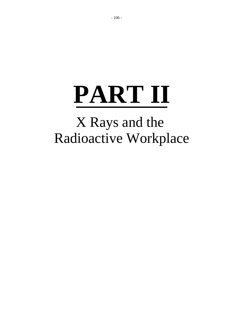# PART II

## X Rays and the Radioactive Workplace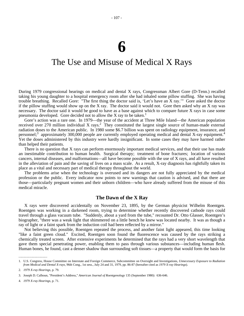## **6**

## The Use and Misuse of Medical X Rays

During 1979 congressional hearings on medical and dental X rays, Congressman Albert Gore (D-Tenn.) recalled taking his young daughter to a hospital emergency room after she had inhaled some pillow stuffing. She was having trouble breathing. Recalled Gore: "The first thing the doctor said is, 'Let's have an X ray.'" Gore asked the doctor if the pillow stuffing would show up on the X ray. The doctor said it would not. Gore then asked why an X ray was necessary. The doctor said it would be good to have as a base against which to compare future X rays in case some pneumonia developed. Gore decided not to allow the  $X$  ray to be taken.<sup>1</sup>

Gore's action was a rare one. In 1979—the year of the accident at Three Mile Island—the American population received over 270 million individual X rays.<sup>2</sup> They constituted the largest single source of human-made external radiation doses to the American public. In 1980 some \$6.7 billion was spent on radiology equipment, insurance, and personnel;<sup>3</sup> approximately 300,000 people are currently employed operating medical and dental X-ray equipment.<sup>4</sup> Yet the doses administered by this industry were hardly insignificant. In some cases they may have harmed rather than helped their patients.

There is no question that X rays can perform enormously important medical services, and that their use has made an inestimable contribution to human health. Surgical therapy; treatment of bone fractures; location of various cancers, internal diseases, and malformations—all have become possible with the use of X rays, and all have resulted in the alleviation of pain and the saving of lives on a mass scale. As a result, X-ray diagnosis has rightfully taken its place as a vital and necessary part of medical therapy throughout the world.

The problems arise when the technology is overused and its dangers are not fully appreciated by the medical profession or the public. Every indicator now points to new warnings that caution is advised, and that there are those—particularly pregnant women and their unborn children—who have already suffered from the misuse of this medical miracle.

#### **The Dawn of the X Ray**

X rays were discovered accidentally on November 23, 1895, by the German physicist Wilhelm Roentgen. Roentgen was working in a darkened room, trying to determine whether recently discovered cathode rays could travel through a glass vacuum tube. "Suddenly, about a yard from the tube," recounted Dr. Otto Glasser, Roentgen's biographer, "there was a weak light that shimmered on a little bench he knew was located nearby. It was as though a ray of light or a faint spark from the induction coil had been reflected by a mirror."

Not believing this possible, Roentgen repeated the process, and another faint light appeared, this time looking "like a faint green cloud." Excited, Roentgen soon found the fluorescence was caused by the rays striking a chemically treated screen. After extensive experiments he determined that the rays had a very short wavelength that gave them special penetrating power, enabling them to pass through various substances—including human flesh. Human bones, he found, cast a denser shadow than surrounding soft tissues—a property that would form the basis for

<sup>1.</sup> U.S. Congress, House Committee on Interstate and Foreign Commerce, Subcommittee on Oversight and Investigations, *Unnecessary Exposure to Radiation from Medical and Dental X-rays,* 96th Cong., 1st sess., July 24 and 31, 1979, pp. 86-87 (hereafter cited as *1979 X-ray Hearings*).

<sup>2.</sup> *1979 X-ray Hearings,* p. 79.

<sup>3.</sup> Joseph D. Calhoun, "President's Address," *American Journal of Roentgenology* 135 (September 1980): 636-646.

<sup>4.</sup> *1979 X-ray Hearings,* p. 71.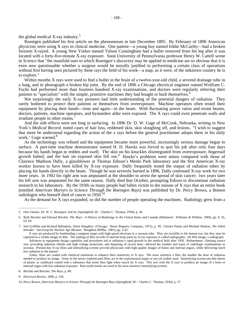the global medical X-ray industry. $5$ 

Roentgen published his first article on the phenomenon in late December 1895. By February of 1896 American physicists were using X rays in clinical medicine. One patient—a young boy named Eddie McCarthy—had a broken forearm X-rayed. A young New Yorker named Tolson Cunningham had a bullet removed from his leg after it was located with a forty-five-minute X-ray exposure. Soon University of Pennsylvania professor Henry W. Cattell wrote in *Science* that "the manifold uses to which Roentgen's discovery may be applied in medicine are so obvious that it is even now questionable whether a surgeon would be morally justified in performing a certain class of operations without first having seen pictured by these rays the field of his work—a map, as it were, of the unknown country he is to explore."

Within months X rays were used to find a bullet in the brain of a twelve-year-old child, a severed drainage tube in a lung, and to photograph a broken hip joint. By the end of 1896 a Chicago electrical engineer named Wolfram C. Fuchs had performed more than fourteen hundred X-ray examinations, and doctors were regularly referring their patients to "specialists" with the simple, primitive machines they had bought or built themselves.<sup>6</sup>

Not surprisingly the early X-ray pioneers had little understanding of the potential dangers of radiation. They rarely bothered to protect their patients or themselves from overexposure. Machine operators often tested their equipment by placing their hands—time and again—in the beam. With fluctuating power ratios and errant beams, doctors, patients, machine operators, and bystanders alike were exposed. The X rays could even penetrate walls and irradiate people in other rooms.<sup>7</sup>

And the side effects were not long in surfacing. In 1896 Dr. D. W. Gage of McCook, Nebraska, writing in New York's *Medical Record*, noted cases of hair loss, reddened skin, skin sloughing off, and lesions. "I wish to suggest that more be understood regarding the action of the x rays before the general practitioner adopts them in his daily work," Gage warned.<sup>8</sup>

As the technology was refined and the equipment became more powerful, increasingly serious damage began to surface. A part-time machine demonstrator named H. D. Hawks was forced to quit his job after only four days because his hands began to redden and swell. The skin on his knuckles disintegrated from overexposure, fingernail growth halted, and the hair on exposed skin fell out.<sup>9</sup> Hawks's problems were minor compared with those of Clarence Madison Dally, a glassblower at Thomas Edison's Menlo Park laboratory and the first American X-ray worker known to have been killed by X-ray exposure. Dally frequently tested the output of radiation tubes by placing his hands directly in the beam. Though he was severely burned in 1896, Dally continued X-ray work for two more years. In 1902 his right arm was amputated at the shoulder to arrest the spread of skin cancer; two years later his left arm was amputated for the same reason. Dally died that October, prompting Edison to discontinue radiation research in his laboratory. By the 1930s so many people had fallen victim to the misuse of X rays that an entire book (entitled *American Martyrs to Science Through the Roentgen Rays*) was published by Dr. Percy Brown, a Boston radiologist who himself died of cancer in 1950.<sup>10</sup>

As the demand for X rays expanded, so did the number of people operating the machines. Radiology grew from a

<sup>5.</sup> Otto Glasser, *Dr. W. C. Roentgen,* 2nd ed. (Springfield, Ill.: Charles C. Thomas, 1958), p. 36.

<sup>6.</sup> Ruth Brecher and Edward Brecher, *The Rays: A History of Radiology in the United States and Canada* (Baltimore: Williams & Wilkins, 1969), pp. 9, 16, 63, 64.

<sup>7.</sup> Joel Griffiths and Richard Ballantine, *Silent Slaughter,* (Chicago: Henry Regnery Company, 1972), p. 39; Charles Panati and Michael Hudson, *The Silent Intruder: Surviving the Nuclear Age* (Boston: Houghton Mifflin, 1981), pp. 3-43.

X rays are produced by bombarding a tungsten target with high-speed electrons in a vacuum tube. They are invisible to the human eye, but they may be captured as a visible image on film. The making of film records of internal body parts by X-ray exposure is called radiography; the film image, a radiograph. Advances in equipment design capability and procedures led to radiation's rapid growth in the medical field after 1920. Refinements—limiting source size, providing radiation shields and high voltage protection, and disposing of excess heat—allowed the number and types of radiologic examinations to increase. Present-day X-ray films and intensifying screens provide physicians with high-quality images of bones and internal organs, while delivering much less radiation to the patient.

Today, films are coated with chemical emulsions to enhance their sensitivity to X rays. The more sensitive a film, the smaller the dose of radiation needed to produce an image. Some of the newer sophisticated films are in the experimental stages or not yet widely used. Intensifying screens are thin sheets of plastic or cardboard coated with a substance that emits blue light when struck by X rays. This acts with the X rays to produce an image of a bone or internal organ with less radiation exposure. Rare-earth metals are used in the most sensitive intensifying screens.

<sup>8.</sup> Brecher and Brecher, *The Rays,* p. 88.

<sup>9.</sup> *Electrical Review,* 1896, p. 250.

<sup>10.</sup> Percy Brown, *American Martyrs to Science Through the Roentgen Rays* (Springfield, Ill.: Charles C. Thomas, 1936), p. 37.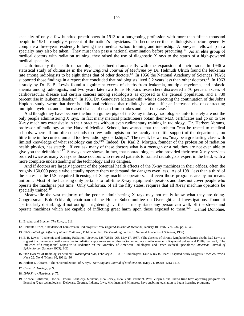specialty of only a few hundred practitioners in 1913 to a burgeoning profession with more than fifteen thousand people in 1981—roughly 6 percent of the nation's physicians. To become certified radiologists, doctors generally complete a three-year residency following their medical-school training and internship. A one-year fellowship in a specialty may also be taken. They must then pass a national examination before practicing.<sup>11</sup> As an elite group of medical doctors with radiation training, they raised the use of diagnostic X rays to the status of a high-powered medical specialty.

Unfortunately the health of radiologists declined dramatically with the expansion of their trade. In 1946 a statistical study of obituaries in the *New England Journal of Medicine* by Dr. Helmuth Ulrich found the leukemia rate among radiologists to be eight times that of other doctors.<sup>12</sup> In 1956 the National Academy of Sciences (NAS) supported those findings in a report that concluded that radiologists lived 5.2 years less than other doctors.<sup>13</sup> In 1963 a study by Dr. E. B. Lewis found a significant excess of deaths from leukemia, multiple myeloma, and aplastic anemia among radiologists, and two years later two Johns Hopkins researchers discovered a 70 percent excess of cardiovascular disease and certain cancers among radiologists as opposed to the general population, and a 730 percent rise in leukemia deaths.<sup>14</sup> In 1981 Dr. Genevieve Matanowski, who is directing the continuation of the Johns Hopkins study, wrote that there is additional evidence that radiologists also suffer an increased risk of contracting multiple myeloma, and an increased chance of death from strokes and heart disease.<sup>15</sup>

And though they have become the human guinea pigs of the X-ray industry, radiologists unfortunately are not the only people administering X rays. In fact many medical practitioners obtain their M.D. certificates and go on to use X-ray machines extensively in their practices without even rudimentary training in radiology. Dr. Herbert Abrams, professor of radiology at the Harvard Medical School, has warned that the problem "can be traced to medical schools, where all too often one finds too few radiologists on the faculty, too little support of the department, too little time in the curriculum and too few radiology clerkships." The result, he warns, "may be a graduating class with limited knowledge of what radiology can do."<sup>16</sup> Indeed, Dr. Karl Z. Morgan, founder of the profession of radiation health physics, has stated: "If you ask many of these doctors what is a roentgen or a rad, they are not even able to give you the definition."<sup>17</sup> Surveys have shown, in fact, that nonradiologists who provided their own X-ray services ordered twice as many X rays as those doctors who referred patients to trained radiologists expert in the field, with a more complete understanding of the technology and its dangers.<sup>18</sup>

And if doctors are largely ignorant of the potential health effects of the X-ray machines in their offices, often the roughly 150,000 people who actually operate them understand the dangers even less. As of 1981 less than a third of the states in the U.S. required licensing of X-ray machine operators, and even those programs are by no means uniform. Most of the licensing only pertains to full-time X-ray equipment operators and does not cover people who operate the machines part time. Only California, of all the fifty states, requires that all X-ray machine operators be specially trained.<sup>19</sup>

Meanwhile the vast majority of the people administering X rays may not really know what they are doing. Congressman Bob Eckhardt, chairman of the House Subcommittee on Oversight and Investigations, found it "particularly disturbing, if not outright frightening . . . that in many states any person can walk off the streets and operate machines which are capable of inflicting great harm upon those exposed to them."<sup>20</sup> Daniel Donohue,

<sup>11.</sup> Brecher and Brecher, *The Rays,* p. 211.

<sup>12.</sup> Helmuth Ulrich, "Incidence of Leukemia in Radiologists," *New England Journal of Medicine,* January 10, 1946, Vol. 234, pp. 45-46.

<sup>13.</sup> NAS, *Pathologic Effects of Atomic Radiation,* Publication No. 452 (Washington, D.C.: National Academy of Sciences, 1956).

<sup>14.</sup> E. B. Lewis, "Leukemia and Ionizing Radiation," *Science,* 125(7255): 965, May 17, 1957. (The absence of chronic lymphatic leukemia deaths lead Lewis to suggest that the excess deaths were due to radiation exposure or some other factor acting in a similar manner.) Raymond Seltser and Phillip Sartwell, "The Influence of Occupational Exposure to Radiation on the Mortality of American Radiologists and Other Medical Specialties," *American Journal of Epidemiology* (January 1965): 2-22.

<sup>15. &</sup>quot;Job Hazards of Radiologists Studied," *Washington Star,* February 23, 1981; "Radiologists Take X-ray to Heart, Disputed Study Suggests," *Medical World News* 22, No. 6 (March 16, 1981): 36.

<sup>16.</sup> Herbert L. Abrams, "The 'Overutilization' of X rays," *New England Journal of Medicine* 300 (May 24, 1979): 1213-1216.

<sup>17.</sup> *Citizens' Hearings,* p. 93.

<sup>18.</sup> *1979 X-ray Hearings,* p. 75.

<sup>19.</sup> Arizona, California, Florida, Hawaii, Kentucky, Montana, New Jersey, New York, Vermont, West Virginia, and Puerto Rico have operating programs for licensing X-ray technologists. Delaware, Georgia, Indiana, Iowa, Michigan, and Minnesota have enabling legislation to begin licensing programs.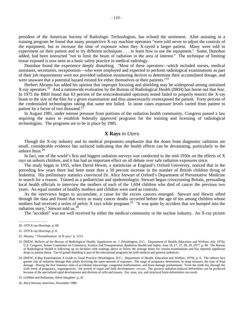president of the American Society of Radiologic Technologists, has echoed the sentiment. After assisting in a training program he found that many prospective X-ray machine operators "were told never to adjust the controls of the equipment, but to increase the time of exposure when they X-rayed a larger patient. Many were told to experiment on their patient and to try different techniques . . . to learn how to use the equipment." Some, Donohue added, had been instructed "not to limit the beam of radiation in the area of interest." The technique of limiting tissue exposed is now seen as a basic safety practice in medical radiology.

Donohue found the experience deeply disturbing. "Most of these operators—which included nurses, medical assistants, secretaries, receptionists—who were employed and expected to perform radiological examinations as part of their job requirements were not provided radiation monitoring devices to determine their accumulated dosage, and were unaware that a potential hazard existed for either themselves or their patients."<sup>21</sup>

Herbert Abrams has added his opinion that improper focusing and shielding may be widespread among untrained X-ray operators.<sup>22</sup> And a nationwide evaluation by the Bureau of Radiological Health (BRH) has borne out that fear. In 1975 the BRH found that 63 percent of the noncredentialed operators tested failed to properly restrict the X-ray beam to the size of the film for a given examination and thus unnecessarily overexposed the patient. Forty percent of the credentialed technologists taking that same test failed. In some cases exposure levels varied from patient to patient by a factor of two thousand.<sup>23</sup>

In August 1981, under intense pressure from portions of the radiation health community, Congress passed a law requiring the states to establish federally approved programs for the training and licensing of radiological technologists. The programs are to be in place by 1985.

#### **X Rays** *in Utero*

Though the X-ray industry and its medical proponents emphasize that the doses from diagnostic radiation are small, considerable evidence has surfaced indicating that the health effects can be devastating, particularly to the unborn fetus. $24$ 

In fact, one of the world's first and biggest radiation surveys was conducted in the mid-1950s on the effects of X rays on unborn children, and it has had an important effect on all debate over safe radiation exposures since.

The study began in 1955, when David Hewitt, a statistician at England's Oxford University, noticed that in the preceding few years there had been more than a 50 percent increase in the number of British children dying of leukemia. His preliminary statistics convinced Dr. Alice Stewart of Oxford's Department of Preventative Medicine to search for a reason. Trained as a pediatrician and epidemiologist, Stewart began crisscrossing Britain, persuading local health officials to interview the mothers of each of the 1,694 children who died of cancer the previous two years. An equal number of healthy mothers and children were used as controls.

As the interviews began to accumulate, a cause for the excess cancers emerged. Stewart and Hewitt sifted through the data and found that twice as many cancer deaths occurred before the age of ten among children whose mothers had received a series of pelvic X rays while pregnant.<sup>25</sup> "It was quite by accident that we bumped into the radiation story," Stewart told us.<sup>26</sup>

The "accident" was not well received by either the medical community or the nuclear industry. An X-ray picture

<sup>20.</sup> *1979 X-ray Hearings,* p. 69.

<sup>21.</sup> *1979 X-ray Hearings,* p. 8.

<sup>22.</sup> Abrams, "'Overutilization' of X rays," p. 1213.

<sup>23.</sup> DHEW, *Bulletin of the Bureau of Radiological Health, Supplement no. 1* (Washington, D.C.: Department of Health, Education and Welfare, July 1976); U.S. Congress, Senate Committee on Commerce, Science and Transportation, *Radiation Health and Safety,* June 16, 17, 27, 28, 29, 1977, p. 49. The Bureau of Radiological Health is following up on facilities with readings above or below the average doses for certain examinations and has reported significant drops in patient doses. Use of gonad shielding is part of the educational programs for both medical and general audiences.

<sup>24.</sup> DHEW, *X-Ray Examinations A Guide to Good Practice* (Washington, D.C.: Department of Health, Education and Welfare, 1970), p. 6. The unborn face greater risk of radiation damage than adults receiving the same amount of exposure. The stage of pregnancy determines, in large measure, the type of fetal damage. During the first trimester risks of accidental miscarriage, congenital malformation, and brain damage predominate. From the ninth day through the sixth week of pregnancy, organogenesis—the period of organ and limb development—occurs. The greatest radiation-induced deformities can be produced because of the specialized rapid development and division of cells and tissues. Ear, nose, eye, and structural brain deformities can result.

<sup>25.</sup> Griffiths and Ballantine, *Silent Slaughter,* p. 41.

<sup>26.</sup> Alice Stewart, interview, November 1980.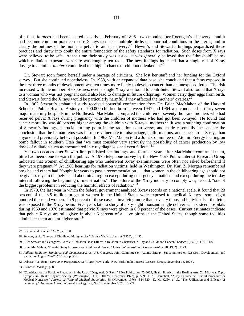of a fetus *in utero* had been secured as early as February of 1896—two months after Roentgen's discovery—and it had become common practice to use X rays to detect multiple births or abnormal conditions in the uterus, and to clarify the outlines of the mother's pelvis to aid in delivery.<sup>27</sup> Hewitt's and Stewart's findings jeopardized those practices and threw into doubt the entire foundation of the safety standards for radiation. Such doses from X rays were believed to be safe. At the time their study was issued, it was generally believed that the "threshold" below which radiation exposure was safe was roughly ten rads. The new findings indicated that a single rad of X-ray dosage to an infant *in utero* could lead to a higher chance of childhood leukemia.<sup>28</sup>

Dr. Stewart soon found herself under a barrage of criticism. She lost her staff and her funding for the Oxford survey. But she continued nonetheless. In 1958, with an expanded data base, she concluded that a fetus exposed in the first three months of development was ten times more likely to develop cancer than an unexposed fetus. The risk increased with the number of exposures, even a single X ray was found to contribute. Stewart also found that X rays to a woman who was not pregnant could also lead to damage in future offspring. Women carry their eggs from birth, and Stewart found the X rays would be particularly harmful if they affected the mothers' ovaries.<sup>29</sup>

In 1962 Stewart's embattled study received powerful confirmation from Dr. Brian MacMahon of the Harvard School of Public Health. A study of 700,000 children born between 1947 and 1964 was conducted in thirty-seven major maternity hospitals in the Northeast. MacMahon compared the children of seventy thousand mothers who had received pelvic X rays during pregnancy with the children of mothers who had not been X-rayed. He found that cancer mortality was 40 percent higher among the children with X-rayed mothers.<sup>30</sup> It was a stunning confirmation of Stewart's findings, a crucial turning point in the radiation controversy, and made essentially inescapable the conclusion that the human fetus was far more vulnerable to miscarriage, malformations, and cancer from X rays than anyone had previously believed possible. In 1963 MacMahon told a Joint Committee on Atomic Energy hearing on bomb fallout in southern Utah that "we must consider very seriously the possibility of cancer production by low doses of radiation such as encountered in x ray diagnosis and even fallout."<sup>31</sup>

Yet two decades after Stewart first published her findings, and fourteen years after MacMahon confirmed them, little had been done to warn the public. A 1976 telephone survey by the New York Public Interest Research Group indicated that women of childbearing age who underwent X-ray examinations were often not asked beforehand if they were pregnant.<sup>32</sup> At 1980 hearings for radiation victims, held in Washington, Dr. Karl Z. Morgan remembered how he and others had "fought for years to pass a recommendation . . . that women in the childbearing age should not be given x rays in the pelvic and abdominal region except during emergency situations and except during the ten-day interval following the beginning of menstruation." The failure of the X-ray industry to comply was, he said, "one of the biggest problems in reducing the harmful effects of radiation."<sup>33</sup>

In 1970, the last year in which the federal government analyzed X-ray records on a national scale, it found that 23 percent of the 3.5 million pregnant women in the United States were exposed to medical X rays—some eight hundred thousand women. In 9 percent of these cases—involving more than seventy thousand individuals—the fetus was exposed to the X-ray beam. Five years later a study of sixty-eight thousand single deliveries in sixteen hospitals during 1969 and 1970 estimated that pelvic X rays were given in 6.9 percent of the cases. Current estimates indicate that pelvic X rays are still given in about 6 percent of all live births in the United States, though some facilities administer them at a far higher rate.<sup>34</sup>

30. Brian MacMahon, "Prenatal X-ray Exposure and Childhood Cancer," *Journal of the National Cancer Institute* 28 (1962): 1173.

<sup>27.</sup> Brecher and Brecher, *The Rays,* p. 60.

<sup>28.</sup> Stewart, et al., "Survey of Childhood Malignancies," *British Medical Journal* (1958), p 1495.

<sup>29.</sup> Alice Stewart and George W. Kneale, "Radiation Dose Effects in Relation to Obstetrics, X Ray and Childhood Cancer," *Lancet* 1 (1970): 1185-1187.

<sup>31.</sup> *Fallout, Radiation Standards and Countermeasures,* U.S. Congress, Joint Committee on Atomic Energy, Subcommittee on Research, Development, and Radiation, August 20-22, 27, 1963, p. 595.

<sup>32.</sup> Deborah Van Brunt, *Consumer Perspectives on X Rays* (New York: New York Public Interest Research Group, November 15, 1976).

<sup>33.</sup> *Citizens' Hearings,* p. 88.

<sup>34. &</sup>quot;Considerations of Possible Pregnancy in the Use of Diagnostic X Rays," FDA Publication 75-8029, Health Physics in the Healing Arts, 7th Mid-year Topic Symposium, Health Physics Society (Washington, D.C.: DHEW, December 1972), p. 599; J. A. Campbell, "X-ray Pelvimetry: Useful Procedure or Medical Nonsense," *Journal of National Medical Association* 68 (November 1976): 514-520; K. M. Kelly, et al., "The Utilization and Efficacy of Pelvimetry," *American Journal of Roentgenology* 125, No. 1 (September 1975): 66-74.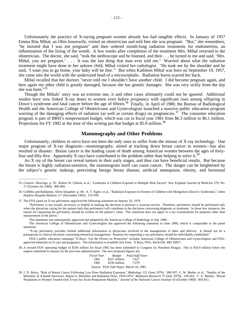Unfortunately the practice of X-raying pregnant women already has had tangible effects. In January of 1957 Emma Rita Mihal, an Ohio housewife, visited an obstetrician and told him she was pregnant. "But," she remembers, "he insisted that I was not pregnant" and then ordered month-long radiation treatments for endometritis, an inflammation of the lining of the womb. A few weeks after completion of the treatment Mrs. Mihal returned to the obstetrician. The doctor, she said, "took the stethoscope and he listened, and then . . . he turned to me and said, 'Mrs. Mihal, you are pregnant.' . . . It was the last thing that man ever told me." Worried about what the radiation treatment might have done to her unborn child, Mihal visited her radiologist. "He took me by the shoulder and he said, 'I want you to go home, your baby will be fine.'" But when Kathleen Mihal was born on September 19, 1957, she came into the world with the undersized head of a microcephalic. Radiation burns scarred her back.

Mihal recalled that her doctors "never told me I shouldn't have another child. I did become pregnant again, and here again my other child is greatly damaged, because she has genetic damages. She was very sickly from the day she was born."<sup>35</sup>

Though the Mihals' story was an extreme one, it and other cases ultimately could not be ignored. Additional studies have now linked X-ray doses to women *even before pregnancy* with significant rises among offspring in Down's syndrome and fatal cancer before the age of fifteen.<sup>36</sup> Finally, in April of 1980, the Bureau of Radiological Health and the American College of Obstetricians and Gynecologists launched a massive public education program warning of the damaging effects of radiation (as well as certain drugs) on pregnancies.<sup>37</sup> The consumer education program is part of BRH's nonpersonnel budget, which was cut in fiscal year 1981 from \$6.3 million to \$6.1 million. Projections for FY 1982 at the time of this writing put that budget at \$5.9 million.<sup>38</sup>

#### **Mammography and Other Problems**

Unfortunately, children *in utero* have not been the only ones to suffer from the misuse of X-ray technology. One major program of X-ray diagnosis—mammography, aimed at tracking down breast cancer in women—has also resulted in disaster. Breast cancer is the leading cause of death among American women between the ages of fortyfour and fifty-five. Apparently X rays have contributed to the problem rather than helping to solve it.<sup>39</sup>

An X ray of the breast can reveal tumors in their early stages, and thus can have beneficial results. But because the breast is highly radiation-sensitive, the mammogram itself can cause cancer. The danger can be heightened by the subject's genetic makeup, preexisting benign breast disease, artificial menopause, obesity, and hormonal

hhhhhhhhhhhhhhhhhh

This statement was subsequently approved and adopted by the American College of Radiology in July 1980.

The American College of Obstetricians and Gynecologists has approved the following statement in June 1980, which is comparable to the panel statement:

"X-ray pelvimetry provides limited additional information to physicians involved in the management of labor and delivery. It should not be a prerequisite to clinical decisions concerning obstetrical management. Reasons for requesting x-ray pelvimetry should be individually established."

FDA's public education campaign "X-Rays: Get the Picture on Protection" includes American College of Obstetricians and Gynecologists and FDAapproved materials on X rays and pregnancy. The information is available free from: X Rays, FDA, Rockville, MD 20857.

38. A revised FDA operating budget of \$336 million for fiscal 1982 has been submitted to Congress by President Reagan. This is \$16.9 million below the request submitted in January by the previous administration. The new proposed figures are:

| Fiscal Year | <b>Budget</b>                           | <b>Paid Staff Years</b> |
|-------------|-----------------------------------------|-------------------------|
| 1981        | \$327 million                           | 7.627                   |
| 1982        | \$336 million                           | 7.379                   |
|             | Source: FDA Talk Paper, March 10, 1981. |                         |

<sup>39.</sup> J. D. Boice, "Risk of Breast Cancer Following Low-Dose Radiation Exposure," *Radiology* 131 (June 1979): 589-597; G. W. Beebe, et al., "Studies of the Mortality of A-bomb Survivors, Report 6, Mortality and Radiation Dose, 1950-1974," *Radiation Research* 75 (July 1978): 138-201; F. A. Mettler, "Breast Neoplasms in Women Treated with X-rays for Acute Postpartum Mastitis," *Journal of the National Cancer Institute* 43 (October 1969): 803-811.

<sup>35.</sup> *Citizens' Hearings,* p. 35; Robert W. Gibson, et al., "Leukemia in Children Exposed to Multiple Risk Factors" *New England Journal of Medicine* 279, No. 17 (October 24, 1960): 906-909.

<sup>36.</sup> Griffiths and Ballantine, *Silent Slaughter,* p. 46; A. T. Sigler, et al., "Radiation Exposure in Parents of Children with Mongolism (Down's Syndrome)," *Johns Hopkins Hospital Bulletin* 117 (December 1965): 374-399.

<sup>37.</sup> The FDA panel on X-ray pelvimetry approved the following statement on January 26, 1979:

<sup>&</sup>quot;Pelvimetry is not usually necessary or helpful in making the decision to perform a cesarean section. Therefore, pelvimetry should be performed only when the physician caring for the patient feels that pelvimetry will contribute to the decisions concerning diagnosis or treatment. In those few instances, the reason for requesting the pelvimetry should be written on the patient's chart. This statement does not apply to x-ray examinations for purposes other than measurement of the pelvis."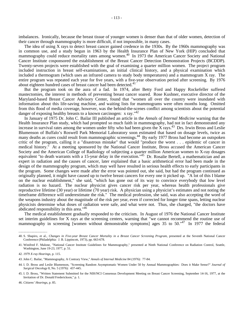imbalances. Ironically, because the breast tissue of younger women is denser than that of older women, detection of their cancer through mammography is more difficult, if not impossible, in many cases.

The idea of using X rays to detect breast cancer gained credence in the 1930s. By the 1960s mammography was in common use, and a study begun in 1963 by the Health Insurance Plan of New York (HIP) concluded that mammography could reduce mortality rates among women.<sup>40</sup> In 1973 the American Cancer Society and National Cancer Institute cosponsored the establishment of the Breast Cancer Detection Demonstration Projects (BCDDP). Twenty-seven projects were established with the goal of examining a quarter million women. The project program included instruction in breast self-examinations, an initial clinical history, and a physical examination which included a thermogram (which uses an infrared camera to study body temperatures) and a mammogram X ray. The entire program was repeated each year for five years, with a five-year observation period after screening. By 1976 about eighteen hundred cases of breast cancer had been detected.<sup>41</sup>

But the program took on the aura of a fad. In 1974, after Betty Ford and Happy Rockefeller suffered mastectomies, the interest in methods of preventing breast cancer soared. Rose Kushner, executive director of the Maryland-based Breast Cancer Advisory Center, found that "women all over the country were inundated with information about this life-saving machine, and waiting lists for mammograms were often months long. Omitted from this flood of media coverage, however, was the behind-the-scenes conflict among scientists about the potential danger of exposing healthy breasts to a known carcinogen:  $x \text{ ray.}^{\text{42}}$ 

In January of 1975 Dr. John C. Bailar III published an article in the *Annals of Internal Medicine* warning that the Health Insurance Plan study, which had prompted so much faith in mammography, had not in fact demonstrated any increase in survival rates among the women under fifty who had been given the X rays.<sup>43</sup> Drs. Irwin Bross and Leslie Blumenson of Buffalo's Roswell Park Memorial Laboratory soon estimated that based on dosage levels, twice as many deaths as cures could result from mammographic screenings.<sup>44</sup> By early 1977 Bross had become an outspoken critic of the program, calling it a "disastrous mistake" that would "produce the worst . . . epidemic of cancer in medical history." At a meeting sponsored by the National Cancer Institute, Bross accused the American Cancer Society and the American College of Radiology of subjecting a quarter million American women to X-ray dosages equivalent "to death warrants with a 15-year delay in the execution."<sup>45</sup> Dr. Rosalie Bertell, a mathematician and an expert in radiation and the causes of cancer, later explained that a basic arithmetical error had been made in the design of the mammography program, which may well have resulted in serious health effects to early participants in the program. Some changes were made after the error was pointed out, she said, but had the program continued as originally planned, it might have caused up to twelve breast cancers for every one it picked up. "A lot of this I blame on the nuclear establishment," she said, "which has gone out of its way to convince everybody that low level radiation is no hazard. The nuclear physicist gives cancer risk per year, whereas health professionals give reproductive lifetime (30 year) or lifetime (70 year) risk. A physician using a physicist's estimates and not noting the timeframe difference will underestimate the risk." The medical profession, she said, was also accepting the word of the weapons industry about the magnitude of the risk per year, even if corrected for longer time spans, letting nuclear physicists determine what doses of radiation were safe, and what were not. Thus, she charged, "the doctors have abdicated responsibility in this area."<sup>46</sup>

The medical establishment gradually responded to the criticism. In August of 1976 the National Cancer Institute set interim guidelines for X rays at the screening centers, warning that "we cannot recommend the routine use of mammography in screening [women without demonstrable symptoms] ages 35 to 50."<sup>47</sup> In 1977 the federal

<sup>40.</sup> S. Shapiro, et al., *Changes in Five-year Breast Cancer Mortality in a Breast Cancer Screening Program,* presented at the Seventh National Cancer Conference (Philadelphia: J. B. Lippincott, 1973), pp. 663-678.

<sup>41.</sup> Winifred F. Malone, "National Cancer Institute Guidelines for Mammography," presented at Ninth National Conference on Radiation Control, Seattle, Washington, June 19-23, 1977, p. 51.

<sup>42.</sup> *1979 X-ray Hearings,* p. 115.

<sup>43.</sup> John C. Bailar, "Mammography, A Contrary View," *Annals of Internal Medicine* 84 (1976): 77-84.

<sup>44.</sup> I. D. Bross and Leslie Blumenson, "Screening Random Asymptomatic Women Under 50 by Annual Mammographies: Does it Make Sense?" *Journal of Surgical Oncology* 8, No. 5 (1976): 437-445.

<sup>45.</sup> I. D. Bross, "Written Statement Submitted for the NIH/NCI Consensus Development Meeting on Breast Cancer Screening, September 14-16, 1977, at the Invitation of Dr. Donald Frederickson," p. 1.

<sup>46.</sup> *Citizens' Hearings,* p. 85.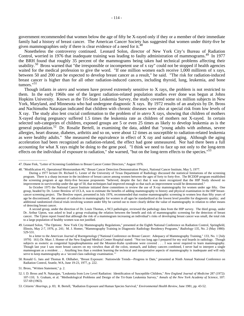government recommended that women below the age of fifty be X-rayed only if they or a member of their immediate family had a history of breast cancer. The American Cancer Society has suggested that women under thirty-five be given mammographies only if there is clear evidence of a need for it.<sup>4</sup>

Nonetheless the controversy continued. Leonard Solon, director of New York City's Bureau of Radiation Control, worried in 1976 that inadequate training was leading to faulty administration of mammograms.<sup>49</sup> In 1977 the BRH found that roughly 35 percent of the mammograms being taken had technical problems affecting their usability.<sup>50</sup> Bross warned that "the irresponsible or incompetent use of x ray" could not be stopped if health agencies waited for the medical profession to give the word. "If one million women each receive 1,000 millirem of x rays, between 50 and 200 can be expected to develop breast cancer as a result," he said. "The risk for radiation-induced breast cancer is higher than for all other radiation-induced cancers, including thyroid, lung, leukemia, and bone tumors."<sup>51</sup>

Though infants *in utero* and women have proved extremely sensitive to X rays, the problem is not restricted to them. In the early 1960s one of the largest radiation-related population studies ever done was begun at Johns Hopkins University. Known as the Tri-State Leukemia Survey, the study covered some six million subjects in New York, Maryland, and Minnesota who had undergone diagnostic X rays. By 1972 results of an analysis by Dr. Bross and Nachimuthu Natarajan indicated that children with chronic diseases were also at special risk from low levels of X ray. The study also lent crucial confirmation to the problem of *in utero* X rays, showing that children of mothers X-rayed during pregnancy suffered 1.5 times the leukemia rate as children of mothers not X-rayed. In certain selected sub-categories of children, exposed groups are 5 or even 25 times as likely to develop leukemia as is the general population.<sup>52</sup> Dr. Rosalie Bertell, in examining the data, added that "young adults with asthmas, severe allergies, heart disease, diabetes, arthritis and so on, were about 12 times as susceptible to radiation-related leukemia as were healthy adults." She measured the equivalence in effect of X ray and natural aging. Although the aging acceleration had been recognized as radiation-related, the effect had gone unmeasured. Nor had there been a full accounting for what X rays might be doing to the gene pool. "I think we need to face up not only to the long-term effects on the individual of exposure to radiation," she warned, "but on the long-term effects to the species." $53$ 

50. Ronald G. Jans and Thomas R. Ohlhaber, "Breast Exposure: Nationwide Trends—Progress to Date," presented at Ninth Annual National Conference on Radiation Control, Seattle, WA, June 19-23, 1977, p. 222.

<sup>47.</sup> Diane Fink, "Letter of Screening Guidelines to Breast Cancer Center Directors," August 1976.

<sup>48. &</sup>quot;Modification #1, Operational Memorandum #6," Breast Cancer Detection Demonstration Project, National Cancer Institute, May 5, 1977.

During a 1977 lecture Dr. Richard G. Lester of the University of Texas Department of Radiology discussed the statistical limitations of the screening program. There is a sharp increase in the incidence of breast cancer among women between the ages of forty to forty-five. The BCDDP program established the screening program at age thirty-five because proponents "believed, despite the fact that it was more recognized that the HIP Study showed no improvement in survivorship under the age of 50, that techniques had improved enough so that such an improvement would be demonstrated."

In October 1975 the National Cancer Institute initiated three committees to review the use of X-ray mammography for women under age fifty. One group, headed by Dr. Lester Breslow of UCLA, was to estimate the benefits of adding mammography to history and physical examination in the HIP breastcancer screening project. The Breslow report, presented in July 1976, recommended that routine mammographic screening in women less than fifty years of age be discontinued; the amount of radiation in mammography for women in all ages be standardized at the lowest level possible for diagnostic quality; and additional randomized clinical trials involving women under fifty be carried out to more clearly define the value of mammography in relation to other means of detecting breast cancer.

A second group, under the direction of Dr. Louis Thomas, a NCI pathologist, reviewed the pathology data from the HIP survey. The third group, under Dr. Arthur Upton, was asked to lead a group evaluating the relation between the benefit and risk of mammographic screening for the detection of breast cancer. The Upton report found that although the risk of a mammogram increasing an individual's risks of developing breast cancer was small, the total risk to a large population of healthy women was not justified.

<sup>49.</sup> Leonard Solon, "The Options: New York City Mammography Regulations," presented at the Eighth National Conference on Radiation Control, Springfield, Illinois, May 2-7, 1976, p. 241; M. J. Homer, "Mammography Training in Diagnostic Radiology Residency Programs," *Radiology* 135, No. 2 (May 1980): 529-531.

In a letter to the *American Journal of Roentgenology* ("National Conference on Breast Cancer: Adequacy of Mammography Training," 133, No. 1 [July 1979]: 161) Dr. Marc J. Homer of the New England Medical Center Hospital stated: "Not too long ago I prepared for my oral boards in radiology. Though subjects as esoteric as congenital hypophosphatemia and the Mounier-Kuhn syndrome were covered . . . I was never required to learn mammography. Though last year I saw more breast cancers on my viewbox than all the colon, stomach, and kidney cancers combined, I never had to interpret a single mammogram as a resident . . . Anything less than a resident learning the technical and interpretative aspects of mammography is inadequate and will only serve to keep mammography as a 'second class radiology examination.'"

<sup>51.</sup> Bross, "Written Statement," p. 2.

<sup>52.</sup> I. D. Bross and N. Natarajan, "Leukemia from Low Level Radiation: Identification of Susceptible Children," *New England Journal of Medicine* 287 (1972): 107-110; S. Graham, et al. "Methodological Problems and Design of the Tri-State Leukemia Survey," *Annals of the New York Academy of Science,* 107: 557-69 (1963).

<sup>53.</sup> *Citizens' Hearings,* p. 83; R. Bertell, "Radiation Exposure and Human Species Survival," *Environmental Health Review,* June 1981, pp. 43-52.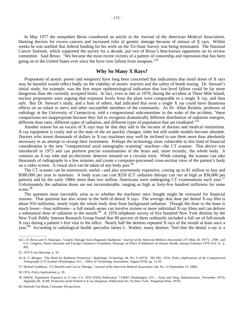In May 1977 the outspoken Bross coauthored an article in the *Journal of the American Medical Association,* blaming doctors for excess cancers and increased risks of genetic damage because of misuse of X rays. Within weeks he was notified that federal funding for his work on the Tri-State Survey was being terminated. The National Cancer Institute, which supported the survey for a decade, put two of Bross's best-known opponents on its review committee. Said Bross: "We became the most recent victims of a pattern of censorship and repression that has been going on in the United States ever since the furor over fallout from weapons."<sup>54</sup>

#### **Why So Many X Rays?**

Proponents of atomic power and weaponry have long been concerned that indications that small doses of X rays may be harmful would reflect badly on the viability of atomic reactors and the safety of bomb testing. Dr. Stewart's initial study, for example, was the first major epidemiological indication that low-level fallout could be far more dangerous than the currently accepted limits. In fact, even as late as 1979, during the accident at Three Mile Island, nuclear proponents were arguing that exposure levels from the plant were comparable to a single X ray, and thus safe. But Dr. Stewart's study, and a host of others, had indicated that even a single X ray could have disastrous effects on an infant *in utero* and other susceptible members of the community. As Dr. Allan Reiskin, professor of radiology at the University of Connecticut, told a congressional subcommittee in the wake of the accident, "these comparisons are inappropriate because they fail to recognize dramatically different distribution of radiation energies, different dose rates, different types of radiation, and different types of population that are irradiated."<sup>55</sup>

Another reason for an excess of X rays may be that they add to the income of doctors and medical institutions. X-ray equipment is costly and as the state of the art quickly changes, older but still usable models become obsolete. Doctors who invest thousands of dollars in X-ray machines may well be inclined to use them more than absolutely necessary in an attempt to recoup their investment. Perhaps the technology most vulnerable to this kind of financial consideration is the new "computerized axial tomography scanning" machine—the CT scanner. This device was introduced in 1973 and can perform precise examinations of the brain and, more recently, the whole body. It contains an X-ray tube and an electronic detector situated on a circular track. While rotating, the scanner can take thousands of radiographs in a few minutes and create a computer-processed cross-section view of the patient's body on a video screen. A visual slice can be taken of any body part.<sup>56</sup>

The CT scanner can be enormously useful—and also enormously expensive, costing up to \$1 million to buy and \$500,000 per year to maintain. A body scan can cost \$250 (CT radiation therapy can run as high as \$36,000 per patient) and by the early 1980s more than two million Americans were undergoing CT examinations each year.<sup>57</sup> Unfortunately the radiation doses are not inconsiderable, ranging as high as forty-five hundred millirems for some scans.<sup>58</sup>

The question must inevitably arise as to whether the machines once bought might be overused for financial reasons. That question has also arisen in the field of dental X rays. The average skin dose per dental X-ray film is about 910 millirems, nearly triple the whole body dose from background radiation. Though the dose to the bone is much lower—four millirems—a full mouth series can involve sixteen or more individual X-ray films and can deliver a substantial dose of radiation to the mouth.<sup>59</sup> A 1976 telephone survey of five hundred New York dentists by the New York Public Interest Research Group found that 89 percent of them ordinarily included a full set of full-mouth X rays during a patient's first visit to the office. Nearly half the dentists repeated X rays of the mouth at least once a year.<sup>60</sup> According to radiological health specialist James L. Walker, many dentists "feel that the dental x-ray is a

<sup>54.</sup> I. D. Bross and N. Natarajan, "Genetic Damage from Diagnostic Radiation," *Journal of the American Medical Association* 237 (May 30, 1977): 2399; and U.S. Congress, House Interstate and Foreign Commerce Committee, Hearings on Effect of Radiation on Human Health, January-February 1978 (Vol. I): p. 995.

<sup>55.</sup> *1979 X-ray Hearings,* p. 10.

<sup>56.</sup> K. Z. Morgan, "The Need for Radiation Protection," *Radiologic Technology* 44, No. 6 (1973): 385-395; OTA, *Policy Implications of the Computerized Tomography (CT) Scanner* (Washington, D.C.: Office of Technology Assessment, August 1978), pp. 15-20.

<sup>57.</sup> Michael Goldstein, "CT Benefits and Cost in Therapy," *Journal of the American Medical Association* 244, No. 12 (September 19, 1980).

<sup>58.</sup> OTA, *Policy Implications,* p. 39.

<sup>59.</sup> DHEW, *Population Exposure to X rays U.S. 1970* (FDA) Publication 73-8047 (Washington, D.C.: Food and Drug Administration, November 1973), Appendix III; ICRP, *Protection of the Patient in X-ray Diagnosis,* Publication No. 16 (New York: Pergamon Press, 1970).

<sup>60.</sup> Deborah Van Brunt, *Consumer Perspectives*.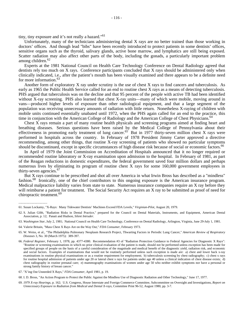Unfortunately, many of the technicians administering dental X rays are no better trained than those working in doctors' offices. And though lead "bibs" have been recently introduced to protect patients in some dentists' offices, sensitive organs such as the thyroid, salivary glands, active bone marrow, and lymphatics are still being exposed. Scatter radiation may also affect other parts of the body, including the gonads, a particularly important problem among children.<sup>62</sup>

Experts at the 1981 National Council on Health Care Technology Conference on Dental Radiology agreed that dentists rely too much on X rays. Conference participants concluded that X rays should be administered only when clinically indicated, i.e., after the patient's mouth has been visually examined and there appears to be a definite need for more information.<sup>63</sup>

Another form of exploratory X ray under scrutiny is the use of chest X rays to find cancers and tuberculosis. As early as 1965 the Public Health Service called for an end to routine chest X rays as a means of detecting tuberculosis. PHS argued that tuberculosis was on the decline and that 95 percent of the people with active TB had been identified without X-ray screening. PHS also learned that chest X-ray units—many of which were mobile, moving around in vans—produced higher levels of exposure than other radiological equipment, and that a large segment of the population was receiving unnecessary amounts of radiation with little return. Nonetheless X-raying of children with mobile units continued essentially unabated until 1972, when the PHS again called for an end to the practice, this time in conjunction with the American College of Radiology and the American College of Chest Physicians.<sup>64</sup>

Chest X rays remain a part of many routine health physicals and screening programs aimed at finding heart and breathing diseases. Serious questions have been raised by the Medical College of Pennsylvania about their effectiveness in promoting early treatment of lung cancer.<sup>65</sup> But in 1977 thirty-seven million chest X rays were performed in hospitals across the country. In February of 1978 President Jimmy Carter approved a directive recommending, among other things, that routine X-ray screening of patients who showed no particular symptoms should be discontinued, except in specific circumstances of high disease risk because of social or economic factors.<sup>66</sup>

In April of 1979 the Joint Commission on Accreditation of Hospitals announced that it no longer required or recommended routine laboratory or X-ray examination upon admission to the hospital. In February of 1981, as part of the Reagan reductions in domestic expenditures, the federal government saved four million dollars and perhaps numerous lives by eliminating its program of routine chest X rays for some 160,000 government employees in thirty-seven agencies.<sup>67</sup>

But X rays continue to be prescribed and shot all over America in what Irwin Bross has described as a "mindless" fashion.68 Ironically, one of the chief contributors to this ongoing exposure is the American insurance program. Medical malpractice liability varies from state to state. Numerous insurance companies require an X ray before they will reimburse a patient for treatment. The Social Security Act requires an X ray to be submitted as proof of need for chiropractic treatment.<sup>69</sup>

67. "X'ing Out Unneeded X Rays," *FDA Consumer,* April 1981, p. 19.

<sup>61.</sup> Susan Lockamy, "X-Rays: Many Tidewater Dentists' Machines Exceed FDA Levels," *Virginian-Pilot,* August 20, 1979.

<sup>62.</sup> S. Julian Gibb, "Radiation Risks in Dental Practice," prepared for the Council on Dental Materials, Instruments, and Equipment, American Dental Association, p. 12; Panati and Hudson, *Silent Intruder*.

<sup>63.</sup> *Washington Star,* July 2, 1981; National Council on Health Care Technology, Conference on Dental Radiology, Arlington, Virginia, June 29-July 1, 1981.

<sup>64.</sup> Valerie Britain, "Mass Chest X Rays Are on the Way Out," *FDA Consumer,* February 1973.

<sup>65.</sup> W. Weiss, et al., "The Philadelphia Pulmonary Neoplasm Research Project, Thwarting Factors in Periodic Lung Cancer," *American Review of Respiratory Diseases* 3, No. 30 (March 1975): 389-397.

<sup>66.</sup> *Federal Register,* February 1, 1978, pp. 4377-4380. Recommendation #3 of "Radiation Protection Guidance to Federal Agencies for Diagnostic X Rays": "Routine or screening examinations in which no prior clinical evaluation of the patient is made, should not be performed unless exception has been made for specified groups of people on the basis of a careful consideration of the magnitude and medical benefit of the diagnostic yield, radiation risk, and economic and social factors. Examples of examinations that would not be routinely performed unless such exception is made are: a) chest and lower back x-ray examinations in routine physical examinations or as a routine requirement for employment; b) tuberculosis screening by chest radiography; c) chest x rays for routine hospital admission of patients under age 20 or lateral chest x rays for patients under age 40 unless a clinical indication of chest disease exists; d) chest radiography in routine prenatal care; e) mammography examinations of women under age 50 who neither exhibit symptoms nor have a personal or strong family history of breast cancer."

<sup>68.</sup> I. D. Bross, "An Action Program to Protect the Public Against the Mindless Use of Diagnostic Radiation and Other Technology," June 17, 1977.

<sup>69.</sup> *1979 X-ray Hearings,* p. 162; U.S. Congress, House Interstate and Foreign Commerce Committee, Subcommittee on Oversight and Investigations, *Report on Unnecessary Exposure to Radiation from Medical and Dental X-rays,* Committee Print 96-52, August 1980, pp. 3-7.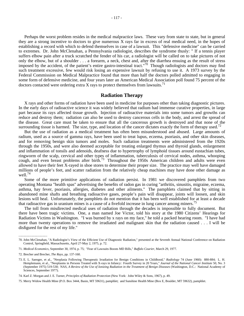Perhaps the worst problem resides in the medical malpractice laws. These vary from state to state, but in general they are a strong incentive to doctors to give numerous X rays far in excess of real medical need, in the hopes of establishing a record with which to defend themselves in case of a lawsuit. This "defensive medicine" can be carried to extremes. Dr. John McClenahan, a Pennsylvania radiologist, describes the syndrome thusly: " If a tennis player suffers elbow pain after a truck scratched the fender of his car, a radiologist will be called on to take pictures of not only the elbow, but of a shoulder . . . a forearm, a neck, chest and, after the diarrhea ensuing as the result of stress imposed by the accident, of the patient's entire gastro-intestinal tract."<sup>70</sup> Though radiologists and doctors may find such treatment excessive, few would risk losing an expensive lawsuit by refusing to use it. A 1973 survey by the Federal Commission on Medical Malpractice found that more than half the doctors polled admitted to engaging in some form of defensive medicine, and four years later an American Medical Association poll found 75 percent of the doctors contacted were ordering extra X rays to protect themselves from lawsuits.<sup>71</sup>

#### **Radiation Therapy**

X rays and other forms of radiation have been used in medicine for purposes other than taking diagnostic pictures. In the early days of radioactive science it was widely believed that radium had immense curative properties, in large part because its rays affected tissue growth. Injection of radioactive materials into some tumors and growths can reduce and destroy them; radiation can also be used to destroy cancerous cells in the body, and arrest the spread of the disease. Great care must be taken to ensure that all the cancerous growth is destroyed and that none of the surrounding tissue is harmed. The size, type, and location of the cancer dictates exactly the form of therapy used.<sup>72</sup>

But the use of radiation as a medical treatment has often been misunderstood and abused. Large amounts of radium, used as a source of gamma rays, have been used to treat lupus, eczema, psoriasis, and other skin diseases, and for removing benign skin tumors and moles. Such radiation treatments were administered from the 1920s through the 1950s, and were also deemed acceptable for treating enlarged thymus and thyroid glands, enlargement and inflammation of tonsils and adenoids, deafness due to hypertrophy of lymphoid tissues around eustachian tubes, ringworm of the scalp, cervical and other types of inflammation, tuberculosis of cervical nodes, asthma, whooping cough, and even breast problems after birth.<sup>73</sup> Throughout the 1950s American children and adults were even allowed to have their feet X-rayed in shoe stores to determine their proper size. The practice may well have damaged millions of people's feet, and scatter radiation from the relatively cheap machines may have done other damage as well.<sup>74</sup>

Some of the more primitive applications of radiation persist. In 1981 we discovered pamphlets from two operating Montana "health spas" advertising the benefits of radon gas in curing "arthritis, sinusitis, migraine, eczema, asthma, hay fever, psoriasis, allergies, diabetes and other ailments." The pamphlets claimed that by sitting in abandoned mine shafts and breathing radioactive gases, people's pain will disappear, joints will loosen, and skin lesions will heal. Unfortunately, the pamphlets do not mention that it has been well established for at least a decade that radioactive gas in uranium mines is a cause of a fivefold increase in lung cancer among miners.<sup>75</sup>

The toll from misdirected medical uses of radiation through the decades is impossible to fully document. But there have been tragic victims. One, a man named Joe Victor, told his story at the 1980 Citizens' Hearings for Radiation Victims in Washington. "I was burned by x rays on my face," he told a packed hearing room. "I have had more than twenty operations to remove the irradiated and malignant skin that the radiation caused ...I will be disfigured for the rest of my life."

<sup>70.</sup> John McClenahan, "A Radiologist's View of the Efficient Use of Diagnostic Radiation," presented at the Seventh Annual National Conference on Radiation Control, Springfield, Massachusetts, April 27-May 2, 1975, p. 72.

<sup>71.</sup> *Medical Economics,* September 30, 1974, p. 75; "Fear of Lawsuits Boosts MD Bills," *Buffalo Courier,* March 29, 1977.

<sup>72.</sup> Brecher and Brecher, *The Rays,* pp. 137-160.

<sup>73.</sup> E. L. Saenger, et al., "Neoplasia Following Therapeutic Irradiation for Benign Conditions in Childhood," *Radiology* 74 (June 1960): 880-884; L. H. Hemplemann, et al., "Neoplasms in Persons Treated with X-rays in Infancy: Fourth Survey in 20 Years," *Journal of the National Cancer Institute* 50, No. 3 (September 1975) 519-530; NAS, *A Review of the Use of Ionizing Radiation in the Treatment of Benign Diseases* (Washington, D.C.: National Academy of Sciences, September 1977).

<sup>74.</sup> Karl Z. Morgan and J. E. Turner, *Principles of Radiation Protection* (New York: John Wiley & Sons, 1967), p. 49.

<sup>75.</sup> Merry Widow Health Mine (P.O. Box 3444, Basin, MT 59631), pamphlet; and Sunshine Health Mine (Box E, Boulder, MT 59632), pamphlet.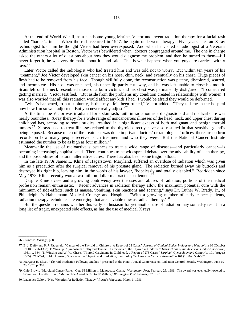At the end of World War II, as a handsome young Marine, Victor underwent radiation therapy for a facial rash called "barber's itch." When the rash recurred in 1947, he again underwent therapy. Five years later an X-ray technologist told him he thought Victor had been overexposed. And when he visited a radiologist at a Veterans Administration hospital in Boston, Victor was bewildered when "doctors congregated around me. The one in charge asked the others a lot of questions about how they would diagnose my problem, and then he turned to them—I'll never forget it, he was very dramatic about it—and said, 'This is what happens when you guys are careless with x rays.'"

Later Victor called the radiologist who had treated him and was told not to worry. But within ten years of his "treatment," Joe Victor developed skin cancer on his nose, chin, neck, and eventually on his chest. Huge pieces of flesh had to be removed from his face. Though skillfully done, the reconstruction was patchy, discolored, scarred, and incomplete. His nose was reshaped, his upper lip partly cut away, and he was left unable to close his mouth. Scars left on his neck resembled those of a burn victim, and his chest was permanently disfigured. "I considered getting married," Victor testified. "But aside from the problems my condition created in relationships with women, I was also worried that all this radiation would affect any kids I had. I would be afraid they would be deformed.

"What's happened, to put it bluntly, is that my life's been ruined," Victor added. "They tell me in the hospital now how I'm so well adjusted. But you never really adjust."<sup>76</sup>

At the time Joe Victor was irradiated for a skin rash, faith in radiation as a diagnostic aid and medical cure was nearly boundless. X-ray therapy for a wide range of noncancerous illnesses of the head, neck, and upper chest during childhood has, according to some studies, resulted in a significant excess of both malignant and benign thyroid tumors.<sup>77</sup> X rays used to treat illnesses related to the thyroid directly have also resulted in that sensitive gland's being exposed. Because much of the treatment was done in private doctors' or radiologists' offices, there are no firm records on how many people received such treatment and who they were. But the National Cancer Institute estimated the number to be as high as four million.<sup>78</sup>

Meanwhile the use of radioactive substances to treat a wide range of diseases—and particularly cancer—is becoming increasingly sophisticated. There continues to be widespread debate over the advisability of such therapy, and the possibilities of natural, alternative cures. There has also been some tragic fallout.

In the late 1970s James L. Kline of Hagerstown, Maryland, suffered an overdose of radiation which was given him as a precaution after the surgical removal of his prostate gland. The radiation burned away his buttocks and destroyed his right hip, leaving him, in the words of his lawyer, "hopelessly and totally disabled." Bedridden since May 1978, Kline recently won a two-million-dollar malpractice settlement.<sup>79</sup>

Despite Kline's case and a growing controversy over the uses and abuses of radiation, portions of the medical profession remain enthusiastic. "Recent advances in radiation therapy allow the maximum potential cure with the minimum of side-effects, such as nausea, vomiting, skin reactions and scarring," says Dr. Luther W. Brady, Jr., of Philadelphia's Hahnemann Medical College and Hospital. "With a growing number of early cancer patients, radiation therapy techniques are emerging that are as viable now as radical therapy."80

But the question remains whether this early enthusiasm for yet another use of radiation may someday result in a long list of tragic, unexpected side effects, as has the use of medical X rays.

<sup>76.</sup> *Citizens' Hearings,* p. 80

<sup>77.</sup> B. J. Duffy and P. J. Fitzgerald, "Cancer of the Thyroid in Children: A Report of 28 Cases," *Journal of Clinical Endocrinology and Metabolism* 10 (October 1950): 1296-1308; T. Winship, "Symposium of Thyroid Tumors: Carcinoma of the Thyroid in Children," *Transactions of the American Goiter Association,* 1951, p. 364; T. Winship and W. W. Chase, "Thyroid Carcinoma in Childhood, a Report of 275 Cases," *Surgical, Gynecology and Obstetrics* 101 (August 1955): 217-224; E. M. Uhlmann, "Cancer of the Thyroid and Irradiation," *Journal of the American Medical Association* 161 (1956): 504-507.

<sup>78.</sup> Margaret H. Sloan, "Thyroid Irradiation Followup Studies," presented at the Ninth Annual Conference on Radiation Control, Seattle, Washington, June 19- 23, 1977, p. 369.

<sup>79.</sup> Chip Brown, "Maryland Cancer Patient Gets \$3 Million in Malpractice Claim," *Washington Post,* February 26, 1981. The award was eventually lowered to \$2 million. Loretta Tofani, "Malpractice Award Is Cut to \$2 Million," *Washington Post,* February 27, 1981.

<sup>80.</sup> Lawrence Galton, "New Victories for Radiation Therapy," *Parade Magazine,* March 1, 1981.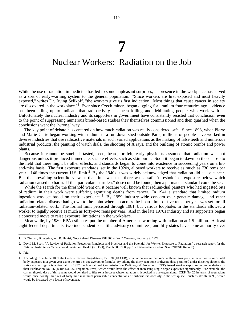# **7**

## Nuclear Workers: Radiation on the Job

While the use of radiation in medicine has led to some unpleasant surprises, its presence in the workplace has served as a sort of early-warning system to the general population. "Since workers are first exposed and most heavily exposed," writes Dr. Irving Selikoff, "the workers give us first indication. Most things that cause cancer in society are discovered in the workplace."<sup>1</sup> Ever since Czech miners began digging for uranium four centuries ago, evidence has been piling up to indicate that radioactivity has been killing and debilitating people who work with it. Unfortunately the nuclear industry and its supporters in government have consistently resisted that conclusion, even to the point of suppressing numerous broad-based studies they themselves commissioned and then quashed when the conclusions went the "wrong" way.

The key point of debate has centered on how much radiation was really considered safe. Since 1898, when Pierre and Marie Curie began working with radium in a run-down shed outside Paris, millions of people have worked in diverse industries that use radioactive materials in such varied applications as the making of false teeth and numerous industrial products, the painting of watch dials, the shooting of X rays, and the building of atomic bombs and power plants.

Because it cannot be smelled, tasted, seen, heard, or felt, early physicists assumed that radiation was not dangerous unless it produced immediate, visible effects, such as skin burns. Soon it began to dawn on those close to the field that there might be other effects, and standards began to come into existence in succeeding years on a hitand-miss basis. The first exposure standards, set in the 1920s, allowed workers to receive as much as 730 rems per year—146 times the current U.S. limit.<sup>2</sup> By the 1940s it was widely acknowledged that radiation did cause cancer. But the prevailing scientific view at that time was that there was a safe "threshold" of exposure below which radiation caused no harm. If that particular "harmless" dose could be found, then a permanent standard could be set.

While the search for the threshold went on, it became well known that radium-dial painters who had ingested bits of radium in their work were suffering agonizing deaths from cancer. In 1941 a standard that limited radium ingestion was set based on their experience.<sup>3</sup> By 1959 industry-wide concern over genetic damage and other radiation-related disease had grown to the point where an across-the-board limit of five rems per year was set for all radiation-related work. The formal limit persisted through 1981, but various loopholes in the standards allowed a worker to legally receive as much as forty-two rems per year. And in the late 1970s industry and its supporters began a concerted move to raise exposure limitations in the workplace.<sup>4</sup>

Meanwhile, by 1980, EPA estimates put the number of Americans working with radiation at 1.5 million. At least eight federal departments, two independent scientific advisory committees, and fifty states have some authority over

<sup>1.</sup> D. Zinman, B. Wyrick, and B. Hevisi, "Job-Related Diseases Kill 300 a Day," *Newsday,* February 9, 1977.

<sup>2.</sup> David M. Scott, "A Review of Radiation Protection Principles and Practices and the Potential for Worker Exposure to Radiation," a research report for the National Institute for Occupational Safety and Health (NIOSH), March 30, 1980, pp. 10-13 (hereafter cited as "Scott/NIOSH Report").

<sup>3.</sup> Ibid.

<sup>4.</sup> According to Volume 10 of the Code of Federal Regulations, Part 20 (10 CFR), a radiation worker can receive three rems per quarter or twelve rems total body exposure in a given year using the 5(n-18) age averaging formula. By adding the thirty-rem bone or thyroid dose permitted under these regulations, the forty-two-rem figure is arrived at. In 1977 the International Commission on Radiological Protection (ICRP) issued worker exposure recommendations in their Publication No. 26 (ICRP No. 26, Pergamon Press) which would have the effect of increasing single organ exposures significantly. For example, the current thyroid dose of thirty rems would be raised to fifty rems in cases where radiation is deposited in one organ alone. ICRP No. 26 in terms of regulations would raise twenty-three out of forty-nine maximum permissible concentrations of airborne radioactivity in the workplace—such as strontium 90, which would be increased by a factor of seventeen.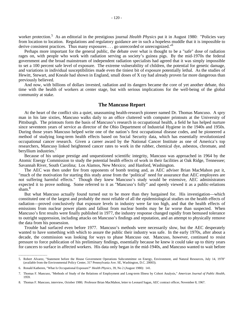worker protection.<sup>5</sup> As an editorial in the prestigious journal *Health Physics* put it in August 1980: "Policies vary from location to location. Regulations and regulatory guidance are in such a hopeless muddle that it is impossible to derive consistent practices. Thus many exposures . . . go unrecorded or unrecognized."<sup>6</sup>

Perhaps more important for the general public, the debate over what is thought to be a "safe" dose of radiation rages on, with people who work with radiation serving as society's guinea pigs. By the mid-1970s the federal government and the broad mainstream of independent radiation specialists had agreed that it was simply impossible to set a 100 percent safe level of exposure. The extreme vulnerability of children, the potential for genetic damage, and variations in individual susceptibilities made even the tiniest bit of exposure potentially lethal. As the studies of Hewitt, Stewart, and Kneale had shown in England, small doses of X ray had already proven far more dangerous than previously believed.

And now, with billions of dollars invested, radiation and its dangers became the core of yet another debate, this time with the health of workers at center stage, but with serious implications for the well-being of the global community at stake.

#### **The Mancuso Report**

At the heart of the conflict sits a quiet, unassuming health-research pioneer named Dr. Thomas Mancuso. A spry man in his late sixties, Mancuso walks daily to an office cluttered with computer printouts at the University of Pittsburgh. The printouts form the basis of Mancuso's research in occupational health, a field he has helped nurture since seventeen years of service as director of the Ohio Department of Industrial Hygiene in the 1940s and 1950s. During those years Mancuso helped write one of the nation's first occupational disease codes, and he pioneered a method of studying long-term health effects based on Social Security data, which has essentially revolutionized occupational cancer research. Given a career award by the National Cancer Institute as one of America's top researchers, Mancuso linked heightened cancer rates to work in the rubber, chemical dye, asbestos, chromate, and beryllium industries.<sup>7</sup>

Because of his unique prestige and unquestioned scientific integrity, Mancuso was approached in 1964 by the Atomic Energy Commission to study the potential health effects of work in their facilities at Oak Ridge, Tennessee; Savannah River, South Carolina; Los Alamos, New Mexico; and Hanford, Washington.

The AEC was then under fire from opponents of bomb testing and, as AEC adviser Brian MacMahon put it, "much of the motivation for starting this study arose from the 'political' need for assurance that AEC employees are not suffering harmful effects." Though they knew Mancuso's study would be extensive, AEC administrators expected it to prove nothing. Some referred to it as "Mancuso's folly" and openly viewed it as a public-relations sham.<sup>8</sup>

But what Mancuso actually found turned out to be more than they bargained for. His investigation—which constituted one of the largest and probably the most reliable of all the epidemiological studies on the health effects of radiation—proved conclusively that exposure levels in industry were far too high, and that the health effects of emissions from nuclear power plants and fallout from nuclear bombs may be far worse than suspected. When Mancuso's first results were finally published in 1977, the industry response changed rapidly from bemused tolerance to outright suppression, including attacks on Mancuso's findings and reputation, and an attempt to physically remove the data from his possession.

Trouble had surfaced even before 1977. Mancuso's methods were necessarily slow, but the AEC desperately wanted to have something with which to assure the public their industry was safe. In the early 1970s, after about a decade, the commission was looking for ways to phase Mancuso out. Mancuso, however, continued to resist pressure to force publication of his preliminary findings, essentially because he knew it could take up to thirty years for cancers to surface in affected workers. His data only began in the mid-1940s, and Mancuso wanted to wait before

<sup>5.</sup> Robert Alvarez, "Statement before the House Government Operations Subcommittee on Energy, Environment, and Natural Resources, July 14, 1978" (available from the Environmental Policy Center, 317 Pennsylvania Ave. SE, Washington, D.C. 20003).

<sup>6.</sup> Ronald Katheren, "What Is Occupational Exposure?" *Health Physics,* 39, No 2 (August 1980): 141.

<sup>7.</sup> Thomas F. Mancuso, "Methods of Study of the Relations of Employment and Long-term Illness by Cohort Analysis," *American Journal of Public Health,* 1959.

<sup>8.</sup> Thomas F. Mancuso, interview, October 1980; Professor Brian MacMahon, letter to Leonard Sagan, AEC contract officer, November 8, 1967.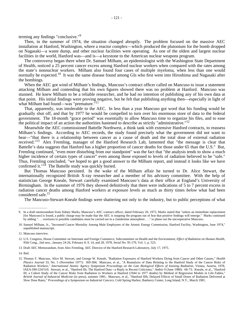terming any findings "conclusive."<sup>9</sup>

Then, in the summer of 1974, the situation changed abruptly. The problem focused on the massive AEC installation at Hanford, Washington, where a reactor complex—which produced the plutonium for the bomb dropped on Nagasaki—a waste dump, and other nuclear facilities were operating. As one of the oldest and largest nuclear facilities in the world, Hanford was—and is—a keystone to the American nuclear weapons program.

The controversy began there when Dr. Samuel Milham, an epidemiologist with the Washington State Department of Health, noticed a 25 percent cancer excess among Hanford nuclear workers when compared with the rates among the state's nonnuclear workers. Milham also found four cases of multiple myeloma, when less than one would normally be expected.<sup>10</sup> It was the same disease found among GIs who first went into Hiroshima and Nagasaki after the bombings.

When the AEC got wind of Milham's findings, Mancuso's contract officer called on Mancuso to issue a statement attacking Milham and contending that his own figures showed there was no problem at Hanford. Mancuso was stunned. He knew Milham to be a reliable researcher, and he had no intention of publishing any of his own data at that point. His initial findings were proving negative, but he felt that publishing anything then—especially in light of what Milham had found—was "premature."<sup>11</sup>

That, apparently, was intolerable to the AEC. In less than a year Mancuso got word that his funding would be gradually shut off, and that by 1977 he would be compelled to turn over his enormous store of data to the federal government. The 18-month "grace period" was essentially to allow Mancuso time to organize his files, and to ease the political impact of an action the authorities hastened to describe as strictly "administrative."<sup>12</sup>

Meanwhile the AEC commissioned Battelle Northwest, a think tank with extensive Hanford contracts, to reassess Milham's findings. According to AEC records, the study found precisely what the government did not want to hear—"that there is a relationship between cancer as a cause of death and the total dose of external radiation received."<sup>13</sup> Alex Fremling, manager of the Hanford Research Lab, lamented that "the message is clear that Battelle's data suggests that Hanford has a higher proportion of cancer deaths for those under 65 than the U.S." But, Fremling continued, "even more disturbing from our standpoint" was the fact that "the analysis tends to show a much higher incidence of certain types of cancer" even among those exposed to levels of radiation believed to be "safe." Thus, Fremling concluded, "we hoped to get a good answer to the Milham report, and instead it looks like we have confirmed it." $^{14}$  The Battelle study was quickly buried.

But Thomas Mancuso persisted. In the wake of the Milham affair he turned to Dr. Alice Stewart, the internationally recognized British X-ray researcher and a member of his advisory committee. With the help of statistician George Kneale, Stewart carefully examined Mancuso's data at their office at England's University of Birmingham. In the summer of 1976 they showed definitively that there were indications of 5 to 7 percent excess in radiation cancer deaths among Hanford workers at exposure levels as much as thirty times *below* what had been considered safe.15

The Mancuso-Stewart-Kneale findings were shattering not only to the industry, but to public perceptions of what

<sup>9.</sup> In a draft memorandum from Sidney Marks, Mancuso's AEC contract officer, dated February 20, 1973, Marks stated that "unless an immediate replacement [for Mancuso] is found, a public charge may be made that the AEC is stopping the program out of fear that positive findings will emerge." Marks continued by adding ". . . overtures to possible candidates must be carried out in a clandestine atmosphere . . ." to phase out the uncooperative Mancuso.

<sup>10.</sup> Samuel Milham, Jr., "Increased Cancer Mortality Among Male Employees of the Atomic Energy Commission, Hanford Facility, Washington, June 1974," unpublished manuscript.

<sup>11.</sup> Mancuso interview.

<sup>12.</sup> U.S. Congress, House Committee on Interstate and Foreign Commerce, Subcommittee on Health and the Environment, *Effect of Radiation on Human Health,* 95th Cong., 2nd sess., January 24-26, February 8, 9, 14, and 28, 1978, Serial No. 95-179, Vol. 1, p. 523.

<sup>13.</sup> Draft AEC Memorandum, from Alex Fremling, AEC Director of the Hanford Research Laboratory, July 17, 1975.

<sup>14.</sup> Ibid.

<sup>15.</sup> Thomas F. Mancuso, Alice M. Stewart, and George W. Kneale, "Radiation Exposures of Hanford Workers Dying from Cancer and Other Causes," *Health Physics Journal* 33, No. 5 (November 1977): 369-384; Mancuso, et al., "A Reanalysis of Data Relating to the Hanford Study of the Cancer Risks of Radiation Workers," *International Atomic Agency Symposium Proceedings on the Late Biological Effects of Ionizing Radiation,* Vienna, Austria, 1978, IAEA-SM-224/510; Stewart, et al., "Hanford IIb, The Hanford Data—a Reply to Recent Criticisms," *Ambio* 9 (June 1980): 66-73; Kneale, et al., "Hanford III, a Cohort Study of the Cancer Risks from Radiation to Workers at Hanford (1944 to 1977 deaths) by Method of Regression Models in Life-Tables," *British Journal of Industrial Medicine* (in press), summer 1981; Mancuso, et al., "Hanford IIIb, Delayed Effects of Small Doses of Radiation Delivered at Slow Dose Rates," *Proceedings of a Symposium on Industrial Cancers,* Cold Spring Harbor, Banberry Center, Long Island, N.Y., March 1981.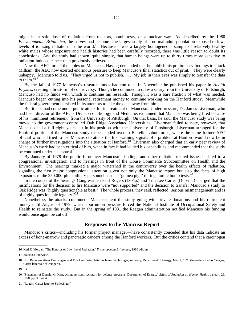might be a safe dose of radiation from reactors, bomb tests, or a nuclear war. As described by the 1980 *Encyclopaedia Britannica,* the survey had become "the largest study of a normal adult population exposed to lowlevels of ionizing radiation" in the world.<sup>16</sup> Because it was a largely homogeneous sample of relatively healthy white males whose exposure and health histories had been carefully recorded, there was little reason to doubt its conclusions. And the study had shown, quite simply, that human beings were up to thirty times more sensitive to radiation-induced cancer than previously believed.

Now the AEC turned the tables on Mancuso. Having demanded that he publish his preliminary findings to attack Milham, the AEC now exerted enormous pressure to keep Mancuso's final statistics out of print. "They were clearly unhappy," Mancuso told us. "They urged us not to publish. . . . My job in their eyes was simply to transfer the data to them."<sup>17</sup>

By the fall of 1977 Mancuso's research funds had run out. In November he published his paper in *Health Physics,* creating a firestorm of controversy. Though he continued to draw a salary from the University of Pittsburgh, Mancuso had no funds with which to continue his research. Though it was a bare fraction of what was needed, Mancuso began cutting into his personal retirement money to continue working on the Hanford study. Meanwhile the federal government persisted in its attempts to take the data away from him.

But it also had come under public attack for its treatment of Mancuso. Under pressure, Dr. James Liverman, who had been director of the AEC's Division of Biology and Medicine, explained that Mancuso was being fired because of his "imminent retirement" from the University of Pittsburgh. On that basis, he said, the Mancuso study was being moved to the government-controlled Oak Ridge Associated Universities. Liverman failed to note, however, that Mancuso had a full eight years left in his position with the University of Pittsburgh. Liverman arranged for the Hanford portion of the Mancuso study to be handed over to Battelle Laboratories, where the same former AEC official who had tried to use Mancuso to attack the first warning signals of a problem at Hanford would now be in charge of further investigations into the situation at Hanford.<sup>18</sup> Liverman also charged that an early peer review of Mancuso's work had been critical of him, when in fact it had lauded his capabilities and recommended that the study be continued under his control.<sup>19</sup>

By January of 1978 the public furor over Mancuso's findings and other radiation-related issues had led to a congressional investigation and to hearings in front of the House Commerce Subcommittee on Health and the Environment. The hearings marked a major watershed in the controversy over the health effects of radiation, signaling the first major congressional attention given not only the Mancuso report but also the facts of high exposures to the  $250,000$ -plus military personnel used as "guinea pigs" during atomic bomb tests.<sup>20</sup>

In the course of the hearings Congressmen Paul Rogers (D-Fla.) and Tim Lee Carter (D-Tenn.) charged that the justifications for the decision to fire Mancuso were "not supported" and the decision to transfer Mancuso's study to Oak Ridge was "highly questionable at best." The whole process, they said, reflected "serious mismanagement and is of highly questionable legality." $^{21}$ 

Nonetheless the attacks continued. Mancuso kept the study going with private donations and his retirement money until August of 1979, when labor-union pressure forced the National Institute of Occupational Safety and Health to reinstate the study. But in the spring of 1981 the Reagan administration notified Mancuso his funding would once again be cut off.

#### **Responses to the Mancuso Report**

Mancuso's critics—including his former project manager—have consistently conceded that his data indicate an excess of bone-marrow and pancreatic cancers among the Hanford workers. But the critics contend that a carcinogen

<sup>16.</sup> Karl Z. Morgan, "The Hazards of Low-Level Radiation," *Encyclopaedia Britannica,* 1980 edition.

<sup>17.</sup> Mancuso interview.

<sup>18.</sup> U.S. Representatives Paul Rogers and Tim Lee Carter, letter to James Schlesinger, secretary, Department of Energy, May 4, 1978 (hereafter cited as "Rogers, Carter letter to Schlesinger").

<sup>19.</sup> Ibid.

<sup>20. &</sup>quot;Statement of Donald M. Kerr, acting assistant secretary for defense programs, Department of Energy," *Effect of Radiation on Human Health,* January 26, 1978, pp. 331-404.

<sup>21. &</sup>quot;Rogers, Carter letter to Schlesinger."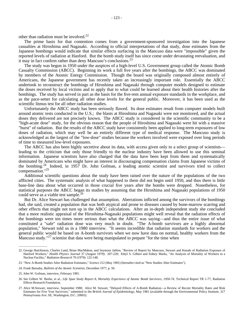The prime basis for that contention comes from a government-sponsored investigation into the Japanese casualties at Hiroshima and Nagasaki. According to official interpretations of that study, dose estimates from the Japanese bombings would indicate that similar effects surfacing in the Mancuso data were "impossible" given the reported levels of radiation at Hanford. But the bomb study itself has since come under devastating reevaluation, and it may in fact confirm rather than deny Mancuso's conclusions. $^{23}$ 

The study was begun in 1950 under the auspices of a high-level U.S. Government group called the Atomic Bomb Casualty Commission (ABCC). Beginning its work a full five years after the bombings, the ABCC was dominated by members of the Atomic Energy Commission. Though the board was originally composed almost entirely of Americans, the Japanese government has recently taken an increasingly important role. Essentially the ABCC undertook to reconstruct the bombings of Hiroshima and Nagasaki through computer models designed to estimate the doses received by local victims and to apply that to what could be learned about their health histories after the bombings. The study has served in part as the basis for the five-rem annual exposure standards in the workplace, and as the pace-setter for calculating all other dose levels for the general public. Moreover, it has been used as the scientific litmus test for all other radiation studies.

Unfortunately the ABCC study has been seriously flawed. Its dose estimates result from computer models built around atomic tests conducted in the U.S.; the blasts at Hiroshima and Nagasaki were not monitored, and the actual doses they delivered are not precisely known. The ABCC study is considered in the scientific community to be a "high-acute dose" study, for the obvious reason that the people of Hiroshima and Nagasaki were hit with a massive "burst" of radiation. But the results of the ABCC study have consistently been applied to long-term exposures of low doses of radiation, which may well be an entirely different type of medical response. The Mancuso study is acknowledged as the largest of the "low-dose" studies because the workers involved were exposed over long periods of time to measured low-level exposures.

The ABCC has also been highly secretive about its data, with access given only to a select group of scientists leading to the criticism that only those friendly to the nuclear industry have been allowed to use this seminal information. Japanese scientists have also charged that the data have been kept from them and systematically dominated by Americans who might have an interest in discouraging compensation claims from Japanese victims of the bombing.<sup>24</sup> Indeed, in 1957 Dr. John Gofman, a leading atomic scientist and survivors tried to collect compensation."<sup>25</sup>

Additional scientific questions about the study have been raised over the nature of the populations of the two afflicted cities. The systematic analysis of what happened to them did not begin until 1950, and thus there is little base-line data about what occurred in those crucial five years after the bombs were dropped. Nonetheless, for statistical purposes the ABCC began its studies by assuming that the Hiroshima and Nagasaki populations of 1950 could serve as a viable test sample.<sup>26</sup>

But Dr. Alice Stewart has challenged that assumption. Aberrations inflicted among the survivors of the bombings had, she said, created a population that was both atypical and prone to diseases caused by bone-marrow scarring and other effects that might not turn up in the ABCC calculations. After an in-depth independent study she concluded that a more realistic appraisal of the Hiroshima-Nagasaki populations might well reveal that the radiation effects of the bombings were ten times more serious than what the ABCC was saying—and thus the entire issue of what constituted a "safe" radiation dose was very much in doubt. "The A-bomb survivors are a highly abnormal population," Stewart told us in a 1980 interview. "It seems incredible that radiation standards for workers and the general public would be based on A-bomb survivors when we now have data on normal, healthy workers from the Mancuso study."<sup>27</sup> scientist that data were being manipulated to prepare "for the time when

<sup>22.</sup> George Hutchinson, Charles Land, Brian MacMahon, and Seymour Jablon, "Review of Report by Mancuso, Stewart and Kneale of Radiation Exposure of Hanford Workers," *Health Physics Journal* 37 (August 1979): 207-220; Ethyl S. Gilbert and Sidney Marks, "An Analysis of Mortality of Workers in a Nuclear Facility," *Radiation Research* 79 (1979): 122-148.

<sup>23. &</sup>quot;New A-Bomb Studies Alter Radiation Estimates," *Science* 212 (May 1981) (hereafter cited as "New Studies Alter Estimates").

<sup>24.</sup> Frank Barnaby, *Bulletin of the Atomic Scientists,* December 1977, p. 50.

<sup>25.</sup> John W. Gofman, interview, February 1981.

<sup>26.</sup> See Gilbert W. Beebe, et al., *Life Span Study Report 8, Mortality Experience of Atomic Bomb Survivors, 1950-74,* Technical Report TR 1-77, Radiation Effects Research Foundation.

<sup>27.</sup> Alice M.Stewart, interview, September 1980; Alice M. Stewart, "Delayed Effects of A-Bomb Radiation—a Review of Recent Mortality Rates and Risk Estimates for Five Year Survivors," submitted to the *British Journal of Epidemiology,* May 1981 (available through the Environmental Policy Institute, 317 Pennsylvania Ave. SE, Washington, D.C. 20003).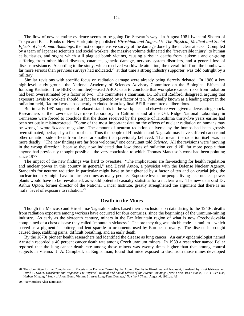The flow of new scientific evidence seems to be going Dr. Stewart's way. In August 1981 Iwanami Shoten of Tokyo and Basic Books of New York jointly published *Hiroshima and Nagasaki: The Physical, Medical and Social Effects of the Atomic Bombings,* the first comprehensive survey of the damage done by the nuclear attacks. Compiled by a team of Japanese scientists and social workers, the massive volume delineated the "irreversible injury" to human cells, tissues, and organs which still plagued bomb victims, causing a rise in deaths from leukemia and on-going suffering from other blood diseases, cataracts, genetic damage, nervous system disorders, and a general loss of disease-resistance. According to the study, which received worldwide attention, the overall toll from the bombs was far more serious than previous surveys had indicated.<sup>28</sup> at that time a strong industry supporter, was told outright by a military

Similar revisions with specific focus on radiation damage were already being fiercely debated. In 1980 a key high-level study group—the National Academy of Sciences Advisory Committee on the Biological Effects of Ionizing Radiation (the BEIR committee)—used ABCC data to conclude that workplace cancer risks from radiation had been overestimated by a factor of two. The committee's chairman, Dr. Edward Radford, disagreed, arguing that exposure levels to workers should in fact be tightened by a factor of ten. Nationally known as a leading expert in the radiation field, Radford was subsequently excluded from key final BEIR committee deliberations.

But in early 1981 supporters of relaxed standards in the workplace and elsewhere were given a devastating shock. Researchers at the Lawrence Livermore Laboratory in California and at the Oak Ridge National Laboratory in Tennessee were forced to conclude that the doses received by the people of Hiroshima thirty-five years earlier had been seriously misinterpreted. "Some of the most important data on the effects of nuclear radiation on humans may be wrong," wrote *Science* magazine. The amount of neutron radiation delivered by the bombs had been grossly overestimated, perhaps by a factor of ten. Thus the people of Hiroshima and Nagasaki may have suffered cancer and other radiation side effects from doses far smaller than previously believed. That meant the radiation itself was far more deadly. "The new findings are far from welcome," one consultant told *Science*. All the revisions were "moving in the wrong direction" because they now indicated that low doses of radiation could kill far more people than anyone had previously thought possible—the very conclusion to which Thomas Mancuso's work had been pointing since 1977.

The impact of the new findings was hard to overstate. "The implications are far-reaching for health regulation and nuclear power in this country in general," said David Auton, a physicist with the Defense Nuclear Agency. Standards for neutron radiation in particular might have to be tightened by a factor of ten and on crucial jobs, the nuclear industry might have to hire ten times as many people. Exposure levels for people living near nuclear power plants would have to be reevaluated, as would potential casualty statistics for a nuclear war. The new data said Dr. Arthur Upton, former director of the National Cancer Institute, greatly strengthened the argument that there is no "safe" level of exposure to radiation.<sup>29</sup>

#### **Death in the Mines**

Though the Mancuso and Hiroshima/Nagasaki studies based their conclusions on data dating to the 1940s, deaths from radiation exposure among workers have occurred for four centuries, since the beginnings of the uranium-mining industry. As early as the sixteenth century, miners in the Erz Mountain region of what is now Czechoslovakia complained of a chest disease they called "mountain sickness." The ore they dug was pitchblende—uranium—which served as a pigment in pottery and lent sparkle to ornaments used by European royalty. The disease it brought caused deep, stabbing pains, difficult breathing, and an early death.

By the 1870s pioneer health researchers had identified the disease as lung cancer. An early epidemiologist named Arnstein recorded a 40 percent cancer death rate among Czech uranium miners. In 1939 a researcher named Peller reported that the lung-cancer death rate among those miners was twenty times higher than that among control subjects in Vienna. J. A. Campbell, an Englishman, found that mice exposed to dust from those mines developed

hhhhhhhhhhhhhhhhhhhhhhhhhhhhhhhhhhhhhhhhhhhhhhhhhhhhhhhhhhhhhhhhhhhhhhhhhhhhhhhhhhhhhhhhhhhhhhhhhhhhhhhhhhhhhhhhhhhhhhhhhhhhhhhhhh

<sup>28.</sup> The Committee for the Compilation of Materials on Damage Caused by the Atomic Bombs in Hiroshima and Nagasaki, translated by Eisei Ishikawa and David L. Swain, *Hiroshima and Nagasaki The Physical, Medical and Social Effects of the Atomic Bombings* (New York: Basic Books, 1981). See also, Herbert Mitgang, "Study of Atom Bomb Victims Stresses Long-Term Damage," *New York Times,* August 6, 1981, p. A8.

<sup>29. &</sup>quot;New Studies Alter Estimates."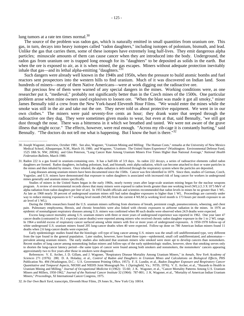lung tumors at a rate ten times normal.<sup>30</sup>

hh<del>ahaa ka badaa ka badaa ka badaa ka badaa ka badaa ka badaa ka badaa ka badaa ka badaa ka badaa ka badaa ka b</del>

The source of the problem was radon gas, which is naturally emitted in small quantities from uranium ore. This gas, in turn, decays into heavy isotopes called "radon daughters," including isotopes of polonium, bismuth, and lead. Unlike the gas that carries them, some of these isotopes have extremely long half-lives. They emit dangerous alpha particles; minuscule amounts of them can cause cancer when they are introduced into the body. Underground, the radon gas from uranium ore is trapped long enough for its "daughters" to be deposited as solids in the earth. But when the ore is exposed to air, as it is when mined, the gas escapes. Miners without adequate protection inevitably inhale that gas—and its lethal alpha-emitting "daughters."<sup>31</sup>

Such dangers were already well known in the 1940s and 1950s, when the pressure to build atomic bombs and fuel reactors sent prospectors into the western hills to find uranium. Much of it was discovered on Indian land. Soon hundreds of miners—many of them Native Americans—were at work digging out the radioactive ore.

But precious few of them were warned of any special dangers in the mines. Working conditions were, as one researcher put it, "medieval," probably not significantly better than in the Czech mines of the 1500s. One particular problem arose when mine owners used explosives to loosen ore. "When the blast was made it got all smoky," miner James Bennally told a crew from the New York-based Eleventh Hour Films. "We would enter the mines while the smoke was still in the air and take out the ore. They never told us about protective equipment. We went in in our own clothes." The miners were paid seventy-five cents an hour; they drank water that seeped through the radioactive ore they dug. They were sometimes given masks to wear, but even at that, said Bennally, "we still got dust through the nose. There was a bitterness in it which we breathed and tasted. We were not aware of the grave illness that might occur." The effects, however, were real enough. "Across my rib-cage it is constantly hurting," said Bennally. "The doctors do not tell me what is happening. But I know the hurt is there."<sup>32</sup>

<sup>30.</sup> Joseph Wagoner, interview, October 1981. See also, Wagoner, "Uranium Mining and Milling: The Human Costs," remarks at the University of New Mexico Medical School, Albuquerque, N.M., March 10, 1980; and Wagoner, "Uranium: The United States Experience" (Washington: Environmental Defense Fund, 1525 18th St. NW, 20036); and Glen Peterson, "Lung Cancer Rate Among Uranium Miners Five Times Higher than National Average," *National Health Federation Bulletin,* March 1980.

<sup>31.</sup> Radon 222 is a gas found in uranium-containing ores. It has a half-life of 3.9 days. As radon 222 decays, a series of radioactive elements called radon daughters are formed. Radon daughters, including polonium, lead, and bismuth, emit alpha radiation, which can become attached to dust or water particles in the mines and then inhaled by miners. Once inhaled, the alpha radiation is delivered through the respiratory system where the particles are deposited.

Lung diseases among uranium miners have been documented since the 1500s. Cancer was first identified in 1879. Since then, studies of German, Czech, Yugoslav, and U.S. miners have demonstrated that exposure to radon daughters is associated with increased risk of lung cancer for workers in underground mines generally and uranium mines specifically.

Studies of miners in the United States began in the early 1960s, nearly twenty years after large-scale uranium mining began for the nuclear weapons program. A review of environmental records shows that many miners were exposed to radon levels greater than one working level (WL) (1.3 X 10°5 MeV of alpha radiation from radon daughters per liter of air). In 1955 health officials and scientists recommended that radon levels in mines be no greater than 1 WL. As late as 1968 nearly 30 percent of underground uranium mines still had radon daughter exposures to higher than 1 WL. Proceedings are currently under way to reduce mining exposures to 0.7 working level month (WLM) from the current 4 WLM (a working level month is 173 hours per month exposure to an air level of 1 WL).

During the 1960s researchers found the U.S. uranium miners suffering from shortness of breath, persistent cough, pneumoconiosis, wheezing, and chest pain. Pulmonary emphysema, fibrosis, and chronic bronchitis were also linked with chronic exposures to airborne radiation in the mines. In 1976 an epidemic of nonmalignant respiratory diseases among U.S. miners was confirmed when 80 such deaths were observed when 24.9 deaths were expected.

Excess lung-cancer mortality among U.S. uranium miners with three or more years of underground experience was reported in 1962. One year later 47 cancer deaths (contrasted to 16.1 expected cancer deaths) were reported among miners who received chronic radon daughter exposure in the 1 to 2 WL range. In 1964 a tenfold excess of respiratory cancer surfaced among white miners with five or more years of underground exposures. A 1950-1978 follow-up of white underground U.S. uranium miners found 205 lung-cancer deaths when 40 were expected. Follow-up done on 780 American Indian miners found 11 deaths when 2.6 lung-cancer deaths were expected.

Early epidemiologic studies found that the histologic cell type of lung cancer among U.S. miners was the small cell undifferentiated type, very different from the type found in the general population. Later studies, however, have found three types—epidermoid, small cell undifferentiated, and adenomatus prevalent among uranium miners. The early studies also indicated that uranium miners who smoked were more apt to develop cancers than nonsmokers. Recent studies of lung cancer among nonsmoking Indian miners and follow-ups of the early epidemiologic studies, however, show that smoking serves only to shorten the lung-cancer latency period—the same types of cancer were found among both smokers and nonsmokers, the nonsmokers' cancers appearing approximately two to five years after those in smokers were diagnosed.

References: V. E. Archer, J. D. Gillam, and J. Wagoner, "Respiratory Disease Mortality Among Uranium Miners," in *Annals, New York Academy of Sciences* 271 (1976): 280; D. A. Holaday, et al., *Control of Radon and Daughters in Uranium Mines and Calculations on Biological Effects,* PHS Publication No. 494 (Washington, D.C.: U.S. Government Printing Office, 1957); F. E. Lundin, et al., *Radon Daughter Exposure and Respiratory Cancer Quantitative and Temporal Aspects,* NIOSH and NIEHS Joint Monograph No. 1 (Springfield, Va.; NTIS, 1976); V. E. Archer, et al., "Hazards to Health in Uranium Mining and Milling," *Journal of Occupational Medicine* 4 (1962): 55-60; J. K. Wagoner, et al., "Cancer Mortality Patterns Among U.S. Uranium Miners and Millers, 1950-1962," *Journal of the National Cancer Institute* 32 (1964): 787-801; J. K. Wagoner, et al., "Mortality of American Indian Uranium Miners," *Proceedings,* XI International Cancer Congress, 1975.

<sup>32.</sup> *In Our Own Back Yard,* transcripts, Eleventh Hour Films, 29 Jones St., New York City 10014.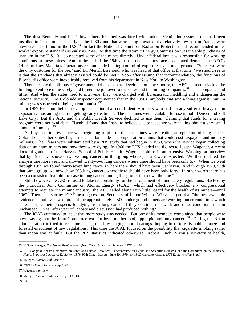The dust Bennally and his fellow miners breathed was laced with radon. Ventilation systems that had been installed in Czech mines as early as the 1930s, and that were being operated at a relatively low cost in France, were nowhere to be found in the U.S.<sup>33</sup> In fact the National Council on Radiation Protection had recommended mineworker exposure standards as early as 1941. At that time the Atomic Energy Commission was the sole purchaser of uranium in the U.S. It also operated some of the mines directly. Under federal law it was responsible for working conditions in those mines. And at the end of the 1940s, as the nuclear arms race accelerated demand, the AEC's Office of Raw Materials Operations recommended taking control of exposure levels underground. "Since we were the only customer for the ore," said Dr. Merrill Eisenbud, who was head of that office at that time, "we should see to it that the standards that already existed could be met." Soon after issuing that recommendation, the functions of Eisenbud's office were inexplicably removed from his department in New York to Washington.

Then, despite the billions of government dollars spent to develop atomic weaponry, the AEC claimed it lacked the funding to enforce mine safety, and turned the job over to the states and the mining companies.<sup>34</sup> The companies did little. And when the states tried to intervene, they were charged with bureaucratic meddling and endangering the national security. One Colorado inspector commented that in the 1950s "anybody that said a thing against uranium mining was suspected of being a communist."<sup>35</sup>

In 1967 Eisenbud helped develop a machine that could identify miners who had already suffered heavy radon exposures, thus aiding them in getting early treatment. The machines were available for use in both Denver and Salt Lake City. But the AEC and the Public Health Service declined to use them, claiming that funds for a testing program were not available. Eisenbud found that "hard to believe . . . because we were talking about a very small amount of money."<sup>36</sup>

And by that time evidence was beginning to pile up that the mines were creating an epidemic of lung cancer. Colorado and other states began to fear a landslide of compensation claims that could cost taxpayers and industry millions. Their fears were substantiated by a PHS study that had begun in 1950, when the service began collecting data on uranium miners and how they were dying. In 1960 the PHS handed the figures to Joseph Wagoner, a recent doctoral graduate of the Harvard School of Public Health. Wagoner told us in an extensive Washington interview that by 1964 "we showed twelve lung cancers in this group where just 2.8 were expected. We then updated the analysis one more year, and showed twenty-two lung cancers where there should have been only 5.7. When we went through 1965 we found thirty-seven lung cancers where there should have been just seven. And through 1978, with that same group, we now show 205 lung cancers where there should have been only forty. In other words there has been a consistent fivefold increase in lung cancer among this group right down the line."<sup>37</sup>

Still, however, the AEC refused to take responsibility for the enforcement of mine-safety regulations. Backed by the pronuclear Joint Committee on Atomic Energy (JCAE), which had effectively blocked any congressional attempts to regulate the mining industry, the AEC sailed along with little regard for the health of its miners—until 1967. Then, at a stormy JCAE hearing session, Secretary of Labor Willard Wirtz charged that "the best available evidence is that over two-thirds of the approximately 2,500 underground miners are working under conditions which at least triple their prospects for dying from lung cancer if they continue this work and these conditions remain unchanged." Year after year of "debate and discussion had produced nothing."<sup>38</sup>

The JCAE continued to insist that more study was needed. But one of its members complained that people were now "saying that the Joint Committee was for love, motherhood, apple pie and lung cancer."<sup>39</sup> During the Nixon administration it tried to recapture lost ground by staging more hearings, hoping to restore its public image and forestall enactment of new regulations. This time the JCAE focused on the possibility that cigarette smoking rather than radon was at fault. But the PHS statistics indicated otherwise. Robert Finch, Nixon's secretary of health,

<sup>33.</sup> H. Peter Metzger, *The Atomic Establishment* (New York: Simon and Schuster, 1972), p. 120.

<sup>34.</sup> U.S. Congress, Senate Committee on Labor and Human Resources, Subcommittee on Health and Scientific Research, and the Committee on the Judiciary, *Health Impact of Low-Level Radiation, 1979,* 96th Cong., 1st sess., June 19, 1979, pp. 19-23 (hereafter cited as *1979 Radiation Hearings*.)

<sup>35.</sup> Metzger, *Atomic Establishment*.

<sup>36.</sup> *1979 Radiation Hearings,* pp. 19-23.

<sup>37.</sup> Wagoner interview.

<sup>38.</sup> Metzger, *Atomic Establishment,* pp. 131-133.

<sup>39.</sup> Ibid.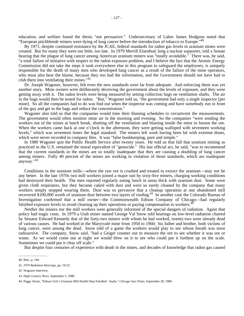education, and welfare found the thesis "not persuasive." Undersecretary of Labor James Hodgson noted that "European pitchblende miners were dying of lung cancer before the introduction of tobacco to Europe."<sup>40</sup>

By 1971, despite continued resistance by the JCAE, federal standards for radon gas levels in uranium mines were created. But for many they were too little, too late. In 1979 Merrill Eisenbud, long a nuclear supporter, told a Senate hearing that the plague of lung cancer among American uranium miners was "totally avoidable." There was, he said, "a total failure of initiative with respect to the radon exposure problem, and I believe the fact that the Atomic Energy Commission did not take the steps it took everywhere else in this program to safeguard the employees, is uniquely responsible for the death of many men who developed lung cancer as a result of the failure of the mine operators, who must also bear the blame, because they too had the information, and the Government should not have had to club them into ventilating their mines."<sup>41</sup>

Dr. Joseph Wagoner, however, felt even the new standards were far from adequate. And enforcing them was yet another story. Mine owners were deliberately deceiving the government about the levels of exposure, and they were getting away with it. The radon levels were being measured by setting collection bags on ventilation shafts. The air in the bags would then be tested for radon. "But," Wagoner told us, "the government had only a single inspector [per mine]. So all the companies had to do was find out when the inspector was coming and have somebody run in front of the guy and get to the bags and reduce the concentration."

Wagoner also told us that the companies would time their blasting schedules to circumvent the measurements. The government would often monitor mine air in the morning and evening. So the companies "were sending the workers out of the mines at lunch break, shutting off the ventilation and blasting inside the mine to loosen the ore. When the workers came back at one o'clock in the afternoon, they were getting walloped with seventeen working levels," which was seventeen times the legal standard. The miners left work having been hit with extreme doses, which were never recorded in company files. It was "false bookkeeping, pure and simple."

In 1980 Wagoner quit the Public Health Service after twenty years. He told us that fall that uranium mining as practiced in the U.S. remained the moral equivalent of "genocide." His last official act, he said, "was to recommend that the current standards in the mines are so totally inadequate that they are causing a doubling of lung cancer among miners. Fully 40 percent of the mines are working in violation of those standards, which are inadequate anyway." $42$ 

Conditions in the uranium mills—where the raw ore is crushed and treated to extract the uranium—may not be any better. In the late 1970s two mill workers joined a major suit by sixty-five miners, charging working conditions had destroyed their health. The men reported regularly eating lunch in areas thick with uranium dust. Some were given cloth respirators, but they became caked with dust and were so rarely cleaned by the company that many workers simply stopped wearing them. Dust was so pervasive that a cleanup operation at one abandoned mill recovered \$100,000 worth of uranium dust between two layers of roofing.<sup>43</sup> In another case the Colorado Bureau of Investigation confirmed that a mill owner—the Commonwealth Edison Company of Chicago—had regularly falsified exposure levels to avoid cleaning up their operations or paying compensation to workers.<sup>44</sup>

Neither the miners nor the mill workers were generally informed of the special dangers of radiation. Again that policy had tragic costs. In 1979 a Utah miner named George Val Snow told hearings on low-level radiation chaired by Senator Edward Kennedy that of the forty-two miners with whom he had worked, twenty-two were already dead of various causes. He had worked in the Marysvale mine from 1950 to 1960; his father and brother, both victims of lung cancer, were among the dead. Snow told of a game the workers would play to see whose breath was most radioactive. The company, Snow said, "had a Geiger counter out to measure the ore to see whether it was ore or waste. As we would come out at night we would blow on it to see who could put it furthest up on the scale. Sometimes we could put it clear off scale."

But despite four centuries of experience with death in the mines, and decades of knowledge that radon gas caused

<sup>40.</sup> Ibid., p. 140.

<sup>41.</sup> *1979 Radiation Hearings,* pp. 19-23.

<sup>42.</sup> Wagoner interview.

<sup>43.</sup> *High Country News,* September 5, 1980.

<sup>44.</sup> Peggy Strain, "Edison Unit's Uranium Mill Health Data Falsified: Study," *Chicago Sun-Times,* September 28, 1980.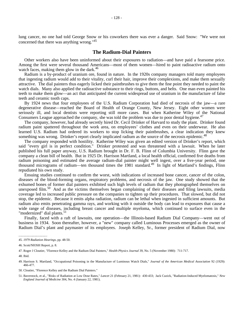lung cancer, no one had told George Snow or his coworkers there was ever a danger. Said Snow: "We were not concerned that there was anything wrong."45

#### **The Radium-Dial Painters**

Other workers also have been uninformed about their exposures to radiation—and have paid a fearsome price. Among the first were several thousand Americans—most of them women—hired to paint radioactive radium onto watch faces, making them glow in the dark. $46$ 

Radium is a by-product of uranium ore, found in nature. In the 1920s company managers told many employees that ingesting radium would add to their vitality, curl their hair, improve their complexions, and make them sexually attractive. The dial painters thus eagerly licked their paintbrushes to give them the fine point they needed to paint the watch dials. Many also applied the radioactive substance to their rings, buttons, and belts. One man even painted his teeth to make them glow—an act that anticipated the current widespread use of uranium in the manufacture of false teeth and ceramic tooth caps.

By 1924 news that four employees of the U.S. Radium Corporation had died of necrosis of the jaw—a rare degenerative disease—reached the Board of Health of Orange County, New Jersey. Eight other women were seriously ill, and local dentists were reporting still more cases. But when Katherine Wiley of the National Consumers League approached the company, she was told the problem was due to poor dental hygiene. $47$ 

The company, however, had already secretly hired Dr. Cecil Drinker of Harvard to study the plant. Drinker found radium paint spattered throughout the work area, on employees' clothes and even on their underwear. He also learned U.S. Radium had ordered its workers to stop licking their paintbrushes, a clear indication they knew something was wrong. Drinker's report clearly implicated radium as the source of the necrosis epidemic.<sup>48</sup>

The company responded with hostility. Katherine Wiley was given an edited version of Drinker's report, which said "every girl is in perfect condition." Drinker protested and was threatened with a lawsuit. When he later published his full paper anyway, U.S. Radium brought in Dr. F. B. Flinn of Columbia University. Flinn gave the company a clean bill of health. But in 1925 Dr. Harrison Martland, a local health official, confirmed five deaths from radium poisoning and estimated the average radium-dial painter might well ingest, over a five-year period, one thousand micrograms of radium—ten thousand times the 1981 standard.<sup>49</sup> In light of Martland's findings, Flinn repudiated his own study.

Ensuing studies continued to confirm the worst, with indications of increased bone cancer, cancer of the colon, diseases of the blood-forming organs, respiratory problems, and necrosis of the jaw. One study showed that the exhumed bones of former dial painters exhibited such high levels of radium that they photographed themselves on unexposed film.<sup>50</sup> And as the victims themselves began complaining of their diseases and filing lawsuits, media coverage led to increased public pressure on the companies to tighten up their procedures. That slowed, but did not stop, the epidemic. Because it emits alpha radiation, radium can be lethal when ingested in sufficient amounts. But radium also emits penetrating gamma rays, and working with it outside the body can lead to exposures that cause a wide range of diseases, including breast cancer and multiple myeloma, which continued to surface even in the "modernized" dial plants.<sup>51</sup>

Finally, faced with a raft of lawsuits, one operation—the Illinois-based Radium Dial Company—went out of business in 1934. Soon thereafter, however, a "new" company called Luminous Processes emerged as the owner of Radium Dial's plant and paymaster of its employees. Joseph Kelley, Sr., former president of Radium Dial, now

<sup>45.</sup> *1979 Radiation Hearings,* pp. 48-50.

<sup>46.</sup> Scott/NlOSH Report, p. 8.

<sup>47.</sup> Roger J Cloutier, "Florence Kelley and the Radium Dial Painters," *Health Physics Journal* 39, No. 5 (November 1980): 711-717.

<sup>48.</sup> Ibid.

<sup>49.</sup> Harrison S. Martland, "Occupational Poisoning in the Manufacture of Luminous Watch Dials," *Journal of the American Medical Association* 92 (1929): 466-477.

<sup>50.</sup> Cloutier, "Florence Kelley and the Radium Dial Painters."

<sup>51.</sup> Baverstock, et al., "Risks of Radiation at Low Dose Rates," *Lancet* 21 (February 21, 1981): 430-433; Jack Cuzick, "Radiation-Induced Myelomatosis," *New England Journal of Medicine* 304, No. 4 (January 22, 1981).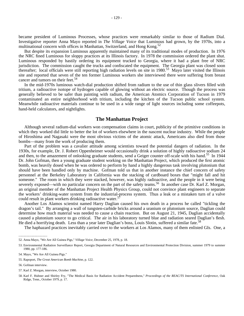became president of Luminous Processes, whose practices were remarkably similar to those of Radium Dial. Investigative reporter Anna Mayo reported in *The Village Voice* that Luminous had grown, by the 1970s, into a multinational concern with offices in Manhattan, Switzerland, and Hong Kong.<sup>52</sup>

But despite its expansion Luminous apparently maintained many of its traditional modes of production. In 1976 the NRC fined Luminous for sloppy practices at its Illinois factory. In 1978 the commission ordered the plant shut. Luminous responded by hastily ordering its equipment trucked to Georgia, where it had a plant free of NRC jurisdiction. The commission caught the trucks and confiscated the equipment. The Georgia plant was closed soon thereafter; local officials were still reporting high radiation levels on site in 1980.<sup>53</sup> Mayo later visited the Illinois site and reported that seven of the ten former Luminous workers she interviewed there were suffering from breast cancer and tumors on their feet.<sup>54</sup>

In the mid-1970s luminous watch-dial production shifted from radium to the use of thin glass slivers filled with tritium, a radioactive isotope of hydrogen capable of glowing without an electric source. Though the process was generally believed to be safer than painting with radium, the American Atomics Corporation of Tucson in 1979 contaminated an entire neighborhood with tritium, including the kitchen of the Tucson public school system. Meanwhile radioactive materials continue to be used in a wide range of light sources including some coffeepots, hand-held calculators, and nightlights.

#### **The Manhattan Project**

Although several radium-dial workers won compensation claims in court, publicity of the primitive conditions in which they worked did little to better the lot of workers elsewhere in the nascent nuclear industry. While the people of Hiroshima and Nagasaki were the most obvious victims of the atomic attack, Americans also died from those bombs—many from the work of producing them.

Part of the problem was a cavalier attitude among scientists toward the potential dangers of radiation. In the 1930s, for example, Dr. J. Robert Oppenheimer would occasionally drink a solution of highly radioactive sodium 24 and then, to the amazement of onlooking graduate students, send a Geiger counter off-scale with his hand.<sup>55</sup> In 1944 Dr. John Gofman, then a young graduate student working on the Manhattan Project, which produced the first atomic bomb, was heavily dosed when he was ordered to perform by hand a highly dangerous task involving plutonium that should have been handled only by machine. Gofman told us that in another instance the chief concern of safety personnel at the Berkeley Laboratory in California was the stacking of cardboard boxes that "might fall and hit someone." The room in which they were stacked, however, was highly radioactive, and the people in it were being severely exposed—with no particular concern on the part of the safety teams.<sup>56</sup> In another case Dr. Karl Z. Morgan, an original member of the Manhattan Project Health Physics Group, could not convince plant engineers to separate the workers' drinking-water system from the industrial-process system. Thus a leak or a mistaken turn of a valve could result in plant workers drinking radioactive water.<sup>57</sup>

Another Los Alamos scientist named Harry Daglian caused his own death in a process he called "tickling the dragon's tail." By arranging a wall of tungsten-carbide bricks around a uranium or plutonium source, Daglian could determine how much material was needed to cause a chain reaction. But on August 21, 1945, Daglian accidentally caused a plutonium source to go critical. The air in his laboratory turned blue and radiation seared Daglian's flesh. He died a horrifying death. Less than a year later Daglian's boss, Louis Slotin, suffered a similar fate.<sup>58</sup>

The haphazard practices inevitably carried over to the workers at Los Alamos, many of them enlisted GIs. One, a

<sup>52.</sup> Anna Mayo, "We Are All Guinea Pigs," *Village Voice,* December 25, 1978, p. 18.

<sup>53.</sup> Environmental Radiation Surveillance Report, Georgia Department of Natural Resources and Environmental Protection Division, summer 1979 to summer 1980, pp. 177-186.

<sup>54.</sup> Mayo, "We Are All Guinea Pigs."

<sup>55.</sup> Rapoport, *The Great American Bomb Machine,* p. 122.

<sup>56.</sup> Gofman interview.

<sup>57.</sup> Karl Z. Morgan, interview, October 1980.

<sup>58.</sup> Karl F. Hubner and Shirley Fry, "The Medical Basis for Radiation Accident Preparedness," *Proceedings of the REAC/TS International Conference,* Oak Ridge, Tenn., October 1979, p. 17.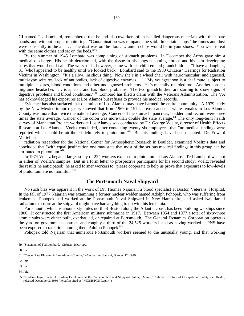GI named Ted Lombard, remembered that he and his coworkers often handled dangerous materials with their bare hands, and without proper monitoring. "Contamination was rampant," he said. In certain shops "the fumes and dust were constantly in the air . . . The dust was on the floor. Uranium chips would be in your shoes. You went to eat with the same clothes and sat on the beds."<sup>59</sup>

By the summer of 1945 Lombard was complaining of stomach problems. In December the Army gave him a medical discharge. His health deteriorated, with the tissue in his lungs becoming fibrous and his skin developing sores that would not heal. The worst of it, however, came with his children and grandchildren. "I have a daughter, 31 [who] appeared to be healthy until we looked back," Lombard said to the 1980 Citizens' Hearings for Radiation Victims in Washington. "It's a slow, insidious thing. Now she's in a wheel chair with neuromuscular, undiagnosed, multi-type seizures, lack of antibodies, lack of digestive enzymes. . . . My youngest son is a deaf mute, subject to multiple seizures, blood conditions and other undiagnosed problems. He's mentally retarded too. Another son has migraine headaches . . . is aphasic and has blood problems. The two grandchildren are starting to show signs of digestive problems and blood conditions."<sup>60</sup> Lombard has filed a claim with the Veterans Administration. The VA has acknowledged his exposures at Los Alamos but refuses to provide his medical records.

Evidence has also surfaced that operation of Los Alamos may have harmed the entire community. A 1979 study by the New Mexico tumor registry showed that from 1969 to 1974, breast cancer in white females in Los Alamos County was more than twice the national average. Cancers of the stomach, pancreas, bladder, and rectum were three times the state average. Cancer of the colon was more than double the state average.<sup>61</sup> The only long-term health survey of Manhattan Project workers at Los Alamos was conducted by Dr. George Voeltz, director of Health Effects Research at Los Alamos. Voeltz concluded, after contacting twenty-six employees, that "no medical findings were reported which could be attributed definitely to plutonium."<sup>62</sup> But his findings have been disputed. Dr. Edward Martell, a

radiation researcher for the National Center for Atmospheric Research in Boulder, examined Voeltz's data and concluded that "with equal justification one may state that most of the serious medical findings in this group can be attributed to plutonium.<sup>"63</sup>

In 1974 Voeltz began a larger study of 224 workers exposed to plutonium at Los Alamos. Ted Lombard was not in either of Voeltz's samples. But in a form letter to prospective participants for his second study, Voeltz revealed the results he anticipated: he asked former workers to "please cooperate to help us prove that exposures to low-levels of plutonium are not harmful."<sup>64</sup>

#### **The Portsmouth Naval Shipyard**

No such bias was apparent in the work of Dr. Thomas Najarian, a blood specialist at Boston Veterans' Hospital. In the fall of 1977 Najarian was examining a former nuclear welder named Adolph Pohopek, who was suffering from leukemia. Pohopek had worked at the Portsmouth Naval Shipyard in New Hampshire, and asked Najarian if radiation exposure at the shipyard might have had anything to do with his leukemia.

Portsmouth, which is about sixty miles north of Boston along the Atlantic coast, has been building warships since 1800. It constructed the first American military submarine in 1917. Between 1954 and 1977 a total of sixty-three atomic subs were either built, overhauled, or repaired at Portsmouth. The General Dynamics Corporation operates the yard on government contract, and roughly a third of the 24,525 workers listed as having worked at PNS have been exposed to radiation, among them Adolph Pohopek.<sup>65</sup>

Pohopek told Najarian that numerous Portsmouth workers seemed to die unusually young, and that working

<sup>59. &</sup>quot;Statement of Ted Lombard," *Citizens' Hearings*.

<sup>60.</sup> Ibid.

<sup>61. &</sup>quot;Cancer Rate Elevated in Los Alamos County," *Albuquerque Journal,* October 12, 1979.

<sup>62.</sup> Ibid.

<sup>63.</sup> Ibid.

<sup>64.</sup> Ibid.

<sup>65. &</sup>quot;Epidemiologic Study of Civilian Employees at the Portsmouth Naval Shipyard, Kittery, Maine," National Institute of Occupational Safety and Health, released December 3, 1980 (hereafter cited as "NIOSH/PNS Report").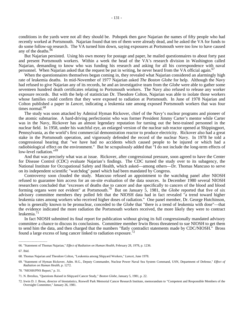conditions in the yards were not all they should be. Pohopek then gave Najarian the names of fifty people who had recently worked at Portsmouth. Najarian found that ten of them were already dead, and he asked the VA for funds to do some follow-up research. The VA turned him down, saying exposures at Portsmouth were too low to have caused any of the deaths.<sup>66</sup>

But Najarian persisted. Using his own money for postage and paper, he mailed questionnaires to about forty past and present Portsmouth workers. Within a week the head of the VA's research division in Washington called Najarian, demanding to know who was funding his research and asking for all his correspondence with naval personnel. When Najarian asked that the request be put in writing, he never heard from the VA official again.<sup>67</sup>

When the questionnaires themselves began coming in, they revealed what Najarian considered an alarmingly high rate of leukemia deaths. In mid-November of 1977 Najarian asked *The Boston Globe* for help. Although the Navy had refused to give Najarian any of its records, he and an investigative team from the *Globe* were able to gather some seventeen hundred death certificates relating to Portsmouth workers. The Navy also refused to release any worker exposure records. But with the help of statistician Dr. Theodore Colton, Najarian was able to isolate those workers whose families could confirm that they were exposed to radiation at Portsmouth. In June of 1978 Najarian and Colton published a paper in *Lancet,* indicating a leukemia rate among exposed Portsmouth workers that was four times normal.<sup>68</sup>

The study was soon attacked by Admiral Hyman Rickover, chief of the Navy's nuclear programs and pioneer of the atomic submarine. A hard-driving perfectionist who was former President Jimmy Carter's mentor while Carter was in the Navy, Rickover has an almost legendary reputation for turning out the best-trained personnel in the nuclear field. In 1958, under his watchful eye, an enlarged version of the nuclear sub reactor opened at Shippingport, Pennsylvania, as the world's first commercial demonstration reactor to produce electricity. Rickover also had a great stake in the Portsmouth operation, and vigorously defended the record of the nuclear Navy. In 1978 he told a congressional hearing that "we have had no accidents which caused people to be injured or which had a radiobiological effect on the environment." But he scrupulously added that "I do not include the long-term effects of low-level radiation."<sup>69</sup>

And that was precisely what was at issue. Rickover, after congressional pressure, soon agreed to have the Center for Disease Control (CDC) evaluate Najarian's findings. The CDC turned the study over to its subagency, the National Institute for Occupational Safety and Health, which asked—among others—Dr. Thomas Mancuso to serve on its independent scientific "watchdog" panel which had been mandated by Congress.

Controversy soon clouded the study. Mancuso refused an appointment to the watchdog panel after NIOSH refused to guarantee him access for an on-site evaluation of the data sources. In December 1980 several NIOSH researchers concluded that "excesses of deaths due to cancer and due specifically to cancers of the blood and blood forming organs were not evident" at Portsmouth.<sup>70</sup> But on January 5, 1981, the *Globe* reported that five of six advisory committee members they polled felt that the NIOSH data had in fact revealed "a trend toward higher leukemia rates among workers who received higher doses of radiation." One panel member, Dr. George Hutchinson, who is generally known to be pronuclear, conceded to the *Globe* that "there is a trend of leukemia with dose"—that the evidence indicated the more radiation the Portsmouth workers received, the more likely they were to contract leukemia. $71$ 

In fact NIOSH submitted its final report for publication without giving its full congressionally mandated advisory committee a chance to discuss its conclusions. Committee member Irwin Bross threatened to sue NIOSH to get them to send him the data, and then charged that the numbers "flatly contradict statements made by CDC/NIOSH." Bross found a large excess of lung cancer linked to radiation exposure.<sup>72</sup>

<sup>66. &</sup>quot;Statement of Thomas Najarian," *Effect of Radiation on Human Health,* February 28, 1978, p. 1236.

<sup>67.</sup> Ibid.

<sup>68.</sup> Thomas Najarian and Theodore Colton, "Leukemia among Shipyard Workers," *Lancet,* June 1978.

<sup>69. &</sup>quot;Statement of Hyman Rickover, Adm. H.G., Deputy Commander, Nuclear Power Naval Sea System Command, USN, Department of Defense," *Effect of Radiation on Human Health,* p. 1272.

<sup>70. &</sup>quot;NIOSH/PNS Report," p. 31.

<sup>71.</sup> N. Breslius, "Questions Raised in Shipyard Cancer Study," *Boston Globe,* January 5, 1981, p. 22.

<sup>72.</sup> Irwin D. J. Bross, director of biostatistics, Roswell Park Memorial Cancer Research Institute, memorandum to "Competent and Responsible Members of the Oversight Committee," January 26, 1981.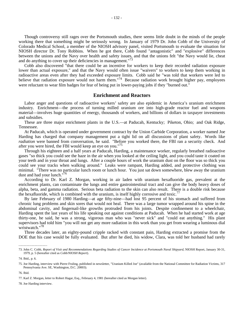Though controversy still rages over the Portsmouth studies, there seems little doubt in the minds of the people working there that something might be seriously wrong. In January of 1979 Dr. John Cobb of the University of Colorado Medical School, a member of the NIOSH advisory panel, visited Portsmouth to evaluate the situation for NIOSH director Dr. Tony Robbins. When he got there, Cobb found "antagonistic" and "explosive" differences between the unions and the Navy over health and safety issues, and that the unions felt "the Navy would lie, cheat and do anything to cover up their deficiencies in management."<sup>73</sup>

Cobb also discovered "that there could be an incentive for workers to keep their recorded radiation exposure lower than actual exposure," and that the Navy would often issue "waivers" to workers to keep them working in radioactive areas even after they had exceeded exposure limits. Cobb said he "was told that workers were led to believe that radiation exposure would not harm them."<sup>74</sup> Because radiation work brought higher pay, employees were reluctant to wear film badges for fear of being put in lower-paying jobs if they "burned out."

#### **Enrichment and Reactors**

Labor anger and questions of radioactive workers' safety are also epidemic in America's uranium enrichment industry. Enrichment—the process of turning milled uranium ore into high-grade reactor fuel and weapons material—involves huge quantities of energy, thousands of workers, and billions of dollars in taxpayer investments and subsidies.

These are three major enrichment plants in the U.S.—at Paducah, Kentucky; Piketon, Ohio; and Oak Ridge, Tennessee.

At Paducah, which is operated under government contract by the Union Carbide Corporation, a worker named Joe Harding has charged that company management put a tight lid on all discussions of plant safety. Words like *radiation* were banned from conversation, he said. "Before you worked there, the FBI ran a security check. And after you were hired, the FBI would keep an eye on you."<sup>75</sup>

Through his eighteen and a half years at Paducah, Harding, a maintenance worker, regularly breathed radioactive gases "so thick you could see the haze in the air when you looked at the ceiling light, and you could taste it coated on your teeth and in your throat and lungs. After a couple hours of work the uranium dust on the floor was so thick you could see your tracks when walking around." Leaks were rampant, Harding added, and protective clothing was minimal. "There was no particular lunch room or lunch hour. You just sat down somewhere, blew away the uranium dust and had your lunch."<sup>76</sup>

According to Dr. Karl Z. Morgan, working in air laden with uranium hexafluoride gas, prevalent at the enrichment plants, can contaminate the lungs and entire gastrointestinal tract and can give the body heavy doses of alpha, beta, and gamma radiation. Serious beta radiation to the skin can also result. There is a double risk because the hexafluoride, which is combined with the uranium, is itself highly corrosive and toxic.<sup>77</sup>

By late February of 1980 Harding—at age fifty-nine—had lost 95 percent of his stomach and suffered from chronic lung problems and skin sores that would not heal. There was a large tumor wrapped around his spine in the abdominal cavity, and fingernail-like growths protruded from his joints. Despite confinement to a wheelchair, Harding spent the last years of his life speaking out against conditions at Paducah. When he had started work at age thirty-one, he said, he was a strong, vigorous man who was "never sick" and "could eat anything." His plant supervisors had told him "you will not get any more radiation in this work than you get from wearing a luminous dial wristwatch."<sup>78</sup>

Three decades later, an eighty-pound cripple racked with constant pain, Harding extracted a promise from the DOE that his case would be fully evaluated. But after he died, his widow, Clara, was told her husband had rarely

<sup>73.</sup> John C. Cobb, *Report of Visit and Recommendations Regarding Studies of Cancer Incidence at Portsmouth Naval Shipyard,* NIOSH Report, January 30-31, 1979, p. 5 (hereafter cited as *Cobb/NIOSH Report*).

<sup>74.</sup> Ibid., p. 6.

<sup>75.</sup> Joe Harding, interview with Pierre Fruling, published in newsletter, "Uranium Killed Joe" (available from the National Committee for Radiation Victims, 317 Pennsylvania Ave. SE, Washington, D.C. 20003).

<sup>76.</sup> Ibid.

<sup>77.</sup> Karl Z. Morgan, letter to Robert Hagar, Esq., February 4, 1981 (hereafter cited as Morgan letter).

<sup>78.</sup> Joe Harding interview.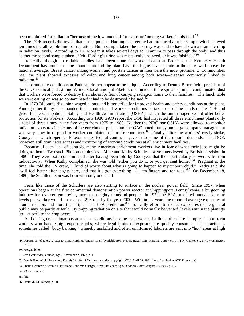been monitored for radiation "because of the low potential for exposure" among workers in his field.<sup>79</sup>

The DOE records did reveal that at one point in Harding's career he had produced a urine sample which showed ten times the allowable limit of radiation. But a sample taken the next day was said to have shown a dramatic drop in radiation levels. According to Dr. Morgan it takes several days for uranium to pass through the body, and thus "either the second sample taken of Mr. Harding's urine was mistakenly analyzed, or it was falsified."<sup>80</sup>

Ironically, though no reliable studies have been done of worker health at Paducah, the Kentucky Health Department has found that the counties around the plant have the highest cancer rate in the state, well above the national average. Breast cancer among women and prostate cancer in men were the most prominent. Communities near the plant showed excesses of colon and lung cancer among both sexes—diseases commonly linked to radiation.<sup>81</sup>

Unfortunately conditions at Paducah do not appear to be unique. According to Dennis Bloomfield, president of the Oil, Chemical and Atomic Workers local union at Piketon, one incident there spread so much contaminated dust that workers were forced to destroy their shoes for fear of carrying radiation home to their families. "The lunch table we were eating on was so contaminated it had to be destroyed," he said.<sup>82</sup>

In 1979 Bloomfield's union waged a long and bitter strike for improved health and safety conditions at the plant. Among other things it demanded that monitoring of worker conditions be taken out of the hands of the DOE and given to the Occupational Safety and Health Administration (OSHA), which the union hoped would offer better protection for its workers. According to a 1980 GAO report the DOE had inspected all three enrichment plants only a total of three times in the five years from 1975 to 1980. Neither the NRC nor OSHA were allowed to monitor radiation exposures inside any of the enrichment plants, and the GAO noted that by and large company management was very slow to respond to worker complaints of unsafe conditions.<sup>83</sup> Finally, after the workers' costly strike, Goodyear—which operates Piketon under federal contract—gave in to some of the union's demands. The DOE, however, still dominates access and monitoring of working conditions at all enrichment facilities.

Because of such lack of controls, many American enrichment workers live in fear of what their jobs might be doing to them. Two such Piketon employees—Mike and Kathy Schuller—were interviewed by British television in 1980. They were both contaminated after having been told by Goodyear that their particular jobs were safe from radioactivity. When Kathy complained, she was told "either you do it, or you get sent home."<sup>84</sup> Pregnant at the time, she told the TV crew, "I kind of worry about what is going to happen to my unborn child." Kathy said she "will feel better after it gets here, and that it's got everything—all ten fingers and ten toes."<sup>85</sup> On December 18, 1980, the Schullers' son was born with only one hand.

Fears like those of the Schullers are also starting to surface in the nuclear power field. Since 1957, when operations began at the first commercial demonstration power reactor at Shippingport, Pennsylvania, a burgeoning industry has evolved employing more than eighty thousand people. In 1972 the EPA predicted annual exposure levels per worker would not exceed .225 rem by the year 2000. Within six years the reported average exposures at atomic reactors had more than tripled that EPA prediction.<sup>86</sup> Ironically efforts to reduce exposures to the general public may be partly at fault. By trapping radiation on site that would normally be vented, levels within the plant go up—at peril to the employees.

And during crisis situations at a plant conditions become even worse. Utilities often hire "jumpers," short-term workers who handle high-exposure jobs, where legal limits of exposure are quickly consumed. The practice is sometimes called "body banking," whereby unskilled and often uninformed laborers are sent into "hot" areas at high

<sup>79.</sup> Department of Energy, letter to Clara Harding, January 1981 (available from Robert Hagar, Mrs. Harding's attorney, 1471 N. Capitol St., NW, Washington, D.C.).

<sup>80.</sup> Morgan letter.

<sup>81.</sup> *Sun Democrat* (Paducah, Ky.), November 2, 1977, p. 1.

<sup>82.</sup> Dennis Bloomfield, interview, *For My Working Life,* film transcript, copyright ATV, April 28, 1981 (hereafter cited as *ATV Transcript*).

<sup>83.</sup> Sheila Hershow, "Atomic Plant Probe Confirms Charges Aired Six Years Ago," *Federal Times,* August 25, 1980, p. 13.

<sup>84.</sup> *ATV Transcript*.

<sup>85.</sup> Ibid.

<sup>86.</sup> Scott/NlOSH Report, p. 30.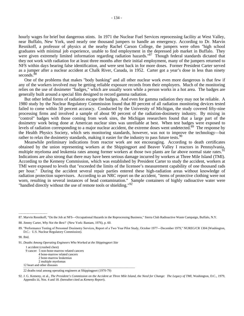hourly wages for brief but dangerous stints. In 1971 the Nuclear Fuel Services reprocessing facility at West Valley, near Buffalo, New York, used nearly one thousand jumpers to handle an emergency. According to Dr. Marvin Resnikoff, a professor of physics at the nearby Rachel Carson College, the jumpers were often "high school graduates with minimal job experience, unable to find employment in the depressed job market in Buffalo. They were given extremely limited information regarding radiation hazards."<sup>87</sup> Though federal standards dictated that they not work with radiation for at least three months after their initial employment, many of the jumpers returned to NFS within days bearing false identification, and were sent back in for more doses. Former President Carter served as a jumper after a nuclear accident at Chalk River, Canada, in 1952. Carter got a year's dose in less than ninety seconds.<sup>88</sup>

One of the problems that makes "body banking" and all other nuclear work even more dangerous is that few if any of the workers involved may be getting reliable exposure records from their employers. Much of the monitoring relies on the use of dosimeter "badges," which are usually worn while a person works in a hot area. The badges are generally built around a special film designed to record gamma radiation.

But other lethal forms of radiation escape the badges. And even for gamma radiation they may not be reliable. A 1980 study by the Nuclear Regulatory Commission found that 80 percent of all radiation monitoring devices tested failed to come within 50 percent accuracy. Conducted by the University of Michigan, the study covered fifty-nine processing firms and involved a sample of about 90 percent of the radiation-dosimetry industry. By mixing in "control" badges with those coming from work sites, the Michigan researchers found that a large part of the dosimetry work being done at American nuclear sites was unreliable at best. When test badges were exposed to levels of radiation corresponding to a major nuclear accident, the extreme doses went undetected.<sup>89</sup> The response by the Health Physics Society, which sets monitoring standards, however, was not to improve the technology—but rather to relax the dosimetry standards, making it easier for the industry to pass future tests.<sup>90</sup>

Meanwhile preliminary indications from reactor work are not encouraging. According to death certificates obtained by the union representing workers at the Shippingport and Beaver Valley I reactors in Pennsylvania, multiple myeloma and leukemia rates among former workers at those two plants are far above normal state rates.<sup>91</sup> Indications are also strong that there may have been serious damage incurred by workers at Three Mile Island (TMI). According to the Kemeny Commission, which was established by President Carter to study the accident, workers at TMI were exposed to levels that "exceeded the limits of the licensee's measurement capability of one thousand rads per hour." During the accident several repair parties entered these high-radiation areas without knowledge of radiation protection supervisors. According to an NRC report on the accident, "items of protective clothing were not worn, resulting in several instances of head contamination." Sample containers of highly radioactive water were "handled directly without the use of remote tools or shielding."<sup>92</sup>

90. Ibid.

hh<del>ahaa ka badaa ka badaa ka badaa ka badaa ka badaa ka badaa ka badaa ka badaa ka badaa ka badaa ka badaa ka b</del>

1 accident (crushed chest) 9 cancer: 5 non-bone-marrow related cancers

4 bone-marrow related cancers

2 bone-marrow leukemias

2 multiple myelomas

22 deaths total among operating engineers at Shippingport (1970-79)

<sup>87.</sup> Marvin Resnikoff, "On the Job at NFS—Occupational Hazards in the Reprocessing Business," Sierra Club Radioactive Waste Campaign, Buffalo, N.Y.

<sup>88.</sup> Jimmy Carter, *Why Not the Best?* (New York: Bantam, 1976), p. 60.

<sup>89. &</sup>quot;Performance Testing of Personnel Dosimetry Services, Report of a Two Year Pilot Study, October 1977—December 1979," NUREG/CR 1304 (Washington, D.C.: U.S. Nuclear Regulatory Commission).

<sup>91.</sup> *Deaths Among Operating Engineers Who Worked at the Shippingport Site*

<sup>12</sup> heart and other diseases

<sup>92.</sup> J. G. Kemeny, et al., *The President's Commission on the Accident at Three Mile Island, the Need for Change: The Legacy of TMI,* Washington, D.C., 1979, Appendix iii, Nos. 4 and 18. (hereafter cited as *Kemeny Report*).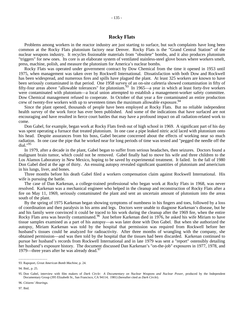#### **Rocky Flats**

Problems among workers in the reactor industry are just starting to surface, but such complaints have long been common at the Rocky Flats plutonium factory near Denver. Rocky Flats is the "Grand Central Station" of the nuclear weapons industry. It recycles fissionable materials from "obsolete" bombs, and it also produces plutonium "triggers" for new ones. Its core is an elaborate system of ventilated stainless-steel glove boxes where workers smelt, press, machine, polish, and measure the plutonium for America's nuclear bombs.

Rocky Flats was operated under government contract by Dow Chemical from the time it opened in 1953 until 1975, when management was taken over by Rockwell International. Dissatisfaction with both Dow and Rockwell has been widespread, and numerous fires and spills have plagued the plant. At least 325 workers are known to have been seriously contaminated in that period. One 1958 survey of an on-site cafeteria showed contamination in fifty of fifty-four areas above "allowable tolerances" for plutonium.<sup>93</sup> In 1965—a year in which at least forty-five workers were contaminated with plutonium—a local union attempted to establish a management-worker safety committee. Dow Chemical management refused to cooperate. In October of that year a fire contaminated an entire production crew of twenty-five workers with up to seventeen times the maximum allowable exposure.<sup>94</sup>

Since the plant opened, thousands of people have been employed at Rocky Flats. But no reliable independent health survey of the work force has ever been published. And some of the indications that have surfaced are not encouraging and have resulted in fierce court battles that may have a profound impact on all radiation-related work to come.

Don Gabel, for example, began work at Rocky Flats fresh out of high school in 1969. A significant part of his day was spent operating a furnace that treated plutonium. In one case a pipe leaked nitric acid laced with plutonium onto his head. Despite assurances from his boss, Gabel became concerned about the effects of working near so much radiation. In one case the pipe that he worked near for long periods of time was tested and "pegged the needle off the dial."<sup>95</sup>

In 1979, after a decade in the plant, Gabel began to suffer from serious headaches, then seizures. Doctors found a malignant brain tumor, which could not be removed. Gabel finally had to move his wife and three children to the Los Alamos Laboratory in New Mexico, hoping to be saved by experimental treatment. It failed. In the fall of 1980 Don Gabel died at the age of thirty. An ensuing autopsy revealed significant quantities of plutonium and americium in his lungs, liver, and bones.

Three months before his death Gabel filed a workers compensation claim against Rockwell International. His wife is pursuing the battle.

The case of Dan Karkenan, a college-trained professional who began work at Rocky Flats in 1968, was never resolved. Karkenan was a mechanical engineer who helped in the cleanup and reconstruction of Rocky Flats after a fire on May 11, 1969, seriously contaminated the plant and sent an uncertain amount of plutonium into the areas south of the plant.

By the spring of 1975 Karkenan began showing symptoms of numbness in his fingers and toes, followed by a loss of coordination and then paralysis in his arms and legs. Doctors were unable to diagnose Karkenan's disease, but he and his family were convinced it could be traced to his work during the cleanup after the 1969 fire, when the entire Rocky Flats area was heavily contaminated.<sup>96</sup> Just before Karkenan died in 1976, he asked his wife Miriam to have tissue samples examined as a part of his autopsy—as was later done with Don Gabel. But when she authorized the autopsy, Miriam Karkenan was told by the hospital that permission was required from Rockwell before her husband's tissues could be analyzed for radioactivity. After three months of wrangling with the company, she obtained permission—and was then told by the hospital that the tissues had been discarded. Karkenan continued to pursue her husband's records from Rockwell International and in late 1979 was sent a "report" ostensibly detailing her husband's exposure history. The document discussed Dan Karkenan's "on-the-job" exposures in 1977, 1978, and 1979—three years after he was already dead. $97$ 

<sup>93.</sup> Rapoport, *Great American Bomb Machine,* p. 24.

<sup>94.</sup> Ibid., p. 25.

<sup>95.</sup> Don Gabel, interview with film makers of *Dark Circle: A Documentary on Nuclear Weapons and Nuclear Power,* produced by the Independent Documentary Group (395 Elizabeth St., San Francisco, CA 94114; 1981) (hereafter cited as *Dark Circle*).

<sup>96.</sup> *Citizens' Hearings*.

<sup>97.</sup> Ibid.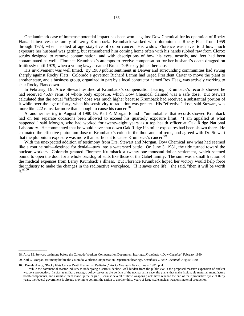One landmark case of immense potential impact has been won—against Dow Chemical for its operation of Rocky Flats. It involves the family of Leroy Krumback. Krumback worked with plutonium at Rocky Flats from 1959 through 1974, when he died at age sixty-five of colon cancer. His widow Florence was never told how much exposure her husband was getting, but remembered him coming home often with his hands rubbed raw from Clorox scrubs designed to remove contamination, and with descriptions of how his eyes, nostrils, and feet had been contaminated as well. Florence Krumback's attempts to receive compensation for her husband's death dragged on fruitlessly until 1979, when a young lawyer named Bruce DeBoskey joined her case.

His involvement was well timed. By 1980 public sentiment in Denver and surrounding communities had swung sharply against Rocky Flats. Colorado's governor Richard Lamm had urged President Carter to move the plant to another state, and a business group, organized in part by a local contractor named Rex Haag, was actively working to shut Rocky Flats down.

In February, Dr. Alice Stewart testified at Krumback's compensation hearing. Krumback's records showed he had received 45.67 rems of whole body exposure, which Dow Chemical claimed was a safe dose. But Stewart calculated that the actual "effective" dose was much higher because Krumback had received a substantial portion of it while over the age of forty, when his sensitivity to radiation was greater. His "effective" dose, said Stewart, was more like 222 rems, far more than enough to cause his cancer.<sup>98</sup>

At another hearing in August of 1980 Dr. Karl Z. Morgan found it "unthinkable" that records showed Krumback had on ten separate occasions been allowed to exceed his quarterly exposure limit. "I am appalled at what happened," said Morgan, who had worked for twenty-eight years as a top health officer at Oak Ridge National Laboratory. He commented that he would have shut down Oak Ridge if similar exposures had been shown there. He estimated the effective plutonium dose to Krumback's colon in the thousands of rems, and agreed with Dr. Stewart that the plutonium exposure was more than sufficient to cause Krumback's cancer.<sup>99</sup>

With the unexpected addition of testimony from Drs. Stewart and Morgan, Dow Chemical saw what had seemed like a routine suit—destined for denial—turn into a watershed battle. On June 3, 1981, the tide turned toward the nuclear workers. Colorado granted Florence Krumback a twenty-one-thousand-dollar settlement, which seemed bound to open the door for a whole backlog of suits like those of the Gabel family. The sum was a small fraction of the medical expenses from Leroy Krumback's illness. But Florence Krumback hoped her victory would help force the industry to make the changes in the radioactive workplace. "If it saves one life," she said, "then it will be worth it."<sup>100</sup>

<sup>98.</sup> Alice M. Stewart, testimony before the Colorado Workers Compensation Department hearings, *Krumback v. Dow Chemical,* February 1980.

<sup>99.</sup> Karl Z. Morgan, testimony before the Colorado Workers Compensation Department hearings, *Krumback v. Dow Chemical,* August 1980.

<sup>100.</sup> Pamela Avery, "Rocky Flats Cancer Death Blamed on Radiation," *Rocky Mountain News,* June 4, 1981, p. 4.

While the commercial reactor industry is undergoing a serious decline, well hidden from the public eye is the proposed massive expansion of nuclear weapons production. Insofar as military strategic policy serves as the vehicle of the nuclear arms race, the plants that make fissionable material, manufacture bomb components, and assemble them make up the engine. Because several of these weapons plants have reached the end of their productive cycle of thirty years, the federal government is already moving to commit the nation to another thirty years of large-scale nuclear weapons material production.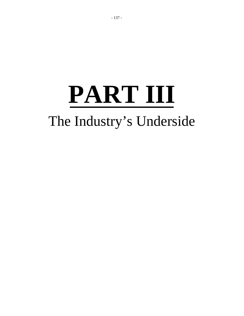# PART III The Industry's Underside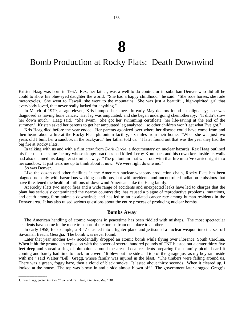# **8**

### Bomb Production at Rocky Flats: Death Downwind

Kristen Haag was born in 1967. Rex, her father, was a well-to-do contractor in suburban Denver who did all he could to show his blue-eyed daughter the world. "She had a happy childhood," he said. "She rode horses, she rode motorcycles. She went to Hawaii, she went to the mountains. She was just a beautiful, high-spirited girl that everybody loved, that never really lacked for anything."

In March of 1979, at age eleven, Kris bumped her knee. In early May doctors found a malignancy; she was diagnosed as having bone cancer. Her leg was amputated, and she began undergoing chemotherapy. "It didn't slow her down much," Haag said. "She swam. She got her swimming certificate, her life-saving at the end of the summer." Kristen asked her parents to get her amputated leg analyzed, "so other children won't get what I've got."

Kris Haag died before the year ended. Her parents agonized over where her disease could have come from and then heard about a fire at the Rocky Flats plutonium facility, six miles from their home. "When she was just two years old I built her a sandbox in the backyard," her father told us. "I later found out that was the year they had the big fire at Rocky Flats."

In talking with us and with a film crew from *Dark Circle,* a documentary on nuclear hazards, Rex Haag outlined his fear that the same factory whose sloppy practices had killed Leroy Krumback and his coworkers inside its walls had also claimed his daughter six miles away. "The plutonium that went out with that fire must've carried right into her sandbox. It just tears me up to think about it now. We were right downwind."<sup>1</sup>

So was Denver.

hh<del>ahaa ka badaa ka badaa ka badaa ka badaa ka badaa ka badaa ka badaa ka badaa ka badaa ka badaa ka badaa ka bada</del>

Like the dozen-odd other facilities in the American nuclear weapons production chain, Rocky Flats has been plagued not only with hazardous working conditions, but with accidents and uncontrolled radiation emissions that have threatened the health of millions of downwind Americans like the Haag family.

At Rocky Flats two major fires and a wide range of accidents and unexpected leaks have led to charges that the plant has seriously contaminated the nearby countryside; has caused a plague of reproductive problems, mutations, and death among farm animals downwind; and has led to an escalated cancer rate among human residents in the Denver area. It has also raised serious questions about the entire process of producing nuclear bombs.

#### **Bombs Away**

The American handling of atomic weapons in peacetime has been riddled with mishaps. The most spectacular accidents have come in the mere transport of the bombs from one place to another.

In early 1958, for example, a B-47 crashed into a fighter plane and jettisoned a nuclear weapon into the sea off Savannah Beach, Georgia. The bomb was never found.

Later that year another B-47 accidentally dropped an atomic bomb while flying over Florence, South Carolina. When it hit the ground, an explosion with the power of several hundred pounds of TNT blasted out a crater thirty-five feet deep and spread a ring of plutonium around the area. Local residents preparing for a family picnic heard it coming and barely had time to duck for cover. "It blew out the side and top of the garage just as my boy ran inside with me," said Walter "Bill" Gregg, whose family was injured in the blast. "The timbers were falling around us. There was a green, foggy haze, then a cloud of black smoke. It lasted about thirty seconds. When it cleared up, I looked at the house. The top was blown in and a side almost blown off." The government later dragged Gregg's

<sup>1.</sup> Rex Haag, quoted in *Dark Circle,* and Rex Haag, interview, May 1981.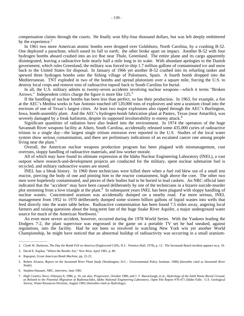compensation claims through the courts. He finally won fifty-four thousand dollars, but was left deeply embittered by the experience. $<sup>2</sup>$ </sup>

In 1961 two more American atomic bombs were dropped over Goldsboro, North Carolina, by a crashing B-52. One deployed a parachute, which eased its fall to earth; the other broke apart on impact. Another B-52 with four hydrogen bombs aboard crashed into an ice floe near Thule, Greenland. The entire plane and its cargo apparently disintegrated, leaving a radioactive hole nearly half a mile long in its wake. With abundant apologies to the Danish government, which rules Greenland, the military was forced to ship 1.7 million gallons of contaminated ice and snow back to the United States for disposal. In January of 1966 yet another B-52 crashed into its refueling tanker and spewed three hydrogen bombs onto the fishing village of Palomares, Spain. A fourth bomb dropped into the Mediterranean. TNT exploded in two of the bombs and spread plutonium over a square mile, forcing the U.S. to destroy local crops and remove tons of radioactive topsoil back to South Carolina for burial.

In all, the U.S. military admits to twenty-seven accidents involving nuclear weapons—which it terms "Broken Arrows." Independent critics charge the figure is more like 125.<sup>3</sup>

If the handling of nuclear bombs has been less than perfect, so has their production. In 1963, for example, a fire at the AEC's Medina works in San Antonio touched off 120,000 tons of explosives and sent a uranium cloud into the environs of one of Texas's largest cities. At least two major explosions also ripped through the AEC's Burlington, Iowa, bomb-assembly plant. And the AEC's hydrogen-bomb fabrication plant at Pantex, Texas (near Amarillo), was severely damaged by a freak hailstorm, despite its supposed invulnerability to enemy attack.<sup>4</sup>

Significant quantities of radiation have also leaked into the environment. In 1974 the operators of the huge Savannah River weapons facility at Aiken, South Carolina, accidentally released some 435,000 curies of radioactive tritium in a single day—the largest single tritium emission ever reported in the U.S. Studies of the local water system show serious contamination, and there are preliminary indications of an escalated cancer rate among people living near the plant. $5$ 

Overall, the American nuclear weapons production program has been plagued with mismanagement, cost overruns, sloppy handling of radioactive materials, and low worker morale.

All of which may have found its ultimate expression at the Idaho Nuclear Engineering Laboratory (INEL), a vast outpost where research-and-development projects are conducted for the military, spent nuclear submarine fuel is recycled, and military radioactive wastes are stored.

INEL has a bleak history. In 1960 three technicians were killed there when a fuel rod blew out of a small test reactor, piercing the body of one and pinning him to the reactor containment, high above the core. The other two men were hopelessly contaminated, and pieces of their bodies had to be buried in lead caskets. An NRC official later indicated that the "accident" may have been caused deliberately by one of the technicians in a bizarre suicide-murder plot stemming from a love triangle at the plant.<sup>6</sup> In subsequent years INEL has been plagued with sloppy handling of nuclear wastes. Concentrated uranium was accidentally dumped on a nearby road. Far more serious, INEL management from 1952 to 1970 deliberately dumped some sixteen billion gallons of liquid wastes into wells that feed directly into the water table below. Radioactive contamination has been found 7.5 miles away, angering local farmers and raising questions about the long-term fate of the huge Snake River Aquifer, a major underground water source for much of the American Northwest.<sup>7</sup>

An even more severe accident, however, occurred during the 1978 World Series. With the Yankees leading the Dodgers 7-2, the plant supervisor was engrossed in the game on a portable TV set he had sneaked, against regulations, into the facility. Had he not been so involved in watching New York win yet another World Championship, he might have noticed that an abnormal buildup of radioactivity was occurring in a small uranium-

<sup>2.</sup> Clyde W. Burleson, *The Day the Bomb Fell on America* (Englewood Cliffs, N.J.: Prentice-Hall, 1978), p. 13. The Savannah Beach incident appears on p. 16.

<sup>3.</sup> David E. Kaplan, "Where the Bombs Are," *New West,* April 1981, p. 80.

<sup>4.</sup> Rapoport, *Great American Bomb Machine,* pp. 22-23.

<sup>5.</sup> Robert Alvarez, *Report on the Savannah River Plant Study* (Washington, D.C.: Environmental Policy Institute, 1980) (hereafter cited as *Savannah River Study*).

<sup>6.</sup> Stephen Hanauer, NRC, interview, June 1981.

<sup>7.</sup> *High Country News,* February 8, 1980, p. 10, see also, *Progressive,* October 1980, and J. T. Barraclough, et al., *Hydrology of the Solid Waste Burial Ground, as Related to the Potential Migration of Radionuclides, Idaho National Engineering Laboratory,* Open File Report #76-471 (Idaho Falls: U.S. Geological Survey, Water Resources Division, August 1981) (hereafter cited as *Hydrology*).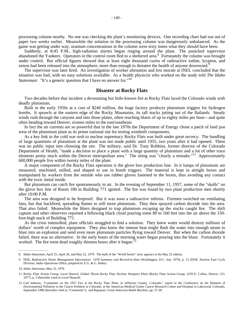processing column nearby. No one was checking the plant's monitoring devices. One recording chart had run out of paper two weeks earlier. Meanwhile the solution in the processing column was dangerously unbalanced. As the game was getting under way, uranium concentrations in the column were sixty times what they should have been.

Suddenly, at 8:45 P.M., high-radiation alarms began ringing around the plant. The panicked supervisor abandoned the Yankees. Operators in the control room fled to a sheltered area.<sup>8</sup> Fortunately the column was brought under control. But official figures showed that at least eight thousand curies of radioactive iodine, krypton, and xenon had been released into the atmosphere, more than enough to threaten the health of anyone downwind.9

The supervisor was later fired. An investigation of worker alienation and low morale at INEL concluded that the situation was bad, with no easy solutions available. As a health physicist who worked on the study told *The Idaho Statesman:* "It's a generic question that I have no answer for."<sup>10</sup>

#### **Disaster at Rocky Flats**

Two decades before that incident a devastating but little-known fire at Rocky Flats laced the Colorado winds with deadly plutonium.

Built in the early 1950s at a cost of \$240 million, the huge factory produces plutonium triggers for hydrogen bombs. It sprawls at the eastern edge of the Rocky Mountains, its tall stacks jutting out of the flatlands. Steady winds rush through the canyons and into those plains, often reaching blasts of up to eighty miles per hour—and quite often heading toward Denver, sixteen miles to the east/southeast.

In fact the air currents are so powerful that in the late 1970s the Department of Energy chose a patch of land just west of the plutonium plant as its prime national site for testing windmill components.

As a key link in the cold war rush to nuclear supremacy Rocky Flats was built under great secrecy. The handling of large quantities of plutonium at the plant was not made public until 1955, two years after it had opened. There was no public input into choosing the site. The military, said Dr. Tony Robbins, former director of the Colorado Department of Health, "made a decision to place a plant with a large quantity of plutonium and a lot of other trace elements pretty much within the Denver metropolitan area." The siting was "clearly a mistake."<sup>11</sup> Approximately 600,000 people live within twenty miles of the plant.

A major component of the Rocky Flats operation is the glove box production line. In it lumps of plutonium are measured, machined, milled, and shaped to use in bomb triggers. The material is kept in airtight boxes and manipulated by workers from the outside who use rubber gloves fastened to the boxes, thus avoiding any contact with the toxic metal inside.

But plutonium can catch fire spontaneously in air. In the evening of September 11, 1957, some of the "skulls" on the glove box line of Room 180 in Building 771 ignited. The fire was found by two plant production men shortly after 10:00 P.M.

The area was designed to be fireproof. But it was soon a radioactive inferno. Firemen switched on ventilating fans, but that backfired, spreading flames to still more plutonium. They then sprayed carbon dioxide into the area. That also failed. Meanwhile the filters designed to trap plutonium escaping up the stacks caught fire. The shift captain and other observers reported a billowing black cloud pouring some 80 to 160 feet into the air above the 150 foot-high stack of Building 771.

As the crisis intensified, plant officials struggled to find a solution. They knew water would destroy millions of dollars' worth of complex equipment. They also knew the intense heat might flash the water into enough steam to blast into an explosion and send even more plutonium particles flying toward Denver. But when the carbon dioxide failed, there was no alternative. In the early hours of the morning water began pouring into the blaze. Fortunately it worked. The fire went dead roughly thirteen hours after it began.<sup>12</sup>

<sup>8.</sup> *Idaho Statesman,* April 25, April 26, and May 22, 1979. The bulk of the "World Series" story appears in the May 22 edition.

<sup>9.</sup> DOE, *Radioactive Waste Management Information: 1978 Summary and Record-to-Date* (Washington, D.C. July 1979), p. 12 (DOE, Nuclear Fuel Cycle Division, Idaho Operations Office, prepared by E.G. & G. Idaho).

<sup>10.</sup> *Idaho Statesman,* May 22, 1979.

<sup>11.</sup> Rocky Flats Action Group, *Local Hazard, Global Threat Rocky Flats Nuclear Weapons Plant* (Rocky Flats Action Group, 2239 E. Colfax, Denver, CO, 1977), p. 3 (hereafter cited as *Local Hazard*).

<sup>12.</sup> Carl Johnson, "Comments on the 1957 Fire at the Rocky Flats Plant, in Jefferson County, Colorado," report to the Conference on the Relation of Environmental Pollution to the Cancer Problem in Colorado, at the American Medical Center Cancer Research Center and Hospital in Lakewood, Colorado, September 1980 (hereafter cited as "Comments"); and Rapoport, *Great American Bomb Machine,* pp. 27-28.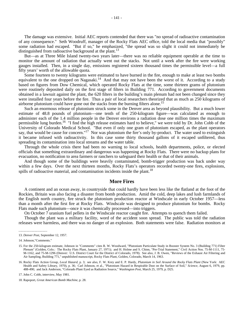The damage was extensive. Initial AEC reports contended that there was "no spread of radioactive contamination of any consequence." Seth Woodruff, manager of the Rocky Flats AEC office, told the local media that "possibly" some radiation had escaped. "But if so," he emphasized, "the spread was so slight it could not immediately be distinguished from radioactive background at the plant.<sup>13</sup>

But—as at Three Mile Island twenty-two years later—there was no reliable equipment operable at the time to monitor the amount of radiation that actually went out the stacks. Not until a week after the fire were working gauges installed. Then, in a single day, emissions registered sixteen thousand times the permissible level—a full fifty years' worth of the allowable quota.

Some fourteen to twenty kilograms were estimated to have burned in the fire, enough to make at least two bombs equivalent to the one dropped on Nagasaki.<sup>14</sup> And that may not have been the worst of it. According to a study based on figures from Dow Chemical, which operated Rocky Flats at the time, some thirteen grams of plutonium were routinely deposited daily on the first stage of filters in Building 771. According to government documents obtained in a lawsuit against the plant, the 620 filters in the building's main plenum had not been changed since they were installed four years before the fire. Thus a pair of local researchers theorized that as much as 250 kilograms of airborne plutonium could have gone out the stacks from the burning filters alone.<sup>15</sup>

Such an enormous release of plutonium struck some in the Denver area as beyond plausibility. But a much lower estimate of 48.8 pounds of plutonium—one tenth of the 250-kilogram figure—was calculated as enough to administer each of the 1.4 million people in the Denver environs a radiation dose one million times the maximum permissible lung burden.<sup>16</sup> "I find the high release estimates hard to believe," we were told by Dr. John Cobb of the University of Colorado Medical School. "But even if only one gram of plutonium escaped, as the plant operators say, that would be cause for concern."<sup>17</sup> Nor was plutonium the fire's only by-product. The water used to extinguish it became infused with radioactivity. In this case some thirty thousand gallons of it escaped unfiltered, thus spreading its contamination into local streams and the water table.

Through the whole crisis there had been no warning to local schools, health departments, police, or elected officials that something extraordinary and dangerous was happening at Rocky Flats. There were no backup plans for evacuation, no notification to area farmers or ranchers to safeguard their health or that of their animals.

And though some of the buildings were heavily contaminated, bomb-trigger production was back under way within a few days. Over the next thirteen months, Rocky Flats's operators recorded twenty-one fires, explosions, spills of radioactive material, and contamination incidents inside the plant.<sup>18</sup>

#### **More Fires**

A continent and an ocean away, in countryside that could hardly have been less like the flatland at the foot of the Rockies, Britain was also facing a disaster from bomb production. Amid the cold, deep lakes and lush farmlands of the English north country, fire struck the plutonium production reactor at Windscale in early October 1957—less than a month after the first fire at Rocky Flats. Windscale was designed to produce plutonium for bombs. Rocky Flats made such plutonium—once it was chemically processed—into triggers.

On October 7 uranium fuel pellets in the Windscale reactor caught fire. Attempts to quench them failed.

Though the plant was a military facility, word of the accident soon spread. The public was told the radiation releases were harmless, and there was no danger of an explosion. Both statements were false. Radiation monitors at

<sup>13.</sup> *Denver Post,* September 12, 1957.

<sup>14.</sup> Johnson, "Comments."

<sup>15.</sup> For the 250-kilogram estimate, Johnson in "Comments" cites R. W. Woodward, "Plutonium Particulate Study in Booster System No. 3 (Building 771) Filter Plenum" (Golden, Colo.: The Rocky Flats Plant, January 27, 1971); and H. Holme and S. Chinn, "Pre-Trial Statement," Civil Action Nos. 75-M-1111, 75-M-1162, and 75-M-1296 (Denver: U.S. District Court for the District of Colorado, 1978). See also, J. B. Owen, "Reviews of the Exhaust Air Filtering and Air Sampling, Building 771," unpublished manuscript, Rocky Flats Plant, Golden, Colorado, March 14, 1963.

<sup>16.</sup> Rocky Flats Action Group, *Local Hazard,* p. 3; see also, F. W. Krey and E. P. Hardy, *Plutonium in Soil Around the Rocky Flats Plant* (New York: AEC Health and Safety Library, 1970), p. 36; Carl Johnson, et al., "Plutonium Hazard in Respirable Dust on the Surface of Soil," *Science,* August 6, 1979, pp. 488-490; and Jack Anderson, "Colorado Plant Eyed as Radiation Source," *Washington Post,* March 25, 1979, p. D25.

<sup>17.</sup> John C. Cobb, interview, May 1981.

<sup>18.</sup> Rapoport, *Great American Bomb Machine,* p. 28.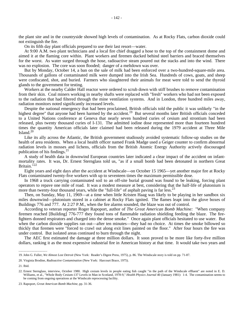the plant site and in the countryside showed high levels of contamination. As at Rocky Flats, carbon dioxide could not extinguish the fire.

On its fifth day plant officials prepared to use their last resort—water.

At 9:00 A.M. two plant technicians and a local fire chief dragged a hose to the top of the containment dome and aimed it at the flaming core within. Plant workers and firemen ducked behind steel barriers and braced themselves for the worst. As water surged through the hose, radioactive steam poured out the stacks and into the wind. There was no explosion. The core was soon flooded; danger of a meltdown was over.

But by Monday, October 14, a ban on the sale of milk had been enforced over a two-hundred-square-mile area. Thousands of gallons of contaminated milk were dumped into the Irish Sea. Hundreds of cows, goats, and sheep were confiscated, shot, and buried. Farmers who slaughtered their animals for meat were told to send the thyroid glands to the government for testing.

Workers at the nearby Calder Hall reactor were ordered to scrub down with stiff brushes to remove contamination from their skin. Coal miners working in nearby shafts were replaced with "fresh" workers who had not been exposed to the radiation that had filtered through the mine ventilation systems. And in London, three hundred miles away, radiation monitors noted significantly increased levels.

Despite the national emergency that had been proclaimed, British officials told the public it was unlikely "in the highest degree" that anyone had been harmed by the accident.<sup>19</sup> But several months later British officials conceded to a United Nations conference at Geneva that nearly seven hundred curies of cesium and strontium had been released, plus twenty thousand curies of I-131. The admitted iodine dose represented more than fourteen hundred times the quantity American officials later claimed had been released during the 1979 accident at Three Mile Island.<sup>20</sup>

Like its ally across the Atlantic, the British government studiously avoided systematic follow-up studies on the health of area residents. When a local health officer named Frank Madge used a Geiger counter to confirm abnormal radiation levels in mosses and lichens, officials from the British Atomic Energy Authority actively discouraged publication of his findings.<sup>21</sup>

A study of health data in downwind European countries later indicated a clear impact of the accident on infantmortality rates. It was, Dr. Ernest Sternglass told us, "as if a small bomb had been detonated in northern Great Britain."<sup>22</sup>

Eight years and eight days after the accident at Windscale—on October 15 1965—yet another major fire at Rocky Flats contaminated twenty-five workers with up to seventeen times the maximum permissible dose.

In 1968 a truck carrying contaminated soil to an off-site burial ground was found to be leaking, forcing plant operators to repave one mile of road. It was a modest measure at best, considering that the half-life of plutonium is more than twenty-four thousand years, while the "full-life" of asphalt paving is far less.<sup>23</sup>

Then, on Sunday, May 11, 1969—at a time when little Kristen Haag was likely to be playing in her sandbox six miles downwind—plutonium stored in a cabinet at Rocky Flats ignited. The flames leapt into the glove boxes of Buildings 776 and 777. At 2:27 P.M., when the fire alarms sounded, the blaze was out of control.

According to veteran reporter Roger Rapoport, author of *The Great American Bomb Machine:* "When company firemen reached [Building] 776-777 they found tons of flammable radiation shielding feeding the blaze. The firefighters donned respirators and charged into the dense smoke." Once again plant officials hesitated to use water. But when the carbon dioxide supplies ran out—after ten minutes—they had no choice. At times the smoke billowed so thickly that firemen were "forced to crawl out along exit lines painted on the floor." After four hours the fire was under control. But isolated areas continued to burn through the night.

The AEC first estimated the damage at three million dollars. It soon proved to be more like forty-five million dollars, ranking it as the most expensive industrial fire in American history at that time. It would take two years and

<sup>19.</sup> John G. Fuller, *We Almost Lost Detroit* (New York: Reader's Digest Press, 1975), p. 86. The Windscale story is told on pp. 71-87.

<sup>20.</sup> Virginia Brodine, *Radioactive Contamination* (New York: Harcourt Brace, 1975).

<sup>21.</sup> Ibid.

<sup>22.</sup> Ernest Sternglass, interview, October 1980. High cesium levels in people eating fish caught "in the path of the Windscale effluent" are noted in E. D. Williams, et al., "Whole Body Cesium-137 Levels in Man in Scotland, 1978-9," *Health Physics Journal* 40 (January 1981): 1-4. The contamination seems to be coming from ongoing operations at the Windscale reprocessing facility.

<sup>23.</sup> Rapoport, *Great American Bomb Machine,* pp. 31-36.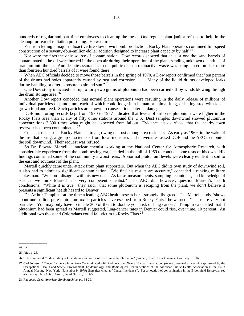hundreds of regular and part-time employees to clean up the mess. One regular plant janitor refused to help in the cleanup for fear of radiation poisoning. He was fired.

Far from letting a major radioactive fire slow down bomb production, Rocky Flats operators continued full-speed construction of a seventy-four-million-dollar addition designed to increase plant capacity by half.<sup>24</sup>

Nor were the fires the only source of contamination. Dow records showed that at least one thousand barrels of contaminated lathe oil were burned in the open air during their operation of the plant, sending unknown quantities of uranium into the air. And despite assurances to the public that no radioactive waste was being stored on site, more than fourteen hundred barrels of it were found there.

When AEC officials decided to move those barrels in the spring of 1970, a Dow report confirmed that "ten percent of the drums had holes apparently caused by rust and corrosion. . . . Many of the liquid drums developed leaks during handling or after exposure to air and sun."<sup>25</sup>

One Dow study indicated that up to forty-two grams of plutonium had been carried off by winds blowing through the drum storage area. $^{26}$ 

Another Dow report conceded that normal plant operations were resulting in the daily release of millions of individual particles of plutonium, each of which could lodge in a human or animal lung, or be ingested with localgrown food and feed. Such particles are known to cause serious internal damage.

DOE monitoring records kept from 1970 to 1977 indicated that levels of airborne plutonium were higher in the Rocky Flats area than at any of fifty other stations around the U.S. Dust samples downwind showed plutonium concentrations 3,390 times what might be expected from fallout. Evidence also surfaced that the nearby town reservoir had been contaminated.<sup>27</sup>

Constant mishaps at Rocky Flats led to a growing distrust among area residents. As early as 1969, in the wake of the fire that spring, a group of scientists from local industries and universities asked DOE and the AEC to monitor the soil downwind. Their request was refused.

So Dr. Edward Martell, a nuclear chemist working at the National Center for Atmospheric Research, with considerable experience from the bomb-testing era, decided in the fall of 1969 to conduct some tests of his own. His findings confirmed some of the community's worst fears. Abnormal plutonium levels were clearly evident in soil to the east and southeast of the plant.

Martell quickly came under attack from plant supporters. But when the AEC did its own study of downwind soil, it also had to admit to significant contamination. "We find his results are accurate," conceded a ranking military spokesman. "We don't disagree with his new data. As far as measurements, sampling techniques, and knowledge of science, we think Martell is a very competent scientist." The AEC did, however, question Martell's health conclusions. "While it is true," they said, "that some plutonium is escaping from the plant, we don't believe it presents a significant health hazard to Denver."

Dr. Arthur Tamplin—at the time a leading AEC health researcher—strongly disagreed. The Martell study "shows about one trillion pure plutonium oxide particles have escaped from Rocky Flats," he warned. "These are very hot particles. You may only have to inhale 300 of them to double your risk of lung cancer." Tamplin calculated that if plutonium had been spread as Martell suggested, lung-cancer rates in Denver could rise, over time, 10 percent. An additional two thousand Coloradans could fall victim to Rocky Flats.<sup>28</sup>

<sup>24.</sup> Ibid.

<sup>25.</sup> Ibid., p. 25.

<sup>26.</sup> S. E. Hammond, "Industrial-Type Operations as a Source of Environmental Plutonium" (Golden, Colo.: Dow Chemical Company, 1970).

<sup>27.</sup> Carl Johnson, "Cancer Incidence in an Area Contaminated with Radionuclides Near a Nuclear Installation" (report presented at a session sponsored by the Occupational Health and Safety, Environment, Epidemiology, and Radiological Health sections of the American Public Health Association at the 107th Annual Meeting, New York, November 9, 1979) (hereafter cited as "Cancer Incidence"). For a notation of contamination in the Broomfield Reservoir, see also Rocky Flats Action Group, *Local Hazard,* pp. 4-5.

<sup>28.</sup> Rapoport, *Great American Bomb Machine,* pp. 38-39.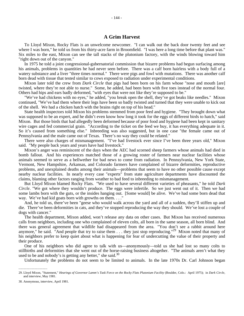#### **A Grim Harvest**

To Lloyd Mixon, Rocky Flats is an unwelcome newcomer. "I can walk out the back door twenty feet and see where I was born," he told us from his thirty-acre farm in Broomfield. "I was here a long time before that plant was." Six miles to the east, Mixon can see the tall stacks of the plutonium factory, with the winds blowing toward him "right down out of the canyon."

In 1975 he told a joint congressional-gubernatorial commission that bizarre problems had begun surfacing among his animals, problems in quantities he had never seen before. There was a calf born hairless with a body full of a watery substance and a liver "three times normal." There were pigs and fowl with mutations. There was another calf born dead with tissue that tested similar to cows exposed to radiation under experimental conditions.

Mixon later told the crew from *Dark Circle* that pigs had been born on his farm whose "nose and mouth [are] twisted, where they're not able to nurse." Some, he added, had been born with five toes instead of the normal four. Others had hips and ears badly deformed, "with eyes that were not like they're supposed to be."

"We've had chickens with no eyes," he added, "you break open the shell, they've got beaks like needles." Mixon continued, "We've had them where their legs have been so badly twisted and turned that they were unable to kick out of the shell. We had a chicken hatch with the brains right on top of his head."

State health inspectors told Mixon his problems stemmed from poor feed and hygiene. "They brought down what was supposed to be an expert, and he didn't even know how long it took for the eggs of different birds to hatch," said Mixon. But those birds that had allegedly been deformed because of poor food and hygiene had been kept in sanitary wire cages and fed commercial grain. "According to the ticket on the feed we buy, it has everything adequate in it. So it's caused from something else." Inbreeding was also suggested, but in one case "the female came out of Pennsylvania and the male came out of Texas. There's no way they could be related."

There were also charges of mismanagement. "I've had livestock ever since I've been three years old," Mixon said. "My people back years and years have had livestock."

Mixon's anger was reminiscent of the days when the AEC had scorned sheep farmers whose animals had died in bomb fallout. And his experiences matched those of a growing roster of farmers near nuclear facilities whose animals seemed to serve as a bellwether for bad news to come from radiation. In Pennsylvania, New York State, Vermont, New Hampshire, Arkansas, and Colorado farmers have complained of bizarre deformities, reproductive problems, and unexplained deaths among their animals—problems that seem to have no other possible cause except nearby nuclear facilities. In nearly every case "experts" from state agriculture departments have discounted the claims, blaming other factors ranging from weather to bad feed to inbreeding to mismanagement.

But Lloyd Mixon blamed Rocky Flats. "We used to have several different varieties of pheasants," he told *Dark Circle*. "We got where they wouldn't produce. The eggs were infertile. So we just went out of it. Then we had some lambs born with the guts, or the insides hanging out. [Some would] be alive. We've had some born dead that way. We've had kid goats born with growths on them...."

And, he told us, there've been "geese who would walk across the yard and all of a sudden, they'll stiffen up and die. There've been deformities in cats, and they've stopped reproducing the way they should. We've lost a couple of dogs with cancer."

The health department, Mixon added, won't release any data on other cases. But Mixon has received numerous calls from neighbors, including one who complained of eleven colts, all born in the same season, all born blind. And there was general agreement that wildlife had disappeared from the area. "You don't see a rabbit around here anymore," he said. "And people that try to raise them . . . they just stop reproducing."<sup>29</sup> Mixon noted that many of his neighbors prefer to keep quiet about what is happening for fear of undercutting the value of their property and their produce.

One of his neighbors who did agree to talk with us—anonymously—told us she had lost so many colts to stillbirths and deformities that she went out of the horse-raising business altogether. "The animals aren't what they used to be and nobody's is getting any better," she said. $30$ 

Unfortunately the problems do not seem to be limited to animals. In the late 1970s Dr. Carl Johnson began

<sup>29.</sup> Lloyd Mixon, "Statement," *Hearings of Governor Lamm's Task Force on the Rocky Flats Plutonium Facility* (Boulder, Colo.: April 1975); in *Dark Circle,* and interview, May 1981.

<sup>30.</sup> Anonymous, interview, April 1981.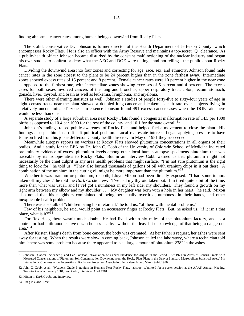finding abnormal cancer rates among human beings downwind from Rocky Flats.

The stolid, conservative Dr. Johnson is former director of the Health Department of Jefferson County, which encompasses Rocky Flats. He is also an officer with the Army Reserve and maintains a top-secret "Q" clearance. As a public-health officer Johnson became disturbed by the constant malfunctioning of the nuclear industry and began his own studies to confirm or deny what the AEC and DOE were telling—and not telling—the public about Rocky Flats.

Dividing the downwind area into four zones and correcting for age, race, sex, and ethnicity, Johnson found male cancer rates in the zone closest to the plant to be 24 percent higher than in the zone farthest away. Intermediate zones showed excess rates of 15 percent and 8 percent. Female cancer rates were 10 percent higher in the near zone as opposed to the farthest one, with intermediate zones showing excesses of 5 percent and 4 percent. The excess cases for both sexes involved cancers of the lung and bronchus, upper respiratory tract, colon, rectum stomach, gonads, liver, thyroid, and brain as well as leukemia, lymphoma, and myeloma.

There were other alarming statistics as well. Johnson's studies of people forty-five to sixty-four years of age in eight census tracts near the plant showed a doubled lung-cancer and leukemia death rate over subjects living in "relatively uncontaminated" zones. In essence Johnson found 491 excess cancer cases when the DOE said there would be less than one.

A separate study of a large suburban area near Rocky Flats found a congenital malformation rate of 14.5 per 1000 births as opposed to 10.4 per 1000 for the rest of the county, and 10.1 for the state overall.<sup>31</sup>

Johnson's findings raised public awareness of Rocky Flats and helped fuel a movement to close the plant. His findings also put him in a difficult political position. Local real-estate interests began applying pressure to have Johnson fired from his job as Jefferson County health director. In May of 1981 they succeeded.

Meanwhile autopsy reports on workers at Rocky Flats showed plutonium concentrations in all organs of their bodies. And a study for the EPA by Dr. John C. Cobb of the University of Colorado School of Medicine indicated preliminary evidence of excess plutonium levels among other local human autopsy specimens plutonium that was traceable by its isotope-ratios to Rocky Flats. But in an interview Cobb warned us that plutonium might not necessarily be the chief culprit in any area health problems that might surface. "I'm not sure plutonium is the right thing to look for," he told us. "They also burned thousands of gallons of oil with uranium chips in it out there. A combination of the uranium in the cutting oil might be more important than the plutonium." $32$ 

Whether it was uranium or plutonium, or both, Lloyd Mixon had been directly exposed. "I had some tumors taken off my chest," he told the *Dark Circle* crew. "I've had my thyroid taken out. I'm tired quite a bit of the time, more than what was usual, and [I've] got a numbness in my left side, my shoulders. They found a growth on my right arm between my elbow and my shoulder. . . . My daughter was born with a hole in her heart," he said. Mixon also noted that his neighbors complained of being perpetually overtired, numbness in their hands, and other inexplicable health problems.

There was also talk of "children being born retarded," he told us, "of them with mental problems."

Few of his neighbors, he said, would point an accusatory finger at Rocky Flats. But, he asked us, "if it isn't that place, what is it?" $33$ 

For Rex Haag there wasn't much doubt. He had lived within six miles of the plutonium factory, and as a contractor had built another five dozen houses nearby "without the least bit of knowledge of that being a dangerous area."34

After Kristen Haag's death from bone cancer, the body was cremated. At her father s request, her ashes were sent away for testing. When the results were slow in coming back, Johnson called the laboratory, where a technician told him "there was some problem because there appeared to be a large amount of plutonium 238" in the ashes.

34. Haag in *Dark Circle*.

<sup>31.</sup> Johnson, "Cancer Incidence"; and Carl Johnson, "Evaluation of Cancer Incidence for Anglos in the Period 1969-1971 in Areas of Census Tracts with Measured Concentrations of Plutonium Soil Contamination Downwind from the Rocky Flats Plant in the Denver Standard Metropolitan Statistical Area," 5th International Congress of the International Radiation Protection Association, Jerusalem, Israel, March 9-14, 1980.

<sup>32.</sup> John C. Cobb, et al., "Weapons Grade Plutonium in Humans Near Rocky Flats," abstract submitted for a poster session at the AAAS Annual Meeting, Toronto, Canada, January 1981; and Cobb, interview, April 1981.

<sup>33.</sup> Mixon in *Dark Circle,* and interview.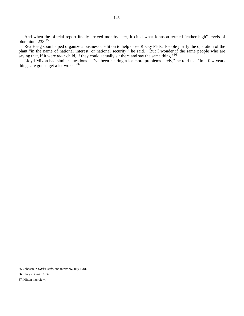And when the official report finally arrived months later, it cited what Johnson termed "rather high" levels of plutonium 238.<sup>35</sup>

Rex Haag soon helped organize a business coalition to help close Rocky Flats. People justify the operation of the plant "in the name of national interest, or national security," he said. "But I wonder if the same people who are saying that, if it were *their* child, if they could actually sit there and say the same thing."<sup>36</sup>

Lloyd Mixon had similar questions. "I've been hearing a lot more problems lately," he told us. "In a few years things are gonna get a lot worse."<sup>37</sup>

<sup>35.</sup> Johnson in *Dark Circle,* and interview, July 1981.

<sup>36.</sup> Haag in *Dark Circle*.

<sup>37.</sup> Mixon interview.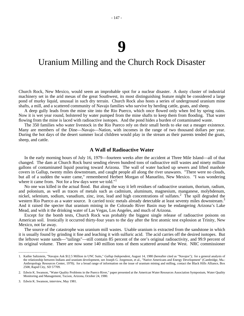## **9**

## Uranium Milling and the Church Rock Disaster

Church Rock, New Mexico, would seem an improbable spot for a nuclear disaster. A dusty cluster of industrial machinery set in the arid mesas of the great Southwest, its most distinguishing feature might be considered a large pond of murky liquid, unusual in such dry terrain. Church Rock also hosts a series of underground uranium mine shafts, a mill, and a scattered community of Navajo families who survive by herding cattle, goats, and sheep.

A deep gully leads from the mine site into the Rio Puerco, which once flowed only when fed by spring rains. Now it is wet year round, bolstered by water pumped from the mine shafts to keep them from flooding. That water flowing from the mine is laced with radioactive isotopes. And the pond hides a burden of contaminated waste.

The 350 families who water livestock in the Rio Puerco rely on their small herds to eke out a meager existence. Many are members of the Dine—Navajo—Nation, with incomes in the range of two thousand dollars per year. During the hot days of the desert summer local children would play in the stream as their parents tended the goats, sheep, and cattle.

#### **A Wall of Radioactive Water**

In the early morning hours of July 16, 1979—fourteen weeks after the accident at Three Mile Island—all of that changed. The dam at Church Rock burst sending eleven hundred tons of radioactive mill wastes and ninety million gallons of contaminated liquid pouring toward Arizona. The wall of water backed up sewers and lifted manhole covers in Gallup, twenty miles downstream, and caught people all along the river unawares. "There were no clouds, but all of a sudden the water came," remembered Herbert Morgan of Manuelito, New Mexico. "I was wondering where it came from. Not for a few days were we told."<sup>1</sup>

No one was killed in the actual flood. But along the way it left residues of radioactive uranium, thorium, radium, and polonium, as well as traces of metals such as cadmium, aluminum, magnesium, manganese, molybdenum, nickel, selenium, sodium, vanadium, zinc, iron, lead and high concentrations of sulfates.<sup>2</sup> The spill degraded the western Rio Puerco as a water source. It carried toxic metals already detectable at least seventy miles downstream.<sup>3</sup> And it raised the specter that uranium mining in the Colorado River Basin may be endangering Arizona's Lake Mead, and with it the drinking water of Las Vegas, Los Angeles, and much of Arizona.

Except for the bomb tests, Church Rock was probably the biggest single release of radioactive poisons on American soil. Ironically it occurred thirty-four years to the day after the first atomic test explosion at Trinity, New Mexico, not far away.

The source of the catastrophe was uranium mill wastes. Usable uranium is extracted from the sandstone in which it is usually found by grinding it fine and leaching it with sulfuric acid. The acid carries off the desired isotopes. But the leftover waste sands—"tailings"—still contain 85 percent of the ore's original radioactivity, and 99.9 percent of its original volume. There are now some 140 million tons of them scattered around the West. NRC commissioner

<sup>1.</sup> Kathie Saltzstein, "Navajos Ask \$12.5 Million in UNC Suits," *Gallup Independent,* August 14, 1980 (hereafter cited as "Navajos"); for a general analysis of the relationship between Indians and uranium development, see Joseph G. Jorgenson, et al., "Native Americans and Energy Development" (Cambridge, Ma.: Anthropology Resources Center, 1978); for a broad range of information on the issue of uranium mining and milling, contact the Black Hills Alliance, Box 2508, Rapid City, SD 57709.

<sup>2.</sup> Edwin K. Swanson, "Water Quality Problems in the Puerco River," paper presented at the American Water Resources Association Symposium, Water Quality Monitoring and Management, Tucson, Arizona, October 24, 1980.

<sup>3.</sup> Edwin K. Swanson, interview, May 1981.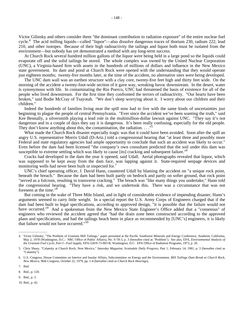Victor Gilinsky and others consider them "the dominant contribution to radiation exposure" of the entire nuclear fuel cycle.<sup>4</sup> The acid milling liquids—called "liquor"—also dissolve dangerous traces of thorium 230, radium 222, lead 210, and other isotopes. Because of their high radioactivity the tailings and liquor both must be isolated from the environment—but nobody has yet demonstrated a method with any long-term success.

At Church Rock several hundred million gallons of the liquor were being held in a large pond so the liquids could evaporate off and the solid tailings be stored. The whole complex was owned by the United Nuclear Corporation (UNC), a Virginia-based firm with assets in the hundreds of millions of dollars and influence in the New Mexico state government. Its dam and pond at Church Rock were opened with the understanding that they would operate just eighteen months; twenty-five months later, at the time of the accident, no alternative sites were being developed.

The UNC dam wall was an earthen structure with a clay core, twenty-five feet high and thirty feet wide. On the morning of the accident a twenty-foot-wide section of it gave way, wreaking havoc downstream. In the desert, water is synonymous with life. In contaminating the Rio Puerco, UNC had threatened the basis of existence for all of the people who lived downstream. For the first time they confronted the terrors of radioactivity. "Our hearts have been broken," said Bodie McCray of Tsayotah. "We don't sleep worrying about it. I worry about our children and their children."

Indeed the hundreds of families living near the spill now had to live with the same kinds of uncertainties just beginning to plague the people of central Pennsylvania. "Ever since the accident we've been wanting the truth," said Kee Bennally, a silversmith playing a lead role in the multimillion-dollar lawsuit against UNC. "They say it's not dangerous and in a couple of days they say it is dangerous. It's been really confusing, especially for the old people. They don't know anything about this, the contamination, the radiation. . . ."<sup>5</sup>

What made the Church Rock disaster especially tragic was that it could have been avoided. Soon after the spill an angry U.S. representative Morris Udall (D-Ariz.) told a congressional hearing that "at least three and possibly more Federal and state regulatory agencies had ample opportunity to conclude that such an accident was likely to occur." Even before the dam had been licensed "the company's own consultant predicted that the soil under this dam was susceptible to extreme settling which was likely to cause [its] cracking and subsequent failure."<sup>6</sup>

Cracks had developed in the dam the year it opened, said Udall. Aerial photographs revealed that liquor, which was supposed to be kept away from the dam face, was lapping against it. State-required seepage devices and monitoring wells had never been built or inspected for.<sup>7</sup>

UNC's chief operating officer, J. David Hann, countered Udall by blaming the accident on "a unique rock point, beneath the breach." Because the dam had been built partly on bedrock and partly on softer ground, that rock point "served as a fulcrum, resulting in transverse cracking." The breach was "like many things you undertake," Hann told the congressional hearing. "They have a risk, and we undertook this. There was a circumstance that was not foreseen at the time."<sup>8</sup>

But coming in the wake of Three Mile Island, and in light of considerable evidence of impending disaster, Hann's arguments seemed to carry little weight. In a special report the U.S. Army Corps of Engineers charged that if the dam had been built to legal specifications, according to approved design, "it is possible that the failure would not have occurred."<sup>9</sup> And a spokesman from the New Mexico State Engineer's Office added that a "consensus" of engineers who reviewed the accident agreed that "had the drain zone been constructed according to the approved plans and specifications, and had the tailings beach been in place as recommended by [UNC's] engineers, it is likely that failure would not have occurred."<sup>10</sup>

7. Ibid.

8. Ibid., p. 120.

hh<del>ahaa ka badaa ka badaa ka badaa ka badaa ka badaa ka badaa ka badaa ka badaa ka badaa ka badaa ka badaa ka bada</del>

9. Ibid., p. 3.

10. Ibid., p. 42.

<sup>4.</sup> Victor Gilinsky, "The Problem of Uranium Mill Tailings," paper presented at the Pacific Southwest Minerals and Energy Conference, Anaheim, California, May 2, 1978 (Washington, D.C.: NRC Office of Public Affairs), No. S-78-3, p. 3 (hereafter cited as "Problem"). See also, EPA, *Environmental Analysis of the Uranium Fuel Cycle, Part I—Fuel Supply,* EPA-520/9-73-003-B, Washington, D.C: EPA Office of Radiation Programs, 1973, p. 26.

<sup>5.</sup> Chris Shuey, "Calamity at Church Rock, New Mexico," *Saturday Magazine, Scottsdale Daily Progress,* Part 1, February 14, 1981, p. 3 (hereafter cited as "Calamity").

<sup>6.</sup> U.S. Congress, House Committee on Interior and Insular Affairs, Subcommittee on Energy and the Environment, *Mill Tailings Dam Break at Church Rock, New Mexico,* 96th Congress, October 22, 1979, pp. 1-4 (hereafter cited as *Church Rock Hearings*).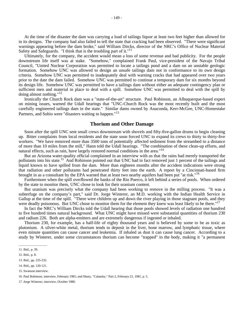At the time of the disaster the dam was carrying a load of tailings liquor at least two feet higher than allowed for in its designs. The company had also failed to tell the state that cracking had been observed. "There were significant warnings appearing before the dam broke," said William Dircks, director of the NRC's Office of Nuclear Material Safety and Safeguards. "I think that is the troubling part of it." $11$ 

Ultimately, for the company, the accident would mean a loss of some revenue and bad publicity. For the people downstream life itself was at stake. "Somehow," complained Frank Paul, vice-president of the Navajo Tribal Council, "United Nuclear Corporation was permitted to locate a tailings pond and a dam on an unstable geologic formation. Somehow UNC was allowed to design an unsafe tailings dam not in conformance to its own design criteria. Somehow UNC was permitted to inadequately deal with warning cracks that had appeared over two years prior to the date the dam failed. Somehow UNC was permitted to continue a temporary dam for six months beyond its design life. Somehow UNC was permitted to have a tailings dam without either an adequate contingency plan or sufficient men and material in place to deal with a spill. Somehow UNC was permitted to deal with the spill by doing almost nothing."<sup>12</sup>

Ironically the Church Rock dam was a "state-of-the-art" structure. Paul Robinson, an Albuquerque-based expert on mining issues, warned the Udall hearings that "UNC-Church Rock was the most recently built and the most carefully engineered tailings dam in the state." Similar dams owned by Anaconda, Kerr-McGee, UNC-Homestake Partners, and Sohio were "disasters waiting to happen."<sup>13</sup>

#### **Thorium and Other Damage**

Soon after the spill UNC sent small crews downstream with shovels and fifty-five-gallon drums to begin cleaning up. Bitter complaints from local residents and the state soon forced UNC to expand its crews to thirty to thirty-five workers. "We have removed more than 3500 tons of potentially affected sediment from the streambed to a distance of more than 10 miles from the mill," Hann told the Udall hearings. "The combination of these clean-up efforts, and natural effects, such as rain, have largely restored normal conditions in the area."<sup>14</sup>

But an Arizona water-quality official complained in an interview with us that the rains had merely transported the pollutants into his state.<sup>15</sup> And Robinson pointed out that UNC had in fact removed just 1 percent of the tailings and liquid known to have spilled from the dam. More than eighteen months after the accident indications were strong that radiation and other pollutants had penetrated thirty feet into the earth. A report by a Cincinnati-based firm brought in as a consultant by the EPA warned that at least two nearby aquifers had been put "at risk."<sup>16</sup>

Furthermore when the spill overflowed the banks of the Rio Puerco, it left behind a series of pools. When ordered by the state to monitor them, UNC chose to look for their uranium content.

But uranium was precisely what the company had been working to remove in the milling process. "It was a subterfuge on the company's part," said Dr. Jorge Winterer, an M.D. working with the Indian Health Service in Gallup at the time of the spill. "There were children up and down the river playing in those stagnant pools, and they were deadly poisonous. But UNC chose to monitor them for the element they knew was least likely to be there."<sup>17</sup>

In fact the NRC's William Dircks told the Udall hearing that those pools showed levels of radiation one hundred to five hundred times natural background. What UNC might have missed were substantial quantities of thorium 230 and radium 226. Both are alpha-emitters and are extremely dangerous if ingested or inhaled.

Thorium 230, for example, has a half-life of eighty thousand years and is believed by some to be as toxic as plutonium. A silver-white metal, thorium tends to deposit in the liver, bone marrow, and lymphatic tissue, where even minute quantities can cause cancer and leukemia. If inhaled as dust it can cause lung cancer. According to a study by Winterer, under some circumstances thorium can become "trapped" in the body, making it "a permanent

<sup>11.</sup> Ibid., p. 39.

<sup>12.</sup> Ibid., p. 8.

<sup>13.</sup> Ibid., pp. 225-232.

<sup>14.</sup> Ibid., pp. 120-121.

<sup>15.</sup> Swanson interview.

<sup>16.</sup> Paul Robinson, interview, February 1981; and Shuey, "Calamity," Part 2, February 21, 1981, p. 5.

<sup>17.</sup> Jorge Winterer, interview, October 1980.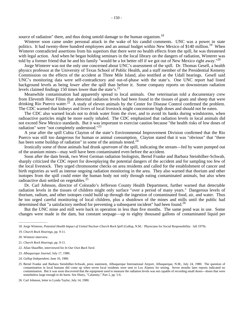source of radiation" there, and thus doing untold damage to the human organism.<sup>18</sup>

Winterer soon came under personal attack in the wake of his candid comments. UNC was a power in state politics. It had twenty-three hundred employees and an annual budget within New Mexico of \$140 million.<sup>19</sup> When Winterer contradicted assertions from his superiors that there were no health effects from the spill, he was threatened with legal action. And when he began holding seminars in the local library on the dangers of radiation, Winterer was told by a former friend that he and his family "would be a lot better off if we got out of New Mexico right away."<sup>20</sup>

Jorge Winterer was not the only one concerned about UNC's assessment of the spill. Dr. Thomas Gesell, a health physics professor at the University of Texas School of Public Health, and a staff member of the Presidential Kemeny Commission on the effects of the accident at Three Mile Island, also testified at the Udall hearings. Gesell said UNC's monitoring data were self-contradictory and out-of-phase with the state's. One UNC report had listed background levels as being *lower* after the spill than before it. Some company reports on downstream radiation levels claimed findings 150 times lower than the state's. $^{21}$ 

Meanwhile contamination had apparently spread to local animals. One veterinarian told a documentary crew from Eleventh Hour Films that abnormal radiation levels had been found in the tissues of goats and sheep that were drinking Rio Puerco water.<sup>22</sup> A study of eleven animals by the Center for Disease Control confirmed the problem. The CDC warned that kidneys and livers of local livestock might concentrate high doses and should not be eaten.

The CDC also warned locals not to drink water from the river, and to avoid its banks during windstorms, when radioactive particles might be more easily inhaled. The CDC emphasized that radiation levels in local animals did not exceed New Mexico standards. But it was important to exercise caution because "the health risks of low doses of radiation" were "not completely understood."<sup>23</sup>

A year after the spill Cubia Clayton of the state's Environmental Improvement Division confirmed that the Rio Puerco was still too dangerous for human or animal consumption. Clayton stated that it was "obvious" that "there has been some buildup of radiation" in some of the animals tested.<sup>24</sup>

Ironically some of those animals had drunk *upstream* of the spill, indicating the stream—fed by water pumped out of the uranium mines—may well have been contaminated even before the accident.

Soon after the dam break, two West German radiation biologists, Bernd Franke and Barbara Steinhilber-Schwab, sharply criticized the CDC report for downplaying the potential dangers of the accident and for sampling too few of the local livestock. They urged chromosome checks on area residents and called for the establishment of cancer and birth registries as well as intense ongoing radiation monitoring in the area. They also warned that thorium and other isotopes from the spill could enter the human body not only through eating contaminated animals, but also when radioactive dust settled on vegetables.<sup>25</sup>

Dr. Carl Johnson, director of Colorado's Jefferson County Health Department, further warned that detectable radiation levels in the tissues of children might only surface "over a period of many years." Dangerous levels of thorium, radium, and other isotopes could build up through the ingestion of contaminated food, air, and water. Thus he too urged careful monitoring of local children, plus a shutdown of the mines and mills until the public had determined that "a satisfactory method for preventing a subsequent incident" had been found.<sup>26</sup>

But the UNC mine and mill were back in operation in less than five months. The same pond was in use. Some changes were made in the dam, but constant seepage—up to eighty thousand gallons of contaminated liquid per

<sup>18.</sup> Jorge Winterer, *Potential Health Impact of United Nuclear-Church Rock Spill* (Gallup, N.M.: Physicians for Social Responsibility: fall 1979).

<sup>19.</sup> *Church Rock Hearings,* pp. 9-11.

<sup>20.</sup> Winterer interview.

<sup>21.</sup> *Church Rock Hearings,* pp. 9-11.

<sup>22.</sup> Allan Shauffler, interviewed for *In Our Own Back Yard*.

<sup>23.</sup> *Albuquerque Journal,* July 17, 1980.

<sup>24.</sup> *Gallup Independent,* June 16, 1980.

<sup>25.</sup> Bernd Franke and Barbara Steinhilber-Schwab, press statement, Albuquerque International Airport, Albuquerque, N.M., July 24, 1980. The question of contamination in local humans did come up when seven local residents were sent to Los Alamos for testing. Seven months later reports indicated no contamination. But it was soon discovered that the equipment used to measure the radiation levels was not capable of recording small doses—doses that were nonetheless large enough to do harm. See Shuey, "Calamity," Part 2, pp. 5-6.

<sup>26.</sup> Carl Johnson, letter to Lynda Taylor, July 14, 1980.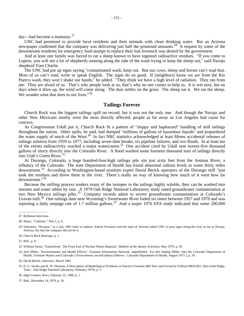day—had become a mainstay.<sup>27</sup>

UNC had promised to provide local residents and their animals with clean drinking water. But an Arizona newspaper confirmed that the company was delivering just half the promised amounts.<sup>28</sup> A request by some of the downstream residents for emergency food stamps to replace their lost livestock was denied by the government.

And at least one family was forced to eat a sheep known to have ingested radioactive residues. "If you come to Lupton, you will see a lot of shepherds running along the side of the wash trying to keep the sheep out," said Navajo shepherd Tom Charlie.

The UNC had put up signs saying "contaminated wash, keep out. But our cows, sheep and horses can't read that. Most of us can't read, write or speak English. The signs do no good. If [neighbors] know we are from the Rio Puerco wash, they won't shake our hands," he added. "They think we have a high level of radiation. They ran from me. They are afraid of us. That's why people look at us, that's why no one comes to help us. It is wet now, but on days when it dries up, the wind will come along. The dust settles on the grass. The sheep eat it. We eat the sheep. We wonder what that does to our lives."<sup>29</sup>

#### **Tailings Forever**

Church Rock was the biggest tailings spill on record, but it was not the only one. And though the Navajo and other New Mexicans nearby were the most directly affected, people as far away as Los Angeles had cause for concern.

As Congressman Udall put it, Church Rock fit a pattern of "sloppy and haphazard" handling of mill tailings throughout the nation. Other spills, he said, had dumped "millions of gallons of hazardous liquids" and jeopardized the water supply of much of the West.<sup>30</sup> In fact NRC statistics acknowledged at least fifteen accidental releases of tailings solution from 1959 to 1977, including seven dam breaks, six pipeline failures, and two floods. In at least ten of the events radioactivity reached a major watercourse.<sup>31</sup> One accident cited by Udall sent twenty-five thousand gallons of slurry directly into the Colorado River. A flood washed some fourteen thousand tons of tailings directly into Utah's Green River.<sup>32</sup>

At Durango, Colorado, a huge hundred-foot-high tailings pile sits just sixty feet from the Animas River, a tributary of the Colorado. The state Department of Health has found abnormal radium levels in water thirty miles downstream.33 According to Washington-based uranium expert David Berick operators of the Durango mill "just took the residues and threw them in the river. There's really no way of knowing how much of it went how far downstream."34

Because the milling process renders many of the isotopes in the tailings highly soluble, they can be washed into streams and water tables by rain. A 1979 Oak Ridge National Laboratory study noted groundwater contamination at two New Mexico tailings piles.<sup>35</sup> Company records admit to severe groundwater contamination at Colorado's Uravan mill.<sup>36</sup> One tailings dam near Wyoming's Sweetwater River failed six times between 1957 and 1979 and was reporting a daily seepage rate of 1.7 million gallons.<sup>37</sup> And a major 1976 EPA study indicated that some  $200,000$ 

31. Ibid., p. 9.

35. D. G. Jacobs and H. W. Dickson, *A Description of Radiological Problems at Inactive Uranium Mill Sites and Formerly Utilized MED/AEC Sites* (Oak Ridge, Tenn.: Oak Ridge National Laboratory, February 1979), p. 5.

36. *High Country News,* February 22, 1980, p. 1.

37. Ibid., December 14, 1979, p. 10.

hhhhhhhhhhhhhhhhhh 27. Robinson interview.

<sup>28.</sup> Shuey, "Calamity," Part 2, p. 6.

<sup>29.</sup> Saltzstein, "Navajos." In a July 1981 letter to authors, Edwin Swanson said the state of Arizona asked UNC to post signs along the river as far as Navajo, Arizona, but that the company did not do it.

<sup>30.</sup> *Church Rock Hearings,* p. 1.

<sup>32.</sup> William Sweet, "Unresolved: The Front End of Nuclear Waste Disposal," *Bulletin of the Atomic Scientists,* May 1979, p. 45

<sup>33.</sup> Jack Miller, "Environmental and Health Effects," Uranium Information Network, unpublished. For this finding Miller cites the Colorado Department of Health, *Uranium Wastes and Colorado's Environment,* second edition (Denver: Colorado Department of Health, August 1971 ), p. 10.

<sup>34.</sup> David Berick, interview, March 1981.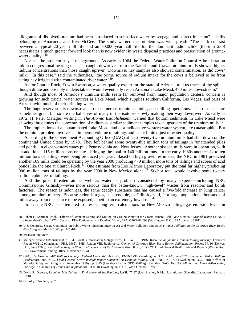kilograms of dissolved uranium had been introduced to subsurface water by seepage and "direct injection" at mills belonging to Anaconda and Kerr-McGee. The study warned the problem was widespread: "The stark contrast between a typical 20-year mill life and an 80,000-year half life for the dominant radionuclide (thorium 230) necessitates a much greater forward look than is now evident in waste disposal practices and preservation of groundwater quality."<sup>38</sup>

Nor has the problem stayed underground. As early as 1964 the Federal Water Pollution Control Administration told a congressional hearing that fish caught downriver from the Naturita and Uravan uranium mills showed higher radium concentrations than those caught upriver. Downriver hay samples also showed contamination, as did cows' milk. "In this case," said the authorities, "the prime source of radium intake for the cows is believed to be from eating hay irrigated with contaminated river water."<sup>39</sup>

As for Church Rock, Edwin Swanson, a water-quality expert for the state of Arizona, told us traces of the spill though dilute and possibly undetectable—would eventually reach Arizona's Lake Mead, 470 miles downstream.<sup>40</sup>

And though most of America's uranium mills seem far removed from major population centers, concern is growing for such crucial water sources as Lake Mead, which supplies southern California, Las Vegas, and parts of Arizona with much of their drinking water.

The huge reservoir sits downstream from numerous uranium mining and milling operations. The distances are sometimes great, but so are the half-lives of many of the isotopes slowly making their way downriver. As early as 1972, H. Peter Metzger, writing in *The Atomic Establishment,* warned that bottom sediments in Lake Mead were showing three times the concentration of radium as similar sediment samples taken upstream of the uranium mills.<sup>41</sup>

The implications of a contaminated Lake Mead, and of a radioactive western water system, are catastrophic. But the uranium problem involves an immense volume of tailings and is not limited just to water quality.

According to the Government Accounting Office (GAO) at least twenty-two uranium mills had shut down on the continental United States by 1978. They left behind some twenty-five million tons of tailings in "unattended piles and ponds" in eight western states plus Pennsylvania and New Jersey. Another sixteen mills were in operation, with an additional 115 million tons on site—bringing the total to 140 million tons. In the early 1980s another six to ten million tons of tailings were being produced per year. Based on high growth estimates, the NRC in 1981 predicted another 109 mills could be operating by the year 2000 producing 470 million more tons of tailings and scores of acid ponds like the one at Church Rock.<sup>42</sup> One estimate from Los Alamos Laboratory put the total far higher, predicting 900 million tons of tailings by the year 2000 in New Mexico alone.<sup>43</sup> Such a total would involve some twenty trillion cubic feet of tailings.

And the piles threaten air as well as water, a problem considered by many experts—including NRC Commissioner Gilinsky—even more serious than the better-known "high-level" wastes from reactors and bomb factories. The reason is radon gas, the same deadly substance that has caused a five-fold increase in lung cancer among uranium miners. Because radon is a gas, it is possible, as Gilinsky said, "for large populations thousands of miles away from the source to be exposed, albeit to an extremely low dose."<sup>44</sup>

In fact the NRC has attempted to present long-term calculations for New Mexico tailings-gas emission levels in

<sup>38.</sup> Robert F. Kaufman, et al., "Effects of Uranium Mining and Milling on Ground Water in the Grants Mineral Belt, New Mexico," *Ground Water* 14, No. 5 (September-October 1976). See also, EPA *Radioactivity in Drinking Water,* EPA #570/9-81-002 (Washington, D.C.: EPA, January 1981).

<sup>39.</sup> U.S. Congress, Senate Committee on Public Works, Subcommittee on Air and Water Pollution, *Radioactive Water Pollution in the Colorado River Basin,* 89th Congress, May 6, 1966, pp. 101-104.

<sup>40.</sup> Swanson interview.

<sup>41.</sup> Metzger, *Atomic Establishment,* p. 164. For this information Metzger cites: DHEW, U.S. PHS, *Waste Guide for the Uranium Milling Industry,* Technical Report W62-12 (Cincinnati: PHS, 1962); PHS, Region VIII, *Radiological Content of Colorado River Basin Bottom Sedimentation,* Report PR-10 (Denver: PHS, June 1963); and *Radioactivity in Water and Sediments of the Colorado River Basin, 1950-1963,* Radiological Health Data and Reports (Washington: U.S. Government Printing Office, November 1964).

<sup>42.</sup> GAO, *The Uranium Mill Tailings Cleanup: Federal Leadership At Last?,* EMD-78-90, (Washington, D.C.: GAO, June 1978) (hereafter cited as *Tailings Leadership*); and, NRC, *Final General Environmental Impact Statement on Uranium Milling,* Vol 1, NUREG-0706 (Washington, D.C.: NRC Office of Material Safety and Safeguards, September 1980), pp. 3-15 (hereafter cited as *GEIS-Milling*). See also, GAO, *The U.S. Mining and Mineral-Processing Industry: An Analysis of Trends and Implications,* ID-80-04 (Washington, D.C.: GAO, October 1979).

<sup>43.</sup> David R. Dreesen, *Uranium Mill Tailings: Environmental Implications,* LASL 77-37 (Los Alamos, N.M.: Los Alamos Scientific Laboratory, February 1978).

<sup>44.</sup> Gilinsky, "Problem," p. 2.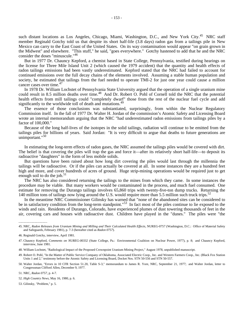such distant locations as Los Angeles, Chicago, Miami, Washington, D.C., and New York City.<sup>45</sup> NRC staff member Reginald Gotchy told us that despite its short half-life (3.8 days) radon gas from a tailings pile in New Mexico can carry to the East Coast of the United States. On its way contamination would appear "on grain grown in the Midwest" and elsewhere. "This stuff," he said, "goes everywhere." Gotchy hastened to add that he and the NRC consider the doses "minuscule."<sup>46</sup>

But in 1977 Dr. Chauncy Kepford, a chemist based in State College, Pennsylvania, testified during hearings on the license for Three Mile Island Unit 2 (which caused the 1979 accident) that the quantity and health effects of radon tailings emissions had been vastly underestimated. Kepford stated that the NRC had failed to account for continued emissions over the full decay chains of the elements involved. Assuming a stable human population and society, he estimated that tailings from the fuel needed to operate TMI-2 for just one year could cause a million cancer cases over time.<sup>47</sup>

In 1978 Dr. William Lochstet of Pennsylvania State University argued that the operation of a single uranium mine could result in 8.5 million deaths over time.<sup>48</sup> And Dr. Robert O. Pohl of Cornell told the NRC that the potential health effects from mill tailings could "completely dwarf" those from the rest of the nuclear fuel cycle and add significantly to the worldwide toll of death and mutations.<sup>49</sup>

The essence of those conclusions was substantiated, surprisingly, from within the Nuclear Regulatory Commission itself. In the fall of 1977 Dr. Walter H. Jordan of the commission's Atomic Safety and Licensing Board wrote an internal memorandum arguing that the NRC "had underestimated radon emissions from tailings piles by a factor of 100,000."

Because of the long half-lives of the isotopes in the solid tailings, radiation will continue to be emitted from the tailings piles for billions of years. Said Jordan: "It is very difficult to argue that deaths to future generations are unimportant."<sup>50</sup>

In estimating the long-term effects of radon gases, the NRC assumed the tailings piles would be covered with dirt. The belief is that covering the piles will trap the gas and force it—after its relatively short half-life—to deposit its radioactive "daughters" in the form of less mobile solids.

But questions have been raised about how long dirt covering the piles would last through the millennia the tailings will be radioactive. Or if the piles can actually be covered at all. In some instances they are a hundred feet high and more, and cover hundreds of acres of ground. Huge strip-mining operations would be required just to get enough soil to do the job. $51$ 

The NRC has also considered returning the tailings to the mines from which they came. In some instances the procedure may be viable. But many workers would be contaminated in the process, and much fuel consumed. One estimate for removing the Durango tailings involves 65,860 trips with twenty-five-ton dump trucks. Returning the 140 million tons of tailings now lying around the U.S. would require more than 5.5 million such truck trips.<sup>52</sup>

In the meantime NRC Commissioner Gilinsky has warned that "none of the abandoned sites can be considered to be in satisfactory condition from the long-term standpoint."<sup>53</sup> In fact most of the piles continue to lie exposed to the winds and rain. Residents of Durango, Colorado, have experienced plumes of dust towering thousands of feet in the air, covering cars and houses with radioactive dust. Children have played in the "dunes." The piles were "the

hh<del>ahaa ka badaa ka badaa ka badaa ka badaa ka badaa ka badaa ka badaa ka badaa ka badaa ka badaa ka badaa ka bada</del>

53. Gilinsky, "Problem," p. 5.

<sup>45.</sup> NRC, *Radon Releases from Uranium Mining and Milling and Their Calculated Health Effects,* NUREG-0757 (Washington, D.C.: Office of Material Safety and Safeguards, February 1981), p. 7-3 (hereafter cited as *Radon 0757*).

<sup>46.</sup> Reginald Gotchy, interview, April 1981.

<sup>47.</sup> Chauncy Kepford, *Comments on NUREG-00332* (State College, Pa.: Environmental Coalition on Nuclear Power, 1977), p. 8; and Chauncy Kepford, interview, June 1981.

<sup>48.</sup> William Lochstet, "Radiological Impact of the Proposed Crownpoint Uranium Mining Project," August 1978, unpublished manuscript.

<sup>49.</sup> Robert O. Pohl, "In the Matter of Public Service Company of Oklahoma, Associated Electric Coop., Inc. and Western Farmers Coop., Inc. (Black Fox Station Units 1 and 2," testimony before the Atomic Safety and Licensing Board, Docket Nos. STN 50-556 and STN 50-557.

<sup>50.</sup> Walter Jordan, "Errors in 10 CFR Section 51.20, Table S-3," memorandum to James R. Yore, NRC, September 21, 1977; and Walter Jordan, letter to Congressman Clifford Allen, December 9, 1977.

<sup>51.</sup> NRC, *Radon 0757,* p. 4-7.

<sup>52.</sup> *High Country News,* May 16, 1980, p. 6.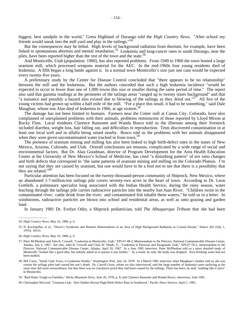biggest, best sandpile in the world," Greta Highland of Durango told the *High Country News*. "After school my friends would sneak into the mill yard and play in the tailings."<sup>54</sup>

But the consequences may be lethal. High levels of background radiation from thorium, for example, have been linked to spontaneous abortion and mental retardation.<sup>55</sup> Leukemia and lung-cancer rates in south Durango, near the piles, have been reported higher than the rest of the town and the state.<sup>56</sup>

And Monticello, Utah (population: 1900), has also reported problems. From 1949 to 1960 the town hosted a large uranium mill, which processed weapons material for the AEC. In the mid-1960s four young residents died of leukemia. A fifth began a long battle against it. In a normal town Monticello's size just one case would be expected every twenty-five years.

A preliminary study by the Center for Disease Control concluded that "there appears to be no relationship" between the mill and the leukemias. But the authors conceded that such a high leukemia incidence "would be expected to occur in fewer than one of 1,000 towns this size or smaller during the same period of time." The report also said that gamma readings at the perimeter of the tailings areas "ranged up to twenty times background" and that "a nuisance and possibly a hazard also existed due to blowing of the tailings as they dried out."<sup>57</sup> All five of the young victims had grown up within a half mile of the mill. "For a place this small, it had to be something," said Dale Maughan, whose son Alan died of leukemia in 1966, at age sixteen.<sup>58</sup>

The damage has not been limited to humans. Farmers near the Cotter mill at Canon City, Colorado, have also complained of unexplained problems with their animals, problems reminiscent of those reported by Lloyd Mixon at Rocky Flats. Local residents Clarence Ransome and Wanda Bosco told us the illnesses among their livestock included diarrhea, weight loss, hair falling out, and difficulties in reproduction. Tests discovered contamination in at least one local well and in alfalfa being raised nearby. Bosco told us the problems with her animals disappeared when they were given uncontaminated water trucked in from town.<sup>59</sup>

The presence of uranium mining and milling has also been linked to high birth-defect rates in the states of New Mexico, Arizona, Colorado, and Utah. Overall conclusions are tenuous, complicated by a wide range of social and environmental factors. But Dr. Alan Goodman, director of Program Development for the Area Health Education Center at the University of New Mexico's School of Medicine, has cited "a disturbing pattern" of sex ratio changes and birth defects that correspond to "the same patterns of uranium mining and milling on the Colorado Plateau. I'm not saying that they are caused by uranium, but one would have to be a fool not to see that there is a possibility that they are related."<sup>60</sup>

Particular attention has been focused on the twenty-thousand-person community of Shiprock, New Mexico, where an abandoned 1.7-million-ton tailings pile covers seventy-two acres in the heart of town. According to Dr. Leon Gottleib, a pulmonary specialist long associated with the Indian Health Service, during the rainy season, water leaching through the tailings pile carries radioactive particles into the nearby San Juan River. "Children swim in the contaminated river; cattle drink from the river; and contaminated fish inhabit these waters," he told us in a letter. In windstorms, radioactive particles are blown into school and residential areas, as well as onto grazing and garden land.

In January 1981 Dr. Evelyn Odin, a Shiprock pediatrician, told *The Albuquerque Tribune* that she had been

<sup>54.</sup> *High Country News,* May 16, 1980, p. 6.

<sup>55.</sup> N. Kochupillai, et al., "Down's Syndrome and Related Abnormalities in an Area of High Background Radiation in Coastal Kerala," *Nature* 262 (July 1, 1976): 60-61.

<sup>56.</sup> *High Country News,* May 16, 1980, p. 6.

<sup>57.</sup> Peter McPhedran and John R. Crowell, "Leukemia in Monticello, Utah," EPI-67-48-2, Memorandum to the Director, National Communicable Disease Center, Atlanta, July 5, 1967. See also, John R. Crowell and Clark W. Heath, Jr., "Leukemia in Parowan and Paragonah, Utah," EPI-67-70-2, memorandum to the Director, National Communicable Disease Center, Atlanta, April 26, 1967. In a June 1981 interview, Peter McPhedran told us a more detailed study of Monticello "looked like a good idea, but nobody asked us to pursue it any further." As a result, he said, the study was dropped. Area drinking water had not been studied.

<sup>58.</sup> Bill Curry, "Small Utah Town, 4 Leukemia Deaths," *Washington Post,* July 16, 1978. In a March 1981 interview Alan Maughan's mother told us she was certain the tailings piles had caused her son's death. Dr. Carroll Goon, whom we also interviewed, said the large number of leukemia cases surfacing at the same time did seem extraordinary, but that there was no conclusive proof they had been caused by the tailings. There has been, he said, "nothing like it since" in Monticello.

<sup>59. &</sup>quot;Bad Water Tough on Families," *Rocky Mountain News,* June 26, 1978, p. 8; and Clarence Ransome and Wanda Bosco, interviews, June 1981.

<sup>60.</sup> Christopher McLeod, "Uranium Link: New Studies Reveal High Birth Defect Rate in Southwest," Pacific News Service, April 1, 1981.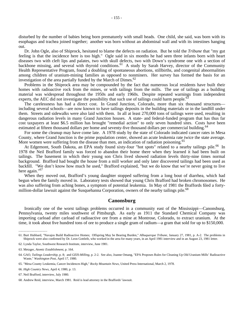disturbed by the number of babies being born prematurely with small heads. One child, she said, was born with its esophagus and trachea joined together; another was born without an abdominal wall and with its intestines hanging out.

Dr. John Ogle, also of Shiprock, hesitated to blame the defects on radiation. But he told the *Tribune* that "my gut feeling is that the incidence here is too high." Ogle said in six months he had seen three infants born with heart diseases two with cleft lips and palates, two with skull defects, two with Down's syndrome one with a section of backbone missing, and several with thyroid conditions.<sup>61</sup> A study by Sarah Harvey, director of the Community Health Representative Program, found a doubling of spontaneous abortions, stillbirths, and congenital abnormalities among children of uranium-mining families as opposed to nonminers. Her survey has formed the basis for an investigation of the area partially funded by the March of Dimes.<sup>62</sup>

Problems in the Shiprock area may be compounded by the fact that numerous local residents have built their homes with radioactive rock from the mines, or with tailings from the mills. The use of tailings as a building material was widespread throughout the 1950s and early 1960s. Despite repeated warnings from independent experts, the AEC did not investigate the possibility that such use of tailings could harm people.<sup>63</sup>

The carelessness has had a direct cost. In Grand Junction, Colorado, more than six thousand structures including several schools—are now known to have tailings deposits in the building materials or in the landfill under them. Streets and sidewalks were also laid with them. In all at least 270,000 tons of tailings were used, resulting in dangerous radiation levels in many Grand Junction houses. A state- and federal-funded program that has thus far cost taxpayers at least \$6.5 million has brought "remedial action" to only seven hundred sites. Costs have been estimated at fifteen thousand dollars per home and seventy-five thousand dollars per commercial building.<sup>64</sup>

For some the cleanup may have come late. A 1978 study by the state of Colorado indicated cancer rates in Mesa County, where Grand Junction is the prime population center, showed an acute leukemia rate twice the state average. More women were suffering from the disease than men, an indication of radiation poisoning.<sup>65</sup>

At Edgemont, South Dakota, an EPA study found sixty-four "hot spots" related to a nearby tailings pile.<sup>66</sup> In 1978 the Neil Brafford family was forced to abandon their home there when they learned it had been built on tailings. The basement in which their young son Chris lived showed radiation levels thirty-nine times normal background. Brafford had bought the house from a mill worker and only later discovered tailings had been used as backfill. "We don't know how much he used," Brafford explained, "but we do know that we're never going to live here again."<sup>67</sup>

When they moved out, Brafford's young daughter stopped suffering from a long bout of diarrhea, which had begun when the family moved in. Laboratory tests showed that young Chris Brafford had broken chromosomes. He was also suffering from aching bones, a symptom of potential leukemia. In May of 1981 the Braffords filed a fortymillion-dollar lawsuit against the Susquehanna Corporation, owners of the nearby tailings pile.<sup>68</sup>

#### **Canonsburg**

Ironically one of the worst tailings problems occurred in a community east of the Mississippi—Canonsburg, Pennsylvania, twenty miles southwest of Pittsburgh. As early as 1911 the Standard Chemical Company was importing carload after carload of radioactive ore from a mine at Montrose, Colorado, to extract uranium. At the time, it took about five hundred tons of ore to produce a single gram of radium—a gram that sold for up to \$150,000.

<sup>61.</sup> Burt Hubbard, "Navajos Build Radioactive Homes; Offspring May be Bearing Burden," *Albuquerque Tribune,* January 27, 1981, p. A-2. The problems in Shiprock were also confirmed by Dr. Leon Gottleib, who worked in the area for many years, in an April 1981 interview and in an August 23, 1981 letter.

<sup>62.</sup> Lynda Taylor, Southwest Research Institute, interview, June 1981.

<sup>63.</sup> Metzger, *Atomic Establishment,* p. 164.

<sup>64.</sup> GAO, *Tailings Leadership,* p. 8; and *GEIS-Milling,* p. 2-2. See also, Joanne Omang, "EPA Proposes Rules for Cleaning Up Old Uranium Mills' Radioactive Waste," *Washington Post,* April 17, 1980.

<sup>65. &</sup>quot;Mesa County Leukemia, Cancer Incidences High," *Rocky Mountain News,* United Press International, March 2, 1978.

<sup>66.</sup> *High Country News,* April 4, 1980, p. 13.

<sup>67.</sup> Neil Brafford, interview, July 1980.

<sup>68.</sup> Andrew Reid, interview, March 1981. Reid is lead attorney in the Braffords' lawsuit.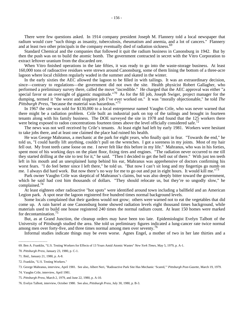There were few questions asked. In 1914 company president Joseph M. Flannery told a local newspaper that radium would cure "such things as insanity, tuberculosis, rheumatism and anemia, and a lot of cancers." Flannery and at least two other principals in the company eventually died of radiation sickness.<sup>69</sup>

Standard Chemical and the companies that followed it quit the radium business in Canonsburg in 1942. But by then the push was on to build the atomic bomb. The government contracted in secret with the Vitro Corporation to extract leftover uranium from the discarded ore.

When Vitro finished operations in the late fifties, it was ready to go into the waste-storage business. At least 160,000 tons of radioactive residues were strewn around Canonsburg, some of them lining the bottom of a three-acre lagoon where local children regularly waded in the summer and skated in the winter.

In the early sixties the AEC allowed the lagoon to be filled in with tailings. It was an extraordinary decision, since—contrary to regulations—the government did not own the site. Health physicist Robert Gallagher, who performed a preliminary survey there, called the move "incredible." He charged that the AEC approval was either "a special favor or an oversight of gigantic magnitude."<sup>70</sup> As for the fill job, Joseph Swiger, project manager for the dumping, termed it "the worst and sloppiest job I've ever worked on." It was "morally objectionable," he told *The Pittsburgh Press,* "because the material was hazardous."71

In 1967 the site was sold for \$130,000 to a local entrepreneur named Vaughn Crile, who was never warned that there might be a radiation problem. Crile built an industrial park on top of the tailings and brought in fourteen tenants along with his family business. The DOE surveyed the site in 1978 and found that the 125 workers there were being exposed to radon concentrations fourteen times above the level officially considered safe.<sup>72</sup>

The news was not well received by Crile's tenants. At least eight had left by early 1981. Workers were hesitant to take jobs there, and at least one claimed the place had ruined his health.

He was George Mahranus, a mechanic at the park for eight years, who finally quit in fear. "Towards the end," he told us, "I could hardly lift anything, couldn't pull on the wrenches. I got a soreness in my joints. Most of my hair fell out. My front teeth came loose on me. I never felt like this before in my life." Mahranus, who was in his forties, spent most of his working days on the plant floor, fixing tires and engines. "The radiation never occurred to me till they started drilling at the site to test for it," he said. "Then I decided to get the hell out of there." With just ten teeth left in his mouth and an unexplained lump behind his ear, Mahranus was apprehensive of doctors confirming his worst fears. "I do feel better since I left there," he told us. "But now I can't sit long and my fingertips go numb on me. I always did hard work. But now there's no way for me to go out and put in eight hours. It would kill me."<sup>73</sup>

Park owner Vaughn Crile was skeptical of Mahranus's claims, but was also deeply bitter toward the government, which he said had cost him thousands of dollars. "They should relocate us, but they're so ungodly slow," he complained.<sup>74</sup>

At least eighteen other radioactive "hot spots" were identified around town including a ballfield and an American Legion park. A spot near the lagoon registered five hundred times normal background levels.

Some locals complained that their gardens would not grow; others were warned not to eat the vegetables that did come up. A rain barrel at one Canonsburg home showed radiation levels eight thousand times background, while materials used to build one house registered 240 times the normal radium count. At least 150 homes were marked for decontamination.<sup>75</sup>

But, as at Grand Junction, the cleanup orders may have been too late. Epidemiologist Evelyn Talbott of the University of Pittsburgh studied the area. She told us preliminary figures indicated a lung-cancer rate twice normal among men over forty-five, and three times normal among men over seventy.<sup>76</sup>

Informal studies indicate things may be even worse. Agnes Engel, a mother of two in her late thirties and a

<sup>69.</sup> Ben A. Franklin, "U.S. Testing Workers for Effects of 13 Years Amid Atomic Wastes" *New York Times,* May 5, 1979, p. A-1.

<sup>70.</sup> *Pittsburgh Press,* January 23, 1980, p. C-1.

<sup>71.</sup> Ibid., January 21, 1980, p. A-8.

<sup>72.</sup> Franklin, "U.S. Testing Workers."

<sup>73.</sup> George Mahranus, interview, April 1981. See also, Albert Neri, "Radioactive Park Site Has Mechanic 'Scared,'" *Pittsburgh Post-Gazette,* March 19, 1979.

<sup>74.</sup> Vaughn Crile, interview, April 1981.

<sup>75.</sup> *Pittsburgh Press,* March 2, 1979, and June 22, 1980, p. A-10.

<sup>76.</sup> Evelyn Talbott, interview, October 1980. See also, *Pittsburgh Press,* July 30, 1980, p. B-3.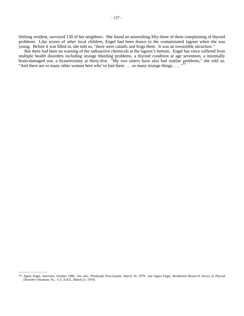lifelong resident, surveyed 150 of her neighbors. She found an astonishing fifty-three of them complaining of thyroid problems. Like scores of other local children, Engel had been drawn to the contaminated lagoon when she was young. Before it was filled in, she told us, "there were cattails and frogs there. It was an irresistible attraction."

But there had been no warning of the radioactive chemicals at the lagoon's bottom. Engel has since suffered from multiple health disorders including strange bleeding problems, a thyroid condition at age seventeen, a minimally brain-damaged son, a hysterectomy at thirty-five. "My two sisters have also had similar problems," she told us. "And there are so many other women here who've had them  $\dots$  so many strange things.  $\dots$ "77"

<sup>77.</sup> Agnes Engel, interview, October 1980. See also, *Pittsburgh Post-Gazette,* March 19, 1979; and Agnes Engel, *Residential Research Survey of Thyroid Disorders* (Strabane, Pa.: U.C.A.R.E., March 21, 1979).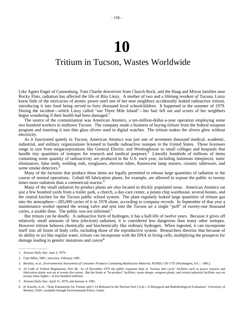# **10**

### Tritium in Tucson, Wastes Worldwide

Like Agnes Engel of Canonsburg, Tom Charlie downriver from Church Rock, and the Haag and Mixon families near Rocky Flats, radiation has affected the life of Rita Linzy. A mother of two and a lifelong resident of Tucson, Linzy knew little of the intricacies of atomic power until one of her near neighbors accidentally leaked radioactive tritium, introducing it into food being served to forty thousand local schoolchildren. It happened in the summer of 1979. During the incident—which Linzy called "our Three Mile Island"—her hair fell out and scores of her neighbors began wondering if their health had been damaged.<sup>1</sup>

The source of the contamination was American Atomics, a ten-million-dollar-a-year operation employing some two hundred workers in midtown Tucson. The company made a business of buying tritium from the federal weapons program and inserting it into thin glass slivers used in digital watches. The tritium makes the slivers glow without electricity.

As it functioned quietly in Tucson, American Atomics was just one of seventeen thousand medical, academic, industrial, and military organizations licensed to handle radioactive isotopes in the United States. Those licensees range in size from megacorporations like General Electric and Westinghouse to small colleges and hospitals that handle tiny quantities of isotopes for research and medical purposes.<sup>2</sup> Literally hundreds of millions of items containing some quantity of radioactivity are produced in the U.S. each year, including luminous timepieces, static eliminators, false teeth, welding rods, eyeglasses, electron tubes, fluorescent lamp starters, ceramic tableware, and some smoke detectors.<sup>3</sup>

Many of the factories that produce these items are legally permitted to release large quantities of radiation in the course of normal operations. Cobalt 60 fabrication plants, for example, are allowed to expose the public to twenty times more radiation than a commercial reactor.<sup>4</sup>

Many of the small radiation by-product plants are also located in thickly populated areas. American Atomics sat just a few hundred yards from a trailer park, a church, a day-care center, a potato chip warehouse, several homes, and the central kitchen for the Tucson public school system. The plant regularly leaked large quantities of tritium gas into the atmosphere—285,000 curies of it in 1978 alone, according to company records. In September of that year a maintenance worker opened the wrong valve and sent into the Tucson air a single "puff" of twenty-one thousand curies, a sizable dose. The public was not informed.<sup>5</sup>

But tritium can be deadly. A radioactive form of hydrogen, it has a half-life of twelve years. Because it gives off relatively small amounts of beta (electron) radiation, it is considered less dangerous than many other isotopes. However tritium behaves chemically and biochemically like ordinary hydrogen. When ingested, it can incorporate itself into all forms of body cells, including those of the reproductive system. Researchers theorize that because of its ability to act like regular water, tritium can incorporate with the DNA in living cells, multiplying the prospects for damage leading to genetic mutations and cancer<sup>6</sup>

<sup>1.</sup> *Arizona Daily Star,* June 3, 1979.

<sup>2.</sup> Clair Miles, NRC, interview, February 1981.

<sup>3.</sup> Buckley, et al., *Environmental Assessment of Consumer Products Containing Radioactive Material,* NUREG CR-1755 (Washington, D.C.: NRC).

<sup>4. 10</sup> Code of Federal Regulations, Part 40. As of December 1979 the public exposure limit at "nuclear fuel cycle" facilities such as power reactors and fabrication plants was set at twenty-five mrem. But the limits at "by-product" facilities, waste dumps, weapons plants, and certain industrial facilities was set twenty times higher—at five hundred millirem.

<sup>5.</sup> *Arizona Daily Star,* April 15, 1979, and January 4, 1981.

<sup>6.</sup> H. Kasche, et al., "Dose Estimations for Tritium and C-14 Released in the Nuclear Fuel Cycle—A Biological and Radiobiological Evaluation," University of Bremen, SAIU, available through Environmental Policy Center.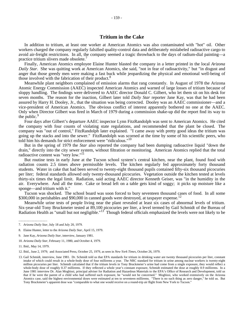In addition to tritium, at least one worker at American Atomics was also contaminated with "hot" oil. Other workers charged the company regularly falsified quality-control data and deliberately mislabeled radioactive cargo to avoid air-freight restrictions. In all, the company seemed a tragic throwback to the days of radium-dial painting—a practice tritium slivers made obsolete.<sup>7</sup>

Finally, American Atomics employee Elaine Hunter blasted the company in a letter printed in the local *Arizona Daily Star*. She was quitting work at American Atomics, she said, "not in fear of radioactivity," but "in disgust and anger that those greedy men were making a fast buck while jeopardizing the physical and emotional well-being of those involved with the fabrication of their product.<sup>8</sup>

Meanwhile plant neighbors complained of emission alarms that rang constantly. In August of 1978 the Arizona Atomic Energy Commission (AAEC) inspected American Atomics and warned of large losses of tritium because of sloppy handling. The findings were delivered to AAEC director Donald C. Gilbert, who let them sit on his desk for seven months. The reason for the inaction, Gilbert later told *Daily Star* reporter Jane Kay, was that he had been assured by Harry H. Dooley, Jr., that the situation was being corrected. Dooley was an AAEC commissioner—and a vice-president of American Atomics. The obvious conflict of interest apparently bothered no one at the AAEC. Only when Director Gilbert was fired in March of 1979 during a commission shake-up did the report find its way to the public.<sup>9</sup>

Four days after Gilbert's departure AAEC inspector Lynn FitzRandolph was sent to American Atomics. He cited the company with four counts of violating state regulations, and recommended that the plant be closed. The company was "out of control," FitzRandolph later explained. "I came away with pretty good ideas the tritium was going up the stacks and into the sewer." FitzRandolph was scorned at the time by some of his scientific peers, who told him his demands for strict enforcement were "ridiculous."<sup>10</sup>

But in the spring of 1979 the *Star* also reported the company had been dumping radioactive liquid "down the drain," directly into the city sewer system, without filtration or monitoring. American Atomics replied that the total radioactive content was "very low."<sup>11</sup>

But routine tests in early June at the Tucson school system's central kitchen, near the plant, found food with radiation counts 2.5 times above permissible levels. The kitchen regularly fed approximately forty thousand students. Water in cake that had been served to twenty-eight thousand pupils contained fifty-six thousand picocuries per liter; federal standards allowed only twenty-thousand picocuries. Vegetation outside the kitchen tested at levels thirty-six times the legal limit. Radiation, said acting AAEC director Kenneth Geiser, was "in the humidity in the air. Everywhere. And all the time. Cake or bread left on a table gets kind of soggy; it picks up moisture like a sponge—and tritium with it."

Tucson was shocked. The school board was soon forced to bury seventeen thousand cases of food. In all some \$300,000 in perishables and \$90,000 in canned goods were destroyed, at taxpayer expense.<sup>12</sup>

Meanwhile urine tests of people living near the plant revealed at least six cases of abnormal levels of tritium. Six-year-old Tony Bruckmeier tested at 89,100 picocuries per liter, a level termed by Gail Schmidt of the Bureau of Radiation Health as "small but not negligible."<sup>13</sup> Though federal officials emphasized the levels were not likely to be

<sup>7.</sup> *Arizona Daily Star,* July 18 and July 20, 1979.

<sup>8.</sup> Elaine Hunter, letter to the *Arizona Daily Star,* April 15, 1979.

<sup>9.</sup> Jane Kay, *Arizona Daily Star,* interview, January 1981.

<sup>10.</sup> *Arizona Daily Star,* February 11, 1980, and October 4, 1979.

<sup>11.</sup> Ibid., May 14, 1979.

<sup>12.</sup> Ibid., June 2, 1979; and Associated Press, October 25, 1979, as seen in *New York Times,* October 26, 1979.

<sup>13.</sup> Gail Schmidt, interview, June 1981. Dr. Schmidt told us that EPA standards for tritium in drinking water are twenty thousand picocuries per liter, constant intake of which could result in a whole-body dose of four millirems a year. The NRC standard for tritium in urine among nuclear workers is twenty-eight million picocuries per liter. Schmidt calculated that if the tritium levels in Tony Bruckmeier's urine had come from a single exposure, they would reflect a whole-body dose of roughly 0.37 millirems. If they reflected a whole year's constant exposure, Schmidt estimated the dose at roughly 8.9 millirems. In a June 1981 interview Dr. Alan Moghissi, principal adviser for Radiation and Hazardous Materials to the EPA's Office of Research and Development, told us that if he were the parent of a child who had suffered such exposure, he "would not be concerned." Moghissi, who worked extensively on the Arizona Atomics case, said the highest environmental doses were estimated at ten to seventeen millirems. "There is no such thing as zero danger," he told us. But Tony Bruckmeier's apparent dose was "comparable to what one would receive on a round-trip air flight from New York to Tucson."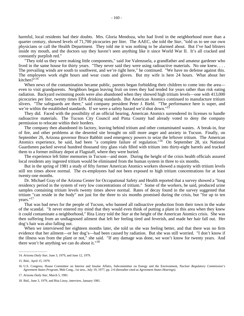harmful, local residents had their doubts. Mrs. Gloria Mendoza, who had lived in the neighborhood more than a quarter century, showed levels of 71,700 picocuries per liter. The AAEC, she told the *Star,* "told us to see our own physicians or call the Health Department. They told me it was nothing to be alarmed about. But I've had blisters inside my mouth, and the doctors say they haven't seen anything like it since World War II. It's all cracked and constantly purplish red."

"They told us they were making little components," said Joe Valenzuela, a grandfather and amateur gardener who lived in the same house for thirty years. "They never said they were using radioactive materials. No one knew.... The prevailing winds are south to southwest, and we're right here," he continued. "We have no defense against this. The employees work eight hours and wear coats and gloves. But my wife is here 24 hours. What about her kitchen?"<sup>14</sup>

When news of the contamination became public, parents began forbidding their children to come into the area even to visit grandparents. Neighbors began leaving fruit on trees they had tended for years rather than risk eating radiation. Backyard swimming pools were also abandoned when they showed high tritium levels—one with 413,000 picocuries per liter, twenty times EPA drinking standards. But American Atomics continued to manufacture tritium slivers. "The safeguards are there," said company president Peter J. Biehl. "The performance here is super, and we're within the established standards. If we were a safety hazard we'd shut down."<sup>15</sup>

They did. Faced with the possibility of an official hearing, American Atomics surrendered its licenses to handle radioactive materials. The Tucson City Council and Pima County had already voted to deny the company permission to relocate within their borders.

The company then abandoned its factory, leaving behind tritium and other contaminated wastes. A break-in, fear of fire, and other problems at the deserted site brought on still more anger and anxiety in Tucson. Finally, on September 26, Arizona governor Bruce Babbitt used emergency powers to seize the leftover tritium. The American Atomics experience, he said, had been "a complete failure of regulation."<sup>16</sup> On September 28, six National Guardsmen packed several hundred thousand tiny glass vials filled with tritium into thirty-eight barrels and trucked them to a former military depot at Flagstaff, where they were buried.

The experience left bitter memories in Tucson—and more. During the height of the crisis health officials assured local residents any ingested tritium would be eliminated from the human system in three to six months.

But in the spring of 1981 a study of fifty former American Atomics workers showed a majority with tritium levels still ten times above normal. The ex-employees had not been exposed to high tritium concentrations for at least twenty-one months.

Dr. Michael Gray of the Arizona Center for Occupational Safety and Health reported that a survey showed a "long residency period in the system of very low concentrations of tritium." Some of the workers, he said, produced urine samples containing tritium levels twenty times above normal. Rates of decay found in the survey suggested that tritium "can reside in the body" not just for the three to six months promised during the crisis, but "for up to ten years."<sup>17</sup>

That was bad news for the people of Tucson, who banned all radioactive production from their town in the wake of the scandal. "It never entered my mind that they would even think of putting a plant in this area when they knew it could contaminate a neighborhood," Rita Linzy told the *Star* at the height of the American Atomics crisis. She was then suffering from an undiagnosed ailment that left her feeling tired and feverish, and made her hair fall out. Her dog's hair was also falling out.

When we interviewed her eighteen months later, she told us she was feeling better, and that there was no firm evidence that her ailment—or her dog's—had been caused by radiation. But she was still worried. "I don't know if the illness was from the plant or not," she said. "If any damage was done, we won't know for twenty years. And there won't be anything we can do about it."<sup>18</sup>

<sup>14.</sup> *Arizona Daily Star,* June 3, 1979, and June 12, 1979.

<sup>15.</sup> Ibid., April 15, 1979.

<sup>16.</sup> U.S. Congress, House Committee on Interior and Insular Affairs, Subcommittee on Energy and the Environment, *Nuclear Regulatory Commission's Agreement States Program,* 96th Cong., 1st sess., July 19, 1977, pp. 2-6 (hereafter cited as *Agreement States Hearings*).

<sup>17.</sup> *Arizona Daily Star,* March 5, 1981.

<sup>18.</sup> Ibid., June 3, 1979, and Rita Linzy, interview, January 1981.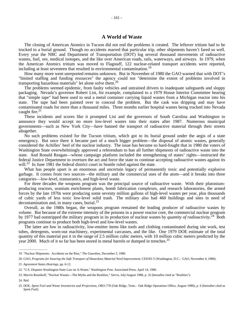#### **A World of Waste**

The closing of American Atomics in Tucson did not end the problems it created. The leftover tritium had to be trucked to a burial ground. Though no accidents marred that particular trip, other shipments haven't fared so well. Every year the NRC and Department of Transportation (DOT) log several thousand movements of radioactive wastes, fuel, ore, medical isotopes, and the like over American roads, rails, waterways, and airways. In 1979, when the American Atomics tritium was moved to Flagstaff, 122 nuclear-related transport accidents were reported, including at least seventeen that resulted in environmental contamination.<sup>19</sup>

How many more went unreported remains unknown. But in November of 1980 the GAO warned that with DOT's "limited staffing and funding resources" the agency could not "determine the extent of problems involved in transporting hazardous materials" let alone solve them.<sup>20</sup>

The problems seemed epidemic, from faulty vehicles and untrained drivers to inadequate safeguards and sloppy packaging. Nevada's governor Robert List, for example, complained to a 1979 House Interior Committee hearing that "simple tape" had been used to seal a metal container carrying liquid wastes from a Michigan reactor into his state. The tape had been painted over to conceal the problem. But the cask was dripping and may have contaminated roads for more than a thousand miles. Three months earlier hospital wastes being trucked into Nevada caught fire. $21$ 

These incidents and scores like it prompted List and the governors of South Carolina and Washington to announce they would accept no more low-level wastes into their states after 1987. Numerous municipal governments—such as New York City—have banned the transport of radioactive material through their streets altogether.

No such problems existed for the Tucson tritium, which got to its burial ground under the aegis of a state emergency. But once there it became part of a much bigger problem—the disposal of atomic wastes, generally considered the Achilles' heel of the nuclear industry. The issue has become so hard-fought that in 1980 the voters of Washington State overwhelmingly approved a referendum to ban all further shipments of radioactive waste into the state. And Ronald Reagan—whose campaign platform included the strengthening of states' rights—instructed the federal Justice Department to overturn the act and force the state to continue accepting radioactive wastes against its will.<sup>22</sup> In June 1981 the federal district court in Seattle ruled against the state.

What has people upset is an enormous and uncertain legacy of permanently toxic and potentially explosive garbage. It comes from two sources—the military and the commercial uses of the atom—and it breaks into three categories—low-level, transuranics, and high-level waste.

For three decades the weapons program was the principal source of radioactive waste. With their plutoniumproducing reactors, uranium enrichment plants, bomb fabrication complexes, and research laboratories, the armed forces by the late 1970s were producing some seventy million gallons of high-level wastes per year, plus thousands of cubic yards of less toxic low-level solid trash. The military also had 460 buildings and sites in need of decontamination and, in many cases, burial.<sup>23</sup>

Overall, as the 1980s began, the weapons program remained the leading producer of radioactive wastes *by volume*. But because of the extreme intensity of the poisons in a power reactor core, the commercial nuclear program by 1977 had outstripped the military program in its production of nuclear wastes by *quantity of radioactivity*.<sup>24</sup> Both programs continue to produce both high-level and low-level wastes.

The latter are low in radioactivity, low-emitter items like tools and clothing contaminated during site work, test tubes, detergents, worn-out machinery, experimental carcasses, and the like. One 1979 DOE estimate of the total quantity of this material put it in the range of 2.5 million cubic meters, with 10 million cubic meters predicted by the year 2000. Much of it so far has been stored in metal barrels or dumped in trenches.<sup>25</sup>

hhhhhhhhhhhhhhhhhh

24. Ibid.

<sup>19. &</sup>quot;Nuclear Shipments: Accidents on the Rise," *The Guardian,* December 3, 1980.

<sup>20.</sup> GAO, *Programs for Insuring the Safe Transport of Hazardous Material Need Improvement,* CED/81-5 (Washington, D.C.: GAO, November 4, 1980).

<sup>21.</sup> *Agreement States Hearings,* pp. 6-12.

<sup>22. &</sup>quot;U.S. Disputes Washington State Law on A-Waste," *Washington Post,* Associated Press, April 14, 1980.

<sup>23.</sup> Marvin Resnikoff, "Nuclear Wastes—The Myths and the Realities," *Sierra,* July/August 1980, p. 32 (hereafter cited as "Realities").

<sup>25.</sup> DOE, *Spent Fuel and Waste Inventories and Projections,* ORO-778 (Oak Ridge, Tenn.: Oak Ridge Operations Office, August 1980), p. 6 (hereafter cited as *Spent Fuel*).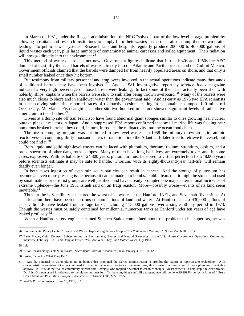In March of 1981, under the Reagan administration, the NRC "solved" part of the low-level storage problem by allowing hospitals and research institutions to simply burn their wastes in the open air or dump them down drains leading into public sewer systems. Research labs and hospitals regularly produce 200,000 to 400,000 gallons of liquid wastes each year, plus large numbers of contaminated animal carcasses and soiled equipment. Their radiation will now go directly into the environment. $^{26}$ 

This method of waste disposal is not new. Government figures indicate that in the 1940s and 1950s the AEC dumped at least fifty thousand barrels of wastes directly into the Atlantic and Pacific oceans, and the Gulf of Mexico. Government officials claimed that the barrels were dumped far from heavily populated areas on shore, and that only a small number leaked once they hit bottom.

But testimony from military personnel and employees involved in the actual operations indicate many thousands of additional barrels may have been involved.<sup>27</sup> And a 1981 investigative report by *Mother Jones* magazine indicated a very high percentage of those barrels were leaking. In fact some of them had actually been shot with holes by ships' captains when the barrels were slow to sink after being thrown overboard.<sup>28</sup> Many of the barrels were also much closer to shore and in shallower water than the government said. And as early as 1975 two EPA scientists in a deep-diving submarine reported traces of radioactive cesium leaking from containers dumped 120 miles off Ocean City, Maryland. Fish caught at another site two hundred miles out showed significant levels of radioactive americium in their bodies.<sup>29</sup>

Divers at a dump site off San Francisco have found abnormal giant sponges similar to ones growing near nuclear outtake pipes at reactors in Japan. And a suppressed EPA report confirmed that small marine life was feeding near numerous broken barrels; they could, in turn, introduce the radioactivity into the ocean food chain.

The ocean dumping program was not limited to low-level wastes. In 1958 the military threw an entire atomic reactor vessel, containing thirty thousand curies of radiation, into the Atlantic. It later tried to retrieve the vessel, but could not find it.  $30$ 

Both liquid and solid high-level wastes can be laced with plutonium, thorium, radium, strontium, cesium, and a broad spectrum of other dangerous isotopes. Many of them have long half-lives, are extremely toxic, and, in some cases, explosive. With its half-life of 24,800 years, plutonium must be stored to virtual perfection for 248,000 years before scientists estimate it may be safe to handle. Thorium, with its eighty-thousand-year half-life, will remain deadly even longer.

In both cases ingestion of even minuscule particles can result in cancer. And the storage of plutonium has become an even more pressing issue because it can be made into bombs. Public fears that it might be stolen and used by small nations or terrorist groups are well justified, and have already prompted one major international incidence of extreme violence—the June 1981 Israeli raid on an Iraqi reactor. More—possibly worse—events of its kind seem inevitable.<sup>31</sup>

Thus far the U.S. military has stored the worst of its wastes at the Hanford, INEL, and Savannah River sites. At each location there have been disastrous contaminations of land and water. At Hanford at least 430,000 gallons of caustic liquids have leaked from storage tanks, including 115,000 gallons over a single 50-day period in 1973. Though the wastes must be safely contained for millennia, numerous tanks at Hanford under ten years of age have leaked profusely. $32$ 

When a Hanford safety engineer named Stephen Stalos complained about the problem to his superiors, he was

<sup>26.</sup> Environmental Policy Center, "Biomedical Waste Disposal Regulations Adopted," in *Radioactive Readings* 2, No. 4 (March 20, 1981).

<sup>27.</sup> Barry Hagar, Chief Counsel, Subcommittee on Environment, Energy and Natural Resources, of the U.S. House Government Operations Committee, interview, February 1981; and Douglas Foster, "You Are What They Eat," *Mother Jones,* July 1981.

<sup>28.</sup> Ibid.

<sup>29. &</sup>quot;Pilot Recalls Navy Sank Nuke Waste," *Sacramento Journal,* Associated Press, January 3, 1981, p. 12.

<sup>30.</sup> Foster, "You Are What They Eat."

<sup>31.</sup> It was the potential of using plutonium in bombs that prompted the Carter administration to prohibit the export of reprocessing technology. With characteristic inconsistency Carter continued to promote the sale of reactors at the same time, thus making the production of more plutonium inevitable anyway. In 1975, at the trial of community activist Sam Lovejoy, who toppled a weather tower in Montague, Massachusetts, to help stop a nuclear project, Dr. John Gofman asked in reference to the plutonium question: "Is there anything you'd like to guarantee will be done 99.9999% perfectly forever?" From Green Mountain Post Films, *Lovejoy 's Nuclear War,* Turners Falls, MA., 1975.

<sup>32.</sup> *Seattle Post-Intelligencer,* June 15, 1979, p. 1.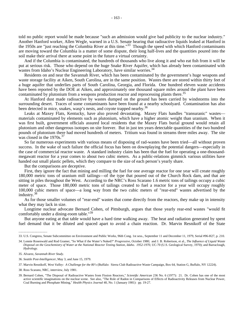told no public report would be made because "such an admission would give bad publicity to the nuclear industry." Another Hanford worker, Allen Wegle, warned in a U.S. Senate hearing that radioactive liquids leaked at Hanford in the 1950s are "just reaching the Columbia River at this time."<sup>33</sup> Though the speed with which Hanford contaminants are moving toward the Columbia is a matter of some dispute, their long half-lives and the quantities poured into the soil make their arrival there at some point in the future a virtual certainty.

And if the Columbia is contaminated, the hundreds of thousands who live along it and who eat fish from it will be put at serious risk. Those who depend on the huge Snake River Aquifer, which has already been contaminated with wastes from Idaho's Nuclear Engineering Laboratory, have similar worries.<sup>34</sup>

Residents on and near the Savannah River, which has been contaminated by the government's huge weapons and waste storage facility at Aiken, South Carolina, are in the same position. Wastes there are stored within thirty feet of a huge aquifer that underlies parts of South Carolina, Georgia, and Florida. One hundred eleven waste accidents have been reported by the DOE at Aiken, and approximately one thousand square miles around the plant have been contaminated by plutonium from a weapons production reactor and reprocessing plants there.<sup>35</sup>

At Hanford dust made radioactive by wastes dumped on the ground has been carried by windstorms into the surrounding desert. Traces of some contaminants have been found at a nearby schoolyard. Contamination has also been detected in mice, snakes, wasp's nests, and coyote trapped nearby.<sup>36</sup>

Leaks at Maxey Flats, Kentucky, have also proved devastating. Maxey Flats handles "transuranic" wastes materials contaminated by elements such as plutonium, which have a higher atomic weight than uranium. When it was first built, government officials assured local residents that the Maxey Flats burial ground would retain all plutonium and other dangerous isotopes on site forever. But in just ten years detectable quantities of the two hundred pounds of plutonium there had moved hundreds of meters. Tritium was found in streams three miles away. The site was closed in the 1970s.<sup>37</sup>

So far numerous experiments with various means of disposing of rad-wastes have been tried—all without proven success. In the wake of such failure the official focus has been on downplaying the potential dangers—especially in the case of commercial reactor waste. A standard industry claim has been that the fuel for operating a one-thousandmegawatt reactor for a year comes to about two cubic meters. As a public-relations gimmick various utilities have handed out small plastic pellets, which they compare to the size of each person's yearly share.

But the comparisons are deceptive.

First, they ignore the fact that mining and milling the fuel for one average reactor for one year will create roughly 180,000 metric tons of uranium mill tailings—of the type that poured out of the Church Rock dam, and that are sitting in piles throughout the West. According to the NRC's Ross Scarano 1.6 metric tons of tailings occupy a cubic meter of space. Those 180,000 metric tons of tailings created to fuel a reactor for a year will occupy roughly 100,000 cubic meters of space—a long way from the two cubic meters of "rear-end" wastes advertised by the industry.<sup>38</sup>

As for those smaller volumes of "rear-end" wastes that come directly from the reactors, they make up in intensity what they may lack in size.

Longtime nuclear advocate Bernard Cohen, of Pittsburgh, argues that those yearly rear-end wastes "would fit comfortably under a dining-room table."<sup>39</sup>

But anyone eating at that table would have a hard time walking away. The heat and radiation generated by spent fuel demand that it be diluted and spaced apart to avoid a chain reaction. Dr. Marvin Resnikoff of the State

<sup>33.</sup> U.S. Congress, Senate Subcommittee on Environment and Public Works, 96th Cong. 1st sess., September 11 and December 11, 1979, Serial #96-H27, p. 210.

<sup>34.</sup> Lonnie Rosenwald and Rod Gramer, "So What if the Water's Nuked?" *Progressive,* October 1980; and J. B. Robertson, et al., *The Influence of Liquid Waste Disposal on the Geochemistry of Water at the National Reactor Testing Station, Idaho. 1952-1970,* UC-70 (U.S. Geological Survey, 1970); and Barraclough, *Hydrology.*

<sup>35.</sup> Alvarez, *Savannah River Study*.

<sup>36.</sup> *Seattle Post-Intelligencer,* May 3, and June 15, 1979.

<sup>37.</sup> Marvin Resnikoff, *West Valley: A Challenge for the 80's* (Buffalo: Sierra Club Radioactive Waste Campaign, Box 64, Station G, Buffalo, NY 12224).

<sup>38.</sup> Ross Scarano, NRC, interview, July 1981.

<sup>39.</sup> Bernard Cohen, "The Disposal of Radioactive Wastes from Fission Reactors," *Scientific American* 236 No. 6 (1977): 21. Dr. Cohen has one of the most active scientific imaginations on the nuclear scene. See also, "The Role of Radon in Comparisons of Effects of Radioactivity Releases from Nuclear Power, Coal Burning and Phosphate Mining," *Health Physics Journal* 40, No. 1 (January 1981): pp. 19-27.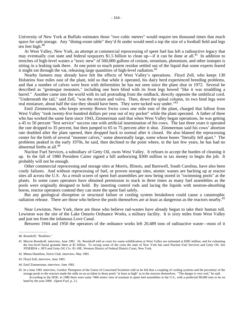University of New York at Buffalo estimates those "two cubic meters" would require ten thousand times that much space for safe storage. Any "dining-room table" they'd fit under would need a top the size of a football field and legs ten feet high.<sup>40</sup>

At West Valley, New York, an attempt at commercial reprocessing of spent fuel has left a radioactive legacy that may eventually cost state and federal taxpayers \$1.5 billion to clean up—if it can be done at all.<sup>41</sup> In addition to trenches of high-level wastes a "toxic stew" of 560,000 gallons of cesium, strontium, plutonium, and other isotopes is sitting in a leaking tank there. At one point so much potent residue settled out of the liquid that some experts feared it might eat through the vat, releasing large quantities of high-level radiation.<sup>42</sup>

Nearby farmers may already have felt the effects of West Valley's operations. Floyd Zell, who keeps 130 Holsteins four miles east of the plant, told us that while it operated, his dairy herd experienced breeding problems, and that a number of calves were born with deformities he has not seen since the plant shut in 1972. Several he described as "grotesque monsters," including one born blind with its front legs bowed "like it was straddling a barrel." Another came into the world with its tail protruding from the midback, directly opposite the umbilical cord. "Underneath the tail," said Zell, "was the rectum and vulva. Then, down the spinal column, its two hind legs were real miniature, about half the size they should have been. They were tucked way under."<sup>43</sup>

Emil Zimmerman, who keeps seventy Brown Swiss cows one mile east of the plant, charged that fallout from West Valley "took twenty-five hundred dollars per year out of my pocket" while the plant operated. A father of three who has worked the same farm since 1943, Zimmerman said that when West Valley began operations, he was getting a 45 to 50 percent "first service" success rate with artificial insemination of his cows. The last three years it operated the rate dropped to 35 percent, but then jumped to 65 to 75 percent after it shut. Zimmerman said his cows' abortion rate doubled after the plant opened, then dropped back to normal after it closed. He also blamed the reprocessing center for the birth of several "monster calves," some abnormally large, some whose bones "literally fell apart." The problems peaked in the early 1970s, he said, then declined to the point where, in the last few years, he has had no abnormal births at all.<sup>44</sup>

Nuclear Fuel Services, a subsidiary of Getty Oil, owns West Valley. It refuses to accept the burden of cleaning it up. In the fall of 1980 President Carter signed a bill authorizing \$300 million in tax money to begin the job. It probably will not be enough.

Other commercial reprocessing and storage sites at Morris, Illinois, and Barnwell, South Carolina, have also been costly failures. And without reprocessing of fuel, or proven storage sites, atomic wastes are backing up at reactor sites all across the U.S. As a result scores of spent fuel assemblies are now being stored in "swimming pools" at the plants. In some cases operators have obtained permission to stack in three times as many fuel assemblies as the pools were originally designed to hold. By inserting control rods and lacing the liquids with neutron-absorbing boron, reactor operators contend they can store the spent fuel safely.

But any geological disruption or structural failure or cooling system breakdown could cause a catastrophic radiation release. There are those who believe the pools themselves are at least as dangerous as the reactors nearby.<sup>45</sup>

Near Lewiston, New York, there are those who believe rad-wastes have already begun to take their human toll. Lewiston was the site of the Lake Ontario Ordnance Works, a military facility. It is sixty miles from West Valley and just ten from the infamous Love Canal.

Between 1944 and 1950 the operators of the ordnance works left 20,489 tons of radioactive waste—most of it

44. Emil Zimmerman, interview, June 1981.

hh<del>ahaa ka badaa ka badaa ka badaa ka badaa ka badaa ka badaa ka badaa ka badaa ka badaa ka badaa ka badaa ka bada</del> 40. Resnikoff, "Realities."

<sup>41.</sup> Marvin Resnikoff, interview, June 1981. Dr. Resnikoff told us costs for waste solidification at West Valley are estimated at \$385 million, and for exhuming the low-level burial grounds there at \$1 billion. To recoup some of the costs the state of New York has sued Nuclear Fuel Services and Getty Oil. See *NYSERDA v. NFS and Getty Oil,* Civ. 81-18E, Western District of Federal District Court, New York.

<sup>42.</sup> Minna Hamilton, Sierra Club, interview, May 1981.

<sup>43.</sup> Floyd Zell, interview, June 1981.

<sup>45.</sup> In a June 1981 interview, Gordon Thompson of the Union of Concerned Scientists told us he felt that a coupling of cooling systems and the proximity of the storage pools to the reactors made the odds on an accident in those pools "at least as high" as in the reactors themselves. "The danger is very real," he said. According to the DOE, in 1980 there were some 7460 metric tons of uranium in spent fuel assemblies in the U.S., with a predicted 90,000 tons to be on hand by the year 2000. (*Spent Fuel,* p. 3.)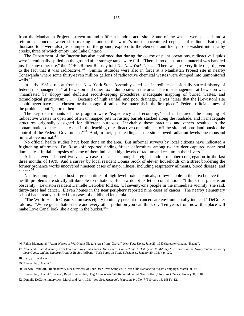from the Manhattan Project—strewn around a fifteen-hundred-acre site. Some of the wastes were packed into a reinforced concrete water silo, making it one of the world's most concentrated deposits of radium. But eight thousand tons were also just dumped on the ground, exposed to the elements and likely to be washed into nearby creeks, three of which empty into Lake Ontario.

The Department of the Interior has also confirmed that during the course of plant operations, radioactive liquids were intentionally spilled on the ground after storage tanks were full. "There is no question the material was handled just like any other ore," the DOE's Robert Ramsey told *The New York Times*. "There was just very little regard given to the fact that it was radioactive."<sup>46</sup> Similar attitudes were also in force at a Manhattan Project site in nearby Tonawanda where some thirty-seven million gallons of radioactive chemical wastes were dumped into unmonitored wells.<sup>47</sup>

In early 1981 a report from the New York State Assembly cited "an incredible occasionally surreal history of federal mismanagement" at Lewiston and other toxic dump sites in the area. The mismanagement at Lewiston was "manifested by sloppy and deficient record-keeping procedures, inadequate mapping of buried wastes, and technological primitivism. . . ." Because of high rainfall and poor drainage, it was "clear that the [Lewiston] site should never have been chosen for the storage of radioactive materials in the first place." Federal officials knew of the problems, but "ignored them."

The key determinants of the program were "expediency and economy," and it featured "the dumping of radioactive wastes in open and often unmapped pits in rusting barrels stacked along the roadside, and in inadequate structures originally designed for different purposes. Inevitably these practices and others resulted in the contamination of the . . . site and in the leaching of radioactive contaminants off the site and onto land outside the control of the Federal Government."<sup>48</sup> And, in fact, spot readings at the site showed radiation levels one thousand times above normal. $49$ 

No official health studies have been done on the area. But informal surveys by local citizens have indicated a frightening aftermath. Dr. Resnikoff reported finding fifteen deformities among twenty deer captured near local dump sites. Initial autopsies of some of them indicated high levels of radium and cesium in their livers.<sup>50</sup>

A local reverend noted twelve new cases of cancer among his eight-hundred-member congregation in the last three months of 1979. And a survey by local resident Donna Siock of eleven households on a street bordering the former ordnance works uncovered nineteen cases of major illness, including respiratory ailments, blood disease, and cancer. $51$ 

Nearby dump sites also host large quantities of high-level toxic chemicals, so few people in the area believe their health problems are strictly attributable to radiation. But few doubt its lethal contribution. "I think that place is an obscenity," Lewiston resident Danielle DeGolier told us. Of seventy-one people in the immediate vicinity, she said, thirty-three had cancer. Eleven homes in the near periphery reported nine cases of cancer. The nearby elementary school had already suffered four cases of childhood leukemia.

"The World Health Organization says eighty to ninety percent of cancers are environmentally induced," DeGolier told us. "We've got radiation here and every other pollution you can think of. Ten years from now, this place will make Love Canal look like a drop in the bucket."<sup>52</sup>

<sup>46.</sup> Ralph Blumenthal, "Atom Wastes of War Haunt Niagara Area from 'Grave,'" *New York Times,* June 23, 1980 (hereafter cited as "Haunt").

<sup>47.</sup> New York State Assembly Task Force on Toxic Substances, *The Federal Connection: A History of US Military Involvement in the Toxic Contamination of Love Canal, and the Niagara Frontier Region* (Albany: Task Force on Toxic Substances, January 29, 1981), p. 120.

<sup>48.</sup> Ibid., pp. i and viii.

<sup>49.</sup> Blumenthal, "Haunt."

<sup>50.</sup> Marvin Resnikoff, "Radioactivity Measurements of Four Deer Liver Samples," Sierra Club Radioactive Waste Campaign, March 30, 1981.

<sup>51.</sup> Blumenthal, "Haunt." See also, Ralph Blumenthal, "Big Atom Waste Site Reported Found Near Buffalo," *New York Times,* January 31, 1981.

<sup>52.</sup> Danielle DeGolier, interviews, March and April 1981; see also, *Maclean's Magazine* 94, No. 7 (February 16, 1981): 12.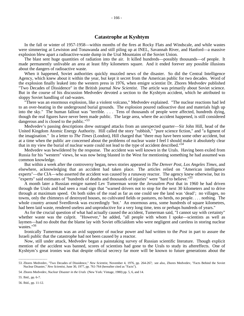#### **Catastrophe at Kyshtym**

In the fall or winter of 1957-1958—within months of the fires at Rocky Flats and Windscale, and while wastes were simmering at Lewiston and Tonawanda and still piling up at INEL, Savannah River, and Hanford—a massive explosion blew apart a radioactive-waste dump in the Ural Mountains of the Soviet Union.

The blast sent huge quantities of radiation into the air. It killed hundreds—possibly thousands—of people. It made permanently unlivable an area at least fifty kilometers square. And it ended forever any possible illusions about the dangers of radioactive waste.

When it happened, Soviet authorities quickly muzzled news of the disaster. So did the Central Intelligence Agency, which knew about it within the year, but kept it secret from the American public for two decades. Word of the explosion finally leaked into the western press in 1976, when emigre scientist Dr. Zhores Medvedev published "Two Decades of Dissidence" in the British journal *New Scientist*. The article was primarily about Soviet science. But in the course of his discussion Medvedev devoted a section to the Kyshtym accident, which he attributed to sloppy Soviet handling of rad-wastes.

"There was an enormous explosion, like a violent volcano," Medvedev explained. "The nuclear reactions had led to an over-heating in the underground burial grounds. The explosion poured radioactive dust and materials high up into the sky." The human fallout was "terrible. . . . Tens of thousands of people were affected, hundreds dying, though the real figures have never been made public. The large area, where the accident happened, is still considered dangerous and is closed to the public."<sup>53</sup>

Medvedev's passing descriptions drew outraged attacks from an unexpected quarter—Sir John Hill, head of the United Kingdom Atomic Energy Authority. Hill called the story "rubbish," "pure science fiction," and "a figment of the imagination." In a letter to *The Times* (London), Hill charged that "there may have been some other accident, but at a time when the public are concerned about the problems of nuclear waste I feel I should make it absolutely clear that in my view the burial of nuclear waste could not lead to the type of accident described."<sup>54</sup>

Medvedev was bewildered by the response. The accident was well known in the Urals. Having been exiled from Russia for his "western" views, he was now being blasted in the West for mentioning something he had assumed was common knowledge.

But within a week after the controversy began, news stories appeared in *The Denver Post, Los Angeles Times,* and elsewhere, acknowledging that an accident had taken place. The articles relied on "American intelligence experts"—the CIA—who asserted the accident was caused by a runaway reactor. The agency knew otherwise, but its "experts" said estimates of "hundreds of deaths and thousands of injuries" were "hard to believe."<sup>55</sup>

A month later a Russian emigre named Lev Tumerman wrote the *Jerusalem Post* that in 1960 he had driven through the Urals and had seen a road sign that "warned drivers not to stop for the next 30 kilometers and to drive through at maximum speed. On both sides of the road as far as one could see the land was 'dead'; no villages, no towns, only the chimneys of destroyed houses, no cultivated fields or pastures, no herds, no people. . . . nothing. The whole country around Sverdlovsk was exceedingly 'hot.' An enormous area, some hundreds of square kilometres, had been laid waste, rendered useless and unproductive for a very long time, tens or perhaps hundreds of years."

As for the crucial question of what had actually caused the accident, Tumerman said, "I cannot say with certainty" whether waste was the culprit. "However," he added, "all people with whom I spoke—scientists as well as laymen—had no doubt that the blame lay with Soviet officialdom who were negligent and careless in storing nuclear wastes."56

Ironically Tumerman was an avid supporter of nuclear power and had written to the *Post* in part to assure the Israeli public that the catastrophe had not been caused by a reactor.

Now, still under attack, Medvedev began a painstaking survey of Russian scientific literature. Though explicit mention of the accident was banned, scores of scientists had gone to the Urals to study its aftereffects. One of Kyshtym's great ironies was that despite official secrecy far more will be known to future generations about the

55. Ibid., pp. 6-7.

<sup>53.</sup> Zhores Medvedev, "Two Decades of Dissidence," *New Scientist,* November 4, 1976, pp. 264-267; see also, Zhores Medvedev, "Facts Behind the Soviet Nuclear Disaster," *New Scientist,* June 30, 1977, pp. 761-764 (hereafter cited as "Facts").

<sup>54.</sup> Zhores Medvedev, *Nuclear Disaster in the Urals* (New York: Vintage, 1980) pp. 5, 6, and 14.

<sup>56.</sup> Ibid., pp. 11-12.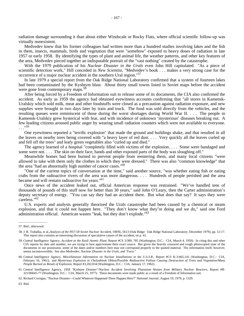radiation damage surrounding it than about either Windscale or Rocky Flats, where official scientific follow-up was virtually nonexistent.

Medvedev knew that his former colleagues had written more than a hundred studies involving lakes and the fish in them, insects, mammals, birds and vegetation that were "somehow" exposed to heavy doses of radiation in late 1957 or early 1958. By identifying the types of plant and animal life, the weather patterns, and other key features of the area, Medvedev pieced together an indisputable portrait of the "vast nothing" created by the catastrophe.

With the 1979 publication of his *Nuclear Disaster in the Urals* even John Hill capitulated. "As a piece of scientific detection work," Hill conceded in *New Scientist,* "Medvedev's book... makes a very strong case for the occurrence of a major nuclear accident in the southern Ural region."<sup>57</sup>

In late 1979 a special report from the Oak Ridge National Laboratory confirmed that a system of fourteen lakes had been contaminated by the Kyshtym blast. About thirty small towns listed in Soviet maps before the accident were gone from contemporary maps.<sup>58</sup>

After being forced by a Freedom of Information suit to release some of its documents, the CIA also confirmed the accident. As early as 1959 the agency had obtained eyewitness accounts confirming that "all stores in Kamensk-Uralskiy which sold milk, meat and other foodstuffs were closed as a precaution against radiation exposure, and new supplies were brought in two days later by train and truck. The food was sold directly from the vehicles, and the resulting queues were reminiscent of those during the worst shortages during World War II. . . . The people in Kamensk-Uralskiy grew hysterical with fear, and with incidence of unknown 'mysterious' diseases breaking out. A few leading citizens aroused public anger by wearing small radiation counters which were not available to everyone.  $\ldots$ "<sup>59</sup>

One eyewitness reported a "terrific explosion" that made the ground and buildings shake, and that resulted in all the leaves on nearby trees being covered with "a heavy layer of red dust. . . . Very quickly all the leaves curled up and fell off the trees" and leafy green vegetables also "curled up and died."

The agency learned of a hospital "completely filled with victims of the explosion. . . . Some were bandaged and some were not. . . . The skin on their face, hands and other exposed parts of the body was sloughing off."

Meanwhile homes had been burned to prevent people from reentering them, and many local citizens "were allowed to take with them only the clothes in which they were dressed." There was also "common knowledge" that the area "had an abnormally high number of cancer cases."<sup>60</sup>

"One of the current topics of conversation at the time," said another source, "was whether eating fish or eating crabs from the radioactive rivers of the area was more dangerous. . . . Hundreds of people perished and the area became and will remain radioactive for years."<sup>61</sup>

Once news of the accident leaked out, official American response was restrained. "We've handled tens of thousands of pounds of this stuff now for better than 30 years," said John O'Leary, then the Carter administration's deputy secretary of energy. "You can say they had an accident there. But what does that say? It says they were careless."62

U.S. experts and analysts generally theorized the Urals catastrophe had been caused by a chemical or steam explosion, and that it could not happen here. "They don't know what they're doing and we do," said one Ford administration official. American wastes "leak, but they don't explode."<sup>63</sup>

hh<del>ahaa ka badaa ka badaa ka badaa ka badaa ka badaa ka badaa ka badaa ka badaa ka badaa ka badaa ka badaa ka b</del> 57. Ibid., afterword.

<sup>58.</sup> J. R. Trabalka, et al.,*Analysis of the l957-58 Soviet Nuclear Accident,* ORNL-5613 (Oak Ridge: Oak Ridge National Laboratory, December 1979), pp. 12-17. This report also contains an interesting discussion of speculative causes of the accident, on p. 41.

<sup>59.</sup> Central Intelligence Agency, *Accident at the Kasli Atomic Plant,* Report #CS 3/389, 785 (Washington, D.C.: CIA, March 4, 1959). In citing this and other CIA reports by date and number, we are trying to best approximate their exact source. But given the heavily censored and rough photocopied state of the documents in our possession, some of the dates and/or numbers here may not correspond properly to the quoted material. The information itself, however, seems incontrovertible. See also Medvedev, *Nuclear Disaster in the Urals,* and "Facts."

<sup>60.</sup> Central Intelligence Agency, *Miscellaneous Information on Nuclear Installations in the U.S.S.R.,* Report #CS K-3/465,141 (Washington, D.C.: CIA, February 16, 1961); and *Mysterious Explosion in Chelyabinsk Oblast/Possible Radioactive Fallout Causing Destruction of Trees and Vegetation/Many People Burned as Result of Explosion,* Report #3,202,034 (Washington, D.C.: CIA, January 17, 1962).

<sup>61.</sup> Central Intelligence Agency, *1958 "Kyshtym Disaster"/Nuclear Accident Involving Plutonium Wastes from Military Nuclear Reactors,* Report #B-321/06645-77 (Washington, D.C.: CIA, March 25, 1977). These documents were made public as a result of a Freedom of Information suit.

<sup>62.</sup> Richard Corrigan, "Nuclear Disaster—Could Whatever Happened There Happen Here?" *National Journal,* August 19, 1979, p. 1329.

<sup>63.</sup> Ibid.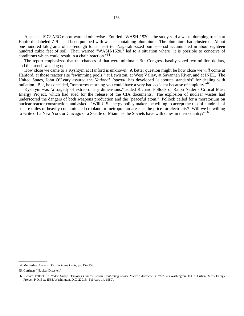A special 1972 AEC report warned otherwise. Entitled "WASH-1520," the study said a waste-dumping trench at Hanford—labeled Z-9—had been pumped with wastes containing plutonium. The plutonium had clustered. About one hundred kilograms of it—enough for at least ten Nagasaki-sized bombs—had accumulated in about eighteen hundred cubic feet of soil. That, warned "WASH-1520," led to a situation where "it is possible to conceive of conditions which could result in a chain reaction."<sup>64</sup>

The report emphasized that the chances of that were minimal. But Congress hastily voted two million dollars, and the trench was dug up.

How close we came to a Kyshtym at Hanford is unknown. A better question might be how close we *will* come at Hanford, at those reactor site "swimming pools," at Lewiston, at West Valley, at Savannah River, and at INEL. The United States, John O'Leary assured the *National Journal,* has developed "elaborate standards" for dealing with radiation. But, he conceded, "tomorrow morning you could have a very bad accident because of stupidity."<sup>65</sup>

Kyshtym was "a tragedy of extraordinary dimensions," added Richard Pollock of Ralph Nader's Critical Mass Energy Project, which had sued for the release of the CIA documents. The explosion of nuclear wastes had underscored the dangers of both weapons production and the "peaceful atom." Pollock called for a moratorium on nuclear reactor construction, and asked: "Will U.S. energy policy makers be willing to accept the risk of hundreds of square miles of heavily contaminated cropland or metropolitan areas as the price for electricity? Will we be willing to write off a New York or Chicago or a Seattle or Miami as the Soviets have with cities in their country?"<sup>66</sup>

<sup>64.</sup> Medvedev, *Nuclear Disaster in the Urals,* pp. 152-153.

<sup>65.</sup> Corrigan, "Nuclear Disaster."

<sup>66.</sup> Richard Pollock, in *Nader Group Discloses Federal Report Confirming Soviet Nuclear Accident in 1957-58* (Washington, D.C.: Critical Mass Energy Project, P.O. Box 1538, Washington, D.C. 20013; February 14, 1980).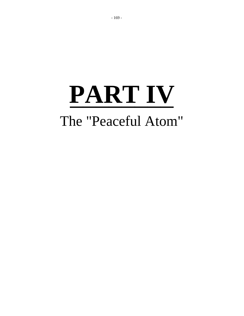# PART IV The "Peaceful Atom"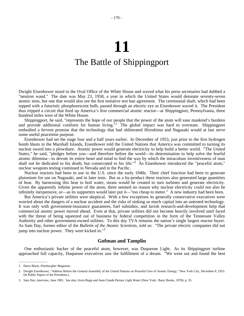## **11** The Battle of Shippingport

Dwight Eisenhower stood in the Oval Office of the White House and waved what his press secretaries had dubbed a "neutron wand." The date was May 23, 1958, a year in which the United States would detonate seventy-seven atomic tests, but one that would also see the first tentative test ban agreement. The ceremonial shaft, which had been topped with a futuristic phosphorescent bulb, passed through an electric eye as Eisenhower waved it. The President thus tripped a circuit that fired up America's first commercial atomic reactor—at Shippingport, Pennsylvania, three hundred miles west of the White House.

Shippingport, he said, "represents the hope of our people that the power of the atom will ease mankind's burdens and provide additional comforts for human living.<sup>"1</sup> The global impact was hard to overstate. Shippingport embodied a fervent promise that the technology that had obliterated Hiroshima and Nagasaki would at last serve some useful peacetime purpose.

Eisenhower had set the stage four and a half years earlier. In December of 1953, just prior to the first hydrogen bomb blasts in the Marshall Islands, Eisenhower told the United Nations that America was committed to turning its nuclear sword into a plowshare. Atomic power would generate electricity to help build a better world. "The United States," he said, "pledges before you—and therefore before the world—its determination to help solve the fearful atomic dilemma—to devote its entire heart and mind to find the way by which the miraculous inventiveness of man shall not be dedicated to his death, but consecrated to his life."<sup>2</sup> As Eisenhower introduced the "peaceful atom," nuclear weapons testing continued in Nevada and in the Pacific.

Nuclear reactors had been in use in the U.S. since the early 1940s. Their chief function had been to generate plutonium for use on Nagasaki, and in later tests. But as a by-product these reactors also generated large quantities of heat. By harnessing this heat to boil water, steam would be created to turn turbines and generate electricity. Given the apparently infinite power of the atom, there seemed no reason why nuclear electricity could not also be infinitely inexpensive, or—as its supporters would later put it—"too cheap to meter." A new industry had been born.

But America's private utilities were skeptical. With a few exceptions its generally conservative executives were worried about the dangers of a nuclear accident and the risks of sinking so much capital into an untested technology. It was only with government-insurance guarantees, fuel subsidies, and lavish research-and-development help that commercial atomic power moved ahead. Even at that, private utilities did not become heavily involved until faced with the threat of being squeezed out of business by federal competition in the form of the Tennessee Valley Authority and other government-owned utilities. To this day TVA remains the nation's single largest reactor buyer. As Sam Day, former editor of the *Bulletin of the Atomic Scientists,* told us: "The private electric companies did not jump into nuclear power. They were kicked in."<sup>3</sup>

#### **Gofman and Tamplin**

One enthusiastic backer of the peaceful atom, however, was Duquesne Light. As its Shippingport turbine approached full capacity, Duquesne executives saw the fulfillment of a dream. "We went out and found the best

<sup>1.</sup> Harry Black, *Pittsburgher Magazine*.

<sup>2.</sup> Dwight Eisenhower, "Address Before the General Assembly of the United Nations on Peaceful Uses of Atomic Energy," New York City, December 8, 1953. (In Public Papers of the Presidents.)

<sup>3.</sup> Sam Day, interview, June 1981. See also, Irwin Bupp and Jean-Claude Derian, *Light Water* (New York: Basic Books, 1978), p. 35.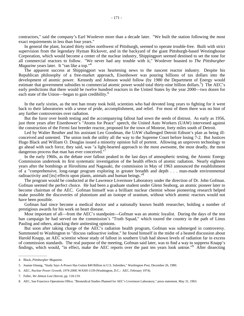contractors," said the company's Earl Woolever more than a decade later. "We built the station following the most exact requirements in less than four years."

In general the plant, located thirty miles northwest of Pittsburgh, seemed to operate trouble-free. Built with strict supervision from the legendary Hyman Rickover, and in the backyard of the giant Pittsburgh-based Westinghouse Corporation, which would become a center of the nuclear industry, Shippingport seemed destined to set the tone for all commercial reactors to follow. "We never had any trouble with it," Woolever boasted to *The Pittsburgher Magazine* years later. It "ran like a top."<sup>4</sup>

The apparent success at Shippingport was heartening news to the nascent reactor industry. Despite his Republican philosophy of a free-market approach, Eisenhower was pouring billions of tax dollars into the development of atomic power. Kennedy and Johnson would follow (by 1980 the Department of Energy would estimate that government subsidies to commercial atomic power would total thirty-nine billion dollars.<sup>5</sup>) The AEC's early predictions that there would be twelve hundred reactors in the United States by the year 2000—two dozen for each state of the Union—began to gain credibility.<sup>6</sup>

In the early sixties, as the test ban treaty took hold, scientists who had devoted long years to fighting for it went back to their laboratories with a sense of pride, accomplishment, and relief. For most of them there was no hint of any further controversies over radiation.

But the furor over bomb testing and the accompanying fallout had sown the seeds of distrust. As early as 1956, just three years after Eisenhower's "Atoms for Peace" speech, the United Auto Workers (UAW) intervened against the construction of the Fermi fast breeder reactor, proposed for the town of Monroe, forty miles south of Detroit.

Led by Walter Reuther and his assistant Leo Goodman, the UAW challenged Detroit Edison's plan as being illconceived and untested. The union took the utility all the way to the Supreme Court before losing 7-2. But Justices Hugo Black and William O. Douglas issued a minority opinion full of portent. Allowing an unproven technology to go ahead with such force, they said, was "a light-hearted approach to the most awesome, the most deadly, the most dangerous process that man has ever conceived."

In the early 1960s, as the debate over fallout peaked in the last days of atmospheric testing, the Atomic Energy Commission undertook its first systematic investigation of the health effects of atomic radiation. Nearly eighteen years after the bombings at Hiroshima and Nagasaki, the commission in May of 1963 announced the establishment of a "comprehensive, long-range program exploring in greater breadth and depth . . . man-made environmental radioactivity and [its] effects upon plants, animals and human beings."<sup>8</sup>

The program would be conducted at the Lawrence Livermore Laboratory under the direction of Dr. John Gofman. Gofman seemed the perfect choice. He had been a graduate student under Glenn Seaborg, an atomic pioneer later to become chairman of the AEC. Gofman himself was a brilliant nuclear chemist whose pioneering research helped make possible the discoveries of plutonium and an isotope of uranium, without which atomic reactors would not have been possible.

Gofman had since become a medical doctor and a nationally known health researcher, holding a number of prestigious awards for his work on heart disease.

Most important of all—from the AEC's standpoint—Gofman was an atomic loyalist. During the days of the test ban campaign he had served on the commission's "Truth Squad," which toured the country in the path of Linus Pauling and others, attacking their antitesting opinions.

But soon after taking charge of the AEC's radiation health program, Gofman was submerged in controversy. Summoned to Washington to "discuss radioactive iodine," he found himself in the midst of a heated discussion about Harold Knapp, an AEC scientist whose study of fallout in southern Utah had shown levels of radiation far in excess of commission standards. The real purpose of the meeting, Gofman said later, was to find a way to suppress Knapp's findings, which would, "in effect, make the AEC reports over the past ten years look untrue."<sup>9</sup> After dissecting

<sup>4.</sup> Black, *Pittsburgher Magazine*.

<sup>5.</sup> Joanne Omang, "Study Says A-Power Has Gotten \$40 Billion in U.S. Subsidies," *Washington Post,* December 26, 1980.

<sup>6.</sup> AEC, *Nuclear Power Growth, 1974-2000,* WASH-1139 (Washington, D.C.: AEC, February 1974).

<sup>7.</sup> Fuller, *We Almost Lost Detroit,* pp. 118-119.

<sup>8.</sup> AEC, San Francisco Operations Office, "Biomedical Studies Planned for AEC's Livermore Laboratory," press statement, May 31, 1963.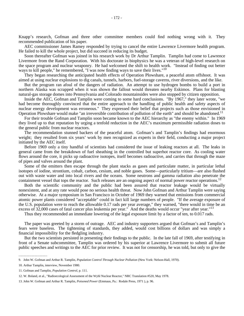Knapp's research, Gofman and three other committee members could find nothing wrong with it. They recommended publication of his paper.

AEC commissioner James Ramey responded by trying to cancel the entire Lawrence Livermore health program. He failed to kill the whole project, but did succeed in reducing its budget.

Soon thereafter Gofman was joined in his research work by Dr Arthur Tamplin. Tamplin had come to Lawrence Livermore from the Rand Corporation. With his doctorate in biophysics he was a veteran of high-level research on the space program and nuclear weaponry. He had welcomed the shift to health work. "Instead of finding out better ways to kill people," he remembered, "I was now finding ways to save their lives."<sup>10</sup>

They began researching the anticipated health effects of Operation Plowshare, a peaceful atom offshoot. It was aimed at using nuclear explosions to dig canals, tunnels, harbors, fuel-storage caverns, river diversions, and the like.

But the program ran afoul of the dangers of radiation. An attempt to use hydrogen bombs to build a port in northern Alaska was scrapped when it was shown the fallout would threaten nearby Eskimos. Plans for blasting natural-gas storage domes into Pennsylvania and Colorado mountainsides were also stopped by citizen opposition.

Inside the AEC, Gofman and Tamplin were coming to some hard conclusions. "By 1967," they later wrote, "we had become thoroughly convinced that the entire approach to the handling of public health and safety aspects of nuclear energy development was erroneous." They expressed their belief that projects such as those envisioned in Operation Plowshare would make "an irreversible contribution of pollution of the earth" and should be abandoned.<sup>11</sup>

For their trouble Gofman and Tamplin soon became known to the AEC hierarchy as "the enemy within." In 1969 they lived up to that reputation by urging a tenfold reduction in the AEC's maximum permissible radiation doses to the general public from nuclear reactors.

The recommendation stunned backers of the peaceful atom. Gofman's and Tamplin's findings had enormous weight; they resulted from six years' work by men recognized as experts in their field, conducting a major project initiated by the AEC itself.

Before 1969 only a tiny handful of scientists had considered the issue of leaking reactors at all. The leaks in general came from the breakdown of fuel sheathing in the controlled but superhot reactor core. As cooling water flows around the core, it picks up radioactive isotopes, itself becomes radioactive, and carries that through the maze of pipes and valves around the plant.

Some of the emitters then escape through the plant stacks as gases and particulate matter, in particular lethal isotopes of iodine, strontium, cobalt, carbon, cesium, and noble gases. Some—particularly tritium—are also flushed out with waste water and into local rivers and the oceans. Some neutrons and gamma radiation also penetrate the containment vessel that tops the reactor. Such releases are an ongoing aspect of normal power reactor operations.<sup>12</sup>

Both the scientific community and the public had been assured that reactor leakage would be virtually nonexistent, and at any rate would pose no serious health threat. Now John Gofman and Arthur Tamplin were saying otherwise. At a major symposium in San Francisco in October of 1969 they warned that emissions from commercial atomic power plants considered "acceptable" could in fact kill large numbers of people. "If the average exposure of the U.S. population were to reach the allowable 0.17 rads per year average," they warned, "there would in time be an excess of 32,000 cases of fatal cancer plus leukemia per year." And the deaths would occur "year after year."<sup>13</sup>

Thus they recommended an immediate lowering of the legal exposure limit by a factor of ten, to 0.017 rads.

The paper was greeted by a storm of outrage. AEC and industry supporters argued that Gofman's and Tamplin's fears were baseless. The tightening of standards, they added, would cost billions of dollars and was simply a financial impossibility for the fledgling industry.

But the two scientists persisted in presenting their findings to the public. In the late fall of 1969, after testifying in front of a Senate subcommittee, Tamplin was ordered by his superior at Lawrence Livermore to submit all future public speeches and writings to the AEC for prior review. It was not for censorship, he was told, but only to give the

<sup>9.</sup> John W. Gofman and Arthur R. Tamplin, *Population Control Through Nuclear Pollution* (New York: Nelson-Hall, 1970).

<sup>10.</sup> Arthur Tamplin, interview, November 1980.

<sup>11.</sup> Gofman and Tamplin, *Population Control,* p. 111.

<sup>12.</sup> W. Boland, et al., "Radioecological Assessment of the Wyhl Nuclear Reactor," NRC Translation #520, May 1978.

<sup>13.</sup> John W. Gofman and Arthur R. Tamplin, *Poisoned Power* (Emmaus, Pa.: Rodale Press, 1971 ), p. 96.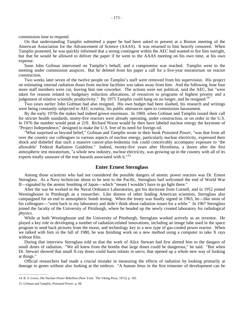commission time to respond.

On that understanding Tamplin submitted a paper he had been asked to present at a Boston meeting of the American Association for the Advancement of Science (AAAS). It was returned to him heavily censored. When Tamplin protested, he was quickly informed that a strong contingent within the AEC had wanted to fire him outright, but that he would be allowed to deliver the paper if he went to the AAAS meeting on his own time, at his own expense.

Soon John Gofman intervened on Tamplin's behalf, and a compromise was reached. Tamplin went to the meeting under commission auspices. But he deleted from his paper a call for a five-year moratorium on reactor construction.

Two weeks later seven of the twelve people on Tamplin's staff were removed from his supervision. His project on estimating internal radiation doses from nuclear facilities was taken away from him. And the following June four more staff members were cut, leaving him one coworker. The actions were not political, said the AEC, but "were taken for reasons related to budgetary reduction allocations, of resources to programs of highest priority and a judgement of relative scientific productivity." By 1975 Tamplin could hang on no longer, and he resigned.<sup>14</sup>

Two years earlier John Gofman had also resigned. His own budget had been slashed, his research and writings were being constantly subjected to AEC scrutiny, his public utterances open to commission harassment.

By the early 1970s the stakes had indeed grown enormous. In 1969, when Gofman and Tamplin issued their call for stricter health standards, ninety-five reactors were already operating, under construction, or on order in the U.S. In 1976 the number would peak at 219. Richard Nixon would by then have labeled nuclear energy the keystone of "Project Independence," designed to make the U.S. free of its need for foreign oil.

"What surprised us beyond belief," Gofman and Tamplin wrote in their book *Poisoned Power,* "was that from all over the country our colleagues in various aspects of nuclear energy, particularly nuclear electricity, expressed their shock and disbelief that such a massive cancer-plus-leukemia risk could conceivably accompany exposure to 'the allowable' Federal Radiation Guideline." Indeed, twenty-five years after Hiroshima, a dozen after the first atmospheric test moratorium, "a whole new industry, nuclear electricity, was growing up in the country with all of its experts totally unaware of the true hazards associated with it."<sup>15</sup>

#### **Enter Ernest Sternglass**

Among those scientists who had not considered the possible dangers of atomic power reactors was Dr. Ernest Sternglass. As a Navy technician about to be sent to the Pacific, Sternglass had welcomed the end of World War II—signaled by the atomic bombing of Japan—which "meant I wouldn't have to go fight there."

After the war he worked in the Naval Ordnance Laboratories, got his doctorate from Cornell, and in 1952 joined Westinghouse in Pittsburgh as a researcher. Like dozens of other leading American scientists, Sternglass also campaigned for an end to atmospheric bomb testing. When the treaty was finally signed in 1963, he—like most of his colleagues—"went back to my laboratory and didn't think about radiation issues for a while." In 1967 Sternglass joined the faculty of the University of Pittsburgh, where he headed up the newly created laboratory for radiological physics.

While at both Westinghouse and the University of Pittsburgh, Sternglass worked actively as an inventor. He played a key role in developing a number of radiation-related innovations, including an image tube used in the space program to send back pictures from the moon, and technology key to a new type of gas-cooled power reactor. When we talked with him in the fall of 1980, he was finishing work on a new method using a computer to take X rays without film.

During that interview Sternglass told us that the work of Alice Stewart had first alerted him to the dangers of small doses of radiation. "We all knew from the bombs that large doses could be dangerous," he said. "But when Dr. Stewart showed that small X-ray doses could harm infants *in utero,* that opened up a whole new way of looking at things."

Official researchers had made a crucial mistake in measuring the effects of radiation by looking primarily at damage to genes without also looking at the embryo. "A human fetus in the first trimester of development can be

<sup>14.</sup> R. S. Lewis, *The Nuclear Power Rebellion* (New York: The Viking Press, 1972), p. 102.

<sup>15.</sup> Gofman and Tamplin, *Poisoned Power,* p. 98.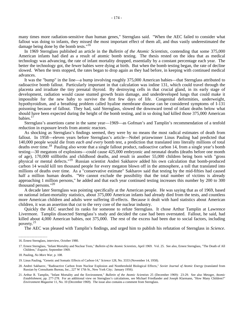many times more radiation-sensitive than human genes," Sternglass said. "When the AEC failed to consider what fallout was doing to infants, they missed the most important effect of them all, and thus vastly underestimated the damage being done by the bomb tests."<sup>16</sup>

In 1969 Sternglass published an article in the *Bulletin of the Atomic Scientists,* contending that some 375,000 American infants had died as a result of atomic bomb testing. The thesis rested on the idea that as medical technology was advancing, the rate of infant mortality dropped, essentially by a constant percentage each year. The better the technology got, the fewer babies were dying at birth. But when the bomb testing began, the rate of decline slowed. When the tests stopped, the rates began to drop again as they had before, in keeping with continued medical advances.

It was the "bump" in the line—a bump involving roughly 375,000 American babies—that Sternglass attributed to radioactive bomb fallout. Particularly important in that calculation was iodine 131, which could travel through the placenta and irradiate the tiny prenatal thyroid. By destroying cells in that crucial gland, in its early stage of development, radiation would cause stunted growth brain damage, and underdeveloped lungs that could make it impossible for the new baby to survive the first few days of life. Congenital deformities, underweight, hypothyroidism, and a breathing problem called hyaline membrane disease can be considered symptoms of I-131 poisoning because of fallout. They had, said Sternglass, slowed the downward trend of infant deaths below what should have been expected during the height of the bomb testing, and in so doing had killed those 375,000 American babies. $17$ 

Sternglass's assertions came in the same year—1969—as Gofman's and Tamplin's recommendation of a tenfold reduction in exposure levels from atomic reactors.

As shocking as Sternglass's findings seemed, they were by no means the most radical estimates of death from fallout. In 1958—eleven years before Sternglass's article—Nobel prizewinner Linus Pauling had predicted that 140,000 people would die from *each and every* bomb test, a prediction that translated into literally millions of total deaths over time.<sup>18</sup> Pauling also wrote that a single fallout product, radioactive carbon 14, from a single year's bomb testing—30 megatons of explosions—could cause 425,000 embryonic and neonatal deaths (deaths before one month of age), 170,000 stillbirths and childhood deaths, and result in another 55,000 children being born with "gross physical or mental defects."19 Russian scientist Andrei Sakharov added his own calculation that bomb-produced carbon 14 would kill ten thousand people for every megaton blown off in the atmosphere, a toll that translated into millions of deaths over time. As a "conservative estimate" Sakharov said that testing by the mid-fifties had caused half a million human deaths. "We cannot exclude the possibility that the total number of victims is already approaching 1 million persons," he added and that each year continued testing increases this number by 200 to 300 thousand persons."20

A decade later Sternglass was pointing specifically at the American people. He was saying that as of 1969, based on national infant-mortality statistics, about 375,000 American infants had already died from the tests, and countless more American children and adults were suffering ill-effects. Because it dealt with hard statistics about American children, it was an assertion that cut to the very core of the nuclear industry.

Quickly the AEC searched its ranks for someone to refute Sternglass. It chose Arthur Tamplin at Lawrence Livermore. Tamplin dissected Sternglass's study and decided the case had been overstated. Fallout, he said, had killed about 4,000 American babies, not 375,000. The rest of the excess had been due to social factors, including poverty.<sup>21</sup>

The AEC was pleased with Tamplin's findings, and urged him to publish his refutation of Sternglass in *Science*.

<sup>16.</sup> Ernest Sternglass, interview, October 1980.

<sup>17.</sup> Ernest Sternglass, "Infant Mortality and Nuclear Tests," *Bulletin of the Atomic Scientists,* April 1969. Vol. 25. See also, Ernest Sternglass, "The Death of All Children," *Esquire,* September 1969.

<sup>18.</sup> Pauling, *No More War,* p. 108.

<sup>19.</sup> Linus Pauling, "Genetic and Somatic Effects of Carbon-14," *Science* 128, No. 3333 (November 14, 1958).

<sup>20.</sup> Andrei Sakharov, "Radioactive Carbon from Nuclear Explosion and Nonthreshold Biological Effects," *Soviet Journal of Atomic Energy* (translated from Russian by Consultants Bureau, Inc., 227 W 17th St., New York City; January 1956).

<sup>21.</sup> Arthur R. Tamplin, "Infant Mortality and the Environment," *Bulletin of the Atomic Scientists* 25 (December 1969): 23-29. See also Metzger, *Atomic Establishment,* pp. 277-278. For an additional view on Sternglass's calculations, see Michael Friedlander and Joseph Klarmann, "How Many Children?" *Environment Magazine* 11, No. 10 (December 1969). The issue also contains a comment from Sternglass.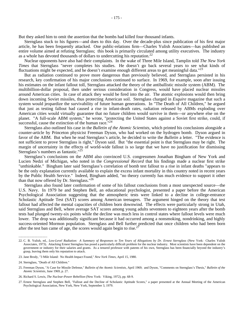But they asked him to omit the assertion that the bombs had killed four thousand infants.

Sternglass stuck to his figures—and does to this day. Over the decade-plus since publication of his first major article, he has been frequently attacked. One public-relations firm—Charles Yulish Associates—has published an entire volume aimed at refuting Sternglass; this book is primarily circulated among utility executives. The industry as a whole has devoted thousands of dollars to undercutting his reputation.<sup>22</sup>

Nuclear opponents have also had their complaints. In the wake of Three Mile Island, Tamplin told *The New York Times* that Sternglass "never completes his studies. He doesn't go back several years to see what kinds of fluctuations might be expected, and he doesn't examine enough different areas to get meaningful data."<sup>23</sup>

But as radiation continued to prove more dangerous than previously believed, and Sternglass persisted in his research, key confirmation of his major conclusions continued to surface. In 1969, for example, soon after issuing his estimates on the infant fallout toll, Sternglass attacked the theory of the antiballistic missile system (ABM). The multibillion-dollar proposal, then under serious consideration in Congress, would have placed nuclear missiles around American cities. In case of attack they would be fired into the air. The atomic explosions would then bring down incoming Soviet missiles, thus protecting American soil. Sternglass charged in *Esquire* magazine that such a system would jeopardize the survivability of future human generations. In "The Death of All Children," he argued that just as testing fallout had caused a rise in infant-death rates, radiation released by ABMs exploding over American cities would virtually guarantee that no future children would survive in them—or anywhere else on the planet. "A full-scale ABM system," he wrote, "protecting the United States against a Soviet first strike, could, if successful, cause the extinction of the human race. $124$ 

Sternglass also outlined his case in the *Bulletin of the Atomic Scientists,* which printed his conclusions alongside a counter-article by Princeton physicist Freeman Dyson, who had worked on the hydrogen bomb. Dyson argued in favor of the ABM. But when he read Sternglass's article, he decided to write the *Bulletin* a letter. "The evidence is not sufficient to prove Sternglass is right," Dyson said. But "the essential point is that Sternglass may be right. The margin of uncertainty in the effects of world-wide fallout is so large that we have no justification for dismissing Sternglass's numbers as fantastic."<sup>25</sup>

Sternglass's conclusions on the ABM also convinced U.S. congressmen Jonathan Bingham of New York and Lucien Nedzi of Michigan, who noted in the *Congressional Record* that his findings made a nuclear first strike "unthinkable." Bingham later said Sternglass's correlation of bomb test fallout to a rise in infant deaths "appears to be the only explanation currently available to explain the excess infant mortality in this country noted in recent years by the Public Health Service." Indeed, Bingham added, "no theory currently has much evidence to support it other than that now offered by Dr. Sternglass."<sup>26</sup>

Sternglass also found later confirmation of some of his fallout conclusions from a most unexpected source—the U.S. Navy. In 1979 he and Stephen Bell, an educational psychologist, presented a paper before the American Psychological Association suggesting that the atmospheric tests were linked to a decline in college-entrance Scholastic Aptitude Test (SAT) scores among American teenagers. The argument hinged on the theory that test fallout had affected the mental capacities of children born downwind. The effects were particularly strong in Utah, said Sternglass and Bell, where average SAT scores among young adults seventeen to eighteen years after the bomb tests had plunged twenty-six points while the decline was much less in control states where fallout levels were much lower. The drop was additionally significant because it had occurred among a nonsmoking, nondrinking, and highly success-oriented Mormon population. Sternglass and Bell further predicted that once children who had been born after the test ban came of age, the scores would again begin to rise.<sup>27</sup>

<sup>22.</sup> C. B. Yulish, ed., *Low-Level Radiation: A Summary of Responses to Ten Years of Allegations by Dr. Ernest Sternglass* (New York: Charles Yulish Associates, 1973). Attacking Ernest Sternglass has posed a particularly difficult problem for the nuclear industry. Most scientists have been dependent on the government or industry for their salaries and grants. As a tenured professor with patents of his own, Sternglass has been financially beyond the industry's grasp, leaving them only his reputation to attack.

<sup>23.</sup> Jane Brody, "3 Mile Island: No Health Impact Found," *New York Times,* April 15, 1980.

<sup>24.</sup> Sternglass, "Death of All Children."

<sup>25.</sup> Freeman Dyson, "A Case for Missile Defense," *Bulletin of the Atomic Scientists,* April 1969; and Dyson, "Comments on Sternglass's Thesis," *Bulletin of the Atomic Scientists,* June 1969, p. 27.

<sup>26.</sup> Richard S. Lewis, *The Nuclear-Power Rebellion* (New York: Viking, 1972), pp. 68-9.

<sup>27.</sup> Ernest Sternglass and Stephen Bell, "Fallout and the Decline of Scholastic Aptitude Scores," a paper presented at the Annual Meeting of the American Psychological Association, New York, New York, September 3, 1979.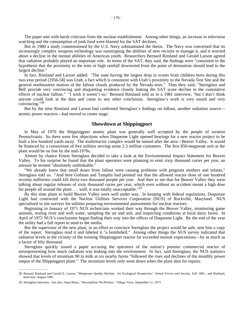The paper met with harsh criticism from the nuclear establishment. Among other things, an increase in television watching and the consumption of junk food were blamed for the SAT declines.

But in 1980 a study commissioned by the U.S. Navy substantiated the thesis. The Navy was concerned that its increasingly complex weapons technology was outstripping the abilities of new recruits to manage it, and it worried about a decline in the mental abilities of American youth. Researchers Bernard Rimland and Gerald Larson agreed that radiation probably played an important role. In terms of the SAT, they said, the findings were "consistent to the hypothesis that the proximity to the tests or high rainfall downwind from the point of detonation should lead to the largest decline."

In fact, Rimland and Larson added: "The state having the largest drop in scores from children born during this two-year period [1956-58] was Utah, a fact which is consistent with Utah's proximity to the Nevada Test Site and the general northeastern motion of the fallout clouds produced by the Nevada tests." Thus they said, "Sternglass and Bell provide very convincing and disquieting evidence closely linking the SAT score decline to the cumulative effects of nuclear fallout." "I wish it weren't so," Bernard Rimland told us in a 1981 interview, "but I don't think anyone could look at the data and come to any other conclusion. Sternglass's work is very sound and very convincing."<sup>28</sup>

But by the time Rimland and Larson had confirmed Sternglass's findings on fallout, another radiation source atomic power reactors—had moved to center stage.

#### **Showdown at Shippingport**

In May of 1970 the Shippingport atomic plant was generally well accepted by the people of western Pennsylvania. So there were few objections when Duquesne Light opened hearings for a new reactor project to be built a few hundred yards away. The multireactor complex would be named after the area—Beaver Valley. It would be financed by a consortium of five utilities serving some 2.3 million customers. The first 850-megawatt unit at the plant would be on line by the mid-1970s.

Almost by chance Ernest Sternglass decided to take a look at the Environmental Impact Statement for Beaver Valley. To his surprise he found that the plant operators were planning to emit sixty thousand curies per year, an amount he termed "absolutely unthinkable."

"We already knew that small doses from fallout were causing problems with pregnant mothers and infants," Sternglass told us. "And here Gofman and Tamplin had pointed out that the allowed reactor dose of one hundred seventy millirems could kill thirty-two thousand people per year. And then to see that for Beaver Valley they were talking about regular releases of sixty thousand curies per year, which even without an accident meant a high dose for people all around the plant  $\dots$  well, it was totally unacceptable."<sup>29</sup>

By this time plans to build Beaver Valley were well under way. In keeping with federal regulations, Duquesne Light had contracted with the Nuclear Utilities Services Corporation (NUS) of Rockville, Maryland. NUS specialized in site surveys for utilities preparing environmental assessments for nuclear reactors.

Beginning in January of 1971 NUS technicians worked their way through the Beaver Valley, monitoring game animals, testing river and well water, sampling the air and soil, and inspecting conditions at local dairy farms. In April of 1972 NUS's conclusions began finding their way into the offices of Duquesne Light. By the end of the year the utility had a full report to send to the media.

But the supervisor of the new plant, in an effort to convince Sternglass the project would be safe, sent him a copy of the report. Sternglass read it and labeled it "a bombshell." Among other things the NUS survey indicated that radiation levels in the vicinity of the existing Shippingport reactor far exceeded normal expectations—by as much as a factor of fifty thousand.

Sternglass quickly issued a paper accusing the operators of the nation's premier commercial reactor of misrepresenting how much radiation was leaking into the environment. In fact, said Sternglass, the NUS statistics showed that levels of strontium 90 in milk at six nearby farms "followed the rises and declines of the monthly power output of the Shippingport plant." The strontium levels only went down when the plant shut for repairs.

<sup>28.</sup> Bernard Rimland and Gerald E. Larson, "Manpower Quality Decline: An Ecological Perspective," *Armed Forces and Society,* Fall 1981; and Rimland, interview, August 1981.

<sup>29.</sup> Sternglass interview. See also, Anna Mayo, "Necrophiliac Nit-Pickers," *Village Voice,* September 11, 1973.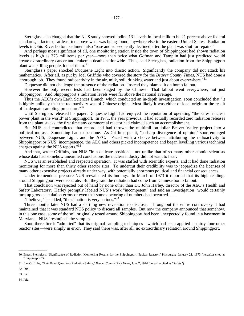Sternglass also charged that the NUS study showed iodine 131 levels in local milk to be 21 percent above federal standards, a factor of at least ten above what was being found anywhere else in the eastern United States. Radiation levels in Ohio River bottom sediment also "rose and subsequently declined after the plant was shut for repairs."

And perhaps most significant of all, one monitoring station inside the town of Shippingport had shown radiation levels as high as 375 millirems per year—more than twice what Gofman and Tamplin had just predicted would create extraordinary cancer and leukemia deaths nationwide. Thus, said Sternglass, radiation from the Shippingport plant was killing people, lots of them.<sup>30</sup>

Sternglass's paper shocked Duquesne Light into drastic action. Significantly the company did not attack his mathematics. After all, as put by Joel Griffiths who covered the story for the *Beaver County Times,* NUS had done a "thorough job. They found radioactivity in the air, milk, soil, drinking water and just about everywhere."<sup>31</sup>

Duquesne did not challenge the presence of the radiation. Instead they blamed it on bomb fallout.

However the only recent tests had been staged by the Chinese. That fallout went everywhere, not just Shippingport. And Shippingport's radiation levels were far above the national average.

Thus the AEC's own Earth Sciences Branch, which conducted an in-depth investigation, soon concluded that "it is highly unlikely that the radioactivity was of Chinese origin. Most likely it was either of local origin or the result of inadequate sampling procedure."<sup>32</sup>

Until Sternglass released his paper, Duquesne Light had enjoyed the reputation of operating "the safest nuclear power plant in the world" at Shippingport. In 1971, the year previous, it had actually recorded zero radiation releases from the plant stacks, the first time any commercial reactor had claimed such an accomplishment.

But NUS had contradicted that record and had thrown the multimillion-dollar Beaver Valley project into a political morass. Something had to be done. As Griffiths put it, "a sharp divergence of opinion" soon emerged between NUS, Duquesne Light, and the AEC. "Faced with a choice between attributing the radioactivity to Shippingport or NUS' incompetence, the AEC and others picked incompetence and began levelling various technical charges against the NUS reports."<sup>33</sup>

And that, wrote Griffiths, put NUS "in a delicate position"—not unlike that of so many other atomic scientists whose data had somehow unearthed conclusions the nuclear industry did not want to hear.

NUS was an established and respected operation. It was staffed with scientific experts, and it had done radiation monitoring for more than thirty other reactor sites. To undercut their credibility was to jeopardize the licenses of many other expensive projects already under way, with potentially enormous political and financial consequences.

Under tremendous pressure NUS reevaluated its findings. In March of 1973 it reported that its high readings around Shippingport were accurate. But they said the radiation had come from Chinese bomb fallout.

That conclusion was rejected out of hand by none other than Dr. John Harley, director of the AEC's Health and Safety Laboratory. Harley promptly labeled NUS's work "incompetent" and said an investigation "would certainly turn up gross calculation errors or even that some doctoring of numbers had occurred. . . .

"I believe," he added, "the situation is very serious."<sup>34</sup>

Three months later NUS had a startling new revelation to disclose. Throughout the entire controversy it had maintained that it was standard NUS policy to discard all samples. But now the company announced that somehow, in this one case, some of the soil originally tested around Shippingport had been unexpectedly found in a basement in Maryland. NUS "restudied" the samples.

Soon thereafter it "admitted" that its original sampling techniques—which had been applied at thirty-four other reactor sites—were simply in error. They said there was, after all, no extraordinary radiation around Shippingport.

hh<del>ahaa ka badaa ka badaa ka badaa ka badaa ka badaa ka badaa ka badaa ka badaa ka badaa ka badaa ka badaa ka bada</del>

34. Ibid.

<sup>30.</sup> Ernest Sternglass, "Significance of Radiation Monitoring Results for the Shippingport Nuclear Reactor," Pittsburgh: January 21, 1973 (hereafter cited as "Shippingport").

<sup>31.</sup> Joel Griffiths, "State Panel Questions Radiation Safety," *Beaver County* (Pa.) *Times,* June 7, 1974 (hereafter cited as "Safety").

<sup>32.</sup> Ibid.

<sup>33.</sup> Ibid.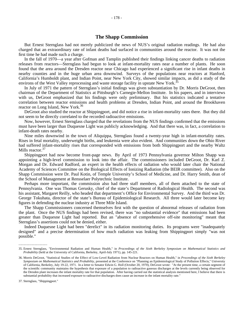#### **The Shapp Commission**

But Ernest Sternglass had not merely publicized the news of NUS's original radiation readings. He had also charged that an extraordinary rate of infant deaths had surfaced in communities around the reactor. It was not the first time he had made such a charge.

In the fall of 1970—a year after Gofman and Tamplin published their findings linking cancer deaths to radiation releases from reactors—Sternglass had begun to look at infant-mortality rates near a number of plants. He soon found that the area around the Dresden reactor near Chicago had experienced a significant rise in infant deaths in nearby counties and in the huge urban area downwind. Surveys of the populations near reactors at Hanford, California's Humboldt plant, and Indian Point, near New York City, showed similar impacts, as did a study of the environs of the West Valley reprocessing and waste storage facility in upstate New York.<sup>35</sup>

In July of 1971 the pattern of Sternglass's initial findings was given substantiation by Dr. Morris DeGroot, then chairman of the Department of Statistics at Pittsburgh's Carnegie-Mellon Institute. In his papers, and in interviews with us, DeGroot emphasized that his findings were only preliminary. But his statistics indicated a tentative correlation between reactor emissions and health problems at Dresden, Indian Point, and around the Brookhaven reactor on Long Island, New York.36

DeGroot also studied the reactor at Shippingport, and did notice a rise in infant-mortality rates there. But they did not seem to be directly correlated to the recorded radioactive emissions.

Now, however, Ernest Sternglass charged that the revelations from the NUS findings confirmed that the emissions must have been larger than Duquesne Light was publicly acknowledging. And that there was, in fact, a correlation to infant-death rates nearby.

Nine miles downwind in the town of Aliquippa, Sternglass found a twenty-year high in infant-mortality rates. Rises in fetal mortality, underweight births, and leukemia were also evident. And communities down the Ohio River had suffered infant-mortality rises that corresponded with emissions from both Shippingport and the nearby Waltz Mills reactor.<sup>37</sup>

Shippingport had now become front-page news. By April of 1973 Pennsylvania governor Milton Shapp was appointing a high-level commission to look into the affair. The commissioners included DeGroot, Dr. Karl Z. Morgan and Dr. Edward Radford, an expert in the health effects of radiation who would later chair the National Academy of Sciences Committee on the Biological Effects of Ionizing Radiation (the BEIR committee). Also on the Shapp Commission were Dr. Paul Kotin, of Temple University's School of Medicine, and Dr. Harry Smith, dean of the School of Management at Rensselaer Polytechnic Institute.

Perhaps more important, the commission also had three staff members, all of them attached to the state of Pennsylvania. One was Thomas Gerusky, chief of the state's Department of Radiological Health. The second was his assistant, Margaret Reilly, who headed that department's Office for Environmental Survey. And the third was Dr. George Tokuhata, director of the state's Bureau of Epidemiological Research. All three would later become key figures in defending the nuclear industry at Three Mile Island.

The Shapp Commissioners concerned themselves first with the question of abnormal releases of radiation from the plant. Once the NUS findings had been revised, there was "no substantial evidence" that emissions had been greater than Duquesne Light had reported. But an "absence of comprehensive off-site monitoring" meant that Sternglass's assertions could not be denied, either.

Indeed Duquesne Light had been "derelict" in its radiation monitoring duties. Its programs were "inadequately designed" and a precise determination of how much radiation was leaking from Shippingport simply "was not possible."

<sup>35.</sup> Ernest Sternglass, "Environmental Radiation and Human Health," in *Proceedings of the Sixth Berkeley Symposium on Mathematical Statistics and Probability* (held at the University of California, Berkeley, April-July 1971), pp. 145-221.

<sup>36.</sup> Morris DeGroot, "Statistical Studies of the Effect of Low-Level Radiation from Nuclear Reactors on Human Health," in *Proceedings of the Sixth Berkeley Symposium on Mathematical Statistics and Probability,* presented at the Conference on "Planning an Epidemiological Study of Pollution Effects," University of California, Berkeley, July 19-22, 1971. In a letter to Senator Edwin G. Holl (October 20, 1970), DeGroot wrote: "At the present time, a certain segment of the scientific community maintains the hypothesis that exposure of a population to radioactive gaseous discharges at the levels currently being observed for the Dresden plant increases the infant mortality rate for that population. After having carried out the statistical analysis mentioned here, I believe that there is substantial probability that increased exposure to radioactive discharges does cause an increase in the infant mortality rate."

<sup>37.</sup> Sternglass, "Shippingport."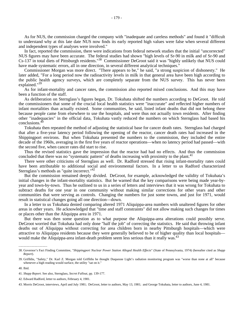As for NUS, the commission charged the company with "inadequate and careless methods" and found it "difficult to understand why at this late date NUS now finds its early reported high values were false when several different and independent types of analyses were involved."

In fact, reported the commission, there were indications from federal network studies that the initial "uncorrected" NUS figures may have been accurate. The federal studies had shown "high levels of Sr-90 in milk and of Sr-90 and Cs-137 in total diets of Pittsburgh residents."<sup>38</sup> Commissioner DeGroot said it was "highly unlikely that NUS could have made systematic errors, all in one direction, in several different analytical techniques."

Commissioner Morgan was more direct. "There appears to be," he said, "a strong suspicion of dishonesty." He later added, "For a long period now the radioactivity levels in milk in that general area have been high according to the public health agency surveys, which are completely separate from the NUS survey. This has never been explained."<sup>39</sup>

As for infant-mortality and cancer rates, the commission also reported mixed conclusions. And this may have been a function of the staff.

As deliberation on Sternglass's figures began, Dr. Tokuhata shifted the numbers according to DeGroot. He told the commissioners that some of the crucial local health statistics were "inaccurate" and reflected higher numbers of infant mortalities than actually existed. Some communities, he said, listed infant deaths that did not belong there because people came from elsewhere to use the hospitals, and were thus not actually town residents. After finding other "inadequacies" in the official data, Tokuhata vastly reduced the numbers on which Sternglass had based his conclusions.<sup>40</sup>

Tokuhata then repeated the method of adjusting the statistical base for cancer death rates. Sternglass had charged that after a five-year latency period following the opening of the reactor, cancer death rates had increased in the Shippingport environs. But when Tokuhata presented the numbers to the commission, they included the entire decade of the 1960s, averaging in the first five years of reactor operations—when no latency period had passed—with the second five, when cancer rates did start to rise.

Thus the revised statistics gave the impression that the reactor had had no effects. And thus the commission concluded that there was no "systematic pattern" of deaths increasing with proximity to the plant.<sup>41</sup>

There were other criticisms of Sternglass as well. Dr. Radford stressed that rising infant-mortality rates could have been attributable to additional social and environmental factors. In a letter to us Radford characterized Sternglass's methods as "quite incorrect."<sup>42</sup>

But the commission remained deeply divided. DeGroot, for example, acknowledged the validity of Tokuhata's initial changes in the infant-mortality statistics. But he warned that the key comparisons were being made year-byyear and town-by-town. Thus he outlined to us in a series of letters and interviews that it was wrong for Tokuhata to subtract deaths for one year in one community without making similar corrections for other years and other communities that were serving as controls. Changing the numbers for just some towns, and just for 1971, would result in statistical changes going all one direction—down.

In a letter to us Tokuhata denied comparing altered 1971 Aliquippa-area numbers with unaltered figures for other areas in other years. He acknowledged that "time and staff constraints" did not allow making such changes for times or places other than the Aliquippa area in 1971.

But there was then some question as to what purpose the Aliquippa-area alterations could possibly serve. DeGroot worried that Tokuhata had only done "half the job" of correcting the statistics. He said that throwing infant deaths out of Aliquippa without correcting for area children born in nearby Pittsburgh hospitals—which were attractive to Aliquippa residents because they were generally believed to be of higher quality than local hospitals would make the Aliquippa-area infant-death problem seem less serious than it really was.<sup>43</sup>

<sup>38.</sup> Governor's Fact Finding Committee, "*Shippingport Nuclear Power Station Alleged Health Effects*" (State of Pennsylvania, 1974) (hereafter cited as *Shapp Report*).

<sup>39.</sup> Griffiths, "Safety," Dr. Karl Z. Morgan told Griffiths he thought Duquesne Light's radiation monitoring program was "worse than none at all" because whenever a high reading would surface, the utility "sat on it."

<sup>40.</sup> Ibid.

<sup>41.</sup> *Shapp Report*. See also, Sternglass, *Secret Fallout,* pp. 139-177.

<sup>42.</sup> Edward Radford, letter to authors, February 4, 1981.

<sup>43.</sup> Morris DeGroot, interviews, April and July 1981; DeGroot, letter to authors, May 13, 1981; and George Tokuhata, letter to authors, June 4, 1981.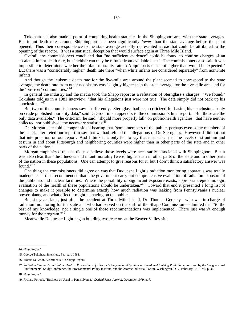Tokuhata had also made a point of comparing health statistics in the Shippingport area with the state averages. But infant-death rates around Shippingport had been significantly *lower* than the state average before the plant opened. Thus their correspondence to the state average actually represented a *rise* that could be attributed to the opening of the reactor. It was a statistical deception that would surface again at Three Mile Island.

Overall, the commissioners concluded that "no sufficient evidence" could be found to confirm charges of an escalated infant-death rate, but "neither can they be refuted from available data." The commissioners also said it was impossible to determine "whether the infant-mortality rate in Aliquippa is or is not higher than would be expected." But there was a "considerably higher" death rate there "when white infants are considered separately" from nonwhite infants.

And though the leukemia death rate for the five-mile area around the plant seemed to correspond to the state average, the death rate from other neoplasms was "slightly higher than the state average for the five-mile area and for the 'on-river' communities."<sup>44</sup>

In general the industry and the media took the Shapp report as a refutation of Sternglass's charges. "We found," Tokuhata told us in a 1981 interview, "that his allegations just were not true. The data simply did not back up his conclusions."<sup>45</sup>

But two of the commissioners saw it differently. Sternglass had been criticized for basing his conclusions "only on crude published mortality data," said DeGroot in an appendix to the commission's final report. "But those are the only data available." The criticism, he said, "should more properly fall" on public-health agencies "that have neither collected nor published" the necessary statistics.<sup>46</sup>

Dr. Morgan later told a congressional hearing that "some members of the public, perhaps even some members of the panel, interpreted our report to say that we had refuted the allegations of Dr. Sternglass. However, I did not put that interpretation on our report. And I think it is only fair to say that it is a fact that the levels of strontium and cesium in and about Pittsburgh and neighboring counties were higher than in other parts of the state and in other parts of the nation."

Morgan emphasized that he did not believe those levels were necessarily associated with Shippingport. But it was also clear that "the illnesses and infant mortality [were] higher than in other parts of the state and in other parts of the nation in these populations. One can attempt to give reasons for it, but I don't think a satisfactory answer was found."47

One thing the commissioners did agree on was that Duquesne Light's radiation monitoring apparatus was totally inadequate. It thus recommended that "the government carry out comprehensive evaluation of radiation exposure of the public around nuclear facilities. Where the possibility of significant exposure exists, appropriate epidemiologic evaluation of the health of these populations should be undertaken."<sup>48</sup> Toward that end it presented a long list of changes to make it possible to determine exactly how much radiation was leaking from Pennsylvania's nuclear power plants, and what effect it might be having on the public.

But six years later, just after the accident at Three Mile Island, Dr. Thomas Gerusky—who was in charge of radiation monitoring for the state and who had served on the staff of the Shapp Commission—admitted that "to the best of my knowledge, not a single one of those recommendations was implemented. There just wasn't enough money for the program."<sup>49</sup>

Meanwhile Duquesne Light began building two reactors at the Beaver Valley site.

hh<del>ahaa ka badaa ka badaa ka badaa ka badaa ka badaa ka badaa ka badaa ka badaa ka badaa ka badaa ka badaa ka bada</del> 44. *Shapp Report*.

<sup>45.</sup> George Tokuhata, interview, February 1981.

<sup>46.</sup> Morris DeGroot, "Comments," in *Shapp Report*.

<sup>47.</sup> *Radiation Standards and Public Health: Proceedings of a Second Congressional Seminar on Low-Level Ionizing Radiation* (sponsored by the Congressional Environmental Study Conference, the Environmental Policy Institute, and the Atomic Industrial Forum, Washington, D.C., February 10, 1978), p. 46.

<sup>48.</sup> *Shapp Report*.

<sup>49.</sup> Richard Pollock, "Business as Usual in Pennsylvania," *Critical Mass Journal,* December 1979, p. 7.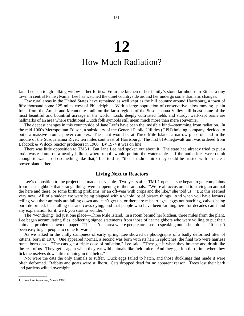## **12** How Much Radiation?

Jane Lee is a tough-talking widow in her forties. From the kitchen of her family's stone farmhouse in Etters, a tiny town in central Pennsylvania, Lee has watched the quiet countryside around her undergo some dramatic changes.

Few rural areas in the United States have remained as well kept as the hill country around Harrisburg, a town of fifty thousand some 125 miles west of Philadelphia. With a large population of conservative, slow-moving "plain folk" from the Amish and Mennonite tradition the farm regions of the Susquehanna Valley still boast some of the most beautiful and bountiful acreage in the world. Lush, deeply cultivated fields and sturdy, well-kept barns are hallmarks of an area where traditional Dutch folk symbols still mean much more than mere souvenirs.

The deepest changes in this countryside of Jane Lee's have been the invisible kind—stemming from radiation. In the mid-1960s Metropolitan Edison, a subsidiary of the General Public Utilities (GPU) holding company, decided to build a massive atomic power complex. The plant would be at Three Mile Island, a narrow piece of land in the middle of the Susquehanna River, ten miles southeast of Harrisburg. The first 819-megawatt unit was ordered from Babcock & Wilcox reactor producers in 1966. By 1974 it was on line.

There was little opposition to TMI-1. But Jane Lee had spoken out about it. The state had already tried to put a toxic-waste dump on a nearby hilltop, where runoff would pollute the water table. "If the authorities were dumb enough to want to do something like that," Lee told us, "then I didn't think they could be trusted with a nuclear power plant either."

#### **Living Next to Reactors**

Lee's opposition to the project had made her visible. Two years after TMI-1 opened, she began to get complaints from her neighbors that strange things were happening to their animals. "We're all accustomed to having an animal die here and there, or some birthing problems, or an off-year with crops and the like," she told us. "But this seemed very new. All of a sudden we were being plagued with a whole lot of bizarre things. And when you have farmers telling you their animals are falling down and can't get up, or there are miscarriages, eggs not hatching, calves being born deformed, hair falling out and cows dying, and that people who have been farming here for decades can't find any explanation for it, well, you start to wonder."

The "wondering" led just one place—Three Mile Island. In a room behind her kitchen, three miles from the plant, Lee began accumulating files, collecting signed statements from those of her neighbors who were willing to put their animals' problems down on paper. "This isn't an area where people are used to speaking out," she told us. "It hasn't been easy to get people to come forward."

As we talked in the chilly dampness of early spring, Lee showed us photographs of a badly deformed litter of kittens, born in 1978. One appeared normal, a second was born with its hair in splotches, the final two were hairless runts, born dead. "The cats get a triple dose of radiation," Lee said. "They get it when they breathe and drink like the rest of us. They get it again when they eat wild animals like field mice. And they get it a third time when they lick themselves down after running in the fields."<sup>1</sup>

Nor were the cats the only animals to suffer. Duck eggs failed to hatch, and those ducklings that made it were often deformed. Rabbits and goats were stillborn. Cats dropped dead for no apparent reason. Trees lost their bark and gardens wilted overnight.

<sup>1.</sup> Jane Lee, interview, March 1980.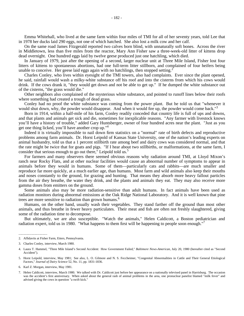Emma Whitehall, who lived at the same farm within four miles of TMI for all of her seventy years, told Lee that in 1978 her ducks laid 290 eggs, not one of which hatched. She also lost a milk cow and her calf.

On the same road James Fitzgerald reported two calves born blind, with unnaturally soft bones. Across the river in Middletown, less than five miles from the reactor, Mary Ann Fisher saw a three-week-old litter of kittens drop dead overnight. One hundred eggs laid by twelve geese produced just one hatchling, which died.

In January of 1979, just after the opening of a second, larger nuclear unit at Three Mile Island, Fisher lost four litters of kittens to spontaneous abortions, had one full-term litter stillborn, and complained of four heifers being unable to conceive. Her geese laid eggs again with no hatchlings, then stopped setting.<sup>2</sup>

Charles Conley, who lives within eyesight of the TMI towers, also had complaints. Ever since the plant opened, he said, rainfall would wash a milky-white substance off his roof and into the cisterns from which his cows would drink. If the cows drank it, "they would get down and not be able to get up." If he dumped the white substance out of the cisterns, "the grass would die."

Other neighbors also complained of the mysterious white substance, and pointed to runoff lines below their roofs where something had created a trough of dead grass.

Conley had no proof the white substance was coming from the power plant. But he told us that "whenever it would shut down, why, the powder would disappear. And when it would fire up, the powder would come back."<sup>3</sup>

Born in 1914, within a half-mile of his farm, Conley readily conceded that country life is full of ups and downs, and that plants and animals get sick and die, sometimes for inexplicable reasons. "Any farmer with livestock knows you'll have a history of trouble," added Gary Huntsberger, owner of four hundred acres near the plant. "Just as you get one thing licked, you'll have another crop up."<sup>4</sup>

Indeed it is virtually impossible to nail down firm statistics on a "normal" rate of birth defects and reproductive problems among farm animals. Dr. Horst Leipold of Kansas State University, one of the nation's leading experts on animal husbandry, told us that a 1 percent stillbirth rate among beef and dairy cows was considered normal, and that the rate might be twice that for goats and pigs. "If I hear about two stillbirths, or malformations, at the same farm, I consider that serious enough to go out there," Leipold told us.<sup>5</sup>

For farmers and many observers there seemed obvious reasons why radiation around TMI, at Lloyd Mixon's ranch near Rocky Flats, and at other nuclear facilities would cause an abnormal number of symptoms to appear in animals before they would in humans. Some of them—particularly cats and rabbits—are much smaller and reproduce far more quickly, at a much earlier age, than humans. Most farm and wild animals also keep their mouths and noses constantly to the ground, for grazing and hunting. That means they absorb more heavy fallout particles from the air they breathe, the water they drink, and the plants and animals they eat. They may also receive more gamma doses from emitters on the ground.

Some animals also may be more radiation-sensitive than adult humans. In fact animals have been used as radiation monitors during abnormal emissions at the Oak Ridge National Laboratory. And it is well known that pine trees are more sensitive to radiation than grown humans.<sup>6</sup>

Humans, on the other hand, usually wash their vegetables. They stand farther off the ground than most other animals, and thus breathe in fewer heavy particulates. Their meat and fish are often not freshly slaughtered, giving some of the radiation time to decompose.

But ultimately, we are also susceptible. "Watch the animals," Helen Caldicott, a Boston pediatrician and radiation expert, told us in 1980. "What happens to them first will be happening to people soon enough."<sup>7</sup>

<sup>2.</sup> Affidavits at Fisher Farm, Etters, Pennsylvania.

<sup>3.</sup> Charles Conley, interview, March 1980.

<sup>4.</sup> Laura T. Hammel, "Three Mile Island's Second Accident: How Government Failed," *Baltimore News-American,* July 20, 1980 (hereafter cited as "Second Accident").

<sup>5.</sup> Horst Leipold, interview, May 1981; See also, L. O. Gilmore and N. S. Feccheimer, "Congenital Abnormalities in Cattle and Their General Etiological Factors," *Journal of Dairy Science* 52, No. 11, pp. 1831-1836.

<sup>6.</sup> Karl Z. Morgan, interview, May 1981.

<sup>7.</sup> Helen Caldicott, interview, March 1980. We talked with Dr. Caldicott just before her appearance on a nationally televised panel in Harrisburg. The occasion was the accident's first anniversary. When asked about the general rash of animal problems in the area, one pronuclear panelist blamed "milk fever" and advised giving the cows in question "a swift kick."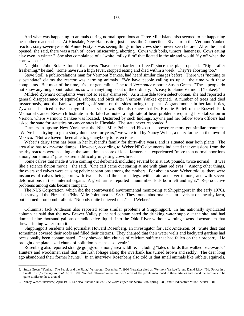And what was happening to animals during normal operations at Three Mile Island also seemed to be happening near other reactor sites. At Hinsdale, New Hampshire, just across the Connecticut River from the Vermont Yankee reactor, sixty-seven-year-old Annie Fostyck was seeing things in her cows she'd never seen before. After the plant opened, she said, there was a rash of "cows miscarrying, aborting. Cows with boils, tumors, lameness. Cows eating clay even in winter." She also complained of a "white, milky film" that floated in the air and would "fly off when the corn was cut."

Neighbor John Solacz found that cows "have been harder to breed" since the plant opened. "Right after freshening," he said, "some have run a high fever, stopped eating and died within a week. They're aborting too."

Steve Stoll, a public-relations man for Vermont Yankee, had heard similar charges before. There was "nothing to substantiate" claims the reactor was harming animals. "We have people calling us up all the time with these complaints. But most of the time, it's just generalities," he told *Vermonter* reporter Susan Green. "These people do not know anything about radiation, so when anything is out of the ordinary, it's easy to blame Vermont [Yankee]."

Mildred Zywna's complaints were not so easily dismissed. As a Hinsdale town selectwoman, she had reported a general disappearance of squirrels, rabbits, and birds after Vermont Yankee opened. A number of trees had died mysteriously, and the bark was peeling off some on the sides facing the plant. A grandmother in her late fifties, Zywna had noticed a rise in thyroid cancers in town. She also knew that Dr. Rosalie Bertell of the Roswell Park Memorial Cancer Research Institute in Buffalo had noted a high rate of heart problems requiring hospitalization in Vernon, where Vermont Yankee was located. Disturbed by such findings, Zywna and her fellow town officers had asked the state for statistics on cancer rates in Hinsdale. The state never responded.<sup>8</sup>

Farmers in upstate New York near the Nine Mile Point and Fitzpatrick power reactors got similar treatment. "We've been trying to get a study done here for years," we were told by Nancy Weber, a dairy farmer in the town of Mexico. "But we haven't been able to get anybody to listen to us."

Weber's dairy farm has been in her husband's family for thirty-five years, and is situated near both plants. The area also has toxic-waste dumps. However, according to Weber NRC documents indicated that emissions from the nearby reactors were peaking at the same time a score of local farmers had experienced "more than normal abortions among our animals" plus "extreme difficulty in getting cows bred."

Some calves that made it were coming out deformed, including several born at 150 pounds, twice normal. "It was like a science fiction movie," she said. "One calf came out staring at me with giant red eyes." Among other things, the oversized calves were causing pelvic separations among the mothers. For about a year, Weber told us, there were instances of calves being born with two tails and three front legs, with brain and liver tumors, and with severe deformations in their internal organs. A goat farmer reported "mummified kids born left and right." Reproductive problems among cats became rampant.

The NUS Corporation, which did the controversial environmental monitoring at Shippingport in the early 1970s, also surveyed the Fitzpatrick/Nine Mile Point area in 1980. They found abnormal cesium levels at one nearby farm, but blamed it on bomb fallout. "Nobody quite believed that," said Weber.<sup>9</sup>

Columnist Jack Anderson also reported some similar problems at Shippingport. In his nationally syndicated column he said that the new Beaver Valley plant had contaminated the drinking water supply at the site, and had dumped nine thousand gallons of radioactive liquids into the Ohio River without warning towns downstream that drew drinking water from it.

Shippingport residents told journalist Howard Rosenberg, an investigator for Jack Anderson, of "white dust that sometimes covered their roofs and filled their cisterns. They charged that their water wells and backyard gardens had occasionally been contaminated. They showed him chunks of calcium sulfate that had fallen on their property. He brought one plate-sized chunk of pollution back as a souvenir."

Rosenberg also reported strange goings-on among area wildlife, including "tales of birds that walked backwards." Hunters and woodsmen said that "the lush foliage along the riverbank has turned brown and sickly. The deer long ago abandoned their former haunts." In an interview Rosenberg also told us that small animals like rabbits, squirrels,

<sup>8.</sup> Susan Green, "Yankee: The People and the Plant," *Vermonter,* December 7, 1980 (hereafter cited as "Vermont Yankee"); and David Riley, "Big Power in a Small Town," *Country Journal,* April 1980. We did follow-up interviews with most of the people mentioned in these articles and found the accounts to be quite similar to those around

<sup>9.</sup> Nancy Weber, interview, April 1981. See also, "Bovine Blues," *The Waste Paper,* the Sierra Club, spring 1980, and "Radioactive Milk?" winter 1981.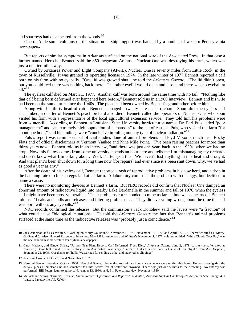and sparrows had disappeared from the woods.<sup>10</sup>

One of Anderson's columns on the situation at Shippingport was banned by a number of western Pennsylvania newspapers.

But reports of similar symptoms in Arkansas surfaced on the national wire of the Associated Press. In that case a farmer named Herschel Bennett said the 850-megawatt Arkansas Nuclear One was destroying his farm, which was just a quarter mile away.

Owned by Arkansas Power and Light Company (AP&L), Nuclear One is seventy miles from Little Rock, in the town of Russellville. It was granted its operating license in 1974. In the late winter of 1977 Bennett reported a calf born on his farm with no eyeballs. "One lid was growed shut," he told the *Arkansas Gazette*. "The lid didn't open, but you could feel there was nothing back there. The other eyelid would open and close and there was no eyeball at all. $n<sup>11</sup>$ 

The eyeless calf died on March 1, 1977. Another calf was born around the same time with no tail. "Nothing like that calf being born deformed ever happened here before," Bennett told us in a 1980 interview. Bennett and his wife had been on the same farm since the 1940s. The place had been owned by Bennett's grandfather before him.

Along with his thirty head of cattle Bennett managed a twenty-acre peach orchard. Soon after the eyeless calf succumbed, a quarter of Bennett's peach orchard also died. Bennett called the operators of Nuclear One, who soon visited his farm with a representative of the local agricultural extension service. They told him his problems were from winterkill. According to Bennett, a Louisiana State University horticulturist named Dr. Earl Puls added "poor management" and "an extremely high population of nematodes" to the list of causes. Puls, who visited the farm "for about one hour," said his findings were "conclusive in ruling out any type of nuclear radiation."<sup>12</sup>

Puls's report was reminiscent of official studies done of animal problems at Lloyd Mixon's ranch near Rocky Flats and of official disclaimers at Vermont Yankee and Nine Mile Point. "I've been raising peaches for more than thirty years now," Bennett told us in an interview, "and there was just one year, back in the 1950s, when we had no crop. Now this fellow comes from some university, spends an hour here and tells me I'm mismanaging my orchards and don't know what I'm talking about. Well, I'll tell you this. We haven't lost anything in this heat and drought. And that plant's been shut down for a long time now [for repairs] and ever since it's been shut down, why, we've had as good a year as any."

After the death of his eyeless calf, Bennett reported a rash of reproductive problems in his cow herd, and a drop in the hatching rate of chicken eggs laid at his farm. A laboratory confirmed the problem with the eggs, but declined to name a cause.

There were no monitoring devices at Bennett's farm. But NRC records did confirm that Nuclear One dumped an abnormal amount of radioactive liquid into nearby Lake Dardanelle in the summer and fall of 1976, when the eyeless calf might have been most vulnerable. "Their problems corresponded to mine as far as time was concerned," Bennett told us. "Leaks and spills and releases and filtering problems. . . . They did everything wrong about the time the calf was born without any eyeballs."<sup>13</sup>

NRC records confirmed the releases. But the commission's Jack Donohew said the levels were "a fraction" of what could cause "biological mutations." He told the *Arkansas Gazette* the fact that Bennett's animal problems surfaced at the same time as the radioactive releases was "probably just a coincidence."<sup>14</sup>

<sup>10.</sup> Jack Anderson and Les Whitten, "Washington Merry-Go-Round," November 1, 1977, November 16, 1977, and April 17, 1979 (hereafter cited as "Merry-Go-Round"). Also, Howard Rosenberg, interview, May 1981. Anderson and Whitten's November 1, 1977, column, entitled "White Clouds Over Pa.," was the one banned in some western Pennsylvania newspapers.

<sup>11.</sup> Carol Matlack, and Ginger Shiras, "Farmer Near Plant Reports Calf Deformed, Trees Died," *Arkansas Gazette,* June 2, 1979, p. 1-A (hereafter cited as "Farmer"). (We first found Bennett's story in an Associated Press story, "Farmer Thinks Nuclear Plant Is Cause of His Plight," *Columbus Dispatch,* September 23, 1979. Our thanks to Phyllis Wasserman for sending us that and many other clippings.)

<sup>12.</sup> *Arkansas Gazette,* October 17 and November 1, 1979.

<sup>13.</sup> Herschel Bennett interview, October 1980. Herschel Bennett died under mysterious circumstances as we were writing this book. He was investigating the outtake pipes at Nuclear One and somehow fell into twelve feet of water and drowned. There was just one witness to the drowning. No autopsy was performed. Bill Peters, letter to authors, November 13, 1980; and, Bill Peters, interview, November 1980.

<sup>14.</sup> Matlack and Shiras, "Farmer"; See also, *On the Record: Operations and Reported Incidents of Arkansas Nuclear One* (People's Action for Safe Energy, 401 Watson, Fayetteville, AR 72701).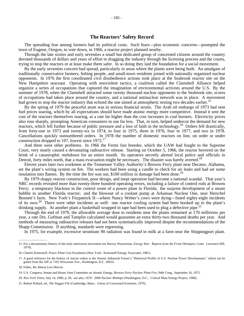The spreading fear among farmers had its political costs. Such fears—plus economic concerns—prompted the town of Eugene, Oregon, to vote down, in 1966, a reactor project planned nearby.

Through the late sixties and early seventies a small but dedicated group of concerned citizens around the country devoted thousands of dollars and years of effort to dragging the industry through the licensing process and the courts, trying to stop the reactors or at least make them safer. In so doing they laid the foundation for a social movement.

By the early seventies concern had spread, particularly in areas where the plants were being built. An amalgam of traditionally conservative farmers, fishing people, and small-town residents joined with nationally organized nuclear opponents. In 1976 the first coordinated civil disobedience actions took place at the Seabrook reactor site on the New Hampshire seacoast. Operating with nonviolent tactics, a coalition called the Clamshell Alliance helped organize a series of occupations that captured the imagination of environmental activists around the U.S. By the summer of 1978, when the Clamshell attracted some twenty thousand nuclear opponents to the Seabrook site, scores of occupations had taken place around the country, and a national antinuclear network was in place. A movement had grown to stop the reactor industry that echoed the one aimed at atmospheric testing two decades earlier.<sup>15</sup>

By the spring of 1979 the peaceful atom was in serious financial straits. The Arab oil embargo of 1973 had sent fuel prices soaring, which by all expectations should have made atomic energy more competitive. Instead it sent the cost of the reactors themselves soaring, at a rate far higher than the cost increases in coal burners. Electricity prices also rose sharply, prompting American consumers to use far less. That, in turn, helped undercut the demand for new reactors, which fell further because of public pressure and a loss of faith in the technology.<sup>16</sup> Orders fell drastically, from forty-one in 1973 and twenty-six in 1974, to four in 1975, three in 1976, four in 1977, and two in 1978. Cancellations quickly outnumbered orders. In 1978 the number of domestic reactors on line, on order or under construction dropped to 197, lowest since 1972.17

And there were other problems. In 1966 the Fermi fast breeder, which the UAW had fought to the Supreme Court, very nearly caused a devastating radioactive release. Starting on October 5, 1966, the reactor hovered on the brink of a catastrophic meltdown for an entire month. Its operators secretly alerted local police and officials in Detroit, forty miles north, that a mass evacuation might be necessary. The disaster was barely averted.<sup>18</sup>

Eleven years later two workmen at the Tennessee Valley Authority's Browns Ferry plant near Decatur, Alabama, set the plant's wiring system on fire. The workers had been using a candle to check for air leaks and had set some insulation into flames. By the time the fire was out, \$100 million in damage had been done.<sup>19</sup>

By 1979 sloppy reactor construction, poor design, and inept operation had become a national scandal. That year's NRC records revealed more than twenty-three hundred operating errors, including a failure of control rods at Browns Ferry; a temporary blackout in the control room of a power plant in Florida; the surprise development of a steam bubble in another Florida reactor; and the blowout of a coolant pump at Arkansas Nuclear One, near Herschel Bennett's farm. New York's Fitzpatrick II—where Nancy Weber's cows were dying—listed eighty-eight incidents of its own.<sup>20</sup> There were other incidents as well: one reactor cooling system had been hooked up to the plant's drinking supply. At another plant a basketball wrapped in tape had been used to plug a defective pipe.<sup>21</sup>

Through the end of 1979, the allowable average dose to residents near the plants remained at 170 millirems per year, a rate Drs. Gofman and Tamplin calculated would guarantee an extra thirty-two thousand deaths per year. And methods of measuring radioactive releases had not been systematically improved despite the recommendations of the Shapp Commission. If anything, standards were regressing.

In 1975, for example, excessive strontium 90 radiation was found in milk at a farm near the Shippingport plant.

<sup>15.</sup> For a documentary history of the early antireactor movement see Harvey Wasserman, *Energy War: Reports from the Front* (Westport, Conn: Lawrence Hill, 1979).

<sup>16.</sup> Charles Komonoff, *Power Plant Cost Escalation* (New York: Komonoff Energy Associates, 1981).

<sup>17.</sup> A good reference for the history of reactor orders is the Atomic Industrial Forum's "Historical Profile of U.S. Nuclear Power Development," which can be gotten from the AIF at 7101 Wisconsin Ave., Washington, D.C. 20014.

<sup>18.</sup> Fuller, *We Almost Lost Detroit*.

<sup>19.</sup> U.S. Congress, Senate and House Joint Committee on Atomic Energy, *Browns Ferry Nuclear Plant Fire,* 94th Cong., September 16, 1975.

<sup>20.</sup> *New York Times,* July 14, 1980, p. 26; see also, *1979: 2000 Nuclear Mishaps* (Washington, D.C.: Critical Mass Energy Project, 1980).

<sup>21.</sup> Robert Pollard, ed., *The Nugget File* (Cambridge, Mass.: Union of Concerned Scientists, 1979).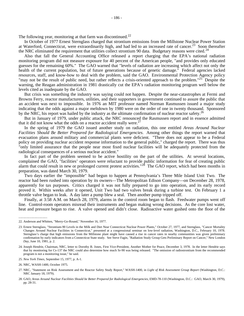The following year, monitoring at that farm was discontinued. $^{22}$ 

In October of 1977 Ernest Sternglass charged that strontium emissions from the Millstone Nuclear Power Station at Waterford, Connecticut, were extraordinarily high, and had led to an increased rate of cancer.<sup>23</sup> Soon thereafter the NRC eliminated the requirement that utilities collect strontium 90 data. Budgetary reasons were cited.<sup>24</sup>

Also that fall the General Accounting Office released a report charging that the EPA's national radiation monitoring program did not measure exposure for 40 percent of the American people, "and provides only educated guesses for the remaining 60%." The GAO warned that "levels of radiation are increasing which affect not only the health of the current population, but of future generations because of genetic damage." Federal agencies lacked resources, staff, and know-how to deal with the problem, said the GAO. Environmental Protection Agency policy "may not be the result of public need, but rather reflects a crisis-oriented approach to the problem."<sup>25</sup> Despite the warning, the Reagan administration in 1981 drastically cut the EPA's radiation monitoring program well below the levels cited as inadequate by the GAO.

But crisis was something the industry was saying could not happen. Despite the near-catastrophes at Fermi and Browns Ferry, reactor manufacturers, utilities, and their supporters in government continued to assure the public that an accident was next to impossible. In 1976 an MIT professor named Norman Rasmussen issued a major study indicating that the odds against a major meltdown by 1980 were on the order of one in twenty thousand. Sponsored by the NRC, his report was hailed by the industry as the ultimate confirmation of nuclear reactor safety.<sup>26</sup>

But in January of 1979, under public attack, the NRC renounced the Rasmussen report and in essence admitted that it did not know what the odds on a reactor accident really were. $27$ 

In the spring of 1979 the GAO issued another study on radiation, this one entitled *Areas Around Nuclear Facilities Should Be Better Prepared for Radiological Emergencies*. Among other things the report warned that evacuation plans around military and commercial plants were deficient. "There does not appear to be a Federal policy on providing nuclear accident response information to the general public," charged the report. There was thus "only limited assurance that the people near most fixed nuclear facilities will be adequately protected from the radiological consequences of a serious nuclear accident."

In fact part of the problem seemed to be active hostility on the part of the utilities. At several locations, complained the GAO, "facilities' operators were reluctant to provide public information for fear of creating public alarm that could result in new or prolonged current protest activities."<sup>28</sup> The GAO report, which had been months in preparation, was dated March 30, 1979.

Two days earlier the "impossible" had begun to happen at Pennsylvania's Three Mile Island Unit Two. The reactor had been rushed into operation by its owners—The Metropolitan Edison Company—on December 28, 1978, apparently for tax purposes. Critics charged it was not fully prepared to go into operation, and its early record proved it. Within weeks after it opened, Unit Two had two valves break during a turbine test. On February 1 a throttle valve began to leak. A day later a pump blew a seal. Then another pump tripped off.

Finally, at 3:58 A.M. on March 28, 1979, alarms in the control room began to flash. Feedwater pumps went off line. Control-room operators misread their instruments and began making wrong decisions. As the core lost water, heat and pressure began to rise. A valve opened and didn't close. Radioactive water gushed onto the floor of the

<sup>22.</sup> Anderson and Whitten, "Merry-Go-Round," November 16, 1977.

<sup>23.</sup> Ernest Sternglass, "Strontium-90 Levels in the Milk and Diet Near Connecticut Nuclear Power Plants," October 27, 1977, and Sternglass, "Cancer Mortality Changes Around Nuclear Facilities in Connecticut," presented at a congressional seminar on low-level radiation, Washington, D.C., February 10, 1978. Sternglass's charge that high emissions from the Millstone plant might have caused a rise in cancer rates in nearby communities was given preliminary confirmation by early indicators from a Connecticut State study. See Steve Fagin, "Radiation Study Group Gets Preliminary Report on Cancer," New London *Day,* June 10, 1981, p. 2.

<sup>24.</sup> Joseph Hendrie, Chairman, NRC, letter to Dorothy B. Jones, First Vice-President, Another Mother for Peace, December 3, 1978. In the letter Hendrie says that by monitoring for Cs-137 the NRC could also determine how much Sr-90 was being released. "The omission of radiostrontium from the recommended program is not a monitoring issue," he said.

<sup>25.</sup> *New York Times,* September 15, 1977, p. A-1.

<sup>26.</sup> NRC, WASH-1400, October 1975.

<sup>27.</sup> NRC, "Statement on Risk Assessment and the Reactor Safety Study Report," WASH-1400, in *Light of Risk Assessment Group Report* (Washington, D.C.: NRC January 18, 1979).

<sup>28.</sup> GAO, *Areas Around Nuclear Facilities Should be Better Prepared for Radiological Emergencies,* EMD-78-110 (Washington, D.C.: GAO, March 30, 1979), pp. 28-31.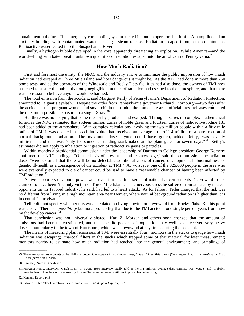containment building. The emergency core cooling system kicked in, but an operator shut it off. A pump flooded an auxiliary building with contaminated water, causing a steam release. Radiation escaped through the containment. Radioactive water leaked into the Susquehanna River.

Finally, a hydrogen bubble developed in the core, apparently threatening an explosion. While America—and the world—hung with bated breath, unknown quantities of radiation escaped into the air of central Pennsylvania.<sup>29</sup>

#### **How Much Radiation?**

First and foremost the utility, the NRC, and the industry strove to minimize the public impression of how much radiation had escaped at Three Mile Island and how dangerous it might be. As the AEC had done in more than 250 bomb tests, and as the operators of the Windscale and Rocky Flats facilities had also done, the owners of TMI now hastened to assure the public that only negligible amounts of radiation had escaped to the atmosphere, and that there was no reason to believe anyone would be harmed.

The total emission from the accident, said Margaret Reilly of Pennsylvania's Department of Radiation Protection, amounted to "a gnat's eyelash." Despite the order from Pennsylvania governor Richard Thornburgh—two days after the accident—that pregnant women and small children abandon the immediate area, official press releases compared the maximum possible exposure to a single X ray.<sup>30</sup>

But there was no denying that some reactor by-products had escaped. Through a series of complex mathematical formulas the NRC estimated that sixteen million curies of noble gases and fourteen curies of radioactive iodine 131 had been added to the atmosphere. With complex calculations involving the two million people within a fifty-mile radius of TMI it was decided that each individual had received an average dose of 1.4 millirems, a bare fraction of normal background radiation. The maximum dose anyone could have gotten, added Reilly, was seventy millirems—and that was "only for someone standing stark naked at the plant gates for seven days."<sup>31</sup> Reilly's estimates did not apply to inhalation or ingestion of radioactive gases or particles.

Within months a presidential commission under the leadership of Dartmouth College president George Kemeny confirmed the NRC findings. "On the basis of present scientific knowledge," said the commission, the radiation doses "were so small that there will be no detectable additional cases of cancer, developmental abnormalities, or genetic ill-health as a consequence of the accident at TMI." At worst just one of the 325,000 people in the area who were eventually expected to die of cancer could be said to have a "reasonable chance" of having been affected by TMI radiation.<sup>32</sup>

Active supporters of atomic power went even further. In a series of national advertisements Dr. Edward Teller claimed to have been "the only victim of Three Mile Island." The nervous stress he suffered from attacks by nuclear opponents on his favored industry, he said, had led to a heart attack. As for fallout, Teller charged that the risk was no different from living in a high mountain area near Denver, where natural background radiation is higher than it is in central Pennsylvania.

Teller did not specify whether this was calculated on living upwind or downwind from Rocky Flats. But his point was clear. "There is a *possibility* but not a probability that due to the TMI accident one single person years from now might develop cancer.<sup>"33</sup>

That conclusion was not universally shared. Karl Z. Morgan and others soon charged that the amount of emissions had been underestimated, and that specific pockets of population may well have received very heavy doses—particularly in the town of Harrisburg, which was downwind at key times during the accident.

The means of measuring plant emissions at TMI were essentially four: monitors in the stacks to gauge how much radiation was escaping; charcoal filters in the stacks which trapped some of that material for later measurement; monitors nearby to estimate how much radiation had reached into the general environment; and samplings of

<sup>29.</sup> There are numerous accounts of the TMI meltdown. One appears in *Washington Post, Crisis: Three Mile Island* (Washington, D.C.: *The Washington Post,* 1979) (hereafter: *Crisis*).

<sup>30.</sup> Hammel, "Second Accident."

<sup>31.</sup> Margaret Reilly, interview, March 1981. In a June 1980 interview Reilly told us the 1.4 millirem average dose estimate was "vague" and "probably meaningless. Nonetheless it was used by Edward Teller and numerous utilities in pronuclear advertising.

<sup>32.</sup> Kemeny Report, p. 34.

<sup>33.</sup> Edward Teller, "The Overblown Fear of Radiation," *Philadelphia Inquirer,* 1979.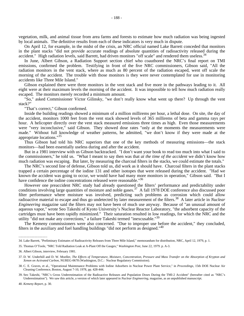vegetation, milk, and animal tissue from area farms and forests to estimate how much radiation was being ingested by local animals. The definitive results from each of these indicators is very much in dispute.

On April 12, for example, in the midst of the crisis, an NRC official named Lake Barrett conceded that monitors in the plant stacks "did not provide accurate readings of absolute quantities of radioactivity released during the accident." High radiation levels, said Barrett, had driven monitors "off scale" and rendered them useless.<sup>34</sup>

In June, Albert Gibson, a Radiation Support section chief who coauthored the NRC's final report on TMI emissions, confirmed the problem. Testifying in front of the five NRC commissioners, Gibson said, "All the radiation monitors in the vent stack, where as much as 80 percent of the radiation escaped, went off scale the morning of the accident. The trouble with those monitors is they were never contemplated for use in monitoring accidents like Three Mile Island."

Gibson explained there were three monitors in the vent stack and five more in the pathways leading to it. All eight were at their maximum levels the morning of the accident. It was impossible to tell how much radiation really escaped. The monitors merely recorded a minimum amount.

"So," asked Commissioner Victor Gilinsky, "we don't really know what went up there? Up through the vent stack?"

"That's correct," Gibson confirmed.

Inside the building readings showed a minimum of a million millirems per hour, a lethal dose. On site, the day of the accident, monitors 1000 feet from the vent stack showed levels of 365 millirems of beta and gamma rays per hour. A helicopter directly over the vent stack measured emissions three times as high. Even those measurements were "very inconclusive," said Gibson. They showed dose rates "only at the moments the measurements were made." Without full knowledge of weather patterns, he admitted, "we don't know if they were made at the appropriate locations."<sup>35</sup>

Thus Gibson had told his NRC superiors that one of the key methods of measuring emissions—the stack monitors—had been essentially useless during and after the accident.

But in a 1981 interview with us Gibson backtracked. "I don't want your book to read too much into what I said to the commissioners," he told us. "What I meant to say then was that *at the time of the accident* we didn't know how much radiation was escaping. But later, by measuring the charcoal filters in the stacks, we could estimate the totals."

The NRC's second line of defense, Gibson told us, did work as it should have. Charcoal filters in the plant stacks trapped a certain percentage of the iodine 131 and other isotopes that were released during the accident. "Had we known the accident was going to occur, we would have had many more monitors in operation," Gibson said. "But I have confidence the iodine concentrations released were reasonable."<sup>36</sup>

However one preaccident NRC study had already questioned the filters' performance and predictability under conditions involving large quantities of moisture and noble gases.<sup>37</sup> A fall 1978 DOE conference also discussed poor filter performance where moisture was involved, predicting such problems as corrosion which could allow radioactive material to escape and thus go undetected by later measurement of the filters.<sup>38</sup> A later article in *Nuclear Engineering* magazine said the filters may not have been of much use anyway. Because of "an unusual amount of aqueous vapor," wrote Seo Takeshi of Kyoto University's Nuclear Reactor Laboratory, "the adsorbent capacity of the cartridges must have been rapidly minimized." Their saturation resulted in low readings, for which the NRC and the utility "did not make any corrections," a failure Takeshi termed "inexcusable."<sup>39</sup>

The Kemeny commissioners were also concerned. "Due to improper use before the accident," they concluded, filters in the auxiliary and fuel handling buildings "did not perform as designed."<sup>40</sup>

<sup>34.</sup> Lake Barrett, "Preliminary Estimates of Radioactivity Releases from Three Mile Island," memorandum for distribution, NRC, April 12, 1979, p. 1.

<sup>35.</sup> Thomas O'Toole, "NRC Told Radiation Leak at A-Plant Off the Gauges," *Washington Post,* June 22, 1979. p. A-3.

<sup>36.</sup> Albert Gibson, interview, February 1981.

<sup>37.</sup> D. W. Underhill and D. W. Moeller, *The Effects of Temperature, Moisture, Concentration, Pressure and Mass Transfer on the Absorption of Krypton and Xenon on Activated Carbon,* NUREG-0678 (Washington, D.C.: Nuclear Regulatory Commission).

<sup>38.</sup> C. E. Graves, et al., "Operational Maintenance Problems with Iodine Adsorbers in Nuclear Power Plant Service," in *Proceedings,* 15th DOE Nuclear Air Cleaning Conference, Boston, August 7-10, 1978, pp. 428-444.

<sup>39.</sup> Seo Takeshi, "NRC's Gross Underestimation of the Radioactive Releases and Population Doses During the TMI-2 Accident" (hereafter cited as "NRC's Underestimation"). We saw this article, a version of which later appeared in *Nuclear Engineering,* magazine, as an unpublished manuscript.

<sup>40.</sup> *Kemeny Report,* p. 30.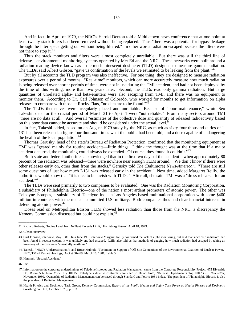And in fact, in April of 1979, the NRC's Harold Denton told a Middletown news conference that at one point at least twenty stack filters had been removed without being replaced. Thus "there was a potential for bypass leakage through the filter space getting out without being filtered." In other words radiation escaped because the filters were not there to stop it. $41$ 

Thus the stack monitors and filters were almost completely unreliable. But there was still the third line of defense—environmental monitoring systems operated by Met Ed and the NRC. These networks were built around a radiation reading device known as a thermo-luminescent dosimeter (TLD) designed to measure gamma radiation. The TLDs, said Albert Gibson, "gave us confirmation of the levels we estimated to be leaking from the plant."<sup>42</sup>

But by all accounts the TLD program was also ineffective. For one thing, they are designed to measure radiation exposures over a period of months. "Real-time" monitors, which can more accurately measure how much radiation is being released over shorter periods of time, were not in use during the TMI accident, and had not been deployed by the time of this writing, more than two years later. Second, the TLDs read only gamma radiation. But large quantities of unrelated alpha- and beta-emitters were also escaping from TMI, and there was no equipment to monitor them. According to Dr. Carl Johnson of Colorado, who worked for months to get information on alpha releases to compare with those at Rocky Flats, "no data are to be found."<sup>43</sup>

The TLDs themselves were irregularly placed and unreliable. Because of "poor maintenance," wrote Seo Takeshi, data for the crucial period of March 31 to April 1 were "not reliable." From many sectors around TMI "there are no data at all." And overall "estimates of the collective dose and quantity of released radioactivity based on this poor data cannot be accurate and should be considered under the actual level."

In fact, Takeshi added, based on an August 1979 study by the NRC, as much as sixty-four thousand curies of I-131 had been released, a figure four thousand times what the public had been told, and a dose capable of endangering the health of the local population.<sup>44</sup>

Thomas Gerusky, head of the state's Bureau of Radiation Protection, confirmed that the monitoring equipment at TMI was "geared mainly for routine accidents—little things. I think the thought was at the time that if a major accident occurred, the monitoring could always be extended. Of course, they found it couldn't."<sup>45</sup>

Both state and federal authorities acknowledged that in the first two days of the accident—when approximately 80 percent of the radiation was released—there were nowhere near enough TLDs around. "We don't know if there were other releases early on, other than from the stacks," Gerusky told *The* (Baltimore) *News-American*. "There are still some questions of just how much I-131 was released early in the accident." Next time, added Margaret Reilly, the authorities would know that "it is nice to be lavish with TLDs." After all, she said, TMI was a "dress rehearsal for an accident."<sup>46</sup>

The TLDs were sent primarily to two companies to be evaluated. One was the Radiation Monitoring Corporation, a subsidiary of Philadelphia Electric—one of the nation's most ardent promoters of atomic power. The other was Teledyne Isotopes, a subsidiary of Teledyne Inc.—a Los Angeles-based multinational corporation with some \$400 million in contracts with the nuclear-committed U.S. military. Both companies thus had clear financial interests in defending atomic power.<sup>47</sup>

Doses read on Metropolitan Edison TLDs showed less radiation than those from the NRC, a discrepancy the Kemeny Commission discussed but could not explain.<sup>48</sup>

<sup>41.</sup> Richard Roberts, "Iodine Level from N-Plant Exceeds Limit," Harrisburg *Patriot,* April 18, 1979.

<sup>42.</sup> Gibson interview.

<sup>43.</sup> Carl Johnson, interview, May 1980. In a June 1981 interview Margaret Reilly confirmed the lack of alpha monitoring, but said that since "zip radiation" had been found in reactor coolant, it was unlikely any had escaped. Reilly also told us that methods of gauging how much radiation had escaped by taking an inventory of the core were "essentially worthless."

<sup>44.</sup> Takeshi, "NRC's Underestimation"; and Bruce Mulholt, "Testimony in Support of Off-Site Contentions of the Environmental Coalition of Nuclear Power," NRC, TMI-1 Restart Hearings, Docket 50-289, March 16, 1981, Table 5.

<sup>45.</sup> Hammel, "Second Accident."

<sup>46.</sup> Ibid.

<sup>47.</sup> Information on the corporate underpinnings of Teledyne Isotopes and Radiation Management came from the Corporate Responsibility Project, 475 Riverside Dr., Room 566, New York City 10115. Teledyne's defense contracts were cited in David Gold, "Defense Department's Top 100," *CEP Newsletter,* November 1980. Ownership of Radiation Management can be traced through Standard and Poor's 1981 index. The president of Philadelphia Electric is also the president of Radiation Management.

<sup>48.</sup> Health Physics and Dosimetry Task Group, Kemeny Commission, *Report of the Public Health and Safety Task Force on Health Physics and Dosimetry* (Washington, D.C., October 1979), p. 133.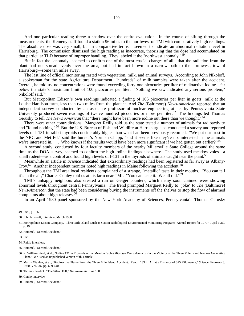And one particular reading threw a shadow over the entire evaluation. In the course of sifting through the measurements, the Kemeny staff found a station 96 miles to the northwest of TMI with comparatively high readings. The absolute dose was very small, but in comparative terms it seemed to indicate an abnormal radiation level in Harrisburg. The commission dismissed the high reading as inaccurate, theorizing that the dose had accumulated on that particular TLD because of improper handling. They labeled it the "northwest anomaly."<sup>49</sup>

But in fact the "anomaly" seemed to confirm one of the most crucial charges of all—that the radiation from the plant had not spread evenly over the area, but had in fact blown in a narrow path to the northwest, toward Harrisburg—some ten miles away.

The last line of official monitoring rested with vegetation, milk, and animal surveys. According to John Nikoloff, a spokesman for the state Agriculture Department, "hundreds" of milk samples were taken after the accident. Overall, he told us, no concentrations were found exceeding forty-one picocuries per liter of radioactive iodine—far below the state's maximum limit of 100 picocuries per liter. "Nothing we saw indicated any serious problem," Nikoloff said.<sup>50</sup>

But Metropolitan Edison's own readings indicated a finding of 105 picocuries per liter in goats' milk at the Louise Hardison farm, less than two miles from the plant.<sup>51</sup> And *The* (Baltimore) *News-American* reported that an independent survey conducted by an associate professor of nuclear engineering at nearby Pennsylvania State University produced seven readings of twelve hundred picocuries or more per liter.<sup>52</sup> The findings led Thomas Gerusky to tell *The News American* that "there might have been more iodine out there than we thought."<sup>53</sup>

There were other contradictions. Margaret Reilly told us the state tested a number of animals for radioactivity and "found nothing."<sup>54</sup> But the U.S. Bureau of Fish and Wildlife at Harrisburg also conducted a survey and reported levels of I-131 in rabbit thyroids considerably higher than what had been previously recorded. "We put our trust in the NRC and Met Ed," said the bureau's Norman Chupp, "and it seems like they're not interested in the animals we're interested in. . . . Who knows if the results would have been more significant if we had gotten out earlier?"<sup>55</sup>

A second study, conducted by four faculty members of the nearby Millersville State College around the same time as the DOA survey, seemed to confirm the high iodine findings elsewhere. The study used meadow voles—a small rodent—as a control and found high levels of I-131 in the thyroids of animals caught near the plant.<sup>56</sup>

Meanwhile an article in *Science* indicated that extraordinary readings had been registered as far away as Albany-Troy.<sup>57</sup> Another independent monitor noted high readings in Maine following the accident.<sup>58</sup>

Throughout the TMI area local residents complained of a strange, "metallic" taste in their mouths. "You can tell it's in the air," Charles Conley told us at his farm near TMI. "You can taste it. We all did."<sup>59</sup>

TMI's unhappy neighbors also created a run on Geiger counters, which many soon claimed were showing abnormal levels throughout central Pennsylvania. The trend prompted Margaret Reilly to "joke" to *The* (Baltimore) *News-American* that the state had been considering buying the instruments off the shelves to stop the flow of alarmed complaints about high releases. $60$ 

In an April 1980 panel sponsored by the New York Academy of Sciences, Pennsylvania's Thomas Gerusky

hh<del>ahaa ka badaa ka badaa ka badaa ka badaa ka badaa ka badaa ka badaa ka badaa ka badaa ka badaa ka badaa ka bada</del>

58. Thomas Pawlick, "The Silent Toll," *Harrowsmith,* June 1980.

60. Hammel, "Second Accident."

<sup>49.</sup> Ibid., p. 136.

<sup>50.</sup> John Nikoloff, interview, March 1980.

<sup>51.</sup> Metropolitan Edison Company, "Three Mile Island Nuclear Station Radiological Environmental Monitoring Program: Annual Report for 1979," April 1980, p. 19.

<sup>52.</sup> Hammel, "Second Accident."

<sup>53.</sup> Ibid.

<sup>54.</sup> Reilly interview.

<sup>55.</sup> Hammel, "Second Accident."

<sup>56.</sup> R. William Field, et al., "Iodine 131 in Thyroids of the Meadow Vole (*Microtus Pennsylvanicus*) in the Vicinity of the Three Mile Island Nuclear Generating Plant." We used an unpublished version of this article.

<sup>57.</sup> Martin Wahlen, et al., "Radioactive Plume From the Three Mile Island Accident: Xenon 133 in Air at a Distance of 375 Kilometers," *Science,* February 8, 1980, Vol. 207 pp. 639-640.

<sup>59.</sup> Conley interview.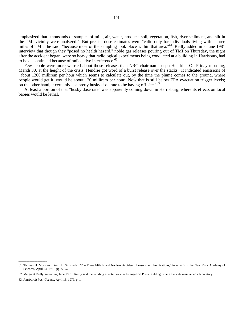emphasized that "thousands of samples of milk, air, water, produce, soil, vegetation, fish, river sediment, and silt in the TMI vicinity were analyzed." But precise dose estimates were "valid only for individuals living within three miles of TMI," he said, "because most of the sampling took place within that area."<sup>61</sup> Reilly added in a June 1981 interview that though they "posed no health hazard," noble gas releases pouring out of TMI on Thursday, the night after the accident began, were so heavy that radiological experiments being conducted at a building in Harrisburg had to be discontinued because of radioactive interference.<sup>62</sup>

Few people were more worried about those releases than NRC chairman Joseph Hendrie. On Friday morning, March 30, at the height of the crisis, Hendrie got word of a burst release over the stacks. It indicated emissions of "about 1200 millirem per hour which seems to calculate out, by the time the plume comes to the ground, where people would get it, would be about 120 millirem per hour. Now that is still below EPA evacuation trigger levels; on the other hand, it certainly is a pretty husky dose rate to be having off-site."63

At least a portion of that "husky dose rate" was apparently coming down in Harrisburg, where its effects on local babies would be lethal.

<sup>61.</sup> Thomas H. Moss and David L. Sills, eds., "The Three Mile Island Nuclear Accident: Lessons and Implications," in *Annals* of the New York Academy of Sciences, April 24, 1981, pp. 56-57.

<sup>62.</sup> Margaret Reilly, interview, June 1981. Reilly said the building affected was the Evangelical Press Building, where the state maintained a laboratory.

<sup>63.</sup> *Pittsburgh Post-Gazette,* April 16, 1979, p. 1.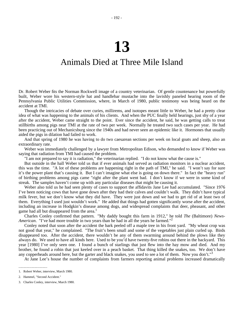## **13**

### Animals Died at Three Mile Island

Dr. Robert Weber fits the Norman Rockwell image of a country veterinarian. Of gentle countenance but powerfully built, Weber wore his western-style hat and handlebar mustache into the lavishly paneled hearing room of the Pennsylvania Public Utilities Commission, where, in March of 1980, public testimony was being heard on the accident at TMI.

Though the intricacies of debate over curies, millirems, and isotopes meant little to Weber, he had a pretty clear idea of what was happening to the animals of his clients. And when the PUC finally held hearings, just shy of a year after the accident, Weber came straight to the point. Ever since the accident, he said, he was getting calls to treat stillbirths among pigs near TMI at the rate of two per week. Normally he treated two such cases per year. He had been practicing out of Mechanicsburg since the 1940s and had never seen an epidemic like it. Hormones that usually aided the pigs in dilation had failed to work.

And that spring of 1980 he was having to do two caesarean sections per week on local goats and sheep, also an extraordinary rate.

Weber was immediately challenged by a lawyer from Metropolitan Edison, who demanded to know if Weber was saying that radiation from TMI had caused the problem.

"I am not prepared to say it is radiation," the veterinarian replied. "I do not know what the cause is."

But outside in the hall Weber told us that if ever animals had served as radiation monitors in a nuclear accident, this was the time. "A lot of these problems are happening right in the path of TMI," he said. "I won't say for sure it's the power plant that's causing it. But I can't imagine what else is going on down there." In fact the "heavy run" of birthing problems among pigs came "right after the plant went bad. I don't know if we were in some kind of streak. The samples haven't come up with any particular diseases that might be causing it.

Weber also told us he had seen plenty of cases to support the affidavits Jane Lee had accumulated. "Since 1976 I've been noticing cows that have gone down after they had their calves and couldn't walk. They didn't have typical milk fever, but we don't know what they did have. They were just down and we had to get rid of at least two of them. Everything I used just wouldn't work." He added that things had gotten significantly worse after the accident, including an increase in Hodgkin's disease among dogs, and widespread complaints that deer, pheasant, and other game had all but disappeared from the area.<sup>1</sup>

Charles Conley confirmed that pattern. "My daddy bought this farm in 1912," he told *The* (Baltimore) *News-American*. "I've had more trouble in two years than he had in all the years he farmed."<sup>2</sup>

Conley noted that soon after the accident the bark peeled off a maple tree in his front yard. "My wheat crop was not good that year," he complained. "The fruit's been small and some of the vegetables just plain curled up. Birds disappeared too. After the accident, there wouldn't be any of them swarming around behind the plows like they always do. We used to have all kinds here. Used to be you'd have twenty-five robins out there in the backyard. This year [1980] I've only seen one. I found a bunch of starlings that just flew into the hay mow and died. And my brother, he found a robin that just keeled over in a peach basket. That thing killed the snakes, too. We don't have any copperheads around here, but the garter and black snakes, you used to see a lot of them. Now you don't."<sup>3</sup>

At Jane Lee's house the number of complaints from farmers reporting animal problems increased dramatically

<sup>1.</sup> Robert Weber, interview, March 1980.

<sup>2.</sup> Hammel, "Second Accident."

<sup>3.</sup> Charles Conley, interview, March 1980.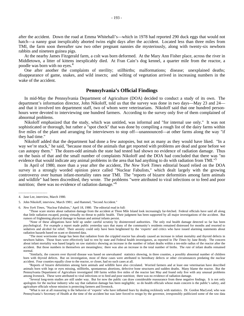after the accident. Down the road at Emma Whitehall's—which in 1978 had reported 290 duck eggs that would not hatch—a nanny goat inexplicably aborted twins eight days after the accident. Located less than three miles from TMI, the farm soon thereafter saw two other pregnant nannies die mysteriously, along with twenty-six newborn rabbits and nineteen guinea pigs.

At the nearby James Fitzgerald farm, a colt was born deformed. At the Mary Ann Fisher place, across the river in Middletown, a litter of kittens inexplicably died. At Fran Cain's dog kennel, a quarter mile from the reactor, a poodle was born with no eyes.4

One after another the complaints of sterility; stillbirths; malformations; disease; unexplained deaths; disappearance of game, snakes, and wild insects; and wilting of vegetation arrived in increasing numbers in the wake of the accident.

#### **Pennsylvania's Official Findings**

In mid-May the Pennsylvania Department of Agriculture (DOA) decided to conduct a study of its own. The department's information director, John Nikoloff, told us that the survey was done in two days—May 23 and 24 and that it involved ten department staff, two of whom were veterinarians. Nikoloff said that one hundred personhours were devoted to interviewing one hundred farmers. According to the survey only five of them complained of abnormal problems.

Nikoloff emphasized that the study, which was untitled, was informal and "for internal use only." It was not sophisticated or thorough, but rather a "spot check" that was done by compiling a rough list of the dairy farms within five miles of the plant and arranging for interviewers to stop off—unannounced—at other farms along the way "if they had time."

Nikoloff added that the department had done a few autopsies, but not as many as they would have liked. "In a way we're stuck," he said, "because most of the animals that get reported with problems are dead and gone before we can autopsy them." The dozen-odd animals the state had tested had shown no evidence of radiation damage. Thus on the basis of that and the small number of complaints Nikoloff and the DOA had concluded that there was "no evidence that would indicate any animal problems in the area that had anything to do with radiation from TMI."<sup>5</sup>

In April of 1980, more than a year after the accident, *The New York Times* editorial board relied on the DOA survey in a strongly worded opinion piece called "Nuclear Fabulists," which dealt largely with the growing controversy over human infant-mortality rates near TMI. The "reports of bizarre deformities among farm animals and wildlife" had been discredited, they wrote. The problems "were attributed to viral infections or to feed and poor nutrition; there was no evidence of radiation damage."<sup>6</sup>

<sup>4.</sup> Jane Lee, interview, March 1980.

<sup>5.</sup> John Nikoloff, interview, March 1981; and Hammel, "Second Accident."

<sup>6.</sup> *New York Times,* "Nuclear Fabulists," April 18, 1980. The editorial read in full:

<sup>&</sup>quot;Those scare stories about radiation damage from the accident at Three Mile Island look increasingly far-fetched. Federal officials have said all along that little radiation escaped, posing virtually no threat to public health. Their judgment has been supported by all major investigations of the accident. But rumors of frightening physical damage to human and animal infants persist.

<sup>&</sup>quot;None of these allegations have held up under careful scrutiny by disinterested authorities. The only real health damage detected so far has been psychological. For example a report made public yesterday says that many of the community's residents remained distressed for months and resorted to sedatives and alcohol for relief. Their anxiety could only have been heightened by the 'experts' and critics who have issued alarming statements about radiation hazards based on scant or distorted data.

<sup>&</sup>quot;The most worrisome charge has been that radiation from the crippled reactor has already caused an increase in infant mortality and thyroid defects in newborn babies. Those fears were effectively laid to rest by state and Federal health investigators, as reported in *The Times* by Jane Brody. The concern about infant mortality was based largely on raw statistics showing an increase in the number of infant deaths within a ten-mile radius of the reactor after the accident. But those numbers in themselves are meaningless; there was also an increase in the total number of births. The *rate* of infant deaths remained normal.

<sup>&</sup>quot;Similarly, the concern over thyroid disease was based on unevaluated statistics showing, in three counties, a possibly abnormal number of children born with thyroid defects. But on investigation, most of these cases were attributed to hereditary defects or other circumstances predating the nuclear accident. Four counties equally close to the reactor, or closer, had no such cases at all.

<sup>&</sup>quot;Reports of bizarre deformities among farm animals and wildlife have also circulated. Worried farmers and at least one veterinarian have described animals born with legs or eyes missing, stillbirths, spontaneous abortions, defective bone structures and sudden deaths. Many blame the reactor. But the Pennsylvania Department of Agriculture investigated 100 farms within five miles of the reactor last May and found only five with any unusual problems among livestock. These were attributed to viral infections or to feed and poor nutrition; there was no evidence of radiation damage.

<sup>&</sup>quot;Several long-term studies are still under way. But for now the public can draw considerable reassurance from these negative findings. It is not only apologists for the nuclear industry who say that radiation damage has been negligible; so do health officials whose main concern is the public's safety, and agriculture officials whose mission is protecting farmers and livestock.

<sup>&</sup>quot;What is not at all reassuring is the behavior of 'experts' who have inflamed fears by dealing recklessly with statistics. Dr. Gordon MacLeod, who was Pennsylvania's Secretary of Health at the time of the accident but was later forced to resign by the governor, irresponsibly publicized some of the raw data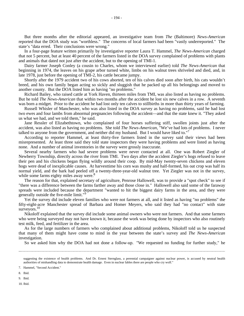But three months after the editorial appeared, an investigative team from *The* (Baltimore) *News-American* reported that the DOA study was "worthless." The concerns of local farmers had been "vastly underreported." The state's "data erred. Their conclusions were wrong."

In a four-page feature written primarily by investigative reporter Laura T. Hammel, *The News-American* charged that not 5 percent, but at least 40 percent of the farmers listed in the DOA survey complained of problems with plants and animals that dated not just after the accident, but to the opening of TMI-1.

Dairy farmer Joseph Conley (a cousin to Charles, whom we interviewed earlier) told *The News-American* that beginning in 1974, the leaves on his grape arbor turned white, limbs on his walnut trees shriveled and died, and, in late 1978, just before the opening of TMI-2, his cattle became jumpy.

Shortly after the 1979 accident two of his cows aborted, ten of his calves died soon after birth, his cats wouldn't breed, and his own family began acting so sickly and sluggish that he packed up all his belongings and moved to another county. But the DOA listed him as having "no problems."

Richard Bailey, who raised cattle at York Haven, thirteen miles from TMI, was also listed as having no problems. But he told *The News-American* that within two months after the accident he lost six new calves in a row. A seventh was born a midget. Prior to the accident he had lost only ten calves to stillbirths in more than thirty years of farming.

Russell Whisler of Manchester, who was also listed in the DOA survey as having no problems, said he had lost two ewes and four lambs from abnormal pregnancies following the accident—and that the state knew it. "They asked us what we had, and we told them," he said.

Jane Ressler of Elizabethtown, who complained of four horses suffering stiff, swollen joints just after the accident, was also listed as having no problems. She told *The News-American,* "We've had lots of problems. I never talked to anyone from the government, and neither did my husband. But I would have liked to."<sup>7</sup>

According to reporter Hammel, at least thirty-five farmers listed in the survey said their views had been misrepresented. At least three said they told state inspectors they were having problems and were listed as having none. And a number of animal inventories in the survey were grossly inaccurate.

Several nearby farmers who had severe problems were never contacted at all. One was Robert Ziegler of Newberry Township, directly across the river from TMI. Two days after the accident Ziegler's hogs refused to leave their pen and his chickens began flying wildly around their coop. By mid-May twenty-seven chickens and eleven hogs were dead of inexplicable causes. At harvesttime his corn was mushy and half-formed, his oat crop was half its normal yield, and the bark had peeled off a twenty-three-year-old walnut tree. Yet Ziegler was not in the survey, while some farms eighty miles away were.<sup>8</sup>

The reason for that, explained secretary of agriculture, Penrose Hallowell, was to provide a "spot check" to see if "there was a difference between the farms farther away and those close in." Hallowell also said some of the faraway spreads were included because the department "wanted to hit the biggest dairy farms in the area, and they were generally outside the five-mile limit."<sup>9</sup>

Yet the survey did include eleven families who were not farmers at all, and it listed as having "no problems" the fifty-eight-acre Manchester spread of Barbara and Homer Meyers, who said they had "no contact" with state surveyors.<sup>10</sup>

Nikoloff explained that the survey did include some animal owners who were not farmers. And that some farmers who were being surveyed may not have known it, because the work was being done by inspectors who also routinely test milk, feed, and fertilizer in the area.

As for the large numbers of farmers who complained about additional problems, Nikoloff told us he suspected that many of them might have come to mind in the year between the state's survey and *The News-American* investigation.

hhhhhhhhhhhhhhhhhhhhhhhhhhhhhhhhhhhhhhhhhhhhhhhhhhhhhhhhhhhhhhhhhhhhhhhhhhhhhhhhhhhhhhhhhhhhhhhhhhhhhhhhhhhhhhhhhhhhhhhhhhhhhhhhhh

So we asked him why the DOA had not done a follow-up. "We requested no funding for further study," he

7. Hammel, "Second Accident."

8. Ibid.

9. Ibid.

10. Ibid.

suggesting the existence of health problems. And Dr. Ernest Sternglass, a perennial campaigner against nuclear power, is accused by neutral health authorities of mishandling data to demonstrate health damage. Even in nuclear fables there are people who cry wolf."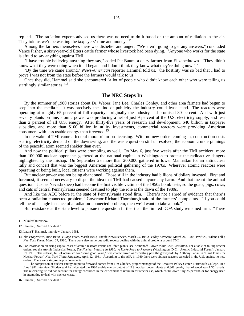replied. "The radiation experts advised us there was no need to do it based on the amount of radiation in the air. They told us we'd be wasting the taxpayers' time and money."<sup>11</sup>

Among the farmers themselves there was disbelief and anger. "We aren't going to get any answers," concluded Vance Fisher, a sixty-year-old Etters cattle farmer whose livestock had been dying. "Anyone who works for the state is afraid to say anything against TMI."

"I have trouble believing anything they say," added Pat Baum, a dairy farmer from Elizabethtown. "They didn't know what they were doing when it all began, and I don't think they know what they're doing now."<sup>12</sup>

"By the time we came around," *News-American* reporter Hammel told us, "the hostility was so bad that I had to prove I was not from the state before the farmers would talk to us."

Once they did, Hammel said she encountered "a lot of people who didn't know each other who were telling us startlingly similar stories."<sup>13</sup>

#### **The NRC Steps In**

By the summer of 1980 stories about Dr. Weber, Jane Lee, Charles Conley, and other area farmers had begun to seep into the media.<sup>14</sup> It was precisely the kind of publicity the industry could least stand. The reactors were operating at roughly 65 percent of full capacity; originally the industry had promised 80 percent. And with just seventy plants on line, atomic power was producing a net of just 9 percent of the U.S. electricity supply, and less than 2 percent of all U.S. energy. After thirty-five years of research and development, \$40 billion in taxpayer subsidies, and more than \$100 billion in utility investments, commercial reactors were providing American consumers with less usable energy than firewood.<sup>15</sup>

In the wake of TMI came a federal moratorium on licensing. With no new orders coming in, construction costs soaring, electricity demand on the downswing, and the waste question still unresolved, the economic underpinnings of the peaceful atom seemed shakier than ever.

And now the political pillars were crumbling as well. On May 6, just five weeks after the TMI accident, more than 100,000 nuclear opponents gathered at the national capital in Washington to protest the radioactive dangers highlighted by the mishap. On September 23 more than 200,000 gathered in lower Manhattan for an antinuclear rally and concert that was the biggest American political gathering of the 1970s. Wherever atomic reactors were operating or being built, local citizens were working against them.

But nuclear power was not being abandoned. Those still in the industry had billions of dollars invested. First and foremost, it seemed necessary to dispel the idea that TMI had caused anyone any harm. And that meant the animal question. Just as Nevada sheep had become the first visible victims of the 1950s bomb tests, so the goats, pigs, cows, and cats of central Pennsylvania seemed destined to play the role at the dawn of the 1980s.

And like the AEC before it, the state of Pennsylvania stood firm. "There's not a shred of evidence that there's been a radiation-connected problem," Governor Richard Thornburgh said of the farmers' complaints. "If you could tell me of a single instance of a radiation-connected problem, then we'd want to take a look."<sup>16</sup>

But resistance at the state level to pursue the question further than the limited DOA study remained firm. "There

hhhhhhhhhhhhhhhhhh 11. Nikoloff interview.

<sup>12.</sup> Hammel, "Second Accident."

<sup>13.</sup> Laura T. Hammel, interview, January 1981.

<sup>14.</sup> *The Progressive,* June 1980; *Village Voice,* March 1980; Pacific News Service, March 25, 1980; *Valley Advocate,* March 26, 1980; Pawlick, "Silent Toll"; *New York Times,* March 27, 1980. There were also numerous radio reports dealing with the animal problems around TMI.

<sup>15.</sup> For information on rising capital costs of atomic reactors versus coal-fired plants, see Komonoff, *Power Plant Cost Escalation*. For a table of falling reactor orders, see the Atomic Industrial Forum, *The Nuclear Industry in 1980: A Rocky Road to Recovery* (Washington, D.C.: Atomic Industrial Forum), January 19, 1981. The release, full of optimism for "some good years," was characterized as "whistling past the graveyard" by Anthony Parisi, in "Hard Times for Nuclear Power," *New York Times Magazine,* April 12, 1981. According to the AIF, in 1980 there were sixteen reactors canceled in the U.S. against no new orders. There were sixty-nine postponements.

The comparison of nuclear energy output to firewood comes from Tim Glidden, project manager of the Resource Policy Center, Dartmouth College. In a June 1981 interview Glidden said he calculated the 1980 usable energy output of U.S. nuclear power plants at 0.868 quads; that of wood was 1.351 quads. The nuclear figure did not account for energy consumed in the enrichment of uranium for reactor use, which could lower it by 25 percent, or for energy used in attempting to deal with nuclear waste.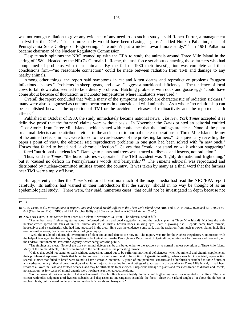was not enough radiation to give any evidence of any need to do such a study," said Robert Furrer, a management analyst for the DOA. "To do more study would have been chasing a ghost," added Nunzio Palladino, dean of Pennsylvania State College of Engineering. "I wouldn't put a nickel toward more study."<sup>17</sup> In 1981 Palladino became chairman of the Nuclear Regulatory Commission.

Despite such opinions the NRC teamed up with the EPA to study the animals around Three Mile Island in the spring of 1980. Headed by the NRC's Germain LaRoche, the task force set about contacting those farmers who had complained of problems with their animals. By the fall of 1980 their investigation was complete and their conclusions firm—"no reasonable connection" could be made between radiation from TMI and damage to any nearby animals.

Among other things, the report said symptoms in cat and kitten deaths and reproductive problems "suggest infectious diseases." Problems in sheep, goats, and cows "suggest a nutritional deficiency." The tendency of local cows to fall down also seemed to be a dietary problem. Hatching problems with duck and goose eggs "could have come about because of fluctuation in incubator temperatures where incubators were used."

Overall the report concluded that "while many of the symptoms reported are characteristic of radiation sickness," many were also "diagnosed as common occurrences in domestic and wild animals." As a whole "no relationship can be established between the operation of TMI or the accidental releases of radioactivity and the reported health effects."<sup>18</sup>

Published in October of 1980, the study immediately became national news. *The New York Times* accepted it as definitive proof that the farmers' claims were without basis. In November the *Times* printed an editorial entitled "Goat Stories from Three Mile Island," which stated with confidence that the "findings are clear. None of the plant or animal defects can be attributed either to the accident or to normal nuclear operations at Three Mile Island. Many of the animal defects, in fact, were traced to the carelessness of the protesting farmers." Unequivocally revealing the paper's point of view, the editorial said reproductive problems in one goat had been solved with "a new buck." Horses that failed to breed had "a chronic infection." Calves that "could not stand or walk without staggering" suffered "nutritional deficiencies." Damage to plants and trees was "traced to disease and insects, not radiation."

Thus, said the *Times,* "the horror stories evaporate." The TMI accident was "highly dramatic and frightening," but it "caused no defects in Pennsylvania's woods and barnyards."19 The *Times*'s editorial was reproduced and distributed by nuclear-committed utilities around the country. It was taken by many as a final word that the farmers near TMI were simply off base.

But apparently neither the *Times*'s editorial board nor much of the major media had read the NRC/EPA report carefully. Its authors had warned in their introduction that the survey "should in no way be thought of as an epidemiological study." There were, they said, numerous cases "that could not be investigated in depth because not

<sup>17.</sup> Ibid.

<sup>18.</sup> G. E. Gears, et al., *Investigations of Report Plant and Animal Health Effects in the Three Mile Island Area* NRC and EPA, NUREG-0738 and EPA 600/4-80- 049 (Washington,D.C.: NRC and EPA, October l980), p.31 (hereafter cited as *NRC/EPA Animal Study*).

<sup>19.</sup> *New York Times,* "Goat Stories from Three Mile Island," November 23, 1980. The editorial read in full:

<sup>&</sup>quot;Remember those frightening stories about deformed animals and dead vegetation around the nuclear plant at Three Mile Island? Not just the antinuclear crowd spread the tales of unusual animal deaths, stillbirths, broken bones, missing eyes—even a glowing fish. Reports came from farmers, housewives and a veterinarian who had long practiced in the area. Here was the evidence, some said, that the radiation from nuclear power plants, including even normal releases, can cause devastating biological injury.

<sup>&</sup>quot;Well, the results of a thorough investigation of plant and animal defects are now in. The inquiry was run by the Nuclear Regulatory Commission with the help of two agencies that are highly sensitive to biological harm—the Pennsylvania Department of Agriculture, looking out for farmers and livestock, and the Federal Environmental Protection Agency, which safeguards the public.

<sup>&</sup>quot;The findings are clear. None of the plant or animal defects can be attributed either to the accident or to normal nuclear operations at Three Mile Island. Many of the animal defects, in fact, were traced to the carelessness of the protesting farmers.

<sup>&</sup>quot;Calves that could not stand, or walk without staggering, turned out to be suffering nutritional deficiences; when fed mineral and vitamin supplements, their problems disappeared. Goats that failed to produce offspring were found to be victims of genetic infertility; when a new buck was tried, reproduction soared. Horses that failed to breed were found to have a chronic infection. A group of 500 parakeets, canaries and other birds succumbed to toxic fumes or an overheated aviary; they showed no signs of radiation injury. A decline in the sightings of toads was hardly peculiar to Three Mile Island; it had been recorded all over the East, and for two decades, and may be attributable to pesticides. Suspicious damage to plants and trees was traced to disease and insects, not radiation. A few cases of animal anemia were nowhere near the radioactive plume.

<sup>&</sup>quot;So the horror stories evaporate. That is not unusual. People often blame a highly dramatic and frightening event for unrelated difficulties. The wise citizen withholds judgment until hysteria subsides and dispassionate investigators assemble the facts. Three Mile Island taught a lot about the defects of nuclear plants, but it caused no defects in Pennsylvania's woods and barnyards."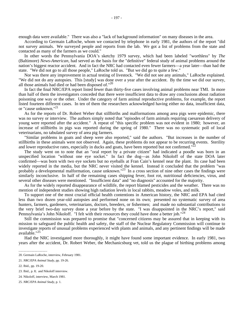enough data were available." There was also a "lack of background information" on many diseases in the area.

According to Germain LaRoche, whom we contacted by telephone in early 1981, the authors of the report "did not survey animals. We surveyed people and reports from the lab. We got a list of problems from the state and contacted as many of the farmers as we could."

In other words the Pennsylvania DOA's sketchy 1979 survey, which had been labeled "worthless" by *The* (Baltimore) *News-American,* had served as the basis for the "definitive" federal study of animal problems around the nation's biggest reactor accident. And in fact the NRC had contacted even fewer farmers—a year later—than had the state. "We did not go to all those people," LaRoche told us. "But we did go to quite a few."

Nor was there any improvement in actual testing of livestock. "We did not see any animals," LaRoche explained. "We did not do any autopsies. This [study] was done over a year after the accident. By the time we did our survey, all those animals had died or had been disposed of." $^{20}$ 

In fact the final NRC/EPA report listed fewer than thirty-five cases involving animal problems near TMI. In more than half of them the investigators conceded that there were insufficient data to draw any conclusions about radiation poisoning one way or the other. Under the category of farm animal reproductive problems, for example, the report listed fourteen different cases. In ten of them the researchers acknowledged having either no data, insufficient data, or "cause unknown."21

As for the reports of Dr. Robert Weber that stillbirths and malformations among area pigs were epidemic, there was no survey or interview. The authors simply noted that "episodes of farm animals requiring caesarean delivery of young were reported after the accident." A repeat of "this specific problem was not evident in 1980; however, an increase of stillbirths in pigs was reported during the spring of 1980." There was no systematic poll of local veterinarians, no tabulated survey of area pig farmers.

"Similar problems in goats and sheep were also reported," said the authors. "But increases in the number of stillbirths in these animals were not observed. Again, these problems do not appear to be recurring events. Sterility and lower reproductive rates, especially in ducks and goats, have been reported but not confirmed. $122$ 

The study went on to note that an "oral report by a private citizen" had indicated a poodle was born in an unspecified location "without one eye socket." In fact the dog—as John Nikoloff of the state DOA later confirmed—was born with two eye sockets but no eyeballs at Fran Cain's kennel near the plant. Its case had been widely reported in the media, but the NRC never visited the kennel. Instead it concluded that the problem "was probably a developmental malformation, cause unknown."<sup>23</sup> In a cross section of nine other cases the findings were similarly inconclusive. In half of the remaining cases shipping fever, foot rot, nutritional deficiencies, virus, and several other diseases were mentioned. "Insufficient data" and "no diagnosis" accounted for the majority.

As for the widely reported disappearance of wildlife, the report blamed pesticides and the weather. There was no mention of independent studies showing high radiation levels in local rabbits, meadow voles, and milk.

To support one of the most crucial official health contentions in American history, the NRC and EPA had cited less than two dozen year-old autopsies and performed none on its own; presented no systematic survey of area hunters, farmers, gardeners, veterinarians, doctors, breeders, or fishermen; and made no substantial contributions to the very brief two-day survey done a year before by the state. "I was disappointed in the NRC's report," said Pennsylvania's John Nikoloff. "I felt with their resources they could have done a better job."<sup>24</sup>

Still the commission was prepared to promise that "concerned citizens may be assured that in keeping with its mission to safeguard the public health and safety, the staff of the Nuclear Regulatory Commission will continue to investigate reports of unusual problems experienced with plants and animals, and any pertinent findings will be made available."<sup>25</sup>

Had the NRC investigated more thoroughly, it might have found some important evidence. In early 1981, two years after the accident, Dr. Robert Weber, the Mechanicsburg vet, told us the plague of birthing problems among

<sup>20.</sup> Germain LaRoche, interview, February 1981.

<sup>21.</sup> *NRC/EPA Animal Study,* pp. 19-26.

<sup>22.</sup> Ibid., pp. 19-20.

<sup>23.</sup> Ibid., p. 8; and Nikoloff interview.

<sup>24.</sup> Nikoloff, interview, March 1981.

<sup>25.</sup> *NRC/EPA Animal Study,* p. 1.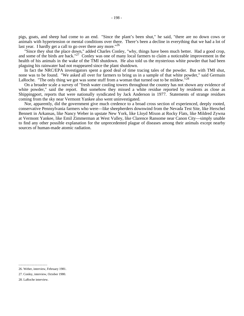pigs, goats, and sheep had come to an end. "Since the plant's been shut," he said, "there are no down cows or animals with hypertension or mental conditions over there. There's been a decline in everything that we had a lot of last year. I hardly get a call to go over there any more."<sup>26</sup>

"Since they shut the place down," added Charles Conley, "why, things have been much better. Had a good crop, and some of the birds are back."<sup>27</sup> Conley was one of many local farmers to claim a noticeable improvement in the health of his animals in the wake of the TMI shutdown. He also told us the mysterious white powder that had been plaguing his rainwater had not reappeared since the plant shutdown.

In fact the NRC/EPA investigators spent a good deal of time tracing tales of the powder. But with TMI shut, none was to be found. "We asked all over for farmers to bring us in a sample of that white powder," said Germain LaRoche. "The only thing we got was some stuff from a woman that turned out to be mildew."<sup>28</sup>

On a broader scale a survey of "fresh water cooling towers throughout the country has not shown any evidence of white powder," said the report. But somehow they missed a white residue reported by residents as close as Shippingport, reports that were nationally syndicated by Jack Anderson in 1977. Statements of strange residues coming from the sky near Vermont Yankee also went uninvestigated.

Nor, apparently, did the government give much credence to a broad cross section of experienced, deeply rooted, conservative Pennsylvania farmers who were—like sheepherders downwind from the Nevada Test Site, like Herschel Bennett in Arkansas, like Nancy Weber in upstate New York, like Lloyd Mixon at Rocky Flats, like Mildred Zywna at Vermont Yankee, like Emil Zimmerman at West Valley, like Clarence Ransome near Canon City—simply unable to find any other possible explanation for the unprecedented plague of diseases among their animals except nearby sources of human-made atomic radiation.

<sup>26.</sup> Weber, interview, February 1981.

<sup>27.</sup> Conley, interview, October 1980.

<sup>28.</sup> LaRoche interview.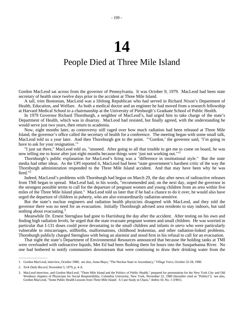## **14**

## People Died at Three Mile Island

Gordon MacLeod sat across from the governor of Pennsylvania. It was October 9, 1979. MacLeod had been state secretary of health since twelve days prior to the accident at Three Mile Island.

A tall, trim Bostonian, MacLeod was a lifelong Republican who had served in Richard Nixon's Department of Health, Education, and Welfare. As both a medical doctor and an engineer he had moved from a research fellowship at Harvard Medical School to a chairmanship at the University of Pittsburgh's Graduate School of Public Health.

In 1979 Governor Richard Thornburgh, a neighbor of MacLeod's, had urged him to take charge of the state's Department of Health, which was in disarray. MacLeod had resisted, but finally agreed, with the understanding he would serve just two years, then return to academia.

Now, eight months later, as controversy still raged over how much radiation had been released at Three Mile Island, the governor's office called the secretary of health for a conference. The meeting began with some small talk, MacLeod told us a year later. And then Thornburgh got to the point. "'Gordon,' the governor said, 'I'm going to have to ask for your resignation.'"

"I just sat there," MacLeod told us, "stunned. After going to all that trouble to get me to come on board, he was now telling me to leave after just eight months because things were 'just not working out.'"<sup>1</sup>

Thornburgh's public explanation for MacLeod's firing was a "difference in institutional style." But the state media had other ideas. As the UPI reported it, MacLeod had been "state government's harshest critic of the way the Thornburgh administration responded to the Three Mile Island accident. And that may have been why he was fired." $^2$ 

Indeed, MacLeod's problems with Thornburgh had begun on March 29, the day after news of radioactive releases from TMI began to spread. MacLeod had, in his words, "recommended and, on the next day, urged the governor in the strongest possible terms to call for the departure of pregnant women and young children from an area within five miles of the Three Mile Island plant." MacLeod told us later that if he had a chance to do it over, he would also have urged the departure of children in puberty, who are also extraordinarily radiation-sensitive.

But the state's nuclear engineers and radiation health physicists disagreed with MacLeod, and they told the governor there was no need for an evacuation. Initially Thornburgh advised area residents to stay indoors, but said nothing about evacuating.<sup>3</sup>

Meanwhile Dr. Ernest Sternglass had gone to Harrisburg the day after the accident. After testing on his own and finding high radiation levels, he urged that the state evacuate pregnant women and small children. He was worried in particular that I-131 doses could prove devastating to the small children and infants *in utero* who were particularly vulnerable to miscarriages, stillbirths, malformations, childhood leukemias, and other radiation-linked problems. Thornburgh publicly charged Sternglass with being an alarmist and stood firm in his refusal to call for an evacuation.

That night the state's Department of Environmental Resources announced that because the holding tanks at TMI were overloaded with radioactive liquids, Met Ed had been flushing them for hours into the Susquehanna River. No one had bothered to notify communities downstream that were continuing to draw their drinking water from the

<sup>1.</sup> Gordon MacLeod, interview, October 1980; see also, Anna Mayo, "The Nuclear State in Ascendancy," *Village Voice,* October 22-28, 1980.

<sup>2.</sup> *York Daily Record,* November 5, 1979, p. 4-A.

<sup>3.</sup> MacLeod interview, and Gordon MacLeod, "Three Mile Island and the Politics of Public Health," prepared for presentation for the New York City and Old Westbury chapters of Physicians for Social Responsibility, Columbia University, New York, November 22, 1980 (hereafter cited as "Politics"); see also, Gordon MacLeod, "Some Public Health Lessons from Three Mile Island: A Case Study in Chaos," *Ambio* 10, No. 1 (1981).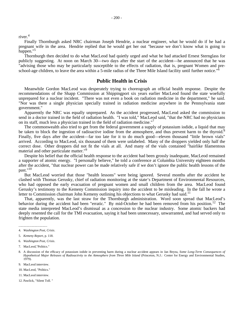river.4

Finally Thornburgh asked NRC chairman Joseph Hendrie, a nuclear engineer, what he would do if he had a pregnant wife in the area. Hendrie replied that he would get her out "because we don't know what is going to happen."<sup>5</sup>

Thornburgh then decided to do what MacLeod had quietly urged and what he had attacked Ernest Sternglass for publicly suggesting. At noon on March 30—two days after the start of the accident—he announced that he was "advising those who may be particularly susceptible to the effects of radiation, that is, pregnant Women and preschool-age children, to leave the area within a 5-mile radius of the Three Mile Island facility until further notice."<sup>6</sup>

#### **Public Health in Crisis**

Meanwhile Gordon MacLeod was desperately trying to choreograph an official health response. Despite the recommendations of the Shapp Commission at Shippingport six years earlier MacLeod found the state woefully unprepared for a nuclear incident. "There was not even a book on radiation medicine in the department," he said. "Nor was there a single physician specially trained in radiation medicine anywhere in the Pennsylvania state government."

Apparently the NRC was equally unprepared. As the accident progressed, MacLeod asked the commission to send in a doctor trained in the field of radiation health. "I was told," MacLeod said, "that the NRC had no physicians on its staff, much less a physician trained in the field of radiation medicine."

The commonwealth also tried to get from the federal government a supply of potassium iodide, a liquid that may be taken to block the ingestion of radioactive iodine from the atmosphere, and thus prevent harm to the thyroid.<sup>8</sup> Finally, five days after the accident—far too late for it to do much good—eleven thousand "little brown vials" arrived. According to MacLeod, six thousand of them were unlabeled. Many of the droppers yielded only half the correct dose. Other droppers did not fit the vials at all. And many of the vials contained "hairlike filamentous material and other particulate matter."<sup>9</sup>

Despite his belief that the official health response to the accident had been grossly inadequate, MacLeod remained a supporter of atomic energy. "I personally believe," he told a conference at Columbia University eighteen months after the accident, "that nuclear power can be made relatively safe if we don't ignore the public health lessons of the past." $10$ 

But MacLeod worried that those "health lessons" were being ignored. Several months after the accident he clashed with Thomas Gerusky, chief of radiation monitoring at the state's Department of Environmental Resources, who had opposed the early evacuation of pregnant women and small children from the area. MacLeod found Gerusky's testimony to the Kemeny Commission inquiry into the accident to be misleading. In the fall he wrote a letter to Commission chairman John Kemeny outlining his objections to what Gerusky had said.<sup>11</sup>

That, apparently, was the last straw for the Thornburgh administration. Word soon spread that MacLeod's behavior during the accident had been "erratic." By mid-October he had been removed from his position.<sup>12</sup> The state media interpreted MacLeod's dismissal as a concession to the nuclear industry. Some atomic backers had deeply resented the call for the TMI evacuation, saying it had been unnecessary, unwarranted, and had served only to frighten the population.

hhhhhhhhhhhhhhhhhh

6. *Washington Post, Crisis*.

- 9. MacLeod interview.
- 10. MacLeod, "Politics."
- 11. MacLeod interview.
- 12. Pawlick, "Silent Toll. "

<sup>4.</sup> *Washington Post, Crisis*.

<sup>5.</sup> *Kemeny Report,* p. 118.

<sup>7.</sup> MacLeod,"Politics."

<sup>8.</sup> A discussion of the efficacy of potassium iodide in preventing harm during a nuclear accident appears in Jan Beyea, *Some Long-Term Consequences of Hypothetical Major Releases of Radioactivity to the Atmosphere from Three Mile Island* (Princeton, N.J.: Center for Energy and Environmental Studies, 1979).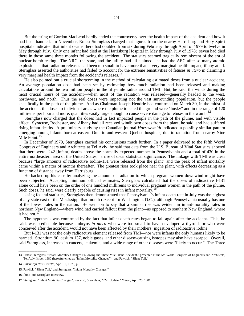But the firing of Gordon MacLeod hardly ended the controversy over the health impact of the accident and how it had been handled. In November, Ernest Sternglass charged that figures from the nearby Harrisburg and Holy Spirit hospitals indicated that infant deaths there had doubled from six during February through April of 1979 to twelve in May through July. Only one infant had died at the Harrisburg Hospital in May through July of 1978; seven had died there in those same three months following the accident. The statistics seemed tragically reminiscent of the era of nuclear bomb testing. The NRC, the state, and the utility had all claimed—as had the AEC after so many atomic explosions—that radiation releases had been too small to have more than a very marginal health impact, if any at all. Sternglass asserted the authorities had failed to account for the extreme sensitivities of fetuses *in utero* in claiming a very marginal health impact from the accident's releases.<sup>13</sup>

He also pointed out a crucial shortcoming in the method of calculating estimated doses from a nuclear accident. An average population dose had been set by estimating how much radiation had been released and making calculations around the two million people in the fifty-mile radius around TMI. But, he said, the winds during the most crucial hours of the accident—when most of the radiation was released—generally headed to the west, northwest, and north. Thus the real doses were impacting not the vast surrounding population, but the people specifically in the path of the plume. And as Chairman Joseph Hendrie had confirmed on March 30, in the midst of the accident, the doses to individual areas where the plume touched the ground were "husky" and in the range of 120 millirems per hour and more, quantities easily large enough to cause severe damage to fetuses in the womb.<sup>14</sup>

Sternglass now charged that the doses had in fact impacted people in the path of the plume, and with visible effect. Syracuse, Rochester, and Albany had all received windblown doses from the plant, he said, and had suffered rising infant deaths. A preliminary study by the Canadian journal *Harrowsmith* indicated a possibly similar pattern emerging among infants born at eastern Ontario and western Quebec hospitals, due to radiation from nearby Nine Mile Point.<sup>15</sup>

In December of 1979, Sternglass carried his conclusions much further. In a paper delivered to the Fifth World Congress of Engineers and Architects at Tel Aviv, he said that data from the U.S. Bureau of Vital Statistics showed that there were "242 [infant] deaths above the normally expected number in Pennsylvania and a total of 430 in the entire northeastern area of the United States," a rise of clear statistical significance. The linkage with TMI was clear because "large amounts of radioactive Iodine-131 were released from the plant" and the peak of infant mortality came within a matter of months thereafter. The greatest rises took place near the plant, with effects decreasing as a function of distance away from Harrisburg.

He backed up his case by analyzing the amount of radiation to which pregnant women downwind might have been subjected. Accepting minimum official estimates, Sternglass calculated that the doses of radioactive I-131 alone could have been on the order of one hundred millirems to individual pregnant women in the path of the plume. Such doses, he said, were clearly capable of causing rises in infant mortality.<sup>16</sup>

Using federal statistics, Sternglass then demonstrated that Pennsylvania's infant death rate in July was the highest of any state east of the Mississippi that month (except for Washington, D.C.), although Pennsylvania usually has one of the lowest rates in the nation. He went on to say that a similar rise was evident in infant-mortality rates in northern New England—where wind had carried fallout from the plant—as opposed to southern New England, where it had not. $17$ 

The hypothesis was confirmed by the fact that infant-death rates began to fall again after the accident. This, he said, was predictable because embryos *in utero* who were too small to have developed a thyroid, or who were conceived after the accident, would not have been affected by their mothers' ingestion of radioactive iodine.

But I-131 was not the only radioactive element released from TMI—nor were infants the only humans likely to be harmed. Strontium 90, cesium 137, noble gases, and other disease-causing isotopes may also have escaped. Overall, said Sternglass, increases in cancers, leukemia, and a wide range of other diseases were "likely to occur." The Three

<sup>13.</sup> Ernest Sternglass, "Infant Mortality Changes Following the Three Mile Island Accident," presented at the 5th World Congress of Engineers and Architects, Tel Aviv, Israel, 1980 (hereafter cited as "Infant Mortality Changes"); and Pawlick, "Silent Toll."

<sup>14.</sup> *Pittsburgh Post-Gazette,* April 16, 1979, p. 1.

<sup>15.</sup> Pawlick, "Silent Toll," and Sternglass, "Infant Mortality Changes."

<sup>16.</sup> Ibid.; and Sternglass interview.

<sup>17.</sup> Sternglass, "Infant Mortality Changes"; see also, Sternglass, "TMI Update," *Nation,* April 25, 1981.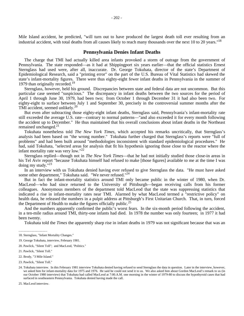Mile Island accident, he predicted, "will turn out to have produced the largest death toll ever resulting from an industrial accident, with total deaths from all causes likely to reach many thousands over the next 10 to 20 years."<sup>18</sup>

#### **Pennsylvania Denies Infant Deaths**

The charge that TMI had actually killed area infants provoked a storm of outrage from the government of Pennsylvania. The state responded—as it had at Shippingport six years earlier—that the official statistics Ernest Sternglass had used were, after all, inaccurate. Dr. George Tokuhata, director of the state's Department of Epidemiological Research, said a "printing error" on the part of the U.S. Bureau of Vital Statistics had skewed the state's infant-mortality figures. There were thus eighty-eight fewer infant deaths in Pennsylvania in the summer of 1979 than originally recorded.<sup>19</sup>

Sternglass, however, held his ground. Discrepancies between state and federal data are not uncommon. But this particular case seemed "suspicious." The discrepancy in infant deaths between the two sources for the period of April 1 through June 30, 1979, had been two; from October 1 through December 31 it had also been two. For eighty-eight to surface between July 1 and September 30, precisely in the controversial summer months after the TMI accident, seemed unlikely.<sup>20</sup>

But even after subtracting those eighty-eight infant deaths, Sternglass said, Pennsylvania's infant-mortality rate still exceeded the average U.S. rate—contrary to normal patterns—"and also exceeded it for every month following the accident up to December." He thus maintained that his overall conclusions about infant deaths in the Northeast remained unchanged.<sup>21</sup>

Tokuhata nonetheless told *The New York Times,* which accepted his remarks uncritically, that Sternglass's analysis had been based on "the wrong number." Tokuhata further charged that Sternglass's reports were "full of problems" and had been built around "methodologies inconsistent with standard epidemiological procedures." He had, said Tokuhata, "selected areas for analysis that fit his hypothesis ignoring those close to the reactor where the infant mortality rate was very low." $^{22}$ 

Sternglass replied—though not in *The New York Times*—that he had not initially studied those close-in areas in his Tel Aviv report "because Tokuhata himself had refused to make [those figures] available to me at the time I was doing my study." $^{23}$ 

In an interview with us Tokuhata denied having ever refused to give Sternglass the data. "He must have asked some other department," Tokuhata said. "We never refused."<sup>24</sup>

But in fact the infant-mortality statistics around TMI only became public in the winter of 1980, when Dr. MacLeod—who had since returned to the University of Pittsburgh—began receiving calls from his former colleagues. Anonymous members of the department told MacLeod that the state was suppressing statistics that indicated a rise in infant-mortality rates near TMI. Alarmed by what MacLeod termed a "restrictive policy" on health data, he released the numbers in a pulpit address at Pittsburgh's First Unitarian Church. That, in turn, forced the Department of Health to make the figures officially public.<sup>25</sup>

And the numbers apparently confirmed the public's worst fears. In the six-month period following the accident, in a ten-mile radius around TMI, thirty-one infants had died. In 1978 the number was only fourteen; in 1977 it had been twenty.

Tokuhata told the *Times* the apparently sharp rise in infant deaths in 1979 was not significant because that was an

<sup>18.</sup> Sternglass, "Infant Mortality Changes."

<sup>19.</sup> George Tokuhata, interview, February 1981.

<sup>20.</sup> Pawlick, "Silent Toll"; and MacLeod, "Politics."

<sup>21.</sup> Pawlick, "Silent Toll."

<sup>22.</sup> Brody, "3 Mile Island."

<sup>23.</sup> Pawlick, "Silent Toll."

<sup>24.</sup> Tokuhata interview. In this February 1981 interview Tokuhata denied having refused to send Sternglass the data in question. Later in the interview, however, we asked him for infant-mortality data for 1975 and 1976. He said he could not send it to us. We also asked him about Gordon MacLeod's remark to us (in our October 1980 interview) that Tokuhata had called MacLeod at 7:00.A.M. one morning in the winter of 1979-80 to discuss the hypothyroid cases that had surfaced in southeastern Pennsylvania. Tokuhata denied having made the call.

<sup>25.</sup> MacLeod interview.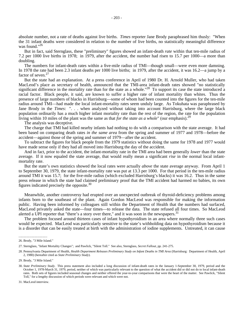absolute number, not a rate of deaths against live births. *Times* reporter Jane Brody paraphrased him thusly: "When the 31 infant deaths were considered in relation to the number of live births, no statistically meaningful difference was found."<sup>26</sup>

But in fact, said Sternglass, these "preliminary" figures showed an infant-death *rate* within that ten-mile radius of 7.2 per 1000 live births in 1978; in 1979, after the accident, the number had risen to 15.7 per 1000—a more than doubling.

The numbers for infant-death rates within a five-mile radius of TMI—though small—were even more damning. In 1978 the rate had been 2.3 infant deaths per 1000 live births; in 1979, after the accident, it was 16.2—a jump by a factor of seven.<sup>27</sup>

But the state had an explanation. At a press conference in April of 1980 Dr. H. Arnold Muller, who had taken MacLeod's place as secretary of health, announced that the TMI-area infant-death rates showed "no statistically significant difference in the mortality rate than for the state as a whole."<sup>28</sup> To support its case the state introduced a racial factor. Black people, it said, are known to suffer a higher rate of infant mortality than whites. Thus the presence of large numbers of blacks in Harrisburg—some of whom had been counted into the figures for the ten-mile radius around TMI—had made the local infant-mortality rates seem unduly large. As Tokuhata was paraphrased by Jane Brody in the *Times*: ". . . when analyzed without taking into account Harrisburg, where the large black population ordinarily has a much higher infant mortality rate than the rest of the region, the rate for the population living within 10 miles of the plant was the same as that *for the state as a whole*" (our emphasis).<sup>29</sup>

The analysis was deceptive.

The charge that TMI had killed nearby infants had nothing to do with a comparison with the state average. It had been based on comparing death rates *in the same area* from the spring and summer of 1977 and 1978—before the accident—against those of the spring and summer of 1979—after the accident.

To subtract the figures for black people from the 1979 statistics without doing the same for 1978 and 1977 would have made sense only if they had all moved into Harrisburg the day of the accident.

And in fact, prior to the accident, the infant-mortality rate in the TMI area had been generally *lower* than the state average. If it now equaled the state average, that would really mean a significant *rise* in the normal local infantmortality rate.

But the state's own statistics showed the local rates were actually *above* the state average anyway. From April 1 to September 30, 1979, the state infant-mortality rate was put at 13.3 per 1000. For that period in the ten-mile radius around TMI it was 15.7; for the five-mile radius (which excluded Harrisburg's blacks) it was 16.2. Thus in the same press release in which the state had claimed preliminary proof that the TMI accident had harmed no babies, its own figures indicated precisely the opposite.<sup>30</sup>

Meanwhile, another controversy had erupted over an unexpected outbreak of thyroid-deficiency problems among infants born to the southeast of the plant. Again Gordon MacLeod was responsible for making the information public. Having been informed by colleagues still within the Department of Health that the numbers had surfaced, MacLeod privately asked the state—four times—to release the data. The state refused all four times. So MacLeod alerted a UPI reporter that "there's a story over there," and it was soon in the newspapers.<sup>31</sup>

The problem focused around thirteen cases of infant hypothyroidism in an area where normally three such cases would be expected. MacLeod was particularly sensitive to the state's withholding data on hypothyroidism because it is a disorder that can be easily treated at birth with the administration of iodine supplements. Untreated, it can cause

31. MacLeod interview.

hh<del>ahaa ka badaa ka badaa ka badaa ka badaa ka badaa ka badaa ka badaa ka badaa ka badaa ka badaa ka badaa ka bada</del> 26. Brody, "3 Mile Island."

<sup>27.</sup> Sternglass, "Infant Mortality Changes"; and Pawlick, "Silent Toll." See also, Sternglass, *Secret Fallout,* pp. 241-275.

<sup>28.</sup> Pennsylvania Department of Health, *Health Department Releases Preliminary Study on Infant Deaths in TMI Area* (Harrisburg: Department of Health, April 2, 1980) (hereafter cited as *State Preliminary Study*).

<sup>29.</sup> Brody, "3 Mile Island."

<sup>30.</sup> *State Preliminary Study*. This press statement also included a long discussion of infant-death rates in the January 1-September 30, 1979, period and the October 1, 1978-March 31, 1979, period, neither of which was particularly relevant to the question of what the accident did or did not do to local infant-death rates. Both sets of figures included seasonal changes and neither offered the year-to-year comparisons that were the heart of the matter. See Pawlick, "Silent Toll," for a lengthy discussion of which periods were relevant and which were not.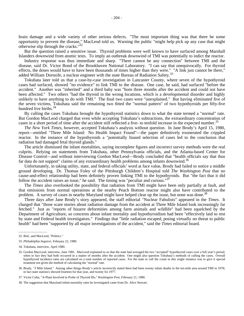brain damage and a wide variety of other serious defects. "The most important thing was that there be some opportunity to prevent the disease," MacLeod told us. Warning the public "might help pick up any case that might otherwise slip through the cracks."32

But the question raised a sensitive issue. Thyroid problems were well known to have surfaced among Marshall Islanders downwind from atomic tests. To imply an outbreak downwind of TMI was potentially to indict the reactor.

Industry response was thus immediate and sharp. "There cannot be any connection" between TMI and the disease, said Dr. Victor Bond of the Brookhaven National Laboratory. "I can say that unequivocally. For thyroid effects, the doses would have to have been thousands of times higher than they were." "A link just cannot be there," added William Dornsife, a nuclear engineer with the state Bureau of Radiation Safety.<sup>33</sup>

Tokuhata later told us that a case-by-case investigation in Lancaster County, where seven of the hypothyroid cases had surfaced, showed "no evidence" to link TMI to the disease. One case, he said, had surfaced "before the accident." Another was "inherited" and a third baby was "born three months after the accident and could not have been affected." Two others "had the thyroid in the wrong locations, which is a developmental disorder and highly unlikely to have anything to do with TMI." The final two cases were "unexplained." But having eliminated five of the seven victims, Tokuhata said the remaining two fitted the "normal pattern" of two hypothyroids per fifty-five hundred live births.  $34$ 

By culling the cases Tokuhata brought the hypothyroid statistics down to what the state termed a "normal" rate. But Gordon MacLeod charged that even while accepting Tokuhata's subtractions, the extraordinary concentration of cases in a short period of time after the accident still reflected a five- to tenfold increase in the expected number.<sup>35</sup>

*The New York Times,* however, accepted Tokuhata's analysis without question. In Jane Brody's April 15, 1980, report—entitled "Three Mile Island: No Health Impact Found"—the paper definitively exonerated the crippled reactor. In the instance of the hypothyroids a "potentially biased selection of cases led to the conclusion that radiation had damaged fetal thyroid glands."

The article dismissed the infant mortalities, saying incomplete figures and incorrect survey methods were the real culprits. Relying on statements from Tokuhata, other Pennsylvania officials, and the Atlanta-based Center for Disease Control—and without interviewing Gordon MacLeod—Brody concluded that "health officials say that thus far data do not support" claims of any extraordinary health problems among infants downwind.<sup>36</sup>

Unfortunately, in taking utility, state, and federal officials' word at face value, Brody had failed to notice a middle ground developing. Dr. Thomas Foley of the Pittsburgh Children's Hospital told *The Washington Post* that no cause-and-effect relationship had been definitely proven linking TMI to the hypothyroids. But "the fact that it did follow the accident raises an issue," he said. The timing was "peculiar and curious." $37$ 

The *Times* also overlooked the possibility that radiation from TMI might have been only partially at fault, and that emissions from normal operations at the nearby Peach Bottom reactor might also have contributed to the problem. A survey of cases in nearby Maryland might have helped clear up the issue, but none was done.<sup>38</sup>

Three days after Jane Brody's story appeared, the staff editorial "Nuclear Fabulists" appeared in the *Times*. It charged that "those scare stories about radiation damage from the accident at Three Mile Island look increasingly far fetched." Just as "reports of bizarre deformities among farm animals and wildlife" had been squelched by the Department of Agriculture, so concerns about infant mortality and hypothyroidism had been "effectively laid to rest by state and Federal health investigators." Findings that "little radiation escaped, posing virtually no threat to public health" had been "supported by all major investigations of the accident," said the *Times* editorial board.

<sup>32.</sup> Ibid., and MacLeod, "Politics."

<sup>33.</sup> *Philadelphia Inquirer,* February 22, 1980.

<sup>34.</sup> Tokuhata, interview, April 1980.

<sup>35.</sup> Gordon MacLeod, interview, June 1981. MacLeod explained to us that the state had averaged the two "accepted" hypothyroid cases over a full year's period, when in fact they had both occurred in a matter of months after the accident. One might also question Tokuhata's methods of culling the cases. Overall hypothyroid incidence rates are calculated on a total number of reported cases. For the state to cull the count in this single instance was to give it special treatment not given the method of calculating the "normal" rate.

<sup>36.</sup> Brody, "3 Mile Island." Among other things Brody's article incorrectly stated there had been twenty infant deaths in the ten-mile area around TMI in 1978; in fact state statistics showed fourteen for that year, and twenty for 1977.

<sup>37.</sup> Victor Cohn, "A-Plant Involved in Probe of Thyroid Ills," *Washington Post,* February 21, 1980.

<sup>38.</sup> The suggestion that Maryland infant-mortality rates be investigated came from Dr. Alice Stewart.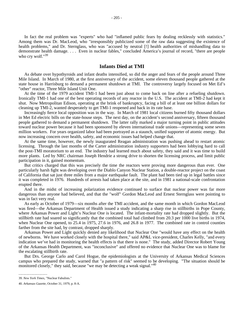In fact the real problem was "experts" who had "inflamed public fears by dealing recklessly with statistics." Among them was Dr. MacLeod, who "irresponsibly publicized some of the raw data suggesting the existence of health problems," and Dr. Sternglass, who was "accused by neutral [!] health authorities of mishandling data to demonstrate health damage. . . . Even in nuclear fables," concluded America's journal of record, "there are people who cry wolf."<sup>39</sup>

#### **Infants Died at TMI**

As debate over hypothyroids and infant deaths intensified, so did the anger and fears of the people around Three Mile Island. In March of 1980, at the first anniversary of the accident, some eleven thousand people gathered at the state house in Harrisburg to demand a permanent shutdown at TMI. The controversy largely focused on Met Ed's "other" reactor, Three Mile Island Unit One.

At the time of the 1979 accident TMI-1 had been just about to come back on line after a refueling shutdown. Ironically TMI-1 had one of the best operating records of any reactor in the U.S. The accident at TMI-2 had kept it shut. Now Metropolitan Edison, operating at the brink of bankruptcy, facing a bill of at least one billion dollars for cleaning up TMI-2, wanted desperately to get TMI-1 reopened and back in its rate base.

Increasingly fierce local opposition was in the way. In March of 1981 local citizens burned fifty thousand dollars in Met Ed electric bills on the state-house steps. The next day, on the accident's second anniversary, fifteen thousand people gathered to demand a permanent shutdown. The latter rally marked a major turning point in public attitudes toward nuclear power because it had been sponsored by eleven international trade unions—representing some seven million workers. For years organized labor had been portrayed as a staunch, unified supporter of atomic energy. But now increasing concern over health, safety, and economic issues had helped change that.

At the same time, however, the newly inaugurated Reagan administration was pushing ahead to restart atomic licensing. Through the last months of the Carter administration industry supporters had been lobbying hard to call the post-TMI moratorium to an end. The industry had learned much about safety, they said and it was time to build more plants. Led by NRC chairman Joseph Hendrie a strong drive to shorten the licensing process, and limit public participation in it, gained momentum.

But critics charged that this was precisely the time the reactors were proving more dangerous than ever. One particularly harsh fight was developing over the Diablo Canyon Nuclear Station, a double-reactor project on the coast of California that sat just three miles from a major earthquake fault. The plant had been tied up in legal battles since it was completed in 1976. Hundreds of arrests had taken place at the site, and in 1981 a national-scale confrontation erupted there.

And in the midst of increasing polarization evidence continued to surface that nuclear power was far more dangerous than anyone had believed, and that the "wolf" Gordon MacLeod and Ernest Sternglass were pointing to was in fact very real.

As early as October of 1979—six months after the TMI accident, and the same month in which Gordon MacLeod was fired—the Arkansas Department of Health issued a study indicating a sharp rise in stillbirths in Pope County, where Arkansas Power and Light's Nuclear One is located. The infant-mortality rate had dropped slightly. But the stillbirth rate had soared so significantly that the combined total had climbed from 20.3 per 1000 live births in 1974, when Nuclear One opened, to 25.4 in 1975, 27.6 in 1976, and 26.8 in 1977. The combined rate in control counties farther from the site had, by contrast, dropped sharply.

Arkansas Power and Light quickly denied any likelihood that Nuclear One "would have any effect on the health of newborns. We have worked closely with the hospital there," said AP&L vice-president, Charles Kelly, "and every indication we've had in monitoring the health effects is that there is none." The study, added Director Robert Young of the Arkansas Health Department, was "inconclusive" and offered no evidence that Nuclear One was to blame for the escalating stillbirth rate.

But Drs. George Carlo and Carol Hogue, the epidemiologists at the University of Arkansas Medical Sciences campus who prepared the study, warned that "a pattern of risk" seemed to be developing. "The situation should be monitored closely," they said, because "we may be detecting a weak signal."<sup>40</sup>

<sup>39.</sup> *New York Times,* "Nuclear Fabulists."

<sup>40.</sup> *Arkansas Gazette,* October 31, 1979, p. 8-A.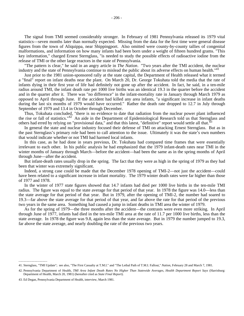The signal from TMI seemed considerably stronger. In February of 1981 Pennsylvania released its 1979 vital statistics—seven months later than normally expected. Missing from the data for the first time were general disease figures from the town of Aliquippa, near Shippingport. Also omitted were county-by-county tallies of congenital malformations, and information on how many infants had been born under a weight of fifteen hundred grams. "This key information," charged Ernest Sternglass, "is needed to study the possible effects of radioactive iodine from the release of TMI or the other large reactors in the state of Pennsylvania.

"The pattern is clear," he said in an angry article in *The Nation*. "Two years after the TMI accident, the nuclear industry and the state of Pennsylvania continue to mislead the public about its adverse effects on human health."<sup>41</sup>

Just prior to the 1981 union-sponsored rally at the state capital, the Department of Health released what it termed a "final" report on infant deaths near the plant. On March 20, Dr. George Tokuhata told the media that the rate of infants dying in their first year of life had definitely not gone up after the accident. In fact, he said, in a ten-mile radius around TMI, the infant death rate per 1000 live births was an identical 19.3 in the quarter before the accident and in the quarter after it. There was "no difference" in the infant-mortality rate in January through March 1979 as opposed to April through June. If the accident had killed any area infants, "a significant increase in infant deaths during the last six months of 1979 would have occurred." Rather the death rate dropped to 12.7 in July through September of 1979 and 13.4 in October through December.

Thus, Tokuhata concluded, "there is no evidence to date that radiation from the nuclear power plant influenced the rise or fall of statistics."<sup>42</sup> An aide in the Department of Epidemiological Research told us that Sternglass and others had erred by relying on "provisional data," and that this latest, "definitive" report would settle all that.<sup>43</sup>

In general the state and nuclear industry focused their defense of TMI on attacking Ernest Sternglass. But as in the past Sternglass's primary role had been to call attention to the issue. Ultimately it was the state's own numbers that would indicate whether or not TMI had harmed local infants.

In this case, as he had done in years previous, Dr. Tokuhata had compared time frames that were essentially irrelevant to each other. In his public analysis he had emphasized that the 1979 infant-death rates near TMI in the winter months of January through March—before the accident—had been the same as in the spring months of April through June—after the accident.

But infant-death rates usually drop in the spring. The fact that they were as high in the spring of 1979 as they had been that winter was extremely significant.

Indeed, a strong case could be made that the December 1978 opening of TMI-2—not just the accident—could have been related to a significant increase in infant mortality. The 1979 winter death rates were far higher than those of 1977 and 1978.

In the winter of 1977 state figures showed that 14.7 infants had died per 1000 live births in the ten-mile TMI radius. The figure was equal to the state average for that period of that year. In 1978 the figure was 14.0—less than the state average for that period of that year. But in 1979, after the opening of TMI-2, the number had soared to 19.3—far above the state average for that period of that year, and far above the rate for that period of the previous two years in the same area. Something had caused a jump in infant deaths in TMI area the winter of 1979.

As for the spring of 1979—the three months after the accident—the contrasts were even more striking. In April through June of 1977, infants had died in the ten-mile TMI area at the rate of 11.7 per 1000 live births, less than the state average. In 1978 the figure was 9.8, again less than the state average. But in 1979 the number jumped to 19.3, far above the state average, and nearly doubling the rate of the previous two years.

<sup>41.</sup> Sternglass, "TMI Update"; see also, "The First Casualty at T.M.I." and "The Lethal Path of T.M.I. Fallout," *Nation,* February 28 and March 7, 1981.

<sup>42.</sup> Pennsylvania Department of Health, *TMI Area Infant Death Rates No Higher Than Statewide Averages, Health Department Report Says* (Harrisburg: Department of Health, March 20, 1981) (hereafter cited as *State Final Report*).

<sup>43.</sup> Ed Degan, Pennsylvania Department of Health, interview, March 1981.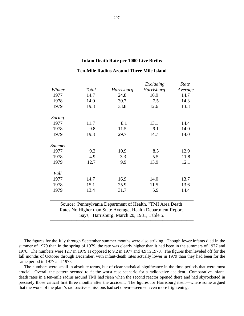#### **Infant Death Rate per 1000 Live Births**

\_\_\_\_\_\_\_\_\_\_\_\_\_\_\_\_\_\_\_\_\_\_\_\_\_\_\_\_\_\_\_\_\_\_\_\_\_\_\_\_\_\_\_\_\_\_\_\_\_\_\_\_\_\_\_\_\_\_\_\_

|               |       |                                                                                                                           | Excluding         | <b>State</b> |
|---------------|-------|---------------------------------------------------------------------------------------------------------------------------|-------------------|--------------|
| Winter        | Total | Harrisburg                                                                                                                | <b>Harrisburg</b> | Average      |
| 1977          | 14.7  | 24.8                                                                                                                      | 10.9              | 14.7         |
| 1978          | 14.0  | 30.7                                                                                                                      | 7.5               | 14.3         |
| 1979          | 19.3  | 33.8                                                                                                                      | 12.6              | 13.3         |
| <b>Spring</b> |       |                                                                                                                           |                   |              |
| 1977          | 11.7  | 8.1                                                                                                                       | 13.1              | 14.4         |
| 1978          | 9.8   | 11.5                                                                                                                      | 9.1               | 14.0         |
| 1979          | 19.3  | 29.7                                                                                                                      | 14.7              | 14.0         |
| <b>Summer</b> |       |                                                                                                                           |                   |              |
| 1977          | 9.2   | 10.9                                                                                                                      | 8.5               | 12.9         |
| 1978          | 4.9   | 3.3                                                                                                                       | 5.5               | 11.8         |
| 1979          | 12.7  | 9.9                                                                                                                       | 13.9              | 12.1         |
| Fall          |       |                                                                                                                           |                   |              |
| 1977          | 14.7  | 16.9                                                                                                                      | 14.0              | 13.7         |
| 1978          | 15.1  | 25.9                                                                                                                      | 11.5              | 13.6         |
| 1979          | 13.4  | 31.7                                                                                                                      | 5.9               | 14.4         |
|               |       | Source: Pennsylvania Department of Health, "TMI Area Death<br>Rates No Higher than State Average Health Department Report |                   |              |

#### **Ten-Mile Radius Around Three Mile Island**

er than State Average, Health Department Report Says," Harrisburg, March 20, 1981, Table 5.

The figures for the July through September summer months were also striking. Though fewer infants died in the summer of 1979 than in the spring of 1979, the rate was clearly higher than it had been in the summers of 1977 and 1978. The numbers were 12.7 in 1979 as opposed to 9.2 in 1977 and 4.9 in 1978. The figures then leveled off for the fall months of October through December, with infant-death rates actually lower in 1979 than they had been for the same period in 1977 and 1978.

The numbers were small in absolute terms, but of clear statistical significance in the time periods that were most crucial. Overall the pattern seemed to fit the worst-case scenario for a radioactive accident. Comparative infantdeath rates in a ten-mile radius around TMI had risen when the second reactor opened there and had skyrocketed in precisely those critical first three months after the accident. The figures for Harrisburg itself—where some argued that the worst of the plant's radioactive emissions had set down—seemed even more frightening.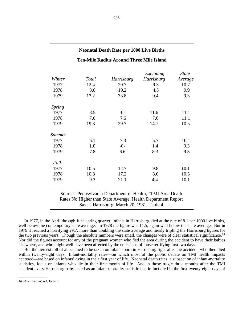|                                             |       |                                                                                                                            | Excluding         | <i>State</i> |  |  |
|---------------------------------------------|-------|----------------------------------------------------------------------------------------------------------------------------|-------------------|--------------|--|--|
| Winter                                      | Total | <b>Harrisburg</b>                                                                                                          | <i>Harrisburg</i> | Average      |  |  |
| 1977                                        | 12.4  | 20.7                                                                                                                       | 9.3               | 10.7         |  |  |
| 1978                                        | 8.6   | 19.2                                                                                                                       | 4.5               | 9.9          |  |  |
| 1979                                        | 17.2  | 33.8                                                                                                                       | 9.4               | 9.3          |  |  |
| <i>Spring</i>                               |       |                                                                                                                            |                   |              |  |  |
| 1977                                        | 8.5   | $-0-$                                                                                                                      | 11.6              | 11.1         |  |  |
| 1978                                        | 7.6   | 7.6                                                                                                                        | 7.6               | 11.1         |  |  |
| 1979                                        | 19.3  | 29.7                                                                                                                       | 14.7              | 10.5         |  |  |
| Summer                                      |       |                                                                                                                            |                   |              |  |  |
| 1977                                        | 6.1   | 7.3                                                                                                                        | 5.7               | 10.1         |  |  |
| 1978                                        | 1.0   | $-0-$                                                                                                                      | 1.4               | 9.3          |  |  |
| 1979                                        | 7.8   | 6.6                                                                                                                        | 8.3               | 9.3          |  |  |
| Fall                                        |       |                                                                                                                            |                   |              |  |  |
| 1977                                        | 10.5  | 12.7                                                                                                                       | 9.8               | 10.1         |  |  |
| 1978                                        | 10.8  | 17.2                                                                                                                       | 8.6               | 10.5         |  |  |
| 1979                                        | 9.3   | 21.1                                                                                                                       | 4.4               | 10.1         |  |  |
|                                             |       | Source: Pennsylvania Department of Health, "TMI Area Death<br>Rates No Higher than State Average, Health Department Report |                   |              |  |  |
| Says," Harrisburg, March 20, 1981, Table 4. |       |                                                                                                                            |                   |              |  |  |

#### **Neonatal Death Rate per 1000 Live Births**

\_\_\_\_\_\_\_\_\_\_\_\_\_\_\_\_\_\_\_\_\_\_\_\_\_\_\_\_\_\_\_\_\_\_\_\_\_\_\_\_\_\_\_\_\_\_\_\_\_\_\_\_\_\_\_\_\_\_\_\_

#### **Ten-Mile Radius Around Three Mile Island**

In 1977, in the April through June spring quarter, infants in Harrisburg died at the rate of 8.1 per 1000 live births, well below the contemporary state average. In 1978 the figure was 11.5, again well below the state average. But in 1979 it reached a horrifying 29.7, more than doubling the state average and nearly tripling the Harrisburg figures for the two previous years. Though the absolute numbers were small, the changes were of clear statistical significance.<sup>44</sup> Nor did the figures account for any of the pregnant women who fled the area during the accident to have their babies elsewhere, and who might well have been affected by the emissions of those terrifying first two days.

But the fiercest toll of all seemed to be taken on infants born in Harrisburg right after the accident, who then died within twenty-eight days. Infant-mortality rates—on which most of the public debate on TMI health impacts centered—are based on infants' dying in their first year of life. Neonatal death rates, a subsection of infant-mortality statistics, focus on infants who die in their first month of life. And in those tragic three months after the TMI accident every Harrisburg baby listed as an infant-mortality statistic had in fact died in the first twenty-eight days of

<sup>44.</sup> *State Final Report,* Table 5.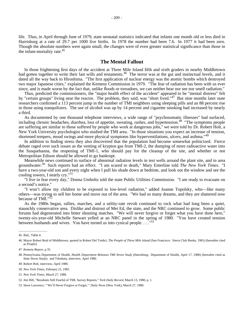life. Thus, in April through June of 1979, state neonatal statistics indicated that infants one month old or less died in Harrisburg at a rate of 29.7 per 1000 live births. In 1978 the number had been 7.6. In 1977 it had been zero. Though the absolute numbers were again small, the changes were of even greater statistical significance than those in the infant-mortality rate. $45$ 

#### **The Mental Fallout**

In those frightening first days of the accident at Three Mile Island fifth and sixth graders in nearby Middletown had gotten together to write their last wills and testaments.<sup>46</sup> The terror was at the gut and instinctual levels, and it dated all the way back to Hiroshima. "The first application of nuclear energy was the atomic bombs which destroyed two major Japanese cities," explained the Kemeny Commission in 1979. "The fear of radiation has been with us ever since, and is made worse by the fact that, unlike floods or tornadoes, we can neither hear nor see nor smell radiation."

Thus, predicted the commissioners, the "major health effect of the accident" appeared to be "mental distress" felt by "certain groups" living near the reactor. The problem, they said, was "short lived."<sup>47</sup> But nine months later state researchers confirmed a 113 percent jump in the number of TMI neighbors using sleeping pills and an 88 percent rise in those using tranquilizers. The use of alcohol was up by 14 percent and cigarette smoking had increased by nearly a third.

As documented by one thousand telephone interviews, a wide range of "psychosomatic illnesses" had surfaced, including chronic headaches, diarrhea, loss of appetite, sweating, rashes, and hypertension.<sup>48</sup> "The symptoms people are suffering are similar to those suffered by people who work at dangerous jobs," we were told by Dr. Robert Holt, a New York University psychologist who studied the TMI area. "In those situations you expect an increase of tension, shortened tempers, mood swings and more physical symptoms like hyperventilations, ulcers, and asthma."<sup>49</sup>

In addition to finding stress they also discovered that the population had become somewhat politicized. Fierce debate raged over such issues as the venting of krypton gas from TMI-2, the dumping of more radioactive water into the Susquehanna, the reopening of TMI-1, who should pay for the cleanup of the site, and whether or not Metropolitan Edison should be allowed to go bankrupt.

Meanwhile news continued to surface of abnormal radiation levels in test wells around the plant site, and in area groundwater.50 Such reports had an effect. "I am scared to death," Mary Enterline told *The New York Times*. "I have a two-year-old son and every night when I pull his shade down at bedtime, and look out the window and see the cooling towers, I nearly cry."51

"I live in fear every day," Donna Umholtz told the state Public Utilities Commission. "I am ready to evacuate on a second's notice."

"I won't allow my children to be exposed to low-level radiation," added Joanne Topolsky, who—like many others—was trying to sell her home and move out of the area. "We had so many dreams, and they are shattered now because of TMI."<sup>52</sup>

As the 1980s began, rallies, marches, and a utility-rate revolt continued to rock what had long been a quiet, staunchly conservative area. Dislike and distrust of Met Ed, the state, and the NRC continued to grow. Some public forums had degenerated into bitter shouting matches. "We will never forgive or forget what you have done here," twenty-six-year-old Michelle Stewart yelled at an NRC panel in the spring of 1980. "You have created tension between husbands and wives. You have turned us into cynical people...."<sup>53</sup>

hhhhhhhhhhhhhhhhhh 45. Ibid., Table 4.

<sup>46.</sup> Mayor Robert Reid of Middletown, quoted in Robert Del Tredici, *The People of Three Mile Island* (San Francisco: Sierra Club Books, 1981) (hereafter cited as *People*).

<sup>47.</sup> *Kemeny Report,* p 35.

<sup>48.</sup> Pennsylvania Department of Health, *Health Department Releases TMI Stress Study* (Harrisburg: Department of Health, April 17, 1980) (hereafter cited as *State Stress Study*); and Tokuhata, interview, April 1980.

<sup>49.</sup> Robert Holt, interview, April 1980.

<sup>50.</sup> *New York Times,* February 21, 1981.

<sup>51.</sup> *New York Times,* March 27, 1980.

<sup>52.</sup> Jim Hill, "Residents Still Fearful of TMI, Survey Reports," *York Daily Record,* March 13, 1980, p. 1.

<sup>53.</sup> Steve Lawrence, "'We'll Never Forgive or Forget,'" *Daily News* (New York), March 27, 1980.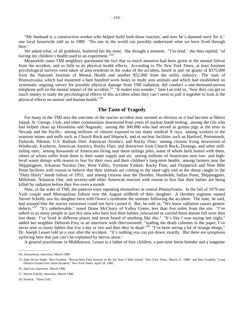"My husband is a construction worker who helped build both those reactors, and now he's damned sorry for it," one local housewife told us in 1980. "No one in the world can possibly understand what we have lived through here."

We asked what, of all problems, bothered her the most. She thought a moment. "I'm tired," she then replied, "of having my children's health used in an experiment."<sup>54</sup>

Meanwhile some TMI neighbors questioned the fact that so much attention had been given to the mental fallout from the accident, and so little to its physical health effects. According to *The New York Times,* at least fourteen psychological surveys were taken of area residents in the wake of the accident, based in part on grants of \$375,000 from the National Institute of Mental Health and another \$52,000 from the utility industry. The state of Pennsylvania, which had mustered a bare hundred work hours to study area animals and which had established no systematic ongoing survey for possible physical damage from TMI radiation, did conduct a one-thousand-person telephone poll on the mental impact of the accident.<sup>55</sup> "It makes you wonder," Jane Lee told us, "how they can get so much money to study the psychological effects of this accident when they can't seem to pull it together to look at the physical effects on animal and human health."<sup>56</sup>

#### **The Taste of Tragedy**

For many in the TMI area the outcome of the reactor accident now seemed as obvious as it had become at Bikini Island, St. George, Utah, and other communities downwind from years of nuclear bomb testing; among the GIs who had helped clean up Hiroshima and Nagasaki; among the 300,000 who had served as guinea pigs at the tests in Nevada and the Pacific; among millions of citizens exposed to too many medical X rays; among workers in the uranium mines and mills such as Church Rock and Shiprock, and at nuclear facilities such as Hanford, Portsmouth, Paducah, Piketon, U.S. Radium Dial, American Atomics, and Rocky Flats; among citizens living downwind of Windscale, Kyshtym, American Atomics, Rocky Flats, and downriver from Church Rock, Durango, and other milltailing sites; among thousands of Americans living near those tailings piles, some of whom built homes with them, others of whom suffer from them in their water supply and air; among millions of Americans near low- and highlevel waste dumps with reason to fear for their own and their children's long-term health; among farmers near the Shippingport, Arkansas Nuclear One, West Valley, Vermont Yankee, Rocky Flats, and Fitzpatrick and Nine Mile Point facilities with reason to believe that their animals are coming to the same ugly end as the sheep caught in the "Dirty Harry" bomb fallout of 1953; and among citizens near the Dresden, Humboldt, Indian Point, Shippingport, Millstone, Arkansas One, and seventy-odd other American reactors with reason to fear that their babies are being killed by radiation before they live even a month.

Now, in the wake of TMI, the patterns were repeating themselves in central Pennsylvania. In the fall of 1979 one York couple sued Metropolitan Edison over the August stillbirth of their daughter. A Hershey engineer named Steven Scholly saw his daughter born with Down's syndrome the summer following the accident. The state, he said, had assured him the reactor emissions could not have caused it. But, he told us, "We know radiation causes genetic defects."<sup>57</sup> "It's unbelievable," noted Diane McCleary of Valley Green, less than five miles from the site. "I've talked to so many people in just this area who have lost their babies, miscarried or carried them almost full term then lost them. I've lived in different places and never heard of anything like this." "It's like I was saying last night," added her neighbor Deborah Frey in an interview with *Harrowsmith,* "reading the death columns in the paper, I've never seen so many babies that live a day or two and then they're dead."<sup>58</sup> "I've been seeing a lot of strange things," Dr. Joseph Leaser told us a year after the accident. "It's nothing you can pin down, exactly. But there are symptoms surfacing here that just can't be explained by nerves alone."

A general practitioner in Middletown, Leaser is a father of four children, a part-time horse breeder and a longtime

<sup>54.</sup> Anonymous, interview, March 1980.

<sup>55.</sup> *State Stress Study*; Ben Franklin, "Researchers Find Anxiety in the Air Near 3 Mile Island," *New York Times,* March 27, 1980; and Ben Franklin, "Long Distress Found Over Atom Incident," *New York Times,* April 18, 1980.

<sup>56.</sup> Jane Lee, interview, March 1980.

<sup>57.</sup> Steven Scholly, interview, March 1980.

<sup>58.</sup> Pawlick, "Silent Toll,"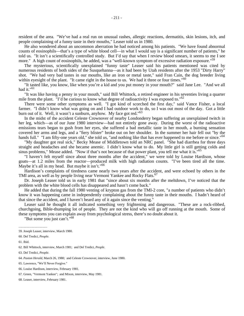resident of the area. "We've had a real run on unusual rashes, allergic reactions, dermatitis, skin lesions, itch, and people complaining of a funny taste in their mouths," Leaser told us in 1980.

He also wondered about an uncommon aberration he had noticed among his patients. "We have found abnormal counts of eosinophils—that's a type of white blood cell—in what I would say is a significant number of patients," he told us. "It isn't a scientifically controlled study. But I'd say that when I review blood smears, it seems to me I see more." A high count of eosinophils, he added, was a "well-known symptom of excessive radiation exposure."<sup>59</sup>

The mysterious, scientifically unexplained "funny taste" Leaser said his patients mentioned was cited by numerous residents of both sides of the Susquehanna—as it had been by Utah residents after the 1953 "Dirty Harry" shot. "We had very bad tastes in our mouths, like an iron or metal taste," said Fran Cain, the dog breeder living within eyesight of the plant. "It came right in the house to us. We had it three or four times."<sup>60</sup>

"It tasted like, you know, like when you're a kid and you put money in your mouth?" said Jane Lee. "And we all had it."<sup>61</sup>

"It was like having a penny in your mouth," said Bill Whittock, a retired engineer in his seventies living a quarter mile from the plant. "I'd be curious to know what degree of radioactivity I was exposed to."<sup>62</sup>

There were some other symptoms as well. "I got kind of scorched the first day," said Vance Fisher, a local farmer. "I didn't know what was going on and I had outdoor work to do, so I was out most of the day. Got a little burn out of it. Well, it wasn't a sunburn, anyhow. My face got red."<sup>63</sup>

In the midst of the accident Celeste Crownover of nearby Londonderry began suffering an unexplained twitch in her leg, which—as of our June 1980 interview—had not entirely gone away. During the worst of the radioactive emissions tears began to gush from her eyes, she suffered a bad metallic taste in her mouth, a burning sensation covered her arms and legs, and a "fiery blister" broke out on her shoulder. In the summer her hair fell out "by the hands full." "I am fifty-one years old," she told us, "and nothing like that has ever happened to me before or since."<sup>64</sup>

"My daughter got real sick," Becky Mease of Middletown told an NRC panel. "She had diarrhea for three days straight and headaches and she became anemic. I didn't know what to do. My little girl is still getting colds and sinus problems," Mease added. "Now if that's not because of that power plant, you tell me what it is."<sup>65</sup>

"I haven't felt myself since about three months after the accident," we were told by Louise Hardison, whose goats—at 1.2 miles from the reactor—produced milk with high radiation counts. "I've been tired all the time. Maybe it's all in my head. But maybe it isn't."<sup>66</sup>

Hardison's complaints of tiredness came nearly two years after the accident, and were echoed by others in the TMI area, as well as by people living near Vermont Yankee and Rocky Flats.<sup>67</sup>

Dr. Joseph Leaser told us in early 1981 that "since about six months after the meltdown, I've noticed that the problem with the white blood cells has disappeared and hasn't come back."

He added that during the fall 1980 venting of krypton gas from the TMI-2 core, "a number of patients who didn't know it was happening came in independently complaining about the funny taste in their mouths. I hadn't heard of that since the accident, and I haven't heard any of it again since the venting."

Leaser said he thought it all indicated something very frightening and dangerous. "These are a rock-ribbed, churchgoing, Bible-thumping lot of people. They are not the kind who will go off running at the mouth. Some of these symptoms you can explain away from psychological stress, there's no doubt about it.

"But some you just can't."<sup>68</sup>

<sup>59.</sup> Joseph Leaser, interview, March 1980.

<sup>60.</sup> Del Tredici, *People*.

<sup>61.</sup> Ibid.

<sup>62.</sup> Bill Whittock, interview, March 1981; and Del Tredici, *People*.

<sup>63.</sup> Del Tredici, *People*.

<sup>64.</sup> *Paxton Herald,* March 26, 1980; and Celeste Crownover, interview, June 1980.

<sup>65.</sup> Lawrence, "We'll Never Forgive."

<sup>66.</sup> Louise Hardison, interview, February 1981.

<sup>67.</sup> Green, "Vermont Yankee"; and Mixon, interview, May 1981.

<sup>68.</sup> Leaser, interview, February 1981.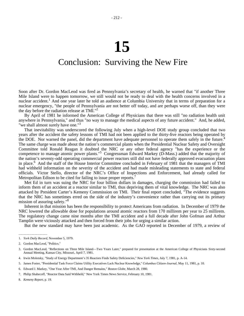# **15**

## Conclusion: Surviving the New Fire

Soon after Dr. Gordon MacLeod was fired as Pennsylvania's secretary of health, he warned that "if another Three Mile Island were to happen tomorrow, we still would not be ready to deal with the health concerns involved in a nuclear accident.<sup>1</sup> And one year later he told an audience at Columbia University that in terms of preparation for a nuclear emergency, "the people of Pennsylvania are not better off today, and are perhaps worse off, than they were the day before the radiation release at TMI."2

By April of 1981 he informed the American College of Physicians that there was still "no radiation health unit anywhere in Pennsylvania," and thus "no way to manage the medical aspects of any future accident." And, he added, "we shall almost surely have one."<sup>3</sup>

That inevitability was underscored the following July when a high-level DOE study group concluded that two years after the accident the safety lessons of TMI had not been applied to the thirty-five reactors being operated by the DOE. Nor warned the panel, did the department have adequate personnel to operate them safely in the future.<sup>4</sup> The same charge was made about the nation's commercial plants when the Presidential Nuclear Safety and Oversight Committee told Ronald Reagan it doubted the NRC or any other federal agency "has the experience or the competence to manage atomic power plants."<sup>5</sup> Congressman Edward Markey (D-Mass.) added that the majority of the nation's seventy-odd operating commercial power reactors still did not have federally approved evacuation plans in place.<sup>6</sup> And the staff of the House Interior Committee concluded in February of 1981 that the managers of TMI had withheld information on the severity of the accident and had made misleading statements to state and federal officials. Victor Stello, director of the NRC's Office of Inspections and Enforcement, had already called for Metropolitan Edison to be cited for failing to issue proper reports.<sup>7</sup>

Met Ed in turn was suing the NRC for four billion dollars in damages, charging the commission had failed to inform them of an accident at a reactor similar to TMI, thus depriving them of vital knowledge. The NRC was also attacked by President Carter's Kemeny Commission on TMI. Their final report concluded, "The evidence suggests that the NRC has sometimes erred on the side of the industry's convenience rather than carrying out its primary mission of assuring safety."8

Inherent in that mission has been the responsibility to protect Americans from radiation. In December of 1979 the NRC lowered the allowable dose for populations around atomic reactors from 170 millirem per year to 25 millirem. The regulatory change came nine months after the TMI accident and a full decade after John Gofman and Arthur Tamplin were viciously attacked and then forced from their jobs for urging a similar action.

But the new standard may have been just academic. As the GAO reported in December of 1979, a review of

<sup>1.</sup> *York Daily Record,* November 5, 1979.

<sup>2.</sup> Gordon MacLeod, "Politics."

<sup>3.</sup> Gordon MacLeod, "Reflections on Three Mile Island—Two Years Later," prepared for presentation at the American College of Physicians Sixty-second Annual Meeting, Kansas City, Missouri, April 7, 1981.

<sup>4.</sup> Irwin Molotsky, "Study of Energy Department's 35 Reactors Finds Safety Deficiencies," *New York Times,* July 7, 1981, p. A-14.

<sup>5.</sup> James Foster, "Presidential Task Force Claims Utility Executives Lack Nuclear Knowledge," *Columbus Citizen-Journal,* May 11, 1981, p. 10.

<sup>6.</sup> Edward J. Markey, "One Year After TMI, And Danger Remains," *Boston Globe,* March 28, 1980.

<sup>7.</sup> Philip Shabecoff, "Reactor Data Said Withheld," New York Times News Service, February 10, 1981.

<sup>8.</sup> *Kemeny Report,* p. 19.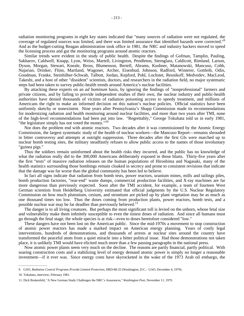radiation monitoring programs in eight key states indicated that "many sources of radiation were not regulated, the coverage of regulated sources was limited, and there was limited assurance that identified hazards were corrected."<sup>9</sup> And as the budget-cutting Reagan administration took office in 1981, the NRC and industry backers moved to speed the licensing process and gut the monitoring programs around atomic reactors.

Similar trends were evident in the study of public health. Despite the findings of Gofman, Tamplin, Pauling, Sakharov, Caldwell, Knapp, Lyon, Weiss, Martell, Livingston, Pendleton, Sternglass, Caldicott, Rimland, Larson, Dyson, Morgan, Stewart, Kneale, Bross, Blumenson, Bertell, Abrams, Kushner, Matanowski, Mancuso, Cobb, Najarian, Drinker, Flinn, Martland, Wagoner, Archer, Eisenbud, Johnson, Radford, Winterer, Gottleib, Odin, Goodman, Franke, Steinhilber-Schwab, Talbott, Jordan, Kepford, Pohl, Lochstet, Resnikoff, Medvedev, MacLeod, Takeshi, and a host of other "dissident" scientists, doctors, and researchers in the radiation field, no major systematic steps had been taken to survey public-health trends around America's nuclear facilities.

By attacking these experts on an *ad hominum* basis, by ignoring the findings of "nonprofessional" farmers and private citizens, and by failing to provide independent studies of their own, the nuclear industry and public-health authorities have denied thousands of victims of radiation poisoning access to speedy treatment, and millions of Americans the right to make an informed decision on this nation's nuclear policies. Official statistics have been uniformly sketchy or nonexistent. Nine years after Pennsylvania's Shapp Commission made its recommendations for modernizing radiation and health monitoring around nuclear facilities, and more than two years after TMI, none of the high-level recommendations had been put into law. "Regrettably," George Tokuhata told us in early 1981, "the legislature simply has not voted the money."<sup>10</sup>

Nor does the problem end with atomic reactors. Two decades after it was commissioned by the Atomic Energy Commission, the largest systematic study of the health of nuclear workers—the Mancuso Report—remains shrouded in bitter controversy and attempts at outright suppression. Three decades after the first GIs were marched up to nuclear bomb testing sites, the military steadfastly refuses to allow public access to the names of those involuntary "guinea pigs."

Thus the soldiers remain uninformed about the health risks they incurred, and the public has no knowledge of what the radiation really did to the 300,000 Americans deliberately exposed in those blasts. Thirty-five years after the first "tests" of massive radiation releases on the human populations of Hiroshima and Nagasaki, many of the health statistics surrounding those bombings remain cloaked in secrecy and prone to consistent revisions that indicate that the damage was far worse than the global community has been led to believe.

In fact all signs indicate that radiation from bomb tests, power reactors, uranium mines, mills and tailings piles, bomb production factories, "rear-end" waste dumps, commercial production facilities, and X-ray machines are far more dangerous than previously expected. Soon after the TMI accident, for example, a team of fourteen West German scientists from Heidelberg University estimated that official judgments by the U.S. Nuclear Regulatory Commission on how much plutonium, cesium, and strontium are picked up by plant vegetation may be as much as one thousand times too low. Thus the doses coming from production plants, power reactors, bomb tests, and a possible nuclear war may be far deadlier than previously believed.<sup>11</sup>

The danger is to all living creatures. But perhaps the most significant toll is levied on the unborn, whose fetal size and vulnerability make them infinitely susceptible to even the tiniest doses of radiation. And since all humans must go through the fetal stage, the whole species is at risk—even to doses heretofore considered "low."

These dangers have not been lost on the American public. Since the mid-1970s a movement to stop construction of atomic power reactors has made a marked impact on American energy planning. Years of costly legal interventions, hundreds of demonstrations, and thousands of arrests at nuclear sites around the country have transformed the peaceful atom from a quiet miracle into a bitter political issue. Had those demonstrations not taken place, it is unlikely TMI would have elicited much more than a few passing paragraphs in the national press.

Now atomic power plants seem very much on the decline. The reasons are partly financial, partly political. With soaring construction costs and a stabilizing level of energy demand atomic power is simply no longer a reasonable investment—if it ever was. Since energy costs have skyrocketed in the wake of the 1973 Arab oil embargo, the

<sup>9.</sup> GAO, *Radiation Control Programs Provide Limited Protection,* HRD-80-25 (Washington, D.C.: GAO, December 4, 1979).

<sup>10.</sup> Tokuhata, interview, February 1981.

<sup>11.</sup> Dick Brukenfeld, "A New German Study Challenges the NRC's Assurances," *Washington Post,* November 11, 1979.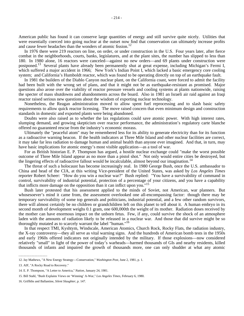American public has found it can conserve large quantities of energy and still survive quite nicely. Utilities that were essentially coerced into going nuclear at the outset now find that conservation can ultimately increase profits and cause fewer headaches than the wonders of atomic fission.<sup>12</sup>

In 1976 there were 219 reactors on line, on order, or under construction in the U.S. Four years later, after fierce combat in the neighborhoods, courts, banks, legislatures, and at the plant sites, the number has slipped to less than 180. In 1980 alone, 16 reactors were canceled—against no new orders—and 69 plants under construction were postponed.<sup>13</sup> Several plants have already been permanently shut at great expense, including Michigan's Fermi I, which suffered a major accident in 1966; New York's Indian Point I, which lacked a basic emergency core cooling system; and California's Humboldt reactor, which was found to be operating directly on top of an earthquake fault.

In 1981 the builders of the Diablo Canyon nuclear plant, on the California coast, were forced to admit the facility had been built with the wrong set of plans, and that it might not be as earthquake-resistant as promised. Major questions also arose over the viability of reactor pressure vessels and cooling systems at plants nationwide, raising the specter of mass shutdowns and abandonments across the board. Also in 1981 an Israeli air raid against an Iraqi reactor raised serious new questions about the wisdom of exporting nuclear technology.

Nonetheless, the Reagan administration moved to allow spent fuel reprocessing and to slash basic safety requirements to allow quick reactor licensing. The move raised concern that even minimum design and construction standards in domestic and exported plants were being abandoned.

Doubts were also raised as to whether the lax regulations could save atomic power. With high interest rates, slumping demand, and growing skepticism over reactor performance, the administration's regulatory carte blanche offered no guaranteed rescue from the industry's economic morass.

Ultimately the "peaceful atom" may be remembered less for its ability to generate electricity than for its function as a radioactive warning beacon. If the health indicators at Three Mile Island and other nuclear facilities are correct, it may take far less radiation to damage human and animal health than anyone ever imagined. And that, in turn, may have basic implications for atomic energy's most visible application—as a tool of war.

For as British historian E. P. Thompson has argued, a hostile nuclear exchange could "make the worst possible outcome of Three Mile Island appear as no more than a pistol shot." Not only would entire cities be destroyed, but the lingering effects of radioactive fallout would be incalculable, almost beyond our imagination.<sup>14</sup>

The threat of such a holocaust has become increasingly real. In 1980 George Bush, once the U.S. ambassador to China and head of the CIA, at this writing Vice-president of the United States, was asked by *Los Angeles Times* reporter Robert Scheer: "How do you win a nuclear war?" Bush replied: "You have a survivability of command in control, survivability of industrial potential, protection of a percentage of your citizens, and you have a capability that inflicts more damage on the opposition than it can inflict upon you."<sup>15</sup>

Bush later protested that his assessment applied to the minds of Soviet, not American, war planners. But whosesoever's mind it came from, the assessment overlooked one all-encompassing factor: though there may be temporary survivability of some top generals and politicians, industrial potential, and a few other random survivors, there will almost certainly be no children or grandchildren left on this planet to tell about it. A human embryo in its second month of development weighs 0.1 gram, one 600,000th the weight of its mother. Radiation doses received by the mother can have enormous impact on the unborn fetus. Few, if any, could survive the shock of an atmosphere laden with the amounts of radiation likely to be released in a nuclear war. And those that did survive might be so thoroughly mutated as to scarcely warrant the label "human."<sup>16</sup>

In that respect TMI, Kyshtym, Windscale, American Atomics, Church Rock, Rocky Flats, the radiation industry, the X-ray controversy—they all serve as vital warning signs. And the hundreds of American bomb tests in the 1950s and early 1960s offered indicators not originally intended by the military. If those explosions—now considered relatively "small" in light of the power of today's warheads—harmed thousands of GIs and nearby residents, killed thousands of infants and impaired the growth of thousands more, one can only shudder at what any atomic

<sup>12.</sup> Jay Mathews, "A New Energy Strategy—Conservation," *Washington Post,* June 2, 1981, p. 1.

<sup>13.</sup> AIF, "A Rocky Road to Recovery."

<sup>14.</sup> E. P. Thompson, "A Letter to America," *Nation,* January 24, 1981.

<sup>15.</sup> Bill Stahl, "Bush Explains Views on 'Winning' A-War," *Los Angeles Times,* February 6, 1980.

<sup>16.</sup> Griffiths and Ballantine, *Silent Slaughter,* p. 147.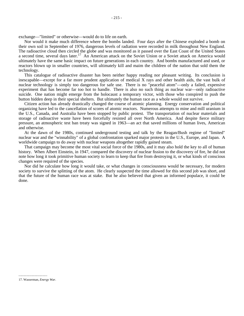exchange—"limited" or otherwise—would do to life on earth.

Nor would it make much difference where the bombs landed. Four days after the Chinese exploded a bomb on their own soil in September of 1976, dangerous levels of radiation were recorded in milk throughout New England. The radioactive cloud then circled the globe and was monitored as it passed over the East Coast of the United States a second time, several days later.<sup>17</sup> An American attack on the Soviet Union or a Soviet attack on America would ultimately have the same basic impact on future generations in each country. And bombs manufactured and used, or reactors blown up in smaller countries, will ultimately kill and maim the children of the nation that sold them the technology.

This catalogue of radioactive disaster has been neither happy reading nor pleasant writing. Its conclusion is inescapable—except for a far more prudent application of medical X rays and other health aids, the vast bulk of nuclear technology is simply too dangerous for safe use. There is no "peaceful atom"—only a failed, expensive experiment that has become far too hot to handle. There is also no such thing as nuclear war—only radioactive suicide. One nation might emerge from the holocaust a temporary victor, with those who conspired to push the button hidden deep in their special shelters. But ultimately the human race as a whole would not survive.

Citizen action has already drastically changed the course of atomic planning. Energy conservation and political organizing have led to the cancellation of scores of atomic reactors. Numerous attempts to mine and mill uranium in the U.S., Canada, and Australia have been stopped by public protest. The transportation of nuclear materials and storage of radioactive waste have been forcefully resisted all over North America. And despite fierce military pressure, an atmospheric test ban treaty was signed in 1963—an act that saved millions of human lives, American and otherwise.

At the dawn of the 1980s, continued underground testing and talk by the Reagan/Bush regime of "limited" nuclear war and the "winnability" of a global confrontation sparked major protests in the U.S., Europe, and Japan. A worldwide campaign to do away with nuclear weapons altogether rapidly gained steam.

That campaign may become the most vital social force of the 1980s, and it may also hold the key to all of human history. When Albert Einstein, in 1947, compared the discovery of nuclear fission to the discovery of fire, he did not note how long it took primitive human society to learn to keep that fire from destroying it, or what kinds of conscious changes were required of the species.

Nor did he calculate how long it would take, or what changes in consciousness would be necessary, for modern society to survive the splitting of the atom. He clearly suspected the time allowed for this second job was short, and that the future of the human race was at stake. But he also believed that given an informed populace, it could be done.

<sup>17.</sup> Wasserman, *Energy War*.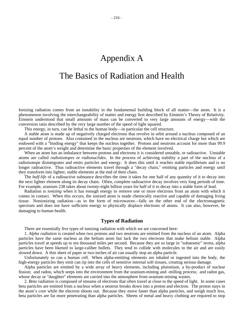### The Basics of Radiation and Health

Ionizing radiation comes from an instability in the fundamental building block of all matter—the atom. It is a phenomenon involving the interchangeability of matter and energy first described by Einstein's Theory of Relativity. Einstein understood that small amounts of mass can be converted to very large amounts of energy—with the conversion ratio described by the very large number of the speed of light squared.

This energy, in turn, can be lethal to the human body—in particular the cell structure.

A stable atom is made up of negatively charged electrons that revolve in orbit around a nucleus composed of an equal number of protons. Also contained in the nucleus are neutrons, which have no electrical charge but which are endowed with a "binding energy" that keeps the nucleus together. Protons and neutrons account for more than 99.9 percent of the atom's weight and determine the basic properties of the element involved.

When an atom has an imbalance between protons and electrons it is considered unstable, or radioactive. Unstable atoms are called *radioisotopes* or *radionuclides*. In the process of achieving stability a part of the nucleus of a radioisotope disintegrates and emits particles and energy. It does this until it reaches stable equilibrium and is no longer radioactive. Thus radioactive elements travel through a "decay chain," emitting particles and energy until they transform into lighter, stable elements at the end of their chain.

The *half-life* of a radioactive substance describes the time it takes for one half of any quantity of it to decay into the next lighter element along its decay chain. Often, complete radioactive decay involves very long periods of time. For example, uranium 238 takes about twenty-eight billion years for half of it to decay into a stable form of lead.

Radiation is *ionizing* when it has enough energy to remove one or more electrons from an atom with which it comes in contact. When this occurs, the ionized atom is made chemically reactive and capable of damaging living tissue. Nonionizing radiation—as in the form of microwaves—falls on the other end of the electromagnetic spectrum and does not have sufficient energy to physically displace electrons of atoms. It can also, however, be damaging to human health.

#### **Types of Radiation**

There are essentially five types of ionizing radiation with which we are concerned here:

1. *Alpha radiation* is created when two protons and two neutrons are emitted from the nucleus of an atom. Alpha particles have the same nucleus as the helium atom but lack the two electrons that make helium stable. Alpha particles travel at speeds up to ten thousand miles per second. Because they are so large in "subatomic" terms, alpha particles have been likened to large-caliber bullets. They tend to collide with molecules in the air and are easily slowed down. A thin sheet of paper or two inches of air can usually stop an alpha particle.

Unfortunately so can a human cell. When alpha-emitting elements are inhaled or ingested into the body, the high-energy particles they emit can rip into the cells of sensitive internal soft tissues, creating serious damage.

Alpha particles are emitted by a wide array of heavy elements, including plutonium, a by-product of nuclear fission; and radon, which seeps into the environment from the uranium-mining and -milling process; and radon gas, whose decay or "daughter" elements are carried into the atmosphere from uranium-mining wastes.

2. *Beta radiation* is composed of streams of electrons that often travel at close to the speed of light. In some cases beta particles are emitted from a nucleus when a neutron breaks down into a proton and electron. The proton stays in the atom's core while the electron shoots out. Because they move faster than alpha particles, and weigh much less, beta particles are far more penetrating than alpha particles. Sheets of metal and heavy clothing are required to stop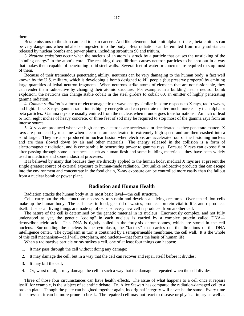them.

Beta emissions to the skin can lead to skin cancer. And like elements that emit alpha particles, beta-emitters can be very dangerous when inhaled or ingested into the body. Beta radiation can be emitted from many substances released by nuclear bombs and power plants, including strontium 90 and tritium.

3. *Neutron emissions* occur when the nucleus of an atom is struck by a particle that causes the unsticking of the "binding energy" in the atom's core. The resulting disequilibrium causes neutron particles to be shot out in a way that makes them capable of penetrating solid steel walls. Several feet of water or concrete are required to stop most of them.

Because of their tremendous penetrating ability, neutrons can be very damaging to the human body, a fact well known by the U.S. military, which is developing a bomb designed to kill people (but preserve property) by emitting large quantities of lethal neutron fragments. When neutrons strike atoms of elements that are not fissionable, they can render them radioactive by changing their atomic structure. For example, in a building near a neutron bomb explosion, the neutrons can change stable cobalt in the steel girders to cobalt 60, an emitter of highly penetrating gamma radiation.

4. *Gamma radiation* is a form of electromagnetic or wave energy similar in some respects to X rays, radio waves, and light. Like X rays, gamma radiation is highly energetic and can penetrate matter much more easily than alpha or beta particles. Gamma rays are usually emitted from the nucleus when it undergoes transformations. An inch of lead or iron, eight inches of heavy concrete, or three feet of sod may be required to stop most of the gamma rays from an intense source.

5. *X rays* are produced whenever high-energy electrons are accelerated or decelerated as they penetrate matter. X rays are produced by machine when electrons are accelerated to extremely high speed and are then crashed into a solid target. They are also produced in nuclear fission when electrons are accelerated out of the fissioning nucleus and are then slowed down by air and other materials. The energy released in the collision is a form of electromagnetic radiation, and is comparable in penetrating power to gamma rays. Because X rays can expose film after passing through some substances—such as human flesh and some building materials—they have been widely used in medicine and some industrial processes.

It is believed by many that because they are directly applied to the human body, medical X rays are at present the single greatest source of external exposure to human-made radiation. But unlike radioactive products that can escape into the environment and concentrate in the food chain, X-ray exposure can be controlled more easily than the fallout from a nuclear bomb or power plant.

### **Radiation and Human Health**

Radiation attacks the human body at its most basic level—the cell structure.

Cells carry out the vital functions necessary to sustain and develop all living creatures. Over ten trillion cells make up the human body. The cell takes in food, gets rid of wastes, produces protein vital to life, and reproduces itself. Just as all living things are made up of cells, so every new cell is produced from another cell.

The nature of the cell is determined by the genetic material in its nucleus. Enormously complex, and not fully understood as yet, the genetic "coding" in each nucleus is carried by a complex protein called DNA deoxyribonucleic acid. This DNA is tightly coiled in the forty-six chromosomes, which are stored in the cell nucleus. Surrounding the nucleus is the cytoplasm, the "factory" that carries out the directions of the DNA intelligence center. The cytoplasm in turn is contained by a semipermeable membrane, the cell wall. It is the whole of this cell mechanism—cell wall, cytoplasm, and nucleus—that forms the basis of human life.

When a radioactive particle or ray strikes a cell, one of at least four things can happen:

- 1. It may pass through the cell without doing any damage;
- 2. It may damage the cell, but in a way that the cell can recover and repair itself before it divides;
- 3. It may kill the cell;
- 4. Or, worst of all, it may damage the cell in such a way that the damage is repeated when the cell divides.

Three of those four circumstances can have health effects. The issue of what happens to a cell once it repairs itself, for example, is the subject of scientific debate. Dr. Alice Stewart has compared the radiation-damaged cell to a broken plate. Though the plate can be glued together again, its original integrity will never be the same. Every time it is stressed, it can be more prone to break. The repaired cell may not react to disease or physical injury as well as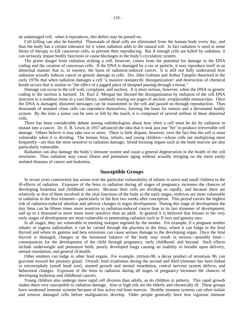an undamaged cell; when it reproduces, this defect may be passed on.

Cell killing can also be harmful. Thousands of dead cells are eliminated from the human body every day, and thus the body has a certain tolerance for it when radiation adds to the natural toll. In fact radiation is used in some forms of therapy to kill cancerous cells, to prevent their reproducing. But if enough cells are killed by radiation, it can seriously impair bodily functions or cause blockages in the body's circulatory system.

The prime danger from radiation striking a cell, however, comes from the potential for damage to the DNA coding and the creation of cancerous cells. If the DNA is damaged by a ray or particle, it may reproduce itself in an abnormal manner that is, in essence, the basis of radiation-induced cancer. It is still not fully understood how radiation actually induces cancer or genetic damage in cells. Drs. John Gofman and Arthur Tamplin theorized in the early 1970s that when radiation damages a cell "a massive nonspecific disorganization" and destruction of chemical bonds occurs that is similar to "the effect of a jagged piece of shrapnel passing through a tissue."

Damage can occur to the cell wall, cytoplasm, and nucleus. It is most serious, however, when the DNA or genetic coding in the nucleus is harmed. Dr. Karl Z. Morgan has likened the disorganization by radiation of the cell DNA structure to a madman loose in a vast library, randomly tearing out pages of ancient, irreplaceable manuscripts. Once the DNA is damaged, distorted messages can be transmitted to the cell and passed on through reproduction. Thus thousands of mutated clone cells can reproduce themselves, forming the basis for tumors and a devastated bodily system. By the time a tumor can be seen or felt by the touch, it is composed of several million of these abnormal cells.

There has been considerable debate among radiobiologists about how often a cell must be hit by radiation to mutate into a cancer. Dr. E. B. Lewis in 1957 advanced the idea that it took just one "hit" to produce irreversible cell damage. Others believe it may take two or more. There is little dispute, however, over the fact that the cell is most vulnerable when it is dividing. The human fetus, infants, and young children—whose cells are multiplying most frequently—are thus the most sensitive to radiation damage; blood-forming organs such as the bone marrow are also particularly vulnerable.

Radiation can also damage the body's immune system and cause a general degeneration in the health of the cell structures. Thus radiation may cause illness and premature aging without actually bringing on the more easily isolated diseases of cancer and leukemia.

#### **Susceptible Groups**

In recent years controversy has arisen over the particular vulnerability of infants *in utero* and small children to the ill-effects of radiation. Exposure of the fetus to radiation during all stages of pregnancy increases the chances of developing leukemia and childhood cancers. Because their cells are dividing so rapidly, and because there are relatively so few of them involved in the vital functions of the body in the early stages, embryos are most vulnerable to radiation in the first trimester—particularly in the first two weeks after conception. This period carries the highest risk of radiation-induced abortion and adverse changes in organ development. During this stage of development the tiny fetus can be fifteen times more sensitive to radiation-induced cancer than in its last trimester of development, and up to a thousand or more times more sensitive than an adult. In general it is believed that fetuses in the very early stages of development are most vulnerable to penetrating radiation such as X rays and gamma rays.

In all stages, they are vulnerable to emitting isotopes ingested by the mother. For example, if a pregnant mother inhales or ingests radioiodine, it can be carried through the placenta to the fetus, where it can lodge in the fetal thyroid and where its gamma and beta emissions can cause serious damage to the developing organ. Once the fetal thyroid is damaged, changes in the hormonal balance of the body may result in serious—possibly fatal consequences for the development of the child through pregnancy, early childhood, and beyond. Such effects include underweight and premature birth, poorly developed lungs causing an inability to breathe upon delivery, mental retardation, and general ill-health.

Other emitters can lodge in other fetal organs. For example, yttrium-90, a decay product of strontium 90, can gravitate toward the pituitary gland. Overall, fetal irradiation during the second and third trimester has been linked to microcephaly (small head size), stunted growth and mental retardation, central nervous system defects, and behavioral changes. Exposure of the fetus to radiation during all stages of pregnancy increases the chances of developing leukemia and childhood cancers.

Young children also undergo more rapid cell division than adults, as do children in puberty. This rapid growth makes them very susceptible to radiation damage. Also at high risk are the elderly and chronically ill. These groups have weakened immune systems because of less active red bone marrow. Healthy immune systems can often isolate and remove damaged cells before malignancies develop. Older people generally have less vigorous immune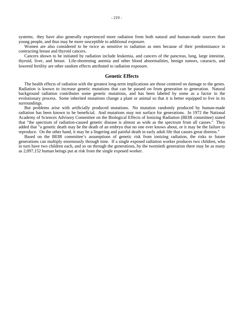systems; they have also generally experienced more radiation from both natural and human-made sources than young people, and thus may be more susceptible to additional exposure.

Women are also considered to be twice as sensitive to radiation as men because of their predominance in contracting breast and thyroid cancers.

Cancers shown to be initiated by radiation include leukemia, and cancers of the pancreas, lung, large intestine, thyroid, liver, and breast. Life-shortening anemia and other blood abnormalities, benign tumors, cataracts, and lowered fertility are other random effects attributed to radiation exposure.

#### **Genetic Effects**

The health effects of radiation with the greatest long-term implications are those centered on damage to the genes. Radiation is known to increase genetic mutations that can be passed on from generation to generation. Natural background radiation contributes some genetic mutations, and has been labeled by some as a factor in the evolutionary process. Some inherited mutations change a plant or animal so that it is better equipped to live in its surroundings.

But problems arise with artificially produced mutations. No mutation randomly produced by human-made radiation has been known to be beneficial. And mutations may not surface for generations. In 1972 the National Academy of Sciences Advisory Committee on the Biological Effects of Ionizing Radiation (BEIR committee) stated that "the spectrum of radiation-caused genetic disease is almost as wide as the spectrum from all causes." They added that "a genetic death may be the death of an embryo that no one ever knows about, or it may be the failure to reproduce. On the other hand, it may be a lingering and painful death in early adult life that causes great distress."

Based on the BEIR committee's assumptions of genetic risk from ionizing radiation, the risks to future generations can multiply enormously through time. If a single exposed radiation worker produces two children, who in turn have two children each, and so on through the generations, by the twentieth generation there may be as many as 2,097,152 human beings put at risk from the single exposed worker.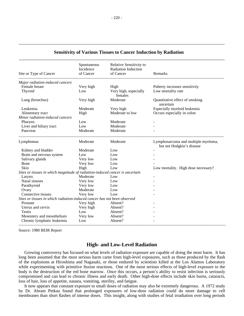|                                                                              | Spontaneous<br>Incidence | Relative Sensitivity to<br><b>Radiation Induction</b> |                                                                  |
|------------------------------------------------------------------------------|--------------------------|-------------------------------------------------------|------------------------------------------------------------------|
| Site or Type of Cancer                                                       | of Cancer                | of Cancer                                             | Remarks                                                          |
| Major radiation-induced cancers                                              |                          |                                                       |                                                                  |
| Female breast                                                                | Very high                | High                                                  | Puberty increases sensitivity                                    |
| Thyroid                                                                      | Low                      | Very high, especially<br>females                      | Low mortality rate                                               |
| Lung (bronchus)                                                              | Very high                | Moderate                                              | Quantitative effect of smoking<br>uncertain                      |
| Leukemia                                                                     | Moderate                 | Very high                                             | Especially myeloid leukemia                                      |
| Alimentary tract                                                             | High                     | Moderate to low                                       | Occurs especially in colon                                       |
| Minor radiation-induced cancers                                              |                          |                                                       |                                                                  |
| Pharynx                                                                      | Low                      | Moderate                                              |                                                                  |
| Liver and biliary tract                                                      | Low                      | Moderate                                              |                                                                  |
| Pancreas                                                                     | Moderate                 | Moderate                                              |                                                                  |
| Lymphomas                                                                    | Moderate                 | Moderate                                              | Lymphosarcoma and multiple myeloma,<br>but not Hodgkin's disease |
| Kidney and bladder                                                           | Moderate                 | Low                                                   |                                                                  |
| Brain and nervous system                                                     | Low                      | Low                                                   |                                                                  |
| Salivary glands                                                              | Very low                 | Low                                                   |                                                                  |
| <b>B</b> one                                                                 | Very low                 | Low                                                   |                                                                  |
| Skin                                                                         | High                     | Low                                                   | Low mortality. High dose necessary?                              |
| Sites or tissues in which magnitude of radiation-induced cancer is uncertain |                          |                                                       |                                                                  |
| Larynx                                                                       | Moderate                 | Low                                                   |                                                                  |
| Nasal sinuses                                                                | Very low                 | Low                                                   |                                                                  |
| Parathyroid                                                                  | Very low                 | Low                                                   |                                                                  |
| Ovary                                                                        | Moderate                 | Low                                                   |                                                                  |
| Connective tissues                                                           | Very low                 | Low                                                   |                                                                  |
| Sites or tissues in which radiation-induced cancer has not been observed     |                          |                                                       |                                                                  |
| Prostate                                                                     | Very high                | Absent?                                               |                                                                  |
| Uterus and cervix                                                            | Very high                | Absent?                                               |                                                                  |
| <b>Testis</b>                                                                | Low                      | Absent?                                               |                                                                  |
| Mesentery and mesothelium                                                    | Very low                 | Absent?                                               |                                                                  |
| Chronic lymphatic leukemia                                                   | Low                      | Absent?                                               |                                                                  |

#### **Sensitivity of Various Tissues to Cancer Induction by Radiation**

\_\_\_\_\_\_\_\_\_\_\_\_\_\_\_\_\_\_\_\_\_\_\_\_\_\_\_\_\_\_\_\_\_\_\_\_\_\_\_\_\_\_\_\_\_\_\_\_\_\_\_\_\_\_\_\_\_\_\_\_\_\_\_\_\_\_\_\_\_\_\_\_\_\_\_\_\_\_\_\_\_\_\_\_\_\_

Source: 1980 BEIR Report

### **High- and Low-Level Radiation**

Growing controversy has focused on what levels of radiation exposure are capable of doing the most harm. It has long been assumed that the most serious harm came from high-level exposures, such as those produced by the flash of the explosions at Hiroshima and Nagasaki, or those endured by scientists killed at the Los Alamos Laboratory while experimenting with primitive fission reactions. One of the most serious effects of high-level exposure to the body is the destruction of the red bone marrow. Once this occurs, a person's ability to resist infection is seriously compromised and can lead to chronic illness and early death. Other high-dose effects include skin burns, cataracts, loss of hair, loss of appetite, nausea, vomiting, sterility, and fatigue.

It now appears that constant exposure to small doses of radiation may also be extremely dangerous. A 1972 study by Dr. Abram Petkau found that prolonged exposures of low-dose radiation could do more damage to cell membranes than short flashes of intense doses. This insight, along with studies of fetal irradiation over long periods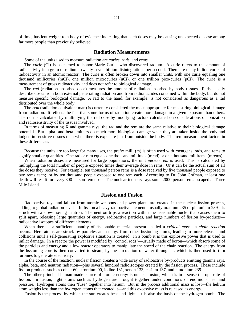of time, has lent weight to a body of evidence indicating that such doses may be causing unexpected disease among far more people than previously believed.

#### **Radiation Measurements**

Some of the units used to measure radiation are *curies, rads,* and *rems*.

The *curie* (Ci) is so named to honor Marie Curie, who discovered radium. A curie refers to the amount of radioactivity in a gram of radium: twenty-seven billion disintegrations per second. There are many billion curies of radioactivity in an atomic reactor. The curie is often broken down into smaller units, with one curie equaling one thousand millicuries (mCi), one million microcuries (uCi), or one trillion pico-curies (pCi). The curie is a measurement of gross radioactivity and does not refer to biological damage.

The *rad* (radiation absorbed dose) measures the amount of radiation absorbed by body tissues. Rads usually describe doses from both external penetrating radiation and from radionuclides contained within the body, but do not measure specific biological damage. A rad to the hand, for example, is not considered as dangerous as a rad distributed over the whole body.

The *rem* (radiation equivalent man) is currently considered the most appropriate for measuring biological damage from radiation. It reflects the fact that some forms of radiation create more damage in a given exposure than others. The rem is calculated by multiplying the rad dose by modifying factors calculated on considerations of ionization and radiosensitivity of the tissues involved.

In terms of measuring X and gamma rays, the rad and the rem are the same relative to their biological damage potential. But alpha- and beta-emitters do much more biological damage when they are taken inside the body and lodged in sensitive tissues than when there is exposure just from outside the body. The rem measurement factors in these differences.

Because the units are too large for many uses, the prefix milli (m) is often used with roentgens, rads, and rems to signify smaller quantities. One rad or rem equals one thousand millirads (mrad) or one thousand millirems (mrems).

When radiation doses are measured for large populations, the unit *person rem* is used. This is calculated by multiplying the total number of people exposed times their average dose in rems. Or it can be the actual sum of all the doses they receive. For example, ten thousand person rems is a dose received by five thousand people exposed to two rems each; or by ten thousand people exposed to one rem each. According to Dr. John Gofman, at least one death will result for every 300 person-rem dose. The nuclear industry says some 2000 person rems escaped at Three Mile Island.

#### **Fission and Fusion**

Radioactive rays and fallout from atomic weapons and power plants are created in the nuclear fission process, adding to global radiation levels. In fission a heavy radioactive element—usually uranium 235 or plutonium 239—is struck with a slow-moving neutron. The neutron trips a reaction within the fissionable nuclei that causes them to split apart, releasing large quantities of energy, radioactive particles, and large numbers of fission by-products radioactive isotopes of different elements.

When there is a sufficient quantity of fissionable material present—called a *critical mass*—a *chain reaction* occurs. Here atoms are struck by particles and energy from other fissioning atoms, leading to more releases and collisions until a self-generating explosive situation is created. In a bomb it is this explosive power that is used to inflict damage. In a reactor the power is modified by "control rods"—usually made of boron—which absorb some of the particles and energy and allow reactor operators to manipulate the speed of the chain reaction. The energy from the fissioning core is then converted to steam, by the circulation of water through it, which is then used to turn turbines to generate electricity.

In the course of the reaction, nuclear fission creates a wide array of radioactive by-products emitting gamma rays, alpha, beta, and neutron radiation—plus several hundred radioisotopes created by the fission process. These include fission products such as cobalt 60, strontium 90, iodine 131, xenon 133, cesium 137, and plutonium 239.

The other principal human-made source of atomic energy is nuclear fusion, which is in a sense the opposite of fission. In fusion, light atoms such as hydrogen are brought together under conditions of enormous heat and pressure. Hydrogen atoms then "fuse" together into helium. But in the process additional mass is lost—the helium atom weighs less than the hydrogen atoms that created it—and this excessive mass is released as energy.

Fusion is the process by which the sun creates heat and light. It is also the basis of the hydrogen bomb. The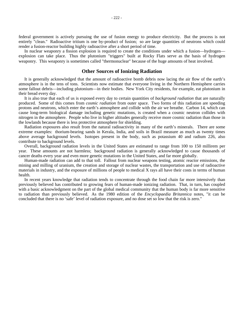federal government is actively pursuing the use of fusion energy to produce electricity. But the process is not entirely "clean." Radioactive tritium is one by-product of fusion; so are large quantities of neutrons which could render a fusion-reactor building highly radioactive after a short period of time.

In nuclear weaponry a fission explosion is required to create the conditions under which a fusion—hydrogen explosion can take place. Thus the plutonium "triggers" built at Rocky Flats serve as the basis of hydrogen weaponry. This weaponry is sometimes called "thermonuclear" because of the huge amounts of heat involved.

#### **Other Sources of Ionizing Radiation**

It is generally acknowledged that the amount of radioactive bomb debris now lacing the air flow of the earth's atmosphere is in the tens of tons. Scientists now estimate that everyone living in the Northern Hemisphere carries some fallout debris—including plutonium—in their bodies. New York City residents, for example, eat plutonium in their bread every day.

It is also true that each of us is exposed every day to certain quantities of *background radiation* that are naturally produced. Some of this comes from *cosmic radiation* from outer space. Two forms of this radiation are speeding protons and neutrons, which enter the earth's atmosphere and collide with the air we breathe. Carbon 14, which can cause long-term biological damage including genetic mutations, is created when a cosmic neutron collides with nitrogen in the atmosphere. People who live in higher altitudes generally receive more cosmic radiation than those in the lowlands because there is less protective atmosphere for shielding.

Radiation exposures also result from the natural radioactivity in many of the earth's minerals. There are some extreme examples: thorium-bearing sands in Kerala, India, and soils in Brazil measure as much as twenty times above average background levels. Isotopes present in the body, such as potassium 40 and radium 226, also contribute to background levels.

Overall, background radiation levels in the United States are estimated to range from 100 to 150 millirem per year. These amounts are not harmless; background radiation is generally acknowledged to cause thousands of cancer deaths every year and even more genetic mutations in the United States, and far more globally.

Human-made radiation can add to that toll. Fallout from nuclear weapons testing, atomic reactor emissions, the mining and milling of uranium, the creation and storage of nuclear wastes, the transportation and use of radioactive materials in industry, and the exposure of millions of people to medical X rays all have their costs in terms of human health.

In recent years knowledge that radiation tends to concentrate through the food chain far more intensively than previously believed has contributed to growing fears of human-made ionizing radiation. That, in turn, has coupled with a basic acknowledgment on the part of the global medical community that the human body is far more sensitive to radiation than previously believed. As the 1980 edition of the *Encyclopaedia Britannica* notes, "it can be concluded that there is no 'safe' level of radiation exposure, and no dose set so low that the risk is zero."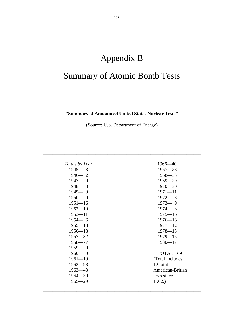# Appendix B Summary of Atomic Bomb Tests

**"Summary of Announced United States Nuclear Tests"**

(Source: U.S. Department of Energy)

\_\_\_\_\_\_\_\_\_\_\_\_\_\_\_\_\_\_\_\_\_\_\_\_\_\_\_\_\_\_\_\_\_\_\_\_\_\_\_\_\_\_\_\_\_\_\_\_\_\_\_\_\_\_\_\_\_\_\_\_\_\_\_\_\_\_

| Totals by Year | $1966 - 40$      |
|----------------|------------------|
| $1945 - 3$     | $1967 - 28$      |
| $1946 - 2$     | $1968 - 33$      |
| $1947 - 0$     | $1969 - 29$      |
| $1948 - 3$     | $1970 - 30$      |
| $1949 - 0$     | $1971 - 11$      |
| $1950 - 0$     | $1972 - 8$       |
| $1951 - 16$    | $1973 - 9$       |
| $1952 - 10$    | $1974 - 8$       |
| $1953 - 11$    | $1975 - 16$      |
| $1954 - 6$     | $1976 - 16$      |
| $1955 - 18$    | $1977 - 12$      |
| $1956 - 18$    | $1978 - 13$      |
| $1957 - 32$    | $1979 - 15$      |
| $1958 - 77$    | $1980 - 17$      |
| $1959 - 0$     |                  |
| $1960 - 0$     | TOTAL: 691       |
| $1961 - 10$    | (Total includes  |
| $1962 - 98$    | 12 joint         |
| $1963 - 43$    | American-British |
| $1964 - 30$    | tests since      |
| $1965 - 29$    | 1962.)           |
|                |                  |

\_\_\_\_\_\_\_\_\_\_\_\_\_\_\_\_\_\_\_\_\_\_\_\_\_\_\_\_\_\_\_\_\_\_\_\_\_\_\_\_\_\_\_\_\_\_\_\_\_\_\_\_\_\_\_\_\_\_\_\_\_\_\_\_\_\_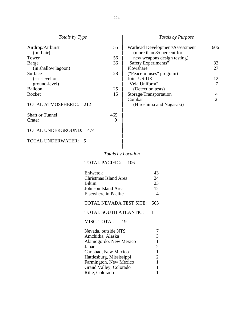| Totals by Type                |     | <b>Totals by Purpose</b>                                    |                |
|-------------------------------|-----|-------------------------------------------------------------|----------------|
| Airdrop/Airburst<br>(mid-air) | 55  | Warhead Development/Assessment<br>(more than 85 percent for | 606            |
| Tower                         | 56  | new weapons design testing)                                 |                |
| Barge                         | 36  | "Safety Experiments"                                        | 33             |
| (in shallow lagoon)           |     | Plowshare                                                   | 27             |
| Surface                       | 28  | ("Peaceful uses" program)                                   |                |
| (sea-level or                 |     | Joint US-UK                                                 | 12             |
| ground-level)                 |     | "Vela Uniform"                                              | $\overline{7}$ |
| <b>Balloon</b>                | 25  | (Detection tests)                                           |                |
| Rocket                        | 15  | Storage/Transportation                                      | 4              |
|                               |     | Combat                                                      | 2              |
| TOTAL ATMOSPHERIC:<br>212     |     | (Hiroshima and Nagasaki)                                    |                |
| <b>Shaft or Tunnel</b>        | 465 |                                                             |                |
| Crater                        | 9   |                                                             |                |
| TOTAL UNDERGROUND:<br>474     |     |                                                             |                |
| TOTAL UNDERWATER:<br>5        |     |                                                             |                |

# *Totals by Location*

|

TOTAL PACIFIC: 106

| Eniwetok              | 43 |
|-----------------------|----|
| Christmas Island Area | 24 |
| <b>Bikini</b>         | 23 |
| Johnson Island Area   | 12 |
| Elsewhere in Pacific  |    |

# TOTAL NEVADA TEST SITE: 563

## TOTAL SOUTH ATLANTIC: 3

# MISC. TOTAL: 19

| Nevada, outside NTS      |   |
|--------------------------|---|
| Amchitka, Alaska         | 3 |
| Alamogordo, New Mexico   | 1 |
| Japan                    | 2 |
| Carlsbad, New Mexico     | 1 |
| Hattiesburg, Mississippi | 2 |
| Farmington, New Mexico   | 1 |
| Grand Valley, Colorado   |   |
| Rifle, Colorado          |   |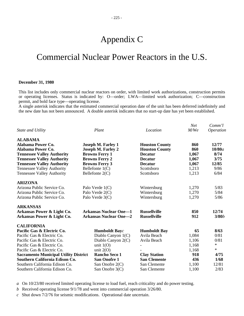# Appendix C

# Commercial Nuclear Power Reactors in the U.S.

#### **December 31, 1980**

This list includes only commercial nuclear reactors on order, with limited work authorizations, construction permits or operating licenses. Status is indicated by: O—order; LWA—limited work authorization; C—construction permit, and bold face type—operating license.

A single asterisk indicates that the estimated commercial operation date of the unit has been deferred indefinitely and the new date has not been announced. A double asterisk indicates that no start-up date has yet been established.

| <i>State and Utility</i>                     | Plant                         | Location              | <b>Net</b><br>M/We | Comm'l<br>Operation |
|----------------------------------------------|-------------------------------|-----------------------|--------------------|---------------------|
| <b>ALABAMA</b>                               |                               |                       |                    |                     |
| Alabama Power Co.                            | <b>Joseph M. Farley 1</b>     | <b>Houston County</b> | 860                | 12/77               |
| Alabama Power Co.                            | <b>Joseph M. Farley 2</b>     | <b>Houston County</b> | 860                | 10/80a              |
| <b>Tennessee Valley Authority</b>            | <b>Browns Ferry 1</b>         | <b>Decatur</b>        | 1,067              | 8/74                |
| <b>Tennessee Valley Authority</b>            | <b>Browns Ferry 2</b>         | <b>Decatur</b>        | 1,067              | 3/75                |
| <b>Tennessee Valley Authority</b>            | <b>Browns Ferry 3</b>         | <b>Decatur</b>        | 1,067              | 12/85               |
| <b>Tennessee Valley Authority</b>            | Bellefonte $1(C)$             | Scottsboro            | 1,213              | 9/86                |
| Tennessee Valley Authority                   | Bellefonte $2(C)$             | Scottsboro            | 1,213              | 6/84                |
| <b>ARIZONA</b>                               |                               |                       |                    |                     |
| Arizona Public Service Co.                   | Palo Verde 1(C)               | Wintersburg           | 1,270              | 5/83                |
| Arizona Public Service Co.                   | Palo Verde 2(C)               | Wintersburg           | 1,270              | 5/84                |
| Arizona Public Service Co.                   | Palo Verde 3(C)               | Wintersburg           | 1,270              | 5/86                |
| <b>ARKANSAS</b>                              |                               |                       |                    |                     |
| Arkansas Power & Light Co.                   | <b>Arkansas Nuclear One-1</b> | <b>Russellville</b>   | 850                | 12/74               |
| Arkansas Power & Light Co.                   | <b>Arkansas Nuclear One-2</b> | <b>Russellville</b>   | 912                | 3/80b               |
| <b>CALIFORNIA</b>                            |                               |                       |                    |                     |
| Pacific Gas & Electric Co.                   | Humboldt Bayc                 | <b>Humboldt Bay</b>   | 65                 | 8/63                |
| Pacific Gas & Electric Co.                   | Diablo Canyon $1(C)$          | Avila Beach           | 1,084              | 0/81                |
| Pacific Gas & Electric Co.                   | Diablo Canyon $2(C)$          | Avila Beach           | 1,106              | 0/81                |
| Pacific Gas & Electric Co.                   | unit $1(O)$                   |                       | 1,168              | $\ast$              |
| Pacific Gas & Electric Co.                   | unit $2(O)$                   |                       | 1,168              | $\ast$              |
| <b>Sacramento Municipal Utility District</b> | <b>Rancho Seco 1</b>          | <b>Clay Station</b>   | 918                | 4/75                |
| Southern California Edison Co.               | <b>San Onofre 1</b>           | <b>San Clemente</b>   | 436                | 1/68                |
| Southern California Edison Co.               | San Onofre 2(C)               | San Clemente          | 1,100              | 12/81               |
| Southern California Edison Co.               | San Onofre 3(C)               | San Clemente          | 1,100              | 2/83                |

*a* On 10/23/80 received limited operating license to load fuel, reach criticality and do power testing.

*b* Received operating license 9/1/78 and went into commercial operation 3/26/80.

*c* Shut down 7/2/76 for seismic modifications. Operational date uncertain.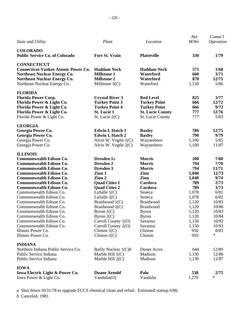| State and Utility                                                                                                                                                              | Plant                                                                                                       | Location                                                                                                      | Net<br>M/We                           | Comm'l<br>Operation                       |
|--------------------------------------------------------------------------------------------------------------------------------------------------------------------------------|-------------------------------------------------------------------------------------------------------------|---------------------------------------------------------------------------------------------------------------|---------------------------------------|-------------------------------------------|
| <b>COLORADO</b><br><b>Public Service Co. of Colorado</b>                                                                                                                       | <b>Fort St. Vrain</b>                                                                                       | <b>Platteville</b>                                                                                            | 330                                   | 1/79                                      |
| <b>CONNECTICUT</b><br><b>Connecticut Yankee Atomic Power Co.</b><br><b>Northeast Nuclear Energy Co.</b><br><b>Northeast Nuclear Energy Co.</b><br>Northeast Nuclear Energy Co. | <b>Haddam Neck</b><br><b>Millstone 1</b><br><b>Millstone 2</b><br>Millstone $3(C)$                          | <b>Haddam Neck</b><br>Waterford<br>Waterford<br>Waterford                                                     | 575<br>660<br>870<br>1,150            | 1/68<br>3/71<br>12/75<br>$5/86$           |
| <b>FLORIDA</b><br><b>Florida Power Corp.</b><br>Florida Power & Light Co.<br>Florida Power & Light Co.<br>Florida Power & Light Co.<br>Florida Power & Light Co.               | <b>Crystal River 3</b><br><b>Turkey Point 3</b><br><b>Turkey Point 4</b><br>St. Lucie 1<br>St. Lucie $2(C)$ | <b>Red Level</b><br><b>Turkey Point</b><br><b>Turkey Point</b><br><b>St. Lucie County</b><br>St. Lucie County | 825<br>666<br>666<br>777<br>777       | 3/77<br>12/72<br>9/73<br>12/76<br>5/83    |
| <b>GEORGIA</b><br>Georgia Power Co.<br>Georgia Power Co.<br>Georgia Power Co.<br>Georgia Power Co.                                                                             | <b>Edwin I. Hatch 1</b><br><b>Edwin I. Hatch 2</b><br>Alvin W. Vogtle $1(C)$<br>Alvin W. Vogtle $2(C)$      | <b>Baxley</b><br><b>Baxley</b><br>Waynesboro<br>Waynesboro                                                    | 786<br>790<br>1,100<br>1,100          | 12/75<br>9/79<br>$5/85$<br>11/87          |
| <b>ILLINOIS</b><br><b>Commonwealth Edison Co.</b><br><b>Commonwealth Edison Co.</b><br><b>Commonwealth Edison Co.</b>                                                          | Dresden 1a<br><b>Dresden 2</b><br>Dresden 3                                                                 | <b>Morris</b><br><b>Morris</b><br><b>Morris</b>                                                               | 200<br>794<br>794                     | 7/60<br>7/70<br>11/71                     |
| <b>Commonwealth Edison Co.</b><br><b>Commonwealth Edison Co.</b><br><b>Commonwealth Edison Co.</b><br><b>Commonwealth Edison Co.</b><br>Commonwealth Edison Co.                | Zion 1<br>Zion 2<br><b>Quad Cities 1</b><br><b>Quad Cities 2</b><br>LaSalle $1(C)$                          | Zion<br>Zion<br>Cordova<br>Cordova<br>Seneca                                                                  | 1,040<br>1,040<br>789<br>789<br>1,078 | 12/73<br>9/74<br>2/73<br>3/73<br>6/81     |
| Commonwealth Edison Co.<br>Commonwealth Edison Co.<br>Commonwealth Edison Co.<br>Commonwealth Edison Co.                                                                       | LaSalle $2(C)$<br>Braidwood 1(C)<br>Braidwood 2(C)<br>Byron $1(C)$                                          | Seneca<br>Braidwood<br>Braidwood<br><b>Byron</b>                                                              | 1,078<br>1,120<br>1,120<br>1,120      | 6/82<br>10/85<br>10/86<br>10/83           |
| Commonwealth Edison Co.<br>Commonwealth Edison Co.<br>Commonwealth Edison Co.<br>Illinois Power Co.<br>Illinois Power Co.                                                      | Byron $2(C)$<br>Carroll County 1(O)<br>Carroll County 2(O)<br>Clinton $1(C)$<br>Clinton $2(C)$              | <b>Byron</b><br>Savanna<br>Savanna<br>Clinton<br>Clinton                                                      | 1,120<br>1,150<br>1,150<br>950<br>950 | 10/84<br>10/92<br>10/93<br>8/83<br>$\ast$ |
| <b>INDIANA</b><br>Northern Indiana Public Service Co.<br>Public Service Indiana<br>Public Service Indiana                                                                      | Bailly Nuclear 1(C)b<br>Marble Hill $1(C)$                                                                  | <b>Dunes Acres</b><br>Madison<br>Madison                                                                      | 644<br>1,130<br>1,130                 | 12/89<br>12/86<br>12/87                   |
| <b>IOWA</b><br>Iowa Electric Light & Power Co.<br>Iowa Power & Light Co.                                                                                                       | Marble Hill $2(C)$<br><b>Duane Arnold</b><br>Vandalia(O)                                                    | Palo<br>Vandalia                                                                                              | 538<br>1,270                          | 2/75<br>$\ast$                            |

*a* Shut down 10/31/78 to upgrade ECCS chemical clean and refuel. Estimated startup 6/86.

*b* Canceled, 1981.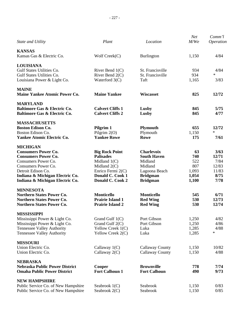| State and Utility                                              | Plant                                     | Location                                | Net<br>M/We    | Comm'l<br>Operation |
|----------------------------------------------------------------|-------------------------------------------|-----------------------------------------|----------------|---------------------|
| <b>KANSAS</b>                                                  |                                           |                                         |                |                     |
| Kansas Gas & Electric Co.                                      | Wolf $Creek(C)$                           | <b>Burlington</b>                       | 1,150          | 4/84                |
| <b>LOUISIANA</b>                                               |                                           |                                         |                |                     |
| Gulf States Utilities Co.                                      | River Bend $1(C)$                         | St. Francisville                        | 934            | 4/84                |
| Gulf States Utilities Co.                                      | River Bend $2(C)$                         | St. Francisville                        | 934            | $\ast$              |
| Louisiana Power & Light Co.                                    | Waterford 3(C)                            | Taft                                    | 1,165          | 3/83                |
| <b>MAINE</b><br><b>Maine Yankee Atomic Power Co.</b>           | <b>Maine Yankee</b>                       | <b>Wiscasset</b>                        | 825            | 12/72               |
| <b>MARYLAND</b>                                                |                                           |                                         |                |                     |
| Baltimore Gas & Electric Co.                                   | <b>Calvert Cliffs 1</b>                   | Lusby                                   | 845            | 5/75                |
| Baltimore Gas & Electric Co.                                   | <b>Calvert Cliffs 2</b>                   | Lusby                                   | 845            | 4/77                |
| <b>MASSACHUSETTS</b>                                           |                                           |                                         |                |                     |
| <b>Boston Edison Co.</b>                                       | Pilgrim 1                                 | <b>Plymouth</b>                         | 655            | 12/72               |
| Boston Edison Co.<br><b>Yankee Atomic Electric Co.</b>         | Pilgrim $2(O)$<br><b>Yankee Rowe</b>      | Plymouth<br>Rowe                        | 1,150<br>175   | $\ast$<br>7/61      |
|                                                                |                                           |                                         |                |                     |
| <b>MICHIGAN</b>                                                |                                           |                                         |                |                     |
| <b>Consumers Power Co.</b><br><b>Consumers Power Co.</b>       | <b>Big Rock Point</b><br><b>Palisades</b> | <b>Charlevoix</b><br><b>South Haven</b> | 63<br>740      | 3/63<br>12/71       |
| Consumers Power Co.                                            | Midland $1(C)$                            | Midland                                 | 522            | 7/84                |
| Consumers Power Co.                                            | Midland $2(C)$                            | Midland                                 | 807            | 12/83               |
| Detroit Edison Co.                                             | Enrico Fermi 2(C)                         | Lagoona Beach                           | 1,093          | 11/83               |
| Indiana & Michigan Electric Co.                                | Donald C. Cook 1                          | <b>Bridgman</b>                         | 1,054          | 8/75                |
| Indiana & Michigan Electric Co.                                | Donald C. Cook 2                          | <b>Bridgman</b>                         | 1,100          | 7/78                |
| <b>MINNESOTA</b>                                               |                                           |                                         |                |                     |
| Northern States Power Co.                                      | <b>Monticello</b>                         | Monticello                              | 545            | 6/71                |
| Northern States Power Co.                                      | <b>Prairie Island 1</b>                   | <b>Red Wing</b>                         | 530            | 12/73<br>12/74      |
| Northern States Power Co.                                      | <b>Prairie Island 2</b>                   | <b>Red Wing</b>                         | 530            |                     |
| <b>MISSISSIPPI</b>                                             |                                           |                                         |                |                     |
| Mississippi Power & Light Co.<br>Mississippi Power & Light Co. | Grand Gulf 1(C)<br>Grand Gulf 2(C)        | Port Gibson<br>Port Gibson              | 1,250<br>1,250 | 4/82<br>4/86        |
| <b>Tennessee Valley Authority</b>                              | Yellow Creek 1(C)                         | Luka                                    | 1,285          | 4/88                |
| Tennessee Valley Authority                                     | Yellow Creek 2(C)                         | Luka                                    | 1,285          | $\ast$              |
| <b>MISSOURI</b>                                                |                                           |                                         |                |                     |
| Union Electric Co.                                             | Callaway $1(C)$                           | Callaway County                         | 1,150          | 10/82               |
| Union Electric Co.                                             | Callaway 2(C)                             | Callaway County                         | 1,150          | 4/88                |
| <b>NEBRASKA</b>                                                |                                           |                                         |                |                     |
| Nebraska Public Power District                                 | Cooper                                    | <b>Brownville</b>                       | 778            | 7/74                |
| <b>Omaha Public Power District</b>                             | <b>Fort Calhoun 1</b>                     | <b>Fort Calhoun</b>                     | 490            | 9/73                |
| <b>NEW HAMPSHIRE</b>                                           |                                           |                                         |                |                     |
| Public Service Co. of New Hampshire                            | Seabrook 1(C)                             | Seabrook                                | 1,150          | 0/83                |
| Public Service Co. of New Hampshire                            | Seabrook 2(C)                             | Seabrook                                | 1,150          | 0/85                |
|                                                                |                                           |                                         |                |                     |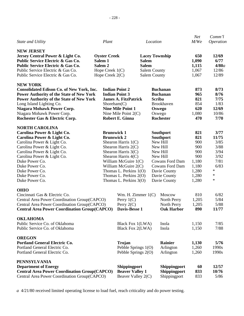| State and Utility                                                                                                                                                                                                                                                                                   | Plant                                                                               |                                                                                                                                                                                                                                    | Location                                                                   |                                                                                                                                                                     | <b>Net</b><br>M/We                                                                  | Comm'l<br>Operation                                                                         |
|-----------------------------------------------------------------------------------------------------------------------------------------------------------------------------------------------------------------------------------------------------------------------------------------------------|-------------------------------------------------------------------------------------|------------------------------------------------------------------------------------------------------------------------------------------------------------------------------------------------------------------------------------|----------------------------------------------------------------------------|---------------------------------------------------------------------------------------------------------------------------------------------------------------------|-------------------------------------------------------------------------------------|---------------------------------------------------------------------------------------------|
| <b>NEW JERSEY</b><br>Jersey Central Power & Light Co.<br><b>Public Service Electric &amp; Gas Co.</b><br>Public Service Electric & Gas Co.<br>Public Service Electric & Gas Co.<br>Public Service Electric & Gas Co.                                                                                | <b>Oyster Creek</b><br>Salem 1<br>Salem 2<br>Hope Creek $1(C)$<br>Hope Creek $2(C)$ |                                                                                                                                                                                                                                    | <b>Salem</b><br><b>Salem</b><br><b>Salem County</b><br><b>Salem County</b> | <b>Lacey Township</b>                                                                                                                                               | 650<br>1,090<br>1,115<br>1,067<br>1,067                                             | 12/69<br>6/77<br>4/80a<br>12/86<br>12/89                                                    |
| <b>NEW YORK</b><br><b>Consolidated Edison Co. of New York, Inc.</b><br><b>Power Authority of the State of New York</b><br><b>Power Authority of the State of New York</b><br>Long Island Lighting Co.<br>Niagara Mohawk Power Corp.<br>Niagara Mohawk Power Corp.<br>Rochester Gas & Electric Corp. | Shoreham(C)                                                                         | <b>Indian Point 2</b><br><b>Indian Point 3</b><br><b>James A. FitzPatrick</b><br><b>Nine Mile Point 1</b><br>Nine Mile Point $2(C)$<br><b>Robert E. Ginna</b>                                                                      |                                                                            | <b>Buchanan</b><br><b>Buchanan</b><br><b>Scriba</b><br>Brookhaven<br><b>Oswego</b><br>Oswego<br>Rochester                                                           | 873<br>965<br>821<br>854<br>620<br>1,080<br>470                                     | 8/73<br>8/76<br>7/75<br>1/83<br>12/69<br>10/86<br>7/70                                      |
| <b>NORTH CAROLINA</b><br>Carolina Power & Light Co.<br>Carolina Power & Light Co.<br>Carolina Power & Light Co.<br>Carolina Power & Light Co.<br>Carolina Power & Light Co.<br>Carolina Power & Light Co.<br>Duke Power Co.<br>Duke Power Co.<br>Duke Power Co.<br>Duke Power Co.<br>Duke Power Co. | <b>Brunswick 1</b><br><b>Brunswick 2</b>                                            | Shearon Harris 1(C)<br>Shearon Harris $2(C)$<br>Shearon Harris $3(C)$<br>Shearon Harris 4(C)<br>William McGuire $1(C)$<br>William McGuire 2(C)<br>Thomas L. Perkins $1(O)$<br>Thomas L. Perkins $2(0)$<br>Thomas L. Perkins $3(0)$ |                                                                            | Southport<br>Southport<br>New Hill<br>New Hill<br>New Hill<br>New Hill<br>Cowans Ford Dam<br><b>Cowans Ford Dam</b><br>Davie County<br>Davie County<br>Davie County | 821<br>821<br>900<br>900<br>900<br>900<br>1,180<br>1,180<br>1,280<br>1,280<br>1,280 | 3/77<br>11/75<br>3/85<br>3/88<br>3/94<br>3/92<br>7/81<br>6/83<br>$\ast$<br>$\ast$<br>$\ast$ |
| <b>OHIO</b><br>Cincinnati Gas & Electric Co.<br>Central Area Power Coordination Group(CAPCO)<br>Central Area Power Coordination Group(CAPCO)<br><b>Central Area Power Coordination Group(CAPCO)</b>                                                                                                 |                                                                                     | Wm. H. Zimmer $1(C)$<br>Perry $1(C)$<br>Perry $2(C)$<br>Davis-Besse 1                                                                                                                                                              |                                                                            | <b>Moscow</b><br>North Perry<br>North Perry<br><b>Oak Harbor</b>                                                                                                    | 810<br>1,205<br>1,205<br>890                                                        | 6/82<br>5/84<br>5/88<br>11/77                                                               |
| <b>OKLAHOMA</b><br>Public Service Co. of Oklahoma<br>Public Service Co. of Oklahoma                                                                                                                                                                                                                 |                                                                                     | Black Fox 1(LWA)<br>Black Fox 2(LWA)                                                                                                                                                                                               |                                                                            | Inola<br>Inola                                                                                                                                                      | 1,150<br>1,150                                                                      | 7/85<br>7/88                                                                                |
| <b>OREGON</b><br><b>Portland General Electric Co.</b><br>Portland General Electric Co.<br>Portland General Electric Co.                                                                                                                                                                             |                                                                                     | Trojan<br>Pebble Springs 1(O)<br>Pebble Springs 2(O)                                                                                                                                                                               |                                                                            | Rainier<br>Arlington<br>Arlington                                                                                                                                   | 1,130<br>1,260<br>1,260                                                             | 5/76<br>1990s<br>1990s                                                                      |
| <b>PENNSYLVANIA</b><br><b>Department of Energy</b><br><b>Central Area Power Coordination Group(CAPCO)</b><br>Central Area Power Coordination Group(CAPCO)                                                                                                                                           |                                                                                     | <b>Shippingport</b><br><b>Beaver Valley 1</b><br>Beaver Valley 2(C)                                                                                                                                                                |                                                                            | Shippingport<br>Shippingport<br>Shippingport                                                                                                                        | 60<br>833<br>833                                                                    | 12/57<br>10/76<br>$5/86$                                                                    |

*a* 4/21/80 received limited operating license to load fuel, reach criticality and do power testing.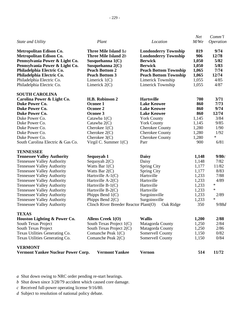| State and Utility                                                                                                                    | Plant                                                                                  | Location                                                                                       | Net <sub></sub><br>M/We      | Comm'l<br><i><b>Operation</b></i> |
|--------------------------------------------------------------------------------------------------------------------------------------|----------------------------------------------------------------------------------------|------------------------------------------------------------------------------------------------|------------------------------|-----------------------------------|
| <b>Metropolitan Edison Co.</b><br><b>Metropolitan Edison Co.</b><br>Pennsylvania Power & Light Co.<br>Pennsylvania Power & Light Co. | Three Mile Island 1a<br>Three Mile Island 2b<br>Susquehanna $1(C)$<br>Susquehanna 2(C) | <b>Londonderry Township</b><br><b>Londonderry Township</b><br><b>Berwick</b><br><b>Berwick</b> | 819<br>906<br>1,050<br>1,050 | 9/74<br>12/78<br>5/82<br>5/83     |
| Philadelphia Electric Co.                                                                                                            | <b>Peach Bottom 2</b>                                                                  | <b>Peach Bottom Township</b>                                                                   | 1,065                        | 7/74                              |
| Philadelphia Electric Co.                                                                                                            | <b>Peach Bottom 3</b>                                                                  | <b>Peach Bottom Township</b>                                                                   | 1,065                        | 12/74                             |
| Philadelphia Electric Co.                                                                                                            | Limerick $1(C)$                                                                        | Limerick Township                                                                              | 1,055                        | 4/85                              |
| Philadelphia Electric Co.                                                                                                            | Limerick $2(C)$                                                                        | Limerick Township                                                                              | 1,055                        | 4/87                              |
| <b>SOUTH CAROLINA</b>                                                                                                                |                                                                                        |                                                                                                |                              |                                   |
| Carolina Power & Light Co.                                                                                                           | H.B. Robinson 2                                                                        | <b>Hartsville</b>                                                                              | 700                          | 3/71                              |
| Duke Power Co.                                                                                                                       | Oconee 1                                                                               | <b>Lake Keowee</b>                                                                             | 860                          | 7/73                              |
| Duke Power Co.                                                                                                                       | Oconee 2                                                                               | <b>Lake Keowee</b>                                                                             | 860                          | 9/74                              |
| <b>Duke Power Co.</b>                                                                                                                | Oconee 3                                                                               | <b>Lake Keowee</b>                                                                             | 860                          | 12/74                             |
| Duke Power Co.                                                                                                                       | Catawba $1(C)$                                                                         | <b>York County</b>                                                                             | 1,145                        | 3/84                              |
| Duke Power Co.                                                                                                                       | Catawba $2(C)$                                                                         | <b>York County</b>                                                                             | 1,145                        | 9/85                              |
| Duke Power Co.                                                                                                                       | Cherokee $1(C)$                                                                        | Cherokee County                                                                                | 1,280                        | 1/90                              |
| Duke Power Co.                                                                                                                       | Cherokee $2(C)$                                                                        | <b>Cherokee County</b>                                                                         | 1,280                        | 1/92                              |
| Duke Power Co.                                                                                                                       | Cherokee $3(C)$                                                                        | <b>Cherokee County</b>                                                                         | 1,280                        | $\ast$                            |
| South Carolina Electric & Gas Co.                                                                                                    | Virgil C. Summer $1(C)$                                                                | Parr                                                                                           | 900                          | 6/81                              |
| <b>TENNESSEE</b>                                                                                                                     |                                                                                        |                                                                                                |                              |                                   |
| <b>Tennessee Valley Authority</b>                                                                                                    | Sequoyah 1                                                                             | <b>Daisy</b>                                                                                   | 1,148                        | 9/80c                             |
| Tennessee Valley Authority                                                                                                           | Sequoyah 2(C)                                                                          | Daisy                                                                                          | 1,148                        | 7/82                              |
| Tennessee Valley Authority                                                                                                           | Watts Bar $1(C)$                                                                       | <b>Spring City</b>                                                                             | 1,177                        | 11/82                             |
| Tennessee Valley Authority                                                                                                           | Watts Bar $2(C)$                                                                       | <b>Spring City</b>                                                                             | 1,177                        | 8/83                              |
| Tennessee Valley Authority                                                                                                           | Hartsville $A-1(C)$                                                                    | Hartsville                                                                                     | 1,233                        | 7/88                              |
| Tennessee Valley Authority                                                                                                           | Hartsville $A-2(C)$                                                                    | Hartsville                                                                                     | 1,233                        | 4/89                              |
| Tennessee Valley Authority                                                                                                           | Hartsville $B-1(C)$                                                                    | Hartsville                                                                                     | 1,233                        | $\ast$                            |
| Tennessee Valley Authority                                                                                                           | Hartsville $B-2(C)$                                                                    | Hartsville                                                                                     | 1,233                        | $\ast$                            |
| Tennessee Valley Authority                                                                                                           | Phipps Bend $1(C)$                                                                     | Surgoinsville                                                                                  | 1,233                        | 2/89                              |
| Tennessee Valley Authority                                                                                                           | Phipps Bend $2(C)$                                                                     | Surgoinsville                                                                                  | 1,233                        | $\ast$                            |
| <b>Tennessee Valley Authority</b>                                                                                                    | Clinch River Breeder Reactor Plant(O)                                                  | Oak Ridge                                                                                      | 350                          | 9/88d                             |
| <b>TEXAS</b>                                                                                                                         |                                                                                        |                                                                                                |                              |                                   |
| Houston Lighting & Power Co.                                                                                                         | Allens Creek 1(O)                                                                      | <b>Wallis</b>                                                                                  | 1,200                        | 2/88                              |
| South Texas Project                                                                                                                  | South Texas Project 1(C)                                                               | Matagorda County                                                                               | 1,250                        | 2/84                              |
| South Texas Project                                                                                                                  | South Texas Project 2(C)                                                               | Matagorda County                                                                               | 1,250                        | 2/86                              |
| Texas Utilities Generating Co.                                                                                                       | Comanche Peak 1(C)                                                                     | Somervell County                                                                               | 1,150                        | 0/82                              |
| Texas Utilities Generating Co.                                                                                                       | Comanche Peak 2(C)                                                                     | Somervell County                                                                               | 1,150                        | 0/84                              |
| <b>VERMONT</b><br>Vermont Yankee Nuclear Power Corp.                                                                                 | <b>Vermont Yankee</b>                                                                  | <b>Vernon</b>                                                                                  | 514                          | 11/72                             |
|                                                                                                                                      |                                                                                        |                                                                                                |                              |                                   |

*a* Shut down owing to NRC order pending re-start hearings.

*b* Shut down since 3/28/79 accident which caused core damage.

*c* Received full-power operating license 9/16/80.

*d* Subject to resolution of national policy debate.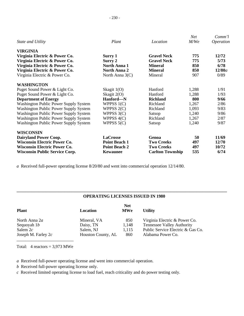| State and Utility                                                                                                                                                                                                                                                                                                                                           | Plant                                                                                                                       | Location                                                                                      | <b>Net</b><br>M/We                                                 | Comm'l<br>Operation                                          |
|-------------------------------------------------------------------------------------------------------------------------------------------------------------------------------------------------------------------------------------------------------------------------------------------------------------------------------------------------------------|-----------------------------------------------------------------------------------------------------------------------------|-----------------------------------------------------------------------------------------------|--------------------------------------------------------------------|--------------------------------------------------------------|
| <b>VIRGINIA</b><br>Virginia Electric & Power Co.<br>Virginia Electric & Power Co.<br>Virginia Electric & Power Co.<br>Virginia Electric & Power Co.<br>Virginia Electric & Power Co.                                                                                                                                                                        | Surry 1<br>Surry 2<br>North Anna 1<br><b>North Anna 2</b><br>North Anna 3(C)                                                | <b>Gravel Neck</b><br><b>Gravel Neck</b><br><b>Mineral</b><br><b>Mineral</b><br>Mineral       | 775<br>775<br>850<br>850<br>907                                    | 12/72<br>5/73<br>6/78<br>12/80a<br>0/89                      |
| <b>WASHINGTON</b><br>Puget Sound Power & Light Co.<br>Puget Sound Power & Light Co.<br><b>Department of Energy</b><br><b>Washington Public Power Supply System</b><br><b>Washington Public Power Supply System</b><br>Washington Public Power Supply System<br><b>Washington Public Power Supply System</b><br><b>Washington Public Power Supply System</b> | Skagit $1(O)$<br>Skagit $2(O)$<br>Hanford-N<br>WPPSS $1(C)$<br>WPPSS $2(C)$<br>WPPSS $3(C)$<br>WPPSS $4(C)$<br>WPPSS $5(C)$ | Hanford<br>Hanford<br><b>Richland</b><br>Richland<br>Richland<br>Satsop<br>Richland<br>Satsop | 1,288<br>1,288<br>800<br>1,267<br>1,093<br>1,240<br>1,267<br>1,240 | 1/91<br>1/93<br>9/66<br>2/86<br>9/83<br>9/86<br>2/87<br>9/87 |
| <b>WISCONSIN</b><br><b>Dairyland Power Coop.</b><br><b>Wisconsin Electric Power Co.</b><br><b>Wisconsin Electric Power Co.</b><br><b>Wisconsin Public Service Corp.</b>                                                                                                                                                                                     | <b>LaCrosse</b><br><b>Point Beach 1</b><br><b>Point Beach 2</b><br><b>Kewaunee</b>                                          | Genoa<br><b>Two Creeks</b><br><b>Two Creeks</b><br><b>Carlton Township</b>                    | 50<br>497<br>497<br>535                                            | 11/69<br>12/70<br>10/72<br>6/74                              |

*a* Received full-power operating license 8/20/80 and went into commercial operation 12/14/80.

### **OPERATING LICENSES ISSUED IN 1980**

**\_\_\_\_\_\_\_\_\_\_\_\_\_\_\_\_\_\_\_\_\_\_\_\_\_\_\_\_\_\_\_\_\_\_\_\_\_\_\_\_\_\_\_\_\_\_\_\_\_\_\_\_\_\_\_\_\_\_\_\_\_\_\_\_\_\_\_\_\_\_\_\_\_\_\_\_\_\_\_\_\_\_\_\_\_\_\_\_\_\_\_\_\_\_\_\_**

| <b>Plant</b>          | Location           | <b>MWe</b> | <b>Utility</b>                    |
|-----------------------|--------------------|------------|-----------------------------------|
| North Anna 2 <i>a</i> | Mineral, VA        | 850        | Virginia Electric & Power Co.     |
| Sequoyah 1 <i>b</i>   | Daisy, TN          | 1,148      | <b>Tennessee Valley Authority</b> |
| Salem $2c$            | Salem, NJ          | 1,115      | Public Service Electric & Gas Co. |
| Joseph M. Farley $2c$ | Houston County, AL | 860        | Alabama Power Co.                 |
|                       |                    |            |                                   |

Total:  $4$  reactors = 3,973 MWe

*a* Received full-power operating license and went into commercial operation.

*b* Received full-power operating license only.

*c* Received limited operating license to load fuel, reach criticality and do power testing only.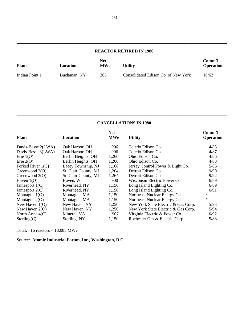### **REACTOR RETIRED IN 1980**

**\_\_\_\_\_\_\_\_\_\_\_\_\_\_\_\_\_\_\_\_\_\_\_\_\_\_\_\_\_\_\_\_\_\_\_\_\_\_\_\_\_\_\_\_\_\_\_\_\_\_\_\_\_\_\_\_\_\_\_\_\_\_\_\_\_\_\_\_\_\_\_\_\_\_\_\_\_\_\_\_\_\_\_\_\_\_\_\_\_\_\_\_\_\_\_\_**

| <b>Plant</b>   | Location     | Net<br><b>MWe</b> | Utility                             | Comm'l<br><b>Operation</b> |
|----------------|--------------|-------------------|-------------------------------------|----------------------------|
| Indian Point 1 | Buchanan. NY | 265               | Consolidated Edison Co. of New York | 10/62                      |

### **CANCELLATIONS IN 1980**

**\_\_\_\_\_\_\_\_\_\_\_\_\_\_\_\_\_\_\_\_\_\_\_\_\_\_\_\_\_\_\_\_\_\_\_\_\_\_\_\_\_\_\_\_\_\_\_\_\_\_\_\_\_\_\_\_\_\_\_\_\_\_\_\_\_\_\_\_\_\_\_\_\_\_\_\_\_\_\_\_\_\_\_\_\_\_\_\_\_\_\_\_\_\_\_\_**

|                     |                      | <b>Net</b> |                                     | Comm'l    |
|---------------------|----------------------|------------|-------------------------------------|-----------|
| <b>Plant</b>        | <b>Location</b>      | <b>MWe</b> | <b>Utility</b>                      | Operation |
| Davis-Besse 2(LWA)  | Oak Harbor, OH       | 906        | Toledo Edison Co.                   | 4/85      |
| Davis-Besse 3(LWA)  | Oak Harbor, OH       | 906        | Toledo Edison Co.                   | 4/87      |
| Erie $1(O)$         | Berlin Heights, OH   | 1,260      | Ohio Edison Co.                     | 4/86      |
| Erie $2(O)$         | Berlin Heights, OH   | 1,260      | Ohio Edison Co.                     | 4/88      |
| Forked River $1(C)$ | Lacey Township, NJ   | 1,168      | Jersey Control Power & Light Co.    | 5/86      |
| Greenwood $2(O)$    | St. Clair County, MI | 1,264      | Detroit Edison Co.                  | 9/90      |
| Greenwood $3(0)$    | St. Clair County, MI | 1,264      | Detroit Edison Co.                  | 9/92      |
| Haven $1(O)$        | Haven, WI            | 900        | Wisconsin Electric Power Co.        | 6/89      |
| Jamesport $1(C)$    | Riverhead, NY        | 1,150      | Long Island Lighting Co.            | 6/89      |
| Jamesport $2(C)$    | Riverhead, NY        | 1,150      | Long Island Lighting Co.            | 6/91      |
| Montague $1(O)$     | Montague, MA         | 1,150      | Northeast Nuclear Energy Co.        | $\ast$    |
| Montague $2(0)$     | Montague, MA         | 1,150      | Northeast Nuclear Energy Co.        | $\ast$    |
| New Haven $1(0)$    | New Haven, NY        | 1,250      | New York State Electric & Gas Corp. | 5/93      |
| New Haven $2(0)$    | New Haven, NY        | 1,250      | New York State Electric & Gas Corp. | 5/94      |
| North Anna $4(C)$   | Mineral, VA          | 907        | Virginia Electric & Power Co.       | 0/92      |
| Sterling(C)         | Sterling, NY         | 1,150      | Rochester Gas & Electric Corp.      | 5/88      |

Total:  $16$  reactors = 18,085 MWe

Source: **Atomic Industrial Forum, Inc., Washington, D.C.**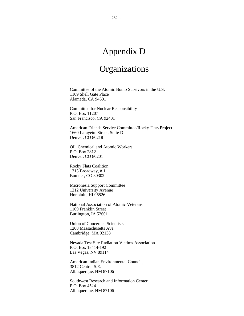# Appendix D

# **Organizations**

Committee of the Atomic Bomb Survivors in the U.S. 1109 Shell Gate Place Alameda, CA 94501

Committee for Nuclear Responsibility P.O. Box 11207 San Francisco, CA 92401

American Friends Service Committee/Rocky Flats Project 1660 Lafayette Street, Suite D Denver, CO 80218

Oil, Chemical and Atomic Workers P.O. Box 2812 Denver, CO 80201

Rocky Flats Coalition 1315 Broadway, # 1 Boulder, CO 80302

Micronesia Support Committee 1212 University Avenue Honolulu, HI 96826

National Association of Atomic Veterans 1109 Franklin Street Burlington, IA 52601

Union of Concerned Scientists 1208 Massachusetts Ave. Cambridge, MA 02138

Nevada Test Site Radiation Victims Association P.O. Box 18414-192 Las Vegas, NV 89114

American Indian Environmental Council 3812 Central S.E. Albuquerque, NM 87106

Southwest Research and Information Center P.O. Box 4524 Albuquerque, NM 87106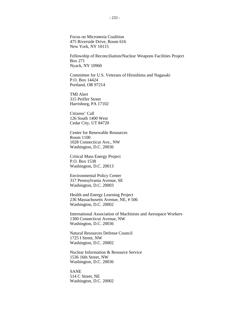Focus on Micronesia Coalition 475 Riverside Drive, Room 616 New York, NY 10115

Fellowship of Reconciliation/Nuclear Weapons Facilities Project Box 271 Nyack, NY 10960

Committee for U.S. Veterans of Hiroshima and Nagasaki P.O. Box 14424 Portland, OR 97214

TMI Alert 315 Peiffer Street Harrisburg, PA 17102

Citizens' Call 126 South 1400 West Cedar City, UT 84720

Center for Renewable Resources Room 1100 1028 Connecticut Ave., NW Washington, D.C. 20036

Critical Mass Energy Project P.O. Box 1538 Washington, D.C. 20013

Environmental Policy Center 317 Pennsylvania Avenue, SE Washington, D.C. 20003

Health and Energy Learning Project 236 Massachusetts Avenue, NE, # 506 Washington, D.C. 20002

International Association of Machinists and Aerospace Workers 1300 Connecticut Avenue, NW Washington, D.C. 20036

Natural Resources Defense Council 1725 I Street, NW Washington, D.C. 20002

Nuclear Information & Resource Service 1536 16th Street, NW Washington, D.C. 20036

SANE 514 C Street, NE Washington, D.C. 20002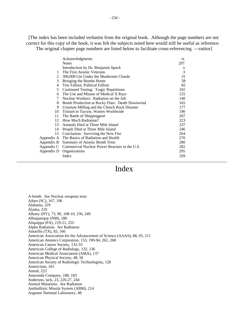[The index has been included verbatim from the original book. Although the page numbers are not correct for this copy of the book, it was felt the subjects noted here would still be useful as reference. The original chapter page numbers are listed below to facilitate cross-referencing —ratitor]

|    | Acknowledgments                                          | ix  |
|----|----------------------------------------------------------|-----|
|    | <b>Notes</b>                                             | 297 |
|    | Introduction by Dr. Benjamin Spock                       | X   |
|    | The First Atomic Veterans                                | 3   |
| 2  | 300,000 GIs Under the Mushroom Clouds                    | 31  |
| 3  | Bringing the Bombs Home                                  | 58  |
| 4  | Test Fallout, Political Fallout                          | 82  |
| 5  | Continued Testing: Tragic Repetitions                    | 102 |
| 6  | The Use and Misuse of Medical X Rays                     | 125 |
|    | Nuclear Workers: Radiation on the Job                    | 140 |
| 8  | Bomb Production at Rocky Flats: Death Downwind           | 165 |
| 9  | Uranium Milling and the Church Rock Disaster             | 177 |
| 10 | Tritium in Tucson, Wastes Worldwide                      | 190 |
| 11 | The Battle of Shippingport                               | 207 |
| 12 | How Much Radiation?                                      | 223 |
| 13 | Animals Died at Three Mile Island                        | 237 |
| 14 | People Died at Three Mile Island                         | 246 |
| 15 | Conclusion: Surviving the New Fire                       | 264 |
|    | Appendix A The Basics of Radiation and Health            | 270 |
|    | Appendix B Summary of Atomic Bomb Tests                  | 280 |
|    | Appendix C Commercial Nuclear Power Reactors in the U.S. | 282 |
|    | Appendix D Organizations                                 | 295 |
|    | Index                                                    | 359 |
|    |                                                          |     |

# Index

A-bomb. *See* Nuclear weapons tests Aiken (SC), 167, 196 Alabama, 229 Alaska, 210 Albany (NY), 73, 96, 108-10, 236, 249 Albuquerque (NM), 180 Aliquippa (PA), 219-21, 255 Alpha Radiation. *See* Radiation Amarillo (TX), 83, 166 American Association for the Advancement of Science (AAAS), 88, 95, 211 American Atomics Corporation, 153, 190-94, 261, 268 American Cancer Society, 132-33 American College of Radiology, 132, 136 American Medical Association (AMA), 137 American Physical Society, 48, 56 American Society of Radiologic Technologists, 128 Americium, 161 Amish, 223 Anaconda Company, 180, 183 Anderson, lack, 23, 226-27, 244 Animal Mutations. *See* Radiation Antiballistic Missile System (ABM), 214 Argonne National Laboratory, 48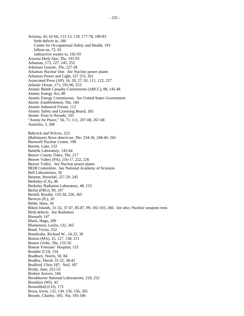Arizona, 43, 62-66, 111-13, 118, 177-78, 180-83 birth defects in, 186 Center for Occupational Safety and Health, 193 fallout on, 72, 92 radioactive wastes in, 192-93 *Arizona Daily Star, The,* 191-93 Arkansas, 173, 227, 245, 255 *Arkansas Gazette, The,* 227-28 Arkansas Nuclear One. *See* Nuclear power plants Arkansas Power and Light, 227 255, 261 Associated Press (AP), 16, 20, 27, 92, 111, 122, 227 Atlantic Ocean, 171, 195-96, 253 Atomic Bomb Casualty Commission (ABCC), 88, 145-46 Atomic Energy Act, 80 Atomic Energy Commission. *See* United States Government *Atomic Establishment, The,* 184 Atomic Industrial Forum, 112 Atomic Safety and Licensing Board, 185 *Atomic Tests in Nevada,* 105 "Atoms for Peace," 56, 71, 111, 207-08, 267-68 Australia, 3, 268 Babcock and Wilcox, 223 (Baltimore) *News-American, The,* 234-36, 248-40, 243 Barnwell Nuclear Center, 198 Barrett, Lake, 232 Battelle Laboratory, 143-44 *Beaver County Times, The,* 217 Beaver Valley (PA), 216-17, 222, 226 Beaver Valley. *See* Nuclear power plants BEIR Committee. *See* National Academy of Sciences Bell Laboratories, 56 Bennett, Herschel, 227-29, 245 Berkeley (CA), 48 Berkeley Radiation Laboratory, 48, 153 Berlin (FRG), 99, 107 Bertell, Rosalie, 133-34, 226, 265 Berwyn (IL), 10 Bethe, Hans, 56 Bikini Islands, 31-32, 37-47, 85-87, 99, 102-103, 260. *See also,* Nuclear weapons tests Birth defects. *See* Radiation Bismuth, 147 Black, Hugo, 209 Blumenson, Leslie, 132, 265 Bond, Victor, 252 Bonebrake, Richard W., 24-25, 30 Boston (MA), 25, 127, 138, 211 *Boston Globe, The,* 155-56 Boston Veterans' Hospital, 155 Boulder (CO), 154 Bradbury, Norris, 50, 84 Bradley, David, 31-32, 38-42 Brafford, Chris 187; Neil, 187 Brody, Jane, 251-53 Broken Arrows, 166 Brookhaven National Laboratories, 218, 252 Brooklyn (WI), 43 Broomfield (CO), 173 Bross, Irwin, 132, 134, 136, 156, 265 Broudy, Charles, 105; Pat, 105-106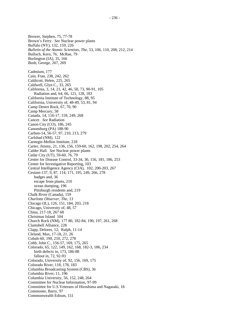Brower, Stephen, 75, 77-78 Brown's Ferry. *See* Nuclear power plants Buffalo (NY), 132, 159, 226 *Bulletin of the Atomic Scientists, The,* 53, 106, 110, 208, 212, 214 Bulloch, Kern, 76; McRae, 79 Burlington (IA), 35, 166 Bush, George, 267, 269 Cadmium, 177 Cain, Fran, 238, 242, 262 Caldicott, Helen, 225, 265 Caldwell, Glyn C., 33, 265 California, 3, 14, 21, 42, 46, 50, 73, 90-91, 105 Radiation and, 64, 66, 121, 128, 183 California Institute of Technology, 88, 95 California, University of, 48-49, 53, 81, 94 Camp Desert Rock, 67, 70, 90 Camp Mercury, 58 Canada, 14, 116-17, 159, 249, 268 Cancer. *See* Radiation Canon City (CO), 186, 245 Canonsburg (PA) 188-90 Carbon-14, 56-57, 97, 210, 213, 279 Carlsbad (NM), 122 Carnegie-Mellon Institute, 218 Carter, Jimmy, 21, 136, 156, 159-60, 162, 198, 202, 254, 264 Calder Hall. *See* Nuclear power plants Cedar City (UT), 59-60, 76, 79 Center for Disease Control, 33-34, 36, 156, 181, 186, 253 Center for Investigative Reporting, 103 Central Intelligence Agency (CIA), 102, 200-203, 267 Cesium-137, 9, 87, 114, 171, 195, 249, 266, 278 badges and, 36 escape from plants, 210 ocean dumping, 196 Pittsburgh residents and, 219 Chalk River (Canada), 159 *Charlotte Observer, The,* 13 Chicago (IL), 126, 151, 184, 203, 218 Chicago, University of, 48, 57 China, 217-18, 267 68 Christmas Island 104 Church Rock (NM), 177 80, 182-84, 190, 197, 261, 268 Clamshell Alliance, 228 Clapp, Delores, 12; Ralph, 11-14 Cleland, Max, 17-18, 21, 26 Cobalt-60, 190, 210, 272, 278 Cobb, John C., 156-57, 169, 175, 265 Colorado, 65, 122, 149, 162, 168, 182-3, 186, 234 birth defects in, 173, 186-88 fallout in, 72, 92-93 Colorado, University of, 92, 156, 169, 175 Colorado River, 118, 178, 183 Columbia Broadcasting System (CBS), 36 Columbia River, 11, 196 Columbia University, 56, 152, 248, 264 Committee for Nuclear Information, 97-99 Committee for U.S Veterans of Hiroshima and Nagasaki, 18 Commoner, Barry, 97 Commonwealth Edison, 151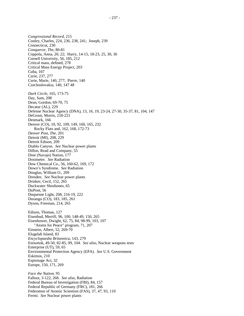*Congressional Record,* 215 Conley, Charles, 224, 236, 238, 241; Joseph, 239 Connecticut, 230 *Conqueror, The,* 80-81 Coppola, Anna, 20, 22; Harry, 14-15, 18-23, 25, 30, 36 Cornell University, 56, 185, 212 Critical mass, defined, 278 Critical Mass Energy Project, 203 Cuba, 107 Curie, 237, 277 Curie, Marie, 140, 277; Pierre, 140 Czechoslovakia, 140, 147 48 *Dark Circle,* 165, 173-75 Day, Sam, 208 Dean, Gordon, 69-70, 75 Decatur (AL), 229 Defense Nuclear Agency (DNA), 13, 16, 19, 23-24, 27-30, 35-37, 81, 104, 147 DeGroot, Morris, 218-221 Denmark, 166 Denver (CO), 10, 92, 109, 149, 160, 165, 232 Rocky Flats and, 162, 168, 172-73 *Denver Post, The,* 201 Detroit (MI), 208, 229 Detroit Edison, 209 Diablo Canyon. *See* Nuclear power plants Dillon, Read and Company, 55 Dine (Navajo) Nation, 177 Dosimeter. *See* Radiation Dow Chemical Co., 56, 160-62, 169, 172 Down's Syndrome. *See* Radiation Douglas, William O., 209 Dresden. *See* Nuclear power plants Drinker, Cecil, 152, 265 Duckwater Shoshones, 65 DuPont, 56 Duquesne Light, 208, 216-19, 222 Durango (CO), 183, 185, 261 Dyson, Freeman, 214, 265 Edison, Thomas, 127 Eisenbud, Merrill, 96, 100, 148-49, 150, 265 Eisenhower, Dwight, 62, 75, 84, 98-99, 103, 107 "Atoms for Peace" program, 71, 207 Einstein, Albert, 52, 269-70 Elugelab Island, 83 *Encyclopaedia Britannica,* 143, 279 Eniwetok, 49-50, 82-85, 99, 104. *See also,* Nuclear weapons tests Enterprise (UT), 59, 65 Environmental Protection Agency (EPA). *See* U.S. Government Eskimos, 210 Espionage Act, 32 Europe, 150, 171, 269 *Face the Nation,* 95 Fallout, 3-122, 268. *See also,* Radiation Federal Bureau of Investigation (FBI), 84, 157

Federal Republic of Germany (FRC), 181, 266 Federation of Atomic Scientists (FAS), 37, 47, 93, 110

Fermi. *See* Nuclear power plants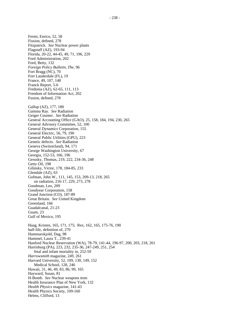Fermi, Enrico, 52, 58 Fission, defined, 278 Fitzpatrick. *See* Nuclear power plants Flagstaff (AZ), 193-94 Florida, 20-22, 44-45, 49, 71, 196, 229 Ford Administration, 202 Ford, Betty, 132 *Foreign Policy Bulletin, The,* 96 Fort Bragg (NC), 70 Fort Lauderdale (FL), 19 France, 49, 107, 148 Franck Report, 5-6 Fredonia (AZ), 62-65, 111, 113 Freedom of Information Act, 202 Fusion, defined, 278 Gallup (AZ), 177, 180 Gamma Ray. *See* Radiation Geiger Counter. *See* Radiation General Accounting Office (GAO), 25, 158, 184, 194, 230, 265 General Advisory Committee, 52, 100 General Dynamics Corporation, 155 General Electric, 56, 79, 190 General Public Utilities (GPU), 223 Genetic defects. *See* Radiation Geneva (Switzerland), 94, 171 George Washington University, 67 Georgia, 152-53, 166, 196 Gerusky, Thomas, 219, 222, 234-36, 248 Getty Oil, 198 Gilinsky, Victor, 178, 184-85, 233 Glendale (AZ), 63 Gofman, John W., 111, 145, 153, 209-13, 218, 265 on radiation, 216-17, 229, 273, 278 Goodman, Leo, 209 Goodyear Corporation, 158 Grand Junction (CO), 187-89 Great Britain. *See* United Kingdom Greenland, 166 Guadalcanal, 21-23 Guam, 23 Gulf of Mexico, 195 Haag, Kristen, 165, 171, 175; Rex, 162, 165, 175-76, 190 half-life, definition of, 270 Hammarskjold, Dag, 98 Hammel, Laura T., 239-41 Hanford Nuclear Reservation (WA), 78-79, 141-44, 196-97, 200, 203, 218, 261 Harrisburg (PA), 223, 232, 235-36, 247-249, 251, 254 fetal and infant mortality in, 252-59 *Harrowsmith* magazine, 249, 261 Harvard University, 52, 109, 130, 149, 152 Medical School, 128, 246 Hawaii, 31, 46, 49, 83, 86, 99, 165 Hayward, Susan, 81 H-Bomb. *See* Nuclear weapons tests Health Insurance Plan of New York, 132 *Health Physics* magazine, 141-43 Health Physics Society, 109-160 Helms, Clifford, 13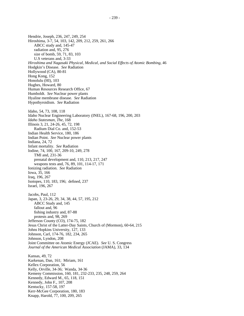Hendrie, Joseph, 236, 247, 249, 254 Hiroshima, 3-7, 54, 103, 142, 209, 212, 259, 261, 266 ABCC study and, 145-47 radiation and, 95, 276 size of bomb, 59, 71, 83, 103 U.S veterans and, 3-33 *Hiroshima and Nagasaki Physical, Medical, and Social Effects of Atomic Bombing,* 46 Hodgkin's Disease. *See* Radiation Hollywood (CA), 80-81 Hong Kong, 152 Honolulu (HI), 103 Hughes, Howard, 80 Human Resources Research Office, 67 Humboldt. *See* Nuclear power plants Hyaline membrane disease. *See* Radiation Hypothyroidism. *See* Radiation Idaho, 54, 73, 108, 118 Idaho Nuclear Engineering Laboratory (INEL), 167-68, 196, 200, 203 *Idaho Statesman, The,* 168 Illinois 3, 21, 24-26, 45, 72, 198 Radium Dial Co. and, 152-53 Indian Health Service, 180, 186 Indian Point. *See* Nuclear power plants Indiana, 24, 72 Infant mortality. *See* Radiation Iodine, 74, 100, 167, 209-10, 249, 278 TMI and, 231-36 prenatal development and, 110, 213, 217, 247 weapons tests and, 76, 89, 101, 114-17, 171 Ionizing radiation. *See* Radiation Iowa, 35, 166 Iraq, 196, 267 Isotopes, 110, 183, 196; defined, 237 Israel, 196, 267 Jacobs, Paul, 112 Japan, 3, 23-26, 29, 34, 38, 44, 57, 195, 212 ABCC Study and, 145 fallout and, 96 fishing industry and, 87-88 protests and, 98, 269 Jefferson County (CO), 174-75, 182 Jesus Christ of the Latter-Day Saints, Church of (Mormon), 60-64, 215 Johns Hopkins University, 127, 133 Johnson, Carl, 174-76, 182, 234, 265 Johnson, Lyndon, 208 Joint Committee on Atomic Energy (JCAE). *See* U. S. Congress *Journal of the American Medical Association* (JAMA), 33, 134 Kansas, 49, 72 Karkenan, Dan, 161; Miriam, 161 Kellex Corporation, 56 Kelly, Orville, 34-36; Wanda, 34-36 Kemeny Commission, 160, 181, 232-233, 235, 248, 259, 264 Kennedy, Edward M., 65, 118, 151 Kennedy, John F., 107, 208 Kentucky, 157-58, 197 Kerr-McGee Corporation, 180, 183 Knapp, Harold, 77, 100, 209, 265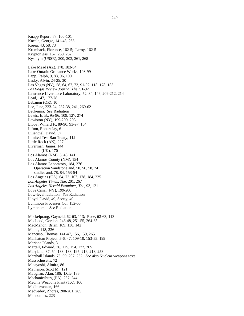Knapp Report, 77, 100-101 Kneale, George, 141-43, 265 Korea, 43, 58, 73 Krumback, Florence, 162-5; Leroy, 162-5 Krypton gas, 167, 260, 262 Kyshtym (USSR), 200, 203, 261, 268 Lake Mead (AZ), 178, 183-84 Lake Ontario Ordnance Works, 198-99 Lapp, Ralph, 9, 88, 96, 100 Lasky, Alvin, 24-25, 30 Las Vegas (NV), 58, 64, 67, 73, 91-92, 118, 178, 183 *Las Vegas Review Journal The,* 91-92 Lawrence Livermore Laboratory, 52, 84, 146, 209-212, 214 Lead, 147, 177-78 Lebanon (OR), 10 Lee, Jane, 223-24, 237-38, 241, 260-62 Leukemia. *See* Radiation Lewis, E. B., 95-96, 109, 127, 274 Lewiston (NY), 199-200, 203 Libby, Willard F., 89-90, 93-97, 104 Lifton, Robert Jay, 6 Lilienthal, David, 57 Limited Test Ban Treaty, 112 Little Rock (AK), 227 Liverman, James, 144 London (UK), 170 Los Alamos (NM), 6, 48, 141 Los Alamos County (NM), 154 Los Alamos Laboratory, 184, 276 Operation Sandstone and, 50, 56, 58, 74 studies and, 78, 84, 153-54 Los Angeles (CA), 64, 73, 107, 178, 184, 235 *Los Angeles Times, The,* 201, 267 *Los Angeles Herald Examiner, The,* 93, 121 Love Canal (NY), 199-200 Low-level radiation. *See* Radiation Lloyd, David, 49, Scotty, 49 Luminous Processes Co., 152-53 Lymphoma. *See* Radiation Mackelprang, Gayneld, 62-63, 113; Rose, 62-63, 113 MacLeod, Gordon, 246-48, 251-55, 264-65 MacMahon, Brian, 109, 130, 142 Maine, 118, 236 Mancuso, Thomas, 141-47, 156, 159, 265 Manhattan Project, 5-6, 47, 109-10, 153-55, 199 Mariana Islands, 3 Martell, Edward, 36, 115, 154, 172, 265 Maryland, 37, 54, 133, 138, 195, 216, 218, 253 Marshall Islands, 75, 99, 207, 252. *See also* Nuclear weapons tests Massachusetts, 72 Matayoshi, Almira, 86 Matheson, Scott M., 121 Maughan, Alan, 186; Dale, 186 Mechanicsburg (PA), 237, 244 Medina Weapons Plant (TX), 166 Mediterranean, 166 Medvedev, Zhores, 200-201, 265 Mennonites, 223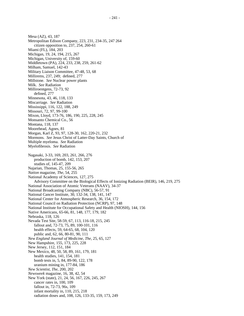Mesa (AZ), 43, 187 Metropolitan Edison Company, 223, 231, 234-35, 247 264 citizen opposition to, 237, 254, 260-61 Miami (FL), 184, 203 Michigan, 19, 24, 194, 215, 267 Michigan, University of, 159-60 Middletown (PA), 224, 233, 238, 259, 261-62 Milham, Samuel, 142-43 Military Liaison Committee, 47-48, 53, 68 Millirems, 237, 249; defined, 277 Millstone. *See* Nuclear power plants Milk. *See* Radiation Milliroentgens, 72-73, 92 defined, 277 Minnesota, 43, 46, 118, 133 Miscarriage. *See* Radiation Mississippi, 116, 122, 188, 249 Missouri, 72, 97, 99-100 Mixon, Lloyd, 173-76, 186, 190, 225, 228, 245 Monsanto Chemical Co., 56 Montana, 118, 137 Moorehead, Agnes, 81 Morgan, Karl Z, 93, 97, 128-30, 162, 220-21, 232 Mormons. *See* Jesus Christ of Latter-Day Saints, Church of Multiple myeloma. *See* Radiation Myelofibrosis. *See* Radiation Nagasaki, 3-33, 169, 203, 261, 266, 276 production of bomb, 142, 153, 207 studies of, 145-47, 209 Najarian, Thomas, 25, 155-56, 265 *Nation* magazine, *The,* 54, 255 National Academy of Sciences, 127, 275 Advisory Committee on the Biological Effects of Ionizing Radiation (BEIR), 146, 219, 275 National Association of Atomic Veterans (NAAV), 34-37 National Broadcasting Company (NBC), 56-57, 91 National Cancer Institute, 30, 132-34, 138, 141, 147 National Center for Atmospheric Research, 36, 154, 172 National Council on Radiation Protection (NCRP), 97, 148 National Institute for Occupational Safety and Health (NIOSH), 144, 156 Native Americans, 65-66, 81, 148, 177, 179, 182 Nebraska, 118, 126 Nevada Test Site, 58-59, 67, 113, 116-18, 215, 245 fallout and, 72-73, 75, 89, 100-101, 116 health effects, 59, 64-65, 68, 104, 120 public and, 62, 66, 80-81, 90, 111 *New England Journal of Medicine, The,* 25, 65, 127 New Hampshire, 155, 173, 225, 228 New Jersey, 112, 151, 184 New Mexico, 48, 50, 58, 89, 161, 179, 181 health studies, 141, 154, 181 bomb tests in, 5, 84, 89-90, 122, 178 uranium mining in, 177-84, 186 *New Scientist, The,* 200, 202 *Newsweek* magazine, 16, 38, 42, 54 New York (state), 21, 24, 56, 167, 226, 245, 267 cancer rates in, 100, 109 fallout in, 72-73, 96s, 109 infant mortality in, 110, 215, 218 radiation doses and, 108, 126, 133-35, 159, 173, 249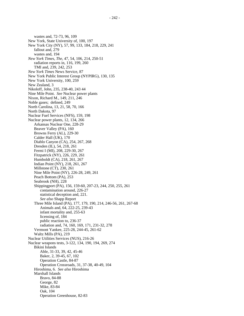wastes and, 72-73, 96, 109 New York, State University of, 100, 197 New York City (NY), 57, 99, 133, 184, 218, 229, 241 fallout and, 279 wastes and, 194 *New York Times, The,* 47, 54, 106, 214, 250-51 radiation reports in, 116, 199, 260 TMI and, 239, 242, 253 *New York Times* News Service, 87 New York Public Interest Group (NYPIRG), 130, 135 New York University, 100, 259 New Zealand, 3 Nikoloff, John, 235, 238-40, 243 44 Nine Mile Point. *See* Nuclear power plants Nixon, Richard M., 149, 211, 246 Noble gases; defined, 249 North Carolina, 13, 21, 58, 70, 166 North Dakota, 97 Nuclear Fuel Services (NFS), 159, 198 Nuclear power plants, 12, 134, 266 Arkansas Nuclear One, 228-29 Beaver Valley (PA), 160 Browns Ferry (AL), 229-30 Calder Hall (UK), 170 Diablo Canyon (CA), 254, 267, 268 Dresden (IL), 54, 218, 261 Fermi I (MI), 208, 229-30, 267 Fitzpatrick (NY), 226, 229, 261 Humboldt (CA), 218, 261, 267 Indian Point (NY), 218, 261, 267 Millstone (CT), 230, 261 Nine Mile Point (NY), 226-28, 249, 261 Peach Bottom (PA), 253 Seabrook (NH), 228 Shippingport (PA), 156, 159-60, 207-23, 244, 250, 255, 261 contamination around, 226-27 statistical deception and, 221. *See also* Shapp Report Three Mile Island (PA), 177, 179, 190, 214, 246-56, 261, 267-68 Animals and, 64, 222-25, 239-43 infant mortality and, 255-63 licensing of, 184 public reaction to, 236-37 radiation and, 74, 160, 169, 171, 231-32, 278 Vermont Yankee, 225-28, 244-45, 261-62 Waltz Mills (PA), 219 Nuclear Utilities Services (NUS), 216-26 Nuclear weapons tests, 3-122, 134, 190, 194, 269, 274 Bikini Islands Able, 31-33, 39, 42, 45-46 Baker, 2, 39-45, 67, 102 Operation Castle, 84-87 Operation Crossroads, 31, 37-38, 40-49, 104 Hiroshima, 6. *See also* Hiroshima Marshall Islands Bravo, 84-88 George, 82 Mike, 83-84 Oak, 104 Operation Greenhouse, 82-83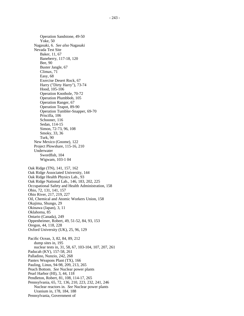Operation Sandstone, 49-50 Yoke, 50 Nagasaki, 6. *See also* Nagasaki Nevada Test Site Baker, 11, 67 Baneberry, 117-18, 120 Bee, 90 Buster Jangle, 67 Climax, 71 Easy, 68 Exercise Desert Rock, 67 Harry ("Dirty Harry"), 73-74 Hood, 105-106 Operation Knothole, 70-72 Operation Plumbbob, 105 Operation Ranger, 67 Operation Teapot, 89-90 Operation Tumbler-Snapper, 69-70 Priscilla, 106 Schooner, 116 Sedan, 114-15 Simon, 72-73, 96, 108 Smoky, 33, 36 Turk, 90 New Mexico (Gnome), 122 Project Plowshare, 115-16, 210 Underwater Swordfish, 104 Wigwam, 103-1 04 Oak Ridge (TN), 141, 157, 162 Oak Ridge Associated University, 144 Oak Ridge Health Physics Lab., 93 Oak Ridge National Lab., 146, 183, 202, 225 Occupational Safety and Health Administration, 158 Ohio, 72, 131, 141, 157 Ohio River, 217, 219, 227 Oil, Chemical and Atomic Workers Union, 158 Okajima, Shungo, 29 Okinawa (Japan), 3, 11 Oklahoma, 85 Ontario (Canada), 249 Oppenheimer, Robert, 49, 51-52, 84, 93, 153 Oregon, 44, 118, 228 Oxford University (UK), 25, 96, 129 Pacific Ocean, 3, 82, 84, 89, 212 dump sites in, 195 nuclear tests in, 31, 58, 67, 103-104, 107, 207, 261 Paducah (KY), 157-58, 261 Palladino, Nunzio, 242, 268 Pantex Weapons Plant (TX), 166 Pauling, Linus, 94-98, 209, 213, 265 Peach Bottom. *See* Nuclear power plants Pearl Harbor (HI), 3, 44, 118 Pendleton, Robert, 81, 108, 114-17, 265 Pennsylvania, 65, 72, 136, 210, 223, 232, 241, 246 Nuclear reactors in. *See* Nuclear power plants Uranium in, 178, 184, 188

Pennsylvania, Government of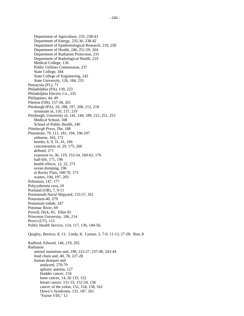Department of Agriculture, 235, 238-43 Department of Energy, 235-36, 238-42 Department of Epidemiological Research, 219, 250 Department of Health, 246, 251-59, 264 Department of Radiation Protection, 231 Department of Radiological Health, 219 Medical College, 136 Public Utilities Commission, 237 State College, 184 State College of Engineering, 242 State University, 126, 184, 235 Pensacola (FL), 71 Philadelphia (PA), 139, 223 Philadelphia Electric Co., 235 Philippines, 44, 49 Piketon (OH), 157-58, 261 Pittsburgh (PA), 10, 188, 197, 208, 212, 218 strontium in, 110, 137, 219 Pittsburgh, University of, 141, 144, 189, 212, 251, 253 Medical School, 108 School of Public Health, 246 *Pittsburgh Press, The,* 188 Plutonium, 79, 111, 181, 194, 196-197 airborne, 165, 172 bombs, 6, 9, 31, 41, 166 concentration of, 29, 175, 266 defined, 271 exposure to, 36, 119, 153-54, 160-62, 176 half-life, 171, 196 health effects, 12, 22, 271 ocean dumping, 196 at Rocky Flats, 168-70, 173 wastes, 194, 197, 203 Polonium, 147, 177 Polycythemia vera, 10 Portland (OR), 7, 9-11 Portsmouth Naval Shipyard, 155-57, 261 Potassium-40, 279 Potassium iodide, 247 Potomac River, 69 Powell, Dick, 81; Ellen 81 Princeton University, 106, 214 Provo (UT), 115 Public Health Service, 114, 117, 136, 149-50, Quigley, Bernice, 8, 11; Linda, 8; Lyman, 3, 7-9, 11-13, 27-28; Ron, 8 Radford, Edward, 146, 219, 265 Radiation animal mutations and, 198, 223-27, 237-40, 243-44 food chain and, 40, 78, 227-28 human diseases and analyzed, 270-79 aplastic anemia, 127 bladder cancer, 154 bone cancer, 14, 26 133, 152 breast cancer, 131-33, 152-54, 158 cancer of the colon, 152, 154, 158, 162 Down's Syndrome, 131, 187, 261 "Factor VIII," 12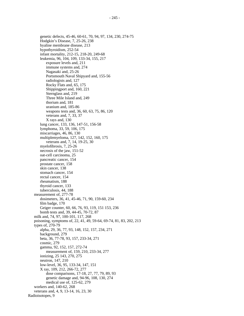genetic defects, 45-46, 60-61, 70, 94, 97, 134, 230, 274-75 Hodgkin's Disease, 7, 25-26, 238 hyaline membrane disease, 213 hypothyroidism, 252-54 infant mortality, 212-15, 218-20, 249-68 leukemia, 96, 104, 109, 133-34, 155, 217 exposure levels and, 211 immune systems and, 274 Nagasaki and, 25-26 Portsmouth Naval Shipyard and, 155-56 radiologists and, 127 Rocky Flats and, 65, 175 Shippingport and, 160, 221 Sternglass and, 219 Three Mile Island and, 249 thorium and, 181 uranium and, 185-86 weapons tests and, 36, 60, 63, 75, 86, 120 veterans and, 7, 33, 37 X rays and, 130 lung cancer, 133, 136, 147-51, 156-58 lymphoma, 33, 59, 106, 175 miscarriages, 46, 86, 130 multiplemyeloma, 127, 142, 152, 160, 175 veterans and, 7, 14, 19-25, 30 myelofibrosis, 7, 25-26 necrosis of the jaw, 151-52 oat-cell carcinoma, 25 pancreatic cancer, 154 prostate cancer, 158 skin cancer, 138 stomach cancer, 154 rectal cancer, 154 rheumatism, 188 thyroid cancer, 133 tuberculosis, 44, 188 measurement of, 277-78 dosimeters, 36, 41, 45-46, 71, 90, 159-60, 234 film badge, 170 Geiger counter, 60, 66, 76, 93, 119, 151 153, 236 bomb tests and, 39, 44-45, 70-72, 87 milk and, 74, 97, 100-101, 117, 268 poisoning, symptoms of, 22, 41, 49, 59-64, 69-74, 81, 83, 202, 213 types of, 270-79 alpha, 29, 36, 77, 93, 148, 152, 157, 234, 271 background, 279 beta, 36, 77-78, 93, 157, 233-34, 271 cosmic, 279 gamma, 92, 152, 157, 272-74 measurement of, 159, 210, 233-34, 277 ionizing, 25 143, 270, 275 neutron, 147, 210 low-level, 36, 95, 133-34, 147, 151 X ray, 109, 212, 266-72, 277 dose comparisons, 17-18, 27, 77, 79, 89, 93 genetic damage and, 94-96, 108, 130, 274 medical use of, 125-62, 279 workers and, 140-62, 268 veterans and, 4, 9, 13-14, 16, 23, 30 Radioisotopes, 9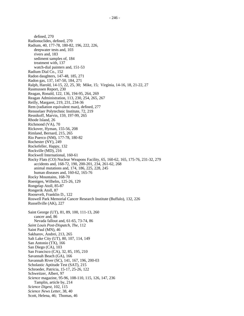defined, 270 Radionuclides, defined, 270 Radium, 40, 177-78, 180-82, 196, 222, 226, deepwater tests and, 103 rivers and, 183 sediment samples of, 184 treatment with, 137 watch-dial painters and, 151-53 Radium Dial Co., 152 Radon daughters, 147-48, 185, 271 Radon gas, 137, 147-50, 184, 271 Ralph, Harold, 14-15, 22, 25, 30; Mike, 15; Virginia, 14-16, 18, 21-22, 27 Rasmussen Report, 230 Reagan, Ronald, 122, 136, 194-95, 264, 269 Reagan Administration, 113, 230, 254, 265, 267 Reilly, Margaret, 219, 231, 234-36 Rem (radiation equivalent man), defined, 277 Rensselaer Polytechnic Institute, 72, 219 Resnikoff, Marvin, 159, 197-99, 265 Rhode Island, 26 Richmond (VA), 70 Rickover, Hyman, 155-56, 208 Rimland, Bernard, 215, 265 Rio Puerco (NM), 177-78, 180-82 Rochester (NY), 249 Rockefeller, Happy, 132 Rockville (MD), 216 Rockwell International, 160-61 Rocky Flats (CO) Nuclear Weapons Facility, 65, 160-62, 165, 175-76, 231-32, 279 accidents and, 168-72, 190, 200-201, 234, 261-62, 268 animal mutations and, 174, 186, 225, 228, 245 human diseases and, 160-62, 165-76 Rocky Mountains, 168-70 Roentgen, Wilhelm, 125-26, 129 Rongelap Atoll, 85-87 Rongerik Atoll, 87 Roosevelt, Franklin D., 122 Roswell Park Memorial Cancer Research Institute (Buffalo), 132, 226 Russellville (AK), 227 Saint George (UT), 81, 89, 100, 111-13, 260 cancer and, 86 Nevada fallout and, 61-65, 73-74, 86 *Saint Louis Post-Dispatch, The,* 112 Saint Paul (MN), 46 Sakharov, Andrei, 213, 265 Salt Lake City (UT), 80, 107, 114, 149 San Antonio (TX), 166 San Diego (CA), 103 San Francisco (CA), 32, 85, 195, 210 Savannah Beach (GA), 166 Savannah River (SC), 141, 167, 196, 200-03 Scholastic Aptitude Test (SAT), 215 Schroeder, Patricia, 15-17, 25-26, 122 Schweitzer, Albert, 97 *Science* magazine, 95-96, 108-110, 115, 126, 147, 236 Tamplin, article by, 214 *Science Digest,* 102, 115 *Science News Letter,* 38, 40 Scott, Helena, 46; Thomas, 46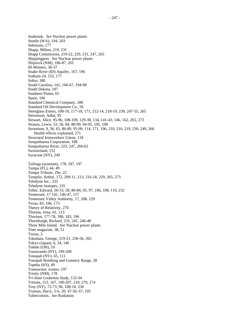Seabrook. *See* Nuclear power plants Seattle (WA), 194, 203 Selenium, 177 Shapp, Milton, 219, 231 Shapp Commission, 219-22, 229, 231, 247, 265 Shippingport. *See* Nuclear power plants Shiprock (NM), 186-87, 261 *60 Minutes,* 36-37 Snake River (ID) Aquifer, 167, 196 Sodium-24, 153, 177 Sohio, 180 South Carolina, 141, 166-67, 194-98 South Dakota, 187 Southern Piutes, 65 Spain, 166 Standard Chemical Company, 188 Standard Oil Development Co., 56 Sternglass Ernest, 108-10, 117-18, 171, 212-14, 218-19, 230, 247-55, 265 Stevenson, Adlai, 95 Stewart, Alice, 95-96, 108-109, 129-30, 134, 141-43, 146, 162, 265, 273 Strauss, Lewis, 53, 56, 84, 88-90, 94-95, 105, 108 Strontium, 9, 36, 65, 86-89, 95-99, 114, 171, 196, 210, 216, 219, 230, 249, 266 Health effects explained, 271 Structural Ironworkers Union, 118 Susquehanna Corporation, 188 Susquehanna River, 223, 247, 260-62 Switzerland, 152 Syracuse (NY), 249 Tailings (uranium), 178, 187, 197 Tampa (FL), 44, 49 *Tampa Tribune, The,* 22 Tamplin, Arthur, 172, 209-11, 213, 216-18, 229, 265, 273 Teledyne Inc., 235 Teledyne Isotopes, 235 Teller, Edward, 50-53, 58, 80-84, 95, 97, 106, 108, 110, 232 Tennessee, 17 141, 146-47, 157 Tennessee Valley Authority, 17, 208, 229 Texas, 83, 166, 173 Theory of Relativity, 270 Thomas, Irma, 61, 113 Thorium, 177-78, 180, 183, 196 Thornburgh, Richard, 231, 241, 246-48 Three Mile Island. *See* Nuclear power plants *Time* magazine, 38, 51 Tinian, 3 Tokuhata, George, 219-21, 250-56, 265 Tokyo (Japan), 6, 54, 146 Toledo (OH), 10 Tonawanda (NY), 199-200 Tonopah (NV), 65, 111 Tonopah Bombing and Gunnery Range, 58 Topeka (KS), 49 Transuranic wastes, 197 Trinity (NM), 178 *Tri-State Leukemia Study,* 133-34 Tritium, 153, 167, 190-207, 210, 270, 274 Troy (NY), 72-73, 96, 108-10, 236 Truman, Harry, 5-6, 20, 47-56, 67, 105 Tuberculosis. *See* Radiation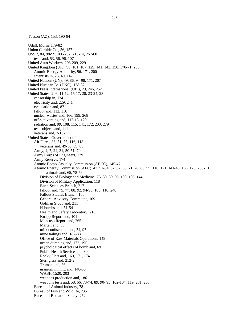- 248 -

Tucson (AZ), 153, 190-94

Udall, Morris 179-82 Union Carbide Co., 56, 157 USSR, 84, 98-99, 200-202, 213-14, 267-68 tests and, 53, 56, 96, 107 United Auto Workers, 208-209, 229 United Kingdom (UK), 98, 101, 107, 129, 141, 143, 158, 170-71, 268 Atomic Energy Authority, 96, 171, 200 scientists in, 25, 49, 147 United Nations (UN), 49, 86, 94-98, 171, 207 United Nuclear Co. (UNC), 178-82 United Press International (UPI), 29, 246, 252 United States, 2, 6, 11-12, 15-17, 20, 23-24, 28 censorship in, 134 electricity and, 229, 241 evacuation and, 87 fallout and, 112, 116 nuclear wastes and, 166, 199, 268 off-site venting and, 117-18, 120 radiation and, 99, 108, 115, 141, 172, 203, 279 test subjects and, 111 veterans and, 3-102 United States, Government of Air Force, 36, 51, 75, 116, 118 veterans and, 49-50, 69, 83 Army, 4, 7, 24, 31, 50-51, 70 Army Corps of Engineers, 179 Army Reserve, 174 Atomic Bomb Casualty Commission (ABCC), 145-47 Atomic Energy Commission (AEC), 47, 51-54, 57, 62, 68, 71, 78, 86, 99, 116, 121, 141-43, 166, 173, 208-10 animals and, 65, 78-79 Division of Biology and Medicine, 75, 80, 89, 96, 100, 105, 144 Division of Military Application, 118 Earth Sciences Branch, 217 fallout and, 75, 77, 88, 92, 94-95, 105, 110, 248 Fallout Studies Branch, 100 General Advisory Committee, 109 Gofman Study and, 211 H-bombs and, 51-54 Health and Safety Laboratory, 218 Knapp Report and, 101 Mancuso Report and, 265 Martell and, 36 milk confiscation and, 74, 97 mine tailings and, 187-88 Office of Raw Materials Operations, 148 ocean dumping and, 172, 195 psychological effects of bomb and, 69 Public Health Service and, 80 Rocky Flats and, 169, 171, 174 Sternglass and, 212-2 Truman and, 56 uranium mining and, 148-50 WASH-1520, 203 weapons production and, 186 weapons tests and, 58, 66, 73-74, 89, 90- 93, 102-104, 119, 231, 268 Bureau of Animal Industry, 78 Bureau of Fish and Wildlife, 235 Bureau of Radiation Safety, 252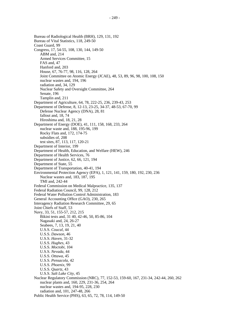Bureau of Radiological Health (BRH), 129, 131, 192 Bureau of Vital Statistics, 118, 249-50 Coast Guard, 99 Congress, 17, 54-55, 108, 130, 144, 149-50 ABM and, 214 Armed Services Committee, 15 FAS and, 47 Hanford and, 203 House, 67, 76-77, 98, 116, 128, 264 Joint Committee on Atomic Energy (JCAE), 48, 53, 89, 96, 98, 100, 108, 150 nuclear wastes and, 194, 196 radiation and, 34, 129 Nuclear Safety and Oversight Committee, 264 Senate, 196 Tamplin and, 211 Department of Agriculture, 64, 78, 222-25, 236, 239-43, 253 Department of Defense, 8, 12-13, 23-25, 34-37, 48-53, 67-70, 99 Defense Nuclear Agency (DNA), 28, 81 fallout and, 18, 74 Hiroshima and, 18, 21, 28 Department of Energy (DOE), 41, 111, 158, 168, 233, 264 nuclear waste and, 188, 195-96, 199 Rocky Flats and, 172, 174-75 subsidies of, 208 test sites, 87, 113, 117, 120-21 Department of Interior, 199 Department of Health, Education, and Welfare (HEW), 246 Department of Health Services, 76 Department of Justice, 62, 66, 121, 194 Department of State, 55 Department of Transportation, 40-41, 194 Environmental Protection Agency (EPA), 1, 121, 141, 159, 180, 192, 230, 236 Nuclear wastes and, 183, 187, 195 TMI and, 242-44 Federal Commission on Medical Malpractice, 135, 137 Federal Radiation Council, 99, 128, 212 Federal Water Pollution Control Administration, 183 General Accounting Office (GAO), 230, 265 Interagency Radiation Research Committee, 29, 65 Joint Chiefs of Staff, 53 Navy, 33, 51, 155-57, 212, 215 Bikini tests and, 31 40, 42-46, 50, 85-86, 104 Nagasaki and, 24, 26-27 Seabees, 7, 13, 19, 21, 40 U.S.S. *Coucal,* 44 U.S.S. *Dawson,* 46 U.S.S. *Haven,* 31-32 U.S.S. *Hughes,* 43 U.S.S. *Moctobi,* 104 U.S.S. *Nevada,* 44 U.S.S. *Ottawa,* 45 U.S.S. *Pensacola,* 42 U.S.S. *Phoenix,* 99 U.S.S. *Quartz,* 43 U.S.S. *Salt Lake City,* 45 Nuclear Regulatory Commission (NRC), 77, 152-53, 159-60, 167, 231-34, 242-44, 260, 262 nuclear plants and, 160, 229, 231-36, 254, 264 nuclear wastes and, 194-95, 228, 230 radiation and, 101, 247-48, 266 Public Health Service (PHS), 63, 65, 72, 78, 114, 149-50